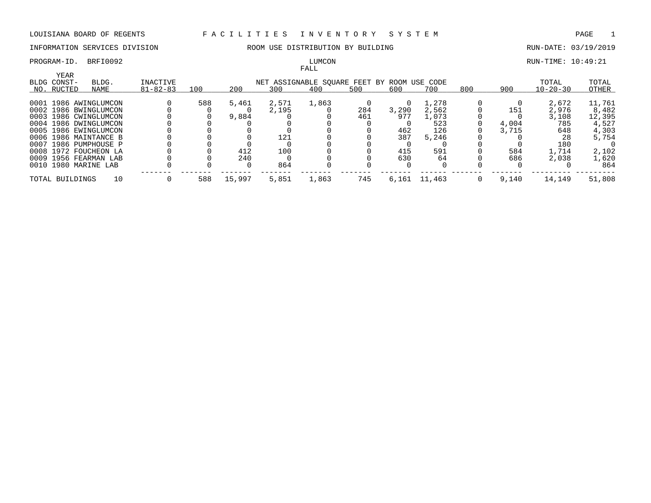# FALL

PROGRAM-ID. BRFI0092 **RUN-TIME: 10:49:21** LUMCON LUMCON RUN-TIME: 10:49:21

|                      |                       |                |     |        |       | r unu                                       |     |       |        |     |       |                |        |
|----------------------|-----------------------|----------------|-----|--------|-------|---------------------------------------------|-----|-------|--------|-----|-------|----------------|--------|
| YEAR<br>BLDG CONST-  | BLDG.                 | INACTIVE       |     |        |       | NET ASSIGNABLE SQUARE FEET BY ROOM USE CODE |     |       |        |     |       | TOTAL          | TOTAL  |
| NO. RUCTED           | NAME                  | $81 - 82 - 83$ | 100 | 200    | 300   | 400                                         | 500 | 600   | 700    | 800 | 900   | $10 - 20 - 30$ | OTHER  |
|                      | 0001 1986 AWINGLUMCON |                | 588 | 5,461  | 2,571 | 1,863                                       |     |       | 1,278  |     |       | 2,672          | 11,761 |
|                      | 0002 1986 BWINGLUMCON |                |     |        | 2,195 |                                             | 284 | 3,290 | 2,562  |     | 151   | 2,976          | 8,482  |
|                      | 0003 1986 CWINGLUMCON |                |     | 9,884  |       |                                             | 461 | 977   | 1,073  |     |       | 3,108          | 12,395 |
|                      | 0004 1986 DWINGLUMCON |                |     |        |       |                                             |     |       | 523    |     | 4,004 | 785            | 4,527  |
|                      | 0005 1986 EWINGLUMCON |                |     |        |       |                                             |     | 462   | 126    |     | 3,715 | 648            | 4,303  |
|                      | 0006 1986 MAINTANCE B |                |     |        | 121   |                                             |     | 387   | 5,246  |     |       | 28             | 5,754  |
|                      | 0007 1986 PUMPHOUSE P |                |     |        |       |                                             |     |       |        |     |       | 180            |        |
|                      | 0008 1972 FOUCHEON LA |                |     | 412    | 100   |                                             |     | 415   | 591    |     | 584   | 1,714          | 2,102  |
|                      | 0009 1956 FEARMAN LAB |                |     | 240    |       |                                             |     | 630   | 64     |     | 686   | 2,038          | 1,620  |
| 0010 1980 MARINE LAB |                       |                |     |        | 864   |                                             |     |       |        |     |       |                | 864    |
| TOTAL BUILDINGS      | 10                    |                | 588 | 15,997 | 5,851 | 1,863                                       | 745 | 6.161 | 11,463 |     | 9,140 | 14,149         | 51,808 |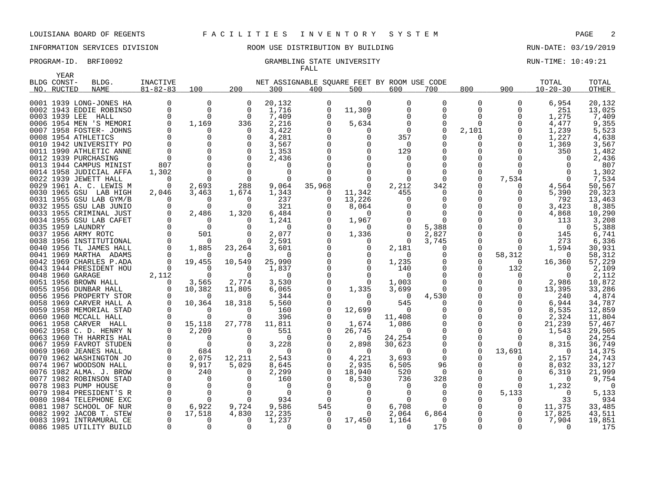# INFORMATION SERVICES DIVISION ROOM USE DISTRIBUTION BY BUILDING RUN-DATE: 03/19/2019

### PROGRAM-ID. BRFI0092 CRAMBLING STATE UNIVERSITY STATE UNIVERSITY RUN-TIME: 10:49:21 FALL

| YEAR          |                                                    |                      |                   |                      |                                             |          |                   |                   |                      |            |               |                |                 |
|---------------|----------------------------------------------------|----------------------|-------------------|----------------------|---------------------------------------------|----------|-------------------|-------------------|----------------------|------------|---------------|----------------|-----------------|
| BLDG CONST-   | BLDG.                                              | <b>INACTIVE</b>      |                   |                      | NET ASSIGNABLE SQUARE FEET BY ROOM USE CODE |          |                   |                   |                      |            |               | TOTAL          | TOTAL           |
| NO. RUCTED    | <b>NAME</b>                                        | $81 - 82 - 83$       | 100               | 200                  | 300                                         | 400      | 500               | 600               | 700                  | 800        | 900           | $10 - 20 - 30$ | OTHER           |
|               | 0001 1939 LONG-JONES HA                            | 0                    | 0                 | 0                    | 20,132                                      | 0        | $\Omega$          | 0                 | 0                    | 0          | 0             | 6,954          | 20,132          |
|               | 0002 1943 EDDIE ROBINSO                            | $\Omega$             | $\Omega$          | 0                    | 1,716                                       | 0        | 11,309            | 0                 | 0                    | 0          | $\Omega$      | 251            | 13,025          |
| 0003 1939 LEE | HALL                                               | $\Omega$             | ∩                 | $\Omega$             | 7,409                                       | $\Omega$ | $\Omega$          |                   | $\Omega$             | O          | 0             | 1,275          | 7,409           |
|               |                                                    | 0                    |                   |                      |                                             |          |                   |                   |                      |            | $\Omega$      |                |                 |
|               | 0006 1954 MEN 'S MEMORI                            |                      | 1,169             | 336<br>$\Omega$      | 2,216                                       | 0        | 5,634             | 0<br><sup>n</sup> | 0<br>$\Omega$        | 0          |               | 4,477          | 9,355           |
|               | 0007 1958 FOSTER- JOHNS                            | $\Omega$             |                   |                      | 3,422                                       |          | $\Omega$          |                   | $\Omega$             | 2,101<br>O | 0<br>0        | 1,239          | 5,523           |
|               | 0008 1954 ATHLETICS                                | $\Omega$             |                   | 0                    | 4,281                                       |          |                   | 357<br>$\Omega$   |                      | O          | $\Omega$      | 1,227          | 4,638           |
|               | 0010 1942 UNIVERSITY PO<br>0011 1990 ATHLETIC ANNE | $\Omega$             | $\Omega$          | $\Omega$<br>$\Omega$ | 3,567                                       |          |                   | 129               | $\Omega$<br>$\Omega$ |            | ∩             | 1,369          | 3,567<br>1,482  |
|               |                                                    | $\Omega$             |                   | $\Omega$             | 1,353                                       |          |                   | 0                 |                      |            |               | 350            | 2,436           |
|               | 0012 1939 PURCHASING<br>0013 1944 CAMPUS MINIST    | 807                  |                   | $\Omega$             | 2,436<br>$\Omega$                           |          |                   |                   | ∩                    |            |               |                | 807             |
|               |                                                    |                      |                   | $\Omega$             | 0                                           |          |                   |                   | $\Omega$             | 0          | ∩             |                |                 |
|               | 0014 1958 JUDICIAL AFFA                            | 1,302                |                   |                      |                                             |          |                   |                   | $\Omega$             | O          |               |                | 1,302           |
|               | 0022 1939 JEWETT HALL                              | $\Omega$<br>$\Omega$ |                   | 288                  |                                             |          |                   |                   |                      | O          | 7,534         |                | 7,534           |
|               | 0029 1961 A. C. LEWIS M                            |                      | 2,693             |                      | 9,064                                       | 35,968   | 0                 | 2,212             | 342<br>$\Omega$      | O          | $\Omega$<br>O | 4,564          | 50,567          |
|               | 0030 1965 GSU LAB HIGH                             | 2,046<br>$\Omega$    | 3,463<br>$\Omega$ | 1,674                | 1,343                                       | $\Omega$ | 11,342            | 455               |                      | O          |               | 5,390          | 20,323          |
|               | 0031 1955 GSU LAB GYM/B                            | 0                    | $\Omega$          | $\Omega$<br>0        | 237<br>321                                  |          | 13,226            |                   | $\Omega$<br>0        |            | O<br>0        | 792<br>3,423   | 13,463          |
|               | 0032 1955 GSU LAB JUNIO                            | 0                    | 2,486             |                      | 6,484                                       |          | 8,064<br>$\Omega$ |                   | $\mathbf 0$          |            | $\Omega$      | 4,868          | 8,385<br>10,290 |
|               | 0033 1955 CRIMINAL JUST<br>0034 1955 GSU LAB CAFET | $\Omega$             | $\Omega$          | 1,320<br>$\Omega$    | 1,241                                       |          | 1,967             |                   | $\Omega$             |            |               | 113            | 3,208           |
|               | 0035 1959 LAUNDRY                                  | $\Omega$             | $\Omega$          | $\Omega$             | $\Omega$                                    |          | $\Omega$          |                   | 5,388                |            |               | $\Omega$       | 5,388           |
|               | 0037 1956 ARMY ROTC                                | $\Omega$             | 501               | $\Omega$             | 2,077                                       |          | 1,336             |                   | 2,827                | 0          | 0             | 145            | 6,741           |
|               | 0038 1956 INSTITUTIONAL                            |                      |                   | $\Omega$             | 2,591                                       |          |                   | $\Omega$          | 3,745                | $\Omega$   |               | 273            | 6,336           |
|               | 0040 1956 TL JAMES HALL                            | $\Omega$             | 1,885             | 23,264               | 3,601                                       |          | $\Omega$          | 2,181             | $\Omega$             | $\Omega$   | $\Omega$      | 1,594          | 30,931          |
|               | 0041 1969 MARTHA ADAMS                             | $\Omega$             | $\Omega$          | $\Omega$             | $\Omega$                                    |          |                   | $\Omega$          | 0                    | $\Omega$   | 58,312        | $\Omega$       | 58,312          |
|               | 0042 1969 CHARLES P.ADA                            | $\Omega$             | 19,455            | 10,549               | 25,990                                      |          | 0                 | 1,235             | 0                    | 0          | $\Omega$      | 16,360         | 57,229          |
|               | 0043 1944 PRESIDENT HOU                            |                      |                   | $\Omega$             | 1,837                                       |          |                   | 140               | $\Omega$             | O          | 132           |                | 2,109           |
|               | 0048 1960 GARAGE                                   | 2,112                | $\Omega$          | $\Omega$             | 0                                           |          |                   | $\Omega$          | $\Omega$             | O          | 0             | $\Omega$       | 2,112           |
|               | 0051 1956 BROWN HALL                               | $\Omega$             | 3,565             | 2,774                | 3,530                                       |          | $\Omega$          | 1,003             | $\Omega$             |            | 0             | 2,986          | 10,872          |
|               | 0055 1956 DUNBAR HALL                              |                      | 10,382            | 11,805               | 6,065                                       |          | 1,335             | 3,699             | $\Omega$             |            | 0             | 13,395         | 33,286          |
|               | 0056 1956 PROPERTY STOR                            |                      |                   | $\Omega$             | 344                                         |          | $\Omega$          | $\overline{0}$    | 4,530                | 0          |               | 240            | 4,874           |
|               | 0058 1969 CARVER HALL A                            | $\Omega$             | 10,364            | 18,318               | 5,560                                       |          | $\Omega$          | 545               | $\Omega$             |            |               | 6,944          | 34,787          |
|               | 0059 1958 MEMORIAL STAD                            | $\Omega$             | 0                 | $\Omega$             | 160                                         |          | 12,699            | $\Omega$          | 0                    |            | $\Omega$      | 8,535          | 12,859          |
|               | 0060 1960 MCCALL HALL                              |                      |                   | $\Omega$             | 396                                         |          | $\Omega$          | 11,408            | 0                    | O          | O             | 2,324          | 11,804          |
|               | 0061 1958 CARVER HALL                              |                      | 15,118            | 27,778               | 11,811                                      |          | 1,674             | 1,086             | 0                    |            | $\Omega$      | 21,239         | 57,467          |
|               | 0062 1958 C. D. HENRY N                            | $\Omega$             | 2,209             | $\Omega$             | 551                                         |          | 26,745            | $\Omega$          | $\Omega$             |            | $\Omega$      | 1,543          | 29,505          |
|               | 0063 1960 TH HARRIS HAL                            |                      | $\Omega$          | $\Omega$             | $\Omega$                                    |          | $\Omega$          | 24,254            | $\Omega$             | U          | ∩             | $\Omega$       | 24,254          |
|               | 0067 1959 FAVROT STUDEN                            |                      | $\Omega$          | 0                    | 3,228                                       |          | 2,898             | 30,623            | 0                    | 0          | $\Omega$      | 8,315          | 36,749          |
|               | 0069 1960 JEANES HALL                              |                      | 684               | $\Omega$             | $\Omega$                                    |          | $\Omega$          | $\Omega$          | $\Omega$             | $\Omega$   | 13,691        | $\Omega$       | 14,375          |
|               | 0070 1962 WASHINGTON JO                            | 0                    | 2,075             | 12,211               | 2,543                                       |          | 4,221             | 3,693             | $\mathbf 0$          |            | 0             | 2,157          | 24,743          |
|               | 0074 1967 WOODSON HALL                             | $\Omega$             | 9,917             | 5,029                | 8,645                                       |          | 2,935             | 6,505             | 96                   | 0          | O             | 8,032          | 33,127          |
|               | 0076 1982 ALMA. J. BROW                            | $\Omega$             | 240               | $\Omega$             | 2,299                                       |          | 18,940            | 520               | $\Omega$             | O          | O             | 6,319          | 21,999          |
|               | 0077 1982 ROBINSON STAD                            |                      |                   |                      | 160                                         |          | 8,530             | 736               | 328                  |            |               | $\Omega$       | 9,754           |
|               | 0078 1983 PUMP HOUSE                               |                      |                   | 0                    | $\Omega$                                    |          | $\Omega$          |                   | $\Omega$             | O          | 0             | 1,232          | 0               |
|               | 0079 1984 PRESIDENT'S R                            |                      | $\Omega$          | $\Omega$             | 0                                           |          |                   |                   | $\Omega$             | 0          | 5,133         | 0              | 5,133           |
|               | 0080 1984 TELEPHONE EXC                            |                      |                   | $\Omega$             | 934                                         |          |                   |                   |                      |            | O             | 33             | 934             |
|               | 0081 1987 SCHOOL OF NUR                            | $\Omega$             | 6,922             | 9,724                | 9,586                                       | 545      | $\Omega$          | 6,708             | $\Omega$             | O          |               | 11,375         | 33,485          |
|               | 0082 1992 JACOB T. STEW                            |                      | 17,518            | 4,830                | 12,235                                      | $\Omega$ | $\Omega$          | 2,064             | 6,864                | 0          |               | 17,825         | 43,511          |
|               | 0083 1991 INTRAMURAL CE                            |                      | $\Omega$          | $\Omega$             | 1,237                                       | $\Omega$ | 17,450            | 1,164             | $\Omega$             | O          | $\Omega$      | 7,904          | 19,851          |
|               | 0086 1985 UTILITY BUILD                            |                      |                   | $\Omega$             | $\Omega$                                    | $\Omega$ | $\Omega$          | $\Omega$          | 175                  | O          | $\Omega$      |                | 175             |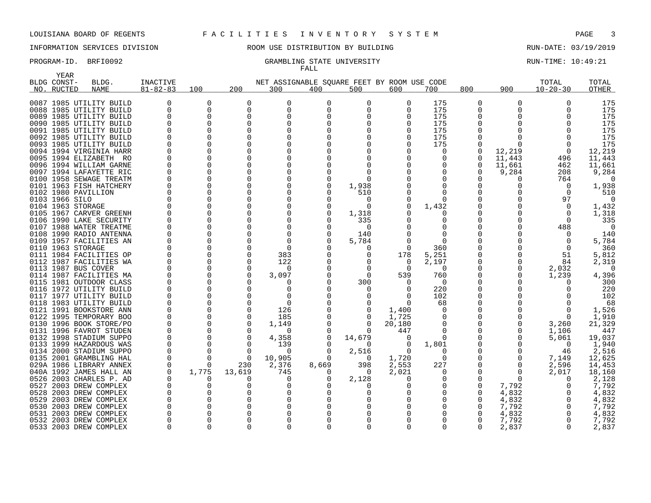YEAR

# INFORMATION SERVICES DIVISION THE ROOM USE DISTRIBUTION BY BUILDING THE RUN-DATE: 03/19/2019

# FALL

PROGRAM-ID. BRFI0092 CRAMBLING STATE UNIVERSITY STATE UNIVERSITY RUN-TIME: 10:49:21

|      | BLDG CONST-       | BLDG.                   | INACTIVE       |          |              | NET ASSIGNABLE SQUARE FEET BY ROOM USE CODE |          |                  |          |              |              |                  | TOTAL          | TOTAL    |
|------|-------------------|-------------------------|----------------|----------|--------------|---------------------------------------------|----------|------------------|----------|--------------|--------------|------------------|----------------|----------|
|      | NO. RUCTED        | <b>NAME</b>             | $81 - 82 - 83$ | 100      | 200          | 300                                         | 400      | 500              | 600      | 700          | 800          | 900              | $10 - 20 - 30$ | OTHER    |
|      |                   |                         |                |          |              |                                             |          |                  |          |              |              |                  |                |          |
|      |                   | 0087 1985 UTILITY BUILD |                | $\Omega$ | O            | O                                           | $\Omega$ | $\Omega$         | $\Omega$ | 175          | $\Omega$     | $\Omega$         |                | 175      |
|      |                   | 0088 1985 UTILITY BUILD |                | $\Omega$ | O            | O                                           | ∩        | <sup>0</sup>     | $\Omega$ | 175          | U            | U                |                | 175      |
|      |                   | 0089 1985 UTILITY BUILD |                | $\Omega$ | $\Omega$     | O                                           |          |                  |          | 175          |              |                  | ∩              | 175      |
|      |                   | 0090 1985 UTILITY BUILD |                | O        | U            |                                             |          |                  |          | 175          |              |                  |                | 175      |
|      |                   | 0091 1985 UTILITY BUILD |                | 0        | $\Omega$     |                                             |          |                  |          | 175          |              |                  |                | 175      |
|      |                   | 0092 1985 UTILITY BUILD |                | $\Omega$ | O            |                                             |          |                  |          | 175          |              |                  | $\Omega$       | 175      |
|      |                   | 0093 1985 UTILITY BUILD |                | 0        | 0            |                                             |          |                  |          | 175          |              | O                | 0              | 175      |
|      |                   | 0094 1994 VIRGINIA HARR |                | $\Omega$ |              |                                             |          |                  |          | O            | 0            | 12,219           | 0              | 12,219   |
|      |                   | 0095 1994 ELIZABETH RO  |                | $\Omega$ | $\Omega$     |                                             |          |                  |          |              |              | 11,443           | 496            | 11,443   |
|      |                   | 0096 1994 WILLIAM GARNE |                | $\Omega$ |              |                                             |          |                  |          |              | O            | 11,661           | 462            | 11,661   |
|      |                   | 0097 1994 LAFAYETTE RIC |                | $\Omega$ |              |                                             |          |                  |          |              |              | 9,284            | 208            | 9,284    |
|      |                   | 0100 1958 SEWAGE TREATM |                | $\Omega$ |              |                                             |          | $\Omega$         |          |              |              | $\left( \right)$ | 764            | $\Omega$ |
|      |                   | 0101 1963 FISH HATCHERY |                | 0        | O            |                                             |          | 1,938            |          |              |              |                  | $\Omega$       | 1,938    |
|      |                   | 0102 1980 PAVILLION     |                | $\Omega$ |              |                                             |          | 510              |          |              |              |                  | $\Omega$       | 510      |
|      | 0103 1966 SILO    |                         |                | $\Omega$ |              |                                             |          | 0                |          |              |              |                  | 97             | $\Omega$ |
|      | 0104 1963 STORAGE |                         |                | $\Omega$ |              |                                             |          | 0                |          | 1,432        |              |                  | $\Omega$       | 1,432    |
|      |                   | 0105 1967 CARVER GREENH |                | $\Omega$ |              |                                             |          | 1,318            |          |              |              |                  | $\Omega$       | 1,318    |
|      |                   | 0106 1990 LAKE SECURITY |                | ∩        | U            |                                             |          | 335              |          |              |              |                  | $\Omega$       | 335      |
|      |                   | 0107 1988 WATER TREATME |                | ∩        |              |                                             |          | 0                |          |              |              |                  | 488            | $\Omega$ |
|      |                   | 0108 1990 RADIO ANTENNA |                | $\Omega$ | $\Omega$     |                                             |          | 140              |          |              |              |                  | $\Omega$       | 140      |
|      |                   | 0109 1957 FACILITIES AN |                | 0        | O            |                                             |          | 5,784            |          |              |              |                  |                | 5,784    |
|      | 0110 1963 STORAGE |                         |                | $\Omega$ | <sup>0</sup> | ∩                                           |          | 0                |          | 360          |              |                  | 0              | 360      |
|      |                   | 0111 1984 FACILITIES OP |                | $\Omega$ | $\Omega$     | 383                                         |          | 0                | 178      | 5,251        |              |                  | 51             | 5,812    |
|      |                   | 0112 1987 FACILITIES WA |                | 0        | 0            | 122                                         |          |                  | 0        | 2,197        |              |                  | 84             | 2,319    |
|      |                   | 0113 1987 BUS COVER     |                | $\Omega$ | 0            | n                                           |          | O                | $\Omega$ | $\Omega$     |              | 0                | 2,032          | - 0      |
|      |                   | 0114 1987 FACILITIES MA |                | $\Omega$ | $\Omega$     | 3,097                                       |          | $\Omega$         | 539      | 760          |              |                  | 1,239          | 4,396    |
|      |                   | 0115 1981 OUTDOOR CLASS |                | $\Omega$ |              |                                             |          | 300              | 0        | $\Omega$     |              |                  |                | 300      |
|      |                   | 0116 1972 UTILITY BUILD |                | $\Omega$ |              |                                             |          | $\left( \right)$ |          | 220          |              |                  |                | 220      |
|      |                   | 0117 1977 UTILITY BUILD |                | $\Omega$ |              |                                             |          |                  |          | 102          |              |                  |                | 102      |
|      |                   | 0118 1983 UTILITY BUILD |                | 0        |              | O                                           |          |                  |          | 68           |              |                  |                | 68       |
|      |                   | 0121 1991 BOOKSTORE ANN |                | 0        | 0            | 126                                         |          | 0                | 1,400    |              |              |                  | 0              | 1,526    |
|      |                   | 0122 1995 TEMPORARY BOO |                | $\Omega$ | $\Omega$     | 185                                         |          | 0                | 1,725    |              |              |                  | $\Omega$       | 1,910    |
|      |                   | 0130 1996 BOOK STORE/PO |                | $\Omega$ | $\Omega$     | 1,149                                       |          | 0                | 20,180   |              |              |                  | 3,260          | 21,329   |
|      |                   | 0131 1996 FAVROT STUDEN |                | $\Omega$ | $\Omega$     | <sup>0</sup>                                |          | 0                | 447      |              |              | 0                | 1,106          | 447      |
|      |                   | 0132 1998 STADIUM SUPPO |                | $\Omega$ | $\Omega$     | 4,358                                       | $\Omega$ | 14,679           |          |              |              |                  | 5,061          | 19,037   |
|      |                   | 0133 1999 HAZARDOUS WAS |                | $\Omega$ | $\Omega$     | 139                                         | ∩        | 0                | $\Omega$ | 1,801        |              | U                | 0              | 1,940    |
|      |                   | 0134 2000 STADIUM SUPPO |                | $\Omega$ | $\Omega$     | $\Omega$                                    |          | 2,516            | $\Omega$ |              |              |                  | 46             | 2,516    |
|      |                   | 0135 2001 GRAMBLING HAL |                | $\Omega$ | $\Omega$     | 10,905                                      | n        | 0                | 1,720    | <sup>0</sup> |              | O                | 7,149          | 12,625   |
|      |                   | 029A 1986 LIBRARY ANNEX |                | 0        | 230          | 2,376                                       | 8,669    | 398              | 2,553    | 227          |              | O                | 2,596          | 14,453   |
|      |                   | 040A 1992 JAMES HALL AN |                | 1,775    | 13,619       | 745                                         | $\Omega$ | 0                | 2,021    |              |              | $\Omega$         | 2,017          | 18,160   |
|      |                   | 0526 2003 CHARLES P. AD |                | 0        | 0            | n                                           |          | 2,128            |          |              |              | $\Omega$         | $\Omega$       | 2,128    |
|      |                   | 0527 2003 DREW COMPLEX  |                | 0        | 0            |                                             |          | 0                |          |              |              | 7,792            |                | 7,792    |
| 0528 |                   | 2003 DREW COMPLEX       |                | 0        |              |                                             |          |                  |          |              |              | 4,832            |                | 4,832    |
|      |                   | 0529 2003 DREW COMPLEX  |                | $\Omega$ |              |                                             |          |                  |          |              |              | 4,832            |                | 4,832    |
| 0530 |                   | 2003 DREW COMPLEX       |                | $\Omega$ |              |                                             |          |                  |          |              |              | 7,792            |                | 7,792    |
| 0531 |                   | 2003 DREW COMPLEX       |                | 0        |              |                                             |          |                  |          |              |              | 4,832            |                | 4,832    |
|      |                   | 0532 2003 DREW COMPLEX  |                | O        |              |                                             |          |                  |          |              |              | 7,792            |                | 7,792    |
|      |                   | 0533 2003 DREW COMPLEX  | $\Omega$       | 0        | $\Omega$     | <sup>0</sup>                                | $\Omega$ | 0                | 0        | <sup>0</sup> | <sup>0</sup> | 2,837            | 0              | 2,837    |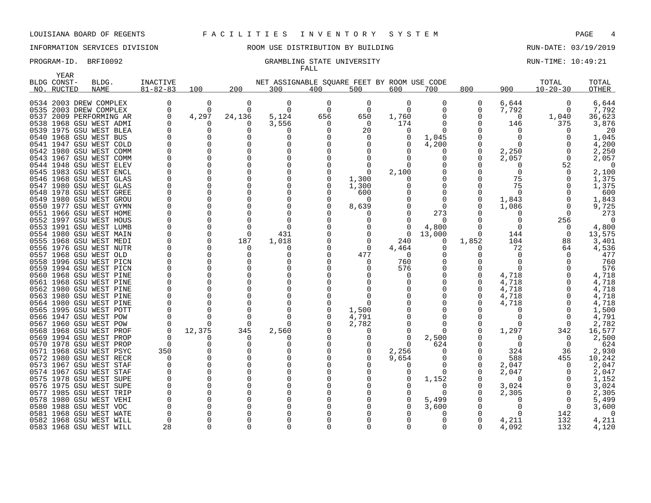# INFORMATION SERVICES DIVISION **RECOMEN** ROOM USE DISTRIBUTION BY BUILDING **RUN-DATE: 03/19/2019**

### PROGRAM-ID. BRFI0092 CRAMBLING STATE UNIVERSITY STATE UNIVERSITY RUN-TIME: 10:49:21 FALL

| YEAR                                               |             |                |          |          |                                             |          |                |          |            |       |                  |                |                |
|----------------------------------------------------|-------------|----------------|----------|----------|---------------------------------------------|----------|----------------|----------|------------|-------|------------------|----------------|----------------|
| BLDG CONST-                                        | BLDG.       | INACTIVE       |          |          | NET ASSIGNABLE SQUARE FEET BY ROOM USE CODE |          |                |          |            |       |                  | TOTAL          | TOTAL          |
| NO. RUCTED                                         | <b>NAME</b> | $81 - 82 - 83$ | 100      | 200      | 300                                         | 400      | 500            | 600      | 700        | 800   | 900              | $10 - 20 - 30$ | OTHER          |
|                                                    |             | 0              | 0        | 0        | 0                                           | 0        | 0              | 0        | O          | 0     | 6,644            | 0              | 6,644          |
| 0534 2003 DREW COMPLEX<br>0535 2003 DREW COMPLEX   |             |                | $\Omega$ | $\Omega$ | $\Omega$                                    | $\Omega$ | $\Omega$       | $\Omega$ | $\Omega$   | O     | 7,792            |                | 7,792          |
|                                                    |             | <sup>0</sup>   | 4,297    | 24,136   | 5,124                                       |          | 650            |          | O          | 0     | $\Omega$         |                |                |
| 0537 2009 PERFORMING AR                            |             |                |          | O        |                                             | 656      |                | 1,760    | ∩          |       |                  | 1,040          | 36,623         |
| 0538 1968 GSU WEST ADMI                            |             |                |          | O        | 3,556                                       | O        | 0              | 174      |            | 0     | 146              | 375            | 3,876          |
| 0539 1975 GSU WEST BLEA<br>0540 1968 GSU WEST BUS  |             |                |          | O        | O                                           |          | 20<br>$\Omega$ | O        |            |       | O                |                | 20<br>1,045    |
|                                                    |             |                |          |          |                                             |          |                |          | 1,045      |       |                  |                |                |
| 0541 1947 GSU WEST COLD                            |             |                |          | O<br>0   | O<br>0                                      |          |                |          | 4,200<br>O | 0     |                  |                | 4,200          |
| 0542 1980 GSU WEST COMM<br>0543 1967 GSU WEST COMM |             |                |          |          |                                             |          |                |          | O          | O     | 2,250<br>2,057   | $\Omega$       | 2,250<br>2,057 |
| 0544 1948 GSU WEST ELEV                            |             |                |          | O        |                                             |          |                |          |            |       | $\left( \right)$ | 52             | 0              |
| 0545 1983 GSU WEST ENCL                            |             |                |          | O        | O                                           |          | $\Omega$       | 2,100    | O          |       | $\Omega$         | $\Omega$       | 2,100          |
| 0546 1968 GSU WEST GLAS                            |             |                |          | O        |                                             |          | 1,300          |          |            | O     | 75               |                | 1,375          |
| 0547 1980 GSU WEST GLAS                            |             |                |          | O        | O                                           |          | 1,300          |          | O          |       | 75               |                | 1,375          |
| 0548 1978 GSU WEST GREE                            |             |                |          |          | ∩                                           |          | 600            |          | ∩          |       |                  |                | 600            |
| 0549 1980 GSU WEST GROU                            |             |                |          | O        | O                                           |          | $\Omega$       |          | O          | 0     | 1,843            |                | 1,843          |
| 0550 1977 GSU WEST GYMN                            |             |                |          |          |                                             |          | 8,639          |          | ∩          | O     | 1,086            |                | 9,725          |
| 0551 1966 GSU WEST HOME                            |             |                |          |          | ∩                                           |          |                |          | 273        |       |                  |                | 273            |
| 0552 1997 GSU WEST HOUS                            |             |                |          | ∩        | O                                           |          |                |          | $\Omega$   |       | O                | 256            | $\Omega$       |
| 0553 1991 GSU WEST LUMB                            |             |                |          |          | O                                           |          |                |          | 4,800      |       | O                |                | 4,800          |
| 0554 1980 GSU WEST MAIN                            |             |                |          | $\Omega$ | 431                                         |          |                | $\Omega$ | 13,000     | 0     | 144              | 0              | 13,575         |
| 0555 1968 GSU WEST MEDI                            |             |                |          | 187      | 1,018                                       |          |                | 240      | 0          | 1,852 | 104              | 88             | 3,401          |
| 0556 1976 GSU WEST NUTR                            |             |                |          | $\Omega$ | O                                           |          | $\Omega$       | 4,464    | 0          | O     | 72               | 64             | 4,536          |
| 0557 1968 GSU WEST OLD                             |             |                |          | O        | O                                           |          | 477            | $\Omega$ | $\Omega$   | O     |                  |                | 477            |
| 0558 1996 GSU WEST PICN                            |             |                |          | n        | O                                           |          | $\Omega$       | 760      | ∩          |       | O                |                | 760            |
| 0559 1994 GSU WEST PICN                            |             |                |          | O        |                                             |          |                | 576      |            | O     | ∩                |                | 576            |
| 0560 1968 GSU WEST PINE                            |             |                |          |          |                                             |          |                |          |            | O     | 4,718            |                | 4,718          |
| 0561 1968 GSU WEST PINE                            |             |                |          |          |                                             |          |                |          |            | 0     | 4,718            |                | 4,718          |
| 0562 1980 GSU WEST PINE                            |             |                |          |          |                                             |          |                |          |            | O     | 4,718            |                | 4,718          |
| 0563 1980 GSU WEST PINE                            |             |                |          |          | O                                           |          |                |          |            | O     | 4,718            |                | 4,718          |
| 0564 1980 GSU WEST PINE                            |             |                |          |          | ∩                                           |          |                |          |            | O     | 4,718            |                | 4,718          |
| 0565 1995 GSU WEST POTT                            |             |                |          | n        | O                                           |          | 1,500          |          | O          | O     | O                |                | 1,500          |
| 0566 1947 GSU WEST POW                             |             |                |          | $\Omega$ | ∩                                           |          | 4,791          |          | ∩          | 0     |                  |                | 4,791          |
| 0567 1960 GSU WEST POW                             |             |                |          | $\Omega$ | ∩                                           |          | 2,782          |          | O          |       |                  |                | 2,782          |
| 0568 1968 GSU WEST PROF                            |             |                | 12,375   | 345      | 2,560                                       |          |                |          | ∩          |       | 1,297            | 342            | 16,577         |
| 0569 1994 GSU WEST PROP                            |             |                |          | n        |                                             |          |                |          | 2,500      |       |                  |                | 2,500          |
| 0570 1978 GSU WEST PROP                            |             |                |          | O        |                                             |          |                |          | 624        |       | O                |                | 624            |
| 0571 1968 GSU WEST PSYC                            |             | 350            |          |          |                                             |          | $\Omega$       | 2,256    |            |       | 324              | 36             | 2,930          |
| 0572 1980 GSU WEST RECR                            |             |                |          | O        | O                                           |          |                | 9,654    | $\Omega$   | 0     | 588              | 455            | 10,242         |
| 0573 1967 GSU WEST STAF                            |             |                |          |          |                                             |          |                |          | $\Omega$   | 0     | 2,047            |                | 2,047          |
| 0574 1967 GSU WEST STAF                            |             |                |          | O        |                                             |          |                |          | O          |       | 2,047            |                | 2,047          |
| 0575 1978 GSU WEST SUPE                            |             |                |          | O        |                                             |          |                |          | 1,152      |       | 0                |                | 1,152          |
| 0576 1975 GSU WEST SUPE                            |             |                |          | ∩        |                                             |          |                |          | O          | O     | 3,024            |                | 3,024          |
| 0577 1985 GSU WEST TRIP                            |             |                |          | O        |                                             |          |                |          | O          | 0     | 2,305            | 0              | 2,305          |
| 0578 1980 GSU WEST VEHI                            |             |                |          |          |                                             |          |                |          | 5,499      |       |                  |                | 5,499          |
| 0580 1988 GSU WEST VOC                             |             |                |          |          | ∩                                           |          |                |          | 3,600      |       |                  | $\Omega$       | 3,600          |
| 0581 1968 GSU WEST WATE                            |             |                |          |          |                                             |          |                |          | O          |       |                  | 142            |                |
| 0582 1968 GSU WEST WILL                            |             | O              |          |          |                                             |          |                |          | O          | Ω     | 4,211            | 132            | 4,211          |
| 0583 1968 GSU WEST WILL                            |             | 28             |          | ∩        | ∩                                           |          |                |          | 0          | U     | 4,092            | 132            | 4,120          |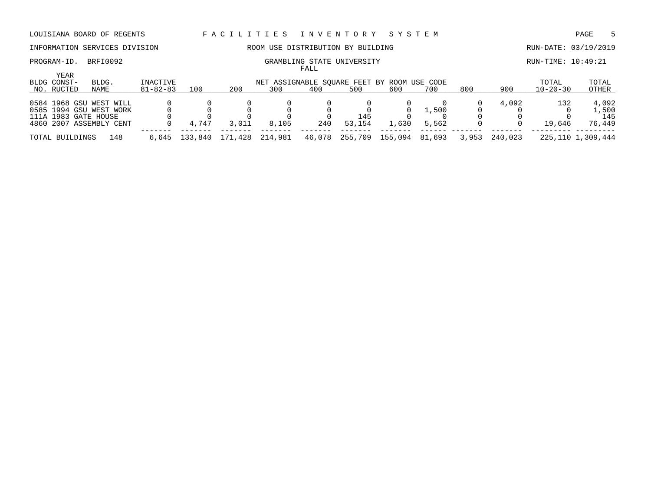# INFORMATION SERVICES DIVISION ROOM USE DISTRIBUTION BY BUILDING RUN-DATE: 03/19/2019

PROGRAM-ID. BRFI0092 CRAMBLING STATE UNIVERSITY STATE UNIVERSITY RUN-TIME: 10:49:21 FALL

|                                   |                                                                               |                            |         |         |                                                    | -----  |               |         |                |       |         |                         |                                 |
|-----------------------------------|-------------------------------------------------------------------------------|----------------------------|---------|---------|----------------------------------------------------|--------|---------------|---------|----------------|-------|---------|-------------------------|---------------------------------|
| YEAR<br>BLDG CONST-<br>NO. RUCTED | BLDG.<br>NAME                                                                 | INACTIVE<br>$81 - 82 - 83$ | 100     | 200     | NET ASSIGNABLE SOUARE FEET BY ROOM USE CODE<br>300 | 400    | 500           | 600     | 700            | 800   | 900     | TOTAL<br>$10 - 20 - 30$ | TOTAL<br>OTHER                  |
|                                   |                                                                               |                            |         |         |                                                    |        |               |         |                |       |         |                         |                                 |
| 111A 1983 GATE HOUSE              | 0584 1968 GSU WEST WILL<br>0585 1994 GSU WEST WORK<br>4860 2007 ASSEMBLY CENT |                            | 4,747   | 3,011   | 8,105                                              | 240    | 145<br>53,154 | 1,630   | L.500<br>5,562 |       | 4,092   | 132<br>19,646           | 4,092<br>1,500<br>145<br>76,449 |
| TOTAL BUILDINGS                   | 148                                                                           | 6,645                      | 133,840 | 171,428 | 214,981                                            | 46,078 | 255,709       | 155,094 | 81,693         | 3,953 | 240,023 |                         | 225,110 1,309,444               |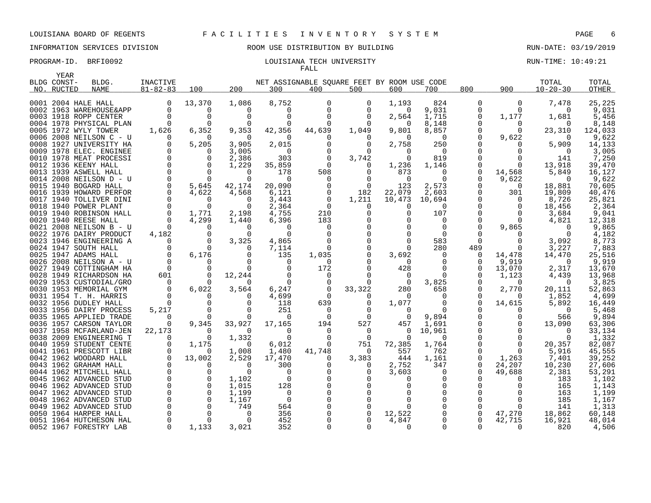### PROGRAM-ID. BRFI0092 **EXAM-ID.** BRFI0092 **RUN-TIME: 10:49:21** LOUISIANA TECH UNIVERSITY FALL

| BLDG CONST-<br>INACTIVE<br>NET ASSIGNABLE SOUARE FEET BY ROOM USE CODE<br>TOTAL<br>TOTAL<br>BLDG.<br>$81 - 82 - 83$<br>200<br>800<br>900<br>$10 - 20 - 30$<br>100<br>300<br>400<br>500<br>600<br>700<br><b>OTHER</b><br>NO. RUCTED<br>NAME<br>13,370<br>8,752<br>824<br>1,086<br>1,193<br>$\Omega$<br>7,478<br>25,225<br>0001 2004 HALE HALL<br>0<br>$\Omega$<br>$\Omega$<br>$\Omega$<br>$\mathbf 0$<br>9,031<br>9,031<br>0002 1963 WAREHOUSE&APP<br>0<br>$\Omega$<br>0<br>0<br>$\Omega$<br>0<br>$\Omega$<br>0<br>0<br>0003 1918 ROPP CENTER<br>$\Omega$<br>$\Omega$<br>$\cap$<br>$\Omega$<br>$\Omega$<br>2,564<br>1,715<br>1,177<br>5,456<br>$\Omega$<br>1,681<br>0004 1978 PHYSICAL PLAN<br>8,148<br>8,148<br>$\Omega$<br>$\Omega$<br>0<br>$\Omega$<br>$\Omega$<br>0<br>0<br>$\Omega$<br>0005 1972 WYLY TOWER<br>1,626<br>6,352<br>9,353<br>42,356<br>1,049<br>9,801<br>8,857<br>23,310<br>44,639<br>$\Omega$<br>$\Omega$<br>124,033<br>0006 2008 NEILSON C - U<br>9,622<br>9,622<br>$\Omega$<br>$\Omega$<br>$\Omega$<br>$\Omega$<br>$\Omega$<br>$\Omega$<br>$\Omega$<br>$\Omega$<br>0<br>O<br>5,205<br>250<br>0008 1927 UNIVERSITY HA<br>∩<br>3,905<br>2,015<br>$\Omega$<br>2,758<br>5,909<br>14,133<br>$\Omega$<br>0<br>0<br>0009 1978 ELEC. ENGINEE<br>0<br>3,005<br>0<br>$\Omega$<br>0<br>$\Omega$<br>$\overline{0}$<br>$\Omega$<br>0<br>3,005<br>$\mathbf 0$<br>819<br>7,250<br>0010 1978 MEAT PROCESSI<br>0<br>2,386<br>303<br>0<br>3,742<br>$\Omega$<br>141<br>$\Omega$<br>0012 1936 KEENY HALL<br>$\Omega$<br>1,229<br>35,859<br>$\Omega$<br>13,918<br>39,470<br>$\Omega$<br>$\Omega$<br>1,236<br>1,146<br>$\Omega$<br>$\overline{0}$<br>$\overline{0}$<br>0013 1939 ASWELL HALL<br>178<br>508<br>873<br>0<br>0<br>14,568<br>5,849<br>16,127<br>$\Omega$<br>0<br>$\Omega$<br>0014 2008 NEILSON D - U<br>$\Omega$<br>9,622<br>$\Omega$<br>$\Omega$<br>$\Omega$<br>$\Omega$<br>9,622<br>$\Omega$<br>$\Omega$<br>$\Omega$<br>5,645<br>42,174<br>20,090<br>$\overline{0}$<br>123<br>2,573<br>18,881<br>70,605<br>0015 1940 BOGARD HALL<br>$\Omega$<br>0<br>$\Omega$<br>22,079<br>0016 1939 HOWARD PERFOR<br>4,622<br>6,121<br>182<br>2,603<br>301<br>19,809<br>40,476<br>4,568<br>$\mathbf 0$<br>0017 1940 TOLLIVER DINI<br>0<br>3,443<br>0<br>1,211<br>10,473<br>10,694<br>0<br>8,726<br>25,821<br><sup>0</sup><br>0018 1940 POWER PLANT<br>$\Omega$<br>$\Omega$<br>2,364<br>18,456<br>2,364<br>$\Omega$<br>$\Omega$<br>$\Omega$<br>$\Omega$<br>O<br>0019 1940 ROBINSON HALL<br>$\mathbf 0$<br>1,771<br>2,198<br>4,755<br>210<br>$\Omega$<br>107<br>3,684<br>9,041<br>$\Omega$<br>$\Omega$<br>0020 1940 REESE HALL<br>$\Omega$<br>4,299<br>6,396<br>183<br>$\Omega$<br>$\Omega$<br>12,318<br>1,440<br>$\Omega$<br>$\Omega$<br>4,821<br>0021 2008 NEILSON B - U<br>$\Omega$<br>$\Omega$<br>$\Omega$<br>9,865<br>$\cap$<br>$\Omega$<br>0<br>$\Omega$<br>$\Omega$<br>9,865<br>4,182<br>$\Omega$<br>4,182<br>0022 1976 DAIRY PRODUCT<br>$\Omega$<br>$\Omega$<br>$\Omega$<br>$\Omega$<br>$\Omega$<br>$\Omega$<br><sup>0</sup><br>$\Omega$<br>$\Omega$<br>3,325<br>4,865<br>583<br>$\Omega$<br>3,092<br>8,773<br>0023 1946 ENGINEERING A<br>$\Omega$<br>$\Omega$<br>$\Omega$<br>$\mathbf 0$<br>$\mathbf 0$<br>$\mathbf 0$<br>0024 1947 SOUTH HALL<br>7,114<br>280<br>489<br>3,227<br>7,883<br>0<br>$\Omega$<br>0<br>6,176<br>0025 1947 ADAMS HALL<br>$\mathbf 0$<br>1,035<br>3,692<br>14,470<br>25,516<br>135<br>$\Omega$<br>14,478<br>0<br>0<br>0026 2008 NEILSON A - U<br>$\Omega$<br>$\Omega$<br>9,919<br>0<br>$\Omega$<br>0<br>9,919<br>$\Omega$<br>$\Omega$<br>$\Omega$<br>0027 1949 COTTINGHAM HA<br>$\Omega$<br>$\Omega$<br>0<br>172<br>2,317<br>13,670<br>$\Omega$<br>$\Omega$<br>428<br>$\Omega$<br>0<br>13,070<br>601<br>$\Omega$<br>12,244<br>0028 1949 RICHARDSON HA<br>$\Omega$<br>$\Omega$<br>$\Omega$<br>1,123<br>13,968<br>0<br>$\Omega$<br>4,439<br>$\Omega$<br>3,825<br>3,825<br>0029 1953 CUSTODIAL/GRO<br>$\Omega$<br>$\Omega$<br>$\Omega$<br>$\Omega$<br>0<br>$\Omega$<br>$\Omega$<br>$\Omega$<br>$\Omega$<br>0030 1953 MEMORIAL GYM<br>$\Omega$<br>6,022<br>3,564<br>33,322<br>2,770<br>6,247<br>0<br>280<br>658<br>$\Omega$<br>20,111<br>52,863<br>$\Omega$<br>0031 1954 T. H. HARRIS<br>$\Omega$<br>4,699<br>$\Omega$<br>$\Omega$<br>1,852<br>4,699<br>∩<br>$\Omega$<br>$\Omega$<br>$\Omega$<br>$\Omega$<br>$\Omega$<br>$\Omega$<br>1,077<br>14,615<br>5,892<br>0032 1956 DUDLEY HALL<br>118<br>639<br>0<br>$\Omega$<br>0<br>16,449<br>$\Omega$<br>0033 1956 DAIRY PROCESS<br>5,217<br>251<br>$\Omega$<br>$\Omega$<br>5,468<br>$\Omega$<br>$\Omega$<br>O<br>$\Omega$<br>0035 1965 APPLIED TRADE<br>$\Omega$<br>9,894<br>9,894<br>0<br>$\Omega$<br>$\Omega$<br>$\Omega$<br>$\Omega$<br>$\Omega$<br>566<br>527<br>0036 1957 CARSON TAYLOR<br>0<br>9,345<br>33,927<br>17,165<br>194<br>1,691<br>13,090<br>457<br>63,306<br>0037 1958 MCFARLAND-JEN<br>22,173<br>10,961<br>33,134<br>$\Omega$<br>$\Omega$<br>$\Omega$<br>$\Omega$<br>$\Omega$<br>$\Omega$<br>$\Omega$<br>0038 2009 ENGINEERING T<br>$\Omega$<br>1,332<br>$\Omega$<br>$\Omega$<br>$\mathbf 0$<br>$\Omega$<br>$\Omega$<br>1,332<br>$\Omega$<br>$\Omega$<br>$\mathbf 0$<br>72,385<br>82,087<br>0040<br>1959 STUDENT CENTE<br>1,175<br>$\Omega$<br>6,012<br>0<br>751<br>1,764<br>20,357<br>1,480<br>41,748<br>762<br>45,555<br>0041 1961 PRESCOTT LIBR<br>$\Omega$<br>1,008<br>557<br>$\Omega$<br>$\Omega$<br>5,916<br>$\Omega$<br>$\Omega$<br>$\Omega$<br>13,002<br>0042 1962 WOODARD HALL<br>2,529<br>17,470<br>3,383<br>444<br>1,161<br>$\Omega$<br>7,401<br>39,252<br>1,263<br>$\Omega$<br>0043 1962 GRAHAM HALL<br>$\Omega$<br>347<br>0<br>300<br>2,752<br>0<br>24,207<br>10,230<br>27,606<br>$\Omega$<br>O<br>0<br>0044 1962 MITCHELL HALL<br>$\Omega$<br>$\Omega$<br>$\Omega$<br>3,603<br>$\Omega$<br>2,381<br>$\Omega$<br>$\Omega$<br>∩<br>$\Omega$<br>49,688<br>53,291<br>1962 ADVANCED STUD<br>$\Omega$<br>$\mathbf 0$<br>1,102<br>$\mathbf 0$<br>1,102<br>0045<br>$\Omega$<br>183<br>$\Omega$<br>0046 1962 ADVANCED STUD<br>$\Omega$<br>$\Omega$<br>128<br>1,015<br>$\Omega$<br>165<br>1,143<br>$\Omega$<br>$\mathbf 0$<br>$\mathbf 0$<br>1,199<br>0047 1962 ADVANCED STUD<br>1,199<br>$\overline{0}$<br>$\Omega$<br>163<br>$\mathbf 0$<br>$\mathbf 0$<br>0048 1962 ADVANCED STUD<br>$\overline{0}$<br>$\Omega$<br>$\Omega$<br>0<br>185<br>1,167<br>1,167<br>0049<br>1962 ADVANCED STUD<br>$\Omega$<br>$\Omega$<br>749<br>564<br>$\Omega$<br>141<br>1,313<br>$\Omega$<br>$\Omega$ | YEAR |   |   |     |   |        |   |        |        |        |
|-------------------------------------------------------------------------------------------------------------------------------------------------------------------------------------------------------------------------------------------------------------------------------------------------------------------------------------------------------------------------------------------------------------------------------------------------------------------------------------------------------------------------------------------------------------------------------------------------------------------------------------------------------------------------------------------------------------------------------------------------------------------------------------------------------------------------------------------------------------------------------------------------------------------------------------------------------------------------------------------------------------------------------------------------------------------------------------------------------------------------------------------------------------------------------------------------------------------------------------------------------------------------------------------------------------------------------------------------------------------------------------------------------------------------------------------------------------------------------------------------------------------------------------------------------------------------------------------------------------------------------------------------------------------------------------------------------------------------------------------------------------------------------------------------------------------------------------------------------------------------------------------------------------------------------------------------------------------------------------------------------------------------------------------------------------------------------------------------------------------------------------------------------------------------------------------------------------------------------------------------------------------------------------------------------------------------------------------------------------------------------------------------------------------------------------------------------------------------------------------------------------------------------------------------------------------------------------------------------------------------------------------------------------------------------------------------------------------------------------------------------------------------------------------------------------------------------------------------------------------------------------------------------------------------------------------------------------------------------------------------------------------------------------------------------------------------------------------------------------------------------------------------------------------------------------------------------------------------------------------------------------------------------------------------------------------------------------------------------------------------------------------------------------------------------------------------------------------------------------------------------------------------------------------------------------------------------------------------------------------------------------------------------------------------------------------------------------------------------------------------------------------------------------------------------------------------------------------------------------------------------------------------------------------------------------------------------------------------------------------------------------------------------------------------------------------------------------------------------------------------------------------------------------------------------------------------------------------------------------------------------------------------------------------------------------------------------------------------------------------------------------------------------------------------------------------------------------------------------------------------------------------------------------------------------------------------------------------------------------------------------------------------------------------------------------------------------------------------------------------------------------------------------------------------------------------------------------------------------------------------------------------------------------------------------------------------------------------------------------------------------------------------------------------------------------------------------------------------------------------------------------------------------------------------------------------------------------------------------------------------------------------------------------------------------------------------------------------------------------------------------------------------------------------------------------------------------------------------------------------------------------------------------------------------------------------------------------------------------------------------------------------------------------------------------------------------------------------------------------------------------------------------------------------------------------------------------------------------------------------------------------------------------------------------------------------------------------------------------------------------------------------------------------------------------------------------------------------------------------------------------------------------------------------------------------------------------------------------------------------------------------------------------------------------------------------------------------------------------------------------------------------------------------------------------------------------------------------------------|------|---|---|-----|---|--------|---|--------|--------|--------|
|                                                                                                                                                                                                                                                                                                                                                                                                                                                                                                                                                                                                                                                                                                                                                                                                                                                                                                                                                                                                                                                                                                                                                                                                                                                                                                                                                                                                                                                                                                                                                                                                                                                                                                                                                                                                                                                                                                                                                                                                                                                                                                                                                                                                                                                                                                                                                                                                                                                                                                                                                                                                                                                                                                                                                                                                                                                                                                                                                                                                                                                                                                                                                                                                                                                                                                                                                                                                                                                                                                                                                                                                                                                                                                                                                                                                                                                                                                                                                                                                                                                                                                                                                                                                                                                                                                                                                                                                                                                                                                                                                                                                                                                                                                                                                                                                                                                                                                                                                                                                                                                                                                                                                                                                                                                                                                                                                                                                                                                                                                                                                                                                                                                                                                                                                                                                                                                                                                                                                                                                                                                                                                                                                                                                                                                                                                                                                                                                                                                                               |      |   |   |     |   |        |   |        |        |        |
|                                                                                                                                                                                                                                                                                                                                                                                                                                                                                                                                                                                                                                                                                                                                                                                                                                                                                                                                                                                                                                                                                                                                                                                                                                                                                                                                                                                                                                                                                                                                                                                                                                                                                                                                                                                                                                                                                                                                                                                                                                                                                                                                                                                                                                                                                                                                                                                                                                                                                                                                                                                                                                                                                                                                                                                                                                                                                                                                                                                                                                                                                                                                                                                                                                                                                                                                                                                                                                                                                                                                                                                                                                                                                                                                                                                                                                                                                                                                                                                                                                                                                                                                                                                                                                                                                                                                                                                                                                                                                                                                                                                                                                                                                                                                                                                                                                                                                                                                                                                                                                                                                                                                                                                                                                                                                                                                                                                                                                                                                                                                                                                                                                                                                                                                                                                                                                                                                                                                                                                                                                                                                                                                                                                                                                                                                                                                                                                                                                                                               |      |   |   |     |   |        |   |        |        |        |
|                                                                                                                                                                                                                                                                                                                                                                                                                                                                                                                                                                                                                                                                                                                                                                                                                                                                                                                                                                                                                                                                                                                                                                                                                                                                                                                                                                                                                                                                                                                                                                                                                                                                                                                                                                                                                                                                                                                                                                                                                                                                                                                                                                                                                                                                                                                                                                                                                                                                                                                                                                                                                                                                                                                                                                                                                                                                                                                                                                                                                                                                                                                                                                                                                                                                                                                                                                                                                                                                                                                                                                                                                                                                                                                                                                                                                                                                                                                                                                                                                                                                                                                                                                                                                                                                                                                                                                                                                                                                                                                                                                                                                                                                                                                                                                                                                                                                                                                                                                                                                                                                                                                                                                                                                                                                                                                                                                                                                                                                                                                                                                                                                                                                                                                                                                                                                                                                                                                                                                                                                                                                                                                                                                                                                                                                                                                                                                                                                                                                               |      |   |   |     |   |        |   |        |        |        |
|                                                                                                                                                                                                                                                                                                                                                                                                                                                                                                                                                                                                                                                                                                                                                                                                                                                                                                                                                                                                                                                                                                                                                                                                                                                                                                                                                                                                                                                                                                                                                                                                                                                                                                                                                                                                                                                                                                                                                                                                                                                                                                                                                                                                                                                                                                                                                                                                                                                                                                                                                                                                                                                                                                                                                                                                                                                                                                                                                                                                                                                                                                                                                                                                                                                                                                                                                                                                                                                                                                                                                                                                                                                                                                                                                                                                                                                                                                                                                                                                                                                                                                                                                                                                                                                                                                                                                                                                                                                                                                                                                                                                                                                                                                                                                                                                                                                                                                                                                                                                                                                                                                                                                                                                                                                                                                                                                                                                                                                                                                                                                                                                                                                                                                                                                                                                                                                                                                                                                                                                                                                                                                                                                                                                                                                                                                                                                                                                                                                                               |      |   |   |     |   |        |   |        |        |        |
|                                                                                                                                                                                                                                                                                                                                                                                                                                                                                                                                                                                                                                                                                                                                                                                                                                                                                                                                                                                                                                                                                                                                                                                                                                                                                                                                                                                                                                                                                                                                                                                                                                                                                                                                                                                                                                                                                                                                                                                                                                                                                                                                                                                                                                                                                                                                                                                                                                                                                                                                                                                                                                                                                                                                                                                                                                                                                                                                                                                                                                                                                                                                                                                                                                                                                                                                                                                                                                                                                                                                                                                                                                                                                                                                                                                                                                                                                                                                                                                                                                                                                                                                                                                                                                                                                                                                                                                                                                                                                                                                                                                                                                                                                                                                                                                                                                                                                                                                                                                                                                                                                                                                                                                                                                                                                                                                                                                                                                                                                                                                                                                                                                                                                                                                                                                                                                                                                                                                                                                                                                                                                                                                                                                                                                                                                                                                                                                                                                                                               |      |   |   |     |   |        |   |        |        |        |
|                                                                                                                                                                                                                                                                                                                                                                                                                                                                                                                                                                                                                                                                                                                                                                                                                                                                                                                                                                                                                                                                                                                                                                                                                                                                                                                                                                                                                                                                                                                                                                                                                                                                                                                                                                                                                                                                                                                                                                                                                                                                                                                                                                                                                                                                                                                                                                                                                                                                                                                                                                                                                                                                                                                                                                                                                                                                                                                                                                                                                                                                                                                                                                                                                                                                                                                                                                                                                                                                                                                                                                                                                                                                                                                                                                                                                                                                                                                                                                                                                                                                                                                                                                                                                                                                                                                                                                                                                                                                                                                                                                                                                                                                                                                                                                                                                                                                                                                                                                                                                                                                                                                                                                                                                                                                                                                                                                                                                                                                                                                                                                                                                                                                                                                                                                                                                                                                                                                                                                                                                                                                                                                                                                                                                                                                                                                                                                                                                                                                               |      |   |   |     |   |        |   |        |        |        |
|                                                                                                                                                                                                                                                                                                                                                                                                                                                                                                                                                                                                                                                                                                                                                                                                                                                                                                                                                                                                                                                                                                                                                                                                                                                                                                                                                                                                                                                                                                                                                                                                                                                                                                                                                                                                                                                                                                                                                                                                                                                                                                                                                                                                                                                                                                                                                                                                                                                                                                                                                                                                                                                                                                                                                                                                                                                                                                                                                                                                                                                                                                                                                                                                                                                                                                                                                                                                                                                                                                                                                                                                                                                                                                                                                                                                                                                                                                                                                                                                                                                                                                                                                                                                                                                                                                                                                                                                                                                                                                                                                                                                                                                                                                                                                                                                                                                                                                                                                                                                                                                                                                                                                                                                                                                                                                                                                                                                                                                                                                                                                                                                                                                                                                                                                                                                                                                                                                                                                                                                                                                                                                                                                                                                                                                                                                                                                                                                                                                                               |      |   |   |     |   |        |   |        |        |        |
|                                                                                                                                                                                                                                                                                                                                                                                                                                                                                                                                                                                                                                                                                                                                                                                                                                                                                                                                                                                                                                                                                                                                                                                                                                                                                                                                                                                                                                                                                                                                                                                                                                                                                                                                                                                                                                                                                                                                                                                                                                                                                                                                                                                                                                                                                                                                                                                                                                                                                                                                                                                                                                                                                                                                                                                                                                                                                                                                                                                                                                                                                                                                                                                                                                                                                                                                                                                                                                                                                                                                                                                                                                                                                                                                                                                                                                                                                                                                                                                                                                                                                                                                                                                                                                                                                                                                                                                                                                                                                                                                                                                                                                                                                                                                                                                                                                                                                                                                                                                                                                                                                                                                                                                                                                                                                                                                                                                                                                                                                                                                                                                                                                                                                                                                                                                                                                                                                                                                                                                                                                                                                                                                                                                                                                                                                                                                                                                                                                                                               |      |   |   |     |   |        |   |        |        |        |
|                                                                                                                                                                                                                                                                                                                                                                                                                                                                                                                                                                                                                                                                                                                                                                                                                                                                                                                                                                                                                                                                                                                                                                                                                                                                                                                                                                                                                                                                                                                                                                                                                                                                                                                                                                                                                                                                                                                                                                                                                                                                                                                                                                                                                                                                                                                                                                                                                                                                                                                                                                                                                                                                                                                                                                                                                                                                                                                                                                                                                                                                                                                                                                                                                                                                                                                                                                                                                                                                                                                                                                                                                                                                                                                                                                                                                                                                                                                                                                                                                                                                                                                                                                                                                                                                                                                                                                                                                                                                                                                                                                                                                                                                                                                                                                                                                                                                                                                                                                                                                                                                                                                                                                                                                                                                                                                                                                                                                                                                                                                                                                                                                                                                                                                                                                                                                                                                                                                                                                                                                                                                                                                                                                                                                                                                                                                                                                                                                                                                               |      |   |   |     |   |        |   |        |        |        |
|                                                                                                                                                                                                                                                                                                                                                                                                                                                                                                                                                                                                                                                                                                                                                                                                                                                                                                                                                                                                                                                                                                                                                                                                                                                                                                                                                                                                                                                                                                                                                                                                                                                                                                                                                                                                                                                                                                                                                                                                                                                                                                                                                                                                                                                                                                                                                                                                                                                                                                                                                                                                                                                                                                                                                                                                                                                                                                                                                                                                                                                                                                                                                                                                                                                                                                                                                                                                                                                                                                                                                                                                                                                                                                                                                                                                                                                                                                                                                                                                                                                                                                                                                                                                                                                                                                                                                                                                                                                                                                                                                                                                                                                                                                                                                                                                                                                                                                                                                                                                                                                                                                                                                                                                                                                                                                                                                                                                                                                                                                                                                                                                                                                                                                                                                                                                                                                                                                                                                                                                                                                                                                                                                                                                                                                                                                                                                                                                                                                                               |      |   |   |     |   |        |   |        |        |        |
|                                                                                                                                                                                                                                                                                                                                                                                                                                                                                                                                                                                                                                                                                                                                                                                                                                                                                                                                                                                                                                                                                                                                                                                                                                                                                                                                                                                                                                                                                                                                                                                                                                                                                                                                                                                                                                                                                                                                                                                                                                                                                                                                                                                                                                                                                                                                                                                                                                                                                                                                                                                                                                                                                                                                                                                                                                                                                                                                                                                                                                                                                                                                                                                                                                                                                                                                                                                                                                                                                                                                                                                                                                                                                                                                                                                                                                                                                                                                                                                                                                                                                                                                                                                                                                                                                                                                                                                                                                                                                                                                                                                                                                                                                                                                                                                                                                                                                                                                                                                                                                                                                                                                                                                                                                                                                                                                                                                                                                                                                                                                                                                                                                                                                                                                                                                                                                                                                                                                                                                                                                                                                                                                                                                                                                                                                                                                                                                                                                                                               |      |   |   |     |   |        |   |        |        |        |
|                                                                                                                                                                                                                                                                                                                                                                                                                                                                                                                                                                                                                                                                                                                                                                                                                                                                                                                                                                                                                                                                                                                                                                                                                                                                                                                                                                                                                                                                                                                                                                                                                                                                                                                                                                                                                                                                                                                                                                                                                                                                                                                                                                                                                                                                                                                                                                                                                                                                                                                                                                                                                                                                                                                                                                                                                                                                                                                                                                                                                                                                                                                                                                                                                                                                                                                                                                                                                                                                                                                                                                                                                                                                                                                                                                                                                                                                                                                                                                                                                                                                                                                                                                                                                                                                                                                                                                                                                                                                                                                                                                                                                                                                                                                                                                                                                                                                                                                                                                                                                                                                                                                                                                                                                                                                                                                                                                                                                                                                                                                                                                                                                                                                                                                                                                                                                                                                                                                                                                                                                                                                                                                                                                                                                                                                                                                                                                                                                                                                               |      |   |   |     |   |        |   |        |        |        |
|                                                                                                                                                                                                                                                                                                                                                                                                                                                                                                                                                                                                                                                                                                                                                                                                                                                                                                                                                                                                                                                                                                                                                                                                                                                                                                                                                                                                                                                                                                                                                                                                                                                                                                                                                                                                                                                                                                                                                                                                                                                                                                                                                                                                                                                                                                                                                                                                                                                                                                                                                                                                                                                                                                                                                                                                                                                                                                                                                                                                                                                                                                                                                                                                                                                                                                                                                                                                                                                                                                                                                                                                                                                                                                                                                                                                                                                                                                                                                                                                                                                                                                                                                                                                                                                                                                                                                                                                                                                                                                                                                                                                                                                                                                                                                                                                                                                                                                                                                                                                                                                                                                                                                                                                                                                                                                                                                                                                                                                                                                                                                                                                                                                                                                                                                                                                                                                                                                                                                                                                                                                                                                                                                                                                                                                                                                                                                                                                                                                                               |      |   |   |     |   |        |   |        |        |        |
|                                                                                                                                                                                                                                                                                                                                                                                                                                                                                                                                                                                                                                                                                                                                                                                                                                                                                                                                                                                                                                                                                                                                                                                                                                                                                                                                                                                                                                                                                                                                                                                                                                                                                                                                                                                                                                                                                                                                                                                                                                                                                                                                                                                                                                                                                                                                                                                                                                                                                                                                                                                                                                                                                                                                                                                                                                                                                                                                                                                                                                                                                                                                                                                                                                                                                                                                                                                                                                                                                                                                                                                                                                                                                                                                                                                                                                                                                                                                                                                                                                                                                                                                                                                                                                                                                                                                                                                                                                                                                                                                                                                                                                                                                                                                                                                                                                                                                                                                                                                                                                                                                                                                                                                                                                                                                                                                                                                                                                                                                                                                                                                                                                                                                                                                                                                                                                                                                                                                                                                                                                                                                                                                                                                                                                                                                                                                                                                                                                                                               |      |   |   |     |   |        |   |        |        |        |
|                                                                                                                                                                                                                                                                                                                                                                                                                                                                                                                                                                                                                                                                                                                                                                                                                                                                                                                                                                                                                                                                                                                                                                                                                                                                                                                                                                                                                                                                                                                                                                                                                                                                                                                                                                                                                                                                                                                                                                                                                                                                                                                                                                                                                                                                                                                                                                                                                                                                                                                                                                                                                                                                                                                                                                                                                                                                                                                                                                                                                                                                                                                                                                                                                                                                                                                                                                                                                                                                                                                                                                                                                                                                                                                                                                                                                                                                                                                                                                                                                                                                                                                                                                                                                                                                                                                                                                                                                                                                                                                                                                                                                                                                                                                                                                                                                                                                                                                                                                                                                                                                                                                                                                                                                                                                                                                                                                                                                                                                                                                                                                                                                                                                                                                                                                                                                                                                                                                                                                                                                                                                                                                                                                                                                                                                                                                                                                                                                                                                               |      |   |   |     |   |        |   |        |        |        |
|                                                                                                                                                                                                                                                                                                                                                                                                                                                                                                                                                                                                                                                                                                                                                                                                                                                                                                                                                                                                                                                                                                                                                                                                                                                                                                                                                                                                                                                                                                                                                                                                                                                                                                                                                                                                                                                                                                                                                                                                                                                                                                                                                                                                                                                                                                                                                                                                                                                                                                                                                                                                                                                                                                                                                                                                                                                                                                                                                                                                                                                                                                                                                                                                                                                                                                                                                                                                                                                                                                                                                                                                                                                                                                                                                                                                                                                                                                                                                                                                                                                                                                                                                                                                                                                                                                                                                                                                                                                                                                                                                                                                                                                                                                                                                                                                                                                                                                                                                                                                                                                                                                                                                                                                                                                                                                                                                                                                                                                                                                                                                                                                                                                                                                                                                                                                                                                                                                                                                                                                                                                                                                                                                                                                                                                                                                                                                                                                                                                                               |      |   |   |     |   |        |   |        |        |        |
|                                                                                                                                                                                                                                                                                                                                                                                                                                                                                                                                                                                                                                                                                                                                                                                                                                                                                                                                                                                                                                                                                                                                                                                                                                                                                                                                                                                                                                                                                                                                                                                                                                                                                                                                                                                                                                                                                                                                                                                                                                                                                                                                                                                                                                                                                                                                                                                                                                                                                                                                                                                                                                                                                                                                                                                                                                                                                                                                                                                                                                                                                                                                                                                                                                                                                                                                                                                                                                                                                                                                                                                                                                                                                                                                                                                                                                                                                                                                                                                                                                                                                                                                                                                                                                                                                                                                                                                                                                                                                                                                                                                                                                                                                                                                                                                                                                                                                                                                                                                                                                                                                                                                                                                                                                                                                                                                                                                                                                                                                                                                                                                                                                                                                                                                                                                                                                                                                                                                                                                                                                                                                                                                                                                                                                                                                                                                                                                                                                                                               |      |   |   |     |   |        |   |        |        |        |
|                                                                                                                                                                                                                                                                                                                                                                                                                                                                                                                                                                                                                                                                                                                                                                                                                                                                                                                                                                                                                                                                                                                                                                                                                                                                                                                                                                                                                                                                                                                                                                                                                                                                                                                                                                                                                                                                                                                                                                                                                                                                                                                                                                                                                                                                                                                                                                                                                                                                                                                                                                                                                                                                                                                                                                                                                                                                                                                                                                                                                                                                                                                                                                                                                                                                                                                                                                                                                                                                                                                                                                                                                                                                                                                                                                                                                                                                                                                                                                                                                                                                                                                                                                                                                                                                                                                                                                                                                                                                                                                                                                                                                                                                                                                                                                                                                                                                                                                                                                                                                                                                                                                                                                                                                                                                                                                                                                                                                                                                                                                                                                                                                                                                                                                                                                                                                                                                                                                                                                                                                                                                                                                                                                                                                                                                                                                                                                                                                                                                               |      |   |   |     |   |        |   |        |        |        |
|                                                                                                                                                                                                                                                                                                                                                                                                                                                                                                                                                                                                                                                                                                                                                                                                                                                                                                                                                                                                                                                                                                                                                                                                                                                                                                                                                                                                                                                                                                                                                                                                                                                                                                                                                                                                                                                                                                                                                                                                                                                                                                                                                                                                                                                                                                                                                                                                                                                                                                                                                                                                                                                                                                                                                                                                                                                                                                                                                                                                                                                                                                                                                                                                                                                                                                                                                                                                                                                                                                                                                                                                                                                                                                                                                                                                                                                                                                                                                                                                                                                                                                                                                                                                                                                                                                                                                                                                                                                                                                                                                                                                                                                                                                                                                                                                                                                                                                                                                                                                                                                                                                                                                                                                                                                                                                                                                                                                                                                                                                                                                                                                                                                                                                                                                                                                                                                                                                                                                                                                                                                                                                                                                                                                                                                                                                                                                                                                                                                                               |      |   |   |     |   |        |   |        |        |        |
|                                                                                                                                                                                                                                                                                                                                                                                                                                                                                                                                                                                                                                                                                                                                                                                                                                                                                                                                                                                                                                                                                                                                                                                                                                                                                                                                                                                                                                                                                                                                                                                                                                                                                                                                                                                                                                                                                                                                                                                                                                                                                                                                                                                                                                                                                                                                                                                                                                                                                                                                                                                                                                                                                                                                                                                                                                                                                                                                                                                                                                                                                                                                                                                                                                                                                                                                                                                                                                                                                                                                                                                                                                                                                                                                                                                                                                                                                                                                                                                                                                                                                                                                                                                                                                                                                                                                                                                                                                                                                                                                                                                                                                                                                                                                                                                                                                                                                                                                                                                                                                                                                                                                                                                                                                                                                                                                                                                                                                                                                                                                                                                                                                                                                                                                                                                                                                                                                                                                                                                                                                                                                                                                                                                                                                                                                                                                                                                                                                                                               |      |   |   |     |   |        |   |        |        |        |
|                                                                                                                                                                                                                                                                                                                                                                                                                                                                                                                                                                                                                                                                                                                                                                                                                                                                                                                                                                                                                                                                                                                                                                                                                                                                                                                                                                                                                                                                                                                                                                                                                                                                                                                                                                                                                                                                                                                                                                                                                                                                                                                                                                                                                                                                                                                                                                                                                                                                                                                                                                                                                                                                                                                                                                                                                                                                                                                                                                                                                                                                                                                                                                                                                                                                                                                                                                                                                                                                                                                                                                                                                                                                                                                                                                                                                                                                                                                                                                                                                                                                                                                                                                                                                                                                                                                                                                                                                                                                                                                                                                                                                                                                                                                                                                                                                                                                                                                                                                                                                                                                                                                                                                                                                                                                                                                                                                                                                                                                                                                                                                                                                                                                                                                                                                                                                                                                                                                                                                                                                                                                                                                                                                                                                                                                                                                                                                                                                                                                               |      |   |   |     |   |        |   |        |        |        |
|                                                                                                                                                                                                                                                                                                                                                                                                                                                                                                                                                                                                                                                                                                                                                                                                                                                                                                                                                                                                                                                                                                                                                                                                                                                                                                                                                                                                                                                                                                                                                                                                                                                                                                                                                                                                                                                                                                                                                                                                                                                                                                                                                                                                                                                                                                                                                                                                                                                                                                                                                                                                                                                                                                                                                                                                                                                                                                                                                                                                                                                                                                                                                                                                                                                                                                                                                                                                                                                                                                                                                                                                                                                                                                                                                                                                                                                                                                                                                                                                                                                                                                                                                                                                                                                                                                                                                                                                                                                                                                                                                                                                                                                                                                                                                                                                                                                                                                                                                                                                                                                                                                                                                                                                                                                                                                                                                                                                                                                                                                                                                                                                                                                                                                                                                                                                                                                                                                                                                                                                                                                                                                                                                                                                                                                                                                                                                                                                                                                                               |      |   |   |     |   |        |   |        |        |        |
|                                                                                                                                                                                                                                                                                                                                                                                                                                                                                                                                                                                                                                                                                                                                                                                                                                                                                                                                                                                                                                                                                                                                                                                                                                                                                                                                                                                                                                                                                                                                                                                                                                                                                                                                                                                                                                                                                                                                                                                                                                                                                                                                                                                                                                                                                                                                                                                                                                                                                                                                                                                                                                                                                                                                                                                                                                                                                                                                                                                                                                                                                                                                                                                                                                                                                                                                                                                                                                                                                                                                                                                                                                                                                                                                                                                                                                                                                                                                                                                                                                                                                                                                                                                                                                                                                                                                                                                                                                                                                                                                                                                                                                                                                                                                                                                                                                                                                                                                                                                                                                                                                                                                                                                                                                                                                                                                                                                                                                                                                                                                                                                                                                                                                                                                                                                                                                                                                                                                                                                                                                                                                                                                                                                                                                                                                                                                                                                                                                                                               |      |   |   |     |   |        |   |        |        |        |
|                                                                                                                                                                                                                                                                                                                                                                                                                                                                                                                                                                                                                                                                                                                                                                                                                                                                                                                                                                                                                                                                                                                                                                                                                                                                                                                                                                                                                                                                                                                                                                                                                                                                                                                                                                                                                                                                                                                                                                                                                                                                                                                                                                                                                                                                                                                                                                                                                                                                                                                                                                                                                                                                                                                                                                                                                                                                                                                                                                                                                                                                                                                                                                                                                                                                                                                                                                                                                                                                                                                                                                                                                                                                                                                                                                                                                                                                                                                                                                                                                                                                                                                                                                                                                                                                                                                                                                                                                                                                                                                                                                                                                                                                                                                                                                                                                                                                                                                                                                                                                                                                                                                                                                                                                                                                                                                                                                                                                                                                                                                                                                                                                                                                                                                                                                                                                                                                                                                                                                                                                                                                                                                                                                                                                                                                                                                                                                                                                                                                               |      |   |   |     |   |        |   |        |        |        |
|                                                                                                                                                                                                                                                                                                                                                                                                                                                                                                                                                                                                                                                                                                                                                                                                                                                                                                                                                                                                                                                                                                                                                                                                                                                                                                                                                                                                                                                                                                                                                                                                                                                                                                                                                                                                                                                                                                                                                                                                                                                                                                                                                                                                                                                                                                                                                                                                                                                                                                                                                                                                                                                                                                                                                                                                                                                                                                                                                                                                                                                                                                                                                                                                                                                                                                                                                                                                                                                                                                                                                                                                                                                                                                                                                                                                                                                                                                                                                                                                                                                                                                                                                                                                                                                                                                                                                                                                                                                                                                                                                                                                                                                                                                                                                                                                                                                                                                                                                                                                                                                                                                                                                                                                                                                                                                                                                                                                                                                                                                                                                                                                                                                                                                                                                                                                                                                                                                                                                                                                                                                                                                                                                                                                                                                                                                                                                                                                                                                                               |      |   |   |     |   |        |   |        |        |        |
|                                                                                                                                                                                                                                                                                                                                                                                                                                                                                                                                                                                                                                                                                                                                                                                                                                                                                                                                                                                                                                                                                                                                                                                                                                                                                                                                                                                                                                                                                                                                                                                                                                                                                                                                                                                                                                                                                                                                                                                                                                                                                                                                                                                                                                                                                                                                                                                                                                                                                                                                                                                                                                                                                                                                                                                                                                                                                                                                                                                                                                                                                                                                                                                                                                                                                                                                                                                                                                                                                                                                                                                                                                                                                                                                                                                                                                                                                                                                                                                                                                                                                                                                                                                                                                                                                                                                                                                                                                                                                                                                                                                                                                                                                                                                                                                                                                                                                                                                                                                                                                                                                                                                                                                                                                                                                                                                                                                                                                                                                                                                                                                                                                                                                                                                                                                                                                                                                                                                                                                                                                                                                                                                                                                                                                                                                                                                                                                                                                                                               |      |   |   |     |   |        |   |        |        |        |
|                                                                                                                                                                                                                                                                                                                                                                                                                                                                                                                                                                                                                                                                                                                                                                                                                                                                                                                                                                                                                                                                                                                                                                                                                                                                                                                                                                                                                                                                                                                                                                                                                                                                                                                                                                                                                                                                                                                                                                                                                                                                                                                                                                                                                                                                                                                                                                                                                                                                                                                                                                                                                                                                                                                                                                                                                                                                                                                                                                                                                                                                                                                                                                                                                                                                                                                                                                                                                                                                                                                                                                                                                                                                                                                                                                                                                                                                                                                                                                                                                                                                                                                                                                                                                                                                                                                                                                                                                                                                                                                                                                                                                                                                                                                                                                                                                                                                                                                                                                                                                                                                                                                                                                                                                                                                                                                                                                                                                                                                                                                                                                                                                                                                                                                                                                                                                                                                                                                                                                                                                                                                                                                                                                                                                                                                                                                                                                                                                                                                               |      |   |   |     |   |        |   |        |        |        |
|                                                                                                                                                                                                                                                                                                                                                                                                                                                                                                                                                                                                                                                                                                                                                                                                                                                                                                                                                                                                                                                                                                                                                                                                                                                                                                                                                                                                                                                                                                                                                                                                                                                                                                                                                                                                                                                                                                                                                                                                                                                                                                                                                                                                                                                                                                                                                                                                                                                                                                                                                                                                                                                                                                                                                                                                                                                                                                                                                                                                                                                                                                                                                                                                                                                                                                                                                                                                                                                                                                                                                                                                                                                                                                                                                                                                                                                                                                                                                                                                                                                                                                                                                                                                                                                                                                                                                                                                                                                                                                                                                                                                                                                                                                                                                                                                                                                                                                                                                                                                                                                                                                                                                                                                                                                                                                                                                                                                                                                                                                                                                                                                                                                                                                                                                                                                                                                                                                                                                                                                                                                                                                                                                                                                                                                                                                                                                                                                                                                                               |      |   |   |     |   |        |   |        |        |        |
|                                                                                                                                                                                                                                                                                                                                                                                                                                                                                                                                                                                                                                                                                                                                                                                                                                                                                                                                                                                                                                                                                                                                                                                                                                                                                                                                                                                                                                                                                                                                                                                                                                                                                                                                                                                                                                                                                                                                                                                                                                                                                                                                                                                                                                                                                                                                                                                                                                                                                                                                                                                                                                                                                                                                                                                                                                                                                                                                                                                                                                                                                                                                                                                                                                                                                                                                                                                                                                                                                                                                                                                                                                                                                                                                                                                                                                                                                                                                                                                                                                                                                                                                                                                                                                                                                                                                                                                                                                                                                                                                                                                                                                                                                                                                                                                                                                                                                                                                                                                                                                                                                                                                                                                                                                                                                                                                                                                                                                                                                                                                                                                                                                                                                                                                                                                                                                                                                                                                                                                                                                                                                                                                                                                                                                                                                                                                                                                                                                                                               |      |   |   |     |   |        |   |        |        |        |
|                                                                                                                                                                                                                                                                                                                                                                                                                                                                                                                                                                                                                                                                                                                                                                                                                                                                                                                                                                                                                                                                                                                                                                                                                                                                                                                                                                                                                                                                                                                                                                                                                                                                                                                                                                                                                                                                                                                                                                                                                                                                                                                                                                                                                                                                                                                                                                                                                                                                                                                                                                                                                                                                                                                                                                                                                                                                                                                                                                                                                                                                                                                                                                                                                                                                                                                                                                                                                                                                                                                                                                                                                                                                                                                                                                                                                                                                                                                                                                                                                                                                                                                                                                                                                                                                                                                                                                                                                                                                                                                                                                                                                                                                                                                                                                                                                                                                                                                                                                                                                                                                                                                                                                                                                                                                                                                                                                                                                                                                                                                                                                                                                                                                                                                                                                                                                                                                                                                                                                                                                                                                                                                                                                                                                                                                                                                                                                                                                                                                               |      |   |   |     |   |        |   |        |        |        |
|                                                                                                                                                                                                                                                                                                                                                                                                                                                                                                                                                                                                                                                                                                                                                                                                                                                                                                                                                                                                                                                                                                                                                                                                                                                                                                                                                                                                                                                                                                                                                                                                                                                                                                                                                                                                                                                                                                                                                                                                                                                                                                                                                                                                                                                                                                                                                                                                                                                                                                                                                                                                                                                                                                                                                                                                                                                                                                                                                                                                                                                                                                                                                                                                                                                                                                                                                                                                                                                                                                                                                                                                                                                                                                                                                                                                                                                                                                                                                                                                                                                                                                                                                                                                                                                                                                                                                                                                                                                                                                                                                                                                                                                                                                                                                                                                                                                                                                                                                                                                                                                                                                                                                                                                                                                                                                                                                                                                                                                                                                                                                                                                                                                                                                                                                                                                                                                                                                                                                                                                                                                                                                                                                                                                                                                                                                                                                                                                                                                                               |      |   |   |     |   |        |   |        |        |        |
|                                                                                                                                                                                                                                                                                                                                                                                                                                                                                                                                                                                                                                                                                                                                                                                                                                                                                                                                                                                                                                                                                                                                                                                                                                                                                                                                                                                                                                                                                                                                                                                                                                                                                                                                                                                                                                                                                                                                                                                                                                                                                                                                                                                                                                                                                                                                                                                                                                                                                                                                                                                                                                                                                                                                                                                                                                                                                                                                                                                                                                                                                                                                                                                                                                                                                                                                                                                                                                                                                                                                                                                                                                                                                                                                                                                                                                                                                                                                                                                                                                                                                                                                                                                                                                                                                                                                                                                                                                                                                                                                                                                                                                                                                                                                                                                                                                                                                                                                                                                                                                                                                                                                                                                                                                                                                                                                                                                                                                                                                                                                                                                                                                                                                                                                                                                                                                                                                                                                                                                                                                                                                                                                                                                                                                                                                                                                                                                                                                                                               |      |   |   |     |   |        |   |        |        |        |
|                                                                                                                                                                                                                                                                                                                                                                                                                                                                                                                                                                                                                                                                                                                                                                                                                                                                                                                                                                                                                                                                                                                                                                                                                                                                                                                                                                                                                                                                                                                                                                                                                                                                                                                                                                                                                                                                                                                                                                                                                                                                                                                                                                                                                                                                                                                                                                                                                                                                                                                                                                                                                                                                                                                                                                                                                                                                                                                                                                                                                                                                                                                                                                                                                                                                                                                                                                                                                                                                                                                                                                                                                                                                                                                                                                                                                                                                                                                                                                                                                                                                                                                                                                                                                                                                                                                                                                                                                                                                                                                                                                                                                                                                                                                                                                                                                                                                                                                                                                                                                                                                                                                                                                                                                                                                                                                                                                                                                                                                                                                                                                                                                                                                                                                                                                                                                                                                                                                                                                                                                                                                                                                                                                                                                                                                                                                                                                                                                                                                               |      |   |   |     |   |        |   |        |        |        |
|                                                                                                                                                                                                                                                                                                                                                                                                                                                                                                                                                                                                                                                                                                                                                                                                                                                                                                                                                                                                                                                                                                                                                                                                                                                                                                                                                                                                                                                                                                                                                                                                                                                                                                                                                                                                                                                                                                                                                                                                                                                                                                                                                                                                                                                                                                                                                                                                                                                                                                                                                                                                                                                                                                                                                                                                                                                                                                                                                                                                                                                                                                                                                                                                                                                                                                                                                                                                                                                                                                                                                                                                                                                                                                                                                                                                                                                                                                                                                                                                                                                                                                                                                                                                                                                                                                                                                                                                                                                                                                                                                                                                                                                                                                                                                                                                                                                                                                                                                                                                                                                                                                                                                                                                                                                                                                                                                                                                                                                                                                                                                                                                                                                                                                                                                                                                                                                                                                                                                                                                                                                                                                                                                                                                                                                                                                                                                                                                                                                                               |      |   |   |     |   |        |   |        |        |        |
|                                                                                                                                                                                                                                                                                                                                                                                                                                                                                                                                                                                                                                                                                                                                                                                                                                                                                                                                                                                                                                                                                                                                                                                                                                                                                                                                                                                                                                                                                                                                                                                                                                                                                                                                                                                                                                                                                                                                                                                                                                                                                                                                                                                                                                                                                                                                                                                                                                                                                                                                                                                                                                                                                                                                                                                                                                                                                                                                                                                                                                                                                                                                                                                                                                                                                                                                                                                                                                                                                                                                                                                                                                                                                                                                                                                                                                                                                                                                                                                                                                                                                                                                                                                                                                                                                                                                                                                                                                                                                                                                                                                                                                                                                                                                                                                                                                                                                                                                                                                                                                                                                                                                                                                                                                                                                                                                                                                                                                                                                                                                                                                                                                                                                                                                                                                                                                                                                                                                                                                                                                                                                                                                                                                                                                                                                                                                                                                                                                                                               |      |   |   |     |   |        |   |        |        |        |
|                                                                                                                                                                                                                                                                                                                                                                                                                                                                                                                                                                                                                                                                                                                                                                                                                                                                                                                                                                                                                                                                                                                                                                                                                                                                                                                                                                                                                                                                                                                                                                                                                                                                                                                                                                                                                                                                                                                                                                                                                                                                                                                                                                                                                                                                                                                                                                                                                                                                                                                                                                                                                                                                                                                                                                                                                                                                                                                                                                                                                                                                                                                                                                                                                                                                                                                                                                                                                                                                                                                                                                                                                                                                                                                                                                                                                                                                                                                                                                                                                                                                                                                                                                                                                                                                                                                                                                                                                                                                                                                                                                                                                                                                                                                                                                                                                                                                                                                                                                                                                                                                                                                                                                                                                                                                                                                                                                                                                                                                                                                                                                                                                                                                                                                                                                                                                                                                                                                                                                                                                                                                                                                                                                                                                                                                                                                                                                                                                                                                               |      |   |   |     |   |        |   |        |        |        |
|                                                                                                                                                                                                                                                                                                                                                                                                                                                                                                                                                                                                                                                                                                                                                                                                                                                                                                                                                                                                                                                                                                                                                                                                                                                                                                                                                                                                                                                                                                                                                                                                                                                                                                                                                                                                                                                                                                                                                                                                                                                                                                                                                                                                                                                                                                                                                                                                                                                                                                                                                                                                                                                                                                                                                                                                                                                                                                                                                                                                                                                                                                                                                                                                                                                                                                                                                                                                                                                                                                                                                                                                                                                                                                                                                                                                                                                                                                                                                                                                                                                                                                                                                                                                                                                                                                                                                                                                                                                                                                                                                                                                                                                                                                                                                                                                                                                                                                                                                                                                                                                                                                                                                                                                                                                                                                                                                                                                                                                                                                                                                                                                                                                                                                                                                                                                                                                                                                                                                                                                                                                                                                                                                                                                                                                                                                                                                                                                                                                                               |      |   |   |     |   |        |   |        |        |        |
|                                                                                                                                                                                                                                                                                                                                                                                                                                                                                                                                                                                                                                                                                                                                                                                                                                                                                                                                                                                                                                                                                                                                                                                                                                                                                                                                                                                                                                                                                                                                                                                                                                                                                                                                                                                                                                                                                                                                                                                                                                                                                                                                                                                                                                                                                                                                                                                                                                                                                                                                                                                                                                                                                                                                                                                                                                                                                                                                                                                                                                                                                                                                                                                                                                                                                                                                                                                                                                                                                                                                                                                                                                                                                                                                                                                                                                                                                                                                                                                                                                                                                                                                                                                                                                                                                                                                                                                                                                                                                                                                                                                                                                                                                                                                                                                                                                                                                                                                                                                                                                                                                                                                                                                                                                                                                                                                                                                                                                                                                                                                                                                                                                                                                                                                                                                                                                                                                                                                                                                                                                                                                                                                                                                                                                                                                                                                                                                                                                                                               |      |   |   |     |   |        |   |        |        |        |
|                                                                                                                                                                                                                                                                                                                                                                                                                                                                                                                                                                                                                                                                                                                                                                                                                                                                                                                                                                                                                                                                                                                                                                                                                                                                                                                                                                                                                                                                                                                                                                                                                                                                                                                                                                                                                                                                                                                                                                                                                                                                                                                                                                                                                                                                                                                                                                                                                                                                                                                                                                                                                                                                                                                                                                                                                                                                                                                                                                                                                                                                                                                                                                                                                                                                                                                                                                                                                                                                                                                                                                                                                                                                                                                                                                                                                                                                                                                                                                                                                                                                                                                                                                                                                                                                                                                                                                                                                                                                                                                                                                                                                                                                                                                                                                                                                                                                                                                                                                                                                                                                                                                                                                                                                                                                                                                                                                                                                                                                                                                                                                                                                                                                                                                                                                                                                                                                                                                                                                                                                                                                                                                                                                                                                                                                                                                                                                                                                                                                               |      |   |   |     |   |        |   |        |        |        |
|                                                                                                                                                                                                                                                                                                                                                                                                                                                                                                                                                                                                                                                                                                                                                                                                                                                                                                                                                                                                                                                                                                                                                                                                                                                                                                                                                                                                                                                                                                                                                                                                                                                                                                                                                                                                                                                                                                                                                                                                                                                                                                                                                                                                                                                                                                                                                                                                                                                                                                                                                                                                                                                                                                                                                                                                                                                                                                                                                                                                                                                                                                                                                                                                                                                                                                                                                                                                                                                                                                                                                                                                                                                                                                                                                                                                                                                                                                                                                                                                                                                                                                                                                                                                                                                                                                                                                                                                                                                                                                                                                                                                                                                                                                                                                                                                                                                                                                                                                                                                                                                                                                                                                                                                                                                                                                                                                                                                                                                                                                                                                                                                                                                                                                                                                                                                                                                                                                                                                                                                                                                                                                                                                                                                                                                                                                                                                                                                                                                                               |      |   |   |     |   |        |   |        |        |        |
|                                                                                                                                                                                                                                                                                                                                                                                                                                                                                                                                                                                                                                                                                                                                                                                                                                                                                                                                                                                                                                                                                                                                                                                                                                                                                                                                                                                                                                                                                                                                                                                                                                                                                                                                                                                                                                                                                                                                                                                                                                                                                                                                                                                                                                                                                                                                                                                                                                                                                                                                                                                                                                                                                                                                                                                                                                                                                                                                                                                                                                                                                                                                                                                                                                                                                                                                                                                                                                                                                                                                                                                                                                                                                                                                                                                                                                                                                                                                                                                                                                                                                                                                                                                                                                                                                                                                                                                                                                                                                                                                                                                                                                                                                                                                                                                                                                                                                                                                                                                                                                                                                                                                                                                                                                                                                                                                                                                                                                                                                                                                                                                                                                                                                                                                                                                                                                                                                                                                                                                                                                                                                                                                                                                                                                                                                                                                                                                                                                                                               |      |   |   |     |   |        |   |        |        |        |
|                                                                                                                                                                                                                                                                                                                                                                                                                                                                                                                                                                                                                                                                                                                                                                                                                                                                                                                                                                                                                                                                                                                                                                                                                                                                                                                                                                                                                                                                                                                                                                                                                                                                                                                                                                                                                                                                                                                                                                                                                                                                                                                                                                                                                                                                                                                                                                                                                                                                                                                                                                                                                                                                                                                                                                                                                                                                                                                                                                                                                                                                                                                                                                                                                                                                                                                                                                                                                                                                                                                                                                                                                                                                                                                                                                                                                                                                                                                                                                                                                                                                                                                                                                                                                                                                                                                                                                                                                                                                                                                                                                                                                                                                                                                                                                                                                                                                                                                                                                                                                                                                                                                                                                                                                                                                                                                                                                                                                                                                                                                                                                                                                                                                                                                                                                                                                                                                                                                                                                                                                                                                                                                                                                                                                                                                                                                                                                                                                                                                               |      |   |   |     |   |        |   |        |        |        |
|                                                                                                                                                                                                                                                                                                                                                                                                                                                                                                                                                                                                                                                                                                                                                                                                                                                                                                                                                                                                                                                                                                                                                                                                                                                                                                                                                                                                                                                                                                                                                                                                                                                                                                                                                                                                                                                                                                                                                                                                                                                                                                                                                                                                                                                                                                                                                                                                                                                                                                                                                                                                                                                                                                                                                                                                                                                                                                                                                                                                                                                                                                                                                                                                                                                                                                                                                                                                                                                                                                                                                                                                                                                                                                                                                                                                                                                                                                                                                                                                                                                                                                                                                                                                                                                                                                                                                                                                                                                                                                                                                                                                                                                                                                                                                                                                                                                                                                                                                                                                                                                                                                                                                                                                                                                                                                                                                                                                                                                                                                                                                                                                                                                                                                                                                                                                                                                                                                                                                                                                                                                                                                                                                                                                                                                                                                                                                                                                                                                                               |      |   |   |     |   |        |   |        |        |        |
|                                                                                                                                                                                                                                                                                                                                                                                                                                                                                                                                                                                                                                                                                                                                                                                                                                                                                                                                                                                                                                                                                                                                                                                                                                                                                                                                                                                                                                                                                                                                                                                                                                                                                                                                                                                                                                                                                                                                                                                                                                                                                                                                                                                                                                                                                                                                                                                                                                                                                                                                                                                                                                                                                                                                                                                                                                                                                                                                                                                                                                                                                                                                                                                                                                                                                                                                                                                                                                                                                                                                                                                                                                                                                                                                                                                                                                                                                                                                                                                                                                                                                                                                                                                                                                                                                                                                                                                                                                                                                                                                                                                                                                                                                                                                                                                                                                                                                                                                                                                                                                                                                                                                                                                                                                                                                                                                                                                                                                                                                                                                                                                                                                                                                                                                                                                                                                                                                                                                                                                                                                                                                                                                                                                                                                                                                                                                                                                                                                                                               |      |   |   |     |   |        |   |        |        |        |
|                                                                                                                                                                                                                                                                                                                                                                                                                                                                                                                                                                                                                                                                                                                                                                                                                                                                                                                                                                                                                                                                                                                                                                                                                                                                                                                                                                                                                                                                                                                                                                                                                                                                                                                                                                                                                                                                                                                                                                                                                                                                                                                                                                                                                                                                                                                                                                                                                                                                                                                                                                                                                                                                                                                                                                                                                                                                                                                                                                                                                                                                                                                                                                                                                                                                                                                                                                                                                                                                                                                                                                                                                                                                                                                                                                                                                                                                                                                                                                                                                                                                                                                                                                                                                                                                                                                                                                                                                                                                                                                                                                                                                                                                                                                                                                                                                                                                                                                                                                                                                                                                                                                                                                                                                                                                                                                                                                                                                                                                                                                                                                                                                                                                                                                                                                                                                                                                                                                                                                                                                                                                                                                                                                                                                                                                                                                                                                                                                                                                               |      |   |   |     |   |        |   |        |        |        |
|                                                                                                                                                                                                                                                                                                                                                                                                                                                                                                                                                                                                                                                                                                                                                                                                                                                                                                                                                                                                                                                                                                                                                                                                                                                                                                                                                                                                                                                                                                                                                                                                                                                                                                                                                                                                                                                                                                                                                                                                                                                                                                                                                                                                                                                                                                                                                                                                                                                                                                                                                                                                                                                                                                                                                                                                                                                                                                                                                                                                                                                                                                                                                                                                                                                                                                                                                                                                                                                                                                                                                                                                                                                                                                                                                                                                                                                                                                                                                                                                                                                                                                                                                                                                                                                                                                                                                                                                                                                                                                                                                                                                                                                                                                                                                                                                                                                                                                                                                                                                                                                                                                                                                                                                                                                                                                                                                                                                                                                                                                                                                                                                                                                                                                                                                                                                                                                                                                                                                                                                                                                                                                                                                                                                                                                                                                                                                                                                                                                                               |      |   |   |     |   |        |   |        |        |        |
|                                                                                                                                                                                                                                                                                                                                                                                                                                                                                                                                                                                                                                                                                                                                                                                                                                                                                                                                                                                                                                                                                                                                                                                                                                                                                                                                                                                                                                                                                                                                                                                                                                                                                                                                                                                                                                                                                                                                                                                                                                                                                                                                                                                                                                                                                                                                                                                                                                                                                                                                                                                                                                                                                                                                                                                                                                                                                                                                                                                                                                                                                                                                                                                                                                                                                                                                                                                                                                                                                                                                                                                                                                                                                                                                                                                                                                                                                                                                                                                                                                                                                                                                                                                                                                                                                                                                                                                                                                                                                                                                                                                                                                                                                                                                                                                                                                                                                                                                                                                                                                                                                                                                                                                                                                                                                                                                                                                                                                                                                                                                                                                                                                                                                                                                                                                                                                                                                                                                                                                                                                                                                                                                                                                                                                                                                                                                                                                                                                                                               |      |   |   |     |   |        |   |        |        |        |
|                                                                                                                                                                                                                                                                                                                                                                                                                                                                                                                                                                                                                                                                                                                                                                                                                                                                                                                                                                                                                                                                                                                                                                                                                                                                                                                                                                                                                                                                                                                                                                                                                                                                                                                                                                                                                                                                                                                                                                                                                                                                                                                                                                                                                                                                                                                                                                                                                                                                                                                                                                                                                                                                                                                                                                                                                                                                                                                                                                                                                                                                                                                                                                                                                                                                                                                                                                                                                                                                                                                                                                                                                                                                                                                                                                                                                                                                                                                                                                                                                                                                                                                                                                                                                                                                                                                                                                                                                                                                                                                                                                                                                                                                                                                                                                                                                                                                                                                                                                                                                                                                                                                                                                                                                                                                                                                                                                                                                                                                                                                                                                                                                                                                                                                                                                                                                                                                                                                                                                                                                                                                                                                                                                                                                                                                                                                                                                                                                                                                               |      |   |   |     |   |        |   |        |        |        |
| 0050 1964 HARPER HALL<br>$\Omega$                                                                                                                                                                                                                                                                                                                                                                                                                                                                                                                                                                                                                                                                                                                                                                                                                                                                                                                                                                                                                                                                                                                                                                                                                                                                                                                                                                                                                                                                                                                                                                                                                                                                                                                                                                                                                                                                                                                                                                                                                                                                                                                                                                                                                                                                                                                                                                                                                                                                                                                                                                                                                                                                                                                                                                                                                                                                                                                                                                                                                                                                                                                                                                                                                                                                                                                                                                                                                                                                                                                                                                                                                                                                                                                                                                                                                                                                                                                                                                                                                                                                                                                                                                                                                                                                                                                                                                                                                                                                                                                                                                                                                                                                                                                                                                                                                                                                                                                                                                                                                                                                                                                                                                                                                                                                                                                                                                                                                                                                                                                                                                                                                                                                                                                                                                                                                                                                                                                                                                                                                                                                                                                                                                                                                                                                                                                                                                                                                                             |      | 0 | 0 | 356 | 0 | 12,522 | 0 | 47,270 | 18,862 | 60,148 |
| 0051 1964 HUTCHESON HAL<br>$\Omega$<br>$\Omega$<br>$\Omega$<br>$\Omega$<br>42,715<br>48,014<br>452<br>4,847<br>16,921                                                                                                                                                                                                                                                                                                                                                                                                                                                                                                                                                                                                                                                                                                                                                                                                                                                                                                                                                                                                                                                                                                                                                                                                                                                                                                                                                                                                                                                                                                                                                                                                                                                                                                                                                                                                                                                                                                                                                                                                                                                                                                                                                                                                                                                                                                                                                                                                                                                                                                                                                                                                                                                                                                                                                                                                                                                                                                                                                                                                                                                                                                                                                                                                                                                                                                                                                                                                                                                                                                                                                                                                                                                                                                                                                                                                                                                                                                                                                                                                                                                                                                                                                                                                                                                                                                                                                                                                                                                                                                                                                                                                                                                                                                                                                                                                                                                                                                                                                                                                                                                                                                                                                                                                                                                                                                                                                                                                                                                                                                                                                                                                                                                                                                                                                                                                                                                                                                                                                                                                                                                                                                                                                                                                                                                                                                                                                         |      |   |   |     |   |        |   |        |        |        |
| $\Omega$<br>1,133<br>3,021<br>4,506<br>0052 1967 FORESTRY LAB<br>352<br>$\Omega$<br>$\Omega$<br>$\Omega$<br>820<br>$\Omega$<br>$\Omega$<br>$\Omega$                                                                                                                                                                                                                                                                                                                                                                                                                                                                                                                                                                                                                                                                                                                                                                                                                                                                                                                                                                                                                                                                                                                                                                                                                                                                                                                                                                                                                                                                                                                                                                                                                                                                                                                                                                                                                                                                                                                                                                                                                                                                                                                                                                                                                                                                                                                                                                                                                                                                                                                                                                                                                                                                                                                                                                                                                                                                                                                                                                                                                                                                                                                                                                                                                                                                                                                                                                                                                                                                                                                                                                                                                                                                                                                                                                                                                                                                                                                                                                                                                                                                                                                                                                                                                                                                                                                                                                                                                                                                                                                                                                                                                                                                                                                                                                                                                                                                                                                                                                                                                                                                                                                                                                                                                                                                                                                                                                                                                                                                                                                                                                                                                                                                                                                                                                                                                                                                                                                                                                                                                                                                                                                                                                                                                                                                                                                           |      |   |   |     |   |        |   |        |        |        |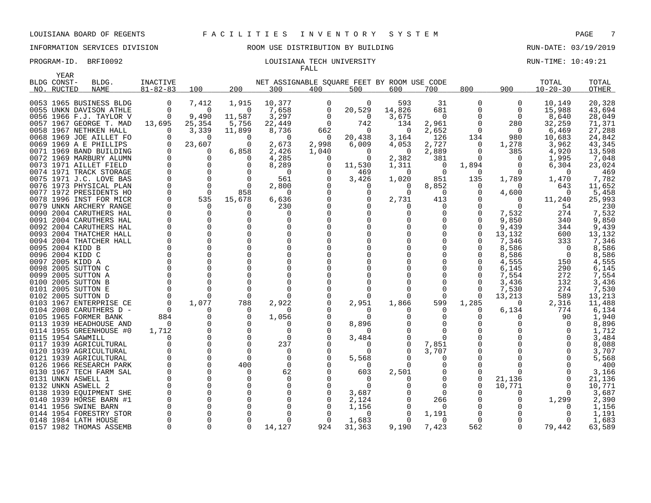### PROGRAM-ID. BRFI0092 **EXAM-ID.** BRFI0092 **LOUISIANA TECH UNIVERSITY RUN-TIME: 10:49:21** FALL

| YEAR<br>BLDG CONST- | BLDG.                                              | <b>INACTIVE</b> |                      |                      | NET ASSIGNABLE SQUARE FEET BY ROOM USE CODE |                |                      |                   |                   |                 |                   | TOTAL          | TOTAL           |
|---------------------|----------------------------------------------------|-----------------|----------------------|----------------------|---------------------------------------------|----------------|----------------------|-------------------|-------------------|-----------------|-------------------|----------------|-----------------|
| NO. RUCTED          | <b>NAME</b>                                        | $81 - 82 - 83$  | 100                  | 200                  | 300                                         | 400            | 500                  | 600               | 700               | 800             | 900               | $10 - 20 - 30$ | OTHER           |
|                     |                                                    |                 |                      |                      |                                             |                |                      |                   |                   |                 |                   |                |                 |
|                     | 0053 1965 BUSINESS BLDG                            | 0               | 7,412                | 1,915                | 10,377                                      | 0              | 0                    | 593               | 31                | 0               | 0                 | 10,149         | 20,328          |
|                     | 0055 UNKN DAVISON ATHLE                            | $\Omega$        | $\Omega$             | $\Omega$             | 7,658                                       | 0              | 20,529               | 14,826            | 681               | O               | 0                 | 15,988         | 43,694          |
|                     | 0056 1966 F.J. TAYLOR V                            | 0               | 9,490                | 11,587               | 3,297                                       | 0              | 0                    | 3,675             | 0                 | 0               | 0                 | 8,640          | 28,049          |
|                     | 0057 1967 GEORGE T. MAD                            | 13,695          | 25,354               | 5,756                | 22,449                                      | $\overline{0}$ | 742                  | 134               | 2,961             | 0               | 280               | 32,259         | 71,371          |
|                     | 0058 1967 NETHKEN HALL                             | $\Omega$        | 3,339                | 11,899               | 8,736                                       | 662            | $\Omega$             | $\Omega$          | 2,652             | O               | 0                 | 6,469          | 27,288          |
|                     | 0068 1969 JOE AILLET FO                            | $\Omega$        | $\Omega$             | $\Omega$             | $\Omega$                                    | 0              | 20,438               | 3,164             | 126               | 134             | 980               | 10,683         | 24,842          |
|                     | 0069 1969 A E PHILLIPS                             |                 | 23,607               | ∩                    | 2,673                                       | 2,998          | 6,009                | 4,053             | 2,727             | 0               | 1,278             | 3,962          | 43,345          |
|                     | 0071 1969 BAND BUILDING                            |                 |                      | 6,858                | 2,426                                       | 1,040          | 0                    | 0                 | 2,889             | 0               | 385               | 4,920          | 13,598          |
|                     | 0072 1969 MARBURY ALUMN                            |                 |                      |                      | 4,285                                       | $\Omega$       | $\Omega$             | 2,382             | 381               | 0               | $\Omega$          | 1,995          | 7,048           |
|                     | 0073 1971 AILLET FIELD                             |                 |                      | O                    | 8,289                                       |                | 11,530               | 1,311             | 0                 | 1,894           | 0                 | 6,304          | 23,024          |
|                     | 0074 1971 TRACK STORAGE                            |                 |                      |                      | $\Omega$                                    |                | 469                  | 0                 | 0                 | 0               | $\Omega$          | $\Omega$       | 469             |
|                     | 0075 1971 J.C. LOVE BAS<br>0076 1973 PHYSICAL PLAN | $\Omega$        | $\Omega$<br>$\Omega$ | $\Omega$<br>$\Omega$ | 561<br>2,800                                |                | 3,426<br>O           | 1,020<br>$\Omega$ | 851               | 135<br>$\Omega$ | 1,789<br>$\Omega$ | 1,470<br>643   | 7,782<br>11,652 |
|                     | 0077 1972 PRESIDENTS HO                            |                 | $\Omega$             | 858                  | <sup>0</sup>                                |                |                      | $\Omega$          | 8,852<br>$\Omega$ | 0               | 4,600             | $\Omega$       | 5,458           |
|                     | 0078 1996 INST FOR MICR                            |                 | 535                  | 15,678               | 6,636                                       |                | 0                    | 2,731             | 413               | 0               |                   | 11,240         | 25,993          |
|                     | 0079 UNKN ARCHERY RANGE                            |                 | $\Omega$             | n                    | 230                                         |                |                      | $\Omega$          | $\Omega$          | Ω               | O                 | 54             | 230             |
|                     | 0090 2004 CARUTHERS HAL                            |                 | $\Omega$             | O                    | O                                           |                |                      |                   | 0                 |                 | 7,532             | 274            | 7,532           |
|                     | 0091 2004 CARUTHERS HAL                            |                 |                      |                      |                                             |                |                      |                   | 0                 | N               | 9,850             | 340            | 9,850           |
|                     | 0092 2004 CARUTHERS HAL                            |                 |                      |                      |                                             |                |                      |                   | 0                 |                 | 9,439             | 344            | 9,439           |
|                     | 0093 2004 THATCHER HALL                            |                 |                      |                      |                                             |                |                      |                   | $\Omega$          | $\Omega$        | 13,132            | 600            | 13,132          |
|                     | 0094 2004 THATCHER HALL                            |                 |                      |                      |                                             |                |                      |                   | 0                 | N               | 7,346             | 333            | 7,346           |
|                     | 0095 2004 KIDD B                                   |                 |                      |                      |                                             |                |                      |                   | 0                 |                 | 8,586             | $\Omega$       | 8,586           |
|                     | 0096 2004 KIDD C                                   |                 |                      |                      |                                             |                |                      |                   | 0                 |                 | 8,586             | - 0            | 8,586           |
|                     | 0097 2005 KIDD A                                   |                 |                      |                      |                                             |                |                      |                   | 0                 |                 | 4,555             | 150            | 4,555           |
|                     | 0098 2005 SUTTON C                                 |                 |                      |                      |                                             |                |                      |                   | O                 |                 | 6,145             | 290            | 6,145           |
|                     | 0099 2005 SUTTON A                                 |                 |                      |                      |                                             |                |                      |                   | O                 |                 | 7,554             | 272            | 7,554           |
|                     | 0100 2005 SUTTON B                                 |                 |                      |                      |                                             |                |                      |                   | O                 |                 | 3,436             | 132            | 3,436           |
|                     | 0101 2005 SUTTON E                                 |                 |                      |                      |                                             |                |                      |                   | O                 | O               | 7,530             | 274            | 7,530           |
|                     | 0102 2005 SUTTON D                                 |                 |                      | ∩                    |                                             |                |                      |                   | $\Omega$          | $\Omega$        | 13,213            | 589            | 13,213          |
|                     | 0103 1967 ENTERPRISE CE                            |                 | 1,077                | 788                  | 2,922                                       |                | 2,951                | 1,866             | 599               | 1,285           | $\Omega$          | 2,316          | 11,488          |
|                     | 0104 2008 CARUTHERS D -                            | $\Omega$        |                      | ∩                    |                                             |                | $\Omega$             |                   | $\Omega$          | O               | 6,134             | 774            | 6,134           |
|                     | 0105 1965 FORMER BANK                              | 884             |                      |                      | 1,056                                       |                | 0                    |                   | 0                 | Ω               | O                 | 90             | 1,940           |
|                     | 0113 1939 HEADHOUSE AND                            | $\Omega$        |                      |                      |                                             |                | 8,896                |                   | $\Omega$          |                 |                   | $\Omega$       | 8,896           |
|                     | 0114 1955 GREENHOUSE #0                            | 1,712           |                      |                      | $\Omega$                                    |                | $\Omega$             |                   | $\Omega$          |                 |                   |                | 1,712           |
|                     | 0115 1954 SAWMILL                                  |                 |                      | $\Omega$             | <sup>0</sup>                                |                | 3,484                |                   | $\Omega$          |                 |                   |                | 3,484           |
|                     | 0117 1939 AGRICULTURAL<br>0120 1939 AGRICULTURAL   |                 |                      | $\Omega$             | 237<br><sup>0</sup>                         |                | $\Omega$<br>$\Omega$ |                   | 7,851<br>3,707    | O               |                   |                | 8,088<br>3,707  |
|                     | 0121 1939 AGRICULTURAL                             |                 | $\Omega$             | $\Omega$             | $\Omega$                                    |                | 5,568                |                   | $\Omega$          | N               |                   |                | 5,568           |
|                     | 0126 1966 RESEARCH PARK                            |                 | 0                    | 400                  | 0                                           |                | $\Omega$             | 0                 | 0                 | 0               |                   |                | 400             |
|                     | 0130 1967 TECH FARM SAL                            |                 | $\Omega$             | n                    | 62                                          |                | 603                  | 2,501             | 0                 | U               |                   |                | 3,166           |
|                     | 0131 UNKN ASWELL 1                                 |                 |                      |                      | $\Omega$                                    |                | 0                    |                   | 0                 | 0               | 21,136            |                | 21,136          |
|                     | 0132 UNKN ASWELL 2                                 |                 |                      |                      |                                             |                | $\Omega$             |                   | $\Omega$          | $\Omega$        | 10,771            |                | 10,771          |
|                     | 0138 1939 EQUIPMENT SHE                            |                 |                      |                      |                                             |                | 3,687                |                   | $\Omega$          |                 |                   |                | 3,687           |
|                     | 0140 1939 HORSE BARN #1                            |                 |                      |                      |                                             |                | 2,124                |                   | 266               |                 |                   | 1,299          | 2,390           |
|                     | 0141 1956 SWINE BARN                               |                 |                      |                      |                                             |                | 1,156                | $\Omega$          | $\Omega$          | N               |                   | $\Omega$       | 1,156           |
|                     | 0144 1954 FORESTRY STOR                            |                 |                      |                      |                                             |                | ∩                    |                   | 1,191             | 0               |                   |                | 1,191           |
|                     | 0148 1984 LATH HOUSE                               |                 |                      |                      |                                             | C              | 1,683                |                   | $\Omega$          | 0               |                   | $\Omega$       | 1,683           |
|                     | 0157 1982 THOMAS ASSEMB                            | $\Omega$        | 0                    | $\Omega$             | 14,127                                      | 924            | 31,363               | 9,190             | 7,423             | 562             | 0                 | 79,442         | 63,589          |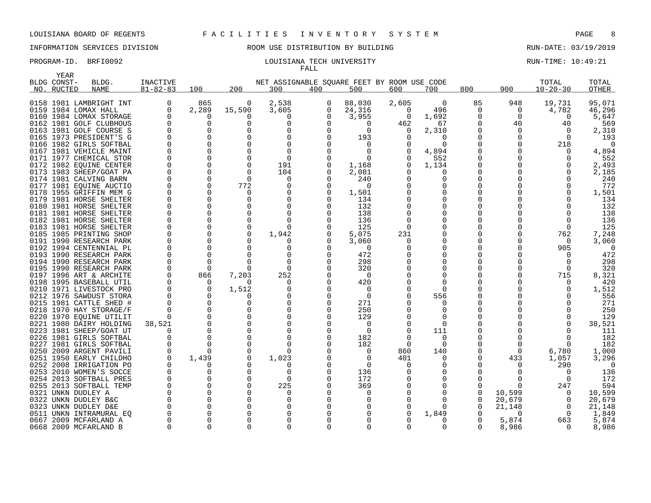# INFORMATION SERVICES DIVISION ROOM USE DISTRIBUTION BY BUILDING RUN-DATE: 03/19/2019

### PROGRAM-ID. BRFI0092 **EXAM-ID.** BRFI0092 **RUN-TIME: 10:49:21** FALL

| YEAR        |                                                    |                |                      |              |                                             |               |                         |          |                      |          |          |                |              |
|-------------|----------------------------------------------------|----------------|----------------------|--------------|---------------------------------------------|---------------|-------------------------|----------|----------------------|----------|----------|----------------|--------------|
| BLDG CONST- | BLDG.                                              | INACTIVE       |                      |              | NET ASSIGNABLE SOUARE FEET BY ROOM USE CODE |               |                         |          |                      |          |          | TOTAL          | TOTAL        |
| NO. RUCTED  | <b>NAME</b>                                        | $81 - 82 - 83$ | 100                  | 200          | 300                                         | 400           | 500                     | 600      | 700                  | 800      | 900      | $10 - 20 - 30$ | <b>OTHER</b> |
|             | 0158 1981 LAMBRIGHT INT                            | 0              | 865                  | 0            | 2,538                                       | 0             | 88,030                  | 2,605    | $\overline{0}$       | 85       | 948      | 19,731         | 95,071       |
|             | 0159 1984 LOMAX HALL                               | $\Omega$       | 2,289                | 15,590       | 3,605                                       | 0             | 24,316                  | $\Omega$ | 496                  | 0        | 0        | 4,782          | 46,296       |
|             | 0160 1984 LOMAX STORAGE                            |                | $\Omega$             | $\Omega$     | $\Omega$                                    | 0             | 3,955                   | $\Omega$ | 1,692                | 0        | $\Omega$ | $\Omega$       | 5,647        |
|             | 0162 1981 GOLF CLUBHOUS                            |                | $\Omega$             | $\Omega$     | $\Omega$                                    |               | $\Omega$                | 462      | 67                   | 0        | 40       | 40             | 569          |
|             | 0163 1981 GOLF COURSE S                            |                | 0                    | O            |                                             | O             | $\Omega$                | O        | 2,310                | 0        | 0        | $\Omega$       | 2,310        |
|             | 0165 1973 PRESIDENT'S G                            |                | $\Omega$             | $\Omega$     |                                             | ∩             | 193                     |          | $\Omega$             | $\Omega$ | U        | $\Omega$       | 193          |
|             | 0166 1982 GIRLS SOFTBAL                            |                | $\Omega$             | U            |                                             |               |                         |          | <sup>0</sup>         | $\Omega$ |          | 218            | $\Omega$     |
|             | 0167 1981 VEHICLE MAINT                            |                | $\Omega$             | $\Omega$     | $\Omega$                                    | $\cap$        | $\Omega$                |          | 4,894                | 0        |          | $\Omega$       | 4,894        |
|             | 0171 1977 CHEMICAL STOR                            |                | $\Omega$             | $\Omega$     | $\Omega$                                    |               | $\Omega$                |          | 552                  | 0        |          |                | 552          |
|             | 0172 1982 EQUINE CENTER                            |                | 0                    | $\Omega$     | 191                                         |               | 1,168                   |          | 1,134                | 0        |          |                | 2,493        |
|             | 0173 1983 SHEEP/GOAT PA                            |                | $\Omega$             | $\Omega$     | 104                                         |               | 2,081                   |          | $\Omega$             | 0        |          |                | 2,185        |
|             | 0174 1981 CALVING BARN                             |                | $\Omega$             | $\Omega$     | 0                                           | O             | 240                     |          | 0                    | O        |          |                | 240          |
|             | 0177 1981 EQUINE AUCTIO                            |                | $\Omega$             | 772          | $\Omega$                                    | 0             | 0                       |          | 0                    | N        |          |                | 772          |
|             | 0178 1955 GRIFFIN MEM G                            |                | $\Omega$             | $\Omega$     |                                             | $\Omega$      | 1,501                   |          | <sup>0</sup>         | $\Omega$ |          |                | 1,501        |
|             | 0179 1981 HORSE SHELTER                            |                | $\Omega$             | $\Omega$     | $\Omega$                                    | $\cap$        | 134                     |          | $\Omega$             | N        |          |                | 134          |
|             | 0180 1981 HORSE SHELTER                            |                | 0                    | $\Omega$     | $\Omega$                                    |               | 132                     |          | 0                    | 0        |          |                | 132          |
|             | 0181 1981 HORSE SHELTER                            |                | $\Omega$             | $\Omega$     | $\Omega$                                    |               | 138                     |          | 0                    | N        |          |                | 138          |
|             | 0182 1981 HORSE SHELTER                            |                | $\Omega$             | $\Omega$     | $\Omega$                                    |               | 136                     |          | 0                    | 0        |          |                | 136          |
|             | 0183 1981 HORSE SHELTER                            |                | $\Omega$             | $\Omega$     | $\Omega$                                    |               | 125                     |          | $\Omega$             | O        |          | ∩              | 125          |
|             | 0185 1985 PRINTING SHOP                            |                | 0                    | $\Omega$     | 1,942                                       |               | 5,075                   | 231      | 0                    | 0        |          | 762            | 7,248        |
|             | 0191 1990 RESEARCH PARK                            |                | $\Omega$             | $\Omega$     |                                             |               | 3,060                   |          | <sup>0</sup>         | O        |          | $\Omega$       | 3,060        |
|             | 0192 1994 CENTENNIAL PL                            |                | $\Omega$             | $\Omega$     | $\Omega$                                    |               | 0                       |          | $\Omega$             | N        |          | 905            | $\Omega$     |
|             | 0193 1990 RESEARCH PARK                            |                | $\Omega$             | $\Omega$     | $\Omega$                                    | $\Omega$      | 472                     |          | $\Omega$             | O        |          |                | 472          |
|             | 0194 1990 RESEARCH PARK                            |                | $\Omega$             | $\Omega$     | $\Omega$                                    | $\Omega$      | 298                     |          | 0                    | N        |          | $\Omega$       | 298          |
|             | 0195 1990 RESEARCH PARK                            |                | $\Omega$             | $\Omega$     | $\Omega$                                    | O             | 320                     |          | 0                    | 0        |          | $\Omega$       | 320          |
|             | 0197 1996 ART & ARCHITE                            |                | 866                  | 7,203        | 252                                         | $\Omega$      | $\Omega$                |          | 0                    | N        |          | 715            | 8,321        |
|             | 0198 1995 BASEBALL UTIL                            |                | $\Omega$<br>$\Omega$ | $\Omega$     | 0<br>O                                      | $\Omega$<br>∩ | 420                     |          | $\Omega$<br>$\Omega$ | N<br>N   |          | 0              | 420          |
|             | 0210 1971 LIVESTOCK PRO<br>0212 1976 SAWDUST STORA |                | $\Omega$             | 1,512<br>O   |                                             | $\Omega$      | $\Omega$<br>$\mathbf 0$ |          | 556                  | 0        |          |                | 1,512<br>556 |
|             | 0215 1981 CATTLE SHED #                            |                | $\Omega$             | U            | O                                           | $\Omega$      | 271                     |          |                      | N        |          |                | 271          |
|             | 0218 1970 HAY STORAGE/F                            |                | 0                    | 0            | 0                                           | O             | 250                     |          | 0                    | 0        |          | ∩              | 250          |
|             | 0220 1970 EOUINE UTILIT                            |                | $\Omega$             | O            | ∩                                           | ∩             | 129                     |          | $\Omega$             | N        |          |                | 129          |
|             | 0221 1980 DAIRY HOLDING                            | 38,521         | $\Omega$             | $\Omega$     |                                             |               | 0                       |          | $\Omega$             |          |          |                | 38,521       |
|             | 0223 1981 SHEEP/GOAT UT                            |                | $\Omega$             |              |                                             |               | $\Omega$                |          | 111                  |          |          |                | 111          |
|             | 0226 1981 GIRLS SOFTBAL                            |                | $\Omega$             | $\Omega$     |                                             |               | 182                     |          | 0                    | O        |          |                | 182          |
|             | 0227 1981 GIRLS SOFTBAL                            |                | $\Omega$             | $\Omega$     |                                             |               | 182                     |          | $\Omega$             | O        | O        | $\Omega$       | 182          |
|             | 0250 2009 ARGENT PAVILI                            |                | <sup>0</sup>         |              |                                             |               | $\Omega$                | 860      | 140                  | O        | 0        | 6,780          | 1,000        |
|             | 0251 1950 EARLY CHILDHO                            | $\Omega$       | 1,439                | $\Omega$     | 1,023                                       |               | $\Omega$                | 401      | $\Omega$             | $\Omega$ | 433      | 1,057          | 3,296        |
|             | 0252 2008 IRRIGATION PO                            |                | 0                    | $\Omega$     | O                                           |               | $\Omega$                |          | 0                    | 0        |          | 290            | $\Omega$     |
|             | 0253 2010 WOMEN'S SOCCE                            |                | 0                    | 0            | $\Omega$                                    |               | 136                     |          | 0                    | O        | Ω        | $\Omega$       | 136          |
|             | 0254 2013 SOFTBALL PRES                            |                | $\Omega$             | $\Omega$     | $\Omega$                                    |               | 172                     |          | 0                    | O        |          | $\Omega$       | 172          |
|             | 0255 2013 SOFTBALL TEMP                            |                | $\Omega$             | $\Omega$     | 225                                         |               | 369                     |          | $\Omega$             | $\Omega$ | O        | 247            | 594          |
|             | 0321 UNKN DUDLEY A                                 |                | $\Omega$             | <sup>0</sup> | $\Omega$                                    |               | 0                       |          | 0                    | 0        | 10,599   | $\Omega$       | 10,599       |
|             | 0322 UNKN DUDLEY B&C                               |                | $\Omega$             | U            |                                             |               |                         |          |                      | 0        | 20,679   | $\Omega$       | 20,679       |
|             | 0323 UNKN DUDLEY D&E                               |                | $\Omega$             | ∩            |                                             |               |                         |          | $\Omega$             | 0        | 21,148   | $\Omega$       | 21,148       |
|             | 0511 UNKN INTRAMURAL EQ                            |                | $\Omega$             |              |                                             |               |                         |          | 1,849                | 0        | O        | $\Omega$       | 1,849        |
|             | 0667 2009 MCFARLAND A                              |                | $\Omega$             |              |                                             |               |                         |          | 0                    | O        | 5,874    | 663            | 5,874        |
|             | 0668 2009 MCFARLAND B                              | $\Omega$       | $\Omega$             | $\Omega$     | $\Omega$                                    |               | U                       |          | $\Omega$             | $\Omega$ | 8,986    | $\Omega$       | 8,986        |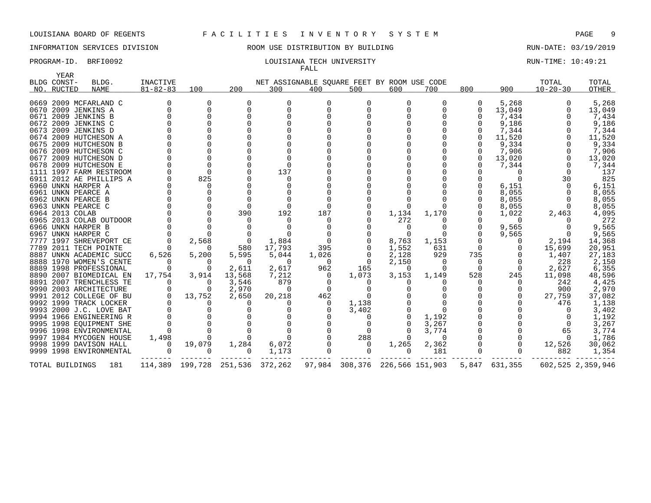YEAR

### LOUISIANA BOARD OF REGENTS F A C I L I T I E S I N V E N T O R Y S Y S T E M PAGE 9

### INFORMATION SERVICES DIVISION ROOM USE DISTRIBUTION BY BUILDING RUN-DATE: 03/19/2019

FALL

| PROGRAM-ID. | BRFI0092 | LOUISIANA TECH UNIVERSITY | RUN-TIME: 10:49:21 |
|-------------|----------|---------------------------|--------------------|
|             |          |                           |                    |

|      | BLDG CONST-     | BLDG.                   | <b>INACTIVE</b> |          |                                 | NET ASSIGNABLE SQUARE FEET BY ROOM USE CODE |          |                                |          |          |              |               | TOTAL          | TOTAL             |
|------|-----------------|-------------------------|-----------------|----------|---------------------------------|---------------------------------------------|----------|--------------------------------|----------|----------|--------------|---------------|----------------|-------------------|
|      | NO. RUCTED      | <b>NAME</b>             | $81 - 82 - 83$  | 100      | 200                             | 300                                         | 400      | 500                            | 600      | 700      | 800          | 900           | $10 - 20 - 30$ | OTHER             |
|      |                 |                         |                 |          |                                 |                                             |          |                                |          |          |              |               |                |                   |
|      |                 | 0669 2009 MCFARLAND C   |                 | 0        | 0                               | $\Omega$                                    |          | O                              | 0        | 0        | 0            | 5,268         |                | 5,268             |
|      |                 | 0670 2009 JENKINS A     |                 | $\Omega$ | $\Omega$                        | $\Omega$                                    |          |                                |          | 0        | $\Omega$     | 13,049        |                | 13,049            |
|      |                 | 0671 2009 JENKINS B     |                 | $\Omega$ |                                 |                                             |          |                                |          |          |              | 7,434         |                | 7,434             |
|      |                 | 0672 2009 JENKINS C     |                 |          |                                 |                                             |          |                                |          |          |              | 9,186         |                | 9,186             |
|      |                 | 0673 2009 JENKINS D     |                 |          |                                 |                                             |          |                                |          |          |              | 7,344         |                | 7,344             |
|      |                 | 0674 2009 HUTCHESON A   |                 |          |                                 |                                             |          |                                |          |          |              | 11,520        |                | 11,520            |
|      |                 | 0675 2009 HUTCHESON B   |                 | $\Omega$ |                                 |                                             |          |                                |          |          |              | 9,334         |                | 9,334             |
|      |                 | 0676 2009 HUTCHESON C   |                 |          |                                 |                                             |          |                                |          |          |              | 7,906         |                | 7,906             |
| 0677 |                 | 2009 HUTCHESON D        |                 |          |                                 |                                             |          |                                |          |          | $\Omega$     | 13,020        |                | 13,020            |
|      |                 | 0678 2009 HUTCHESON E   |                 |          |                                 |                                             |          |                                |          |          |              | 7,344         |                | 7,344             |
|      |                 | 1111 1997 FARM RESTROOM |                 | $\Omega$ |                                 | 137                                         |          |                                |          |          |              | 0             |                | 137               |
|      |                 | 6911 2012 AE PHILLIPS A |                 | 825      |                                 | $\Omega$                                    |          |                                |          |          |              |               | 30             | 825               |
|      |                 | 6960 UNKN HARPER A      |                 | 0        |                                 |                                             |          |                                |          |          |              | 6,151         |                | 6,151             |
|      |                 | 6961 UNKN PEARCE A      |                 |          |                                 |                                             |          |                                |          |          |              | 8,055         |                | 8,055             |
|      |                 | 6962 UNKN PEARCE B      |                 | 0        |                                 |                                             |          |                                |          |          |              | 8,055         |                | 8,055             |
|      |                 | 6963 UNKN PEARCE C      |                 | $\Omega$ |                                 |                                             |          |                                |          |          |              | 8,055         |                | 8,055             |
|      | 6964 2013 COLAB |                         |                 | $\Omega$ | 390                             | 192                                         | 187      |                                | 1,134    | 1,170    |              | 1,022         | 2,463          | 4,095             |
|      |                 | 6965 2013 COLAB OUTDOOR |                 |          |                                 |                                             |          |                                | 272      |          |              | $\Omega$      |                | 272               |
|      |                 | 6966 UNKN HARPER B      |                 |          |                                 |                                             |          |                                |          |          | $\Omega$     | 9,565         |                | 9,565             |
|      |                 | 6967 UNKN HARPER C      |                 |          |                                 |                                             |          |                                |          |          | <sup>0</sup> | 9,565         | $\Omega$       | 9,565             |
|      |                 | 7777 1997 SHREVEPORT CE |                 | 2,568    | 0                               | 1,884                                       |          |                                | 8,763    | 1,153    |              |               | 2,194          | 14,368            |
|      |                 | 7789 2011 TECH POINTE   |                 | $\Omega$ | 580                             | 17,793                                      | 395      |                                | 1,552    | 631      | 0            | 0             | 15,699         | 20,951            |
|      |                 | 8887 UNKN ACADEMIC SUCC | 6,526           | 5,200    | 5,595                           | 5,044                                       | 1,026    |                                | 2,128    | 929      | 735          |               | 1,407          | 27,183            |
|      |                 | 8888 1970 WOMEN'S CENTE |                 | $\Omega$ | $\Omega$                        | $\Omega$                                    | $\Omega$ | $\Omega$                       | 2,150    | - 0      | $\Omega$     |               | 228            | 2,150             |
|      |                 | 8889 1998 PROFESSIONAL  |                 | $\Omega$ | 2,611                           | 2,617                                       | 962      | 165                            | - 0      | $\Omega$ | $\Omega$     | $\Omega$      | 2,627          | 6,355             |
|      |                 | 8890 2007 BIOMEDICAL EN | 17,754          | 3,914    | 13,568                          | 7,212                                       | $\Omega$ | 1,073                          | 3,153    | 1,149    | 528          | 245           | 11,098         | 48,596            |
|      |                 | 8891 2007 TRENCHLESS TE |                 | $\Omega$ | 3,546                           | 879                                         |          |                                |          |          | O            |               | 242            | 4,425             |
|      |                 | 9990 2003 ARCHITECTURE  |                 | $\Omega$ | 2,970                           | $\Omega$                                    | $\Omega$ |                                |          |          |              |               | 900            | 2,970             |
|      |                 | 9991 2012 COLLEGE OF BU |                 | 13,752   | 2,650                           | 20,218                                      | 462      |                                |          |          |              |               | 27,759         | 37,082            |
|      |                 | 9992 1999 TRACK LOCKER  |                 | 0        |                                 |                                             |          | 1,138                          |          |          |              |               | 476            | 1,138             |
|      |                 | 9993 2000 J.C. LOVE BAT |                 |          |                                 |                                             |          | 3,402                          |          |          |              |               |                | 3,402             |
|      |                 | 9994 1966 ENGINEERING R |                 |          |                                 |                                             |          |                                |          | 1,192    |              |               |                | 1,192             |
|      |                 | 9995 1998 EQUIPMENT SHE |                 |          |                                 |                                             |          | 0                              |          | 3,267    |              |               | $\Omega$       | 3,267             |
|      |                 | 9996 1998 ENVIRONMENTAL |                 |          |                                 |                                             |          | $\Omega$                       |          | 3,774    |              |               | 65             | 3,774             |
|      |                 | 9997 1984 MYCOGEN HOUSE | 1,498           |          |                                 |                                             |          | 288                            |          | $\Omega$ |              |               | $\Omega$       | 1,786             |
|      |                 | 9998 1999 DAVISON HALL  |                 | 19,079   | 1,284                           | 6,072                                       |          | 0                              | 1,265    | 2,362    |              |               | 12,526         | 30,062            |
|      |                 | 9999 1998 ENVIRONMENTAL | $\Omega$        | $\Omega$ | $\Omega$                        | 1,173                                       | $\Omega$ | $\Omega$                       | $\Omega$ | 181      | $\Omega$     | $\Omega$      | 882            | 1,354             |
|      | TOTAL BUILDINGS | 181                     |                 |          | 114,389 199,728 251,536 372,262 |                                             |          | 97,984 308,376 226,566 151,903 |          |          |              | 5,847 631,355 |                | 602,525 2,359,946 |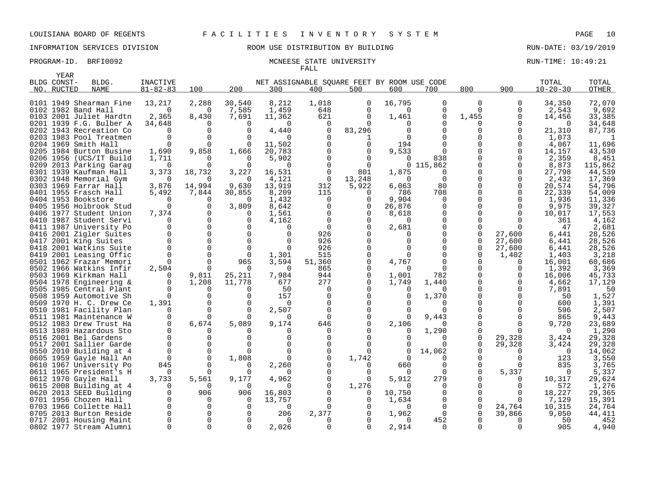### PROGRAM-ID. BRFI0092 MCNEESE STATE UNIVERSITY RUN-TIME: 10:49:21 FALL

|              | <b>YEAR</b> |                                                 |                       |              |            |                                             |          |                 |                   |                      |               |              |                 |                  |
|--------------|-------------|-------------------------------------------------|-----------------------|--------------|------------|---------------------------------------------|----------|-----------------|-------------------|----------------------|---------------|--------------|-----------------|------------------|
|              | BLDG CONST- | BLDG.                                           | INACTIVE              |              |            | NET ASSIGNABLE SOUARE FEET BY ROOM USE CODE |          |                 |                   |                      |               |              | TOTAL           | TOTAL            |
|              | NO. RUCTED  | <b>NAME</b>                                     | $81 - 82 - 83$        | 100          | 200        | 300                                         | 400      | 500             | 600               | 700                  | 800           | 900          | $10 - 20 - 30$  | <b>OTHER</b>     |
|              |             |                                                 |                       |              |            |                                             |          |                 |                   |                      |               |              |                 |                  |
|              |             | 0101 1949 Shearman Fine                         | 13,217                | 2,288        | 30,540     | 8,212                                       | 1,018    | $\mathbf 0$     | 16,795            | $\Omega$             | $\mathbf 0$   | 0            | 34,350          | 72,070           |
|              |             | 0102 1982 Band Hall                             | $\Omega$              | 0            | 7,585      | 1,459                                       | 648      | $\Omega$        | $\Omega$          | 0                    | $\Omega$      | 0            | 2,543           | 9,692            |
|              |             | 0103 2001 Juliet Hardtn                         | 2,365                 | 8,430        | 7,691      | 11,362                                      | 621      | $\Omega$        | 1,461             | $\Omega$             | 1,455         | 0            | 14,456          | 33,385           |
|              |             | 0201 1939 F.G. Bulber A                         | 34,648                | 0            | $\Omega$   | $\Omega$                                    | $\Omega$ | $\Omega$        | O                 | O                    | 0             | 0            | $\Omega$        | 34,648           |
|              |             | 0202 1943 Recreation Co                         | $\Omega$              | $\Omega$     | $\Omega$   | 4,440                                       | 0        | 83,296          |                   |                      | $\Omega$      | 0            | 21,310          | 87,736           |
|              |             | 0203 1983 Pool Treatmen                         | $\Omega$              | $\Omega$     | $\Omega$   | $\Omega$                                    |          | 1               |                   |                      | O             | 0            | 1,073           |                  |
|              |             | 0204 1969 Smith Hall                            |                       | $\Omega$     |            | 11,502                                      |          | $\Omega$        | 194               |                      | $\Omega$      | $\Omega$     | 4,067           | 11,696           |
|              |             | 0205 1984 Burton Busine                         | 1,690                 | 9,858        | 1,666      | 20,783                                      |          | $\Omega$        | 9,533             |                      | $\Omega$      | 0            | 14,157          | 43,530           |
|              |             | 0206 1956 (UCS/IT Build                         | 1,711                 | <sup>0</sup> | $\Omega$   | 5,902                                       |          | $\Omega$        | $\Omega$          | 838                  | $\Omega$      | 0            | 2,359           | 8,451            |
| 0209         |             | 2013 Parking Garag                              | $\Omega$              | 0            | $\Omega$   | $\Omega$                                    |          | $\Omega$        | $\mathbf{0}$      | 115,862              |               | 0            | 8,873           | 115,862          |
|              |             | 0301 1939 Kaufman Hall                          | 3,373                 | 18,732       | 3,227      | 16,531                                      | 0        | 801             | 1,875             | $\Omega$<br>$\Omega$ | 0<br>0        | 0            | 27,798          | 44,539           |
|              |             | 0302 1948 Memorial Gym<br>0303 1969 Farrar Hall | $\Omega$<br>3,876     | 0<br>14,994  | 0<br>9,630 | 4,121<br>13,919                             | 0<br>312 | 13,248<br>5,922 | $\Omega$<br>6,063 | 80                   | 0             | 0<br>0       | 2,432<br>20,574 | 17,369<br>54,796 |
|              |             | 0401 1955 Frasch Hall                           | 5,492                 | 7,844        | 30,855     | 8,209                                       | 115      | $\Omega$        | 786               | 708                  | 0             | $\Omega$     | 22,339          | 54,009           |
|              |             | 0404 1953 Bookstore                             | $\Omega$              | $\Omega$     | $\Omega$   | 1,432                                       | 0        | $\Omega$        | 9,904             | $\Omega$             | $\Omega$      | 0            | 1,936           | 11,336           |
|              |             | 0405 1956 Holbrook Stud                         | $\Omega$              | 0            | 3,809      | 8,642                                       | 0        | 0               | 26,876            | 0                    | 0             | 0            | 9,975           | 39,327           |
| 0406         |             | 1977 Student Union                              | 7,374                 | $\mathbf 0$  | $\Omega$   | 1,561                                       |          | $\Omega$        | 8,618             | $\Omega$             |               | $\Omega$     | 10,017          | 17,553           |
|              |             | 0410 1987 Student Servi                         | $\Omega$              | $\mathbf 0$  | $\Omega$   | 4,162                                       | $\Omega$ | 0               | $\Omega$          | $\Omega$             | 0             | <sup>0</sup> | 361             | 4,162            |
|              |             | 0411 1987 University Po                         | $\Omega$              | $\Omega$     |            | $\Omega$                                    | $\Omega$ | $\Omega$        | 2,681             |                      | $\Omega$      | $\Omega$     | 47              | 2,681            |
| 0416         |             | 2001 Zigler Suites                              | $\Omega$              | $\mathbf 0$  | $\Omega$   | $\Omega$                                    | 926      |                 |                   |                      | 0             | 27,600       | 6,441           | 28,526           |
| 0417         |             | 2001 King Suites                                |                       | $\Omega$     | $\Omega$   | $\Omega$                                    | 926      |                 |                   |                      | $\Omega$      | 27,600       | 6,441           | 28,526           |
| 0418         |             | 2001 Watkins Suite                              | $\Omega$              | $\mathbf 0$  | $\Omega$   | $\Omega$                                    | 926      | 0               |                   |                      | 0             | 27,600       | 6,441           | 28,526           |
|              |             | 0419 2001 Leasing Offic                         | $\Omega$              | $\Omega$     | $\Omega$   | 1,301                                       | 515      | 0               |                   |                      | 0             | 1,402        | 1,403           | 3,218            |
| 0501         |             | 1962 Frazar Memori                              | $\Omega$              | $\mathbf 0$  | 965        | 3,594                                       | 51,360   | $\mathbf 0$     | 4,767             |                      |               | 0            | 16,001          | 60,686           |
|              |             | 0502 1966 Watkins Infir                         | 2,504                 | $\Omega$     | $\Omega$   | $\Omega$                                    | 865      |                 | $\Omega$          | $\Omega$             | 0             | 0            | 1,392           | 3,369            |
|              |             | 0503 1969 Kirkman Hall                          | 0                     | 9,811        | 25,211     | 7,984                                       | 944      | 0               | 1,001             | 782                  | 0             | 0            | 16,006          | 45,733           |
|              |             | 0504 1978 Engineering &                         | $\Omega$              | 1,208        | 11,778     | 677                                         | 277      |                 | 1,749             | 1,440                | 0             | 0            | 4,662           | 17,129           |
|              |             | 0505 1985 Central Plant                         |                       | <sup>0</sup> |            | 50                                          | O        |                 |                   |                      | $\Omega$      | $\Omega$     | 7,891           | 50               |
|              |             | 0508 1959 Automotive Sh                         | $\Omega$              | $\Omega$     | $\Omega$   | 157                                         | ∩        |                 |                   | 1,370                |               | <sup>0</sup> | 50              | 1,527            |
|              |             | 0509 1970 H. C. Drew Ce                         | 1,391                 | 0            | $\Omega$   | $\Omega$                                    |          |                 |                   |                      | $\Omega$      | <sup>0</sup> | 600             | 1,391            |
|              |             | 0510 1981 Facility Plan                         | $\Omega$              | $\mathbf 0$  | $\Omega$   | 2,507                                       |          | $\Omega$        |                   |                      |               | <sup>0</sup> | 596             | 2,507            |
|              |             | 0511 1981 Maintenance W                         | 0                     | $\Omega$     | $\Omega$   | $\Omega$                                    | $\Omega$ | 0               |                   | 9,443                | $\Omega$      | 0            | 865             | 9,443            |
|              |             | 0512 1983 Drew Trust Ha                         | $\Omega$              | 6,674        | 5,089      | 9,174                                       | 646      | $\Omega$        | 2,106             |                      | $\Omega$      | $\Omega$     | 9,720           | 23,689           |
| 0513         |             | 1989 Hazardous Sto                              | 0                     | 0            |            | O                                           | O        |                 |                   | 1,290                | 0             | $\Omega$     | $\Omega$        | 1,290            |
|              |             | 0516 2001 Bel Gardens                           | $\Omega$              | $\Omega$     |            |                                             |          |                 |                   |                      | $\Omega$      | 29,328       | 3,424           | 29,328           |
| 0517         |             | 2001 Sallier Garde                              | $\Omega$              | $\mathbf 0$  |            | $\Omega$                                    |          |                 |                   | $\Omega$             | 0             | 29,328       | 3,424           | 29,328           |
|              |             | 0550 2010 Building at 4                         | $\Omega$              | $\Omega$     |            |                                             |          | $\Omega$        |                   | 14,062               |               | 0            | $\Omega$        | 14,062           |
| 0605         |             | 1959 Gayle Hall An                              | $\Omega$              | $\mathbf 0$  | 1,808      |                                             |          | 1,742           |                   |                      |               | 0            | 123             | 3,550            |
|              |             | 0610 1967 University Po                         | 845                   | $\Omega$     | $\Omega$   | 2,260                                       |          | $\Omega$        | 660               | ∩                    | $\Omega$      | U            | 835             | 3,765            |
| 0611         |             | 1965 President's H                              | $\Omega$              | 0            | $\Omega$   |                                             |          | $\Omega$        |                   | $\Omega$             | $\Omega$      | 5,337        | $\Omega$        | 5,337            |
| 0612         |             | 1970 Gayle Hall                                 | 3,733<br><sup>0</sup> | 5,561        | 9,177      | 4,962                                       |          | $\Omega$        | 5,912             | 279                  |               | 0            | 10,317          | 29,624           |
| 0615<br>0620 |             | 2008 Building at 4<br>2013 SEED Building        | $\Omega$              | 0<br>906     | 906        | 16,803                                      |          | 1,276<br>0      | 10,750            | $\Omega$             | 0<br>$\Omega$ | 0<br>0       | 572<br>18,227   | 1,276<br>29,365  |
|              |             | 0701 1956 Chozen Hall                           | $\Omega$              | 0            | $\Omega$   | 13,757                                      |          | 0               | 1,634             | 0                    | 0             | 0            | 7,129           | 15,391           |
| 0703         |             | 1966 Collette Hall                              | $\Omega$              | $\mathbf 0$  | $\Omega$   | $\Omega$                                    |          | $\Omega$        | $\Omega$          | $\Omega$             | $\mathbf 0$   | 24,764       | 10,315          | 24,764           |
|              |             | 0705 2013 Burton Reside                         |                       | $\mathbf 0$  |            | 206                                         | 2,377    | 0               | 1,962             | $\Omega$             | 0             | 39,866       | 9,050           | 44,411           |
| 0717         |             | 2001 Housing Maint                              | $\Omega$              | $\Omega$     |            | $\Omega$                                    |          |                 | $\Omega$          | 452                  |               | 0            | 50              | 452              |
|              |             | 0802 1977 Stream Alumni                         | 0                     | $\Omega$     | $\Omega$   | 2,026                                       | $\Omega$ | $\Omega$        | 2,914             | $\Omega$             | $\Omega$      | 0            | 905             | 4,940            |
|              |             |                                                 |                       |              |            |                                             |          |                 |                   |                      |               |              |                 |                  |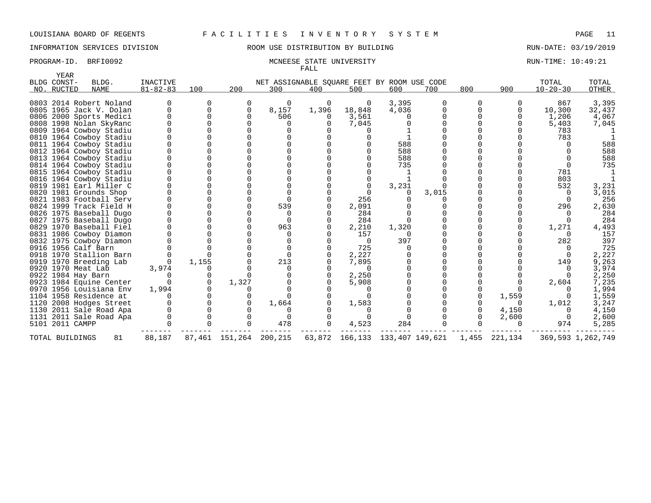YEAR

## LOUISIANA BOARD OF REGENTS F A C I L I T I E S I N V E N T O R Y S Y S T E M PAGE 11

## INFORMATION SERVICES DIVISION ROOM USE DISTRIBUTION BY BUILDING RUN-DATE: 03/19/2019

### PROGRAM-ID. BRFI0092 MCNEESE STATE UNIVERSITY RUN-TIME: 10:49:21 FALL

| BLDG CONST-     | BLDG.                   | <b>INACTIVE</b> |             |       | NET ASSIGNABLE SQUARE FEET BY ROOM USE CODE                         |          |          |       |       |          |          | TOTAL          | TOTAL             |
|-----------------|-------------------------|-----------------|-------------|-------|---------------------------------------------------------------------|----------|----------|-------|-------|----------|----------|----------------|-------------------|
| NO. RUCTED      | NAME                    | $81 - 82 - 83$  | 100         | 200   | 300                                                                 | 400      | 500      | 600   | 700   | 800      | 900      | $10 - 20 - 30$ | OTHER             |
|                 | 0803 2014 Robert Noland |                 |             |       | 0                                                                   | 0        | 0        | 3,395 |       | $\Omega$ |          | 867            | 3,395             |
|                 | 0805 1965 Jack V. Dolan |                 | $\Omega$    |       | 8,157                                                               | 1,396    | 18,848   | 4,036 |       | $\Omega$ |          | 10,300         | 32,437            |
|                 | 0806 2000 Sports Medici |                 | $\cap$      |       | 506                                                                 | $\Omega$ | 3,561    |       |       |          |          | 1,206          | 4,067             |
|                 | 0808 1998 Nolan SkyRanc |                 |             |       | <sup>n</sup>                                                        |          | 7,045    |       |       |          |          | 5,403          | 7,045             |
|                 | 0809 1964 Cowboy Stadiu |                 |             |       |                                                                     |          |          |       |       |          |          | 783            |                   |
|                 | 0810 1964 Cowboy Stadiu |                 |             |       |                                                                     |          |          |       |       |          |          | 783            |                   |
|                 | 0811 1964 Cowboy Stadiu |                 |             |       |                                                                     |          |          | 588   |       |          |          |                | 588               |
|                 | 0812 1964 Cowboy Stadiu |                 |             |       |                                                                     |          |          | 588   |       |          |          |                | 588               |
|                 | 0813 1964 Cowboy Stadiu |                 |             |       |                                                                     |          |          | 588   |       |          |          |                | 588               |
|                 | 0814 1964 Cowboy Stadiu |                 |             |       |                                                                     |          |          | 735   |       |          |          |                | 735               |
|                 | 0815 1964 Cowboy Stadiu |                 |             |       |                                                                     |          |          |       |       |          |          | 781            |                   |
|                 | 0816 1964 Cowboy Stadiu |                 |             |       |                                                                     |          |          |       |       |          |          | 803            |                   |
|                 | 0819 1981 Earl Miller C |                 |             |       |                                                                     |          |          | 3,231 |       |          |          | 532            | 3,231             |
|                 | 0820 1981 Grounds Shop  |                 |             |       |                                                                     |          |          |       | 3,015 |          |          |                | 3,015             |
|                 | 0821 1983 Football Serv |                 |             |       |                                                                     |          | 256      |       |       |          |          |                | 256               |
|                 | 0824 1999 Track Field H |                 |             |       | 539                                                                 |          | 2,091    |       |       |          |          | 296            | 2,630             |
|                 | 0826 1975 Baseball Dugo |                 |             |       |                                                                     |          | 284      |       |       |          |          |                | 284               |
|                 | 0827 1975 Baseball Dugo |                 |             |       |                                                                     |          | 284      |       |       |          |          |                | 284               |
|                 | 0829 1970 Baseball Fiel |                 |             |       | 963                                                                 |          | 2,210    | 1,320 |       |          |          | 1,271          | 4,493             |
|                 | 0831 1986 Cowboy Diamon |                 |             |       |                                                                     |          | 157      |       |       |          |          |                | 157               |
|                 | 0832 1975 Cowboy Diamon |                 |             |       |                                                                     |          | $\Omega$ | 397   |       |          |          | 282            | 397               |
|                 | 0916 1956 Calf Barn     |                 |             |       |                                                                     |          | 725      |       |       |          |          |                | 725               |
|                 | 0918 1970 Stallion Barn |                 |             |       | $\Omega$                                                            |          | 2,227    |       |       |          |          |                | 2,227             |
|                 | 0919 1970 Breeding Lab  |                 | 1,155       |       | 213                                                                 |          | 7,895    |       |       |          |          | 149            | 9,263             |
|                 | 0920 1970 Meat Lab      | 3,974           |             |       |                                                                     |          | $\Omega$ |       |       |          |          |                | 3,974             |
|                 | 0922 1984 Hay Barn      |                 | 0           |       |                                                                     |          | 2,250    |       |       |          |          |                | 2,250             |
|                 | 0923 1984 Equine Center |                 | $\mathbf 0$ | 1,327 |                                                                     |          | 5,908    |       |       |          |          | 2,604          | 7,235             |
|                 | 0970 1956 Louisiana Env | 1,994           |             |       |                                                                     |          |          |       |       |          |          |                | 1,994             |
|                 | 1104 1958 Residence at  |                 | $\Omega$    |       |                                                                     |          |          |       |       |          | 1,559    |                | 1,559             |
|                 | 1120 2008 Hodges Street |                 | 0           |       | 1,664                                                               |          | 1,583    |       |       |          | $\Omega$ | 1,012          | 3,247             |
|                 | 1130 2011 Sale Road Apa |                 |             |       |                                                                     |          |          |       |       |          | 4,150    |                | 4,150             |
|                 | 1131 2011 Sale Road Apa |                 |             |       |                                                                     |          |          |       |       |          | 2,600    | $\Omega$       | 2,600             |
| 5101 2011 CAMPP |                         |                 |             |       | 478                                                                 | 0        | 4,523    | 284   |       |          |          | 974            | 5,285             |
| TOTAL BUILDINGS | 81                      | 88,187          |             |       | 87,461 151,264 200,215 63,872 166,133 133,407 149,621 1,455 221,134 |          |          |       |       |          |          |                | 369,593 1,262,749 |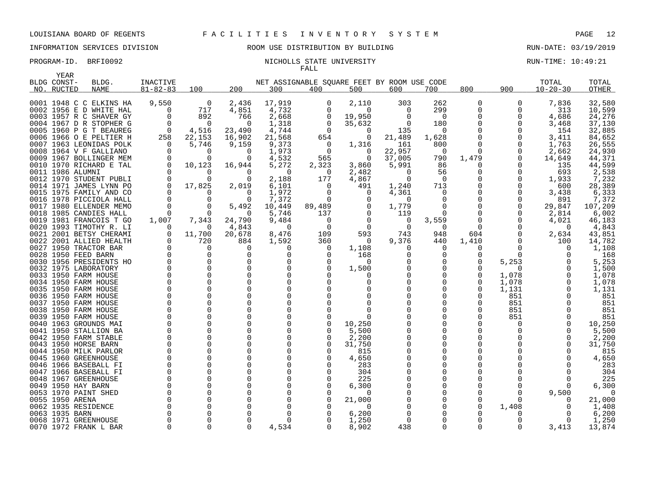### PROGRAM-ID. BRFI0092 NICHOLLS STATE UNIVERSITY NEXT RUN-TIME: 10:49:21 FALL

| YEAR                      |                         |                            |                |          |                                                    |          |                    |          |                |              |          |                         |                |
|---------------------------|-------------------------|----------------------------|----------------|----------|----------------------------------------------------|----------|--------------------|----------|----------------|--------------|----------|-------------------------|----------------|
| BLDG CONST-<br>NO. RUCTED | BLDG.<br><b>NAME</b>    | INACTIVE<br>$81 - 82 - 83$ | 100            | 200      | NET ASSIGNABLE SOUARE FEET BY ROOM USE CODE<br>300 | 400      | 500                | 600      | 700            | 800          | 900      | TOTAL<br>$10 - 20 - 30$ | TOTAL<br>OTHER |
|                           |                         |                            |                |          |                                                    |          |                    |          |                |              |          |                         |                |
|                           | 0001 1948 C C ELKINS HA | 9,550                      | $\overline{0}$ | 2,436    | 17,919                                             | 0        | 2,110              | 303      | 262            | 0            | 0        | 7,836                   | 32,580         |
|                           | 0002 1956 E D WHITE HAL | 0                          | 717            | 4,851    | 4,732                                              | 0        | $\Omega$           | 0        | 299            | 0            | 0        | 313                     | 10,599         |
|                           | 0003 1957 R C SHAVER GY | $\Omega$                   | 892            | 766      | 2,668                                              | 0        | 19,950             | 0        | 0              | $\Omega$     | 0        | 4,686                   | 24,276         |
|                           | 0004 1967 D R STOPHER G |                            | $\Omega$       | $\Omega$ | 1,318                                              | 0        | 35,632             | $\Omega$ | 180            | $\Omega$     | 0        | 3,468                   | 37,130         |
|                           | 0005 1960 P G T BEAUREG | - 0                        | 4,516          | 23,490   | 4,744                                              | $\Omega$ | $\Omega$           | 135      | $\Omega$       |              | 0        | 154                     | 32,885         |
|                           | 0006 1966 O E PELTIER H | 258                        | 22,153         | 16,902   | 21,568                                             | 654      | 0                  | 21,489   | 1,628          | $\Omega$     | 0        | 3,411                   | 84,652         |
|                           | 0007 1963 LEONIDAS POLK | $\Omega$                   | 5,746          | 9,159    | 9,373                                              | $\Omega$ | 1,316              | 161      | 800            | <sup>n</sup> | $\Omega$ | 1,763                   | 26,555         |
|                           | 0008 1964 V F GALLIANO  | $\Omega$                   | $\Omega$       | 0        | 1,973                                              | 0        | 0                  | 22,957   | $\overline{0}$ | 0            | 0        | 2,662                   | 24,930         |
|                           | 0009 1967 BOLLINGER MEM |                            |                | $\Omega$ | 4,532                                              | 565      | $\Omega$           | 37,005   | 790            | 1,479        | 0        | 14,649                  | 44,371         |
|                           | 0010 1970 RICHARD E TAL | 0                          | 10,123         | 16,944   | 5,272                                              | 2,323    | 3,860              | 5,991    | 86             | 0            | 0        | 135                     | 44,599         |
|                           | 0011 1986 ALUMNI        |                            | $\Omega$       | $\Omega$ | $\Omega$                                           | $\Omega$ | 2,482              | $\Omega$ | 56             | 0            | $\Omega$ | 693                     | 2,538          |
|                           | 0012 1970 STUDENT PUBLI | 0                          |                | $\Omega$ | 2,188                                              | 177      | 4,867              | $\Omega$ | $\overline{0}$ | 0            | 0        | 1,933                   | 7,232          |
|                           | 0014 1971 JAMES LYNN PO | 0                          | 17,825         | 2,019    | 6,101                                              | $\Omega$ | 491                | 1,240    | 713            | 0            | 0        | 600                     | 28,389         |
|                           | 0015 1975 FAMILY AND CO |                            | <sup>n</sup>   | $\Omega$ | 1,972                                              | $\Omega$ | $\Omega$           | 4,361    | 0              | $\Omega$     | O        | 3,438                   | 6,333          |
|                           | 0016 1978 PICCIOLA HALL | $\Omega$                   | $\Omega$       | $\Omega$ | 7,372                                              | 0        | $\Omega$           | $\Omega$ | $\Omega$       | $\Omega$     | $\Omega$ | 891                     | 7,372          |
|                           | 0017 1980 ELLENDER MEMO | $\Omega$                   | $\Omega$       | 5,492    | 10,449                                             | 89,489   | $\Omega$           | 1,779    | $\Omega$       | $\Omega$     | $\Omega$ | 29,847                  | 107,209        |
|                           | 0018 1985 CANDIES HALL  | $\Omega$                   | $\Omega$       | 0        | 5,746                                              | 137      | $\Omega$           | 119      | 0              | $\Omega$     | $\Omega$ | 2,814                   | 6,002          |
|                           | 0019 1981 FRANCOIS T GO | 1,007                      | 7,343          | 24,790   | 9,484                                              | $\Omega$ | $\Omega$           | 0        | 3,559          | 0            | 0        | 4,021                   | 46,183         |
|                           | 0020 1993 TIMOTHY R. LI | $\Omega$                   | $\Omega$       | 4,843    | 0                                                  | $\Omega$ | $\Omega$           | $\Omega$ | $\Omega$       | $\Omega$     | $\Omega$ | 0                       | 4,843          |
|                           | 0021 2001 BETSY CHERAMI | 0                          | 11,700         | 20,678   | 8,476                                              | 109      | 593                | 743      | 948            | 604          | 0        | 2,634                   | 43,851         |
|                           | 0022 2001 ALLIED HEALTH |                            | 720            | 884      | 1,592                                              | 360      | 0                  | 9,376    | 440            | 1,410        | O        | 100                     | 14,782         |
|                           | 0027 1950 TRACTOR BAR   | $\Omega$                   | $\Omega$       | $\Omega$ | O                                                  | $\Omega$ | 1,108              | O        | $\Omega$       | 0            | O        | $\Omega$                | 1,108          |
|                           | 0028 1950 FEED BARN     |                            |                | $\Omega$ | O                                                  | $\Omega$ | 168                |          | $\Omega$       | O            | $\Omega$ |                         | 168            |
|                           | 0030 1956 PRESIDENTS HO |                            |                | 0        | $\Omega$                                           | $\Omega$ | $\Omega$           |          | 0              | $\Omega$     | 5,253    |                         | 5,253          |
|                           | 0032 1975 LABORATORY    |                            | $\Omega$       | $\Omega$ | $\Omega$                                           |          | 1,500              |          | 0              | O            | ∩        |                         | 1,500          |
|                           | 0033 1950 FARM HOUSE    |                            |                | 0        | $\Omega$                                           |          |                    |          | 0              | $\Omega$     | 1,078    |                         | 1,078          |
|                           | 0034 1950 FARM HOUSE    |                            |                | $\Omega$ | $\Omega$                                           |          |                    |          | 0              | <sup>0</sup> | 1,078    |                         | 1,078          |
|                           | 0035 1950 FARM HOUSE    |                            |                | 0        | $\Omega$                                           |          |                    |          | O              | O            | 1,131    |                         | 1,131          |
|                           | 0036 1950 FARM HOUSE    |                            |                | $\Omega$ | $\Omega$                                           |          |                    |          | 0              | O            | 851      |                         | 851            |
|                           | 0037 1950 FARM HOUSE    |                            |                | $\Omega$ | $\Omega$                                           |          |                    |          | O              | <sup>0</sup> | 851      |                         | 851            |
|                           | 0038 1950 FARM HOUSE    |                            | $\Omega$       | $\Omega$ | $\Omega$                                           |          |                    |          | $\Omega$       | $\Omega$     | 851      |                         | 851            |
|                           | 0039 1950 FARM HOUSE    |                            |                | $\Omega$ | $\Omega$                                           |          | U                  |          | 0              | <sup>0</sup> | 851      |                         | 851            |
|                           | 0040 1963 GROUNDS MAI   |                            |                | 0        | $\Omega$                                           | $\Omega$ | 10,250             |          | 0              |              | $\Omega$ |                         | 10,250         |
|                           | 0041 1950 STALLION BA   |                            |                | $\Omega$ | O                                                  |          | 5,500              |          | 0              |              |          |                         | 5,500          |
|                           | 0042 1950 FARM STABLE   |                            |                | 0        | $\Omega$                                           | $\Omega$ | 2,200              |          | 0              |              |          | $\Omega$                | 2,200          |
|                           | 0043 1950 HORSE BARN    |                            |                | $\Omega$ | O                                                  | O        | 31,750             |          | O              | U            |          | $\Omega$                | 31,750         |
|                           | 0044 1950 MILK PARLOR   |                            |                | 0        | $\Omega$                                           | O        | 815                |          | O              |              |          |                         | 815            |
|                           | 0045 1960 GREENHOUSE    |                            |                | $\Omega$ | $\Omega$                                           |          | 4,650              |          | $\Omega$       |              |          |                         | 4,650          |
|                           | 0046 1966 BASEBALL FI   |                            |                | 0        | $\Omega$                                           |          | 283                |          | O              |              |          |                         | 283            |
|                           | 0047 1966 BASEBALL FI   |                            |                | 0        | $\Omega$                                           |          | 304                |          | 0              |              |          |                         | 304            |
|                           | 0048 1967 GREENHOUSE    |                            |                | $\Omega$ | $\Omega$                                           |          | 225                |          | 0              |              |          |                         | 225            |
|                           | 0049 1950 HAY BARN      |                            |                | O        | $\Omega$                                           |          | 6,300              |          | 0              |              |          |                         | 6,300          |
|                           | 0053 1970 PAINT SHED    |                            |                | O<br>O   | O<br>$\Omega$                                      |          | $\Omega$           |          | 0<br>0         | U            | O        | 9,500                   |                |
| 0055 1950 ARENA           |                         |                            |                | O        |                                                    |          | 21,000<br>$\Omega$ |          | O              | U            |          |                         | 21,000         |
| 0063 1935 BARN            | 0062 1935 RESIDENCE     |                            |                | O        | O                                                  |          | 6,200              |          | O              |              | 1,408    |                         | 1,408<br>6,200 |
|                           | 0068 1971 GREENHOUSE    |                            |                | $\Omega$ | $\Omega$                                           |          | 1,250              |          | $\Omega$       | O            | $\Omega$ | $\Omega$                | 1,250          |
|                           | 0070 1972 FRANK L BAR   | <sup>n</sup>               |                | $\Omega$ | 4,534                                              |          | 8,902              | 438      | 0              | $\Omega$     | $\Omega$ | 3,413                   | 13,874         |
|                           |                         |                            |                |          |                                                    |          |                    |          |                |              |          |                         |                |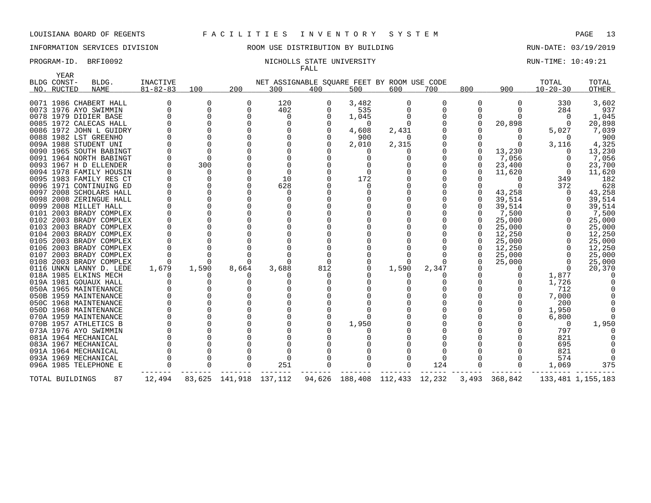# INFORMATION SERVICES DIVISION ROOM USE DISTRIBUTION BY BUILDING RUN-DATE: 03/19/2019

### PROGRAM-ID. BRFI0092 NICHOLLS STATE UNIVERSITY NEXT RUN-TIME: 10:49:21 FALL

| YEAR<br>BLDG CONST- | BLDG.                   | INACTIVE       |          |              |                                                    |          |                |                |          |          |          | TOTAL            | TOTAL             |
|---------------------|-------------------------|----------------|----------|--------------|----------------------------------------------------|----------|----------------|----------------|----------|----------|----------|------------------|-------------------|
| NO. RUCTED          | NAME                    | $81 - 82 - 83$ | 100      | 200          | NET ASSIGNABLE SQUARE FEET BY ROOM USE CODE<br>300 | 400      | 500            | 600            | 700      | 800      | 900      | $10 - 20 - 30$   | OTHER             |
|                     |                         |                |          |              |                                                    |          |                |                |          |          |          |                  |                   |
|                     | 0071 1986 CHABERT HALL  |                | 0        | $\Omega$     | 120                                                | 0        | 3,482          | 0              | 0        | 0        | $\Omega$ | 330              | 3,602             |
|                     | 0073 1976 AYO SWIMMIN   | 0              | $\Omega$ | $\Omega$     | 402                                                | $\Omega$ | 535            |                |          |          |          | 284              | 937               |
|                     | 0078 1979 DIDIER BASE   | 0              | $\Omega$ | <sup>0</sup> | $\Omega$                                           | $\Omega$ | 1,045          |                | $\Omega$ | $\Omega$ |          | $\left( \right)$ | 1,045             |
|                     | 0085 1972 CALECAS HALL  |                |          |              |                                                    |          | $\Omega$       |                |          |          | 20,898   | $\Omega$         | 20,898            |
|                     | 0086 1972 JOHN L GUIDRY |                |          |              |                                                    |          | 4,608          | 2,431          |          |          |          | 5,027            | 7,039             |
|                     | 0088 1982 LST GREENHO   |                |          |              |                                                    |          | 900            | $\Omega$       |          |          |          |                  | 900               |
|                     | 009A 1988 STUDENT UNI   |                |          |              |                                                    |          | 2,010          | 2,315          |          |          |          | 3,116            | 4,325             |
|                     | 0090 1965 SOUTH BABINGT |                | $\Omega$ |              |                                                    |          |                |                |          |          | 13,230   |                  | 13,230            |
|                     | 0091 1964 NORTH BABINGT |                | $\Omega$ |              |                                                    |          |                |                |          |          | 7,056    |                  | 7,056             |
|                     | 0093 1967 H D ELLENDER  |                | 300      |              |                                                    |          |                |                |          | O        | 23,400   |                  | 23,700            |
|                     | 0094 1978 FAMILY HOUSIN |                |          |              | $\cap$                                             |          |                |                |          |          | 11,620   |                  | 11,620            |
|                     | 0095 1983 FAMILY RES CT |                | O        |              | 10                                                 |          | 172            |                |          |          |          | 349              | 182               |
|                     | 0096 1971 CONTINUING ED |                | $\Omega$ |              | 628                                                |          | O              |                |          |          |          | 372              | 628               |
|                     | 0097 2008 SCHOLARS HALL |                |          |              | O                                                  |          |                |                |          |          | 43,258   |                  | 43,258            |
|                     | 0098 2008 ZERINGUE HALL |                |          |              |                                                    |          |                |                |          |          | 39,514   |                  | 39,514            |
|                     | 0099 2008 MILLET HALL   |                |          |              |                                                    |          |                |                |          |          | 39,514   |                  | 39,514            |
|                     | 0101 2003 BRADY COMPLEX |                |          |              |                                                    |          |                |                |          |          | 7,500    |                  | 7,500             |
|                     | 0102 2003 BRADY COMPLEX |                |          |              |                                                    |          |                |                |          |          | 25,000   |                  | 25,000            |
|                     | 0103 2003 BRADY COMPLEX |                |          |              |                                                    |          |                |                |          |          | 25,000   |                  | 25,000            |
|                     | 0104 2003 BRADY COMPLEX |                |          |              |                                                    |          |                |                |          |          | 12,250   |                  | 12,250            |
|                     | 0105 2003 BRADY COMPLEX |                |          |              |                                                    |          |                |                |          |          | 25,000   |                  | 25,000            |
|                     | 0106 2003 BRADY COMPLEX |                |          |              |                                                    |          |                |                |          |          | 12,250   |                  | 12,250            |
|                     | 0107 2003 BRADY COMPLEX |                |          |              |                                                    |          |                |                |          | $\Omega$ | 25,000   |                  | 25,000            |
|                     | 0108 2003 BRADY COMPLEX |                |          |              |                                                    |          |                |                |          |          | 25,000   |                  | 25,000            |
|                     | 0116 UNKN LANNY D. LEDE | 1,679          | 1,590    | 8,664        | 3,688                                              | 812      |                | 1,590          | 2,347    |          |          |                  | 20,370            |
|                     | 018A 1985 ELKINS MECH   |                |          |              |                                                    |          |                |                |          |          |          | 1,877            |                   |
|                     | 019A 1981 GOUAUX HALL   |                | 0        |              |                                                    |          |                |                |          |          |          | 1,726            |                   |
|                     | 050A 1965 MAINTENANCE   |                |          |              |                                                    |          |                |                |          |          |          | 712              |                   |
|                     | 050B 1959 MAINTENANCE   |                |          |              |                                                    |          |                |                |          |          |          | 7,000            |                   |
|                     | 050C 1968 MAINTENANCE   |                |          |              |                                                    |          |                |                |          |          |          | 200              |                   |
|                     | 050D 1968 MAINTENANCE   |                |          |              |                                                    |          |                |                |          |          |          | 1,950            |                   |
|                     | 070A 1959 MAINTENANCE   |                |          |              |                                                    |          |                |                |          |          |          | 6,800            |                   |
|                     | 070B 1957 ATHLETICS B   |                |          |              |                                                    |          | 1,950          |                |          |          |          | $\Omega$         | 1,950             |
|                     | 073A 1976 AYO SWIMMIN   |                |          |              |                                                    |          |                |                |          |          |          | 797              |                   |
|                     | 081A 1964 MECHANICAL    |                |          |              |                                                    |          |                |                |          |          |          | 821              |                   |
|                     | 083A 1967 MECHANICAL    |                |          |              |                                                    |          |                |                |          |          |          | 695              |                   |
|                     | 091A 1964 MECHANICAL    |                |          |              |                                                    |          |                |                |          |          |          | 821              |                   |
|                     | 093A 1969 MECHANICAL    |                |          |              | $\Omega$                                           |          |                |                |          |          |          | 574              |                   |
|                     | 096A 1985 TELEPHONE E   |                | $\Omega$ |              | 251                                                |          |                | 0              | 124      | $\Omega$ |          | 1,069            | 375               |
| TOTAL BUILDINGS     | 87                      | 12,494         | 83,625   | 141,918      | 137,112                                            |          | 94,626 188,408 | 112,433 12,232 |          | 3,493    | 368,842  |                  | 133,481 1,155,183 |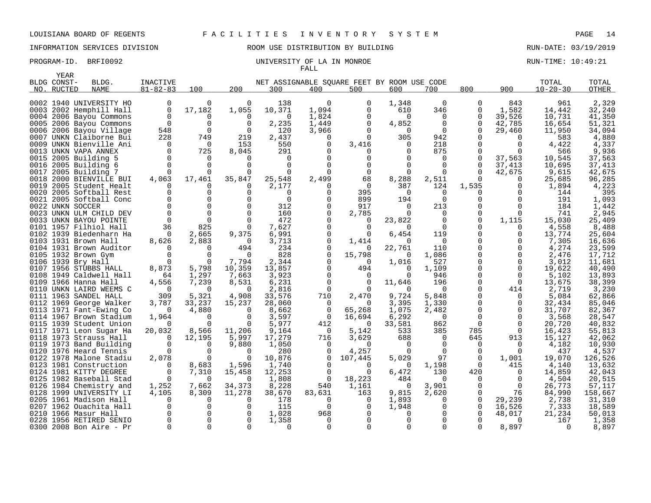# INFORMATION SERVICES DIVISION **REDEFILMENTION BY SULLANG RUN-DATE: 03/19/2019** RUN-DATE: 03/19/2019

| YEAR        |                                                  |                   |                      |                 |                 |          |                                             |               |                |                      |               |                 |                  |
|-------------|--------------------------------------------------|-------------------|----------------------|-----------------|-----------------|----------|---------------------------------------------|---------------|----------------|----------------------|---------------|-----------------|------------------|
| BLDG CONST- | BLDG.                                            | INACTIVE          |                      |                 |                 |          | NET ASSIGNABLE SQUARE FEET BY ROOM USE CODE |               |                |                      |               | TOTAL           | TOTAL            |
| NO. RUCTED  | <b>NAME</b>                                      | $81 - 82 - 83$    | 100                  | 200             | 300             | 400      | 500                                         | 600           | 700            | 800                  | 900           | $10 - 20 - 30$  | OTHER            |
|             |                                                  |                   |                      |                 |                 |          |                                             |               |                |                      |               |                 |                  |
|             | 0002 1940 UNIVERSITY HO                          | 0                 | $\Omega$             | $\Omega$        | 138             | $\Omega$ | $\Omega$                                    | 1,348         | $\Omega$       | $\Omega$             | 843           | 961             | 2,329            |
|             | 0003 2002 Hemphill Hall                          | $\Omega$          | 17,182               | 1,055           | 10,371          | 1,094    | 0                                           | 610           | 346            | 0                    | 1,582         | 14,442          | 32,240           |
|             | 0004 2006 Bayou Commons                          | $\Omega$          | O                    | $\Omega$        | $\Omega$        | 1,824    | $\Omega$                                    | $\Omega$      | $\Omega$       | $\Omega$             | 39,526        | 10,731          | 41,350           |
|             | 0005 2006 Bayou Commons                          | 0                 | $\Omega$             | 0               | 2,235           | 1,449    | 0                                           | 4,852         | 0              | 0                    | 42,785        | 16,654          | 51,321           |
|             | 0006 2006 Bayou Village                          | 548               | $\Omega$             | $\Omega$        | 120             | 3,966    | $\Omega$                                    | $\Omega$      | $\Omega$       | $\Omega$             | 29,460        | 11,950          | 34,094           |
|             | 0007 UNKN Claiborne Bui                          | 228               | 749                  | 219             | 2,437           | $\Omega$ | $\Omega$                                    | 305           | 942            | <sup>n</sup>         | $\Omega$      | 583             | 4,880            |
|             | 0009 UNKN Bienville Ani                          | $\Omega$          | $\Omega$             | 153             | 550             | $\Omega$ | 3,416                                       | 0             | 218            | $\Omega$             | $\Omega$      | 4,422           | 4,337            |
|             | 0013 UNKN VAPA ANNEX                             | $\Omega$          | 725                  | 8,045           | 291             | $\Omega$ |                                             | 0             | 875            | $\Omega$             | $\Omega$      | 566             | 9,936            |
|             | 0015 2005 Building 5                             | $\Omega$          | $\Omega$             | $\Omega$        | 0               |          |                                             |               | 0              | $\Omega$             | 37,563        | 10,545          | 37,563           |
|             | 0016 2005 Building 6                             | $\Omega$          | $\Omega$             | U               | $\Omega$        |          |                                             |               | 0              | $\Omega$             | 37,413        | 10,695          | 37,413           |
|             | 0017 2005 Building 7                             | $\Omega$          | $\Omega$             | $\Omega$        | $\Omega$        |          | 0                                           | $\Omega$      | $\Omega$       | $\Omega$             | 42,675        | 9,615           | 42,675           |
|             | 0018 2000 BIENVILLE BUI                          | 4,063             | 17,461               | 35,847          | 25,548          | 2,499    | 68                                          | 8,288         | 2,511          | <sup>0</sup>         | 0             | 25,685          | 96,285           |
|             | 0019 2005 Student Healt                          | 0                 |                      | $\Omega$        | 2,177           | O        | 0                                           | 387           | 124            | 1,535                | O             | 1,894           | 4,223            |
|             | 0020 2005 Softball Rest                          | $\Omega$          | O                    | $\Omega$        | ∩               |          | 395                                         | $\Omega$      | $\Omega$       | U                    |               | 144             | 395              |
|             | 0021 2005 Softball Conc                          |                   |                      | $\Omega$        | $\mathbf 0$     |          | 899                                         | 194           | $\mathbf 0$    | $\Omega$             | $\Omega$      | 191             | 1,093            |
|             | 0022 UNKN SOCCER                                 |                   |                      | $\Omega$        | 312             |          | 917                                         | 0             | 213            | 0                    | 0             | 184             | 1,442            |
|             | 0023 UNKN ULM CHILD DEV                          | $\mathbf 0$       | $\Omega$<br>$\Omega$ | 0               | 160             |          | 2,785                                       | $\Omega$      | $\mathbf 0$    | 0                    | $\Omega$      | 741             | 2,945            |
|             | 0033 UNKN BAYOU POINTE                           | $\Omega$          |                      | $\Omega$        | 472             |          | 0                                           | 23,822        | $\mathbf 0$    | 0                    | 1,115         | 15,030          | 25,409           |
|             | 0101 1957 Filhiol Hall                           | 36                | 825                  | $\Omega$        | 7,627           |          | $\Omega$                                    | $\Omega$      | $\Omega$       |                      | $\Omega$      | 4,558           | 8,488            |
|             | 0102 1939 Biedenharn Ha                          | 0                 | 2,665                | 9,375           | 6,991           | O        | 0                                           | 6,454         | 119            | 0<br><sup>n</sup>    | 0             | 13,774          | 25,604           |
|             | 0103 1931 Brown Hall                             | 8,626             | 2,883                | $\Omega$        | 3,713           |          | 1,414                                       | $\Omega$      | $\Omega$       |                      | O             | 7,305           | 16,636           |
|             | 0104 1931 Brown Auditor                          | $\Omega$          | $\Omega$             | 494             | 234             | $\Omega$ | $\Omega$                                    | 22,761        | 110            | $\Omega$<br>$\Omega$ | 0<br>$\Omega$ | 4,274           | 23,599           |
|             | 0105 1932 Brown Gym                              |                   |                      | $\Omega$        | 828             | $\cap$   | 15,798                                      | $\Omega$      | 1,086          |                      |               | 2,476           | 17,712           |
|             | 0106 1939 Bry Hall                               | $\Omega$<br>8,873 | $\Omega$<br>5,798    | 7,794           | 2,344           |          | $\Omega$                                    | 1,016         | 527<br>1,109   | $\Omega$             | $\Omega$<br>0 | 3,012<br>19,622 | 11,681           |
|             | 0107 1956 STUBBS HALL<br>0108 1949 Caldwell Hall | 64                | 1,297                | 10,359<br>7,663 | 13,857<br>3,923 | $\cap$   | 494<br>$\Omega$                             | 0<br>$\Omega$ | 946            | O                    | $\Omega$      | 5,102           | 40,490<br>13,893 |
|             | 0109 1966 Hanna Hall                             | 4,556             | 7,239                | 8,531           | 6,231           | $\Omega$ | $\Omega$                                    | 11,646        | 196            | $\Omega$             | $\Omega$      | 13,675          | 38,399           |
|             | 0110 UNKN LAIRD WEEMS C                          | $\overline{0}$    | $\Omega$             | 0               | 2,816           | $\Omega$ |                                             | 0             | $\Omega$       | $\Omega$             | 414           | 2,719           | 3,230            |
|             | 0111 1963 SANDEL HALL                            | 309               | 5,321                | 4,908           | 33,576          | 710      | 2,470                                       | 9,724         | 5,848          | 0                    | $\Omega$      | 5,084           | 62,866           |
|             | 0112 1969 George Walker                          | 3,787             | 33,237               | 15,237          | 28,060          | 0        | $\Omega$                                    | 3,395         | 1,330          | $\Omega$             | 0             | 32,434          | 85,046           |
|             | 0113 1971 Fant-Ewing Co                          | $\Omega$          | 4,880                | $\Omega$        | 8,662           | 0        | 65,268                                      | 1,075         | 2,482          | $\Omega$             | 0             | 31,707          | 82,367           |
|             | 0114 1967 Brown Stadium                          | 1,964             | $\Omega$             | $\Omega$        | 3,597           | $\Omega$ | 16,694                                      | 6,292         | $\Omega$       | $\Omega$             | $\Omega$      | 3,568           | 28,547           |
|             | 0115 1939 Student Union                          | $\Omega$          | $\Omega$             | 0               | 5,977           | 412      | 0                                           | 33,581        | 862            | 0                    | 0             | 20,720          | 40,832           |
|             | 0117 1971 Leon Sugar Ha                          | 20,032            | 8,566                | 11,206          | 9,164           | $\Omega$ | 5,142                                       | 533           | 385            | 785                  | $\Omega$      | 16,423          | 55,813           |
|             | 0118 1973 Strauss Hall                           | $\Omega$          | 12,195               | 5,997           | 17,279          | 716      | 3,629                                       | 688           | $\overline{0}$ | 645                  | 913           | 15,127          | 42,062           |
|             | 0119 1973 Band Building                          | $\Omega$          | $\Omega$             | 9,880           | 1,050           | 0        | $\Omega$                                    | 0             | 0              | 0                    | $\Omega$      | 4,182           | 10,930           |
|             | 0120 1976 Heard Tennis                           |                   | $\Omega$             | ∩               | 280             | $\Omega$ | 4,257                                       | $\Omega$      | $\Omega$       | $\Omega$             | $\Omega$      | 437             | 4,537            |
|             | 0122 1978 Malone Stadiu                          | 2,078             | $\overline{0}$       | 0               | 10,876          | $\Omega$ | 107,445                                     | 5,029         | 97             | 0                    | 1,001         | 19,070          | 126,526          |
|             | 0123 1981 Construction                           | $\Omega$          | 8,683                | 1,596           | 1,740           | ∩        | $\Omega$                                    | $\Omega$      | 1,198          | $\Omega$             | 415           | 4,140           | 13,632           |
|             | 0124 1981 KITTY DEGREE                           | $\Omega$          | 7,310                | 15,458          | 12,253          | 0        | $\Omega$                                    | 6,472         | 130            | 420                  | $\Omega$      | 14,859          | 42,043           |
|             | 0125 1982 Baseball Stad                          | $\Omega$          | $\Omega$             | 0               | 1,808           | 0        | 18,223                                      | 484           | 0              | $\Omega$             | 0             | 4,504           | 20,515           |
|             | 0126 1984 Chemistry and                          | 1,252             | 7,662                | 34,373          | 8,228           | 540      | 1,161                                       | $\Omega$      | 3,901          | $\Omega$             | 0             | 26,773          | 57,117           |
|             | 0128 1999 UNIVERSITY LI                          | 4,105             | 8,309                | 11,278          | 38,670          | 83,631   | 163                                         | 9,815         | 2,620          | 0                    | 76            | 84,990          | 158,667          |
|             | 0205 1961 Madison Hall                           | $\Omega$          |                      | $\Omega$        | 178             | $\Omega$ | 0                                           | 1,893         | $\Omega$       | $\Omega$             | 29,239        | 2,738           | 31,310           |
|             | 0207 1962 Ouachita Hall                          | 0                 |                      | U               | 115             | $\Omega$ |                                             | 1,948         | 0              | $\Omega$             | 16,526        | 7,333           | 18,589           |
|             | 0210 1966 Masur Hall                             |                   |                      | $\Omega$        | 1,028           | 968      |                                             |               | $\Omega$       | $\Omega$             | 48,017        | 21,234          | 50,013           |
|             | 0228 1956 RETIRED SENIO                          | $\Omega$          |                      | $\Omega$        | 1,358           | $\Omega$ |                                             |               | 0              | U                    | $\Omega$      | 167             | 1,358            |
|             | 0300 2008 Bon Aire - Pr                          | $\Omega$          |                      | $\Omega$        | $\Omega$        |          |                                             |               | U              | U                    | 8,897         |                 | 8,897            |
|             |                                                  |                   |                      |                 |                 |          |                                             |               |                |                      |               |                 |                  |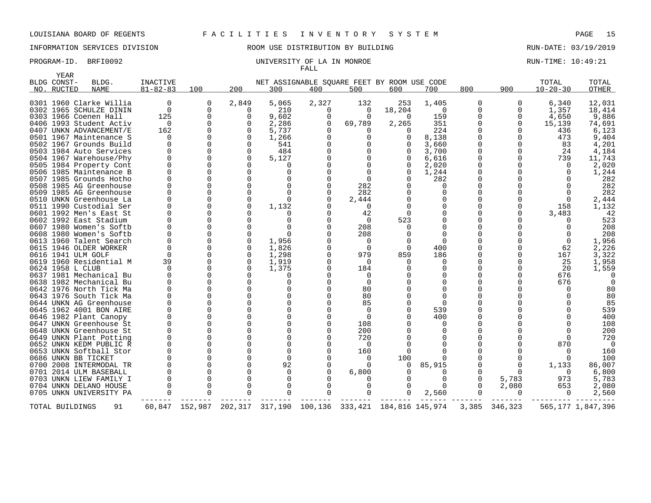INFORMATION SERVICES DIVISION ROOM USE DISTRIBUTION BY BUILDING RUN-DATE: 03/19/2019

### PROGRAM-ID. BRFI0092 UNIVERSITY OF LA IN MONROE RUN-TIME: 10:49:21 FALL

|     | <b>YEAR</b>           |                                                   |                            |                |          |              |          |                                                       |          |              |          |                   |                         |                   |
|-----|-----------------------|---------------------------------------------------|----------------------------|----------------|----------|--------------|----------|-------------------------------------------------------|----------|--------------|----------|-------------------|-------------------------|-------------------|
| NO. | BLDG CONST-<br>RUCTED | BLDG.<br><b>NAME</b>                              | INACTIVE<br>$81 - 82 - 83$ | 100            | 200      | 300          | 400      | NET ASSIGNABLE SOUARE FEET BY ROOM USE CODE<br>500    | 600      | 700          | 800      | 900               | TOTAL<br>$10 - 20 - 30$ | TOTAL<br>OTHER    |
|     |                       |                                                   |                            |                |          |              |          |                                                       |          |              |          |                   |                         |                   |
|     |                       | 0301 1960 Clarke Willia                           | $\Omega$                   | 0              | 2,849    | 5,065        | 2,327    | 132                                                   | 253      | 1,405        | 0        | 0                 | 6,340                   | 12,031            |
|     |                       | 0302 1965 SCHULZE DININ                           | $\Omega$                   | $\Omega$       | $\Omega$ | 210          | 0        | 0                                                     | 18,204   | $\Omega$     | $\Omega$ | $\Omega$          | 1,357                   | 18,414            |
|     |                       | 0303 1966 Coenen Hall                             | 125                        | 0              |          | 9,602        | $\Omega$ | $\Omega$                                              | $\Omega$ | 159          | 0        | 0                 | 4,650                   | 9,886             |
|     |                       | 0406 1993 Student Activ                           | $\Omega$                   |                |          | 2,286        | $\Omega$ | 69,789                                                | 2,265    | 351          |          | $\Omega$          | 15,139                  | 74,691            |
|     |                       | 0407 UNKN ADVANCEMENT/E                           | 162                        |                |          | 5,737        | ∩        |                                                       | 0        | 224          |          |                   | 436                     | 6,123             |
|     |                       | 0501 1967 Maintenance S                           | $\Omega$                   |                |          | 1,266        | $\Omega$ | 0                                                     | 0        | 8,138        |          | $\Omega$          | 473                     | 9,404             |
|     |                       | 0502 1967 Grounds Build                           | $\cap$                     |                |          | 541          | $\Omega$ | $\Omega$                                              |          | 3,660        |          | $\Omega$          | 83                      | 4,201             |
|     |                       | 0503 1984 Auto Services                           |                            |                |          | 484          | ∩        |                                                       |          | 3,700        |          | $\Omega$          | 24                      | 4,184             |
|     |                       | 0504 1967 Warehouse/Phy                           |                            |                |          | 5,127        |          | $\Omega$                                              |          | 6,616        |          | 0                 | 739                     | 11,743            |
|     |                       | 0505 1984 Property Cont                           |                            |                |          | O            |          |                                                       |          | 2,020        |          |                   | $\Omega$                | 2,020             |
|     |                       | 0506 1985 Maintenance B                           | $\cap$                     |                |          | O            |          | $\Omega$                                              | 0        | 1,244        |          |                   | $\Omega$                | 1,244             |
|     |                       | 0507 1985 Grounds Hotho                           |                            |                |          | O            |          | $\Omega$                                              |          | 282          |          |                   |                         | 282               |
|     |                       | 0508 1985 AG Greenhouse                           |                            |                |          | <sup>0</sup> |          | 282                                                   |          |              |          |                   |                         | 282               |
|     |                       | 0509 1985 AG Greenhouse                           |                            |                |          | O            |          | 282                                                   |          |              |          |                   |                         | 282               |
|     |                       | 0510 UNKN Greenhouse La                           |                            |                |          | U            |          | 2,444                                                 |          |              |          |                   |                         | 2,444             |
|     |                       | 0511 1990 Custodial Ser                           |                            |                |          | 1,132        |          | 0                                                     |          |              |          |                   | 158                     | 1,132             |
|     |                       | 0601 1992 Men's East St                           |                            |                |          |              |          | 42                                                    | 0        |              |          |                   | 3,483                   | -42               |
|     |                       | 0602 1992 East Stadium                            |                            |                |          | 0            |          | 0                                                     | 523      |              |          |                   |                         | 523               |
|     |                       | 0607 1980 Women's Softb                           |                            |                |          |              |          | 208                                                   |          |              |          |                   | $\Omega$                | 208               |
|     |                       | 0608 1980 Women's Softb                           |                            |                |          | $\Omega$     |          | 208                                                   |          | 0            |          |                   | $\Omega$                | 208               |
|     |                       | 0613 1960 Talent Search                           |                            |                |          | 1,956        |          | 0                                                     |          | 0            |          |                   | 0                       | 1,956             |
|     |                       | 0615 1946 OLDER WORKER                            | O                          |                |          | 1,826        | O        | 0                                                     | $\Omega$ | 400          |          |                   | 62                      | 2,226             |
|     |                       | 0616 1941 ULM GOLF                                | $\Omega$                   |                |          | 1,298        | $\Omega$ | 979                                                   | 859      | 186          |          |                   | 167                     | 3,322             |
|     |                       | 0619 1960 Residential M                           | 39                         |                |          | 1,919        | $\Omega$ | $\Omega$                                              |          | <sup>0</sup> |          |                   | 25                      | 1,958             |
|     |                       | 0624 1958 L CLUB                                  | $\Omega$                   |                |          | 1,375        | $\Omega$ | 184                                                   |          |              |          |                   | 20                      | 1,559             |
|     |                       | 0637 1981 Mechanical Bu                           |                            |                |          | 0            | ∩        | $\mathbf 0$                                           |          |              |          |                   | 676                     |                   |
|     |                       | 0638 1982 Mechanical Bu                           |                            |                |          | $\Omega$     | $\Omega$ | $\Omega$                                              |          |              |          |                   | 676                     | $\Omega$          |
|     |                       | 0642 1976 North Tick Ma                           |                            |                |          | $\Omega$     | ∩        | 80                                                    |          |              |          |                   | ∩                       | 80                |
|     |                       | 0643 1976 South Tick Ma                           |                            |                |          | $\Omega$     | $\Omega$ | 80                                                    |          | <sup>0</sup> |          |                   |                         | 80                |
|     |                       | 0644 UNKN AG Greenhouse                           |                            |                |          | $\Omega$     | ∩        | 85                                                    |          | $\cap$       |          |                   |                         | 85                |
|     |                       | 0645 1962 4001 BON AIRE                           |                            |                |          | O            | O        | $\Omega$                                              |          | 539          |          |                   |                         | 539               |
|     |                       | 0646 1982 Plant Canopy                            |                            |                |          | O            | O        | $\Omega$                                              |          | 400          |          |                   |                         | 400               |
|     |                       | 0647 UNKN Greenhouse St                           |                            |                |          | 0            | O        | 108                                                   |          | $\Omega$     |          |                   |                         | 108               |
|     |                       | 0648 UNKN Greenhouse St                           |                            |                |          | O            | ∩        | 200                                                   |          |              |          |                   |                         | 200               |
|     |                       | 0649 UNKN Plant Potting                           |                            |                |          | O            | O<br>∩   | 720                                                   |          |              |          |                   | $\Omega$                | 720               |
|     |                       | 0652 UNKN KEDM PUBLIC R                           |                            |                |          | O            |          | $\Omega$                                              |          |              |          |                   | 870                     | $\Omega$          |
|     |                       | 0653 UNKN Softball Stor                           |                            |                |          | $\Omega$     |          | 160                                                   |          |              |          |                   | $\Omega$                | 160               |
|     |                       | 0686 UNKN BB TICKET                               |                            |                |          | 0            |          | 0<br>$\Omega$                                         | 100      |              |          |                   |                         | 100               |
|     |                       | 0700 2008 INTERMODAL TR                           |                            |                |          | 92           | ∩        |                                                       | $\Omega$ | 85,915       |          | $\Omega$          | 1,133                   | 86,007            |
|     |                       | 0701 2014 ULM BASEBALL                            |                            |                |          | 0<br>O       |          | 6,800                                                 |          |              |          | $\Omega$<br>5,783 | $\Omega$<br>973         | 6,800<br>5,783    |
|     |                       | 0703 UNKN LIEW FAMILY I<br>0704 UNKN DELANO HOUSE |                            |                |          | 0            |          | $\Omega$                                              |          |              |          | 2,080             |                         | 2,080             |
|     |                       | 0705 UNKN UNIVERSITY PA                           |                            | 0              |          | $\Omega$     |          | $\Omega$                                              | 0        | 2,560        |          | 0                 | 653<br>0                | 2,560             |
|     |                       |                                                   |                            |                |          |              |          |                                                       |          |              |          |                   |                         |                   |
|     | TOTAL BUILDINGS       | 91                                                |                            | 60,847 152,987 |          |              |          | 202, 317 317, 190 100, 136 333, 421 184, 816 145, 974 |          |              |          | 3,385 346,323     |                         | 565,177 1,847,396 |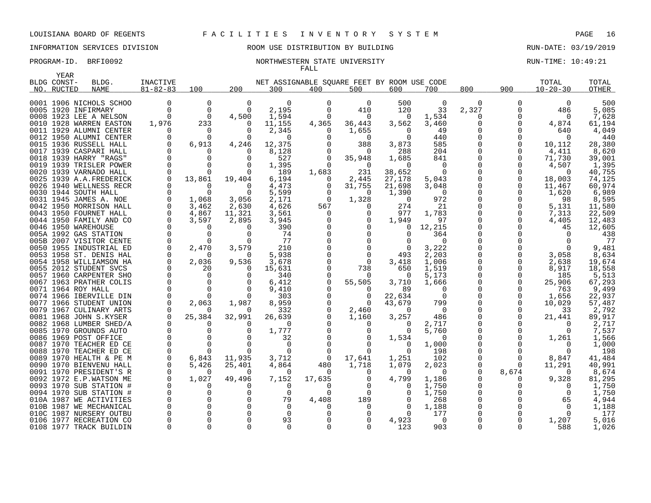# INFORMATION SERVICES DIVISION ROOM USE DISTRIBUTION BY BUILDING RUN-DATE: 03/19/2019

### PROGRAM-ID. BRFI0092 **NORTHWESTERN STATE UNIVERSITY** NORTHWESTERN STATE ON THE STATE ON THE STATE OF RUN-TIME: 10:49:21 FALL

| YEAR        |                         |                      |                      |          |                                             |               |                   |                      |                 |        |               |                   |              |
|-------------|-------------------------|----------------------|----------------------|----------|---------------------------------------------|---------------|-------------------|----------------------|-----------------|--------|---------------|-------------------|--------------|
| BLDG CONST- | BLDG.                   | INACTIVE             |                      |          | NET ASSIGNABLE SQUARE FEET BY ROOM USE CODE |               |                   |                      |                 |        |               | TOTAL             | TOTAL        |
| NO. RUCTED  | <b>NAME</b>             | $81 - 82 - 83$       | 100                  | 200      | 300                                         | 400           | 500               | 600                  | 700             | 800    | 900           | $10 - 20 - 30$    | OTHER        |
|             | 0001 1906 NICHOLS SCHOO | 0                    | 0                    | 0        | $\Omega$                                    | 0             | 0                 | 500                  | 0               | 0      | 0             | $\Omega$          | 500          |
|             | 0005 1920 INFIRMARY     | $\Omega$             | $\Omega$             | $\Omega$ | 2,195                                       | $\Omega$      | 410               | 120                  | 33              | 2,327  | 0             | 486               | 5,085        |
|             | 0008 1923 LEE A NELSON  | $\Omega$             | $\Omega$             | 4,500    | 1,594                                       | $\Omega$      | 0                 | 0                    | 1,534           | 0      | 0             | $\Omega$          | 7,628        |
|             |                         |                      |                      | $\Omega$ |                                             |               |                   |                      |                 | 0      |               |                   |              |
|             | 0010 1928 WARREN EASTON | 1,976                | 233                  | $\Omega$ | 11,155<br>2,345                             | 4,365         | 36,443            | 3,562                | 3,460<br>49     | O      | 0<br>O        | 4,874             | 61,194       |
|             | 0011 1929 ALUMNI CENTER | $\Omega$<br>$\Omega$ | $\Omega$<br>$\Omega$ | $\Omega$ | $\Omega$                                    | $\Omega$<br>∩ | 1,655<br>$\Omega$ | $\Omega$<br>$\Omega$ | 440             | O      | $\Omega$      | 640<br>$\Omega$   | 4,049<br>440 |
|             | 0012 1950 ALUMNI CENTER |                      |                      |          |                                             |               |                   |                      |                 |        |               |                   |              |
|             | 0015 1936 RUSSELL HALL  | $\Omega$<br>0        | 6,913                | 4,246    | 12,375                                      |               | 388               | 3,873                | 585             | O<br>0 | 0             | 10,112            | 28,380       |
|             | 0017 1939 CASPARI HALL  | $\Omega$             |                      | $\Omega$ | 8,128                                       |               | 0                 | 288                  | 204             | O      | 0             | 4,411             | 8,620        |
|             | 0018 1939 HARRY "RAGS"  | $\Omega$             |                      | O<br>O   | 527                                         | $\Omega$      | 35,948            | 1,685<br>$\Omega$    | 841<br>$\Omega$ |        | 0<br>$\Omega$ | 71,730            | 39,001       |
|             | 0019 1939 TRISLER POWER | $\Omega$             | $\Omega$<br>$\Omega$ | $\Omega$ | 1,395                                       | $\Omega$      | $\Omega$<br>231   |                      | $\Omega$        | 0      | 0             | 4,507<br>$\Omega$ | 1,395        |
|             | 0020 1939 VARNADO HALL  |                      |                      |          | 189                                         | 1,683         |                   | 38,652               |                 |        |               |                   | 40,755       |
|             | 0025 1939 A.A.FREDERICK | 0                    | 13,861               | 19,404   | 6,194                                       | 0             | 2,445             | 27,178               | 5,043           | 0<br>O | 0             | 18,003            | 74,125       |
|             | 0026 1940 WELLNESS RECR | $\Omega$             | $\Omega$             | $\Omega$ | 4,473                                       | $\Omega$      | 31,755            | 21,698               | 3,048           |        | 0             | 11,467            | 60,974       |
|             | 0030 1944 SOUTH HALL    | $\Omega$             | $\Omega$             | $\Omega$ | 5,599                                       |               | $\Omega$          | 1,390                | $\Omega$        | 0      | $\Omega$      | 1,620             | 6,989        |
|             | 0031 1945 JAMES A. NOE  | 0                    | 1,068                | 3,056    | 2,171                                       | $\Omega$      | 1,328             | $\Omega$             | 972             | 0      | $\Omega$      | 98                | 8,595        |
|             | 0042 1950 MORRISON HALL | $\Omega$             | 3,462                | 2,630    | 4,626                                       | 567           | $\Omega$          | 274                  | 21              | O      | 0             | 5,131             | 11,580       |
|             | 0043 1950 FOURNET HALL  |                      | 4,867                | 11,321   | 3,561                                       | $\Omega$      | $\Omega$          | 977                  | 1,783           |        | $\Omega$      | 7,313             | 22,509       |
|             | 0044 1950 FAMILY AND CO | $\Omega$             | 3,597                | 2,895    | 3,945                                       | ∩             | 0                 | 1,949                | 97              | O      | 0             | 4,405             | 12,483       |
|             | 0046 1950 WAREHOUSE     | $\Omega$             | $\Omega$             | $\Omega$ | 390                                         |               |                   | $\Omega$             | 12,215          | O      |               | 45                | 12,605       |
|             | 005A 1992 GAS STATION   | $\Omega$             | O                    | $\Omega$ | 74                                          |               | $\Omega$          |                      | 364             |        |               |                   | 438          |
|             | 005B 2007 VISITOR CENTE | $\Omega$             | O                    | $\Omega$ | 77                                          |               |                   |                      | $\Omega$        | O      |               |                   | 77           |
|             | 0050 1955 INDUSTRIAL ED | $\Omega$             | 2,470                | 3,579    | 210                                         |               | $\Omega$          |                      | 3,222           | O      | $\Omega$      | $\Omega$          | 9,481        |
|             | 0053 1958 ST. DENIS HAL | 0                    | 0                    | 0        | 5,938                                       |               | 0                 | 493                  | 2,203           | 0      | 0             | 3,058             | 8,634        |
|             | 0054 1958 WILLIAMSON HA | $\Omega$             | 2,036                | 9,536    | 3,678                                       |               | $\Omega$          | 3,418                | 1,006           | 0      | 0             | 2,638             | 19,674       |
|             | 0055 2012 STUDENT SVCS  |                      | 20                   | $\Omega$ | 15,631                                      |               | 738               | 650                  | 1,519           | 0      | 0             | 8,917             | 18,558       |
|             | 0057 1960 CARPENTER SHO | $\Omega$             | $\Omega$             | O        | 340                                         |               | $\Omega$          | $\Omega$             | 5,173           | 0      | O             | 185               | 5,513        |
|             | 0067 1963 PRATHER COLIS | 0                    | $\Omega$             | O        | 6,412                                       | 0             | 55,505            | 3,710                | 1,666           | 0      | 0             | 25,906            | 67,293       |
|             | 0071 1964 ROY HALL      | $\Omega$             |                      | $\Omega$ | 9,410                                       |               |                   | 89                   | $\Omega$        | O      | O             | 763               | 9,499        |
|             | 0074 1966 IBERVILLE DIN | $\Omega$             | $\Omega$             | $\Omega$ | 303                                         |               | $\Omega$          | 22,634               | $\Omega$        | O      | O             | 1,656             | 22,937       |
|             | 0077 1966 STUDENT UNION | $\Omega$             | 2,063                | 1,987    | 8,959                                       |               | $\Omega$          | 43,679               | 799             | 0      | 0             | 10,029            | 57,487       |
|             | 0079 1967 CULINARY ARTS |                      | O                    | $\Omega$ | 332                                         |               | 2,460             | $\Omega$             | $\Omega$        | 0      | $\Omega$      | 33                | 2,792        |
|             | 0081 1968 JOHN S.KYSER  |                      | 25,384               | 32,991   | 26,639                                      |               | 1,160             | 3,257                | 486             | 0      | 0             | 21,441            | 89,917       |
|             | 0082 1968 LUMBER SHED/A |                      | 0                    | $\Omega$ | $\Omega$                                    |               | $\Omega$          | $\Omega$             | 2,717           | O      | $\Omega$      | $\Omega$          | 2,717        |
|             | 0085 1970 GROUNDS AUTO  |                      |                      | O        | 1,777                                       |               | $\Omega$          | $\Omega$             | 5,760           | 0      | 0             | $\Omega$          | 7,537        |
|             | 0086 1969 POST OFFICE   |                      |                      | ∩        | 32                                          |               |                   | 1,534                | $\Omega$        | O      | O             | 1,261             | 1,566        |
|             | 0087 1970 TEACHER ED CE | U                    | $\Omega$             | $\Omega$ | $\Omega$                                    |               | $\Omega$          | $\Omega$             | 1,000           | O      | ∩             | $\Omega$          | 1,000        |
|             | 0088 1970 TEACHER ED CE | $\Omega$             | $\Omega$             | $\Omega$ | $\Omega$                                    |               | $\Omega$          | 0                    | 198             | O      |               |                   | 198          |
|             | 0089 1970 HEALTH & PE M | 0                    | 6,843                | 11,935   | 3,712                                       | 0             | 17,641            | 1,251                | 102             | U      | 0             | 8,847             | 41,484       |
|             | 0090 1970 BIENVENU HALL | <sup>0</sup>         | 5,426                | 25,401   | 4,864                                       | 480           | 1,718             | 1,079                | 2,023           | 0      | ∩             | 11,291            | 40,991       |
|             | 0091 1970 PRESIDENT'S R |                      | O                    | $\Omega$ | $\Omega$                                    | $\Omega$      | $\Omega$          | $\Omega$             | $\Omega$        | O      | 8,674         | $\Omega$          | 8,674        |
|             | 0092 1972 E.P.WATSON ME | 0                    | 1,027                | 49,496   | 7,152                                       | 17,635        |                   | 4,799                | 1,186           | 0      | 0             | 9,328             | 81,295       |
|             | 0093 1970 SUB STATION # |                      | O                    | ∩        | $\Omega$                                    | $\Omega$      |                   |                      | 1,750           | 0      |               |                   | 1,750        |
|             | 0094 1970 SUB STATION # | $\Omega$             |                      | $\Omega$ | $\Omega$                                    | $\Omega$      | $\Omega$          |                      | 1,750           | 0      |               | $\Omega$          | 1,750        |
|             | 010A 1987 WE ACTIVITIES |                      |                      | $\Omega$ | 79                                          | 4,408         | 189               |                      | 268             | O      |               | 65                | 4,944        |
|             | 010B 1987 WE MECHANICAL |                      |                      | O        | $\Omega$                                    |               | $\Omega$          | ∩                    | 1,188           |        |               | $\Omega$          | 1,188        |
|             | 010C 1987 NURSERY OUTBU |                      |                      |          | $\Omega$                                    |               |                   |                      | 177             |        |               |                   | 177          |
|             | 0106 1977 RECREATION CO |                      |                      | 0        | 93                                          |               |                   | 4,923                | $\Omega$        |        |               | 1,207             | 5,016        |
|             | 0108 1977 TRACK BUILDIN | $\Omega$             | $\Omega$             | $\Omega$ | $\Omega$                                    | $\Omega$      | $\Omega$          | 123                  | 903             | 0      | $\Omega$      | 588               | 1,026        |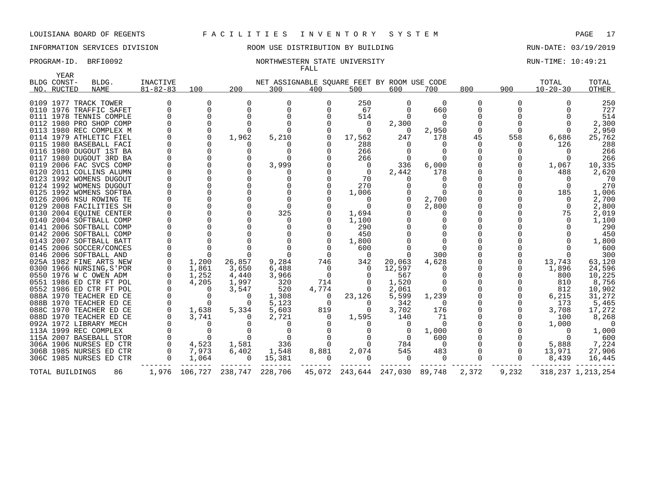# INFORMATION SERVICES DIVISION ROOM USE DISTRIBUTION BY BUILDING RUN-DATE: 03/19/2019

### PROGRAM-ID. BRFI0092 **NORTHWESTERN STATE UNIVERSITY** NORTHWESTERN STATE WILL AS A RUN-TIME: 10:49:21 FALL

| YEAR            |                          |                 |          |                       |                                             |                |                               |          |                 |          |          |                      |                      |
|-----------------|--------------------------|-----------------|----------|-----------------------|---------------------------------------------|----------------|-------------------------------|----------|-----------------|----------|----------|----------------------|----------------------|
| BLDG CONST-     | BLDG.                    | <b>INACTIVE</b> |          |                       | NET ASSIGNABLE SQUARE FEET BY ROOM USE CODE |                |                               |          |                 |          |          | TOTAL                | TOTAL                |
| NO. RUCTED      | NAME                     | $81 - 82 - 83$  | 100      | 200                   | 300                                         | 400            | 500                           | 600      | 700             | 800      | 900      | $10 - 20 - 30$       | OTHER                |
|                 | 0109 1977 TRACK TOWER    |                 |          | 0                     | $\Omega$                                    | 0              | 250                           | $\Omega$ | $\Omega$        | 0        |          |                      | 250                  |
|                 | 0110 1976 TRAFFIC SAFET  |                 |          |                       | $\Omega$                                    | $\Omega$       | 67                            |          | 660             | 0        |          |                      | 727                  |
|                 | 0111 1978 TENNIS COMPLE  |                 | $\Omega$ |                       | $\Omega$                                    |                | 514                           |          | $\Omega$        | $\Omega$ |          |                      | 514                  |
|                 |                          |                 |          |                       |                                             |                |                               |          |                 |          |          |                      |                      |
|                 | 0112 1980 PRO SHOP COMP  |                 |          |                       |                                             |                | 0                             | 2,300    | $\Omega$        |          |          |                      | 2,300                |
|                 | 0113 1980 REC COMPLEX M  |                 |          |                       |                                             |                | $\Omega$                      | $\Omega$ | 2,950           | $\Omega$ |          | $\Omega$             | 2,950                |
|                 | 0114 1979 ATHLETIC FIEL  |                 |          | 1,962                 | 5,210                                       |                | 17,562                        | 247      | 178             | 45       | 558      | 6,686                | 25,762               |
|                 | 0115 1980 BASEBALL FACI  |                 |          | O                     | $\Omega$                                    |                | 288                           |          |                 | $\Omega$ |          | 126                  | 288                  |
|                 | 0116 1980 DUGOUT 1ST BA  |                 |          |                       | <sup>0</sup>                                |                | 266                           |          |                 | 0        |          |                      | 266                  |
|                 | 0117 1980 DUGOUT 3RD BA  |                 |          |                       |                                             |                | 266                           |          |                 |          |          |                      | 266                  |
|                 | 0119 2006 FAC SVCS COMP  |                 |          | $\Omega$              | 3,999                                       |                | 0                             | 336      | 6,000           | 0        |          | 1,067                | 10,335               |
|                 | 0120 2011 COLLINS ALUMN  |                 |          |                       |                                             |                | $\overline{0}$                | 2,442    | 178             |          |          | 488                  | 2,620                |
|                 | 0123 1992 WOMENS DUGOUT  |                 |          |                       |                                             |                | 70                            |          |                 |          |          |                      | 70                   |
|                 | 0124 1992 WOMENS DUGOUT  |                 |          |                       | $\Omega$                                    |                | 270                           |          |                 |          |          | $\Omega$             | 270                  |
|                 | 0125 1992 WOMENS SOFTBA  |                 |          |                       | $\Omega$                                    |                | 1,006                         |          |                 |          |          | 185                  | 1,006                |
|                 | 0126 2006 NSU ROWING TE  |                 |          |                       | $\Omega$                                    |                | $\Omega$                      |          | 2,700           |          |          | $\Omega$             | 2,700                |
|                 | 0129 2008 FACILITIES SH  |                 |          |                       | $\Omega$                                    |                | 0                             |          | 2,800           |          |          | $\Omega$             | 2,800                |
|                 | 0130 2004 EOUINE CENTER  |                 |          | U                     | 325                                         |                | 1,694                         |          |                 |          |          | 75                   | 2,019                |
|                 | 0140 2004 SOFTBALL COMP  |                 |          |                       | $\Omega$                                    |                | 1,100                         |          |                 |          |          |                      | 1,100                |
|                 | 0141 2006 SOFTBALL COMP  |                 |          |                       |                                             |                | 290                           |          |                 |          |          |                      | 290                  |
|                 | 0142 2006 SOFTBALL COMP  |                 |          |                       | $\Omega$                                    |                | 450                           |          |                 |          |          |                      | 450                  |
|                 | 0143 2007 SOFTBALL BATT  |                 |          |                       |                                             |                | 1,800                         |          |                 |          |          |                      | 1,800                |
|                 | 0145 2006 SOCCER/CONCES  |                 |          |                       | $\Omega$                                    |                | 600                           |          |                 |          |          |                      | 600                  |
|                 | 0146 2006 SOFTBALL AND   |                 |          |                       | $\Omega$                                    | 0              | $\overline{0}$                |          | 300             |          |          |                      | 300                  |
|                 | 025A 1982 FINE ARTS NEW  | 0               | 1,200    | 26,857                | 9,284                                       | 746            | 342                           | 20,063   | 4,628           | 0        |          | 13,743               | 63,120               |
|                 | 0300 1966 NURSING, S'POR |                 | 1,861    | 3,650                 | 6,488                                       | $\Omega$       | $\Omega$                      | 12,597   |                 |          |          | 1,896                | 24,596               |
|                 | 0550 1976 W C OWEN ADM   |                 | 1,252    | 4,440                 | 3,966                                       | 0              | 0                             | 567      | $\Omega$        |          |          | 800                  | 10,225               |
|                 | 0551 1986 ED CTR FT POL  |                 | 4,205    | 1,997                 | 320                                         | 714            | $\Omega$                      | 1,520    |                 |          |          | 810                  | 8,756                |
|                 | 0552 1986 ED CTR FT POL  |                 |          | 3,547                 | 520                                         | 4,774          | 0                             | 2,061    |                 |          |          | 812                  | 10,902               |
|                 | 088A 1970 TEACHER ED CE  |                 |          | $\Omega$              | 1,308                                       | $\overline{0}$ | 23,126                        | 5,599    | 1,239           |          |          | 6,215                | 31,272               |
|                 | 088B 1970 TEACHER ED CE  |                 | $\Omega$ | $\Omega$              | 5,123                                       | $\Omega$       | $\Omega$                      | 342      | $\Omega$        |          |          | 173                  | 5,465                |
|                 | 088C 1970 TEACHER ED CE  |                 | 1,638    | 5,334                 | 5,603                                       | 819            | $\Omega$                      | 3,702    | 176             |          |          | 3,708                | 17,272               |
|                 | 088D 1970 TEACHER ED CE  |                 | 3,741    | $\Omega$              | 2,721                                       | $\Omega$       | 1,595                         | 140      | 71              |          |          | 100                  | 8,268                |
|                 | 092A 1972 LIBRARY MECH   |                 |          |                       | $\Omega$                                    |                |                               |          | $\Omega$        |          |          | 1,000                | $\overline{0}$       |
|                 | 113A 1999 REC COMPLEX    |                 |          |                       |                                             |                |                               |          |                 |          |          |                      |                      |
|                 |                          |                 | $\cap$   | $\Omega$              | $\Omega$                                    |                |                               |          | 1,000           |          |          | $\Omega$<br>$\Omega$ | 1,000                |
|                 | 115A 2007 BASEBALL STOR  | $\mathbf 0$     |          |                       | $\Omega$                                    |                |                               | $\Omega$ | 600<br>$\Omega$ |          |          |                      | 600                  |
|                 | 306A 1906 NURSES ED CTR  |                 | 4,523    | 1,581                 | 336                                         |                |                               | 784      |                 |          |          | 5,888                | 7,224                |
|                 | 306B 1985 NURSES ED CTR  | $\Omega$        | 7,973    | 6,402                 | 1,548                                       | 8,881          | 2,074                         | 545      | 483             |          |          | 13,971               | 27,906               |
|                 | 306C 1985 NURSES ED CTR  | $\Omega$        | 1,064    | $\Omega$              | 15,381                                      | $\Omega$       | $\Omega$                      | $\Omega$ | $\Omega$        | $\Omega$ | $\Omega$ | 8,439                | 16,445               |
| TOTAL BUILDINGS | 86                       |                 |          | 1,976 106,727 238,747 | 228,706                                     |                | 45,072 243,644 247,030 89,748 |          |                 | 2,372    | 9,232    |                      | 318, 237 1, 213, 254 |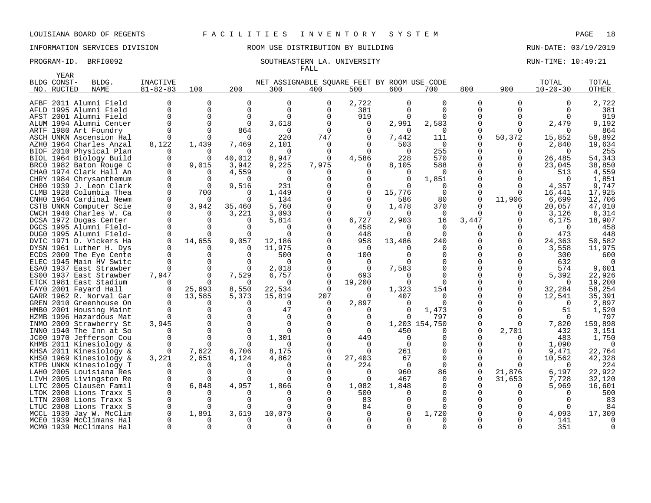# INFORMATION SERVICES DIVISION ROOM USE DISTRIBUTION BY BUILDING RUN-DATE: 03/19/2019

### PROGRAM-ID. BRFI0092 SOUTHEASTERN LA. UNIVERSITY SALL AND RUN-TIME: 10:49:21 FALL

|      | <b>YEAR</b> |                         |                |             |          |                                             |          |                |          |               |          |          |                |         |
|------|-------------|-------------------------|----------------|-------------|----------|---------------------------------------------|----------|----------------|----------|---------------|----------|----------|----------------|---------|
|      | BLDG CONST- | BLDG.                   | INACTIVE       |             |          | NET ASSIGNABLE SOUARE FEET BY ROOM USE CODE |          |                |          |               |          |          | TOTAL          | TOTAL   |
|      | NO. RUCTED  | <b>NAME</b>             | $81 - 82 - 83$ | 100         | 200      | 300                                         | 400      | 500            | 600      | 700           | 800      | 900      | $10 - 20 - 30$ | OTHER   |
|      |             |                         |                |             |          |                                             |          |                |          |               |          |          |                |         |
|      |             | AFBF 2011 Alumni Field  | O              | $\Omega$    | $\Omega$ | $\Omega$                                    | $\Omega$ | 2,722          | $\Omega$ | $\Omega$      | $\Omega$ | $\Omega$ |                | 2,722   |
|      |             | AFLD 1995 Alumni Field  | U              | $\Omega$    | $\Omega$ | 0                                           | 0        | 381            | $\Omega$ | $\Omega$      | ∩        |          |                | 381     |
|      |             | AFST 2001 Alumni Field  | U              | $\mathbf 0$ | $\Omega$ | 0                                           |          | 919            | $\Omega$ | $\Omega$      |          |          |                | 919     |
|      |             | ALUM 1994 Alumni Center |                | $\Omega$    | $\Omega$ | 3,618                                       |          | $\Omega$       | 2,991    | 2,583         |          |          | 2,479          | 9,192   |
|      |             | ARTF 1980 Art Foundry   |                | ∩           | 864      | 0                                           |          | $\Omega$       | 0        | <sup>0</sup>  |          |          |                | 864     |
|      |             | ASCH UNKN Ascension Hal | $\Omega$       | $\Omega$    |          | 220                                         | 747      | O              | 7,442    | 111           | $\Omega$ | 50,372   | 15,852         | 58,892  |
|      |             | AZHO 1964 Charles Anzal | 8,122          | 1,439       | 7,469    | 2,101                                       |          | 0              | 503      | $\Omega$      |          |          | 2,840          | 19,634  |
|      |             | BIOF 2010 Physical Plan | O              | O           | $\Omega$ | $\Omega$                                    |          | $\Omega$       | $\Omega$ | 255           | O        | ∩        | $\Omega$       | 255     |
|      |             | BIOL 1964 Biology Build | N              | ∩           | 40,012   | 8,947                                       |          | 4,586          | 228      | 570           |          |          | 26,485         | 54,343  |
| BRC0 |             | 1982 Baton Rouge C      | $\Omega$       | 9,015       | 3,942    | 9,225                                       | 7,975    | O              | 8,105    | 588           |          |          | 23,045         | 38,850  |
|      |             | CHAO 1974 Clark Hall An | U              | 0           | 4,559    | 0                                           |          |                | 0        | $\Omega$      |          |          | 513            | 4,559   |
|      |             | CHRY 1984 Chrysanthemum |                | O           | $\Omega$ | $\Omega$                                    |          | ∩              | $\Omega$ | 1,851         |          |          | $\Omega$       | 1,851   |
|      |             | CH00 1939 J. Leon Clark | U              | $\Omega$    | 9,516    | 231                                         |          | $\Omega$       | 0        | $\Omega$      |          |          | 4,357          | 9,747   |
|      |             | CLMB 1928 Columbia Thea | ∩              | 700         |          | 1,449                                       |          | $\Omega$       | 15,776   | $\Omega$      | $\Omega$ |          | 16,441         | 17,925  |
|      |             | CNHO 1964 Cardinal Newm | $\Omega$       | $\Omega$    | $\Omega$ | 134                                         |          | $\Omega$       | 586      | 80            | $\Omega$ | 11,906   | 6,699          | 12,706  |
|      |             | CSTB UNKN Computer Scie | O              | 3,942       | 35,460   | 5,760                                       |          | 0              | 1,478    | 370           |          |          | 20,057         | 47,010  |
|      |             | CWCH 1940 Charles W. Ca | $\Omega$       | $\Omega$    | 3,221    | 3,093                                       |          | $\Omega$       | 0        | $\Omega$      | ∩        |          | 3,126          | 6,314   |
|      |             | DCSA 1972 Dugas Center  | U              | $\Omega$    | $\Omega$ | 5,814                                       |          | 6,727          | 2,903    | 16            | 3,447    |          | 6,175          | 18,907  |
|      |             | DGCS 1995 Alumni Field- |                | ∩           |          | 0                                           |          | 458            |          | $\Omega$      | ∩        |          | $\Omega$       | 458     |
|      |             | DUGO 1995 Alumni Field- | O              | ∩           |          | $\Omega$                                    |          | 448            | U        | $\Omega$      |          |          | 473            | 448     |
|      |             | DVIC 1971 D. Vickers Ha | $\Omega$       | 14,655      | 9,057    | 12,186                                      |          | 958            | 13,486   | 240           |          | $\Omega$ | 24,363         | 50,582  |
|      |             | DYSN 1961 Luther H. Dys |                |             | $\Omega$ | 11,975                                      |          | $\overline{0}$ |          | $\Omega$      |          | $\Omega$ | 3,558          | 11,975  |
|      |             | ECDS 2009 The Eye Cente |                | $\Omega$    |          | 500                                         |          | 100            |          | $\Omega$      |          | ∩        | 300            | 600     |
| ELEC |             | 1945 Main HV Switc      | $\Omega$       | $\Omega$    |          | 0                                           |          | 0              |          | $\Omega$      |          |          | 632            | 0       |
|      |             | ESA0 1937 East Strawber | $\Omega$       | $\Omega$    |          | 2,018                                       |          | $\Omega$       | 7,583    | $\Omega$      |          |          | 574            | 9,601   |
|      |             | ES00 1937 East Strawber | 7,947          | $\Omega$    | 7,529    | 6,757                                       |          | 693            |          | <sup>0</sup>  |          |          | 5,392          | 22,926  |
|      |             | ETCK 1981 East Stadium  | $\Omega$       | $\Omega$    | 0        | 0                                           |          | 19,200         | $\Omega$ | $\Omega$      |          |          |                | 19,200  |
|      |             | FAYO 2001 Fayard Hall   | 0              | 25,693      | 8,550    | 22,534                                      |          |                | 1,323    | 154           |          | $\Omega$ | 32,284         | 58,254  |
|      |             | GARR 1962 R. Norval Gar | $\Omega$       | 13,585      | 5,373    | 15,819                                      | 207      | $\Omega$       | 407      | $\Omega$      |          | $\Omega$ | 12,541         | 35,391  |
|      |             | GREN 2010 Greenhouse On |                |             |          | $\Omega$                                    | 0        | 2,897          | 0        | $\Omega$      |          |          | $\Omega$       | 2,897   |
|      |             | HMB0 2001 Housing Maint | ∩              | $\Omega$    |          | 47                                          |          | ∩              | 0        | 1,473         |          |          | 51             | 1,520   |
|      |             | HZMB 1996 Hazardous Mat | ∩              | $\Omega$    |          | $\Omega$                                    |          | O              | $\Omega$ | 797           |          |          |                | 797     |
|      |             | INMO 2009 Strawberry St | 3,945          | $\Omega$    |          | 0                                           |          | ∩              |          | 1,203 154,750 | $\Omega$ |          | 7,820          | 159,898 |
|      |             | INNO 1940 The Inn at So |                | $\Omega$    |          | 0                                           |          | $\Omega$       | 450      | O             | $\Omega$ | 2,701    | 432            | 3,151   |
|      |             | JC00 1970 Jefferson Cou |                | $\Omega$    |          | 1,301                                       |          | 449            | 0        |               |          |          | 483            | 1,750   |
|      |             | KHMB 2011 Kinesiology & | $\Omega$       | $\Omega$    |          | $\Omega$                                    |          | $\Omega$       | $\Omega$ | $\Omega$      |          |          | 1,090          |         |
|      |             | KHSA 2011 Kinesiology & | $\Omega$       | 7,622       | 6,706    | 8,175                                       |          | $\Omega$       | 261      | $\Omega$      |          |          | 9,471          | 22,764  |
| KHS0 |             | 1969 Kinesiology &      | 3,221          | 2,651       | 4,124    | 4,862                                       |          | 27,403         | 67       | 0             | ∩        |          | 10,562         | 42,328  |
| KTPB |             | UNKN Kinesiology T      | ∩              | ∩           |          |                                             |          | 224            | $\Omega$ | $\Omega$      | $\Omega$ |          |                | 224     |
| LAH0 |             | 2005 Louisiana Res      | U              | $\Omega$    |          | 0                                           |          | $\Omega$       | 960      | 86            | $\Omega$ | 21,876   | 6,197          | 22,922  |
|      |             | LIVH 2005 Livingston Re | O              | ∩           | ∩        | 0                                           |          | $\Omega$       | 467      | $\Omega$      |          | 31,653   | 7,728          | 32,120  |
| LLTC |             | 2005 Clausen Famil      | U              | 6,848       | 4,957    | 1,866                                       |          | 1,082          | 1,848    | $\Omega$      |          |          | 5,969          | 16,601  |
|      |             | LTOK 2008 Lions Traxx S |                |             |          |                                             |          | 500            | $\Omega$ | $\Omega$      |          |          |                | 500     |
|      |             | LTTN 2008 Lions Traxx S | O              | O           |          | $\Omega$                                    |          | 83             |          | $\Omega$      |          |          |                | 83      |
| LTUC |             | 2008 Lions Traxx S      | $\Omega$       | ∩           |          | 0                                           |          | 84             |          | $\Omega$      |          |          |                | 84      |
|      |             | MCCL 1939 Jay W. McClim | 0              | 1,891       | 3,619    | 10,079                                      |          | $\Omega$       | 0        | 1,720         |          |          | 4,093          | 17,309  |
|      |             | MCE0 1939 McClimans Hal |                |             |          |                                             |          | U              |          | U             |          |          | 141            |         |
|      |             | MCM0 1939 McClimans Hal | $\Omega$       | $\Omega$    | ∩        | $\Omega$                                    |          | ∩              | U        | $\Omega$      |          | $\Omega$ | 351            |         |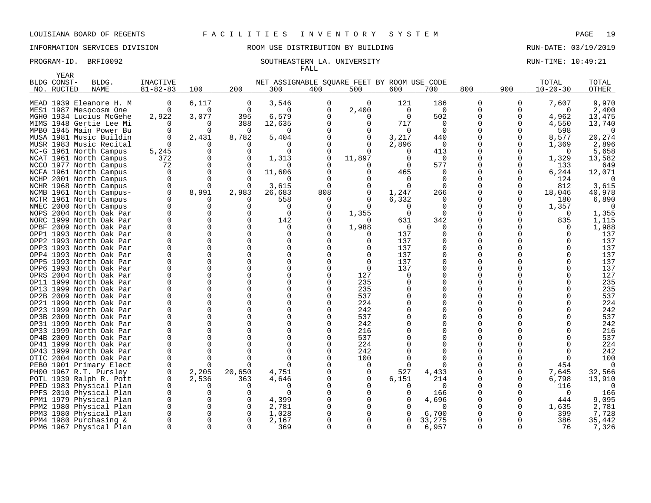# INFORMATION SERVICES DIVISION ROOM USE DISTRIBUTION BY BUILDING RUN-DATE: 03/19/2019

### PROGRAM-ID. BRFI0092 SOUTHEASTERN LA. UNIVERSITY SOUTHEASTERN LA. EXAMPLE 20149:21 FALL

|     | YEAR<br>BLDG CONST- | BLDG.                                              | INACTIVE                |          |          | NET ASSIGNABLE SQUARE FEET BY ROOM USE CODE |             |              |              |             |                      |          | TOTAL          | TOTAL      |
|-----|---------------------|----------------------------------------------------|-------------------------|----------|----------|---------------------------------------------|-------------|--------------|--------------|-------------|----------------------|----------|----------------|------------|
| NO. | RUCTED              | <b>NAME</b>                                        | $81 - 82 - 83$          | 100      | 200      | 300                                         | 400         | 500          | 600          | 700         | 800                  | 900      | $10 - 20 - 30$ | OTHER      |
|     |                     |                                                    |                         |          |          |                                             |             |              |              |             |                      |          |                |            |
|     |                     | MEAD 1939 Eleanore H. M                            | 0                       | 6,117    | 0        | 3,546                                       | 0           | <sup>0</sup> | 121          | 186         | 0                    | 0        | 7,607          | 9,970      |
|     |                     | MES1 1987 Mesocosm One                             | $\Omega$                | $\Omega$ | $\Omega$ | $\Omega$                                    | 0           | 2,400        | 0            | $\mathbf 0$ | 0                    | O        | $\Omega$       | 2,400      |
|     |                     | MGHO 1934 Lucius McGehe                            | 2,922                   | 3,077    | 395      | 6,579                                       | $\Omega$    | O            | $\Omega$     | 502         | 0                    | N        | 4,962          | 13,475     |
|     |                     | MIMS 1948 Gertie Lee Mi                            | $\Omega$                | 0        | 388      | 12,635                                      | 0           | $\Omega$     | 717          | $\mathbf 0$ | 0                    | 0        | 4,550          | 13,740     |
|     |                     | MPBO 1945 Main Power Bu                            | $\Omega$                | $\Omega$ | $\Omega$ | $\Omega$                                    | $\Omega$    | $\Omega$     | $\Omega$     | $\Omega$    | $\Omega$             | U        | 598            | $\Omega$   |
|     |                     | MUSA 1981 Music Buildin                            | $\mathbf 0$             | 2,431    | 8,782    | 5,404                                       | $\mathbf 0$ | $\mathbf 0$  | 3,217        | 440         | $\mathbf 0$          | O        | 8,577          | 20,274     |
|     |                     | MUSR 1983 Music Recital                            |                         |          |          | <sup>0</sup>                                | $\Omega$    | $\Omega$     | 2,896        | $\Omega$    | $\Omega$             | Ω        | 1,369          | 2,896      |
|     |                     | NC-G 1961 North Campus                             | 5,245                   | $\Omega$ | $\Omega$ | $\Omega$                                    | $\Omega$    | <sup>n</sup> |              | 413         | $\mathbf 0$          |          | $\Omega$       | 5,658      |
|     |                     | NCAT 1961 North Campus                             | 372                     | $\Omega$ | 0        | 1,313                                       | 0           | 11,897       |              | 0           | 0                    | 0        | 1,329          | 13,582     |
|     |                     | NCCO 1977 North Campus                             | 72                      | 0        |          |                                             | $\Omega$    |              |              | 577         | $\Omega$             | $\Omega$ | 133            | 649        |
|     |                     | NCFA 1961 North Campus                             | 0                       | $\Omega$ | $\Omega$ | 11,606                                      | $\Omega$    | 0            | 465          | 0           | $\mathbf 0$          | 0        | 6,244          | 12,071     |
|     |                     | NCHP 2001 North Campus                             | $\Omega$                | $\Omega$ |          |                                             | $\Omega$    | <sup>n</sup> |              | $\Omega$    | $\Omega$             | O        | 124            |            |
|     |                     | NCHR 1968 North Campus                             | 0                       | $\Omega$ | $\Omega$ | 3,615                                       | 0           | 0            | $\Omega$     | $\Omega$    | 0                    | 0        | 812            | 3,615      |
|     |                     | NCMB 1961 North Campus-                            | 0                       | 8,991    | 2,983    | 26,683                                      | 808         | 0            | 1,247        | 266         | $\Omega$             | O        | 18,046         | 40,978     |
|     |                     | NCTR 1961 North Campus                             | $\mathbf 0$             |          |          | 558                                         | 0           | $\Omega$     | 6,332        | $\Omega$    | 0                    | O        | 180            | 6,890      |
|     |                     | NMEC 2000 North Campus                             | 0                       | $\Omega$ |          | $\Omega$                                    | $\Omega$    | $\Omega$     | $\Omega$     | $\Omega$    | $\Omega$             | O        | 1,357          | $\Omega$   |
|     |                     | NOPS 2004 North Oak Par                            | $\mathbf 0$             |          |          | $\Omega$                                    | $\Omega$    | 1,355        | $\Omega$     | $\Omega$    | $\Omega$             | O        | $\Omega$       | 1,355      |
|     |                     | NORC 1999 North Oak Par                            | $\mathbf 0$             |          | ∩        | 142                                         | $\Omega$    | <sup>n</sup> | 631          | 342         | $\mathbf 0$          | O        | 835            | 1,115      |
|     |                     | OPBF 2009 North Oak Par                            | $\Omega$                |          | ∩        | $\Omega$                                    | $\Omega$    | 1,988        | $\Omega$     |             | $\Omega$             |          | $\Omega$       | 1,988      |
|     |                     | OPP1 1993 North Oak Par                            | $\Omega$                |          |          | 0                                           | 0           | 0            | 137          | $\Omega$    | $\Omega$             |          | 0              | 137        |
|     |                     | OPP2 1993 North Oak Par                            |                         |          |          |                                             | 0           | $\Omega$     | 137          |             | $\Omega$             |          |                | 137        |
|     |                     | OPP3 1993 North Oak Par                            |                         |          |          | $\Omega$                                    | 0           | 0            | 137          |             | $\Omega$             |          |                | 137        |
|     |                     | OPP4 1993 North Oak Par                            | $\mathbf 0$             |          |          | $\Omega$                                    | $\Omega$    | $\Omega$     | 137          | $\Omega$    | $\Omega$             |          | <sup>0</sup>   | 137        |
|     |                     | OPP5 1993 North Oak Par                            | $\Omega$                |          |          | $\Omega$                                    | $\Omega$    | 0            | 137          | $\Omega$    | $\Omega$             |          | ∩              | 137        |
|     |                     | OPP6 1993 North Oak Par                            | $\Omega$                |          |          | $\Omega$                                    | $\Omega$    | $\Omega$     | 137          | ∩           | $\Omega$             |          |                | 137        |
|     |                     | OPRS 2004 North Oak Par                            | $\Omega$                | $\Omega$ |          | $\Omega$                                    | 0           | 127          | $\Omega$     |             | $\Omega$             |          | <sup>0</sup>   | 127        |
|     |                     | OP11 1999 North Oak Par                            | $\Omega$                | O        |          | $\Omega$                                    | $\Omega$    | 235          |              | ∩           | $\Omega$             |          | U              | 235        |
|     |                     | OP13 1999 North Oak Par                            | $\Omega$                |          |          |                                             | 0           | 235          |              |             | $\Omega$             |          |                | 235        |
|     |                     | OP2B 2009 North Oak Par                            |                         |          |          | $\Omega$                                    | $\Omega$    | 537          |              | $\Omega$    | $\Omega$             |          | U              | 537<br>224 |
|     |                     | OP21 1999 North Oak Par                            | $\mathbf 0$<br>$\Omega$ |          |          | ∩                                           | 0<br>0      | 224<br>242   |              |             | $\Omega$<br>$\Omega$ |          |                | 242        |
|     |                     | OP23 1999 North Oak Par<br>OP3B 2009 North Oak Par | $\Omega$                |          |          | $\Omega$                                    | $\Omega$    | 537          |              |             | $\Omega$             |          |                | 537        |
|     |                     | OP31 1999 North Oak Par                            | $\Omega$                |          |          | $\Omega$                                    | 0           | 242          |              |             | $\Omega$             |          |                | 242        |
|     |                     | OP33 1999 North Oak Par                            | $\Omega$                |          |          | U                                           | $\Omega$    | 216          |              |             | $\Omega$             |          | U              | 216        |
|     |                     | OP4B 2009 North Oak Par                            | $\Omega$                |          |          |                                             | 0           | 537          |              |             | $\Omega$             |          |                | 537        |
|     |                     | OP41 1999 North Oak Par                            | $\Omega$                |          |          |                                             | $\Omega$    | 224          |              |             | <sup>0</sup>         |          | U              | 224        |
|     |                     | OP43 1999 North Oak Par                            | $\Omega$                | O        |          | $\Omega$                                    | 0           | 242          |              |             | $\Omega$             |          | <sup>0</sup>   | 242        |
|     |                     | OTIC 2004 North Oak Par                            | $\Omega$                | $\Omega$ |          |                                             | O           | 100          |              |             | <sup>0</sup>         |          | 0              | 100        |
|     |                     | PEB0 1901 Primary Elect                            | 0                       | $\Omega$ | $\Omega$ | $\Omega$                                    | $\Omega$    | 0            |              |             | $\Omega$             |          | 454            | $\Omega$   |
|     |                     | PH00 1967 R.T. Pursley                             | 0                       | 2,205    | 20,650   | 4,751                                       | $\Omega$    | $\Omega$     | 527          | 4,433       | $\Omega$             | U        | 7.645          | 32,566     |
|     |                     | POTL 1939 Ralph R. Pott                            | $\mathbf 0$             | 2,536    | 363      | 4,646                                       | $\Omega$    | $\mathbf 0$  | 6,151        | 214         | 0                    | O        | 6,798          | 13,910     |
|     |                     | PPED 1983 Physical Plan                            | 0                       | O        |          | $\Omega$                                    | $\Omega$    | $\Omega$     |              | $\Omega$    | $\Omega$             |          | 116            |            |
|     |                     | PPFS 2010 Physical Plan                            | 0                       | $\Omega$ | $\Omega$ | $\Omega$                                    | $\Omega$    | $\Omega$     |              | 166         | $\mathbf 0$          |          | $\Omega$       | 166        |
|     |                     | PPM1 1979 Physical Plan                            | 0                       |          | $\Omega$ | 4,399                                       | $\Omega$    | $\Omega$     |              | 4,696       | 0                    | 0        | 444            | 9,095      |
|     |                     | PPM2 1980 Physical Plan                            | $\mathbf 0$             | 0        | $\Omega$ | 2,781                                       | $\Omega$    | $\Omega$     |              | $\Omega$    | $\Omega$             | $\Omega$ | 1,635          | 2,781      |
|     |                     | PPM3 1980 Physical Plan                            | 0                       | $\Omega$ | 0        | 1,028                                       | 0           | $\Omega$     |              | 6,700       | 0                    |          | 399            | 7,728      |
|     |                     | PPM4 1980 Purchasing &                             |                         |          | $\Omega$ | 2,167                                       | $\Omega$    | <sup>n</sup> |              | 33,275      | $\Omega$             |          | 386            | 35,442     |
|     |                     | PPM6 1967 Physical Plan                            | $\mathbf 0$             | $\Omega$ | ∩        | 369                                         | 0           | $\Omega$     | <sup>0</sup> | 6,957       | $\mathbf 0$          | 0        | 76             | 7,326      |
|     |                     |                                                    |                         |          |          |                                             |             |              |              |             |                      |          |                |            |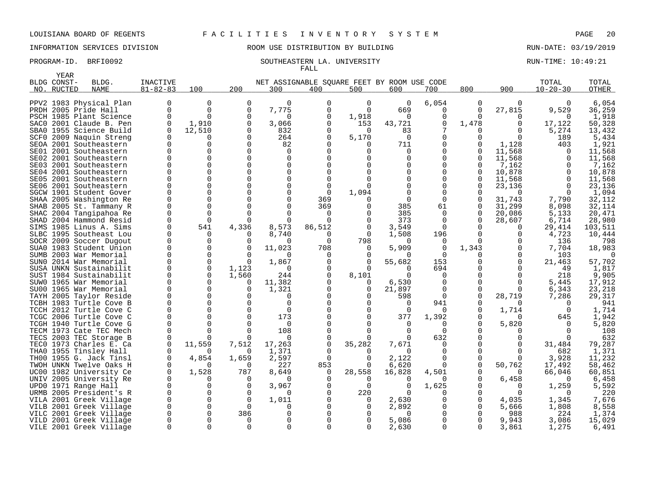# INFORMATION SERVICES DIVISION ROOM USE DISTRIBUTION BY BUILDING RUN-DATE: 03/19/2019

### PROGRAM-ID. BRFI0092 SOUTHEASTERN LA. UNIVERSITY SERVITHE: 10:49:21 FALL

|      | <b>YEAR</b> |                                                    |                |               |              |                                             |               |               |                 |               |             |              |                |                  |
|------|-------------|----------------------------------------------------|----------------|---------------|--------------|---------------------------------------------|---------------|---------------|-----------------|---------------|-------------|--------------|----------------|------------------|
|      | BLDG CONST- | BLDG.                                              | INACTIVE       |               |              | NET ASSIGNABLE SQUARE FEET BY ROOM USE CODE |               |               |                 |               |             |              | TOTAL          | TOTAL            |
|      | NO. RUCTED  | <b>NAME</b>                                        | $81 - 82 - 83$ | 100           | 200          | 300                                         | 400           | 500           | 600             | 700           | 800         | 900          | $10 - 20 - 30$ | OTHER            |
|      |             |                                                    |                |               | 0            | $\Omega$                                    |               |               |                 |               |             |              |                |                  |
|      |             | PPV2 1983 Physical Plan                            |                | 0<br>$\Omega$ |              |                                             | 0<br>$\Omega$ | 0<br>$\Omega$ | 0               | 6,054         | 0           | $\Omega$     | 0<br>9,529     | 6,054            |
|      |             | PRDH 2005 Pride Hall                               |                | $\Omega$      | 0<br>O       | 7,775<br>∩                                  | O             |               | 669<br>$\Omega$ | $\Omega$<br>0 | 0<br>O      | 27,815       |                | 36,259           |
|      |             | PSCH 1985 Plant Science                            |                |               |              |                                             |               | 1,918         |                 |               |             | O            | O              | 1,918            |
|      |             | SACO 2001 Claude B. Pen                            |                | 1,910         | O<br>∩       | 3,066                                       | 0             | 153           | 43,721          | 0             | 1,478       | 0            | 17,122         | 50,328           |
|      |             | SBA0 1955 Science Build                            |                | 12,510        | $\Omega$     | 832                                         |               | $\Omega$      | 83              |               |             |              | 5,274          | 13,432           |
| SCF0 |             | 2009 Naquin Streng                                 |                | O             |              | 264                                         | O             | 5,170         | 0               | $\Omega$      | O           | $\Omega$     | 189            | 5,434            |
|      |             | SEOA 2001 Southeastern                             |                | O             | ∩<br>O       | 82<br>$\Omega$                              |               | O             | 711             | 0             | O<br>0      | 1,128        | 403            | 1,921            |
| SE01 |             | 2001 Southeastern                                  |                | 0<br>$\Omega$ |              | $\Omega$                                    |               |               | 0<br>U          | 0<br>U        | 0           | 11,568       |                | 11,568           |
| SE02 |             | 2001 Southeastern<br>2001 Southeastern             |                | $\Omega$      |              |                                             |               |               |                 | O             | O           | 11,568       |                | 11,568           |
| SE03 |             | SE04 2001 Southeastern                             |                | 0             |              | $\Omega$                                    |               |               |                 | 0             | 0           | 7,162        |                | 7,162            |
|      |             |                                                    |                | $\Omega$      |              |                                             |               |               |                 | U             | U           | 10,878       |                | 10,878           |
| SE05 |             | 2001 Southeastern                                  |                | $\Omega$      |              | $\Omega$                                    | $\Omega$      |               |                 | $\Omega$      | O           | 11,568       | ∩              | 11,568           |
| SE06 |             | 2001 Southeastern                                  |                | $\Omega$      |              | ∩                                           | $\cap$        |               |                 | 0             |             | 23,136       |                | 23,136           |
|      |             | SGCW 1901 Student Gover                            |                | 0             |              | $\Omega$                                    | 369           | 1,094         | 0               | 0             | 0           | 31,743       |                | 1,094            |
|      |             | SHAA 2005 Washington Re<br>SHAB 2005 St. Tammany R |                | 0             |              |                                             | 369           |               | 385             | 61            | 0           | 31,299       | 7,790<br>8,098 | 32,112<br>32,114 |
| SHAC |             | 2004 Tangipahoa Re                                 |                | $\Omega$      |              |                                             | ∩             |               | 385             | $\Omega$      | O           | 20,086       | 5,133          | 20,471           |
|      |             | SHAD 2004 Hammond Resid                            |                | $\Omega$      | <sup>n</sup> | $\Omega$                                    | $\Omega$      | $\Omega$      | 373             | $\Omega$      | 0           | 28,607       | 6,714          | 28,980           |
|      |             | SIMS 1985 Linus A. Sims                            |                | 541           | 4,336        | 8,573                                       | 86,512        | $\Omega$      | 3,549           | $\Omega$      |             | $\Omega$     | 29,414         | 103,511          |
|      |             | SLBC 1995 Southeast Lou                            |                | 0             | ∩            | 8,740                                       | 0             | 0             | 1,508           | 196           | O           | O            | 4,723          | 10,444           |
|      |             | SOCR 2009 Soccer Dugout                            |                | 0             |              | ∩                                           | $\Omega$      | 798           |                 | 0             | U           | O            | 136            | 798              |
|      |             | SUA0 1983 Student Union                            |                | 0             | O            | 11,023                                      | 708           | 0             | 5,909           | 0             | 1,343       | $\Omega$     | 7,704          | 18,983           |
|      |             | SUMB 2003 War Memorial                             |                | 0             | ∩            |                                             | ∩             |               | 0               | $\Omega$      | U           | $\Omega$     | 103            |                  |
| SUN0 |             | 2014 War Memorial                                  |                | 0             | 0            | 1,867                                       | ∩             | ∩             | 55,682          | 153           | O           | $\Omega$     | 21,463         | 57,702           |
|      |             | SUSA UNKN Sustainabilit                            |                | 0             | 1,123        | <sup>0</sup>                                |               | ∩             | 0               | 694           |             |              | 49             | 1,817            |
|      |             | SUST 1984 Sustainabilit                            |                | $\Omega$      | 1,560        | 244                                         |               | 8,101         | 0               | 0             | U           | <sup>0</sup> | 218            | 9,905            |
|      |             | SUWO 1965 War Memorial                             |                | 0             | 0            | 11,382                                      |               | 0             | 6,530           | 0             | 0           | $\Omega$     | 5,445          | 17,912           |
|      |             | SU00 1965 War Memorial                             |                | $\Omega$      | ∩            | 1,321                                       |               | O             | 21,897          | ∩             | O           | ∩            | 6,343          | 23,218           |
|      |             | TAYH 2005 Taylor Reside                            |                | $\Omega$      | U            | O                                           |               |               | 598             | 0             | $\mathbf 0$ | 28,719       | 7,286          | 29,317           |
|      |             | TCBH 1983 Turtle Cove B                            |                | $\Omega$      |              | $\Omega$                                    |               |               | $\Omega$        | 941           | O           |              |                | 941              |
|      |             | TCCH 2012 Turtle Cove C                            |                | $\Omega$      |              | $\Omega$                                    |               |               | $\Omega$        | 0             | O           | 1,714        |                | 1,714            |
|      |             | TCGC 2006 Turtle Cove C                            |                | 0             |              | 173                                         |               |               | 377             | 1,392         | 0           |              | 645            | 1,942            |
|      |             | TCGH 1940 Turtle Cove G                            |                | 0             |              | $\Omega$                                    |               |               | $\Omega$        | O             | U           | 5,820        |                | 5,820            |
|      |             | TECM 1973 Cate TEC Mech                            |                | $\Omega$      |              | 108                                         |               |               | O               | $\Omega$      |             | O            |                | 108              |
|      |             | TECS 2003 TEC Storage B                            |                |               |              | $\Omega$                                    |               |               | 0               | 632           | U           |              |                | 632              |
|      |             | TECO 1973 Charles E. Ca                            |                | 11,559        | 7,512        | 17,263                                      | 0             | 35,282        | 7,671           | $\Omega$      | 0           |              | 31,484         | 79,287           |
|      |             | THAO 1955 Tinsley Hall                             |                |               | ∩            | 1,371                                       |               |               | $\Omega$        | ∩             | O           | $\Omega$     | 682            | 1,371            |
|      |             | TH00 1955 G. Jack Tinsl                            |                | 4,854         | 1,659        | 2,597                                       | $\Omega$      | O             | 2,122           | $\Omega$      | O           | O            | 3,928          | 11,232           |
|      |             | TWOH UNKN Twelve Oaks H                            |                |               | ∩            | 227                                         | 853           |               | 6,620           | 0             | 0           | 50,762       | 17,492         | 58,462           |
| UC00 |             | 1982 University Ce                                 |                | 1,528         | 787          | 8,649                                       | $\Omega$      | 28,558        | 16,828          | 4,501         | O           | n            | 66,046         | 60,851           |
|      |             | UNIV 2005 University Re                            |                | 0             | 0            | <sup>0</sup>                                |               |               | $\Omega$        | 0             | 0           | 6,458        |                | 6,458            |
|      |             | UPD0 1971 Range Hall                               |                | O             |              | 3,967                                       |               | $\Omega$      | 0               | 1,625         |             | O            | 1,259          | 5,592            |
|      |             | URMB 2005 President's R                            |                | 0             | O            | n                                           |               | 220           | $\Omega$        | O             | 0           | O            | ∩              | 220              |
| VILA |             | 2001 Greek Village                                 |                | $\Omega$      | ∩            | 1,011                                       |               | O             | 2,630           | U             | O           | 4,035        | 1,345          | 7,676            |
| VILB |             | 2001 Greek Village                                 |                | $\Omega$      | $\Omega$     |                                             |               |               | 2,892           | O             | O           | 5,666        | 1,808          | 8,558            |
|      |             | VILC 2001 Greek Village                            |                | 0             | 386          |                                             |               |               |                 | O             | O           | 988          | 224            | 1,374            |
|      |             | VILD 2001 Greek Village                            |                | $\Omega$      | 0            |                                             |               |               | 5,086           | 0             |             | 9,943        | 3,086          | 15,029           |
|      |             | VILE 2001 Greek Village                            |                | $\Omega$      | $\Omega$     | $\Omega$                                    |               | $\Omega$      | 2,630           | U             | 0           | 3,861        | 1,275          | 6,491            |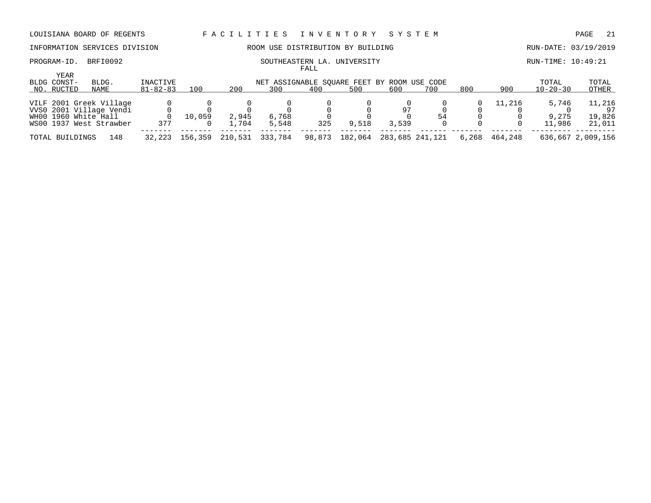# INFORMATION SERVICES DIVISION ROOM USE DISTRIBUTION BY BUILDING RUN-DATE: 03/19/2019

### PROGRAM-ID. BRFI0092 SOUTHEASTERN LA. UNIVERSITY SOUTHEASTERN LA. EXAMPLE 20149:21 FALL

| <b>YEAR</b><br>BLDG CONST-<br>NO. RUCTED | BLDG.<br>NAME                                                                 | INACTIVE<br>$81 - 82 - 83$ | 100     | 200            | NET ASSIGNABLE SOUARE FEET BY ROOM USE CODE<br>300 | 400    | 500     | 600         | 700             | 800   | 900     | TOTAL<br>$10 - 20 - 30$  | TOTAL<br>OTHER                   |
|------------------------------------------|-------------------------------------------------------------------------------|----------------------------|---------|----------------|----------------------------------------------------|--------|---------|-------------|-----------------|-------|---------|--------------------------|----------------------------------|
|                                          |                                                                               |                            |         |                |                                                    |        |         |             |                 |       |         |                          |                                  |
| WH00 1960 White Hall                     | VILF 2001 Greek Village<br>VVS0 2001 Village Vendi<br>WS00 1937 West Strawber | 377                        | 10,059  | 2,945<br>1.704 | 6,768<br>5,548                                     | 325    | 9,518   | 97<br>3,539 | 54              |       | 11,216  | 5,746<br>9,275<br>11,986 | 11,216<br>97<br>19,826<br>21,011 |
|                                          |                                                                               |                            |         |                |                                                    |        |         |             |                 |       |         |                          |                                  |
| TOTAL BUILDINGS                          | 148                                                                           | 32,223                     | 156,359 | 210,531        | 333,784                                            | 98,873 | 182,064 |             | 283,685 241,121 | 6,268 | 464.248 |                          | 636,667 2,009,156                |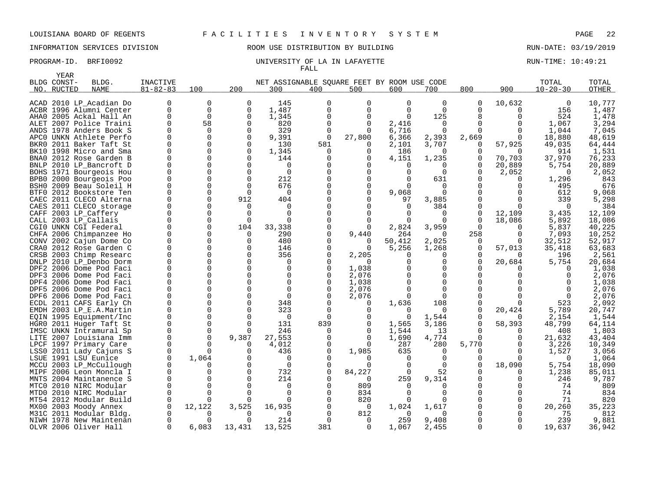# INFORMATION SERVICES DIVISION ROOM USE DISTRIBUTION BY BUILDING RUN-DATE: 03/19/2019

|      | YEAR        |                                                    |                |          |                      |                                             |                 |              |                   |             |              |                    |                |                 |
|------|-------------|----------------------------------------------------|----------------|----------|----------------------|---------------------------------------------|-----------------|--------------|-------------------|-------------|--------------|--------------------|----------------|-----------------|
|      | BLDG CONST- | BLDG.                                              | INACTIVE       |          |                      | NET ASSIGNABLE SQUARE FEET BY ROOM USE CODE |                 |              |                   |             |              |                    | TOTAL          | TOTAL           |
| NO.  | RUCTED      | <b>NAME</b>                                        | $81 - 82 - 83$ | 100      | 200                  | 300                                         | 400             | 500          | 600               | 700         | 800          | 900                | $10 - 20 - 30$ | OTHER           |
|      |             |                                                    |                |          |                      |                                             |                 |              |                   |             |              |                    |                |                 |
|      |             | ACAD 2010 LP Acadian Do                            | 0              | 0        | 0                    | 145                                         | $\Omega$        | 0            | 0                 | 0           | 0            | 10,632             | 0              | 10,777          |
|      |             | ACBR 1996 Alumni Center                            | $\Omega$       | $\Omega$ | 0                    | 1,487                                       | $\Omega$        | $\Omega$     | $\Omega$          | $\Omega$    | U            | O                  | 156            | 1,487           |
|      |             | AHAO 2005 Ackal Hall An                            |                | $\Omega$ | O                    | 1,345                                       |                 | <sup>0</sup> | $\Omega$          | 125         | 8            | O                  | 524            | 1,478           |
|      |             | ALET 2007 Police Traini                            |                | 58       | 0                    | 820                                         | $\Omega$        | 0            | 2,416             | 0           | $\Omega$     |                    | 1,067          | 3,294           |
|      |             | ANDS 1978 Anders Book S                            |                | U        | $\Omega$             | 329                                         |                 | 0            | 6,716             | O           | U            | ∩                  | 1,044          | 7,045           |
|      |             | APCO UNKN Athlete Perfo                            |                | O        | 0                    | 9,391                                       | 0               | 27,800       | 6,366             | 2,393       | 2,669        | 0                  | 18,880         | 48,619          |
| BKR0 |             | 2011 Baker Taft St                                 |                |          | O<br>$\Omega$        | 130                                         | 581<br>$\Omega$ | <sup>0</sup> | 2,101             | 3,707       | 0<br>0       | 57,925<br>$\Omega$ | 49,035         | 64,444          |
|      |             | BK10 1998 Micro and Sma<br>BNA0 2012 Rose Garden B |                |          | O                    | 1,345<br>144                                |                 |              | 186               | 0           | 0            |                    | 914<br>37,970  | 1,531<br>76,233 |
|      |             | BNLP 2010 LP_Bancroft D                            |                |          | U                    | $\Omega$                                    |                 |              | 4,151<br>$\Omega$ | 1,235<br>O  | <sup>0</sup> | 70,703<br>20,889   | 5,754          | 20,889          |
|      |             | BOHS 1971 Bourgeois Hou                            |                |          | O                    | $\mathbf 0$                                 |                 |              | 0                 | $\Omega$    | 0            | 2,052              | $\Omega$       | 2,052           |
|      |             | BPB0 2000 Bourgeois Poo                            |                |          | O                    | 212                                         |                 |              |                   | 631         |              |                    | 1,296          | 843             |
| BSH0 |             | 2009 Beau Soleil H                                 |                | O        | $\Omega$             | 676                                         |                 | <sup>0</sup> |                   | 0           |              |                    | 495            | 676             |
| BTF0 |             | 2012 Bookstore Ten                                 |                |          | ∩                    | $\Omega$                                    |                 | $\Omega$     | 9,068             | U           |              |                    | 612            | 9,068           |
| CAEC |             | 2011 CLECO Alterna                                 |                | O        | 912                  | 404                                         |                 |              | 97                | 3,885       |              | O                  | 339            | 5,298           |
|      |             | CAES 2011 CLECO storage                            |                |          | O                    | <sup>0</sup>                                |                 |              |                   | 384         | 0            |                    |                | 384             |
|      |             | CAFF 2003 LP_Caffery                               |                |          | $\Omega$             | $\Omega$                                    |                 |              |                   | 0           | $\Omega$     | 12,109             | 3,435          | 12,109          |
|      |             | CALL 2003 LP Callais                               |                |          | $\Omega$             | $\Omega$                                    |                 |              |                   | 0           | $\Omega$     | 18,086             | 5,892          | 18,086          |
|      |             | CGIO UNKN CGI Federal                              |                |          | 104                  | 33,338                                      |                 | <sup>0</sup> | 2,824             | 3,959       | U            | $\Omega$           | 5,837          | 40,225          |
|      |             | CHFA 2006 Chimpanzee Ho                            |                |          | $\Omega$             | 290                                         |                 | 9,440        | 264               | $\Omega$    | 258          | O                  | 7,093          | 10,252          |
|      |             | CONV 2002 Cajun Dome Co                            |                |          | $\Omega$             | 480                                         |                 |              | 50,412            | 2,025       | $\Omega$     |                    | 32,512         | 52,917          |
| CRA0 |             | 2012 Rose Garden C                                 |                |          | $\Omega$             | 146                                         |                 | $\Omega$     | 5,256             | 1,268       | $\Omega$     | 57,013             | 35,418         | 63,683          |
|      |             | CRSB 2003 Chimp Researc                            |                | O        | O                    | 356                                         |                 | 2,205        |                   | 0           | O            |                    | 196            | 2,561           |
|      |             | DNLP 2010 LP_Denbo Dorm                            |                |          | O                    | $\Omega$                                    |                 |              |                   | 0           | $\Omega$     | 20,684             | 5,754          | 20,684          |
|      |             | DPF2 2006 Dome Pod Faci                            |                |          | O                    | <sup>0</sup>                                |                 | 1,038        |                   | O           |              |                    |                | 1,038           |
|      |             | DPF3 2006 Dome Pod Faci                            |                |          | O                    | $\Omega$                                    |                 | 2,076        |                   | 0           |              |                    |                | 2,076           |
|      |             | DPF4 2006 Dome Pod Faci                            |                |          | O                    | $\Omega$                                    |                 | 1,038        |                   | $\Omega$    |              |                    |                | 1,038           |
|      |             | DPF5 2006 Dome Pod Faci                            |                |          | O                    | $\Omega$                                    |                 | 2,076        |                   | O           |              |                    |                | 2,076           |
|      |             | DPF6 2006 Dome Pod Faci                            |                |          | O                    | $\mathbf 0$                                 |                 | 2,076        |                   | $\Omega$    |              |                    |                | 2,076           |
|      |             | ECDL 2011 CAFS Early Ch                            |                |          | U                    | 348                                         |                 |              | 1,636             | 108         |              |                    | 523            | 2,092           |
|      |             | EMDH 2003 LP_E.A.Martin                            |                |          | O                    | 323                                         |                 |              | 0                 | 0           | $\Omega$     | 20,424             | 5,789          | 20,747          |
|      |             | EQIN 1995 Equipment/Inc                            |                |          |                      | $\Omega$                                    |                 |              | 0                 | 1,544       | 0            |                    | 2,154          | 1,544           |
|      |             | HGRO 2011 Huger Taft St                            |                | $\Omega$ | $\Omega$<br>$\Omega$ | 131                                         | 839             | <sup>0</sup> | 1,565             | 3,186       | 0<br>U       | 58,393             | 48,799         | 64,114          |
|      |             | IMSC UNKN Intramural Sp<br>LITE 2007 Louisiana Imm |                |          | 9,387                | 246<br>27,553                               |                 | U            | 1,544<br>1,690    | 13<br>4,774 | U            | O                  | 408<br>21,632  | 1,803<br>43,404 |
|      |             | LPCF 1997 Primary Care                             |                |          | $\Omega$             | 4,012                                       |                 | U            | 287               | 280         | 5,770        | 0                  | 3,226          | 10,349          |
|      |             | LSS0 2011 Lady Cajuns S                            |                |          | U                    | 436                                         |                 | 1,985        | 635               | O           |              |                    | 1,527          | 3,056           |
|      |             | LSUE 1991 LSU Eunice                               |                | 1,064    | O                    | $\Omega$                                    |                 |              | 0                 | $\Omega$    | U            | ∩                  | <sup>0</sup>   | 1,064           |
|      |             | MCCU 2003 LP_McCullough                            |                |          | O                    | $\Omega$                                    |                 |              | 0                 | $\Omega$    | <sup>0</sup> | 18,090             | 5,754          | 18,090          |
| MIPF |             | 2006 Leon Moncla I                                 |                |          | O                    | 732                                         |                 | 84,227       | $\Omega$          | 52          |              |                    | 1,238          | 85,011          |
|      |             | MNTS 2004 Maintanence S                            |                |          |                      | 214                                         |                 | $\Omega$     | 259               | 9,314       |              |                    | 246            | 9,787           |
| MTC0 |             | 2010 NIRC Modular                                  |                |          |                      | O                                           |                 | 809          | 0                 | O           |              |                    | 74             | 809             |
| MTD0 |             | 2010 NIRC Modular                                  |                |          |                      | $\Omega$                                    |                 | 834          | 0                 | O           |              |                    | 74             | 834             |
| MT54 |             | 2012 Modular Build                                 |                |          |                      |                                             |                 | 820          |                   | U           |              |                    | 71             | 820             |
| MX00 |             | 2003 Moody Annex                                   |                | 12,122   | 3,525                | 16,935                                      |                 | $\Omega$     | 1,024             | 1,617       |              | O                  | 20,260         | 35,223          |
|      |             | M31C 2011 Modular Bldg.                            |                |          |                      | ∩                                           |                 | 812          |                   | ∩           |              |                    | 75             | 812             |
|      |             | NIWH 1978 New Maintenan                            |                |          | $\Omega$             | 214                                         | O               | $\Omega$     | 259               | 9,408       | U            | O                  | 239            | 9,881           |
|      |             | OLVR 2006 Oliver Hall                              |                | 6,083    | 13,431               | 13,525                                      | 381             | $\Omega$     | 1,067             | 2,455       | $\Omega$     | $\Omega$           | 19,637         | 36,942          |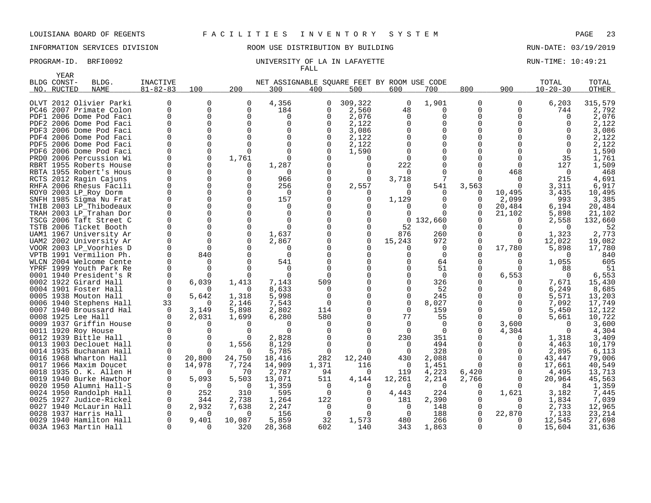# INFORMATION SERVICES DIVISION ROOM USE DISTRIBUTION BY BUILDING RUN-DATE: 03/19/2019

|     | YEAR        |                                                |                |                   |                   |                                             |          |              |          |                |          |              |                |                 |
|-----|-------------|------------------------------------------------|----------------|-------------------|-------------------|---------------------------------------------|----------|--------------|----------|----------------|----------|--------------|----------------|-----------------|
|     | BLDG CONST- | BLDG.                                          | INACTIVE       |                   |                   | NET ASSIGNABLE SQUARE FEET BY ROOM USE CODE |          |              |          |                |          |              | TOTAL          | TOTAL           |
| NO. | RUCTED      | <b>NAME</b>                                    | $81 - 82 - 83$ | 100               | 200               | 300                                         | 400      | 500          | 600      | 700            | 800      | 900          | $10 - 20 - 30$ | OTHER           |
|     |             | OLVT 2012 Olivier Parki                        | $\Omega$       | $\Omega$          | 0                 | 4,356                                       | 0        | 309,322      | 0        | 1,901          | 0        | 0            | 6,203          | 315,579         |
|     |             | PC46 2007 Primate Colon                        | $\Omega$       | $\Omega$          | 0                 | 184                                         | O        | 2,560        | 48       | $\Omega$       | 0        | $\Omega$     | 744            | 2,792           |
|     |             | PDF1 2006 Dome Pod Faci                        |                | $\Omega$          | 0                 | $\Omega$                                    | O        | 2,076        | $\Omega$ | 0              | 0        | $\Omega$     | O              | 2,076           |
|     |             | PDF2 2006 Dome Pod Faci                        |                |                   | 0                 | $\Omega$                                    | O        | 2,122        | O        | $\Omega$       | 0        |              |                | 2,122           |
|     |             | PDF3 2006 Dome Pod Faci                        |                | $\Omega$          | U                 | $\Omega$                                    |          | 3,086        |          | ∩              | U        |              |                | 3,086           |
|     |             | PDF4 2006 Dome Pod Faci                        |                | $\Omega$          | U                 | 0                                           | $\Omega$ | 2,122        |          | $\Omega$       | O        |              |                | 2,122           |
|     |             | PDF5 2006 Dome Pod Faci                        |                |                   |                   | $\Omega$                                    | n        | 2,122        |          | 0              | O        |              |                | 2,122           |
|     |             | PDF6 2006 Dome Pod Faci                        |                |                   | O                 | $\Omega$                                    |          | 1,590        |          | 0              | 0        |              |                | 1,590           |
|     |             | PRD0 2006 Percussion Wi                        |                |                   | 1,761             | $\Omega$                                    |          |              |          |                | O        |              | 35             | 1,761           |
|     |             | RBRT 1955 Roberts House                        |                |                   | 0                 | 1,287                                       |          | <sup>0</sup> | 222      | O              | O        | O            | 127            | 1,509           |
|     |             | RBTA 1955 Robert's Hous                        |                | $\Omega$          | O                 | $\Omega$                                    |          | 0            | $\Omega$ | $\Omega$       | 0        | 468          | $\Omega$       | 468             |
|     |             | RCTS 2012 Ragin Cajuns                         |                | $\Omega$          | U                 | 966                                         |          |              | 3,718    |                |          |              | 215            | 4,691           |
|     |             | RHFA 2006 Rhesus Facili                        |                | $\Omega$          | O                 | 256                                         |          | 2,557        | $\Omega$ | 541            | 3,563    | $\Omega$     | 3,311          | 6,917           |
|     |             | ROYO 2003 LP_Roy Dorm                          |                |                   | U                 | <sup>0</sup>                                |          |              |          | ∩              | $\Omega$ | 10,495       | 3,435          | 10,495          |
|     |             | SNFH 1985 Sigma Nu Frat                        |                |                   | 0                 | 157                                         |          | 0            | 1,129    | 0              | 0        | 2,099        | 993            | 3,385           |
|     |             | THIB 2003 LP_Thibodeaux                        |                |                   | O                 | $\Omega$                                    |          |              |          | 0              | 0        | 20,484       | 6,194          | 20,484          |
|     |             | TRAH 2003 LP Trahan Dor                        |                |                   | U                 | $\Omega$                                    |          |              |          |                | O        | 21,102       | 5,898          | 21,102          |
|     |             | TSCG 2006 Taft Street C                        |                |                   | 0                 | $\Omega$                                    |          |              | 0        | 132,660        | 0        | O            | 2,558          | 132,660         |
|     |             | TSTB 2006 Ticket Booth                         |                |                   | U                 | $\Omega$                                    |          |              | 52       | $\Omega$       | U        | O            | n              | 52              |
|     |             | UAM1 1967 University Ar                        |                | $\Omega$          | 0                 | 1,637                                       |          | 0            | 876      | 260            | 0        | 0            | 1,323          | 2,773           |
|     |             | UAM2 2002 University Ar                        |                | <sup>0</sup>      | U                 | 2,867                                       |          | $\Omega$     | 15,243   | 972            | $\Omega$ | <sup>0</sup> | 12,022         | 19,082          |
|     |             | VOOR 2003 LP_Voorhies D                        | $\Omega$       |                   | U                 | O                                           |          |              | O        | 0              | 0        | 17,780       | 5,898          | 17,780          |
|     |             | VPTB 1991 Vermilion Ph.                        |                | 840               |                   | $\Omega$                                    |          |              |          | $\Omega$       | O        |              |                | 840             |
|     |             | WLCN 2004 Welcome Cente                        |                |                   |                   | 541                                         |          |              |          | 64             | O        | <sup>0</sup> | 1,055          | 605             |
|     |             | YPRF 1999 Youth Park Re                        |                |                   |                   | <sup>0</sup><br>∩                           | n        |              |          | 51<br>$\Omega$ | 0<br>O   |              | 88<br>n        | 51              |
|     |             | 0001 1940 President's R                        |                |                   |                   |                                             |          |              |          |                |          | 6,553        |                | 6,553           |
|     |             | 0002 1922 Girard Hall<br>0004 1901 Foster Hall |                | 6,039             | 1,413<br>$\Omega$ | 7,143<br>8,633                              | 509<br>O |              |          | 326<br>52      | 0<br>O   | 0            | 7,671          | 15,430<br>8,685 |
|     |             | 0005 1938 Mouton Hall                          | $\Omega$       |                   | 1,318             | 5,998                                       | $\Omega$ |              |          | 245            | 0        |              | 6,249<br>5,571 | 13,203          |
|     |             | 0006 1940 Stephens Hall                        | 33             | 5,642<br>$\Omega$ | 2,146             | 7,543                                       | $\Omega$ | $\Omega$     | $\Omega$ | 8,027          | O        | $\Omega$     | 7,092          | 17,749          |
|     |             | 0007 1940 Broussard Hal                        | $\Omega$       | 3,149             | 5,898             | 2,802                                       | 114      |              | $\Omega$ | 159            | O        | $\Omega$     | 5,450          | 12,122          |
|     |             | 0008 1925 Lee Hall                             |                | 2,031             | 1,699             | 6,280                                       | 580      |              | 77       | 55             | 0        | ∩            | 5,661          | 10,722          |
|     |             | 0009 1937 Griffin House                        |                | O                 | O                 |                                             | n        |              | $\Omega$ | $\Omega$       | 0        | 3,600        |                | 3,600           |
|     |             | 0011 1920 Roy House                            |                |                   |                   |                                             |          |              | $\Omega$ | $\Omega$       | 0        | 4,304        |                | 4,304           |
|     |             | 0012 1939 Bittle Hall                          |                |                   |                   | 2,828                                       |          |              | 230      | 351            | U        | O            | 1,318          | 3,409           |
|     |             | 0013 1903 Declouet Hall                        |                | $\Omega$          | 1,556             | 8,129                                       | $\Omega$ |              | $\Omega$ | 494            | 0        | O            | 4,463          | 10,179          |
|     |             | 0014 1935 Buchanan Hall                        |                |                   | O                 | 5,785                                       | $\Omega$ |              | ∩        | 328            | $\Omega$ |              | 2,895          | 6,113           |
|     |             | 0016 1968 Wharton Hall                         | $\Omega$       | 20,800            | 24,750            | 18,416                                      | 282      | 12,240       | 430      | 2,088          | $\Omega$ | O            | 43,447         | 79,006          |
|     |             | 0017 1966 Maxim Doucet                         |                | 14,978            | 7,724             | 14,909                                      | 1,371    | 116          | 0        | 1,451          | $\Omega$ | $\Omega$     | 17,661         | 40,549          |
|     |             | 0018 1935 O. K. Allen H                        |                |                   | 70                | 2,787                                       | 94       | $\Omega$     | 119      | 4,223          | 6,420    | $\Omega$     | 4,495          | 13,713          |
|     |             | 0019 1940 Burke Hawthor                        |                | 5,093             | 5,503             | 13,071                                      | 511      | 4,144        | 12,261   | 2,214          | 2,766    | 0            | 20,964         | 45,563          |
|     |             | 0020 1950 Alumni Hall-S                        |                | ∩                 | $\Omega$          | 1,359                                       | $\Omega$ |              | $\Omega$ | $\Omega$       | $\Omega$ |              | 84             | 1,359           |
|     |             | 0024 1950 Randolph Hall                        | 0              | 252               | 310               | 595                                         | 0        |              | 4,443    | 224            | 0        | 1,621        | 3,182          | 7,445           |
|     |             | 0025 1927 Judice-Rickel                        |                | 344               | 2,738             | 1,264                                       | 122      |              | 181      | 2,390          | 0        |              | 1,834          | 7,039           |
|     |             | 0027 1940 McLaurin Hall                        |                | 2,932             | 7,638             | 2,247                                       | $\Omega$ | $\Omega$     | $\Omega$ | 148            | $\Omega$ | <sup>0</sup> | 2,733          | 12,965          |
|     |             | 0028 1937 Harris Hall                          |                |                   | O                 | 156                                         | 0        | U            | $\Omega$ | 188            | 0        | 22,870       | 7,133          | 23,214          |
|     |             | 0029 1940 Hamilton Hall                        |                | 9,401             | 10,087            | 5,859                                       | 32       | 1,573        | 480      | 266            | O        |              | 12,545         | 27,698          |
|     |             | 003A 1963 Martin Hall                          | $\Omega$       | $\Omega$          | 320               | 28,368                                      | 602      | 140          | 343      | 1,863          | O        | $\Omega$     | 15,604         | 31,636          |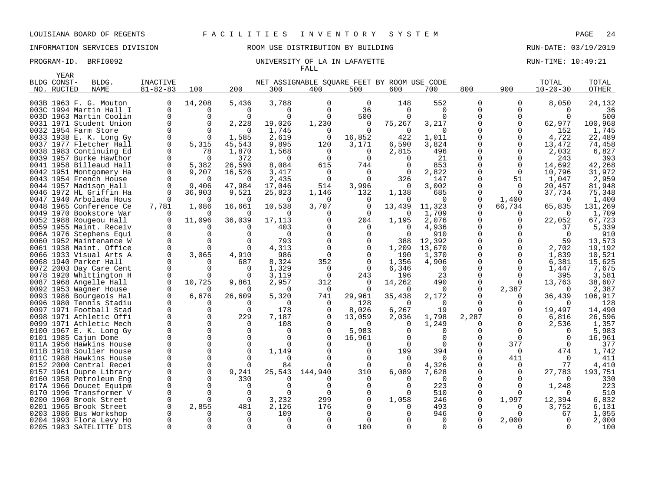|      | <b>YEAR</b> |                         |                |          |          |          |                                             |                      |          |                 |                  |              |                |         |
|------|-------------|-------------------------|----------------|----------|----------|----------|---------------------------------------------|----------------------|----------|-----------------|------------------|--------------|----------------|---------|
|      | BLDG CONST- | BLDG.                   | INACTIVE       |          |          |          | NET ASSIGNABLE SOUARE FEET BY ROOM USE CODE |                      |          |                 |                  |              | TOTAL          | TOTAL   |
| NO.  | RUCTED      | <b>NAME</b>             | $81 - 82 - 83$ | 100      | 200      | 300      | 400                                         | 500                  | 600      | 700             | 800              | 900          | $10 - 20 - 30$ | OTHER   |
|      |             |                         |                |          |          |          |                                             |                      |          |                 |                  |              |                |         |
|      |             | 003B 1963 F. G. Mouton  | 0              | 14,208   | 5,436    | 3,788    | $\Omega$                                    | $\Omega$             | 148      | 552             | $\Omega$         | $\Omega$     | 8,050          | 24,132  |
|      |             | 003C 1994 Martin Hall I | 0              | 0        | 0        | $\Omega$ | $\Omega$                                    | 36                   | 0        | $\Omega$        | $\Omega$         | O            | 0              | 36      |
|      |             | 003D 1963 Martin Coolin | $\Omega$       | $\Omega$ | ∩        | $\Omega$ | <sup>0</sup>                                | 500                  | O        | <sup>0</sup>    | <sup>n</sup>     |              | $\Omega$       | 500     |
|      |             | 0031 1971 Student Union | 0              | 0        | 2,228    | 19,026   | 1,230                                       | $\mathbf 0$          | 75,267   | 3,217           | $\Omega$         | 0            | 62,977         | 100,968 |
|      |             | 0032 1954 Farm Store    | $\Omega$       | $\Omega$ | n        | 1,745    | $\Omega$                                    | $\Omega$             | $\Omega$ | $\Omega$        | U                |              | 152            | 1,745   |
|      |             | 0033 1938 E. K. Long Gy | $\mathbf 0$    | $\Omega$ | 1,585    | 2,619    | $\Omega$                                    | 16,852               | 422      | 1,011           | $\Omega$         | <sup>0</sup> | 4,722          | 22,489  |
|      |             | 0037 1977 Fletcher Hall | $\Omega$       | 5,315    | 45,543   | 9,895    | 120                                         | 3,171                | 6,590    | 3,824           | <sup>n</sup>     |              | 13,472         | 74,458  |
|      |             | 0038 1983 Continuing Ed | 0              | 78       | 1,870    | 1,568    | $\Omega$                                    | 0                    | 2,815    | 496             | $\Omega$         |              | 2,032          | 6,827   |
|      |             | 0039 1957 Burke Hawthor | 0              | 0        | 372      | O        | $\Omega$                                    | $\Omega$             | O        | 21              | $\Omega$         | <sup>0</sup> | 243            | 393     |
| 0041 |             | 1958 Billeaud Hall      | $\Omega$       | 5,382    | 26,590   | 8,084    | 615                                         | 744                  |          | 853             |                  | <sup>0</sup> | 14,692         | 42,268  |
|      |             | 0042 1951 Montgomery Ha | 0              | 9,207    | 16,526   | 3,417    | 0                                           | 0                    | 0        | 2,822           | 0                | 0            | 10,796         | 31,972  |
|      |             | 0043 1954 French House  | $\Omega$       | ∩        | $\Omega$ | 2,435    | $\cap$                                      | $\Omega$             | 326      | 147             | <sup>n</sup>     | 51           | 1,047          | 2,959   |
|      |             | 0044 1957 Madison Hall  | $\Omega$       | 9,406    | 47,984   | 17,046   | 514                                         | 3,996                | $\Omega$ | 3,002           | $\Omega$         | $\Omega$     | 20,457         | 81,948  |
|      |             | 0046 1972 HL Griffin Ha | $\Omega$       | 36,903   | 9,521    | 25,823   | 1,146                                       | 132                  | 1,138    | 685             | <sup>n</sup>     | 0            | 37,734         | 75,348  |
| 0047 |             | 1940 Arbolada Hous      | $\Omega$       | 0        | $\Omega$ | $\Omega$ | $\Omega$                                    | 0                    | O        | $\Omega$        | $\Omega$         | 1,400        | 0              | 1,400   |
|      |             | 0048 1965 Conference Ce | 7,781          | 1,086    | 16,661   | 10,538   | 3,707                                       | $\mathbf 0$          | 13,439   | 11,323          | 0                | 66,734       | 65,835         | 131,269 |
|      |             | 0049 1970 Bookstore War | ∩              |          | n        | ∩        | O                                           | $\Omega$             | O        | 1,709           |                  | 0            | $\Omega$       | 1,709   |
|      |             | 0052 1988 Rougeou Hall  | $\Omega$       | 11,096   | 36,039   | 17,113   | <sup>0</sup>                                | 204                  | 1,195    | 2,076           | 0                | 0            | 22,052         | 67,723  |
|      |             | 0059 1955 Maint. Receiv | <sup>0</sup>   | O        | ∩        | 403      |                                             | 0                    | O        | 4,936           | $\Omega$         |              | 37             | 5,339   |
|      |             | 006A 1976 Stephens Equi | $\Omega$       | $\Omega$ | ∩        | $\Omega$ |                                             | $\Omega$             | $\Omega$ | 910             | $\Omega$         |              | $\Omega$       | 910     |
|      |             | 0060 1952 Maintenance W | $\Omega$       | $\Omega$ | ∩        | 793      |                                             | $\Omega$             | 388      | 12,392          | $\Omega$         |              | 59             | 13,573  |
|      |             | 0061 1938 Maint. Office | $\mathbf 0$    | 0        | $\Omega$ | 4,313    |                                             | $\mathbf 0$          | 1,209    | 13,670          | $\Omega$         |              | 2,702          | 19,192  |
|      |             | 0066 1933 Visual Arts A | $\Omega$       | 3,065    | 4,910    | 986      | $\Omega$                                    | $\Omega$             | 190      | 1,370           | $\Omega$         | <sup>0</sup> | 1,839          | 10,521  |
| 0068 |             | 1940 Parker Hall        | $\Omega$       | 0        | 687      | 8,324    | 352                                         | $\Omega$             | 1,356    | 4,906           |                  |              | 6,381          | 15,625  |
|      |             | 0072 2003 Day Care Cent | $\Omega$       | $\Omega$ | $\Omega$ | 1,329    | $\Omega$                                    | $\mathbf 0$          | 6,346    | $\Omega$        | $\Omega$         | $\Omega$     | 1,447          | 7,675   |
|      |             | 0078 1920 Whittington H | $\Omega$       | 0        | O        | 3,119    | $\Omega$                                    | 243                  | 196      | 23              | <sup>n</sup>     | <sup>0</sup> | 395            | 3,581   |
|      |             | 0087 1968 Angelle Hall  | $\Omega$       | 10,725   | 9,861    | 2,957    | 312                                         | $\Omega$             | 14,262   | 490             | $\Omega$         | 0            | 13,763         | 38,607  |
|      |             | 0092 1953 Wagner House  | <sup>0</sup>   |          | ∩        | $\Omega$ | $\Omega$                                    | $\Omega$             | O        | 0               | $\Omega$         | 2,387        | $\Omega$       | 2,387   |
|      |             | 0093 1986 Bourgeois Hal | $\Omega$       | 6,676    | 26,609   | 5,320    | 741                                         | 29,961               | 35,438   | 2,172           |                  |              | 36,439         | 106,917 |
|      |             | 0096 1980 Tennis Stadiu | <sup>0</sup>   | 0        | 0        | $\Omega$ | $\Omega$                                    | 128                  | $\Omega$ | $\Omega$        | $\Omega$         |              | $\Omega$       | 128     |
| 0097 |             | 1971 Football Stad      | $\Omega$       | $\Omega$ | $\Omega$ | 178      | $\Omega$                                    | 8,026                | 6,267    | 19              | 0                |              | 19,497         | 14,490  |
|      |             | 0098 1971 Athletic Offi | $\Omega$       | $\Omega$ | 229      | 7,187    |                                             | 13,059               | 2,036    | 1,798           | 2,287            |              | 6,816          | 26,596  |
|      |             | 0099 1971 Athletic Mech | $\Omega$       | $\Omega$ | O        | 108      |                                             | $\Omega$             | $\Omega$ | 1,249           | $\left( \right)$ |              | 2,536          | 1,357   |
|      |             | 0100 1967 E. K. Long Gy | $\Omega$       | $\Omega$ | ∩        | $\Omega$ |                                             | 5,983                |          | <sup>0</sup>    | U                |              | $\Omega$       | 5,983   |
|      |             | 0101 1985 Cajun Dome    | $\Omega$       | $\Omega$ | $\Omega$ | $\Omega$ |                                             | 16,961               |          | $\Omega$        | <sup>0</sup>     | $\Omega$     | 0              | 16,961  |
|      |             | 011A 1956 Hawkins House | $\Omega$       | 0        | $\Omega$ | $\Omega$ |                                             | $\Omega$             | U        | $\Omega$        | $\Omega$         | 377          | $\Omega$       | 377     |
| 011B |             | 1910 Soulier House      | $\Omega$       | 0        | $\Omega$ | 1,149    |                                             | $\mathbf 0$          | 199      | 394             | <sup>0</sup>     | 0            | 474            | 1,742   |
| 011C |             | 1988 Hawkins House      | $\Omega$       | $\Omega$ | ∩        | $\Omega$ |                                             | $\Omega$             | $\Omega$ | $\Omega$        | U                | 411          | $\Omega$       | 411     |
|      |             | 0152 2000 Central Recei | 0              | 0        | ∩        | 84       |                                             | $\overline{0}$       | $\Omega$ | 4,326           | $\Omega$         | 0            | 77             | 4,410   |
| 0157 |             | 1961 Dupre Library      | $\Omega$       | $\Omega$ | 9,241    | 25,543   | 144,940                                     | 310                  | 6,089    | 7,628           | U                | <sup>0</sup> | 27,783         | 193,751 |
|      |             | 0160 1958 Petroleum Eng | $\Omega$       | 0        | 330      |          |                                             | $\Omega$             |          | $\Omega$        | $\Omega$         |              | $\Omega$       | 330     |
|      |             | 017A 1966 Doucet Equipm | $\Omega$       | 0        | ∩        | ∩        |                                             | $\Omega$<br>$\Omega$ |          | 223             | <sup>n</sup>     |              | 1,248          | 223     |
| 0170 |             | 1996 Transformer V      | $\mathbf 0$    | 0        | $\Omega$ | $\Omega$ | ∩                                           |                      |          | 510             | $\Omega$         |              | $\Omega$       | 510     |
|      |             | 0200 1960 Brook Street  | 0<br>$\Omega$  | 0        | $\Omega$ | 3,232    | 299                                         | 0                    | 1,058    | 246<br>493      | 0                | 1,997        | 12,394         | 6,832   |
| 0201 |             | 1965 Brook Street       |                | 2,855    | 481      | 2,126    | 176<br>∩                                    | $\Omega$             |          |                 |                  |              | 3,752          | 6,131   |
|      |             | 0203 1986 Bus Workshop  | 0<br>$\Omega$  | 0<br>U   | 0        | 109<br>∩ |                                             | $\cap$               |          | 946<br>$\Omega$ | 0                |              | 67<br>$\Omega$ | 1,055   |
|      |             | 0204 1993 Flora Levy Ho | $\Omega$       | $\Omega$ | $\Omega$ | $\Omega$ | $\Omega$                                    |                      |          | $\Omega$        | 0                | 2,000        | $\Omega$       | 2,000   |
|      |             | 0205 1983 SATELITTE DIS |                |          |          |          |                                             | 100                  |          |                 |                  |              |                | 100     |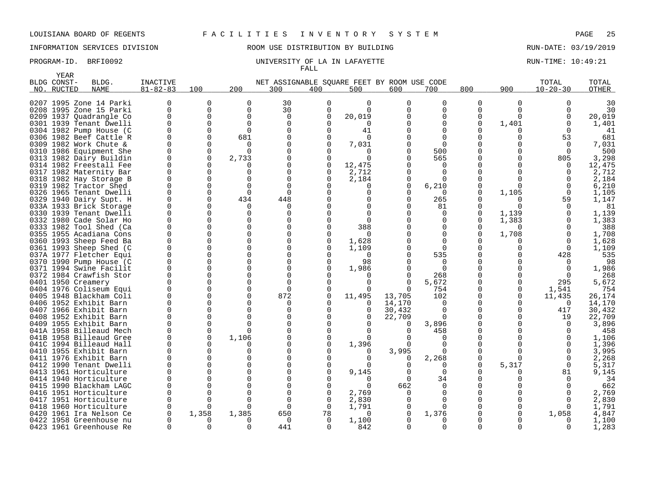# INFORMATION SERVICES DIVISION ROOM USE DISTRIBUTION BY BUILDING RUN-DATE: 03/19/2019

### PROGRAM-ID. BRFI0092 **EXAM-ID.** BRFI0092 UNIVERSITY OF LA IN LAFAYETTE RUN-TIME: 10:49:21 FALL

|      | YEAR               |                                               |                |             |               |                                             |                |               |          |              |             |             |                |              |
|------|--------------------|-----------------------------------------------|----------------|-------------|---------------|---------------------------------------------|----------------|---------------|----------|--------------|-------------|-------------|----------------|--------------|
|      | BLDG CONST-        | BLDG.                                         | INACTIVE       |             |               | NET ASSIGNABLE SOUARE FEET BY ROOM USE CODE |                |               |          |              |             |             | TOTAL          | TOTAL        |
| NO.  | RUCTED             | <b>NAME</b>                                   | $81 - 82 - 83$ | 100         | 200           | 300                                         | 400            | 500           | 600      | 700          | 800         | 900         | $10 - 20 - 30$ | <b>OTHER</b> |
|      |                    |                                               |                |             |               |                                             |                |               |          |              |             |             |                |              |
|      |                    | 0207 1995 Zone 14 Parki                       | 0              | $\Omega$    | $\Omega$      | 30                                          | $\Omega$       | $\Omega$      | $\Omega$ | $\Omega$     | $\Omega$    | $\mathbf 0$ |                | 30           |
|      |                    | 0208 1995 Zone 15 Parki                       | 0              | $\mathbf 0$ | $\Omega$      | 30                                          | $\mathbf 0$    | $\Omega$      |          | $\Omega$     | $\Omega$    | $\mathbf 0$ |                | 30           |
|      |                    | 0209 1937 Quadrangle Co                       | U              | 0           | $\Omega$      | $\Omega$                                    | $\Omega$       | 20,019        |          | 0            | $\Omega$    | $\Omega$    |                | 20,019       |
|      |                    | 0301 1939 Tenant Dwelli                       | 0              | 0           | $\Omega$      | $\mathbf 0$                                 | $\Omega$       | $\Omega$      |          | 0            | 0           | 1,401       |                | 1,401        |
|      |                    | 0304 1982 Pump House (C                       | U              | $\Omega$    | $\Omega$      | $\Omega$                                    | $\Omega$       | 41            |          |              |             | O           |                | 41           |
| 0306 |                    | 1982 Beef Cattle R                            | U              | $\Omega$    | 681           | $\Omega$                                    | $\Omega$       | $\Omega$      |          |              |             | U           | 53             | 681          |
|      |                    | 0309 1982 Work Chute &                        | ∩              | $\Omega$    |               | $\Omega$                                    | ∩              | 7,031         |          | ∩            |             |             | $\Omega$       | 7,031        |
|      |                    | 0310 1986 Equipment She                       | 0              | 0           | ∩             | $\Omega$                                    |                | $\Omega$      |          | 500          |             | 0           | $\Omega$       | 500          |
|      |                    | 0313 1982 Dairy Buildin                       | 0              | 0           | 2,733         |                                             | 0              | $\Omega$      |          | 565          |             | 0           | 805            | 3,298        |
| 0314 |                    | 1982 Freestall Fee                            | U              | $\Omega$    |               | $\cap$                                      | $\mathbf 0$    | 12,475        |          | <sup>0</sup> |             |             | $\Omega$       | 12,475       |
|      |                    | 0317 1982 Maternity Bar                       | 0              | 0           | $\Omega$      | 0                                           | 0              | 2,712         |          | $\Omega$     | 0           |             | $\Omega$       | 2,712        |
|      |                    | 0318 1982 Hay Storage B                       | U              | $\Omega$    |               | $\cap$                                      | ∩              | 2,184         | 0        |              |             |             |                | 2,184        |
|      |                    | 0319 1982 Tractor Shed                        | 0              | $\Omega$    | $\Omega$      | $\Omega$                                    |                | 0             | $\Omega$ | 6,210        | 0           | $\Omega$    | $\Omega$       | 6,210        |
|      |                    | 0326 1965 Tenant Dwelli                       | O              | 0           | $\Omega$      | $\Omega$                                    |                | U             |          |              | $\Omega$    | 1,105       | $\Omega$       | 1,105        |
|      |                    | 0329 1940 Dairy Supt. H                       | $\Omega$       | 0           | 434           | 448                                         |                | 0             | $\Omega$ | 265          |             | $\Omega$    | 59             | 1,147        |
|      |                    | 033A 1933 Brick Storage                       | U              | $\Omega$    | ∩             | n                                           |                | $\Omega$      |          | 81           | O           | $\Omega$    | <sup>n</sup>   | 81           |
|      |                    | 0330 1939 Tenant Dwelli                       | U              | 0           | $\Omega$      | $\Omega$                                    |                |               |          | $\Omega$     | 0           | 1,139       |                | 1,139        |
|      |                    | 0332 1980 Cade Solar Ho                       | U              | $\Omega$    | ∩             | $\Omega$                                    |                | $\Omega$      |          | 0            | 0           | 1,383       |                | 1,383        |
|      |                    | 0333 1982 Tool Shed (Ca                       | U              | $\Omega$    | $\cap$        |                                             |                | 388           |          |              |             | $\Omega$    |                | 388          |
|      |                    | 0355 1955 Acadiana Cons                       | 0              | $\Omega$    | ∩             | $\Omega$                                    | O              | $\Omega$      |          | $\Omega$     | $\Omega$    | 1,708       | <sup>0</sup>   | 1,708        |
|      |                    | 0360 1993 Sheep Feed Ba                       | 0              | 0           | $\Omega$      | $\Omega$                                    | $\Omega$       | 1,628         |          | $\Omega$     |             |             | ∩              | 1,628        |
|      |                    | 0361 1993 Sheep Shed (C                       | 0              | 0           | $\Omega$      | $\Omega$                                    | $\Omega$       | 1,109         |          | ∩            |             | $\Omega$    | $\Omega$       | 1,109        |
|      |                    | 037A 1977 Fletcher Equi                       | $\Omega$       | $\Omega$    | $\Omega$      | $\Omega$                                    | ∩              | $\Omega$      |          | 535          | U           | 0           | 428            | 535          |
|      |                    | 0370 1990 Pump House (C                       | $\Omega$       | $\Omega$    | $\Omega$      |                                             | $\Omega$       | 98            |          | 0            |             |             | $\Omega$       | 98           |
|      |                    | 0371 1994 Swine Facilit                       | U              | $\Omega$    | ∩             | $\Omega$                                    | ∩              | 1,986         |          | $\Omega$     | O           |             | $\cap$         | 1,986        |
|      |                    | 0372 1984 Crawfish Stor                       | U              | $\Omega$    | $\cap$        | $\cap$                                      |                |               | 0        | 268          |             |             |                | 268          |
|      | 0401 1950 Creamery |                                               | U              | $\Omega$    | ∩             | $\cap$                                      |                | $\Omega$      | O        | 5,672        |             | 0           | 295            | 5,672        |
|      |                    | 0404 1976 Coliseum Equi                       | 0              | $\Omega$    | $\Omega$      | $\Omega$                                    | $\Omega$       | O             | $\Omega$ | 754          | 0           | $\Omega$    | 1,541          | 754          |
|      |                    | 0405 1948 Blackham Coli                       | U              | $\Omega$    | $\Omega$      | 872                                         | $\Omega$       | 11,495        | 13,705   | 102          |             | $\Omega$    | 11,435         | 26.174       |
|      |                    | 0406 1952 Exhibit Barn                        | U              | $\Omega$    | $\Omega$      | $\Omega$                                    |                | 0             | 14,170   | $\Omega$     | O           | $\Omega$    | $\Omega$       | 14,170       |
|      |                    | 0407 1966 Exhibit Barn                        | U              | 0           | ∩             | $\Omega$                                    | O              | 0             | 30,432   | $\Omega$     |             | $\Omega$    | 417            | 30,432       |
|      |                    | 0408 1952 Exhibit Barn                        | U              | 0           | $\Omega$      | $\Omega$                                    | ∩              | 0             | 22,709   | $\Omega$     | $\mathbf 0$ | $\Omega$    | 19             | 22,709       |
|      |                    | 0409 1955 Exhibit Barn                        | U              | $\Omega$    | ∩             | $\Omega$                                    | ∩              | $\Omega$      | 0        | 3,896        |             |             | $\Omega$       | 3,896        |
|      |                    | 041A 1958 Billeaud Mech                       | O              | 0           | $\Omega$      | $\Omega$                                    |                | $\Omega$      |          | 458          | O           |             |                | 458          |
|      |                    | 041B 1958 Billeaud Gree                       | O              | $\Omega$    | 1,106         | $\Omega$                                    |                | U             |          |              | O           |             |                | 1,106        |
| 041C |                    | 1994 Billeaud Hall                            | 0              | $\Omega$    |               |                                             |                | 1,396         | 0        |              |             |             |                | 1,396        |
| 0410 |                    | 1955 Exhibit Barn                             |                | 0           | $\Omega$      | $\Omega$                                    |                | 0             | 3,995    |              | $\Omega$    |             |                | 3,995        |
| 0411 |                    | 1976 Exhibit Barn                             | U              | O           | ∩             | $\Omega$                                    |                | $\Omega$      | O        | 2,268        | 0           | 0           |                | 2,268        |
|      |                    | 0412 1990 Tenant Dwelli                       | 0<br>∩         | 0<br>U      | $\Omega$<br>∩ | $\Omega$                                    |                | O             | 0        | $\Omega$     | 0           | 5,317       | $\Omega$       | 5,317        |
| 0413 |                    | 1961 Horticulture                             |                |             |               | $\Omega$                                    |                | 9,145         | 0        | <sup>0</sup> |             |             | 81             | 9,145        |
| 0414 |                    | 1940 Horticulture                             | O<br>U         | 0<br>U      | ∩<br>∩        | $\Omega$<br>$\Omega$                        |                | $\Omega$<br>U | $\Omega$ | 34           |             |             |                | 34           |
|      |                    | 0415 1990 Blackham LAGC                       |                |             |               |                                             |                |               | 662      | <sup>0</sup> |             |             |                | 662          |
| 0416 |                    | 1951 Horticulture                             | 0              | 0           | ∩             | $\Omega$                                    | $\Omega$       | 2,769         | $\Omega$ | 0            |             |             |                | 2,769        |
| 0417 |                    | 1951 Horticulture                             | O              | 0           | ∩<br>∩        | $\Omega$                                    | 0              | 2,830         |          | $\Omega$     |             |             |                | 2,830        |
| 0418 |                    | 1960 Horticulture                             | O              | U           |               | $\Omega$                                    | $\Omega$       | 1,791         | 0        |              |             |             |                | 1,791        |
| 0420 |                    | 1961 Ira Nelson Ce<br>0422 1958 Greenhouse nu | 0<br>U         | 1,358       | 1,385         | 650<br>$\Omega$                             | 78<br>$\Omega$ | 0             | 0        | 1,376        |             |             | 1,058          | 4,847        |
|      |                    |                                               | $\Omega$       | $\Omega$    | ∩             |                                             | $\Omega$       | 1,100         |          | $\Omega$     | $\Omega$    |             | $\Omega$       | 1,100        |
|      |                    | 0423 1961 Greenhouse Re                       |                |             |               | 441                                         |                | 842           | 0        |              |             | $\Omega$    |                | 1,283        |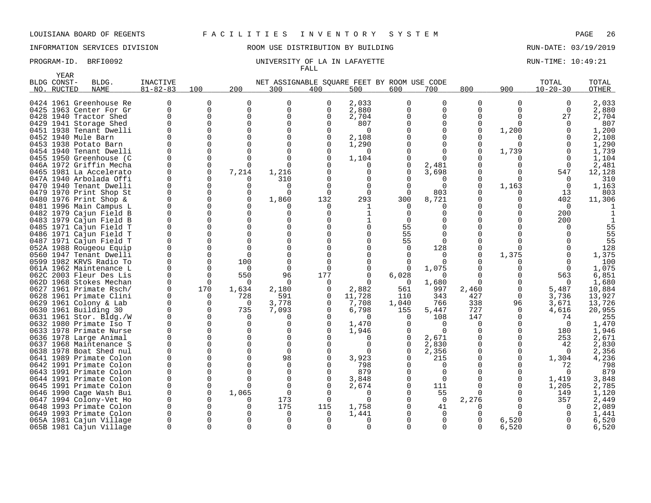# INFORMATION SERVICES DIVISION ROOM USE DISTRIBUTION BY BUILDING RUN-DATE: 03/19/2019

### PROGRAM-ID. BRFI0092 2000 ENDIVERSITY OF LA IN LAFAYETTE THE RUN-TIME: 10:49:21 FALL

|      | YEAR        |                                                    |                      |                    |              |                                             |               |                 |              |            |             |                          |                |                  |
|------|-------------|----------------------------------------------------|----------------------|--------------------|--------------|---------------------------------------------|---------------|-----------------|--------------|------------|-------------|--------------------------|----------------|------------------|
|      | BLDG CONST- | BLDG.                                              | INACTIVE             |                    |              | NET ASSIGNABLE SQUARE FEET BY ROOM USE CODE |               |                 |              |            |             |                          | TOTAL          | TOTAL            |
| NO.  | RUCTED      | <b>NAME</b>                                        | $81 - 82 - 83$       | 100                | 200          | 300                                         | 400           | 500             | 600          | 700        | 800         | 900                      | $10 - 20 - 30$ | <b>OTHER</b>     |
|      |             |                                                    |                      |                    |              |                                             |               |                 |              |            |             |                          |                |                  |
|      |             | 0424 1961 Greenhouse Re                            |                      | 0                  | $\Omega$     | $\Omega$                                    | 0             | 2,033           | $\Omega$     | $\Omega$   | 0           | 0                        | 0              | 2,033            |
|      |             | 0425 1963 Center For Gr                            | $\Omega$             | 0                  | $\mathbf 0$  | $\Omega$                                    | $\Omega$      | 2,880           |              | $\Omega$   | 0           | 0                        | $\Omega$       | 2,880            |
|      |             | 0428 1940 Tractor Shed                             | $\Omega$             | 0                  | $\Omega$     | $\Omega$                                    | $\Omega$      | 2,704           |              | $\Omega$   | $\Omega$    | 0                        | 27             | 2,704            |
|      |             | 0429 1941 Storage Shed                             | $\Omega$             | $\mathbf 0$        | $\Omega$     | $\Omega$                                    | $\Omega$      | 807             |              | $\Omega$   | $\mathbf 0$ | $\Omega$                 | $\Omega$       | 807              |
|      |             | 0451 1938 Tenant Dwelli                            | $\Omega$             | $\Omega$           | $\Omega$     | ∩                                           | $\Omega$      | $\Omega$        |              |            | $\Omega$    | 1,200                    |                | 1,200            |
|      |             | 0452 1940 Mule Barn                                | $\Omega$             | 0                  | $\Omega$     | O                                           | 0             | 2,108           |              |            | $\Omega$    | 0                        | $\Omega$       | 2,108            |
|      |             | 0453 1938 Potato Barn                              | U                    | $\Omega$           | <sup>n</sup> | ∩                                           | O             | 1,290           |              |            | 0           | <sup>0</sup>             | $\Omega$       | 1,290            |
|      |             | 0454 1940 Tenant Dwelli                            |                      | 0                  | $\Omega$     |                                             | $\Omega$      | 0               |              |            | $\Omega$    | 1,739                    | $\Omega$       | 1,739            |
|      |             | 0455 1950 Greenhouse (C                            |                      | $\mathbf 0$        | $\Omega$     | n                                           |               | 1,104           |              |            |             | 0                        | $\Omega$       | 1,104            |
|      |             | 046A 1972 Griffin Mecha                            | $\Omega$             | $\Omega$           | $\Omega$     | n                                           |               | $\Omega$        |              | 2,481      | $\Omega$    | <sup>0</sup>             | $\Omega$       | 2,481            |
|      |             | 0465 1981 La Accelerato                            | $\Omega$             | $\mathbf 0$        | 7,214        | 1,216                                       | O             | 0               | $\Omega$     | 3,698      | $\Omega$    | 0                        | 547            | 12,128           |
|      |             | 047A 1940 Arbolada Offi                            | $\Omega$             | $\Omega$           |              | 310                                         | ∩             | O               |              |            | 0           | 0                        | $\Omega$       | 310              |
| 0470 |             | 1940 Tenant Dwelli                                 | $\Omega$             | $\mathbf 0$        | $\Omega$     | $\Omega$                                    | $\cap$        | $\Omega$        |              | $\Omega$   | 0           | 1,163                    | 0              | 1,163            |
|      |             | 0479 1970 Print Shop St                            | $\Omega$             | $\Omega$           | $\Omega$     | ∩                                           | $\Omega$      | $\Omega$        | $\Omega$     | 803        | O           |                          | 13             | 803              |
| 0480 |             | 1976 Print Shop &                                  | $\mathbf 0$          | 0                  | $\mathbf 0$  | 1,860                                       | 132           | 293             | 300          | 8,721      | 0           | 0                        | 402            | 11,306           |
|      |             | 0481 1996 Main Campus L                            | $\Omega$             | $\mathbf 0$        | $\Omega$     |                                             | 0             | 1               | $\Omega$     |            | ∩           | U                        | $\Omega$       |                  |
|      |             | 0482 1979 Cajun Field B                            | $\Omega$             | $\Omega$           | $\Omega$     | n                                           | ∩             | 1               | $\Omega$     |            |             | U                        | 200            |                  |
|      |             | 0483 1979 Cajun Field B                            | $\Omega$             | 0                  | $\Omega$     | O                                           | ∩             | 1               |              |            | 0           | 0                        | 200            |                  |
|      |             | 0485 1971 Cajun Field T                            | $\Omega$             | $\Omega$           | $\Omega$     |                                             | ∩             | $\Omega$        | 55           |            | ∩           |                          | <sup>n</sup>   | 55               |
|      |             | 0486 1971 Cajun Field T                            | $\Omega$             | 0                  | $\Omega$     | O                                           | ∩             | 0               | 55           | $\Omega$   | $\Omega$    |                          |                | 55               |
|      |             | 0487 1971 Cajun Field T                            | $\Omega$             | $\Omega$           | $\Omega$     | ∩                                           | ∩             | U               | 55           | $\Omega$   | 0           |                          |                | 55               |
|      |             | 052A 1988 Rougeou Equip                            | $\Omega$             | 0                  | $\Omega$     | O                                           |               | O               | $\Omega$     | 128        | 0           | <sup>0</sup>             |                | 128              |
|      |             | 0560 1947 Tenant Dwelli                            | $\Omega$             | 0                  | $\Omega$     | O                                           |               |                 |              | $\Omega$   | 0           | 1,375                    | $\Omega$       | 1,375            |
|      |             | 0599 1982 KRVS Radio To                            | $\Omega$             | $\Omega$           | 100          | $\cap$                                      |               |                 |              | $\Omega$   |             | 0                        | $\Omega$       | 100              |
|      |             | 061A 1962 Maintenance L                            | $\Omega$<br>$\Omega$ | 0                  | $\Omega$     | $\Omega$                                    | $\Omega$      | $\Omega$        |              | 1,075      | ∩           | <sup>0</sup>             | $\Omega$       | 1,075            |
|      |             | 062C 2003 Fleur Des Lis                            |                      | $\Omega$           | 550          | 96                                          | 177           |                 | 6,028        |            |             | 0                        | 563            | 6,851            |
|      |             | 062D 1968 Stokes Mechan                            | $\Omega$<br>$\Omega$ | $\mathbf 0$<br>170 | 0            | $\Omega$                                    | 0             | $\Omega$        | 0            | 1,680      | $\Omega$    | <sup>0</sup><br>$\Omega$ | $\mathbf 0$    | 1,680            |
|      |             | 0627 1961 Primate Rsch/<br>0628 1961 Primate Clini | $\Omega$             |                    | 1,634<br>728 | 2,180<br>591                                | 0             | 2,882<br>11,728 | 561          | 997        | 2,460       |                          | 5,487<br>3,736 | 10,884<br>13,927 |
|      |             | 0629 1961 Colony & Lab                             | $\Omega$             | 0<br>$\Omega$      | $\Omega$     | 3,778                                       | 0<br>$\Omega$ | 7,708           | 110          | 343<br>766 | 427<br>338  | 0                        | 3,671          | 13,726           |
|      |             | 0630 1961 Building 30                              | $\Omega$             | 0                  | 735          |                                             | $\Omega$      | 6,798           | 1,040<br>155 | 5,447      | 727         | 96<br>$\Omega$           | 4,616          | 20,955           |
|      |             | 0631 1961 Stor. Bldg./W                            | $\Omega$             | 0                  | $\Omega$     | 7,093<br>O                                  | O             | $\Omega$        | $\Omega$     | 108        | 147         | 0                        | 74             | 255              |
|      |             | 0632 1980 Primate Iso T                            | $\Omega$             | $\Omega$           | $\Omega$     | $\Omega$                                    | $\Omega$      | 1,470           | U            | $\Omega$   | $\Omega$    | 0                        | $\Omega$       | 1,470            |
|      |             | 0633 1978 Primate Nurse                            | $\Omega$             | 0                  | $\Omega$     | $\Omega$                                    | $\Omega$      | 1,946           |              | $\Omega$   | 0           | 0                        | 180            | 1,946            |
|      |             | 0636 1978 Large Animal                             | $\Omega$             | $\Omega$           | $\Omega$     | $\cap$                                      | ∩             | $\Omega$        |              | 2,671      | 0           | 0                        | 253            | 2,671            |
| 0637 |             | 1968 Maintenance S                                 | $\Omega$             | 0                  | $\Omega$     | $\Omega$                                    | $\Omega$      | $\Omega$        | $\Omega$     | 2,830      | 0           | 0                        | 42             | 2,830            |
|      |             | 0638 1978 Boat Shed nul                            | $\Omega$             | $\Omega$           | $\Omega$     | $\Omega$                                    |               | $\Omega$        |              | 2,356      | $\Omega$    | $\Omega$                 | $\Omega$       | 2,356            |
| 0641 |             | 1989 Primate Colon                                 | $\Omega$             | $\Omega$           | $\Omega$     | 98                                          | ∩             | 3,923           |              | 215        | $\Omega$    | 0                        | 1,304          | 4,236            |
|      |             | 0642 1991 Primate Colon                            | $\Omega$             | 0                  | $\Omega$     | $\Omega$                                    | O             | 798             |              | $\Omega$   | 0           | <sup>0</sup>             | 72             | 798              |
|      |             | 0643 1991 Primate Colon                            | $\Omega$             | 0                  | $\Omega$     | $\Omega$                                    | O             | 879             |              | $\Omega$   |             | <sup>0</sup>             | $\Omega$       | 879              |
|      |             | 0644 1991 Primate Colon                            | $\Omega$             | 0                  | $\Omega$     | $\Omega$                                    | O             | 3,848           |              | $\Omega$   | 0           | 0                        | 1,419          | 3,848            |
|      |             | 0645 1991 Primate Colon                            | $\Omega$             | 0                  | <sup>n</sup> | $\Omega$                                    |               | 2,674           |              | 111        | $\Omega$    | 0                        | 1,205          | 2,785            |
|      |             | 0646 1990 Cage Wash Bui                            | $\mathbf 0$          | $\mathbf 0$        | 1,065        | 0                                           | $\Omega$      | 0               |              | 55         | 0           | 0                        | 149            | 1,120            |
|      |             | 0647 1994 Colony-Vet Ho                            | $\Omega$             | $\Omega$           |              | 173                                         | $\Omega$      | $\Omega$        |              | $\Omega$   | 2,276       | <sup>0</sup>             | 357            | 2,449            |
| 0648 |             | 1993 Primate Colon                                 | $\Omega$             | $\Omega$           | $\Omega$     | 175                                         | 115           | 1,758           |              | 41         | $\Omega$    | <sup>n</sup>             | $\Omega$       | 2,089            |
|      |             | 0649 1993 Primate Colon                            | O                    | 0                  |              | $\Omega$                                    | O             | 1,441           |              | $\Omega$   | 0           |                          |                | 1,441            |
|      |             | 065A 1981 Cajun Village                            |                      | 0                  |              | $\Omega$                                    | O             | $\Omega$        |              | $\Omega$   | O           | 6,520                    |                | 6,520            |
|      |             | 065B 1981 Cajun Village                            | $\Omega$             | $\Omega$           | $\Omega$     | $\Omega$                                    | $\Omega$      | $\Omega$        |              | $\Omega$   | $\Omega$    | 6,520                    | $\Omega$       | 6,520            |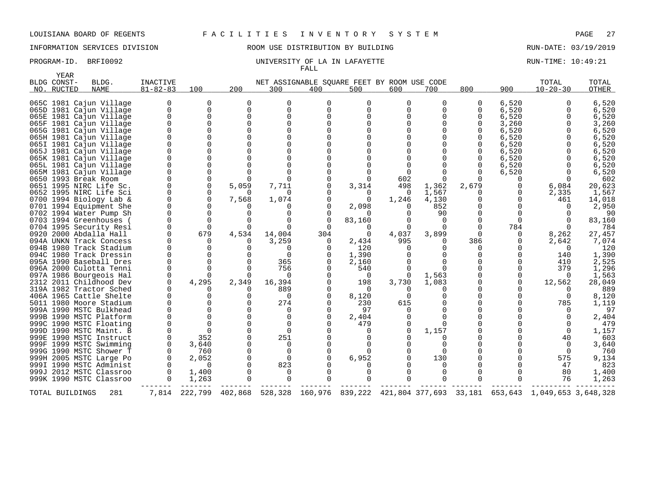INFORMATION SERVICES DIVISION ROOM USE DISTRIBUTION BY BUILDING RUN-DATE: 03/19/2019

| <b>YEAR</b>     |                                                                                                                                                                                                                                                                                                                                                                                                                                                                                                                                                                                                                                                                         |                                                                                                  |                                                                                                                                                                                                                                                          |                                                         |                                                                                                                                                                                                                                                       |                                                                |                                                                                                                                                                                          |                                                                       |                                                                            |                                           |                                                                                                                                                                             |                                                                                                                                                                                                                                        |                                                                                                                                                                                                                          |
|-----------------|-------------------------------------------------------------------------------------------------------------------------------------------------------------------------------------------------------------------------------------------------------------------------------------------------------------------------------------------------------------------------------------------------------------------------------------------------------------------------------------------------------------------------------------------------------------------------------------------------------------------------------------------------------------------------|--------------------------------------------------------------------------------------------------|----------------------------------------------------------------------------------------------------------------------------------------------------------------------------------------------------------------------------------------------------------|---------------------------------------------------------|-------------------------------------------------------------------------------------------------------------------------------------------------------------------------------------------------------------------------------------------------------|----------------------------------------------------------------|------------------------------------------------------------------------------------------------------------------------------------------------------------------------------------------|-----------------------------------------------------------------------|----------------------------------------------------------------------------|-------------------------------------------|-----------------------------------------------------------------------------------------------------------------------------------------------------------------------------|----------------------------------------------------------------------------------------------------------------------------------------------------------------------------------------------------------------------------------------|--------------------------------------------------------------------------------------------------------------------------------------------------------------------------------------------------------------------------|
| NO. RUCTED      | <b>NAME</b>                                                                                                                                                                                                                                                                                                                                                                                                                                                                                                                                                                                                                                                             | $81 - 82 - 83$                                                                                   | 100                                                                                                                                                                                                                                                      | 200                                                     | 300                                                                                                                                                                                                                                                   | 400                                                            | 500                                                                                                                                                                                      | 600                                                                   | 700                                                                        | 800                                       | 900                                                                                                                                                                         | $10 - 20 - 30$                                                                                                                                                                                                                         | OTHER                                                                                                                                                                                                                    |
| BLDG CONST-     | BLDG.<br>065C 1981 Cajun Village<br>065D 1981 Cajun Village<br>065E 1981 Cajun Village<br>065F 1981 Cajun Village<br>065G 1981 Cajun Village<br>065H 1981 Cajun Village<br>065I 1981 Cajun Village<br>065J 1981 Cajun Village<br>065K 1981 Cajun Village<br>065L 1981 Cajun Village<br>065M 1981 Cajun Village<br>0650 1993 Break Room<br>0651 1995 NIRC Life Sc.<br>0652 1995 NIRC Life Sci<br>0700 1994 Biology Lab &<br>0701 1994 Equipment She<br>0702 1994 Water Pump Sh<br>0703 1994 Greenhouses<br>0704 1995 Security Resi<br>0920 2000 Abdalla Hall<br>094A UNKN Track Concess<br>094B 1980 Track Stadium<br>094C 1980 Track Dressin<br>095A 1990 Baseball Dres | <b>INACTIVE</b><br>$\Omega$<br>$\mathbf 0$<br>$\Omega$<br>$\overline{0}$<br>$\Omega$<br>$\Omega$ | $\Omega$<br>$\mathbf 0$<br>0<br>$\mathbf 0$<br>$\mathbf 0$<br>0<br>$\Omega$<br>$\Omega$<br>0<br>$\Omega$<br>$\mathbf 0$<br>0<br>0<br>0<br>$\Omega$<br>$\mathbf 0$<br>$\Omega$<br>$\Omega$<br>0<br>679<br>$\Omega$<br>$\Omega$<br>$\Omega$<br>$\mathbf 0$ | O<br>0<br>$\Omega$<br>5,059<br>∩<br>7,568<br>4,534<br>∩ | $\Omega$<br>0<br>$\Omega$<br>$\mathbf 0$<br>$\Omega$<br>$\Omega$<br>$\Omega$<br>$\Omega$<br>$\Omega$<br>$\Omega$<br>$\Omega$<br>7,711<br>$\Omega$<br>1,074<br>$\Omega$<br>$\Omega$<br>$\Omega$<br>$\Omega$<br>14,004<br>3,259<br>∩<br>$\Omega$<br>365 | $\Omega$<br>$\mathbf 0$<br>$\cap$<br>0<br>$\Omega$<br>304<br>0 | NET ASSIGNABLE SQUARE FEET BY ROOM USE CODE<br><sup>0</sup><br>0<br>$\Omega$<br>3,314<br>$\Omega$<br>$\Omega$<br>2,098<br>0<br>83,160<br>$\Omega$<br>0<br>2,434<br>120<br>1,390<br>2,160 | $\Omega$<br>$\Omega$<br>602<br>498<br>0<br>1,246<br>O<br>4,037<br>995 | O<br>$\Omega$<br>1,362<br>1,567<br>4,130<br>852<br>90<br>$\Omega$<br>3,899 | 0<br>$\Omega$<br>2,679<br>$\Omega$<br>386 | 6,520<br>6,520<br>6,520<br>3,260<br>6,520<br>6,520<br>6,520<br>6,520<br>6,520<br>6,520<br>6,520<br>0<br>0<br>0<br>$\Omega$<br>O<br>O<br>$\Omega$<br>784<br>0<br>0<br>0<br>0 | TOTAL<br>$\Omega$<br>0<br>$\Omega$<br>$\Omega$<br>6,084<br>2,335<br>461<br>$\Omega$<br>$\Omega$<br>$\Omega$<br>8,262<br>2,642<br>$\Omega$<br>140<br>410                                                                                | TOTAL<br>6,520<br>6,520<br>6,520<br>3,260<br>6,520<br>6,520<br>6,520<br>6,520<br>6,520<br>6,520<br>6,520<br>602<br>20,623<br>1,567<br>14,018<br>2,950<br>90<br>83,160<br>784<br>27,457<br>7,074<br>120<br>1,390<br>2,525 |
| TOTAL BUILDINGS | 096A 2000 Culotta Tenni<br>097A 1986 Bourgeois Hal<br>2312 2011 Childhood Dev<br>319A 1982 Tractor Sched<br>406A 1965 Cattle Shelte<br>5011 1980 Moore Stadium<br>999A 1990 MSTC Bulkhead<br>999B 1990 MSTC Platform<br>999C 1990 MSTC Floating<br>999D 1990 MSTC Maint. B<br>999E 1990 MSTC Instruct<br>999F 1999 MSTC Swimming<br>999G 1990 MSTC Shower T<br>999H 2005 MSTC Large Po<br>999I 1990 MSTC Administ<br>999J 2012 MSTC Classroo<br>999K 1990 MSTC Classroo<br>281                                                                                                                                                                                          | $\Omega$<br>$\Omega$<br>$\Omega$                                                                 | $\Omega$<br>$\Omega$<br>4,295<br>$\Omega$<br>$\Omega$<br>0<br>$\Omega$<br>$\Omega$<br>$\Omega$<br>$\Omega$<br>352<br>3,640<br>760<br>2,052<br>$\Omega$<br>1,400<br>1,263                                                                                 | 2,349<br>∩<br>$\Omega$<br>∩<br>7,814 222,799 402,868    | 756<br>$\Omega$<br>16,394<br>889<br>$\Omega$<br>274<br>$\Omega$<br>$\mathbf 0$<br>$\Omega$<br>$\Omega$<br>251<br>0<br>$\mathbf 0$<br>$\Omega$<br>823<br>0<br>$\Omega$                                                                                 | $\Omega$<br>∩<br>$\Omega$                                      | 540<br>0<br>198<br>$\Omega$<br>8,120<br>230<br>97<br>2,404<br>479<br>0<br>$\Omega$<br>$\Omega$<br>6,952<br>0<br>$\Omega$<br>$\Omega$                                                     | 0<br>3,730<br>$\Omega$<br>615<br>0<br>$\Omega$                        | 1,563<br>1,083<br>1,157<br>130<br><sup>0</sup>                             |                                           | 0<br>0<br>$\Omega$<br>U                                                                                                                                                     | 379<br>$\Omega$<br>12,562<br>$\Omega$<br>$\Omega$<br>785<br>$\Omega$<br>$\Omega$<br>$\Omega$<br>$\Omega$<br>40<br>0<br>$\Omega$<br>575<br>47<br>80<br>76<br>528,328 160,976 839,222 421,804 377,693 33,181 653,643 1,049,653 3,648,328 | 1,296<br>1,563<br>28,049<br>889<br>8,120<br>1,119<br>97<br>2,404<br>479<br>1,157<br>603<br>3,640<br>760<br>9,134<br>823<br>1,400<br>1,263                                                                                |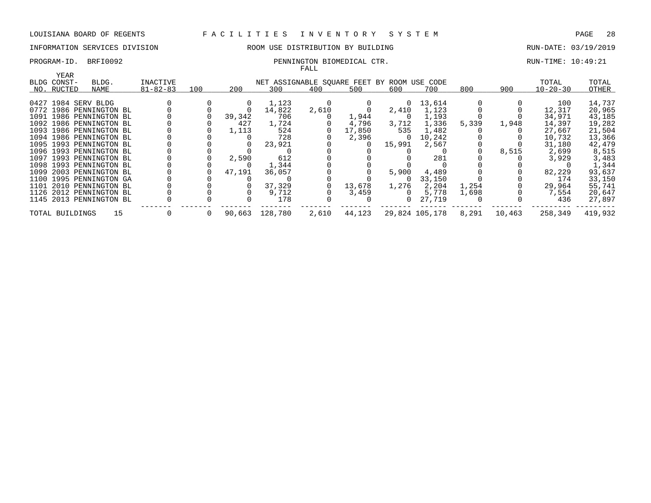# INFORMATION SERVICES DIVISION **ROOM USE DISTRIBUTION BY BUILDING RUN-DATE: 03/19/2019**

### PROGRAM-ID. BRFI0092 PENNINGTON BIOMEDICAL CTR. THE RUN-TIME: 10:49:21 FALL

|                     |                         |                |     |        |                                             | r Alli |        |        |                |       |        |                |         |
|---------------------|-------------------------|----------------|-----|--------|---------------------------------------------|--------|--------|--------|----------------|-------|--------|----------------|---------|
| <b>YEAR</b>         |                         |                |     |        |                                             |        |        |        |                |       |        |                |         |
| BLDG CONST-         | BLDG.                   | INACTIVE       |     |        | NET ASSIGNABLE SQUARE FEET BY ROOM USE CODE |        |        |        |                |       |        | TOTAL          | TOTAL   |
| NO. RUCTED          | NAME                    | $81 - 82 - 83$ | 100 | 200    | 300                                         | 400    | 500    | 600    | 700            | 800   | 900    | $10 - 20 - 30$ | OTHER   |
|                     |                         |                |     |        |                                             |        |        |        |                |       |        |                |         |
| 0427 1984 SERV BLDG |                         |                |     |        | 1,123                                       |        |        | 0      | 13,614         |       |        | 100            | 14,737  |
|                     | 0772 1986 PENNINGTON BL |                |     |        | 14,822                                      | 2,610  |        | 2,410  | 1,123          |       |        | 12,317         | 20,965  |
|                     | 1091 1986 PENNINGTON BL |                |     | 39,342 | 706                                         |        | 1,944  | 0      | 1,193          |       |        | 34,971         | 43,185  |
|                     | 1092 1986 PENNINGTON BL |                |     | 427    | 1,724                                       |        | 4,796  | 3,712  | 1,336          | 5,339 | 1,948  | 14,397         | 19,282  |
|                     | 1093 1986 PENNINGTON BL |                |     | 1,113  | 524                                         |        | 17,850 | 535    | 1,482          |       |        | 27,667         | 21,504  |
|                     | 1094 1986 PENNINGTON BL |                |     |        | 728                                         |        | 2,396  | 0      | 10,242         |       |        | 10,732         | 13,366  |
|                     | 1095 1993 PENNINGTON BL |                |     |        | 23,921                                      |        |        | 15,991 | 2,567          |       |        | 31,180         | 42,479  |
|                     | 1096 1993 PENNINGTON BL |                |     |        |                                             |        |        |        |                |       | 8,515  | 2,699          | 8,515   |
|                     | 1097 1993 PENNINGTON BL |                |     | 2,590  | 612                                         |        |        |        | 281            |       |        | 3,929          | 3,483   |
|                     | 1098 1993 PENNINGTON BL |                |     |        | 1,344                                       |        |        |        |                |       |        |                | 1,344   |
|                     | 1099 2003 PENNINGTON BL |                |     | 47,191 | 36,057                                      |        |        | 5,900  | 4,489          |       |        | 82,229         | 93,637  |
|                     | 1100 1995 PENNINGTON GA |                |     |        |                                             |        |        |        | 33,150         |       |        | 174            | 33,150  |
|                     | 1101 2010 PENNINGTON BL |                |     |        | 37,329                                      |        | 13,678 | 1,276  | 2,204          | 1,254 |        | 29,964         | 55,741  |
|                     | 1126 2012 PENNINGTON BL |                |     |        | 9,712                                       |        | 3,459  |        | 5,778          | 1,698 |        | 7,554          | 20,647  |
|                     | 1145 2013 PENNINGTON BL |                |     |        | 178                                         |        |        |        | 27,719         |       |        | 436            | 27,897  |
| TOTAL BUILDINGS     | 15                      |                | 0   | 90,663 | 128,780                                     | 2,610  | 44,123 |        | 29,824 105,178 | 8,291 | 10,463 | 258,349        | 419,932 |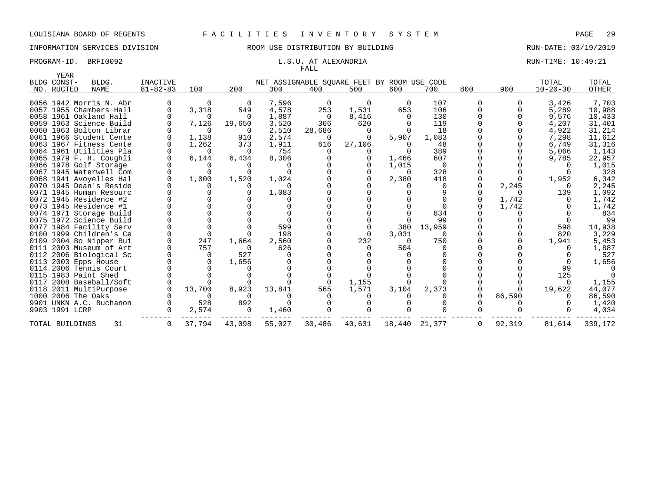# INFORMATION SERVICES DIVISION **REDEFILMENTION BY SULLANG RUN-DATE: 03/19/2019** RUN-DATE: 03/19/2019

# FALL

### PROGRAM-ID. BRFI0092 **EXAMPLE 10:49:21** L.S.U. AT ALEXANDRIA RUN-TIME: 10:49:21

| YEAR                      |                         |                            |             |          |                  |                                                    |          |          |          |          |        |                         |                |
|---------------------------|-------------------------|----------------------------|-------------|----------|------------------|----------------------------------------------------|----------|----------|----------|----------|--------|-------------------------|----------------|
| BLDG CONST-<br>NO. RUCTED | BLDG.<br>NAME           | INACTIVE<br>$81 - 82 - 83$ | 100         | 200      | 300              | NET ASSIGNABLE SQUARE FEET BY ROOM USE CODE<br>400 | 500      | 600      | 700      | 800      | 900    | TOTAL<br>$10 - 20 - 30$ | TOTAL<br>OTHER |
|                           |                         |                            |             |          |                  |                                                    |          |          |          |          |        |                         |                |
|                           | 0056 1942 Morris N. Abr |                            | $\Omega$    | - 0      | 7,596            | 0                                                  | $\Omega$ | $\Omega$ | 107      | $\Omega$ |        | 3,426                   | 7,703          |
|                           | 0057 1955 Chambers Hall |                            | 3,318       | 549      | 4,578            | 253                                                | 1,531    | 653      | 106      |          |        | 5,289                   | 10,988         |
|                           | 0058 1961 Oakland Hall  |                            | $\Omega$    | $\Omega$ | 1,887            | 0                                                  | 8,416    | $\Omega$ | 130      |          |        | 9,576                   | 10,433         |
|                           | 0059 1963 Science Build |                            | 7,126       | 19,650   | 3,520            | 366                                                | 620      |          | 119      |          |        | 4,207                   | 31,401         |
|                           | 0060 1963 Bolton Librar |                            | $\Omega$    | $\Omega$ | 2,510            | 28,686                                             | 0        | $\Omega$ | 18       |          |        | 4,922                   | 31,214         |
|                           | 0061 1966 Student Cente |                            | 1,138       | 910      | 2,574            | 0                                                  |          | 5,907    | 1,083    |          |        | 7,298                   | 11,612         |
|                           | 0063 1967 Fitness Cente |                            | 1,262       | 373      | 1,911            | 616                                                | 27,106   | $\Omega$ | 48       |          |        | 6,749                   | 31,316         |
|                           | 0064 1961 Utilities Pla |                            | $\Omega$    | $\Omega$ | 754              |                                                    |          | $\Omega$ | 389      |          |        | 5,066                   | 1,143          |
|                           | 0065 1979 F. H. Coughli |                            | 6,144       | 6,434    | 8,306            |                                                    |          | 1,466    | 607      |          |        | 9,785                   | 22,957         |
|                           | 0066 1978 Golf Storage  |                            | $\Omega$    |          | $\left( \right)$ |                                                    |          | 1,015    | - 0      |          |        |                         | 1,015          |
|                           | 0067 1945 Waterwell Com |                            | $\Omega$    |          | $\Omega$         |                                                    |          | $\Omega$ | 328      |          |        |                         | 328            |
|                           | 0068 1941 Avoyelles Hal |                            | 1,000       | 1,520    | 1,024            |                                                    |          | 2,380    | 418      |          |        | 1,952                   | 6,342          |
|                           | 0070 1945 Dean's Reside |                            | $\Omega$    |          | $\Omega$         |                                                    |          |          | 0        |          | 2,245  |                         | 2,245          |
|                           | 0071 1945 Human Resourc |                            |             |          | 1,083            |                                                    |          |          |          |          |        | 139                     | 1,092          |
|                           | 0072 1945 Residence #2  |                            |             |          | $\Omega$         |                                                    |          |          |          |          | 1,742  |                         | 1,742          |
|                           | 0073 1945 Residence #1  |                            |             |          |                  |                                                    |          |          |          |          | 1,742  |                         | 1,742          |
|                           | 0074 1971 Storage Build |                            |             |          |                  |                                                    |          |          | 834      |          |        |                         | 834            |
|                           | 0075 1972 Science Build |                            |             |          | $\Omega$         |                                                    |          |          | 99       |          |        |                         | 99             |
|                           | 0077 1984 Facility Serv |                            | $\Omega$    |          | 599              |                                                    |          | 380      | 13,959   |          |        | 598                     | 14,938         |
|                           | 0100 1999 Children's Ce |                            | $\mathbf 0$ |          | 198              |                                                    |          | 3,031    | $\Omega$ |          |        | 820                     | 3,229          |
|                           | 0109 2004 Bo Nipper Bui |                            | 247         | 1,664    | 2,560            |                                                    | 232      | $\Omega$ | 750      |          |        | 1,941                   | 5,453          |
|                           | 0111 2003 Museum of Art |                            | 757         | $\Omega$ | 626              |                                                    |          | 504      | $\Omega$ |          |        |                         | 1,887          |
|                           | 0112 2006 Biological Sc |                            | 0           | 527      | $\Omega$         |                                                    |          |          |          |          |        |                         | 527            |
|                           | 0113 2003 Epps House    |                            | 0           | 1,656    |                  |                                                    |          |          |          |          |        |                         | 1,656          |
|                           | 0114 2006 Tennis Court  |                            | $\Omega$    |          |                  |                                                    |          |          |          |          |        | 99                      |                |
|                           | 0115 1983 Paint Shed    |                            | $\Omega$    |          |                  |                                                    |          |          |          |          |        | 125                     |                |
|                           | 0117 2008 Baseball/Soft |                            | $\Omega$    |          |                  | 0                                                  | 1,155    |          |          |          |        |                         | 1,155          |
|                           | 0118 2011 MultiPurpose  |                            | 13,700      | 8,923    | 13,841           | 565                                                | 1,571    | 3,104    | 2,373    |          |        | 19,622                  | 44,077         |
|                           | 1000 2006 The Oaks      |                            | $\Omega$    |          |                  |                                                    |          |          |          |          | 86,590 |                         | 86,590         |
|                           | 9901 UNKN A.C. Buchanon |                            | 528         | 892      | $\Omega$         |                                                    |          |          |          |          |        |                         | 1,420          |
| 9903 1991 LCRP            |                         |                            | 2,574       | 0        | 1,460            |                                                    |          |          |          |          |        |                         | 4,034          |
| TOTAL BUILDINGS           | 31                      |                            | 37,794      | 43,098   | 55,027           | 30,486                                             | 40,631   | 18,440   | 21,377   | 0        | 92,319 | 81,614                  | 339,172        |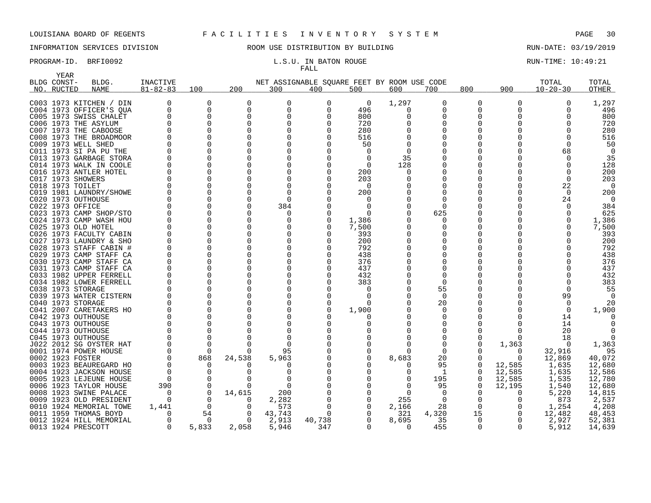# FALL

| YEAR        |                                              |                |          |               |                      |          |                                             |          |                |          |              |                |                |
|-------------|----------------------------------------------|----------------|----------|---------------|----------------------|----------|---------------------------------------------|----------|----------------|----------|--------------|----------------|----------------|
| BLDG CONST- | BLDG.                                        | INACTIVE       |          |               |                      |          | NET ASSIGNABLE SQUARE FEET BY ROOM USE CODE |          |                |          |              | TOTAL          | TOTAL          |
| NO. RUCTED  | <b>NAME</b>                                  | $81 - 82 - 83$ | 100      | 200           | 300                  | 400      | 500                                         | 600      | 700            | 800      | 900          | $10 - 20 - 30$ | <b>OTHER</b>   |
|             | C003 1973 KITCHEN / DIN                      |                | 0        | 0             | $\Omega$             | $\Omega$ | 0                                           | 1,297    | 0              | 0        | 0            | 0              | 1,297          |
|             |                                              |                | $\Omega$ | 0             | 0                    | $\Omega$ | 496                                         | $\Omega$ | 0              | O        | U            | O              |                |
|             | C004 1973 OFFICER'S OUA                      |                |          | $\Omega$      | $\Omega$             |          |                                             |          |                |          |              | n              | 496            |
|             | C005 1973 SWISS CHALET                       |                |          |               |                      |          | 800                                         |          | $\Omega$       |          |              |                | 800            |
|             | C006 1973 THE ASYLUM                         |                | $\Omega$ | $\Omega$      | $\mathbf 0$          |          | 720                                         |          |                |          |              |                | 720            |
|             | C007 1973 THE CABOOSE                        |                |          | O<br>$\Omega$ | $\Omega$             |          | 280                                         |          |                |          |              | n              | 280            |
|             | C008 1973 THE BROADMOOR                      |                |          |               | 0                    |          | 516                                         |          |                |          |              |                | 516            |
|             | C009 1973 WELL SHED                          |                |          | U             | O                    |          | 50                                          |          |                |          |              | n              | 50             |
|             | C011 1973 SI PA PU THE                       |                |          | $\Omega$      | 0                    |          | 0                                           |          |                |          |              | 68             | $\Omega$       |
|             | C013 1973 GARBAGE STORA                      |                |          | U             |                      |          | $\Omega$                                    | 35       |                |          |              |                | 35             |
|             | C014 1973 WALK IN COOLE                      |                |          | O             | $\Omega$             |          | $\Omega$                                    | 128      |                |          |              |                | 128            |
|             | C016 1973 ANTLER HOTEL                       |                |          | U             | 0                    |          | 200                                         |          |                |          |              | n              | 200            |
|             | C017 1973 SHOWERS                            |                |          |               | $\Omega$             |          | 203                                         |          |                |          |              | $\Omega$       | 203            |
|             | C018 1973 TOILET                             |                |          | Ω             | $\Omega$             |          | 0                                           |          |                |          |              | 22             | $\Omega$       |
|             | C019 1981 LAUNDRY/SHOWE                      |                |          |               | $\Omega$             |          | 200                                         |          |                |          |              | $\Omega$       | 200            |
|             | C020 1973 OUTHOUSE                           |                |          | O             | $\Omega$             |          | $\Omega$                                    |          |                |          |              | 24             | $\Omega$       |
|             | C022 1973 OFFICE                             |                |          |               | 384                  |          | $\Omega$                                    |          |                |          |              |                | 384            |
|             | C023 1973 CAMP SHOP/STO                      |                |          | $\Omega$      | 0                    |          | <sup>0</sup>                                |          | 625            |          |              |                | 625            |
|             | C024 1973 CAMP WASH HOU                      |                |          | N             | 0                    |          | 1,386                                       |          | $\Omega$       |          |              |                | 1,386          |
|             | C025 1973 OLD HOTEL                          |                |          | $\Omega$      | 0                    |          | 7,500                                       |          |                |          |              | O              | 7,500          |
|             | C026 1973 FACULTY CABIN                      |                |          | ∩             | 0                    |          | 393                                         |          |                |          |              |                | 393            |
|             | C027 1973 LAUNDRY & SHO                      |                |          | O             | 0                    |          | 200                                         |          |                |          |              |                | 200            |
|             | C028 1973 STAFF CABIN #                      |                | $\Omega$ | $\Omega$      | $\Omega$             |          | 792                                         |          |                |          |              |                | 792            |
|             | C029 1973 CAMP STAFF CA                      |                |          | 0             | 0                    |          | 438                                         |          |                |          |              |                | 438            |
|             | C030 1973 CAMP STAFF CA                      |                |          | $\Omega$      | $\mathbf 0$          |          | 376                                         |          |                |          |              |                | 376            |
|             | C031 1973 CAMP STAFF CA                      |                |          | N<br>O        | $\Omega$<br>$\Omega$ |          | 437                                         |          |                |          |              |                | 437            |
|             | C033 1982 UPPER FERRELL                      |                |          | Λ             | $\Omega$             |          | 432                                         |          |                |          |              |                | 432            |
|             | C034 1982 LOWER FERRELL                      |                |          | Λ             | $\Omega$             |          | 383                                         |          |                |          |              | n              | 383            |
|             | C038 1973 STORAGE                            |                |          | Λ             | O                    |          | O<br>∩                                      |          | 55<br>$\Omega$ |          |              |                | 55<br>$\Omega$ |
|             | C039 1973 WATER CISTERN<br>C040 1973 STORAGE |                |          | O             | O                    |          | O                                           |          | 20             |          |              | 99<br>$\Omega$ | 20             |
|             | C041 2007 CARETAKERS HO                      |                |          |               | 0                    |          | 1,900                                       |          |                |          |              | $\Omega$       | 1,900          |
|             | C042 1973 OUTHOUSE                           |                |          |               |                      |          | $\left( \right)$                            |          |                |          |              | 14             |                |
|             | C043 1973 OUTHOUSE                           |                |          | Ω             |                      |          | O                                           |          |                |          |              | 14             |                |
|             | C044 1973 OUTHOUSE                           |                |          |               | $\Omega$             |          |                                             |          |                |          | <sup>n</sup> | 20             |                |
|             | C045 1973 OUTHOUSE                           |                |          |               | 0                    |          |                                             |          |                |          | <sup>n</sup> | 18             |                |
|             | J022 2012 SG OYSTER HAT                      |                | $\Omega$ | $\Omega$      | $\Omega$             |          |                                             |          |                |          | 1,363        | $\Omega$       | 1,363          |
|             | 0001 1974 POWER HOUSE                        |                | $\Omega$ | $\Omega$      | 95                   |          |                                             |          |                |          | $\Omega$     | 32,916         | 95             |
|             | 0002 1923 FOSTER                             |                | 868      | 24,538        | 5,963                |          | 0                                           | 8,683    | 20             |          | $\Omega$     | 12,869         | 40,072         |
|             | 0003 1923 BEAUREGARD HO                      |                | $\Omega$ | O             | 0                    |          |                                             |          | 95             | 0        | 12,585       | 1,635          | 12,680         |
|             | 0004 1923 JACKSON HOUSE                      |                |          | $\Omega$      | $\Omega$             |          |                                             |          |                |          | 12,585       | 1,635          | 12,586         |
|             | 0005 1923 LEJEUNE HOUSE                      | 0              |          | O             | 0                    |          |                                             |          | 195            | 0        | 12,585       | 1,535          | 12,780         |
|             | 0006 1923 TAYLOR HOUSE                       | 390            |          |               | <sup>0</sup>         |          |                                             |          | 95             |          | 12,195       | 1,540          | 12,680         |
|             | 0008 1923 SWINE PALACE                       | $\Omega$       | $\Omega$ | 14,615        | 200                  |          | $\Omega$                                    |          | $\Omega$       |          | 0            | 5,220          | 14,815         |
|             | 0009 1923 OLD PRESIDENT                      | ∩              |          | $\Omega$      | 2,282                |          | $\Omega$                                    | 255      |                |          | O            | 873            | 2,537          |
|             | 0010 1924 MEMORIAL TOWE                      | 1,441          | $\Omega$ | $\Omega$      | 573                  |          | $\Omega$                                    | 2,166    | 28             | $\Omega$ | 0            | 1,254          | 4,208          |
|             | 0011 1959 THOMAS BOYD                        | 0              | 54       | 0             | 43,743               |          | O                                           | 321      | 4,320          | 15       | 0            | 12,482         | 48,453         |
|             | 0012 1924 HILL MEMORIAL                      | $\Omega$       | $\Omega$ | $\Omega$      | 2,913                | 40,738   |                                             | 8,695    | 35             | $\Omega$ | <sup>0</sup> | 2,927          | 52,381         |
|             | 0013 1924 PRESCOTT                           | $\Omega$       | 5,833    | 2,058         | 5,946                | 347      | $\Omega$                                    | $\Omega$ | 455            | $\Omega$ | 0            | 5,912          | 14,639         |
|             |                                              |                |          |               |                      |          |                                             |          |                |          |              |                |                |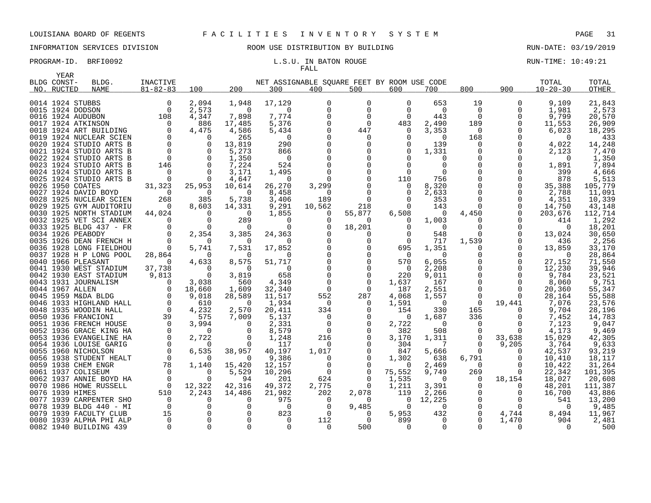# FALL

| YEAR            |                         |                |                   |                    |                |                                             |                      |              |                   |               |                      |                |                  |
|-----------------|-------------------------|----------------|-------------------|--------------------|----------------|---------------------------------------------|----------------------|--------------|-------------------|---------------|----------------------|----------------|------------------|
| BLDG CONST-     | BLDG.                   | INACTIVE       |                   |                    |                | NET ASSIGNABLE SQUARE FEET BY ROOM USE CODE |                      |              |                   |               |                      | TOTAL          | TOTAL            |
| NO. RUCTED      | <b>NAME</b>             | $81 - 82 - 83$ | 100               | 200                | 300            | 400                                         | 500                  | 600          | 700               | 800           | 900                  | $10 - 20 - 30$ | OTHER            |
|                 |                         |                |                   |                    |                |                                             |                      |              |                   |               |                      |                |                  |
|                 | 0014 1924 STUBBS        | 0              | 2,094             | 1,948              | 17,129         | $\Omega$                                    | $\Omega$             | $\Omega$     | 653               | 19            | $\Omega$             | 9,109          | 21,843           |
|                 | 0015 1924 DODSON        | 0              | 2,573             | $\Omega$           | $\Omega$       | $\Omega$                                    | $\Omega$             | $\Omega$     | $\Omega$          | 0             | 0                    | 1,981          | 2,573            |
|                 | 0016 1924 AUDUBON       | 108            | 4,347             | 7,898              | 7,774          |                                             | $\Omega$             | <sup>0</sup> | 443               | $\mathbf 0$   | $\Omega$             | 9,799          | 20,570           |
|                 | 0017 1924 ATKINSON      | $\mathbf 0$    | 886               | 17,485             | 5,376          |                                             | 0                    | 483          | 2,490             | 189           | 0                    | 11,553         | 26,909           |
|                 | 0018 1924 ART BUILDING  | $\mathbf 0$    | 4,475             | 4,586              | 5,434          |                                             | 447                  | $\Omega$     | 3,353             | 0             | $\Omega$             | 6,023          | 18,295           |
|                 | 0019 1924 NUCLEAR SCIEN | $\Omega$       | $\Omega$          | 265                | $\overline{0}$ |                                             | 0                    |              | $\Omega$          | 168           | $\Omega$             | $\Omega$       | 433              |
|                 | 0020 1924 STUDIO ARTS B | $\mathbf 0$    | $\Omega$          | 13,819             | 290            |                                             | $\Omega$             |              | 139               | 0             | $\Omega$             | 4,022          | 14,248           |
|                 | 0021 1924 STUDIO ARTS B | $\mathbf 0$    | 0                 | 5,273              | 866            |                                             | 0                    |              | 1,331             | 0             | 0                    | 2,123          | 7,470            |
|                 | 0022 1924 STUDIO ARTS B | $\overline{0}$ |                   | 1,350              | $\overline{0}$ |                                             | $\Omega$             |              | 0                 | 0             | 0                    | $\Omega$       | 1,350            |
|                 | 0023 1924 STUDIO ARTS B | 146            | $\Omega$          | 7,224              | 524            |                                             |                      |              | $\Omega$          | O             | $\Omega$             | 1,891          | 7,894            |
|                 | 0024 1924 STUDIO ARTS B | $\Omega$       | $\Omega$          | 3,171              | 1,495          |                                             | $\Omega$             | 0            | $\Omega$          | 0             |                      | 399            | 4,666            |
|                 | 0025 1924 STUDIO ARTS B | $\Omega$       |                   | 4,647              | 0              |                                             | $\Omega$             | 110          | 756               | $\Omega$      | 0                    | 878            | 5,513            |
|                 | 0026 1950 COATES        | 31,323         | 25,953            | 10,614             | 26,270         | 3,299                                       | $\Omega$             | 0            | 8,320             |               | $\mathbf 0$          | 35,388         | 105,779          |
|                 | 0027 1924 DAVID BOYD    | $\Omega$       | $\Omega$          | $\Omega$           | 8,458          | $\Omega$                                    | $\Omega$             |              | 2,633             | ∩             | $\Omega$             | 2,788          | 11,091           |
|                 | 0028 1925 NUCLEAR SCIEN | 268            | 385               | 5,738              | 3,406          | 189                                         | $\mathbf 0$          | $\Omega$     | 353               | $\Omega$      | $\mathbf 0$          | 4,351          | 10,339           |
|                 | 0029 1925 GYM AUDITORIU | 0              | 8,603             | 14,331             | 9,291          | 10,562                                      | 218                  | $\Omega$     | 143               | $\Omega$      | 0                    | 14,750         | 43,148           |
|                 | 0030 1925 NORTH STADIUM | 44,024         | $\Omega$          | - 0                | 1,855          | $\Omega$                                    | 55,877               | 6,508        | 0                 | 4,450         | $\Omega$             | 203,676        | 112,714          |
|                 | 0032 1925 VET SCI ANNEX | $\Omega$       | $\Omega$          | 289                | $\Omega$       | $\Omega$                                    | 0                    | $\Omega$     | 1,003             | 0             |                      | 414            | 1,292            |
|                 | 0033 1925 BLDG 437 - FR | $\Omega$       | $\Omega$          | $\Omega$           | $\Omega$       |                                             | 18,201               |              | $\Omega$          | $\Omega$      | O                    | $\Omega$       | 18,201           |
|                 | 0034 1926 PEABODY       | 0              | 2,354             | 3,385              | 24,363         |                                             | 0                    |              | 548               | 0             | 0                    | 13,024         | 30,650           |
|                 | 0035 1926 DEAN FRENCH H | $\Omega$       | $\Omega$          | - 0                | O              |                                             | $\Omega$             |              | 717               | 1,539         | $\Omega$             | 436            | 2,256            |
|                 | 0036 1928 LONG FIELDHOU | $\overline{0}$ | 5,741             | 7,531              | 17,852         |                                             | $\Omega$             | 695          | 1,351             | 0             | $\mathbf 0$          | 13,859         | 33,170           |
|                 | 0037 1928 H P LONG POOL | 28,864         | $\Omega$          | $\Omega$           | $\Omega$       |                                             | $\Omega$             | $\Omega$     | $\Omega$          | $\Omega$      | $\mathbf 0$          | $\Omega$       | 28,864           |
|                 | 0040 1966 PLEASANT      | $\Omega$       | 4,633             | 8,575              | 51,717         |                                             | $\Omega$             | 570          | 6,055             | $\Omega$      | 0                    | 27,152         | 71,550           |
|                 | 0041 1930 WEST STADIUM  | 37,738         | $\Omega$          | $\Omega$           | 0              |                                             | $\Omega$             | 0            | 2,208             | 0             | 0                    | 12,230         | 39,946           |
|                 | 0042 1930 EAST STADIUM  | 9,813          | $\Omega$          | 3,819              | 658            |                                             | ∩                    | 220          | 9,011             | $\Omega$      | $\Omega$             | 9,784          | 23,521           |
|                 | 0043 1931 JOURNALISM    | $\Omega$       | 3,038             | 560                | 4,349          | $\Omega$                                    | $\Omega$             | 1,637        | 167               | $\Omega$      | $\Omega$             | 8,060          | 9,751            |
| 0044 1967 ALLEN |                         | 0              | 18,660            | 1,609              | 32,340         | $\Omega$                                    | $\Omega$             | 187          | 2,551             | $\Omega$      | $\Omega$             | 20,360         | 55,347           |
|                 | 0045 1959 M&DA BLDG     | $\mathbf 0$    | 9,018             | 28,589             | 11,517         | 552                                         | 287                  | 4,068        | 1,557             | 0             | $\Omega$             | 28,164         | 55,588           |
|                 | 0046 1933 HIGHLAND HALL | $\overline{0}$ | 610               | $\overline{0}$     | 1,934          | $\Omega$                                    | $\Omega$             | 1,591        | $\overline{0}$    | $\Omega$      | 19,441               | 7,076          | 23,576           |
|                 | 0048 1935 WOODIN HALL   | $\Omega$       | 4,232             | 2,570              | 20,411         | 334                                         | 0                    | 154          | 330               | 165           | $\Omega$             | 9,704          | 28,196           |
|                 | 0050 1936 FRANCIONI     | 39             | 575               | 7,009              | 5,137          | $\Omega$                                    | $\Omega$             | $\Omega$     | 1,687             | 336           | $\Omega$             | 7,452          | 14,783           |
|                 | 0051 1936 FRENCH HOUSE  | $\mathbf 0$    | 3,994             | 0                  | 2,331          | 0                                           | 0                    | 2,722        | $\overline{0}$    | 0             | 0                    | 7,123          | 9,047            |
|                 | 0052 1936 GRACE KING HA | $\mathbf 0$    | $\Omega$          | $\Omega$           | 8,579          | $\Omega$                                    | $\Omega$             | 382          | 508               | 0             | $\Omega$             | 4,173          | 9,469            |
|                 | 0053 1936 EVANGELINE HA | $\mathbf 0$    | 2,722             | 0                  | 1,248          | 216                                         | $\Omega$             | 3,170        | 1,311             | 0             | 33,638               | 15,029         | 42,305           |
|                 | 0054 1936 LOUISE GARIG  | 0              | $\Omega$          | 0                  | 117            | 0                                           | 0                    | 304          | 7                 | 0             | 9,205                | 3,764          | 9,633            |
|                 | 0055 1960 NICHOLSON     | $\Omega$       | 6,535             | 38,957             | 40,197         | 1,017                                       | $\Omega$             | 847          | 5,666             | $\Omega$      | $\Omega$             | 42,537         | 93,219           |
|                 | 0056 1938 STUDENT HEALT | $\overline{0}$ | $\Omega$          | 0                  | 9,386          | $\Omega$                                    | $\Omega$             | 1,302        | 638               | 6,791         | 0                    | 10,410         | 18,117           |
|                 | 0059 1938 CHEM ENGR     | 78<br>$\Omega$ | 1,140<br>$\Omega$ | 15,420             | 12,157         | $\Omega$<br>$\Omega$                        | $\Omega$<br>$\Omega$ | 0            | 2,469             | $\Omega$      | $\Omega$<br>$\Omega$ | 10,422         | 31,264           |
|                 | 0061 1937 COLISEUM      | $\overline{0}$ | $\Omega$          | 5,529              | 10,296         |                                             |                      | 75,552       | 9,749<br>$\Omega$ | 269           |                      | 22,342         | 101,395          |
|                 | 0062 1937 ANNIE BOYD HA | $\overline{0}$ |                   | 94<br>42,316       | 201<br>49,372  | 624                                         | 0<br>$\Omega$        | 1,535        |                   | 0<br>$\Omega$ | 18,154<br>$\Omega$   | 18,027         | 20,608           |
| 0076 1939 HIMES | 0070 1986 HOWE RUSSELL  | 510            | 12,322<br>2,243   |                    |                | 2,775                                       |                      | 1,211<br>119 | 3,391             |               | 0                    | 48,201         | 111,387          |
|                 | 0077 1939 CARPENTER SHO | $\overline{0}$ | $\Omega$          | 14,486<br>$\Omega$ | 21,982<br>975  | 202<br>$\Omega$                             | 2,078<br>0           | $\Omega$     | 2,266<br>12,225   | 0<br>$\Omega$ | $\Omega$             | 16,700<br>541  | 43,886<br>13,200 |
|                 | 0078 1939 BLDG 440 - MI | $\overline{0}$ |                   | $\Omega$           | 0              | $\Omega$                                    | 9,485                | $\Omega$     | $\Omega$          | 0             | $\Omega$             | $\Omega$       | 9,485            |
|                 | 0079 1939 FACULTY CLUB  | 15             |                   |                    | 823            | $\Omega$                                    | $\Omega$             | 5,953        | 432               | $\mathbf 0$   | 4,744                | 8,494          | 11,967           |
|                 | 0080 1939 ALPHA PHI ALP | $\Omega$       |                   | $\Omega$           | $\Omega$       | 112                                         | 0                    | 899          | $\Omega$          | $\Omega$      | 1,470                | 904            | 2,481            |
|                 | 0082 1940 BUILDING 439  | $\Omega$       |                   |                    | $\Omega$       | <sup>0</sup>                                | 500                  | 0            | $\Omega$          | $\Omega$      | $\Omega$             | $\Omega$       | 500              |
|                 |                         |                |                   |                    |                |                                             |                      |              |                   |               |                      |                |                  |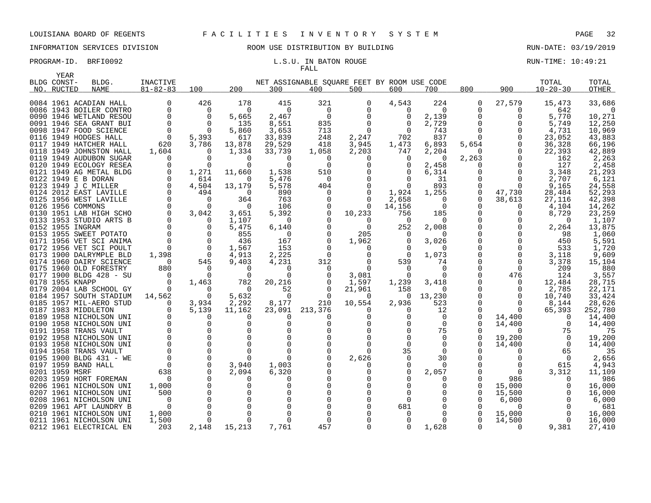# FALL

| BLDG.       | INACTIVE                                                                                                                                                                                                                                                                                                                                                                                                                                                                                                                                                                                                                                                                                                                                                                                                                                                                                                                                                                                                                                                                                                                                                                                                                                                                                                               |                                                                                                                                                                                                                                                                                                      |                                                                                                                                                                                                                                                        |                                                                                                                                                                                                                                                             |                                                                                                                                                                                                                                                                                               |                                                                                                                                                              |                                                                                                                                                                                                                                                                               |                                                                                                                                                       |                                                                                                                                                                                                                                                                                                                                           |                                                                                                                                                                                                                | TOTAL                                                                                                                                                                                                                                                                     | TOTAL                                                                                                                                                                                                                                                                                                          |
|-------------|------------------------------------------------------------------------------------------------------------------------------------------------------------------------------------------------------------------------------------------------------------------------------------------------------------------------------------------------------------------------------------------------------------------------------------------------------------------------------------------------------------------------------------------------------------------------------------------------------------------------------------------------------------------------------------------------------------------------------------------------------------------------------------------------------------------------------------------------------------------------------------------------------------------------------------------------------------------------------------------------------------------------------------------------------------------------------------------------------------------------------------------------------------------------------------------------------------------------------------------------------------------------------------------------------------------------|------------------------------------------------------------------------------------------------------------------------------------------------------------------------------------------------------------------------------------------------------------------------------------------------------|--------------------------------------------------------------------------------------------------------------------------------------------------------------------------------------------------------------------------------------------------------|-------------------------------------------------------------------------------------------------------------------------------------------------------------------------------------------------------------------------------------------------------------|-----------------------------------------------------------------------------------------------------------------------------------------------------------------------------------------------------------------------------------------------------------------------------------------------|--------------------------------------------------------------------------------------------------------------------------------------------------------------|-------------------------------------------------------------------------------------------------------------------------------------------------------------------------------------------------------------------------------------------------------------------------------|-------------------------------------------------------------------------------------------------------------------------------------------------------|-------------------------------------------------------------------------------------------------------------------------------------------------------------------------------------------------------------------------------------------------------------------------------------------------------------------------------------------|----------------------------------------------------------------------------------------------------------------------------------------------------------------------------------------------------------------|---------------------------------------------------------------------------------------------------------------------------------------------------------------------------------------------------------------------------------------------------------------------------|----------------------------------------------------------------------------------------------------------------------------------------------------------------------------------------------------------------------------------------------------------------------------------------------------------------|
| <b>NAME</b> | $81 - 82 - 83$                                                                                                                                                                                                                                                                                                                                                                                                                                                                                                                                                                                                                                                                                                                                                                                                                                                                                                                                                                                                                                                                                                                                                                                                                                                                                                         | 100                                                                                                                                                                                                                                                                                                  | 200                                                                                                                                                                                                                                                    | 300                                                                                                                                                                                                                                                         | 400                                                                                                                                                                                                                                                                                           | 500                                                                                                                                                          | 600                                                                                                                                                                                                                                                                           | 700                                                                                                                                                   | 800                                                                                                                                                                                                                                                                                                                                       | 900                                                                                                                                                                                                            | $10 - 20 - 30$                                                                                                                                                                                                                                                            | OTHER                                                                                                                                                                                                                                                                                                          |
|             |                                                                                                                                                                                                                                                                                                                                                                                                                                                                                                                                                                                                                                                                                                                                                                                                                                                                                                                                                                                                                                                                                                                                                                                                                                                                                                                        |                                                                                                                                                                                                                                                                                                      |                                                                                                                                                                                                                                                        |                                                                                                                                                                                                                                                             |                                                                                                                                                                                                                                                                                               |                                                                                                                                                              |                                                                                                                                                                                                                                                                               |                                                                                                                                                       |                                                                                                                                                                                                                                                                                                                                           |                                                                                                                                                                                                                |                                                                                                                                                                                                                                                                           |                                                                                                                                                                                                                                                                                                                |
|             |                                                                                                                                                                                                                                                                                                                                                                                                                                                                                                                                                                                                                                                                                                                                                                                                                                                                                                                                                                                                                                                                                                                                                                                                                                                                                                                        |                                                                                                                                                                                                                                                                                                      |                                                                                                                                                                                                                                                        |                                                                                                                                                                                                                                                             |                                                                                                                                                                                                                                                                                               |                                                                                                                                                              |                                                                                                                                                                                                                                                                               |                                                                                                                                                       |                                                                                                                                                                                                                                                                                                                                           |                                                                                                                                                                                                                |                                                                                                                                                                                                                                                                           | 33,686                                                                                                                                                                                                                                                                                                         |
|             |                                                                                                                                                                                                                                                                                                                                                                                                                                                                                                                                                                                                                                                                                                                                                                                                                                                                                                                                                                                                                                                                                                                                                                                                                                                                                                                        |                                                                                                                                                                                                                                                                                                      |                                                                                                                                                                                                                                                        |                                                                                                                                                                                                                                                             |                                                                                                                                                                                                                                                                                               |                                                                                                                                                              | $\Omega$                                                                                                                                                                                                                                                                      |                                                                                                                                                       |                                                                                                                                                                                                                                                                                                                                           |                                                                                                                                                                                                                |                                                                                                                                                                                                                                                                           | $\Omega$                                                                                                                                                                                                                                                                                                       |
|             |                                                                                                                                                                                                                                                                                                                                                                                                                                                                                                                                                                                                                                                                                                                                                                                                                                                                                                                                                                                                                                                                                                                                                                                                                                                                                                                        |                                                                                                                                                                                                                                                                                                      |                                                                                                                                                                                                                                                        |                                                                                                                                                                                                                                                             |                                                                                                                                                                                                                                                                                               |                                                                                                                                                              |                                                                                                                                                                                                                                                                               |                                                                                                                                                       |                                                                                                                                                                                                                                                                                                                                           |                                                                                                                                                                                                                |                                                                                                                                                                                                                                                                           | 10,271                                                                                                                                                                                                                                                                                                         |
|             |                                                                                                                                                                                                                                                                                                                                                                                                                                                                                                                                                                                                                                                                                                                                                                                                                                                                                                                                                                                                                                                                                                                                                                                                                                                                                                                        |                                                                                                                                                                                                                                                                                                      |                                                                                                                                                                                                                                                        |                                                                                                                                                                                                                                                             |                                                                                                                                                                                                                                                                                               |                                                                                                                                                              |                                                                                                                                                                                                                                                                               |                                                                                                                                                       |                                                                                                                                                                                                                                                                                                                                           |                                                                                                                                                                                                                |                                                                                                                                                                                                                                                                           | 12,250                                                                                                                                                                                                                                                                                                         |
|             |                                                                                                                                                                                                                                                                                                                                                                                                                                                                                                                                                                                                                                                                                                                                                                                                                                                                                                                                                                                                                                                                                                                                                                                                                                                                                                                        |                                                                                                                                                                                                                                                                                                      |                                                                                                                                                                                                                                                        |                                                                                                                                                                                                                                                             |                                                                                                                                                                                                                                                                                               |                                                                                                                                                              |                                                                                                                                                                                                                                                                               |                                                                                                                                                       |                                                                                                                                                                                                                                                                                                                                           |                                                                                                                                                                                                                |                                                                                                                                                                                                                                                                           | 10,969                                                                                                                                                                                                                                                                                                         |
|             |                                                                                                                                                                                                                                                                                                                                                                                                                                                                                                                                                                                                                                                                                                                                                                                                                                                                                                                                                                                                                                                                                                                                                                                                                                                                                                                        |                                                                                                                                                                                                                                                                                                      |                                                                                                                                                                                                                                                        |                                                                                                                                                                                                                                                             |                                                                                                                                                                                                                                                                                               |                                                                                                                                                              |                                                                                                                                                                                                                                                                               |                                                                                                                                                       |                                                                                                                                                                                                                                                                                                                                           |                                                                                                                                                                                                                |                                                                                                                                                                                                                                                                           | 43,883                                                                                                                                                                                                                                                                                                         |
|             |                                                                                                                                                                                                                                                                                                                                                                                                                                                                                                                                                                                                                                                                                                                                                                                                                                                                                                                                                                                                                                                                                                                                                                                                                                                                                                                        |                                                                                                                                                                                                                                                                                                      |                                                                                                                                                                                                                                                        |                                                                                                                                                                                                                                                             |                                                                                                                                                                                                                                                                                               |                                                                                                                                                              |                                                                                                                                                                                                                                                                               |                                                                                                                                                       |                                                                                                                                                                                                                                                                                                                                           |                                                                                                                                                                                                                |                                                                                                                                                                                                                                                                           | 66,196                                                                                                                                                                                                                                                                                                         |
|             |                                                                                                                                                                                                                                                                                                                                                                                                                                                                                                                                                                                                                                                                                                                                                                                                                                                                                                                                                                                                                                                                                                                                                                                                                                                                                                                        |                                                                                                                                                                                                                                                                                                      |                                                                                                                                                                                                                                                        |                                                                                                                                                                                                                                                             |                                                                                                                                                                                                                                                                                               |                                                                                                                                                              |                                                                                                                                                                                                                                                                               |                                                                                                                                                       |                                                                                                                                                                                                                                                                                                                                           |                                                                                                                                                                                                                |                                                                                                                                                                                                                                                                           | 42,889                                                                                                                                                                                                                                                                                                         |
|             |                                                                                                                                                                                                                                                                                                                                                                                                                                                                                                                                                                                                                                                                                                                                                                                                                                                                                                                                                                                                                                                                                                                                                                                                                                                                                                                        |                                                                                                                                                                                                                                                                                                      |                                                                                                                                                                                                                                                        |                                                                                                                                                                                                                                                             |                                                                                                                                                                                                                                                                                               |                                                                                                                                                              |                                                                                                                                                                                                                                                                               |                                                                                                                                                       |                                                                                                                                                                                                                                                                                                                                           |                                                                                                                                                                                                                |                                                                                                                                                                                                                                                                           | 2,263                                                                                                                                                                                                                                                                                                          |
|             |                                                                                                                                                                                                                                                                                                                                                                                                                                                                                                                                                                                                                                                                                                                                                                                                                                                                                                                                                                                                                                                                                                                                                                                                                                                                                                                        |                                                                                                                                                                                                                                                                                                      |                                                                                                                                                                                                                                                        |                                                                                                                                                                                                                                                             |                                                                                                                                                                                                                                                                                               |                                                                                                                                                              |                                                                                                                                                                                                                                                                               |                                                                                                                                                       |                                                                                                                                                                                                                                                                                                                                           |                                                                                                                                                                                                                |                                                                                                                                                                                                                                                                           | 2,458                                                                                                                                                                                                                                                                                                          |
|             |                                                                                                                                                                                                                                                                                                                                                                                                                                                                                                                                                                                                                                                                                                                                                                                                                                                                                                                                                                                                                                                                                                                                                                                                                                                                                                                        |                                                                                                                                                                                                                                                                                                      |                                                                                                                                                                                                                                                        |                                                                                                                                                                                                                                                             |                                                                                                                                                                                                                                                                                               |                                                                                                                                                              |                                                                                                                                                                                                                                                                               |                                                                                                                                                       |                                                                                                                                                                                                                                                                                                                                           |                                                                                                                                                                                                                |                                                                                                                                                                                                                                                                           | 21,293<br>6,121                                                                                                                                                                                                                                                                                                |
|             |                                                                                                                                                                                                                                                                                                                                                                                                                                                                                                                                                                                                                                                                                                                                                                                                                                                                                                                                                                                                                                                                                                                                                                                                                                                                                                                        |                                                                                                                                                                                                                                                                                                      |                                                                                                                                                                                                                                                        |                                                                                                                                                                                                                                                             |                                                                                                                                                                                                                                                                                               |                                                                                                                                                              |                                                                                                                                                                                                                                                                               |                                                                                                                                                       |                                                                                                                                                                                                                                                                                                                                           |                                                                                                                                                                                                                |                                                                                                                                                                                                                                                                           | 24,558                                                                                                                                                                                                                                                                                                         |
|             |                                                                                                                                                                                                                                                                                                                                                                                                                                                                                                                                                                                                                                                                                                                                                                                                                                                                                                                                                                                                                                                                                                                                                                                                                                                                                                                        |                                                                                                                                                                                                                                                                                                      |                                                                                                                                                                                                                                                        |                                                                                                                                                                                                                                                             |                                                                                                                                                                                                                                                                                               |                                                                                                                                                              |                                                                                                                                                                                                                                                                               |                                                                                                                                                       |                                                                                                                                                                                                                                                                                                                                           |                                                                                                                                                                                                                |                                                                                                                                                                                                                                                                           | 52,293                                                                                                                                                                                                                                                                                                         |
|             |                                                                                                                                                                                                                                                                                                                                                                                                                                                                                                                                                                                                                                                                                                                                                                                                                                                                                                                                                                                                                                                                                                                                                                                                                                                                                                                        |                                                                                                                                                                                                                                                                                                      |                                                                                                                                                                                                                                                        |                                                                                                                                                                                                                                                             |                                                                                                                                                                                                                                                                                               |                                                                                                                                                              |                                                                                                                                                                                                                                                                               |                                                                                                                                                       |                                                                                                                                                                                                                                                                                                                                           |                                                                                                                                                                                                                |                                                                                                                                                                                                                                                                           | 42,398                                                                                                                                                                                                                                                                                                         |
|             |                                                                                                                                                                                                                                                                                                                                                                                                                                                                                                                                                                                                                                                                                                                                                                                                                                                                                                                                                                                                                                                                                                                                                                                                                                                                                                                        |                                                                                                                                                                                                                                                                                                      |                                                                                                                                                                                                                                                        |                                                                                                                                                                                                                                                             |                                                                                                                                                                                                                                                                                               |                                                                                                                                                              |                                                                                                                                                                                                                                                                               |                                                                                                                                                       |                                                                                                                                                                                                                                                                                                                                           |                                                                                                                                                                                                                |                                                                                                                                                                                                                                                                           | 14,262                                                                                                                                                                                                                                                                                                         |
|             |                                                                                                                                                                                                                                                                                                                                                                                                                                                                                                                                                                                                                                                                                                                                                                                                                                                                                                                                                                                                                                                                                                                                                                                                                                                                                                                        |                                                                                                                                                                                                                                                                                                      |                                                                                                                                                                                                                                                        |                                                                                                                                                                                                                                                             |                                                                                                                                                                                                                                                                                               |                                                                                                                                                              |                                                                                                                                                                                                                                                                               |                                                                                                                                                       |                                                                                                                                                                                                                                                                                                                                           |                                                                                                                                                                                                                |                                                                                                                                                                                                                                                                           | 23,259                                                                                                                                                                                                                                                                                                         |
|             |                                                                                                                                                                                                                                                                                                                                                                                                                                                                                                                                                                                                                                                                                                                                                                                                                                                                                                                                                                                                                                                                                                                                                                                                                                                                                                                        |                                                                                                                                                                                                                                                                                                      |                                                                                                                                                                                                                                                        |                                                                                                                                                                                                                                                             |                                                                                                                                                                                                                                                                                               |                                                                                                                                                              |                                                                                                                                                                                                                                                                               |                                                                                                                                                       |                                                                                                                                                                                                                                                                                                                                           |                                                                                                                                                                                                                |                                                                                                                                                                                                                                                                           | 1,107                                                                                                                                                                                                                                                                                                          |
|             |                                                                                                                                                                                                                                                                                                                                                                                                                                                                                                                                                                                                                                                                                                                                                                                                                                                                                                                                                                                                                                                                                                                                                                                                                                                                                                                        |                                                                                                                                                                                                                                                                                                      |                                                                                                                                                                                                                                                        |                                                                                                                                                                                                                                                             |                                                                                                                                                                                                                                                                                               |                                                                                                                                                              |                                                                                                                                                                                                                                                                               |                                                                                                                                                       |                                                                                                                                                                                                                                                                                                                                           |                                                                                                                                                                                                                |                                                                                                                                                                                                                                                                           | 13,875                                                                                                                                                                                                                                                                                                         |
|             |                                                                                                                                                                                                                                                                                                                                                                                                                                                                                                                                                                                                                                                                                                                                                                                                                                                                                                                                                                                                                                                                                                                                                                                                                                                                                                                        |                                                                                                                                                                                                                                                                                                      |                                                                                                                                                                                                                                                        |                                                                                                                                                                                                                                                             |                                                                                                                                                                                                                                                                                               |                                                                                                                                                              |                                                                                                                                                                                                                                                                               | $\Omega$                                                                                                                                              |                                                                                                                                                                                                                                                                                                                                           |                                                                                                                                                                                                                |                                                                                                                                                                                                                                                                           | 1,060                                                                                                                                                                                                                                                                                                          |
|             | $\Omega$                                                                                                                                                                                                                                                                                                                                                                                                                                                                                                                                                                                                                                                                                                                                                                                                                                                                                                                                                                                                                                                                                                                                                                                                                                                                                                               | $\Omega$                                                                                                                                                                                                                                                                                             |                                                                                                                                                                                                                                                        |                                                                                                                                                                                                                                                             |                                                                                                                                                                                                                                                                                               |                                                                                                                                                              | $\Omega$                                                                                                                                                                                                                                                                      |                                                                                                                                                       | $\Omega$                                                                                                                                                                                                                                                                                                                                  | $\Omega$                                                                                                                                                                                                       |                                                                                                                                                                                                                                                                           | 5,591                                                                                                                                                                                                                                                                                                          |
|             | $\mathbf 0$                                                                                                                                                                                                                                                                                                                                                                                                                                                                                                                                                                                                                                                                                                                                                                                                                                                                                                                                                                                                                                                                                                                                                                                                                                                                                                            | $\overline{0}$                                                                                                                                                                                                                                                                                       |                                                                                                                                                                                                                                                        |                                                                                                                                                                                                                                                             |                                                                                                                                                                                                                                                                                               | 0                                                                                                                                                            |                                                                                                                                                                                                                                                                               | $\Omega$                                                                                                                                              |                                                                                                                                                                                                                                                                                                                                           |                                                                                                                                                                                                                |                                                                                                                                                                                                                                                                           | 1,720                                                                                                                                                                                                                                                                                                          |
|             | 1,398                                                                                                                                                                                                                                                                                                                                                                                                                                                                                                                                                                                                                                                                                                                                                                                                                                                                                                                                                                                                                                                                                                                                                                                                                                                                                                                  | $\Omega$                                                                                                                                                                                                                                                                                             |                                                                                                                                                                                                                                                        |                                                                                                                                                                                                                                                             |                                                                                                                                                                                                                                                                                               | $\Omega$                                                                                                                                                     | $\Omega$                                                                                                                                                                                                                                                                      | 1,073                                                                                                                                                 |                                                                                                                                                                                                                                                                                                                                           | 0                                                                                                                                                                                                              | 3,118                                                                                                                                                                                                                                                                     | 9,609                                                                                                                                                                                                                                                                                                          |
|             | $\Omega$                                                                                                                                                                                                                                                                                                                                                                                                                                                                                                                                                                                                                                                                                                                                                                                                                                                                                                                                                                                                                                                                                                                                                                                                                                                                                                               | 545                                                                                                                                                                                                                                                                                                  | 9,403                                                                                                                                                                                                                                                  | 4,231                                                                                                                                                                                                                                                       | 312                                                                                                                                                                                                                                                                                           | $\Omega$                                                                                                                                                     | 539                                                                                                                                                                                                                                                                           | 74                                                                                                                                                    |                                                                                                                                                                                                                                                                                                                                           | $\Omega$                                                                                                                                                                                                       | 3,378                                                                                                                                                                                                                                                                     | 15,104                                                                                                                                                                                                                                                                                                         |
|             | 880                                                                                                                                                                                                                                                                                                                                                                                                                                                                                                                                                                                                                                                                                                                                                                                                                                                                                                                                                                                                                                                                                                                                                                                                                                                                                                                    | $\Omega$                                                                                                                                                                                                                                                                                             | $\Omega$                                                                                                                                                                                                                                               | $\Omega$                                                                                                                                                                                                                                                    | $\Omega$                                                                                                                                                                                                                                                                                      | $\Omega$                                                                                                                                                     | $\Omega$                                                                                                                                                                                                                                                                      | $\Omega$                                                                                                                                              | 0                                                                                                                                                                                                                                                                                                                                         | $\Omega$                                                                                                                                                                                                       | 209                                                                                                                                                                                                                                                                       | 880                                                                                                                                                                                                                                                                                                            |
|             | $\Omega$                                                                                                                                                                                                                                                                                                                                                                                                                                                                                                                                                                                                                                                                                                                                                                                                                                                                                                                                                                                                                                                                                                                                                                                                                                                                                                               | $\Omega$                                                                                                                                                                                                                                                                                             | $\Omega$                                                                                                                                                                                                                                               | 0                                                                                                                                                                                                                                                           |                                                                                                                                                                                                                                                                                               | 3,081                                                                                                                                                        | O                                                                                                                                                                                                                                                                             |                                                                                                                                                       | $\Omega$                                                                                                                                                                                                                                                                                                                                  | 476                                                                                                                                                                                                            | 124                                                                                                                                                                                                                                                                       | 3,557                                                                                                                                                                                                                                                                                                          |
|             | $\Omega$                                                                                                                                                                                                                                                                                                                                                                                                                                                                                                                                                                                                                                                                                                                                                                                                                                                                                                                                                                                                                                                                                                                                                                                                                                                                                                               |                                                                                                                                                                                                                                                                                                      | 782                                                                                                                                                                                                                                                    | 20,216                                                                                                                                                                                                                                                      |                                                                                                                                                                                                                                                                                               | 1,597                                                                                                                                                        | 1,239                                                                                                                                                                                                                                                                         | 3,418                                                                                                                                                 |                                                                                                                                                                                                                                                                                                                                           | 0                                                                                                                                                                                                              |                                                                                                                                                                                                                                                                           | 28,715                                                                                                                                                                                                                                                                                                         |
|             | $\Omega$                                                                                                                                                                                                                                                                                                                                                                                                                                                                                                                                                                                                                                                                                                                                                                                                                                                                                                                                                                                                                                                                                                                                                                                                                                                                                                               | $\Omega$                                                                                                                                                                                                                                                                                             | - 0                                                                                                                                                                                                                                                    | 52                                                                                                                                                                                                                                                          |                                                                                                                                                                                                                                                                                               |                                                                                                                                                              | 158                                                                                                                                                                                                                                                                           | $\Omega$                                                                                                                                              | $\Omega$                                                                                                                                                                                                                                                                                                                                  | 0                                                                                                                                                                                                              |                                                                                                                                                                                                                                                                           | 22,171                                                                                                                                                                                                                                                                                                         |
|             | 14,562                                                                                                                                                                                                                                                                                                                                                                                                                                                                                                                                                                                                                                                                                                                                                                                                                                                                                                                                                                                                                                                                                                                                                                                                                                                                                                                 | $\overline{0}$                                                                                                                                                                                                                                                                                       |                                                                                                                                                                                                                                                        |                                                                                                                                                                                                                                                             | $\Omega$                                                                                                                                                                                                                                                                                      | 0                                                                                                                                                            | 0                                                                                                                                                                                                                                                                             |                                                                                                                                                       |                                                                                                                                                                                                                                                                                                                                           | 0                                                                                                                                                                                                              | 10,740                                                                                                                                                                                                                                                                    | 33,424                                                                                                                                                                                                                                                                                                         |
|             |                                                                                                                                                                                                                                                                                                                                                                                                                                                                                                                                                                                                                                                                                                                                                                                                                                                                                                                                                                                                                                                                                                                                                                                                                                                                                                                        |                                                                                                                                                                                                                                                                                                      |                                                                                                                                                                                                                                                        |                                                                                                                                                                                                                                                             |                                                                                                                                                                                                                                                                                               |                                                                                                                                                              |                                                                                                                                                                                                                                                                               |                                                                                                                                                       |                                                                                                                                                                                                                                                                                                                                           |                                                                                                                                                                                                                |                                                                                                                                                                                                                                                                           | 28,626                                                                                                                                                                                                                                                                                                         |
|             |                                                                                                                                                                                                                                                                                                                                                                                                                                                                                                                                                                                                                                                                                                                                                                                                                                                                                                                                                                                                                                                                                                                                                                                                                                                                                                                        |                                                                                                                                                                                                                                                                                                      |                                                                                                                                                                                                                                                        |                                                                                                                                                                                                                                                             |                                                                                                                                                                                                                                                                                               |                                                                                                                                                              |                                                                                                                                                                                                                                                                               |                                                                                                                                                       |                                                                                                                                                                                                                                                                                                                                           |                                                                                                                                                                                                                |                                                                                                                                                                                                                                                                           | 252,780                                                                                                                                                                                                                                                                                                        |
|             |                                                                                                                                                                                                                                                                                                                                                                                                                                                                                                                                                                                                                                                                                                                                                                                                                                                                                                                                                                                                                                                                                                                                                                                                                                                                                                                        |                                                                                                                                                                                                                                                                                                      |                                                                                                                                                                                                                                                        |                                                                                                                                                                                                                                                             |                                                                                                                                                                                                                                                                                               |                                                                                                                                                              |                                                                                                                                                                                                                                                                               |                                                                                                                                                       |                                                                                                                                                                                                                                                                                                                                           |                                                                                                                                                                                                                |                                                                                                                                                                                                                                                                           | 14,400                                                                                                                                                                                                                                                                                                         |
|             |                                                                                                                                                                                                                                                                                                                                                                                                                                                                                                                                                                                                                                                                                                                                                                                                                                                                                                                                                                                                                                                                                                                                                                                                                                                                                                                        |                                                                                                                                                                                                                                                                                                      |                                                                                                                                                                                                                                                        |                                                                                                                                                                                                                                                             |                                                                                                                                                                                                                                                                                               |                                                                                                                                                              |                                                                                                                                                                                                                                                                               |                                                                                                                                                       |                                                                                                                                                                                                                                                                                                                                           |                                                                                                                                                                                                                |                                                                                                                                                                                                                                                                           | 14,400                                                                                                                                                                                                                                                                                                         |
|             |                                                                                                                                                                                                                                                                                                                                                                                                                                                                                                                                                                                                                                                                                                                                                                                                                                                                                                                                                                                                                                                                                                                                                                                                                                                                                                                        |                                                                                                                                                                                                                                                                                                      |                                                                                                                                                                                                                                                        |                                                                                                                                                                                                                                                             |                                                                                                                                                                                                                                                                                               |                                                                                                                                                              |                                                                                                                                                                                                                                                                               |                                                                                                                                                       |                                                                                                                                                                                                                                                                                                                                           |                                                                                                                                                                                                                |                                                                                                                                                                                                                                                                           | 75                                                                                                                                                                                                                                                                                                             |
|             |                                                                                                                                                                                                                                                                                                                                                                                                                                                                                                                                                                                                                                                                                                                                                                                                                                                                                                                                                                                                                                                                                                                                                                                                                                                                                                                        |                                                                                                                                                                                                                                                                                                      |                                                                                                                                                                                                                                                        |                                                                                                                                                                                                                                                             |                                                                                                                                                                                                                                                                                               |                                                                                                                                                              |                                                                                                                                                                                                                                                                               |                                                                                                                                                       |                                                                                                                                                                                                                                                                                                                                           |                                                                                                                                                                                                                |                                                                                                                                                                                                                                                                           | 19,200                                                                                                                                                                                                                                                                                                         |
|             |                                                                                                                                                                                                                                                                                                                                                                                                                                                                                                                                                                                                                                                                                                                                                                                                                                                                                                                                                                                                                                                                                                                                                                                                                                                                                                                        |                                                                                                                                                                                                                                                                                                      |                                                                                                                                                                                                                                                        |                                                                                                                                                                                                                                                             |                                                                                                                                                                                                                                                                                               |                                                                                                                                                              |                                                                                                                                                                                                                                                                               |                                                                                                                                                       |                                                                                                                                                                                                                                                                                                                                           |                                                                                                                                                                                                                |                                                                                                                                                                                                                                                                           | 14,400                                                                                                                                                                                                                                                                                                         |
|             |                                                                                                                                                                                                                                                                                                                                                                                                                                                                                                                                                                                                                                                                                                                                                                                                                                                                                                                                                                                                                                                                                                                                                                                                                                                                                                                        |                                                                                                                                                                                                                                                                                                      |                                                                                                                                                                                                                                                        |                                                                                                                                                                                                                                                             |                                                                                                                                                                                                                                                                                               |                                                                                                                                                              |                                                                                                                                                                                                                                                                               |                                                                                                                                                       |                                                                                                                                                                                                                                                                                                                                           |                                                                                                                                                                                                                |                                                                                                                                                                                                                                                                           | 35<br>2,656                                                                                                                                                                                                                                                                                                    |
|             |                                                                                                                                                                                                                                                                                                                                                                                                                                                                                                                                                                                                                                                                                                                                                                                                                                                                                                                                                                                                                                                                                                                                                                                                                                                                                                                        |                                                                                                                                                                                                                                                                                                      |                                                                                                                                                                                                                                                        |                                                                                                                                                                                                                                                             |                                                                                                                                                                                                                                                                                               |                                                                                                                                                              |                                                                                                                                                                                                                                                                               |                                                                                                                                                       |                                                                                                                                                                                                                                                                                                                                           |                                                                                                                                                                                                                |                                                                                                                                                                                                                                                                           | 4,943                                                                                                                                                                                                                                                                                                          |
|             |                                                                                                                                                                                                                                                                                                                                                                                                                                                                                                                                                                                                                                                                                                                                                                                                                                                                                                                                                                                                                                                                                                                                                                                                                                                                                                                        |                                                                                                                                                                                                                                                                                                      |                                                                                                                                                                                                                                                        |                                                                                                                                                                                                                                                             |                                                                                                                                                                                                                                                                                               |                                                                                                                                                              |                                                                                                                                                                                                                                                                               |                                                                                                                                                       |                                                                                                                                                                                                                                                                                                                                           |                                                                                                                                                                                                                |                                                                                                                                                                                                                                                                           | 11,109                                                                                                                                                                                                                                                                                                         |
|             |                                                                                                                                                                                                                                                                                                                                                                                                                                                                                                                                                                                                                                                                                                                                                                                                                                                                                                                                                                                                                                                                                                                                                                                                                                                                                                                        |                                                                                                                                                                                                                                                                                                      |                                                                                                                                                                                                                                                        |                                                                                                                                                                                                                                                             |                                                                                                                                                                                                                                                                                               |                                                                                                                                                              |                                                                                                                                                                                                                                                                               |                                                                                                                                                       |                                                                                                                                                                                                                                                                                                                                           |                                                                                                                                                                                                                |                                                                                                                                                                                                                                                                           | 986                                                                                                                                                                                                                                                                                                            |
|             |                                                                                                                                                                                                                                                                                                                                                                                                                                                                                                                                                                                                                                                                                                                                                                                                                                                                                                                                                                                                                                                                                                                                                                                                                                                                                                                        |                                                                                                                                                                                                                                                                                                      |                                                                                                                                                                                                                                                        |                                                                                                                                                                                                                                                             |                                                                                                                                                                                                                                                                                               |                                                                                                                                                              |                                                                                                                                                                                                                                                                               |                                                                                                                                                       |                                                                                                                                                                                                                                                                                                                                           |                                                                                                                                                                                                                |                                                                                                                                                                                                                                                                           | 16,000                                                                                                                                                                                                                                                                                                         |
|             |                                                                                                                                                                                                                                                                                                                                                                                                                                                                                                                                                                                                                                                                                                                                                                                                                                                                                                                                                                                                                                                                                                                                                                                                                                                                                                                        |                                                                                                                                                                                                                                                                                                      |                                                                                                                                                                                                                                                        | $\Omega$                                                                                                                                                                                                                                                    |                                                                                                                                                                                                                                                                                               |                                                                                                                                                              |                                                                                                                                                                                                                                                                               |                                                                                                                                                       |                                                                                                                                                                                                                                                                                                                                           |                                                                                                                                                                                                                |                                                                                                                                                                                                                                                                           | 16,000                                                                                                                                                                                                                                                                                                         |
|             |                                                                                                                                                                                                                                                                                                                                                                                                                                                                                                                                                                                                                                                                                                                                                                                                                                                                                                                                                                                                                                                                                                                                                                                                                                                                                                                        |                                                                                                                                                                                                                                                                                                      |                                                                                                                                                                                                                                                        | $\Omega$                                                                                                                                                                                                                                                    |                                                                                                                                                                                                                                                                                               |                                                                                                                                                              |                                                                                                                                                                                                                                                                               |                                                                                                                                                       |                                                                                                                                                                                                                                                                                                                                           |                                                                                                                                                                                                                |                                                                                                                                                                                                                                                                           | 6,000                                                                                                                                                                                                                                                                                                          |
|             | $\Omega$                                                                                                                                                                                                                                                                                                                                                                                                                                                                                                                                                                                                                                                                                                                                                                                                                                                                                                                                                                                                                                                                                                                                                                                                                                                                                                               |                                                                                                                                                                                                                                                                                                      |                                                                                                                                                                                                                                                        | 0                                                                                                                                                                                                                                                           |                                                                                                                                                                                                                                                                                               |                                                                                                                                                              |                                                                                                                                                                                                                                                                               |                                                                                                                                                       |                                                                                                                                                                                                                                                                                                                                           | $\Omega$                                                                                                                                                                                                       |                                                                                                                                                                                                                                                                           | 681                                                                                                                                                                                                                                                                                                            |
|             |                                                                                                                                                                                                                                                                                                                                                                                                                                                                                                                                                                                                                                                                                                                                                                                                                                                                                                                                                                                                                                                                                                                                                                                                                                                                                                                        |                                                                                                                                                                                                                                                                                                      |                                                                                                                                                                                                                                                        |                                                                                                                                                                                                                                                             |                                                                                                                                                                                                                                                                                               |                                                                                                                                                              |                                                                                                                                                                                                                                                                               |                                                                                                                                                       |                                                                                                                                                                                                                                                                                                                                           |                                                                                                                                                                                                                |                                                                                                                                                                                                                                                                           | 16,000                                                                                                                                                                                                                                                                                                         |
|             | 1,500                                                                                                                                                                                                                                                                                                                                                                                                                                                                                                                                                                                                                                                                                                                                                                                                                                                                                                                                                                                                                                                                                                                                                                                                                                                                                                                  |                                                                                                                                                                                                                                                                                                      |                                                                                                                                                                                                                                                        |                                                                                                                                                                                                                                                             |                                                                                                                                                                                                                                                                                               |                                                                                                                                                              |                                                                                                                                                                                                                                                                               |                                                                                                                                                       |                                                                                                                                                                                                                                                                                                                                           | 14,500                                                                                                                                                                                                         | $\Omega$                                                                                                                                                                                                                                                                  | 16,000                                                                                                                                                                                                                                                                                                         |
|             | 203                                                                                                                                                                                                                                                                                                                                                                                                                                                                                                                                                                                                                                                                                                                                                                                                                                                                                                                                                                                                                                                                                                                                                                                                                                                                                                                    | 2,148                                                                                                                                                                                                                                                                                                | 15,213                                                                                                                                                                                                                                                 | 7,761                                                                                                                                                                                                                                                       | 457                                                                                                                                                                                                                                                                                           | $\Omega$                                                                                                                                                     | 0                                                                                                                                                                                                                                                                             | 1,628                                                                                                                                                 | 0                                                                                                                                                                                                                                                                                                                                         | 0                                                                                                                                                                                                              | 9,381                                                                                                                                                                                                                                                                     | 27,410                                                                                                                                                                                                                                                                                                         |
|             | YEAR<br>BLDG CONST-<br>NO. RUCTED<br>0084 1961 ACADIAN HALL<br>0086 1943 BOILER CONTRO<br>0090 1946 WETLAND RESOU<br>0091 1946 SEA GRANT BUI<br>0098 1947 FOOD SCIENCE<br>0116 1949 HODGES HALL<br>0117 1949 HATCHER HALL<br>0118 1949 JOHNSTON HALL<br>0119 1949 AUDUBON SUGAR<br>0120 1949 ECOLOGY RESEA<br>0121 1949 AG METAL BLDG<br>0122 1949 E B DORAN<br>0123 1949 J C MILLER<br>0124 2012 EAST LAVILLE<br>0125 1956 WEST LAVILLE<br>0126 1956 COMMONS<br>0130 1951 LAB HIGH SCHO<br>0133 1953 STUDIO ARTS B<br>0152 1955 INGRAM<br>0153 1955 SWEET POTATO<br>0171 1956 VET SCI ANIMA<br>0172 1956 VET SCI POULT<br>0173 1900 DALRYMPLE BLD<br>0174 1960 DAIRY SCIENCE<br>0175 1960 OLD FORESTRY<br>0177 1900 BLDG 428 - SU<br>0178 1955 KNAPP<br>0179 2004 LAB SCHOOL GY<br>0184 1957 SOUTH STADIUM<br>0185 1957 MIL-AERO STUD<br>0187 1983 MIDDLETON<br>0189 1958 NICHOLSON UNI<br>0190 1958 NICHOLSON UNI<br>0191 1958 TRANS VAULT<br>0192 1958 NICHOLSON UNI<br>0193 1958 NICHOLSON UNI<br>0194 1958 TRANS VAULT<br>0195 1900 BLDG 431 - WE<br>0197 1959 BAND HALL<br>0201 1959 MSRF<br>0203 1959 HORT FOREMAN<br>0206 1961 NICHOLSON UNI<br>0207 1961 NICHOLSON UNI<br>0208 1961 NICHOLSON UNI<br>0209 1961 APT LAUNDRY B<br>0210 1961 NICHOLSON UNI<br>0211 1961 NICHOLSON UNI<br>0212 1961 ELECTRICAL EN | 0<br>$\Omega$<br>0<br>0<br>$\Omega$<br>0<br>620<br>1,604<br>$\Omega$<br>$\Omega$<br>0<br>0<br>$\Omega$<br>$\Omega$<br>$\mathbf 0$<br>0<br>$\Omega$<br>0<br>$\Omega$<br>$\Omega$<br>0<br>$\Omega$<br>0<br>$\Omega$<br>$\mathbf 0$<br>$\Omega$<br>638<br>$\Omega$<br>1,000<br>500<br>$\Omega$<br>1,000 | 426<br>$\Omega$<br>0<br>$\Omega$<br>$\Omega$<br>5,393<br>3,786<br>$\Omega$<br>$\Omega$<br>∩<br>1,271<br>614<br>4,504<br>494<br>$\Omega$<br>$\Omega$<br>3,042<br>0<br>$\Omega$<br>$\Omega$<br>1,463<br>3,934<br>5,139<br>0<br>0<br>$\Omega$<br>$\Omega$ | 178<br>$\Omega$<br>5,665<br>135<br>5,860<br>617<br>13,878<br>1,334<br>$\Omega$<br>11,660<br>$\Omega$<br>13,179<br>$\Omega$<br>364<br>$\Omega$<br>3,651<br>1,107<br>5,475<br>855<br>436<br>1,567<br>4,913<br>5,632<br>2,292<br>11,162<br>n<br>3,940<br>2,094 | 415<br>0<br>2,467<br>8,551<br>3,653<br>33,839<br>29,529<br>33,739<br>0<br>$\Omega$<br>1,538<br>5,476<br>5,578<br>890<br>763<br>106<br>5,392<br>0<br>6,140<br>0<br>167<br>153<br>2,225<br>$\overline{0}$<br>8,177<br>23,091<br>0<br>0<br>$\Omega$<br>O<br>$\Omega$<br>1,003<br>6,320<br>O<br>0 | 321<br>$\Omega$<br>$\Omega$<br>835<br>713<br>248<br>418<br>1,058<br>$\Omega$<br>$\Omega$<br>510<br>$\Omega$<br>404<br>$\Omega$<br>$\Omega$<br>210<br>213,376 | 0<br>$\Omega$<br>$\Omega$<br>$\Omega$<br>$\Omega$<br>2,247<br>3,945<br>2,203<br>$\Omega$<br>O<br>0<br>$\Omega$<br>0<br>$\Omega$<br>0<br>10,233<br>0<br>$\Omega$<br>205<br>1,962<br>21,961<br>10,554<br>0<br>$\Omega$<br>$\Omega$<br>2,626<br>$\Omega$<br>$\Omega$<br>$\Omega$ | 4,543<br><sup>0</sup><br>$\Omega$<br>702<br>1,473<br>747<br>$\Omega$<br>1,924<br>2,658<br>14,156<br>756<br>0<br>252<br>2,936<br>35<br>$\Omega$<br>681 | NET ASSIGNABLE SQUARE FEET BY ROOM USE CODE<br>224<br>$\Omega$<br>2,139<br>2,729<br>743<br>837<br>6,893<br>2,204<br>$\Omega$<br>2,458<br>6,314<br>31<br>893<br>1,255<br>$\Omega$<br>$\Omega$<br>185<br>$\Omega$<br>2,008<br>3,026<br>13,230<br>523<br>12<br>$\Omega$<br>$\Omega$<br>75<br>$\Omega$<br>$\Omega$<br>$\Omega$<br>30<br>2,057 | 0<br>0<br>0<br>0<br>$\Omega$<br>$\Omega$<br>5,654<br>0<br>2,263<br>$\Omega$<br>0<br>$\Omega$<br>$\Omega$<br>0<br>$\Omega$<br>$\Omega$<br>0<br>0<br>0<br>$\Omega$<br>$\Omega$<br>0<br>0<br>$\Omega$<br>$\Omega$ | 27,579<br>$\Omega$<br>0<br>$\Omega$<br>$\Omega$<br>0<br>$\Omega$<br>0<br>$\Omega$<br>$\Omega$<br>47,730<br>38,613<br>0<br>U<br>0<br>$\Omega$<br>14,400<br>14,400<br>$\Omega$<br>19,200<br>14,400<br>0<br>O<br>0<br>$\Omega$<br>986<br>15,000<br>15,500<br>6,000<br>15,000 | 15,473<br>642<br>5,770<br>5,749<br>4,731<br>23,052<br>36,328<br>22,393<br>162<br>127<br>3,348<br>2,707<br>9,165<br>28,484<br>27,116<br>4,104<br>8,729<br>0<br>2,264<br>98<br>450<br>533<br>12,484<br>2,785<br>8,144<br>65,393<br>$\Omega$<br>$\Omega$<br>75<br>$\Omega$<br>65<br>$\Omega$<br>615<br>3,312<br>0 |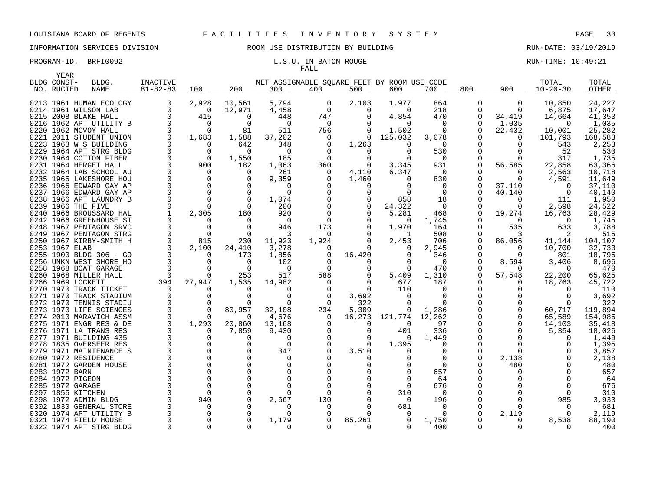# FALL

| YEAR           |                                                  |                      |              |                      |                                             |               |              |                   |                       |               |                      |                   |                |
|----------------|--------------------------------------------------|----------------------|--------------|----------------------|---------------------------------------------|---------------|--------------|-------------------|-----------------------|---------------|----------------------|-------------------|----------------|
| BLDG CONST-    | BLDG.                                            | <b>INACTIVE</b>      |              |                      | NET ASSIGNABLE SOUARE FEET BY ROOM USE CODE |               |              |                   |                       |               |                      | TOTAL             | TOTAL          |
| NO. RUCTED     | <b>NAME</b>                                      | $81 - 82 - 83$       | 100          | 200                  | 300                                         | 400           | 500          | 600               | 700                   | 800           | 900                  | $10 - 20 - 30$    | OTHER          |
|                |                                                  |                      |              |                      |                                             |               |              |                   |                       |               |                      |                   |                |
|                | 0213 1961 HUMAN ECOLOGY                          | 0                    | 2,928        | 10,561               | 5,794                                       | 0             | 2,103        | 1,977             | 864                   | 0             | 0                    | 10,850            | 24,227         |
|                | 0214 1961 WILSON LAB                             | $\Omega$<br>$\Omega$ | $\Omega$     | 12,971               | 4,458                                       | $\Omega$      | 0            | $\Omega$          | 218                   | $\Omega$      | $\Omega$             | 6,875             | 17,647         |
|                | 0215 2008 BLAKE HALL                             |                      | 415          | $\Omega$             | 448                                         | 747           | $\Omega$     | 4,854             | 470                   | 0             | 34,419               | 14,664            | 41,353         |
|                | 0216 1962 APT UTILITY B                          | $\Omega$             | $\Omega$     | $\Omega$             | $\Omega$                                    | $\Omega$      | $\Omega$     | $\Omega$          | $\Omega$              | 0             | 1,035                | $\Omega$          | 1,035          |
|                | 0220 1962 MCVOY HALL                             | $\Omega$             | $\Omega$     | 81                   | 511                                         | 756           | 0            | 1,502             | $\Omega$              | $\Omega$      | 22,432               | 10,001            | 25,282         |
|                | 0221 2011 STUDENT UNION                          | $\Omega$             | 1,683        | 1,588                | 37,202                                      | 0             | 0            | 125,032           | 3,078                 |               | $\Omega$             | 101,793           | 168,583        |
|                | 0223 1963 W S BUILDING                           |                      |              | 642                  | 348                                         |               | 1,263        |                   | $\Omega$              |               |                      | 543               | 2,253          |
|                | 0229 1964 APT STRG BLDG                          | $\Omega$             | $\Omega$     | $\Omega$             | $\Omega$                                    |               | 0            | <sup>0</sup>      | 530                   | $\Omega$      | O                    | 52                | 530            |
|                | 0230 1964 COTTON FIBER                           | 0                    | - 0          | 1,550                | 185                                         | $\Omega$      | 0            |                   | - 0                   |               |                      | 317               | 1,735          |
|                | 0231 1964 HERGET HALL                            |                      | 900          | 182                  | 1,063                                       | 360           | $\Omega$     | 3,345             | 931                   | $\Omega$      | 56,585               | 22,858            | 63,366         |
|                | 0232 1964 LAB SCHOOL AU                          | 0                    |              | $\Omega$             | 261                                         | 0             | 4,110        | 6,347             | $\overline{0}$        | 0             | $\Omega$             | 2,563             | 10,718         |
|                | 0235 1965 LAKESHORE HOU                          | $\Omega$             |              | ∩                    | 9,359                                       |               | 1,460        |                   | 830                   | $\Omega$      | $\Omega$             | 4,591             | 11,649         |
|                | 0236 1966 EDWARD GAY AP                          |                      |              | $\Omega$             | 0                                           |               | 0            |                   | 0                     | 0             | 37,110               | $\Omega$          | 37,110         |
|                | 0237 1966 EDWARD GAY AP                          |                      |              | $\Omega$             | $\Omega$                                    |               | $\Omega$     |                   | $\Omega$              |               | 40,140               | $\Omega$          | 40,140         |
|                | 0238 1966 APT LAUNDRY B                          | $\Omega$             |              | $\Omega$<br>$\Omega$ | 1,074                                       |               | 0            | 858               | 18                    | O             | $\Omega$<br>$\Omega$ | 111               | 1,950          |
|                | 0239 1966 THE FIVE                               |                      |              |                      | 200                                         |               | 0            | 24,322            | $\overline{0}$        | $\Omega$      |                      | 2,598             | 24,522         |
|                | 0240 1966 BROUSSARD HAL                          |                      | 2,305        | 180<br>$\Omega$      | 920<br>$\Omega$                             | $\Omega$      | 0            | 5,281<br>$\Omega$ | 468                   | 0             | 19,274<br>$\Omega$   | 16,763            | 28,429         |
|                | 0242 1966 GREENHOUSE ST                          |                      |              |                      |                                             |               |              |                   | 1,745                 |               |                      | $\Omega$          | 1,745          |
|                | 0248 1967 PENTAGON SRVC                          |                      | $\Omega$     | $\Omega$<br>$\Omega$ | 946                                         | 173           |              | 1,970             | 164                   | O             | 535                  | 633               | 3,788          |
|                | 0249 1967 PENTAGON STRG                          | 0<br>$\Omega$        |              |                      | 3<br>11,923                                 | 0<br>1,924    | $\Omega$     | 1                 | 508                   | 0<br>$\Omega$ | 3<br>86,056          | 2                 | 515<br>104,107 |
| 0253 1967 ELAB | 0250 1967 KIRBY-SMITH H                          | $\Omega$             | 815<br>2,100 | 230                  | 3,278                                       |               | $\Omega$     | 2,453             | 706<br>2,945          |               |                      | 41,144            | 32,733         |
|                |                                                  | $\Omega$             | $\Omega$     | 24,410               |                                             |               |              |                   |                       |               | $\Omega$             | 10,700            |                |
|                | 0255 1900 BLDG 306 - GO                          |                      |              | 173<br>$\Omega$      | 1,856                                       | 0<br>$\Omega$ | 16,420<br>0  |                   | 346<br>$\overline{0}$ | 0<br>O        |                      | 801               | 18,795         |
|                | 0256 UNKN WEST SHORE HO<br>0258 1968 BOAT GARAGE |                      |              | $\Omega$             | 102<br>$\Omega$                             |               |              |                   | 470                   | 0             | 8,594                | 3,406<br>$\Omega$ | 8,696<br>470   |
|                | 0260 1968 MILLER HALL                            | 0                    |              | 253                  | 517                                         | 588           |              | 5,409             | 1,310                 | O             | 57,548               | 22,200            | 65,625         |
|                | 0266 1969 LOCKETT                                | 394                  | 27,947       | 1,535                | 14,982                                      |               | 0            | 677               | 187                   | O             | $\Omega$             | 18,763            | 45,722         |
|                | 0270 1970 TRACK TICKET                           | - 0                  |              |                      |                                             |               | $\Omega$     | 110               | $\Omega$              | O             |                      |                   | 110            |
|                | 0271 1970 TRACK STADIUM                          |                      |              | $\cap$               | $\Omega$                                    |               | 3,692        |                   | $\Omega$              |               |                      |                   | 3,692          |
|                | 0272 1970 TENNIS STADIU                          | $\Omega$             |              |                      | $\Omega$                                    |               | 322          |                   | $\Omega$              | $\Omega$      |                      |                   | 322            |
|                | 0273 1970 LIFE SCIENCES                          | $\Omega$             | $\Omega$     | 80,957               | 32,108                                      | 234           | 5,309        | 0                 | 1,286                 | 0             | 0                    | 60,717            | 119,894        |
|                | 0274 2010 MARAVICH ASSM                          | 0                    |              | $\Omega$             | 4,676                                       | 0             | 16,273       | 121,774           | 12,262                | 0             | 0                    | 65,589            | 154,985        |
|                | 0275 1971 ENGR RES & DE                          | $\Omega$             | 1,293        | 20,860               | 13,168                                      |               | 0            | $\Omega$          | 97                    | O             | $\Omega$             | 14,103            | 35,418         |
|                | 0276 1971 LA TRANS RES                           | 0                    | $\Omega$     | 7,859                | 9,430                                       |               | 0            | 401               | 336                   | 0             | $\Omega$             | 5,354             | 18,026         |
|                | 0277 1971 BUILDING 435                           |                      |              | $\Omega$             | $\Omega$                                    |               | 0            | n                 | 1,449                 | O             |                      | $\left( \right)$  | 1,449          |
|                | 0278 1835 OVERSEER RES                           |                      |              | $\Omega$             | $\Omega$                                    |               | 0            | 1,395             | 0                     | $\Omega$      |                      |                   | 1,395          |
|                | 0279 1971 MAINTENANCE S                          |                      |              |                      | 347                                         |               | 3,510        |                   | <sup>0</sup>          | $\Omega$      | ∩                    |                   | 3,857          |
|                | 0280 1972 RESIDENCE                              |                      |              | $\Omega$             | 0                                           |               |              |                   | 0                     | 0             | 2,138                |                   | 2,138          |
|                | 0281 1972 GARDEN HOUSE                           |                      |              |                      | 0                                           |               |              |                   | $\Omega$              | 0             | 480                  |                   | 480            |
| 0283 1972 BARN |                                                  |                      |              |                      | $\Omega$                                    |               |              |                   | 657                   |               |                      |                   | 657            |
|                | 0284 1972 PIGEON                                 |                      |              |                      | 0                                           |               |              |                   | 64                    |               |                      |                   | 64             |
|                | 0285 1972 GARAGE                                 |                      |              |                      |                                             |               |              |                   | 676                   |               |                      |                   | 676            |
|                | 0297 1855 KITCHEN                                |                      |              |                      | <sup>0</sup>                                |               |              | 310               | $\Omega$              |               |                      |                   | 310            |
|                | 0298 1972 ADMIN BLDG                             |                      | 940          |                      | 2,667                                       | 130           |              | $\Omega$          | 196                   |               |                      | 985               | 3,933          |
|                | 0302 1830 GENERAL STORE                          |                      |              |                      | 0                                           | $\Omega$      |              | 681               | $\Omega$              | 0             | ∩                    |                   | 681            |
|                | 0320 1974 APT UTILITY B                          |                      |              |                      | U                                           |               |              |                   | 0                     | 0             | 2,119                |                   | 2,119          |
|                | 0321 1974 FIELD HOUSE                            |                      |              |                      | 1,179                                       |               | 85,261       |                   | 1,750                 |               | $\Omega$             | 8,538             | 88,190         |
|                | 0322 1974 APT STRG BLDG                          | $\Omega$             | $\Omega$     |                      | $\Omega$                                    | $\Omega$      | <sup>o</sup> | 0                 | 400                   | O             | $\Omega$             | $\Omega$          | 400            |
|                |                                                  |                      |              |                      |                                             |               |              |                   |                       |               |                      |                   |                |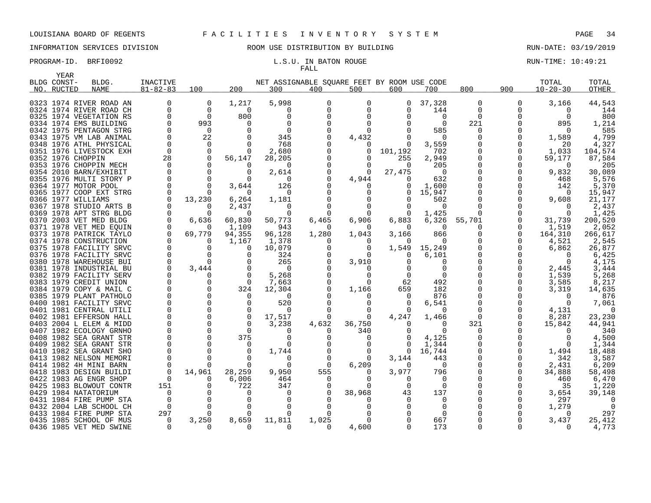YEAR

# INFORMATION SERVICES DIVISION ROOM USE DISTRIBUTION BY BUILDING RUN-DATE: 03/19/2019

# FALL

| BLDG CONST- | BLDG.                   | INACTIVE       |          |          | NET ASSIGNABLE SQUARE FEET BY ROOM USE CODE |          |          |          |                 |          |     | TOTAL                | TOTAL        |
|-------------|-------------------------|----------------|----------|----------|---------------------------------------------|----------|----------|----------|-----------------|----------|-----|----------------------|--------------|
| NO. RUCTED  | <b>NAME</b>             | $81 - 82 - 83$ | 100      | 200      | 300                                         | 400      | 500      | 600      | 700             | 800      | 900 | $10 - 20 - 30$       | <b>OTHER</b> |
|             |                         |                | $\Omega$ | 1,217    | 5,998                                       |          |          | $\Omega$ | 37,328          | $\Omega$ |     | 3,166                |              |
|             | 0323 1974 RIVER ROAD AN | $\Omega$       | $\Omega$ | $\Omega$ | U                                           | ∩        | $\cap$   |          |                 | $\Omega$ | U   |                      | 44,543       |
|             | 0324 1974 RIVER ROAD CH |                | $\Omega$ |          | U                                           |          |          |          | 144<br>$\Omega$ | $\Omega$ |     | $\Omega$<br>$\Omega$ | 144          |
|             | 0325 1974 VEGETATION RS |                |          | 800      |                                             |          |          |          |                 |          |     |                      | 800          |
|             | 0334 1974 EMS BUILDING  |                | 993      |          |                                             |          |          |          | $\Omega$        | 221      |     | 895                  | 1,214        |
|             | 0342 1975 PENTAGON STRG |                | $\Omega$ |          | $\Omega$                                    |          | ∩        |          | 585             | $\Omega$ |     | $\Omega$             | 585          |
|             | 0343 1975 VM LAB ANIMAL |                | 22       |          | 345                                         |          | 4,432    |          | $\Omega$        |          |     | 1,589                | 4,799        |
|             | 0348 1976 ATHL PHYSICAL | $\mathbf 0$    | $\Omega$ |          | 768                                         |          | $\Omega$ |          | 3,559           |          |     | 20                   | 4,327        |
|             | 0351 1976 LIVESTOCK EXH | $\mathbf 0$    |          |          | 2,680                                       |          | 0        | 101,192  | 702             |          |     | 1,033                | 104,574      |
|             | 0352 1976 CHOPPIN       | 28             |          | 56,147   | 28,205                                      | ∩        | $\Omega$ | 255      | 2,949           |          | 0   | 59,177               | 87,584       |
|             | 0353 1976 CHOPPIN MECH  | $\Omega$       |          |          | $\Omega$                                    |          |          | $\Omega$ | 205             |          |     | $\Omega$             | 205          |
|             | 0354 2010 BARN/EXHIBIT  |                |          |          | 2,614                                       |          | $\Omega$ | 27,475   | $\Omega$        |          | 0   | 9,832                | 30,089       |
|             | 0355 1976 MULTI STORY P |                |          |          | $\Omega$                                    |          | 4,944    | 0        | 632             |          |     | 468                  | 5,576        |
|             | 0364 1977 MOTOR POOL    |                |          | 3,644    | 126                                         |          | $\left($ |          | 1,600           |          | U   | 142                  | 5,370        |
|             | 0365 1977 COOP EXT STRG |                |          |          | $\Omega$                                    |          |          |          | 15,947          |          |     | $\Omega$             | 15,947       |
|             | 0366 1977 WILLIAMS      |                | 13,230   | 6,264    | 1,181                                       |          |          |          | 502             |          |     | 9,608                | 21,177       |
|             | 0367 1978 STUDIO ARTS B |                | $\Omega$ | 2,437    | 0                                           |          | $\Omega$ |          | $\Omega$        |          |     | $\Omega$             | 2,437        |
|             | 0369 1978 APT STRG BLDG |                |          | $\Omega$ | $\Omega$                                    |          |          |          | 1,425           |          |     | 0                    | 1,425        |
|             | 0370 2003 VET MED BLDG  | $\Omega$       | 6,636    | 60,830   | 50,773                                      | 6,465    | 6,906    | 6,883    | 6,326           | 55,701   |     | 31,739               | 200,520      |
|             | 0371 1978 VET MED EOUIN |                |          | 1,109    | 943                                         |          |          |          |                 |          |     | 1,519                | 2,052        |
|             | 0373 1978 PATRICK TAYLO | $\Omega$       | 69,779   | 94,355   | 96,128                                      | 1,280    | 1,043    | 3,166    | 866             |          | U   | 164,310              | 266,617      |
|             | 0374 1978 CONSTRUCTION  |                |          | 1,167    | 1,378                                       |          |          |          |                 |          | O   | 4,521                | 2,545        |
|             | 0375 1978 FACILITY SRVC |                |          | $\Omega$ | 10,079                                      | $\Omega$ | $\Omega$ | 1,549    | 15,249          |          | U   | 6,862                | 26,877       |
|             | 0376 1978 FACILITY SRVC |                |          |          | 324                                         |          | $\Omega$ |          | 6,101           |          |     |                      | 6,425        |
|             | 0380 1978 WAREHOUSE BUI |                |          |          | 265                                         |          | 3,910    |          |                 |          |     | $\Omega$             | 4,175        |
|             | 0381 1978 INDUSTRIAL BU |                | 3,444    |          | $\Omega$                                    |          |          |          |                 |          |     | 2,445                | 3,444        |
|             | 0382 1979 FACILITY SERV |                |          |          | 5,268                                       |          |          |          |                 |          |     | 1,539                | 5,268        |
|             | 0383 1979 CREDIT UNION  |                |          |          | 7,663                                       |          | $\Omega$ | 62       | 492             |          |     | 3,585                | 8,217        |
|             | 0384 1979 COPY & MAIL C |                |          | 324      | 12,304                                      |          | 1,166    | 659      | 182             |          |     | 3,319                | 14,635       |
|             | 0385 1979 PLANT PATHOLO |                |          |          | $\Omega$                                    |          | $\Omega$ | $\Omega$ | 876             |          |     | $\Omega$             | 876          |
|             | 0400 1981 FACILITY SRVC |                |          |          | 520                                         |          | $\Omega$ |          | 6,541           |          |     | $\Omega$             | 7,061        |
|             | 0401 1981 CENTRAL UTILI |                |          |          | $\Omega$                                    |          | $\Omega$ | 0        | $\Omega$        |          |     | 4,131                | $\Omega$     |
|             | 0402 1981 EFFERSON HALL |                |          |          | 17,517                                      |          | $\Omega$ | 4,247    | 1,466           |          |     | 8,287                | 23,230       |
|             | 0403 2004 L ELEM & MIDD |                |          |          | 3,238                                       | 4,632    | 36,750   |          | $\Omega$        | 321      |     | 15,842               | 44,941       |
|             | 0407 1982 ECOLOGY GRNHO |                |          |          |                                             |          | 340      |          |                 | $\Omega$ |     | $\Omega$             | 340          |
|             | 0408 1982 SEA GRANT STR |                |          | 375      | <sup>0</sup>                                |          | n        |          | 4,125           |          |     | $\Omega$             | 4,500        |
|             | 0409 1982 SEA GRANT STR |                |          |          |                                             |          |          |          | 1,344           |          |     | $\Omega$             | 1,344        |
|             | 0410 1982 SEA GRANT SHO |                |          |          | 1,744                                       |          | $\Omega$ | 0        | 16,744          |          |     | 1,494                | 18,488       |
|             | 0413 1982 NELSON MEMORI |                |          |          |                                             |          | $\Omega$ | 3,144    | 443             |          | O   | 342                  | 3,587        |
|             | 0414 1982 4H MINI BARN  |                |          |          | $\Omega$                                    | $\Omega$ | 6,209    | $\Omega$ | $\Omega$        |          | O   | 2,431                | 6,209        |
|             | 0418 1983 DESIGN BUILDI | $\Omega$       | 14,961   | 28,259   | 9,950                                       | 555      |          | 3,977    | 796             |          | O   | 34,888               | 58,498       |
|             | 0422 1983 AG ENGR SHOP  | 0              |          | 6,006    | 464                                         | $\Omega$ | $\Omega$ |          |                 |          |     | 460                  | 6,470        |
|             | 0425 1983 BLOWOUT CONTR | 151            |          | 722      | 347                                         |          |          |          | $\Omega$        |          |     | 35                   | 1,220        |
|             | 0429 1984 NATATORIUM    | $\Omega$       |          |          | 0                                           |          | 38,968   | 43       | 137             |          |     | 3,654                | 39,148       |
|             | 0431 1984 FIRE PUMP STA |                |          |          |                                             |          |          |          |                 |          |     | 297                  |              |
|             | 0432 2004 LAB SCHOOL CH | $\Omega$       |          |          |                                             |          |          |          |                 |          |     | 1,279                |              |
|             | 0433 1984 FIRE PUMP STA | 297            |          |          | $\Omega$                                    |          |          |          |                 |          |     | $\Omega$             | 297          |
|             | 0435 1985 SCHOOL OF MUS | 0              | 3,250    | 8,659    | 11,811                                      | 1,025    |          |          | 667             |          |     | 3,437                | 25,412       |
|             | 0436 1985 VET MED SWINE | $\Omega$       | 0        |          | $\Omega$                                    | $\Omega$ | 4,600    |          | 173             |          |     | $\Omega$             | 4,773        |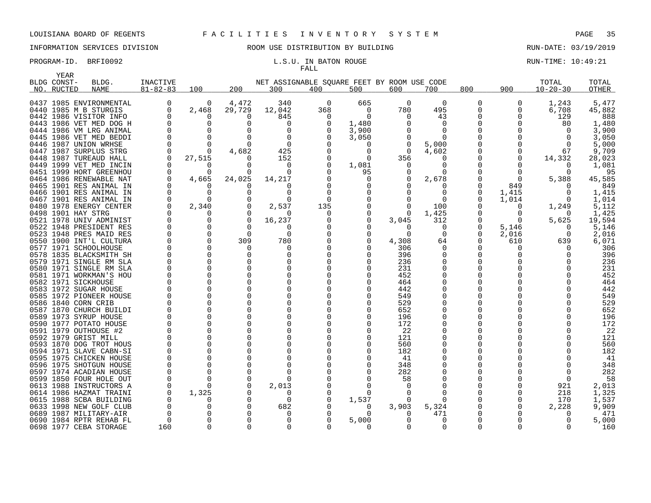|      | YEAR               |                                                    |                 |             |               |                                             |              |          |                   |               |               |              |                      |                 |
|------|--------------------|----------------------------------------------------|-----------------|-------------|---------------|---------------------------------------------|--------------|----------|-------------------|---------------|---------------|--------------|----------------------|-----------------|
|      | BLDG CONST-        | BLDG.                                              | <b>INACTIVE</b> |             |               | NET ASSIGNABLE SOUARE FEET BY ROOM USE CODE |              |          |                   |               |               |              | TOTAL                | TOTAL           |
|      | NO. RUCTED         | <b>NAME</b>                                        | $81 - 82 - 83$  | 100         | 200           | 300                                         | 400          | 500      | 600               | 700           | 800           | 900          | $10 - 20 - 30$       | <b>OTHER</b>    |
|      |                    |                                                    |                 |             |               |                                             |              |          |                   |               |               |              |                      |                 |
|      |                    | 0437 1985 ENVIRONMENTAL                            | 0               | 0           | 4,472         | 340                                         | 0            | 665      | $\overline{0}$    | 0             | 0             | 0            | 1,243                | 5,477           |
|      |                    | 0440 1985 M B STURGIS                              | 0               | 2,468       | 29,729        | 12,042                                      | 368          | $\Omega$ | 780               | 495           | 0             | 0            | 6,708                | 45,882          |
|      |                    | 0442 1986 VISITOR INFO                             | 0               | 0           | $\Omega$      | 845                                         | $\Omega$     | $\Omega$ | $\Omega$          | 43            | 0             | $\Omega$     | 129                  | 888             |
|      |                    | 0443 1986 VET MED DOG H                            | $\Omega$        | $\Omega$    | $\Omega$      | $\Omega$                                    |              | 1,480    |                   | $\Omega$      | 0             |              | 80                   | 1,480           |
|      |                    | 0444 1986 VM LRG ANIMAL                            | $\Omega$        | $\Omega$    |               | $\Omega$                                    |              | 3,900    |                   | 0             | 0             |              | $\Omega$             | 3,900           |
|      |                    | 0445 1986 VET MED BEDDI                            | $\Omega$        | $\Omega$    | $\Omega$      | 0                                           |              | 3,050    |                   | $\Omega$      |               |              | $\Omega$             | 3,050           |
|      |                    | 0446 1987 UNION WRHSE                              | $\Omega$        | $\Omega$    |               | $\Omega$                                    |              | O        | $\Omega$          | 5,000         |               |              | $\Omega$             | 5,000           |
|      |                    | 0447 1987 SURPLUS STRG                             | $\Omega$        | $\Omega$    | 4,682         | 425                                         |              | $\Omega$ | $\Omega$          | 4,602         | 0             | $\Omega$     | 67                   | 9,709           |
|      |                    | 0448 1987 TUREAUD HALL                             | $\Omega$        | 27,515      |               | 152                                         |              | 0        | 356               | $\Omega$      | $\Omega$      | 0            | 14,332               | 28,023          |
|      |                    | 0449 1999 VET MED INCIN                            | $\Omega$        | 0           | <sup>0</sup>  | 0                                           |              | 1,081    | $\Omega$          | $\Omega$      |               | $\Omega$     | $\Omega$<br>$\Omega$ | 1,081           |
|      |                    | 0451 1999 HORT GREENHOU                            | 0               | $\Omega$    | <sup>0</sup>  | $\Omega$                                    |              | 95       |                   | $\Omega$      | $\Omega$      | $\Omega$     |                      | 95              |
|      |                    | 0464 1986 RENEWABLE NAT                            | 0               | 4,665       | 24,025        | 14,217                                      |              | $\Omega$ |                   | 2,678         |               | $\Omega$     | 5,388                | 45,585          |
|      |                    | 0465 1901 RES ANIMAL IN                            | 0               | 0           | n             | O                                           |              | O        |                   | 0             | 0             | 849          | $\Omega$             | 849             |
|      |                    | 0466 1901 RES ANIMAL IN                            | $\Omega$        | $\Omega$    |               | <sup>0</sup>                                | <sup>0</sup> |          |                   | <sup>0</sup>  | 0             | 1,415        | $\Omega$             | 1,415           |
|      |                    | 0467 1901 RES ANIMAL IN                            | $\Omega$        | $\Omega$    |               | $\Omega$                                    |              |          |                   | $\Omega$      | $\Omega$      | 1,014        | $\Omega$             | 1,014           |
|      |                    | 0480 1978 ENERGY CENTER                            | 0<br>$\Omega$   | 2,340       |               | 2,537                                       | 135          | 0<br>O   |                   | 100           | 0             | 0            | 1,249                | 5,112           |
|      | 0498 1901 HAY STRG | 0521 1978 UNIV ADMINIST                            | 0               | 0<br>0      | O<br>$\Omega$ | $\Omega$                                    | 0            |          | $\Omega$<br>3,045 | 1,425<br>312  |               | 0            | $\Omega$<br>5,625    | 1,425<br>19,594 |
|      |                    |                                                    | $\Omega$        | $\Omega$    | $\Omega$      | 16,237                                      |              |          | $\Omega$          |               |               | 0            | $\Omega$             |                 |
|      |                    | 0522 1948 PRESIDENT RES                            | 0               | $\mathbf 0$ | 0             | $\Omega$<br>0                               |              | 0        | $\Omega$          | $\Omega$<br>0 | 0             | 5,146        |                      | 5,146           |
|      |                    | 0523 1948 PRES MAID RES<br>0550 1900 INT'L CULTURA | $\Omega$        | $\Omega$    | 309           | 780                                         |              | ∩        | 4,308             | 64            | 0<br>$\Omega$ | 2,016<br>610 | 0<br>639             | 2,016<br>6,071  |
|      |                    | 0577 1971 SCHOOLHOUSE                              | $\Omega$        | $\Omega$    | <sup>0</sup>  |                                             |              |          | 306               | $\Omega$      | 0             | O            | $\Omega$             | 306             |
|      |                    | 0578 1835 BLACKSMITH SH                            | $\Omega$        | $\Omega$    | $\Omega$      | 0<br>$\Omega$                               |              | $\Omega$ | 396               | $\Omega$      | $\Omega$      | O            | $\cap$               | 396             |
| 0579 |                    | 1971 SINGLE RM SLA                                 | $\Omega$        | $\Omega$    | $\Omega$      | 0                                           |              | O        | 236               | $\Omega$      | $\Omega$      |              | ∩                    | 236             |
|      |                    | 0580 1971 SINGLE RM SLA                            | <sup>0</sup>    | 0           | $\Omega$      | $\Omega$                                    |              |          | 231               | $\Omega$      | 0             |              |                      | 231             |
|      |                    | 0581 1971 WORKMAN'S HOU                            | $\Omega$        | $\Omega$    | $\Omega$      | 0                                           |              |          | 452               | $\Omega$      | 0             |              |                      | 452             |
|      |                    | 0582 1971 SICKHOUSE                                | $\Omega$        | $\Omega$    | $\Omega$      | 0                                           |              |          | 464               |               | 0             |              |                      | 464             |
|      |                    | 0583 1972 SUGAR HOUSE                              | U               | $\Omega$    |               | $\Omega$                                    |              |          | 442               | <sup>0</sup>  | 0             |              |                      | 442             |
|      |                    | 0585 1972 PIONEER HOUSE                            | $\Omega$        | $\Omega$    | $\Omega$      | $\mathbf 0$                                 |              |          | 549               |               | 0             |              |                      | 549             |
|      |                    | 0586 1840 CORN CRIB                                | ∩               | $\Omega$    | $\Omega$      | $\Omega$                                    |              |          | 529               |               | 0             |              |                      | 529             |
| 0587 |                    | 1870 CHURCH BUILDI                                 | 0               | $\mathbf 0$ | $\Omega$      | $\Omega$                                    |              |          | 652               | $\Omega$      | 0             |              |                      | 652             |
|      |                    | 0589 1973 SYRUP HOUSE                              | <sup>0</sup>    | $\Omega$    | $\Omega$      | $\Omega$                                    |              |          | 196               | $\Omega$      | 0             |              |                      | 196             |
|      |                    | 0590 1977 POTATO HOUSE                             | 0               | 0           | $\Omega$      |                                             |              |          | 172               |               | 0             |              |                      | 172             |
|      |                    | 0591 1979 OUTHOUSE #2                              | $\Omega$        | $\Omega$    |               | $\Omega$                                    |              |          | 22                |               | 0             |              |                      | 22              |
|      |                    | 0592 1979 GRIST MILL                               | <sup>0</sup>    | 0           |               | $\Omega$                                    |              |          | 121               | $\Omega$      | 0             |              |                      | 121             |
|      |                    | 0593 1870 DOG TROT HOUS                            | $\Omega$        | $\Omega$    | $\Omega$      |                                             |              |          | 560               |               | 0             |              |                      | 560             |
|      |                    | 0594 1971 SLAVE CABN-SI                            | $\Omega$        | $\Omega$    |               | $\Omega$                                    |              |          | 182               |               | $\Omega$      |              |                      | 182             |
| 0595 |                    | 1975 CHICKEN HOUSE                                 | $\Omega$        | $\Omega$    | $\Omega$      | 0                                           |              |          | 41                |               | 0             |              |                      | 41              |
|      |                    | 0596 1975 SHOTGUN HOUSE                            | $\Omega$        | $\Omega$    | $\Omega$      | $\Omega$                                    |              |          | 348               |               | $\Omega$      |              | $\cap$               | 348             |
| 0597 |                    | 1974 ACADIAN HOUSE                                 | 0               | 0           | $\Omega$      | $\Omega$                                    |              |          | 282               |               | 0             |              | $\Omega$             | 282             |
| 0599 |                    | 1850 FOUR HOLE OUT                                 | 0               | $\Omega$    | $\Omega$      | $\Omega$                                    |              |          | 58                |               |               |              | $\Omega$             | 58              |
|      |                    | 0613 1988 INSTRUCTORS A                            | 0               | U           |               | 2,013                                       |              | $\Omega$ |                   |               | $\Omega$      |              | 921                  | 2,013           |
| 0614 |                    | 1986 HAZMAT TRAINI                                 | $\Omega$        | 1,325       |               | 0                                           |              | 0        |                   | ∩             | 0             | 0            | 218                  | 1,325           |
|      |                    | 0615 1988 SCBA BUILDING                            | O               | O           |               | $\Omega$                                    |              | 1,537    |                   |               | 0             | 0            | 170                  | 1,537           |
|      |                    | 0633 1998 NEW GOLF CLUB                            | O               | $\Omega$    | $\Omega$      | 682                                         |              | $\Omega$ | 3,903             | 5,324         |               | O            | 2,228                | 9,909           |
|      |                    | 0689 1987 MILITARY-AIR                             | O               | 0           |               | 0                                           |              | 0        |                   | 471           | 0             |              | $\Omega$             | 471             |
|      |                    | 0690 1984 RPTR REHAB FL                            | $\Omega$        | $\Omega$    |               | $\Omega$                                    |              | 5,000    | $\Omega$          | $\Omega$      | O             |              | $\Omega$             | 5,000           |
|      |                    | 0698 1977 CEBA STORAGE                             | 160             | $\Omega$    | $\Omega$      | $\Omega$                                    |              | $\Omega$ | $\Omega$          | $\Omega$      | $\Omega$      | 0            | $\Omega$             | 160             |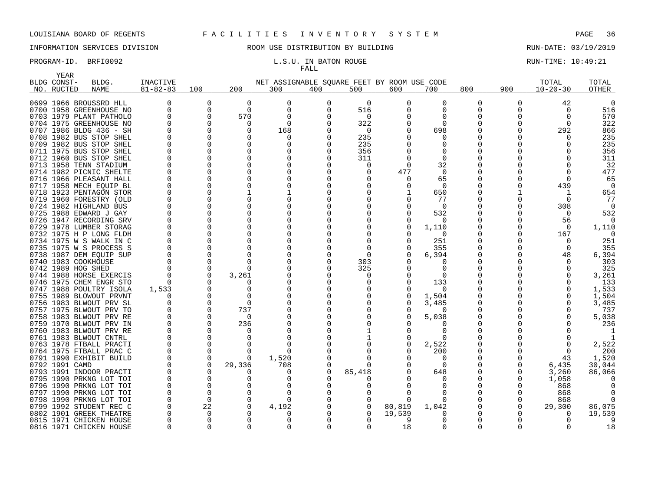# FALL

PROGRAM-ID. BRFI0092 **EXAM-ID.** BRFI0092 **RUN-TIME: 10:49:21** L.S.U. IN BATON ROUGE

| BLDG CONST-<br>NET ASSIGNABLE SOUARE FEET BY ROOM USE CODE<br>TOTAL<br>BLDG.<br>INACTIVE<br>TOTAL<br>200<br>900<br>$81 - 82 - 83$<br>100<br>800<br>$10 - 20 - 30$<br><b>OTHER</b><br>NO. RUCTED<br><b>NAME</b><br>300<br>400<br>500<br>600<br>700<br>0699 1966 BROUSSRD HLL<br>0<br>0<br>0<br>0<br>$\Omega$<br>0<br>0<br>42<br>0<br>0<br>$\Omega$<br>0<br>$\Omega$<br>$\Omega$<br>516<br>516<br>0700 1958 GREENHOUSE NO<br>$\Omega$<br>O<br>∩<br>0<br>$\Omega$<br>Ω<br>570<br>570<br>0703 1979 PLANT PATHOLO<br>0<br>0<br>$\Omega$<br>$\Omega$<br>322<br>0704 1975 GREENHOUSE NO<br>$\Omega$<br>322<br>$\Omega$<br>$\Omega$<br>$\Omega$<br>$\Omega$<br>0707 1986 BLDG 436 - SH<br>$\Omega$<br>$\Omega$<br>168<br>0<br>698<br>292<br>866<br>U<br>0708 1982 BUS STOP SHEL<br>$\Omega$<br>235<br>235<br>$\Omega$<br>$\Omega$<br><sup>0</sup><br>0709 1982 BUS STOP SHEL<br>235<br>$\Omega$<br><sup>n</sup><br>235<br>O<br>1975 BUS STOP SHEL<br>356<br>0711<br>$\Omega$<br>$\Omega$<br>O<br>356<br>$\Omega$<br>0712 1960 BUS STOP SHEL<br>$\Omega$<br>311<br>311<br>$\Omega$<br>O<br>1958 TENN STADIUM<br>32<br>0713<br>$\Omega$<br>n<br>$\Omega$<br>32<br>477<br>477<br>0714 1982 PICNIC SHELTE<br>$\Omega$<br>∩<br>$\Omega$<br>∩<br>$\Omega$<br>0716 1966 PLEASANT HALL<br>65<br>$\Omega$<br>65<br>∩<br>$\Omega$<br>n<br>0717 1958 MECH EOUIP BL<br>$\Omega$<br>$\Omega$<br>439<br>n<br>650<br>0718 1923 PENTAGON STOR<br>$\Omega$<br>654<br>1960 FORESTRY (OLD<br>$\Omega$<br><sup>n</sup><br>77<br>77<br>0719<br>$\Omega$<br>0724 1982 HIGHLAND BUS<br>$\Omega$<br>308<br>$\Omega$<br>0<br>0<br>0725 1988 EDWARD J GAY<br>$\Omega$<br>532<br><sup>0</sup><br>$\Omega$<br>532<br>0726 1947 RECORDING SRV<br>0<br>56<br>$\Omega$<br>0729 1978 LUMBER STORAG<br>$\Omega$<br>1,110<br>n<br>$\Omega$<br>1,110<br>0732 1975 H P LONG FLDH<br>0<br>167<br>$\Omega$<br>0<br>$\Omega$<br>0734 1975 W S WALK IN C<br>251<br>$\Omega$<br>251<br>n<br>0735 1975 W S PROCESS S<br>355<br>355<br>$\Omega$<br><sup>0</sup><br>$\Omega$<br>6,394<br>6,394<br>0738 1987 DEM EQUIP SUP<br>$\Omega$<br>$\Omega$<br>48<br>0740 1983 COOKHOUSE<br>$\Omega$<br>303<br>303<br>∩<br>∩<br>$\Omega$<br>325<br>0742 1989 HOG SHED<br>0<br>$\Omega$<br>325<br>$\cap$<br>O<br>0744 1988 HORSE EXERCIS<br>$\Omega$<br>3,261<br>3,261<br>$\Omega$<br>n<br>0746 1975 CHEM ENGR STO<br>133<br>133<br>$\Omega$<br>U<br>O<br><sup>0</sup><br>0747 1988 POULTRY ISOLA<br>1,533<br>1,533<br>0<br>$\Omega$<br>0755 1989 BLOWOUT PRVNT<br>1,504<br>0<br>1,504<br>$\Omega$<br>0756 1983 BLWOUT PRV SL<br>3,485<br>3,485<br>$\Omega$<br>$\Omega$<br>$\Omega$<br>1975 BLWOUT PRV TO<br>0<br>737<br>737<br>0757<br><sup>0</sup><br>$\Omega$<br>0758 1983 BLWOUT PRV RE<br>5,038<br>5,038<br>0<br>$\Omega$<br>0<br>0759 1970 BLWOUT PRV IN<br>0<br>236<br>236<br>0760 1983 BLWOUT PRV RE<br>$\Omega$<br>U<br>0761 1983 BLWOUT CNTRL<br>0<br>0763 1978 FTBALL PRACTI<br>$\Omega$<br>2,522<br>U<br>2,522<br>∩<br>∩<br>0764 1975 FTBALL PRAC C<br>200<br>$\Omega$<br>n<br>200<br>$\Omega$<br>43<br>1,520<br>0791 1990 EXHIBIT BUILD<br>0<br>$\Omega$<br>1,520<br>$\Omega$<br>$\Omega$<br>0792 1991 CAMD<br>$\Omega$<br>29,336<br>708<br>6,435<br>30,044<br>$\Omega$<br>$\Omega$<br>$\left( \right)$<br>0793 1991 INDOOR PRACTI<br>$\Omega$<br>85,418<br>648<br>3,260<br>86,066<br>$\Omega$<br><sup>0</sup><br>n<br>0795 1990 PRKNG LOT TOI<br>1,058<br>$\Omega$<br>0<br>0796 1990 PRKNG LOT TOI<br>$\Omega$<br>868<br><sup>0</sup><br>1990 PRKNG LOT TOI<br>$\Omega$<br>868<br>0797<br>0<br>0798 1990 PRKNG LOT TOI<br>$\Omega$<br>868<br>0<br>1992 STUDENT REC C<br>22<br>4,192<br>80,819<br>1,042<br>29,300<br>86,075<br>0799<br>$\Omega$<br>$\Omega$<br>0<br>0802 1901 GREEK THEATRE<br>19,539<br>19,539<br>0<br>0<br>0815 1971 CHICKEN HOUSE<br>$\Omega$<br>$\Omega$<br>$\Omega$<br>∩<br>0816 1971 CHICKEN HOUSE<br>$\Omega$<br>$\Omega$<br>$\Omega$<br>$\Omega$<br>$\Omega$<br>18<br>$\Omega$<br>$\Omega$<br>18<br>U<br>$\Omega$ | YEAR |  |  |  |  |  |  |  |  |  |  |  |  |  |
|-----------------------------------------------------------------------------------------------------------------------------------------------------------------------------------------------------------------------------------------------------------------------------------------------------------------------------------------------------------------------------------------------------------------------------------------------------------------------------------------------------------------------------------------------------------------------------------------------------------------------------------------------------------------------------------------------------------------------------------------------------------------------------------------------------------------------------------------------------------------------------------------------------------------------------------------------------------------------------------------------------------------------------------------------------------------------------------------------------------------------------------------------------------------------------------------------------------------------------------------------------------------------------------------------------------------------------------------------------------------------------------------------------------------------------------------------------------------------------------------------------------------------------------------------------------------------------------------------------------------------------------------------------------------------------------------------------------------------------------------------------------------------------------------------------------------------------------------------------------------------------------------------------------------------------------------------------------------------------------------------------------------------------------------------------------------------------------------------------------------------------------------------------------------------------------------------------------------------------------------------------------------------------------------------------------------------------------------------------------------------------------------------------------------------------------------------------------------------------------------------------------------------------------------------------------------------------------------------------------------------------------------------------------------------------------------------------------------------------------------------------------------------------------------------------------------------------------------------------------------------------------------------------------------------------------------------------------------------------------------------------------------------------------------------------------------------------------------------------------------------------------------------------------------------------------------------------------------------------------------------------------------------------------------------------------------------------------------------------------------------------------------------------------------------------------------------------------------------------------------------------------------------------------------------------------------------------------------------------------------------------------------------------------------------------------------------------------------------------------------------------------------------------------------------------------------------------------------------------------------------------------------------------------------------------------------------------------------------------------------|------|--|--|--|--|--|--|--|--|--|--|--|--|--|
|                                                                                                                                                                                                                                                                                                                                                                                                                                                                                                                                                                                                                                                                                                                                                                                                                                                                                                                                                                                                                                                                                                                                                                                                                                                                                                                                                                                                                                                                                                                                                                                                                                                                                                                                                                                                                                                                                                                                                                                                                                                                                                                                                                                                                                                                                                                                                                                                                                                                                                                                                                                                                                                                                                                                                                                                                                                                                                                                                                                                                                                                                                                                                                                                                                                                                                                                                                                                                                                                                                                                                                                                                                                                                                                                                                                                                                                                                                                                                                                         |      |  |  |  |  |  |  |  |  |  |  |  |  |  |
|                                                                                                                                                                                                                                                                                                                                                                                                                                                                                                                                                                                                                                                                                                                                                                                                                                                                                                                                                                                                                                                                                                                                                                                                                                                                                                                                                                                                                                                                                                                                                                                                                                                                                                                                                                                                                                                                                                                                                                                                                                                                                                                                                                                                                                                                                                                                                                                                                                                                                                                                                                                                                                                                                                                                                                                                                                                                                                                                                                                                                                                                                                                                                                                                                                                                                                                                                                                                                                                                                                                                                                                                                                                                                                                                                                                                                                                                                                                                                                                         |      |  |  |  |  |  |  |  |  |  |  |  |  |  |
|                                                                                                                                                                                                                                                                                                                                                                                                                                                                                                                                                                                                                                                                                                                                                                                                                                                                                                                                                                                                                                                                                                                                                                                                                                                                                                                                                                                                                                                                                                                                                                                                                                                                                                                                                                                                                                                                                                                                                                                                                                                                                                                                                                                                                                                                                                                                                                                                                                                                                                                                                                                                                                                                                                                                                                                                                                                                                                                                                                                                                                                                                                                                                                                                                                                                                                                                                                                                                                                                                                                                                                                                                                                                                                                                                                                                                                                                                                                                                                                         |      |  |  |  |  |  |  |  |  |  |  |  |  |  |
|                                                                                                                                                                                                                                                                                                                                                                                                                                                                                                                                                                                                                                                                                                                                                                                                                                                                                                                                                                                                                                                                                                                                                                                                                                                                                                                                                                                                                                                                                                                                                                                                                                                                                                                                                                                                                                                                                                                                                                                                                                                                                                                                                                                                                                                                                                                                                                                                                                                                                                                                                                                                                                                                                                                                                                                                                                                                                                                                                                                                                                                                                                                                                                                                                                                                                                                                                                                                                                                                                                                                                                                                                                                                                                                                                                                                                                                                                                                                                                                         |      |  |  |  |  |  |  |  |  |  |  |  |  |  |
|                                                                                                                                                                                                                                                                                                                                                                                                                                                                                                                                                                                                                                                                                                                                                                                                                                                                                                                                                                                                                                                                                                                                                                                                                                                                                                                                                                                                                                                                                                                                                                                                                                                                                                                                                                                                                                                                                                                                                                                                                                                                                                                                                                                                                                                                                                                                                                                                                                                                                                                                                                                                                                                                                                                                                                                                                                                                                                                                                                                                                                                                                                                                                                                                                                                                                                                                                                                                                                                                                                                                                                                                                                                                                                                                                                                                                                                                                                                                                                                         |      |  |  |  |  |  |  |  |  |  |  |  |  |  |
|                                                                                                                                                                                                                                                                                                                                                                                                                                                                                                                                                                                                                                                                                                                                                                                                                                                                                                                                                                                                                                                                                                                                                                                                                                                                                                                                                                                                                                                                                                                                                                                                                                                                                                                                                                                                                                                                                                                                                                                                                                                                                                                                                                                                                                                                                                                                                                                                                                                                                                                                                                                                                                                                                                                                                                                                                                                                                                                                                                                                                                                                                                                                                                                                                                                                                                                                                                                                                                                                                                                                                                                                                                                                                                                                                                                                                                                                                                                                                                                         |      |  |  |  |  |  |  |  |  |  |  |  |  |  |
|                                                                                                                                                                                                                                                                                                                                                                                                                                                                                                                                                                                                                                                                                                                                                                                                                                                                                                                                                                                                                                                                                                                                                                                                                                                                                                                                                                                                                                                                                                                                                                                                                                                                                                                                                                                                                                                                                                                                                                                                                                                                                                                                                                                                                                                                                                                                                                                                                                                                                                                                                                                                                                                                                                                                                                                                                                                                                                                                                                                                                                                                                                                                                                                                                                                                                                                                                                                                                                                                                                                                                                                                                                                                                                                                                                                                                                                                                                                                                                                         |      |  |  |  |  |  |  |  |  |  |  |  |  |  |
|                                                                                                                                                                                                                                                                                                                                                                                                                                                                                                                                                                                                                                                                                                                                                                                                                                                                                                                                                                                                                                                                                                                                                                                                                                                                                                                                                                                                                                                                                                                                                                                                                                                                                                                                                                                                                                                                                                                                                                                                                                                                                                                                                                                                                                                                                                                                                                                                                                                                                                                                                                                                                                                                                                                                                                                                                                                                                                                                                                                                                                                                                                                                                                                                                                                                                                                                                                                                                                                                                                                                                                                                                                                                                                                                                                                                                                                                                                                                                                                         |      |  |  |  |  |  |  |  |  |  |  |  |  |  |
|                                                                                                                                                                                                                                                                                                                                                                                                                                                                                                                                                                                                                                                                                                                                                                                                                                                                                                                                                                                                                                                                                                                                                                                                                                                                                                                                                                                                                                                                                                                                                                                                                                                                                                                                                                                                                                                                                                                                                                                                                                                                                                                                                                                                                                                                                                                                                                                                                                                                                                                                                                                                                                                                                                                                                                                                                                                                                                                                                                                                                                                                                                                                                                                                                                                                                                                                                                                                                                                                                                                                                                                                                                                                                                                                                                                                                                                                                                                                                                                         |      |  |  |  |  |  |  |  |  |  |  |  |  |  |
|                                                                                                                                                                                                                                                                                                                                                                                                                                                                                                                                                                                                                                                                                                                                                                                                                                                                                                                                                                                                                                                                                                                                                                                                                                                                                                                                                                                                                                                                                                                                                                                                                                                                                                                                                                                                                                                                                                                                                                                                                                                                                                                                                                                                                                                                                                                                                                                                                                                                                                                                                                                                                                                                                                                                                                                                                                                                                                                                                                                                                                                                                                                                                                                                                                                                                                                                                                                                                                                                                                                                                                                                                                                                                                                                                                                                                                                                                                                                                                                         |      |  |  |  |  |  |  |  |  |  |  |  |  |  |
|                                                                                                                                                                                                                                                                                                                                                                                                                                                                                                                                                                                                                                                                                                                                                                                                                                                                                                                                                                                                                                                                                                                                                                                                                                                                                                                                                                                                                                                                                                                                                                                                                                                                                                                                                                                                                                                                                                                                                                                                                                                                                                                                                                                                                                                                                                                                                                                                                                                                                                                                                                                                                                                                                                                                                                                                                                                                                                                                                                                                                                                                                                                                                                                                                                                                                                                                                                                                                                                                                                                                                                                                                                                                                                                                                                                                                                                                                                                                                                                         |      |  |  |  |  |  |  |  |  |  |  |  |  |  |
|                                                                                                                                                                                                                                                                                                                                                                                                                                                                                                                                                                                                                                                                                                                                                                                                                                                                                                                                                                                                                                                                                                                                                                                                                                                                                                                                                                                                                                                                                                                                                                                                                                                                                                                                                                                                                                                                                                                                                                                                                                                                                                                                                                                                                                                                                                                                                                                                                                                                                                                                                                                                                                                                                                                                                                                                                                                                                                                                                                                                                                                                                                                                                                                                                                                                                                                                                                                                                                                                                                                                                                                                                                                                                                                                                                                                                                                                                                                                                                                         |      |  |  |  |  |  |  |  |  |  |  |  |  |  |
|                                                                                                                                                                                                                                                                                                                                                                                                                                                                                                                                                                                                                                                                                                                                                                                                                                                                                                                                                                                                                                                                                                                                                                                                                                                                                                                                                                                                                                                                                                                                                                                                                                                                                                                                                                                                                                                                                                                                                                                                                                                                                                                                                                                                                                                                                                                                                                                                                                                                                                                                                                                                                                                                                                                                                                                                                                                                                                                                                                                                                                                                                                                                                                                                                                                                                                                                                                                                                                                                                                                                                                                                                                                                                                                                                                                                                                                                                                                                                                                         |      |  |  |  |  |  |  |  |  |  |  |  |  |  |
|                                                                                                                                                                                                                                                                                                                                                                                                                                                                                                                                                                                                                                                                                                                                                                                                                                                                                                                                                                                                                                                                                                                                                                                                                                                                                                                                                                                                                                                                                                                                                                                                                                                                                                                                                                                                                                                                                                                                                                                                                                                                                                                                                                                                                                                                                                                                                                                                                                                                                                                                                                                                                                                                                                                                                                                                                                                                                                                                                                                                                                                                                                                                                                                                                                                                                                                                                                                                                                                                                                                                                                                                                                                                                                                                                                                                                                                                                                                                                                                         |      |  |  |  |  |  |  |  |  |  |  |  |  |  |
|                                                                                                                                                                                                                                                                                                                                                                                                                                                                                                                                                                                                                                                                                                                                                                                                                                                                                                                                                                                                                                                                                                                                                                                                                                                                                                                                                                                                                                                                                                                                                                                                                                                                                                                                                                                                                                                                                                                                                                                                                                                                                                                                                                                                                                                                                                                                                                                                                                                                                                                                                                                                                                                                                                                                                                                                                                                                                                                                                                                                                                                                                                                                                                                                                                                                                                                                                                                                                                                                                                                                                                                                                                                                                                                                                                                                                                                                                                                                                                                         |      |  |  |  |  |  |  |  |  |  |  |  |  |  |
|                                                                                                                                                                                                                                                                                                                                                                                                                                                                                                                                                                                                                                                                                                                                                                                                                                                                                                                                                                                                                                                                                                                                                                                                                                                                                                                                                                                                                                                                                                                                                                                                                                                                                                                                                                                                                                                                                                                                                                                                                                                                                                                                                                                                                                                                                                                                                                                                                                                                                                                                                                                                                                                                                                                                                                                                                                                                                                                                                                                                                                                                                                                                                                                                                                                                                                                                                                                                                                                                                                                                                                                                                                                                                                                                                                                                                                                                                                                                                                                         |      |  |  |  |  |  |  |  |  |  |  |  |  |  |
|                                                                                                                                                                                                                                                                                                                                                                                                                                                                                                                                                                                                                                                                                                                                                                                                                                                                                                                                                                                                                                                                                                                                                                                                                                                                                                                                                                                                                                                                                                                                                                                                                                                                                                                                                                                                                                                                                                                                                                                                                                                                                                                                                                                                                                                                                                                                                                                                                                                                                                                                                                                                                                                                                                                                                                                                                                                                                                                                                                                                                                                                                                                                                                                                                                                                                                                                                                                                                                                                                                                                                                                                                                                                                                                                                                                                                                                                                                                                                                                         |      |  |  |  |  |  |  |  |  |  |  |  |  |  |
|                                                                                                                                                                                                                                                                                                                                                                                                                                                                                                                                                                                                                                                                                                                                                                                                                                                                                                                                                                                                                                                                                                                                                                                                                                                                                                                                                                                                                                                                                                                                                                                                                                                                                                                                                                                                                                                                                                                                                                                                                                                                                                                                                                                                                                                                                                                                                                                                                                                                                                                                                                                                                                                                                                                                                                                                                                                                                                                                                                                                                                                                                                                                                                                                                                                                                                                                                                                                                                                                                                                                                                                                                                                                                                                                                                                                                                                                                                                                                                                         |      |  |  |  |  |  |  |  |  |  |  |  |  |  |
|                                                                                                                                                                                                                                                                                                                                                                                                                                                                                                                                                                                                                                                                                                                                                                                                                                                                                                                                                                                                                                                                                                                                                                                                                                                                                                                                                                                                                                                                                                                                                                                                                                                                                                                                                                                                                                                                                                                                                                                                                                                                                                                                                                                                                                                                                                                                                                                                                                                                                                                                                                                                                                                                                                                                                                                                                                                                                                                                                                                                                                                                                                                                                                                                                                                                                                                                                                                                                                                                                                                                                                                                                                                                                                                                                                                                                                                                                                                                                                                         |      |  |  |  |  |  |  |  |  |  |  |  |  |  |
|                                                                                                                                                                                                                                                                                                                                                                                                                                                                                                                                                                                                                                                                                                                                                                                                                                                                                                                                                                                                                                                                                                                                                                                                                                                                                                                                                                                                                                                                                                                                                                                                                                                                                                                                                                                                                                                                                                                                                                                                                                                                                                                                                                                                                                                                                                                                                                                                                                                                                                                                                                                                                                                                                                                                                                                                                                                                                                                                                                                                                                                                                                                                                                                                                                                                                                                                                                                                                                                                                                                                                                                                                                                                                                                                                                                                                                                                                                                                                                                         |      |  |  |  |  |  |  |  |  |  |  |  |  |  |
|                                                                                                                                                                                                                                                                                                                                                                                                                                                                                                                                                                                                                                                                                                                                                                                                                                                                                                                                                                                                                                                                                                                                                                                                                                                                                                                                                                                                                                                                                                                                                                                                                                                                                                                                                                                                                                                                                                                                                                                                                                                                                                                                                                                                                                                                                                                                                                                                                                                                                                                                                                                                                                                                                                                                                                                                                                                                                                                                                                                                                                                                                                                                                                                                                                                                                                                                                                                                                                                                                                                                                                                                                                                                                                                                                                                                                                                                                                                                                                                         |      |  |  |  |  |  |  |  |  |  |  |  |  |  |
|                                                                                                                                                                                                                                                                                                                                                                                                                                                                                                                                                                                                                                                                                                                                                                                                                                                                                                                                                                                                                                                                                                                                                                                                                                                                                                                                                                                                                                                                                                                                                                                                                                                                                                                                                                                                                                                                                                                                                                                                                                                                                                                                                                                                                                                                                                                                                                                                                                                                                                                                                                                                                                                                                                                                                                                                                                                                                                                                                                                                                                                                                                                                                                                                                                                                                                                                                                                                                                                                                                                                                                                                                                                                                                                                                                                                                                                                                                                                                                                         |      |  |  |  |  |  |  |  |  |  |  |  |  |  |
|                                                                                                                                                                                                                                                                                                                                                                                                                                                                                                                                                                                                                                                                                                                                                                                                                                                                                                                                                                                                                                                                                                                                                                                                                                                                                                                                                                                                                                                                                                                                                                                                                                                                                                                                                                                                                                                                                                                                                                                                                                                                                                                                                                                                                                                                                                                                                                                                                                                                                                                                                                                                                                                                                                                                                                                                                                                                                                                                                                                                                                                                                                                                                                                                                                                                                                                                                                                                                                                                                                                                                                                                                                                                                                                                                                                                                                                                                                                                                                                         |      |  |  |  |  |  |  |  |  |  |  |  |  |  |
|                                                                                                                                                                                                                                                                                                                                                                                                                                                                                                                                                                                                                                                                                                                                                                                                                                                                                                                                                                                                                                                                                                                                                                                                                                                                                                                                                                                                                                                                                                                                                                                                                                                                                                                                                                                                                                                                                                                                                                                                                                                                                                                                                                                                                                                                                                                                                                                                                                                                                                                                                                                                                                                                                                                                                                                                                                                                                                                                                                                                                                                                                                                                                                                                                                                                                                                                                                                                                                                                                                                                                                                                                                                                                                                                                                                                                                                                                                                                                                                         |      |  |  |  |  |  |  |  |  |  |  |  |  |  |
|                                                                                                                                                                                                                                                                                                                                                                                                                                                                                                                                                                                                                                                                                                                                                                                                                                                                                                                                                                                                                                                                                                                                                                                                                                                                                                                                                                                                                                                                                                                                                                                                                                                                                                                                                                                                                                                                                                                                                                                                                                                                                                                                                                                                                                                                                                                                                                                                                                                                                                                                                                                                                                                                                                                                                                                                                                                                                                                                                                                                                                                                                                                                                                                                                                                                                                                                                                                                                                                                                                                                                                                                                                                                                                                                                                                                                                                                                                                                                                                         |      |  |  |  |  |  |  |  |  |  |  |  |  |  |
|                                                                                                                                                                                                                                                                                                                                                                                                                                                                                                                                                                                                                                                                                                                                                                                                                                                                                                                                                                                                                                                                                                                                                                                                                                                                                                                                                                                                                                                                                                                                                                                                                                                                                                                                                                                                                                                                                                                                                                                                                                                                                                                                                                                                                                                                                                                                                                                                                                                                                                                                                                                                                                                                                                                                                                                                                                                                                                                                                                                                                                                                                                                                                                                                                                                                                                                                                                                                                                                                                                                                                                                                                                                                                                                                                                                                                                                                                                                                                                                         |      |  |  |  |  |  |  |  |  |  |  |  |  |  |
|                                                                                                                                                                                                                                                                                                                                                                                                                                                                                                                                                                                                                                                                                                                                                                                                                                                                                                                                                                                                                                                                                                                                                                                                                                                                                                                                                                                                                                                                                                                                                                                                                                                                                                                                                                                                                                                                                                                                                                                                                                                                                                                                                                                                                                                                                                                                                                                                                                                                                                                                                                                                                                                                                                                                                                                                                                                                                                                                                                                                                                                                                                                                                                                                                                                                                                                                                                                                                                                                                                                                                                                                                                                                                                                                                                                                                                                                                                                                                                                         |      |  |  |  |  |  |  |  |  |  |  |  |  |  |
|                                                                                                                                                                                                                                                                                                                                                                                                                                                                                                                                                                                                                                                                                                                                                                                                                                                                                                                                                                                                                                                                                                                                                                                                                                                                                                                                                                                                                                                                                                                                                                                                                                                                                                                                                                                                                                                                                                                                                                                                                                                                                                                                                                                                                                                                                                                                                                                                                                                                                                                                                                                                                                                                                                                                                                                                                                                                                                                                                                                                                                                                                                                                                                                                                                                                                                                                                                                                                                                                                                                                                                                                                                                                                                                                                                                                                                                                                                                                                                                         |      |  |  |  |  |  |  |  |  |  |  |  |  |  |
|                                                                                                                                                                                                                                                                                                                                                                                                                                                                                                                                                                                                                                                                                                                                                                                                                                                                                                                                                                                                                                                                                                                                                                                                                                                                                                                                                                                                                                                                                                                                                                                                                                                                                                                                                                                                                                                                                                                                                                                                                                                                                                                                                                                                                                                                                                                                                                                                                                                                                                                                                                                                                                                                                                                                                                                                                                                                                                                                                                                                                                                                                                                                                                                                                                                                                                                                                                                                                                                                                                                                                                                                                                                                                                                                                                                                                                                                                                                                                                                         |      |  |  |  |  |  |  |  |  |  |  |  |  |  |
|                                                                                                                                                                                                                                                                                                                                                                                                                                                                                                                                                                                                                                                                                                                                                                                                                                                                                                                                                                                                                                                                                                                                                                                                                                                                                                                                                                                                                                                                                                                                                                                                                                                                                                                                                                                                                                                                                                                                                                                                                                                                                                                                                                                                                                                                                                                                                                                                                                                                                                                                                                                                                                                                                                                                                                                                                                                                                                                                                                                                                                                                                                                                                                                                                                                                                                                                                                                                                                                                                                                                                                                                                                                                                                                                                                                                                                                                                                                                                                                         |      |  |  |  |  |  |  |  |  |  |  |  |  |  |
|                                                                                                                                                                                                                                                                                                                                                                                                                                                                                                                                                                                                                                                                                                                                                                                                                                                                                                                                                                                                                                                                                                                                                                                                                                                                                                                                                                                                                                                                                                                                                                                                                                                                                                                                                                                                                                                                                                                                                                                                                                                                                                                                                                                                                                                                                                                                                                                                                                                                                                                                                                                                                                                                                                                                                                                                                                                                                                                                                                                                                                                                                                                                                                                                                                                                                                                                                                                                                                                                                                                                                                                                                                                                                                                                                                                                                                                                                                                                                                                         |      |  |  |  |  |  |  |  |  |  |  |  |  |  |
|                                                                                                                                                                                                                                                                                                                                                                                                                                                                                                                                                                                                                                                                                                                                                                                                                                                                                                                                                                                                                                                                                                                                                                                                                                                                                                                                                                                                                                                                                                                                                                                                                                                                                                                                                                                                                                                                                                                                                                                                                                                                                                                                                                                                                                                                                                                                                                                                                                                                                                                                                                                                                                                                                                                                                                                                                                                                                                                                                                                                                                                                                                                                                                                                                                                                                                                                                                                                                                                                                                                                                                                                                                                                                                                                                                                                                                                                                                                                                                                         |      |  |  |  |  |  |  |  |  |  |  |  |  |  |
|                                                                                                                                                                                                                                                                                                                                                                                                                                                                                                                                                                                                                                                                                                                                                                                                                                                                                                                                                                                                                                                                                                                                                                                                                                                                                                                                                                                                                                                                                                                                                                                                                                                                                                                                                                                                                                                                                                                                                                                                                                                                                                                                                                                                                                                                                                                                                                                                                                                                                                                                                                                                                                                                                                                                                                                                                                                                                                                                                                                                                                                                                                                                                                                                                                                                                                                                                                                                                                                                                                                                                                                                                                                                                                                                                                                                                                                                                                                                                                                         |      |  |  |  |  |  |  |  |  |  |  |  |  |  |
|                                                                                                                                                                                                                                                                                                                                                                                                                                                                                                                                                                                                                                                                                                                                                                                                                                                                                                                                                                                                                                                                                                                                                                                                                                                                                                                                                                                                                                                                                                                                                                                                                                                                                                                                                                                                                                                                                                                                                                                                                                                                                                                                                                                                                                                                                                                                                                                                                                                                                                                                                                                                                                                                                                                                                                                                                                                                                                                                                                                                                                                                                                                                                                                                                                                                                                                                                                                                                                                                                                                                                                                                                                                                                                                                                                                                                                                                                                                                                                                         |      |  |  |  |  |  |  |  |  |  |  |  |  |  |
|                                                                                                                                                                                                                                                                                                                                                                                                                                                                                                                                                                                                                                                                                                                                                                                                                                                                                                                                                                                                                                                                                                                                                                                                                                                                                                                                                                                                                                                                                                                                                                                                                                                                                                                                                                                                                                                                                                                                                                                                                                                                                                                                                                                                                                                                                                                                                                                                                                                                                                                                                                                                                                                                                                                                                                                                                                                                                                                                                                                                                                                                                                                                                                                                                                                                                                                                                                                                                                                                                                                                                                                                                                                                                                                                                                                                                                                                                                                                                                                         |      |  |  |  |  |  |  |  |  |  |  |  |  |  |
|                                                                                                                                                                                                                                                                                                                                                                                                                                                                                                                                                                                                                                                                                                                                                                                                                                                                                                                                                                                                                                                                                                                                                                                                                                                                                                                                                                                                                                                                                                                                                                                                                                                                                                                                                                                                                                                                                                                                                                                                                                                                                                                                                                                                                                                                                                                                                                                                                                                                                                                                                                                                                                                                                                                                                                                                                                                                                                                                                                                                                                                                                                                                                                                                                                                                                                                                                                                                                                                                                                                                                                                                                                                                                                                                                                                                                                                                                                                                                                                         |      |  |  |  |  |  |  |  |  |  |  |  |  |  |
|                                                                                                                                                                                                                                                                                                                                                                                                                                                                                                                                                                                                                                                                                                                                                                                                                                                                                                                                                                                                                                                                                                                                                                                                                                                                                                                                                                                                                                                                                                                                                                                                                                                                                                                                                                                                                                                                                                                                                                                                                                                                                                                                                                                                                                                                                                                                                                                                                                                                                                                                                                                                                                                                                                                                                                                                                                                                                                                                                                                                                                                                                                                                                                                                                                                                                                                                                                                                                                                                                                                                                                                                                                                                                                                                                                                                                                                                                                                                                                                         |      |  |  |  |  |  |  |  |  |  |  |  |  |  |
|                                                                                                                                                                                                                                                                                                                                                                                                                                                                                                                                                                                                                                                                                                                                                                                                                                                                                                                                                                                                                                                                                                                                                                                                                                                                                                                                                                                                                                                                                                                                                                                                                                                                                                                                                                                                                                                                                                                                                                                                                                                                                                                                                                                                                                                                                                                                                                                                                                                                                                                                                                                                                                                                                                                                                                                                                                                                                                                                                                                                                                                                                                                                                                                                                                                                                                                                                                                                                                                                                                                                                                                                                                                                                                                                                                                                                                                                                                                                                                                         |      |  |  |  |  |  |  |  |  |  |  |  |  |  |
|                                                                                                                                                                                                                                                                                                                                                                                                                                                                                                                                                                                                                                                                                                                                                                                                                                                                                                                                                                                                                                                                                                                                                                                                                                                                                                                                                                                                                                                                                                                                                                                                                                                                                                                                                                                                                                                                                                                                                                                                                                                                                                                                                                                                                                                                                                                                                                                                                                                                                                                                                                                                                                                                                                                                                                                                                                                                                                                                                                                                                                                                                                                                                                                                                                                                                                                                                                                                                                                                                                                                                                                                                                                                                                                                                                                                                                                                                                                                                                                         |      |  |  |  |  |  |  |  |  |  |  |  |  |  |
|                                                                                                                                                                                                                                                                                                                                                                                                                                                                                                                                                                                                                                                                                                                                                                                                                                                                                                                                                                                                                                                                                                                                                                                                                                                                                                                                                                                                                                                                                                                                                                                                                                                                                                                                                                                                                                                                                                                                                                                                                                                                                                                                                                                                                                                                                                                                                                                                                                                                                                                                                                                                                                                                                                                                                                                                                                                                                                                                                                                                                                                                                                                                                                                                                                                                                                                                                                                                                                                                                                                                                                                                                                                                                                                                                                                                                                                                                                                                                                                         |      |  |  |  |  |  |  |  |  |  |  |  |  |  |
|                                                                                                                                                                                                                                                                                                                                                                                                                                                                                                                                                                                                                                                                                                                                                                                                                                                                                                                                                                                                                                                                                                                                                                                                                                                                                                                                                                                                                                                                                                                                                                                                                                                                                                                                                                                                                                                                                                                                                                                                                                                                                                                                                                                                                                                                                                                                                                                                                                                                                                                                                                                                                                                                                                                                                                                                                                                                                                                                                                                                                                                                                                                                                                                                                                                                                                                                                                                                                                                                                                                                                                                                                                                                                                                                                                                                                                                                                                                                                                                         |      |  |  |  |  |  |  |  |  |  |  |  |  |  |
|                                                                                                                                                                                                                                                                                                                                                                                                                                                                                                                                                                                                                                                                                                                                                                                                                                                                                                                                                                                                                                                                                                                                                                                                                                                                                                                                                                                                                                                                                                                                                                                                                                                                                                                                                                                                                                                                                                                                                                                                                                                                                                                                                                                                                                                                                                                                                                                                                                                                                                                                                                                                                                                                                                                                                                                                                                                                                                                                                                                                                                                                                                                                                                                                                                                                                                                                                                                                                                                                                                                                                                                                                                                                                                                                                                                                                                                                                                                                                                                         |      |  |  |  |  |  |  |  |  |  |  |  |  |  |
|                                                                                                                                                                                                                                                                                                                                                                                                                                                                                                                                                                                                                                                                                                                                                                                                                                                                                                                                                                                                                                                                                                                                                                                                                                                                                                                                                                                                                                                                                                                                                                                                                                                                                                                                                                                                                                                                                                                                                                                                                                                                                                                                                                                                                                                                                                                                                                                                                                                                                                                                                                                                                                                                                                                                                                                                                                                                                                                                                                                                                                                                                                                                                                                                                                                                                                                                                                                                                                                                                                                                                                                                                                                                                                                                                                                                                                                                                                                                                                                         |      |  |  |  |  |  |  |  |  |  |  |  |  |  |
|                                                                                                                                                                                                                                                                                                                                                                                                                                                                                                                                                                                                                                                                                                                                                                                                                                                                                                                                                                                                                                                                                                                                                                                                                                                                                                                                                                                                                                                                                                                                                                                                                                                                                                                                                                                                                                                                                                                                                                                                                                                                                                                                                                                                                                                                                                                                                                                                                                                                                                                                                                                                                                                                                                                                                                                                                                                                                                                                                                                                                                                                                                                                                                                                                                                                                                                                                                                                                                                                                                                                                                                                                                                                                                                                                                                                                                                                                                                                                                                         |      |  |  |  |  |  |  |  |  |  |  |  |  |  |
|                                                                                                                                                                                                                                                                                                                                                                                                                                                                                                                                                                                                                                                                                                                                                                                                                                                                                                                                                                                                                                                                                                                                                                                                                                                                                                                                                                                                                                                                                                                                                                                                                                                                                                                                                                                                                                                                                                                                                                                                                                                                                                                                                                                                                                                                                                                                                                                                                                                                                                                                                                                                                                                                                                                                                                                                                                                                                                                                                                                                                                                                                                                                                                                                                                                                                                                                                                                                                                                                                                                                                                                                                                                                                                                                                                                                                                                                                                                                                                                         |      |  |  |  |  |  |  |  |  |  |  |  |  |  |
|                                                                                                                                                                                                                                                                                                                                                                                                                                                                                                                                                                                                                                                                                                                                                                                                                                                                                                                                                                                                                                                                                                                                                                                                                                                                                                                                                                                                                                                                                                                                                                                                                                                                                                                                                                                                                                                                                                                                                                                                                                                                                                                                                                                                                                                                                                                                                                                                                                                                                                                                                                                                                                                                                                                                                                                                                                                                                                                                                                                                                                                                                                                                                                                                                                                                                                                                                                                                                                                                                                                                                                                                                                                                                                                                                                                                                                                                                                                                                                                         |      |  |  |  |  |  |  |  |  |  |  |  |  |  |
|                                                                                                                                                                                                                                                                                                                                                                                                                                                                                                                                                                                                                                                                                                                                                                                                                                                                                                                                                                                                                                                                                                                                                                                                                                                                                                                                                                                                                                                                                                                                                                                                                                                                                                                                                                                                                                                                                                                                                                                                                                                                                                                                                                                                                                                                                                                                                                                                                                                                                                                                                                                                                                                                                                                                                                                                                                                                                                                                                                                                                                                                                                                                                                                                                                                                                                                                                                                                                                                                                                                                                                                                                                                                                                                                                                                                                                                                                                                                                                                         |      |  |  |  |  |  |  |  |  |  |  |  |  |  |
|                                                                                                                                                                                                                                                                                                                                                                                                                                                                                                                                                                                                                                                                                                                                                                                                                                                                                                                                                                                                                                                                                                                                                                                                                                                                                                                                                                                                                                                                                                                                                                                                                                                                                                                                                                                                                                                                                                                                                                                                                                                                                                                                                                                                                                                                                                                                                                                                                                                                                                                                                                                                                                                                                                                                                                                                                                                                                                                                                                                                                                                                                                                                                                                                                                                                                                                                                                                                                                                                                                                                                                                                                                                                                                                                                                                                                                                                                                                                                                                         |      |  |  |  |  |  |  |  |  |  |  |  |  |  |
|                                                                                                                                                                                                                                                                                                                                                                                                                                                                                                                                                                                                                                                                                                                                                                                                                                                                                                                                                                                                                                                                                                                                                                                                                                                                                                                                                                                                                                                                                                                                                                                                                                                                                                                                                                                                                                                                                                                                                                                                                                                                                                                                                                                                                                                                                                                                                                                                                                                                                                                                                                                                                                                                                                                                                                                                                                                                                                                                                                                                                                                                                                                                                                                                                                                                                                                                                                                                                                                                                                                                                                                                                                                                                                                                                                                                                                                                                                                                                                                         |      |  |  |  |  |  |  |  |  |  |  |  |  |  |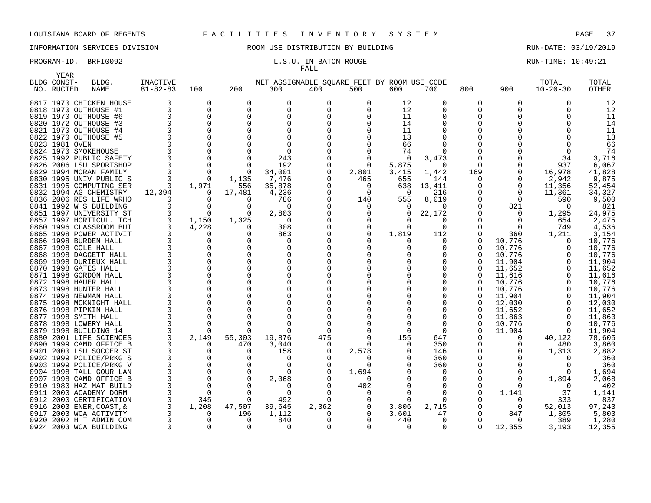YEAR

## INFORMATION SERVICES DIVISION 88 ROOM USE DISTRIBUTION BY BUILDING 88 RUN-DATE: 03/19/2019

# FALL

## PROGRAM-ID. BRFI0092 **EXAM-ID.** BRFI0092 **L.S.U. IN BATON ROUGE** RUN-TIME: 10:49:21

|      | BLDG CONST-         | BLDG.                   | <b>INACTIVE</b> |          |          | NET ASSIGNABLE SQUARE FEET BY ROOM USE CODE |          |              |          |          |              |          | TOTAL          | TOTAL        |
|------|---------------------|-------------------------|-----------------|----------|----------|---------------------------------------------|----------|--------------|----------|----------|--------------|----------|----------------|--------------|
|      | NO. RUCTED          | <b>NAME</b>             | $81 - 82 - 83$  | 100      | 200      | 300                                         | 400      | 500          | 600      | 700      | 800          | 900      | $10 - 20 - 30$ | <b>OTHER</b> |
|      |                     | 0817 1970 CHICKEN HOUSE |                 | $\Omega$ | $\Omega$ | O                                           |          | $\Omega$     | 12       | 0        | $\Omega$     | $\Omega$ |                | 12           |
|      |                     | 0818 1970 OUTHOUSE #1   | $\Omega$        | $\Omega$ | 0        | $\mathbf 0$                                 | O        | $\Omega$     | 12       | 0        | <sup>0</sup> |          |                | 12           |
|      |                     | 0819 1970 OUTHOUSE #6   |                 | $\Omega$ | $\Omega$ | O                                           |          | <sup>0</sup> | 11       | O        | ∩            |          |                | 11           |
|      |                     | 0820 1972 OUTHOUSE #3   |                 | $\Omega$ |          |                                             |          |              | 14       | O        |              |          |                | 14           |
|      |                     | 0821 1970 OUTHOUSE #4   |                 | $\Omega$ |          |                                             |          |              | 11       |          |              |          |                | 11           |
|      |                     | 0822 1970 OUTHOUSE #5   |                 | $\Omega$ |          |                                             |          |              | 13       | U        |              |          |                | 13           |
|      | 0823 1981 OVEN      |                         |                 |          |          |                                             |          |              | 66       |          |              |          |                | 66           |
|      |                     | 0824 1970 SMOKEHOUSE    |                 |          |          |                                             |          |              | 74       |          |              |          |                | 74           |
|      |                     | 0825 1992 PUBLIC SAFETY |                 | $\Omega$ |          | 243                                         |          | $\Omega$     | $\Omega$ | 3,473    |              |          | 34             | 3,716        |
|      |                     | 0826 2006 LSU SPORTSHOP |                 | $\Omega$ |          | 192                                         |          | $\Omega$     | 5,875    | $\Omega$ | O            |          | 937            | 6,067        |
|      |                     | 0829 1994 MORAN FAMILY  |                 | $\Omega$ | 0        | 34,001                                      |          | 2,801        | 3,415    | 1,442    | 169          | 0        | 16,978         | 41,828       |
|      |                     | 0830 1995 UNIV PUBLIC S |                 | $\Omega$ | 1,135    | 7,476                                       |          | 465          | 655      | 144      | O            | $\Omega$ | 2,942          | 9,875        |
|      |                     | 0831 1995 COMPUTING SER | $\Omega$        | 1,971    | 556      | 35,878                                      |          | 0            | 638      | 13,411   |              | 0        | 11,356         | 52,454       |
|      |                     | 0832 1994 AG CHEMISTRY  | 12,394          | $\Omega$ | 17,481   | 4,236                                       |          | $\Omega$     | $\Omega$ | 216      |              | $\Omega$ | 11,361         | 34,327       |
|      |                     | 0836 2006 RES LIFE WRHO |                 | $\Omega$ | 0        | 786                                         |          | 140          | 555      | 8,019    | O            | $\Omega$ | 590            | 9,500        |
|      |                     | 0841 1992 W S BUILDING  |                 | $\Omega$ | 0        | $\cap$                                      |          | $\Omega$     | O        | U        | 0            | 821      |                | 821          |
|      |                     | 0851 1997 UNIVERSITY ST |                 | $\Omega$ | 0        | 2,803                                       |          | 0            | 0        | 22,172   | <sup>0</sup> | $\Omega$ | 1,295          | 24,975       |
|      |                     | 0857 1997 HORTICUL. TCH |                 | 1,150    | 1,325    | $\cap$                                      |          |              |          |          |              |          | 654            | 2,475        |
|      |                     | 0860 1996 CLASSROOM BUI |                 | 4,228    | 0        | 308                                         |          | $\Omega$     | $\Omega$ | $\Omega$ |              | $\Omega$ | 749            | 4,536        |
|      |                     | 0865 1998 POWER ACTIVIT |                 | O        |          | 863                                         |          |              | 1,819    | 112      | 0            | 360      | 1,211          | 3,154        |
|      |                     | 0866 1998 BURDEN HALL   |                 | $\Omega$ |          | O                                           |          |              |          | 0        | O            | 10,776   |                | 10,776       |
|      | 0867 1998 COLE HALL |                         |                 | $\Omega$ |          |                                             |          |              |          | 0        | 0            | 10,776   |                | 10,776       |
|      |                     | 0868 1998 DAGGETT HALL  |                 | $\Omega$ |          |                                             |          |              |          |          | O            | 10,776   |                | 10,776       |
|      |                     | 0869 1998 DURIEUX HALL  |                 | $\Omega$ |          |                                             |          |              |          | 0        | 0            | 11,904   |                | 11,904       |
|      |                     | 0870 1998 GATES HALL    |                 | $\Omega$ |          |                                             |          |              |          |          | $\Omega$     | 11,652   |                | 11,652       |
|      |                     | 0871 1998 GORDON HALL   |                 | $\Omega$ |          |                                             |          |              |          |          | $\Omega$     | 11,616   |                | 11,616       |
|      |                     | 0872 1998 HAUER HALL    |                 | $\Omega$ |          |                                             |          |              |          |          | $\Omega$     | 10,776   |                | 10,776       |
|      |                     | 0873 1998 HUNTER HALL   |                 | $\Omega$ |          |                                             |          |              |          |          | O            | 10,776   |                | 10,776       |
|      |                     | 0874 1998 NEWMAN HALL   |                 | $\Omega$ |          |                                             |          |              |          |          | U            | 11,904   |                | 11,904       |
|      |                     | 0875 1998 MCKNIGHT HALL |                 | $\Omega$ |          |                                             |          |              |          |          | <sup>0</sup> | 12,030   |                | 12,030       |
|      |                     | 0876 1998 PIPKIN HALL   |                 | $\Omega$ |          |                                             |          |              |          |          | 0            | 11,652   |                | 11,652       |
|      |                     | 0877 1998 SMITH HALL    |                 | $\Omega$ |          |                                             |          |              |          | U        | <sup>0</sup> | 11,863   |                | 11,863       |
|      |                     | 0878 1998 LOWERY HALL   |                 | $\Omega$ | ∩        |                                             |          |              |          |          | 0            | 10,776   |                | 10,776       |
|      |                     | 0879 1998 BUILDING 14   |                 |          | n        |                                             |          |              |          | $\Omega$ | U            | 11,904   |                | 11,904       |
|      |                     | 0880 2001 LIFE SCIENCES |                 | 2,149    | 55,303   | 19,876                                      | 475      |              | 155      | 647      |              |          | 40,122         | 78,605       |
|      |                     | 0890 1999 CAMD OFFICE B |                 | $\Omega$ | 470      | 3,040                                       | $\Omega$ |              | U        | 350      |              |          | 480            | 3,860        |
|      |                     | 0901 2000 LSU SOCCER ST |                 | $\Omega$ | 0        | 158                                         |          | 2,578        |          | 146      |              |          | 1,313          | 2,882        |
|      |                     | 0902 1999 POLICE/PRKG S |                 |          |          |                                             |          |              |          | 360      |              |          |                | 360          |
|      |                     | 0903 1999 POLICE/PRKG V |                 | $\Omega$ | O        |                                             |          | ∩            |          | 360      |              |          |                | 360          |
|      |                     | 0904 1998 TALL GOUR LAN |                 | $\Omega$ |          |                                             |          | 1,694        |          |          |              |          |                | 1,694        |
|      |                     | 0907 1998 CAMD OFFICE B |                 | $\Omega$ | ∩        | 2,068                                       |          | 0            |          | $\Omega$ |              |          | 1,894          | 2,068        |
|      |                     | 0910 1980 HAZ MAT BUILD |                 | $\Omega$ |          |                                             |          | 402          |          |          |              |          |                | 402          |
|      |                     | 0911 2000 ACADEMY DORM  |                 | $\Omega$ | ∩        | $\Omega$                                    |          | $\Omega$     |          | $\Omega$ | <sup>0</sup> | 1,141    | 37             | 1,141        |
|      |                     | 0912 2000 CERTIFICATION |                 | 345      | $\Omega$ | 492                                         |          |              | $\Omega$ |          |              |          | 333            | 837          |
| 0916 |                     | 2003 ENER, COAST, &     |                 | 1,208    | 47,507   | 39,645                                      | 2,362    | 0            | 3,806    | 2,715    | 0            | 0        | 52,013         | 97,243       |
|      |                     | 0917 2003 WCA ACTIVITY  |                 | $\Omega$ | 196      | 1,112                                       |          | 0            | 3,601    | 47       | O            | 847      | 1,305          | 5,803        |
|      |                     | 0920 2002 H T ADMIN COM |                 | $\Omega$ | 0        | 840                                         |          | $\Omega$     | 440      | 0        | O            | $\Omega$ | 389            | 1,280        |
|      |                     | 0924 2003 WCA BUILDING  |                 | $\Omega$ | $\Omega$ | $\Omega$                                    |          | $\Omega$     | $\Omega$ | $\Omega$ | $\Omega$     | 12,355   | 3,193          | 12,355       |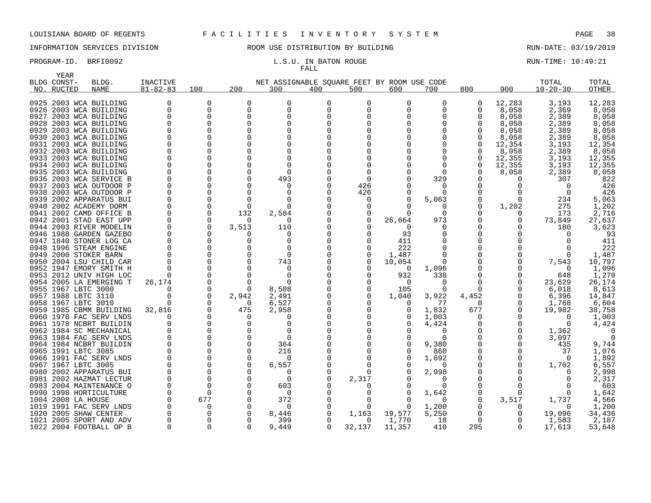YEAR

# INFORMATION SERVICES DIVISION 88 ROOM USE DISTRIBUTION BY BUILDING 88 RUN-DATE: 03/19/2019

# FALL

PROGRAM-ID. BRFI0092 **EXAM-ID.** BRFI0092 **L.S.U. IN BATON ROUGE EXAM-TIME: 10:49:21** 

| BLDG CONST-         | BLDG.                                              | <b>INACTIVE</b> |          |          | NET ASSIGNABLE SQUARE FEET BY ROOM USE CODE |          |          |          |                      |               |        | TOTAL          | TOTAL    |
|---------------------|----------------------------------------------------|-----------------|----------|----------|---------------------------------------------|----------|----------|----------|----------------------|---------------|--------|----------------|----------|
| NO. RUCTED          | NAME                                               | $81 - 82 - 83$  | 100      | 200      | 300                                         | 400      | 500      | 600      | 700                  | 800           | 900    | $10 - 20 - 30$ | OTHER    |
|                     | 0925 2003 WCA BUILDING                             |                 | 0        | 0        | 0                                           | 0        | 0        | O        | $\Omega$             | 0             | 12,283 | 3,193          | 12,283   |
|                     | 0926 2003 WCA BUILDING                             | $\Omega$        | $\Omega$ | 0        | $\Omega$                                    | $\Omega$ | $\Omega$ |          |                      | 0             | 8,058  | 2,369          | 8,058    |
|                     | 0927 2003 WCA BUILDING                             |                 |          | 0        | $\Omega$                                    |          |          |          |                      | 0             | 8,058  | 2,389          | 8,058    |
|                     | 0928 2003 WCA BUILDING                             |                 |          |          | $\Omega$                                    |          |          |          |                      |               | 8,058  | 2,389          | 8,058    |
|                     | 0929 2003 WCA BUILDING                             |                 |          | O        | $\Omega$                                    |          |          |          |                      | $\Omega$      | 8,058  | 2,389          | 8,058    |
|                     | 0930 2003 WCA BUILDING                             |                 |          |          |                                             |          |          |          |                      | $\Omega$      | 8,058  | 2,389          | 8,058    |
|                     | 0931 2003 WCA BUILDING                             |                 |          |          |                                             |          |          |          |                      | $\Omega$      | 12,354 | 3,193          | 12,354   |
|                     | 0932 2003 WCA BUILDING                             |                 |          |          |                                             |          |          |          |                      | $\Omega$      | 8,058  | 2,389          | 8,058    |
|                     | 0933 2003 WCA BUILDING                             |                 |          |          |                                             |          |          |          |                      | 0             | 12,355 | 3,193          | 12,355   |
|                     | 0934 2003 WCA BUILDING                             |                 |          |          |                                             |          |          |          |                      | $\Omega$      | 12,355 | 3,193          | 12,355   |
|                     | 0935 2003 WCA BUILDING                             |                 |          | U        | ∩                                           |          |          |          |                      |               | 8,058  | 2,389          | 8,058    |
|                     | 0936 2003 WCA SERVICE B                            |                 |          | U        | 493                                         |          | $\Omega$ |          | 329                  |               |        | 307            | 822      |
|                     | 0937 2003 WCA OUTDOOR P                            |                 |          | $\Omega$ | ∩                                           |          | 426      |          | n                    |               |        | $\cap$         | 426      |
|                     | 0938 2003 WCA OUTDOOR P                            |                 |          |          |                                             |          | 426      |          |                      |               |        | n              | 426      |
|                     | 0939 2002 APPARATUS BUI                            |                 |          | $\Omega$ | ∩                                           |          | 0        |          | 5,063                | 0             | 0      | 234            | 5,063    |
|                     | 0940 2002 ACADEMY DORM                             |                 |          | $\Omega$ | ∩                                           |          | 0        |          |                      | 0             | 1,202  | 275            | 1,202    |
|                     | 0941 2002 CAMD OFFICE B                            |                 |          | 132      | 2,584                                       |          |          |          |                      |               | 0      | 173            | 2,716    |
|                     | 0942 2001 STAD EAST UPP                            |                 |          | $\Omega$ | $\Omega$                                    |          | 0        | 26,664   | 973                  |               |        | 73,849         | 27,637   |
|                     | 0944 2003 RIVER MODELIN                            |                 |          | 3,513    | 110                                         |          |          | $\Omega$ |                      | O             |        | 180            | 3,623    |
|                     | 0946 1988 GARDEN GAZEBO                            |                 |          | O        | O                                           |          |          | 93       |                      | O             |        |                | 93       |
|                     | 0947 1840 STONER LOG CA                            |                 |          |          |                                             |          |          | 411      |                      |               |        |                | 411      |
|                     | 0948 1996 STEAM ENGINE                             |                 |          |          | $\Omega$                                    |          |          | 222      |                      |               |        | O              | 222      |
|                     | 0949 2000 STOKER BARN                              |                 |          |          | $\Omega$                                    |          | 0        | 1,487    |                      |               |        |                | 1,487    |
|                     | 0950 2004 LSU CHILD CAR                            |                 |          | $\Omega$ | 743                                         |          | $\Omega$ | 10,054   |                      |               |        | 7,543          | 10,797   |
|                     | 0952 1947 EMORY SMITH H                            |                 |          | $\Omega$ |                                             |          |          | $\Omega$ | 1,096                |               |        | $\Omega$       | 1,096    |
|                     | 0953 2012 UNIV HIGH LOC                            |                 |          | $\Omega$ | $\Omega$                                    |          |          | 932      | 338                  | 0             |        | 648            | 1,270    |
|                     | 0954 2005 LA EMERGING T                            | 26,174          |          |          | ∩                                           |          | 0        | $\Omega$ | $\Omega$             | $\Omega$      | O      | 23,629         | 26,174   |
| 0955 1967 LBTC 3000 |                                                    |                 |          | $\Omega$ | 8,508                                       |          | 0        | 105      | $\Omega$             | 0             |        | 6,018          | 8,613    |
| 0957 1988 LBTC 3110 |                                                    |                 |          | 2,942    | 2,491                                       |          | 0        | 1,040    | 3,922                | 4,452         |        | 6,396          | 14,847   |
| 0958 1967 LBTC 3010 |                                                    |                 |          | $\Omega$ | 6,527                                       |          |          | ()       | 77                   | $\Omega$      |        | 1,768          | 6,604    |
|                     | 0959 1985 CBMM BUILDING                            | 32,816          |          | 475      | 2,958                                       |          |          | $\Omega$ | 1,832                | 677           |        | 19,982         | 38,758   |
|                     | 0960 1978 FAC SERV LNDS                            |                 |          | $\Omega$ | $\left( \right)$                            |          |          |          | 1,003                | 0             |        | $\Omega$       | 1,003    |
|                     | 0961 1978 NCBRT BUILDIN                            |                 |          |          | O                                           |          |          |          | 4,424                |               |        | $\Omega$       | 4,424    |
|                     | 0962 1984 SC MECHANICAL                            |                 |          | O        | O<br>$\Omega$                               |          |          |          | $\Omega$<br>$\Omega$ | $\Omega$<br>0 |        | 1,362          | $\Omega$ |
|                     | 0963 1984 FAC SERV LNDS<br>0964 1984 NCBRT BUILDIN |                 |          | $\Omega$ | 364                                         |          |          |          | 9,380                |               |        | 3,097<br>435   | 9,744    |
| 0965 1991 LBTC 3085 |                                                    |                 |          | $\Omega$ | 216                                         |          |          |          | 860                  |               |        | 37             | 1,076    |
|                     | 0966 1991 FAC SERV LNDS                            |                 |          | $\Omega$ | n                                           |          |          |          | 1,892                | 0             |        | $\Omega$       | 1,892    |
| 0967 1967 LBTC 3005 |                                                    |                 |          | $\Omega$ | 6,557                                       |          |          |          |                      |               |        | 1,702          | 6,557    |
|                     | 0980 2002 APPARATUS BUI                            |                 |          | $\Omega$ | n                                           |          |          |          | 2,998                |               |        |                | 2,998    |
|                     | 0981 2002 HAZMAT LECTUR                            |                 |          | O        | $\Omega$                                    |          | 2,317    |          | $\Omega$             |               |        | <sup>n</sup>   | 2,317    |
|                     | 0983 2004 MAINTENANCE O                            |                 |          | O        | 603                                         |          |          |          |                      | 0             |        |                | 603      |
|                     | 0990 1998 HORTICULTURE                             |                 |          |          | $\Omega$                                    |          |          |          | 1,642                |               | U      |                | 1,642    |
| 1004 2008 LA HOUSE  |                                                    |                 | 677      |          | 372                                         |          |          |          | $\Omega$             | 0             | 3,517  | 1,737          | 4,566    |
|                     | 1019 1991 FAC SERV LNDS                            |                 |          | $\Omega$ | n                                           |          |          |          | 1,200                |               | O      | $\Omega$       | 1,200    |
|                     | 1020 2005 SHAW CENTER                              |                 |          | $\Omega$ | 8,446                                       |          | 1,163    | 19,577   | 5,250                | 0             |        | 19,096         | 34,436   |
|                     | 1021 2005 SPORT AND ADV                            |                 |          |          | 399                                         |          | 0        | 1,770    | 18                   | $\Omega$      |        | 1,583          | 2,187    |
|                     | 1022 2004 FOOTBALL OP B                            | $\Omega$        | $\Omega$ | U        | 9,449                                       | $\Omega$ | 32,137   | 11,357   | 410                  | 295           | 0      | 17,613         | 53,648   |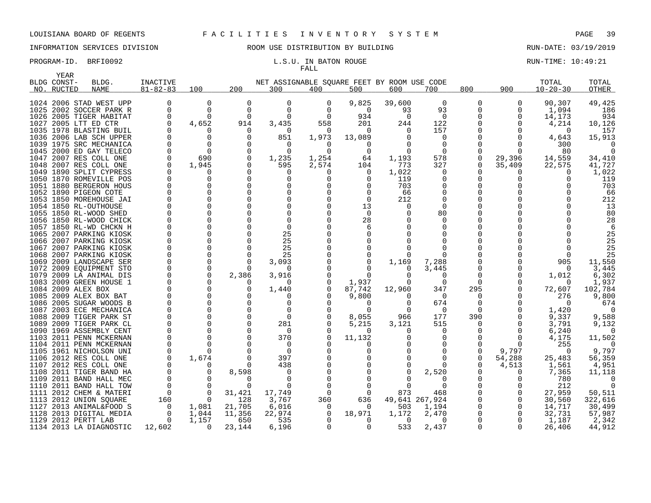YEAR

## INFORMATION SERVICES DIVISION ROOM USE DISTRIBUTION BY BUILDING RUN-DATE: 03/19/2019

# FALL

### PROGRAM-ID. BRFI0092 **EXAM-ID.** BRFI0092 **L.S.U. IN BATON ROUGE EXAMINE: 10:49:21**

|      | BLDG CONST- | BLDG.                                         | <b>INACTIVE</b> |                      |              | NET ASSIGNABLE SQUARE FEET BY ROOM USE CODE |          |                  |                |                   |          |          | TOTAL             | TOTAL          |
|------|-------------|-----------------------------------------------|-----------------|----------------------|--------------|---------------------------------------------|----------|------------------|----------------|-------------------|----------|----------|-------------------|----------------|
|      | NO. RUCTED  | NAME                                          | $81 - 82 - 83$  | 100                  | 200          | 300                                         | 400      | 500              | 600            | 700               | 800      | 900      | $10 - 20 - 30$    | OTHER          |
|      |             | 1024 2006 STAD WEST UPP                       | 0               | 0                    | 0            | 0                                           | 0        | 9,825            | 39,600         | 0                 | 0        | 0        | 90,307            | 49,425         |
|      |             | 1025 2002 SOCCER PARK R                       | $\Omega$        | $\Omega$             | $\mathbf 0$  | $\Omega$                                    | $\Omega$ | $\Omega$         | 93             | 93                | 0        | 0        | 1,094             | 186            |
|      |             | 1026 2005 TIGER HABITAT                       | $\Omega$        | $\Omega$             | $\Omega$     | $\Omega$                                    | $\Omega$ | 934              | $\Omega$       | $\Omega$          | 0        | 0        | 14,173            | 934            |
|      |             | 1027 2005 LTT ED CTR                          |                 | 4,652                | 914          | 3,435                                       | 558      | 201              | 244            | 122               |          | 0        | 4,214             | 10,126         |
|      |             | 1035 1978 BLASTING BUIL                       |                 | O                    | $\Omega$     | $\Omega$                                    | $\Omega$ | $\Omega$         | 0              | 157               |          |          | $\Omega$          | 157            |
|      |             | 1036 2006 LAB SCH UPPER                       |                 | $\Omega$             | $\Omega$     | 851                                         | 1,973    | 13,089           |                | $\Omega$          |          |          | 4,643             | 15,913         |
|      |             | 1039 1975 SRC MECHANICA                       |                 | $\Omega$             | $\Omega$     | $\Omega$                                    | $\Omega$ | $\Omega$         |                | $\Omega$          |          |          | 300               |                |
|      |             | 1045 2000 ED GAY TELECO                       |                 | $\Omega$             | $\Omega$     | $\Omega$                                    | $\Omega$ | 0                |                | $\Omega$          |          |          | 80                |                |
|      |             | 1047 2007 RES COLL ONE                        |                 | 690                  | $\Omega$     | 1,235                                       | 1,254    | 64               | 1,193          | 578               | $\Omega$ | 29,396   | 14,559            | 34,410         |
|      |             | 1048 2007 RES COLL ONE                        |                 | 1,945                | $\Omega$     | 595                                         | 2,574    | 104              | 773            | 327               | 0        | 35,409   | 22,575            | 41,727         |
|      |             | 1049 1890 SPLIT CYPRESS                       |                 | 0                    | $\Omega$     |                                             |          | $\Omega$         | 1,022          | $\Omega$          |          | O        |                   | 1,022          |
|      |             | 1050 1870 ROMEVILLE POS                       |                 | 0                    |              |                                             |          |                  | 119            | 0                 |          |          |                   | 119            |
|      |             | 1051 1880 BERGERON HOUS                       |                 | $\Omega$             |              |                                             |          | $\Omega$         | 703            | 0                 |          |          |                   | 703            |
|      |             | 1052 1890 PIGEON COTE                         |                 | $\Omega$             |              |                                             |          | $\Omega$         | 66             | 0                 |          |          |                   | 66             |
|      |             | 1053 1850 MOREHOUSE JAI                       |                 | $\Omega$             |              |                                             |          | $\Omega$         | 212            | 0                 |          |          |                   | 212            |
|      |             | 1054 1850 RL-OUTHOUSE                         |                 | $\Omega$             |              |                                             |          | 13               |                | $\Omega$          |          |          |                   | 13             |
|      |             | 1055 1850 RL-WOOD SHED                        |                 | $\Omega$             |              |                                             |          | $\Omega$         |                | 80                |          |          |                   | 80             |
|      |             | 1056 1850 RL-WOOD CHICK                       |                 | $\Omega$             |              |                                             |          | 28               |                | <sup>0</sup>      |          |          |                   | 28             |
|      |             | 1057 1850 RL-WD CHCKN H                       |                 | $\Omega$             |              | $\Omega$                                    |          |                  |                |                   |          |          |                   |                |
|      |             | 1065 2007 PARKING KIOSK                       |                 | $\Omega$             |              | 25                                          |          |                  |                |                   |          |          |                   | 25             |
|      |             | 1066 2007 PARKING KIOSK                       |                 | $\Omega$             |              | 25                                          |          |                  |                |                   |          |          |                   | 25             |
|      |             | 1067 2007 PARKING KIOSK                       |                 | $\Omega$             |              | 25                                          |          |                  |                |                   |          |          |                   | 25             |
|      |             | 1068 2007 PARKING KIOSK                       |                 | $\Omega$             |              | 25                                          |          |                  |                |                   |          |          |                   | 25             |
|      |             | 1069 2009 LANDSCAPE SER                       |                 | $\Omega$<br>$\Omega$ |              | 3,093                                       |          |                  | 1,169          | 7,288             |          |          | 905               | 11,550         |
| 1079 |             | 1072 2009 EQUIPMENT STO                       |                 | $\Omega$             |              | 3,916                                       |          | $\Omega$         |                | 3,445<br>$\Omega$ | O        |          | $\Omega$          | 3,445<br>6,302 |
|      |             | 2009 LA ANIMAL DIS<br>1083 2009 GREEN HOUSE 1 |                 | $\Omega$             | 2,386        |                                             |          | 1,937            |                | $\Omega$          | $\Omega$ |          | 1,012<br>$\Omega$ | 1,937          |
|      |             | 1084 2009 ALEX BOX                            |                 | $\Omega$             | $\Omega$     | 1,440                                       |          | 87,742           | 12,960         | 347               | 295      | $\Omega$ | 72,607            | 102,784        |
|      |             | 1085 2009 ALEX BOX BAT                        |                 |                      |              |                                             |          | 9,800            |                | $\Omega$          | 0        |          | 276               | 9,800          |
|      |             | 1086 2005 SUGAR WOODS B                       |                 | $\Omega$             |              |                                             |          | $\left( \right)$ |                | 674               | 0        |          | $\Omega$          | 674            |
|      |             | 1087 2003 ECE MECHANICA                       |                 | $\Omega$             |              |                                             |          | $\Omega$         |                | $\Omega$          | $\Omega$ |          | 1,420             | $\Omega$       |
|      |             | 1088 2009 TIGER PARK ST                       |                 | $\Omega$             |              | $\Omega$                                    |          | 8,055            | 966            | 177               | 390      |          | 9,337             | 9,588          |
|      |             | 1089 2009 TIGER PARK CL                       |                 | $\Omega$             | <sup>0</sup> | 281                                         |          | 5,215            | 3,121          | 515               | 0        |          | 3,791             | 9,132          |
|      |             | 1090 1969 ASSEMBLY CENT                       |                 | $\Omega$             | <sup>0</sup> | $\Omega$                                    |          | O                |                | $\Omega$          | O        | O        | 6,240             | $\Omega$       |
|      |             | 1103 2011 PENN MCKERNAN                       |                 | $\Omega$             |              | 370                                         |          | 11,132           |                | 0                 | O        | O        | 4,175             | 11,502         |
|      |             | 1104 2011 PENN MCKERNAN                       |                 |                      |              |                                             |          |                  |                |                   | ∩        | ∩        | 255               |                |
|      |             | 1105 1961 NICHOLSON UNI                       |                 |                      |              | $\Omega$                                    |          |                  |                |                   | 0        | 9,797    | $\Omega$          | 9,797          |
|      |             | 1106 2012 RES COLL ONE                        |                 | 1,674                | ∩            | 397                                         |          |                  |                |                   | $\Omega$ | 54,288   | 25,483            | 56,359         |
|      |             | 1107 2012 RES COLL ONE                        |                 | $\Omega$             | $\Omega$     | 438                                         |          |                  |                | $\Omega$          | O        | 4,513    | 1,561             | 4,951          |
|      |             | 1108 2011 TIGER BAND HA                       |                 | 0                    | 8,598        |                                             |          |                  |                | 2,520             | O        | 0        | 7,365             | 11,118         |
|      |             | 1109 2011 BAND HALL MEC                       |                 | 0                    | $\Omega$     | $\Omega$                                    |          |                  |                | n                 | N        |          | 780               |                |
|      |             | 1110 2011 BAND HALL TOW                       |                 | 0                    |              |                                             |          |                  |                |                   | N        |          | 212               |                |
| 1111 |             | 2012 CHEM & MATERI                            |                 | 0                    | 31,421       | 17,749                                      |          | $\Omega$         | 873            | 468               |          | 0        | 27,959            | 50,511         |
| 1113 |             | 2012 UNION SQUARE                             | 160             | $\Omega$             | 128          | 3,767                                       | 360      | 636              | 49,641 267,924 |                   |          | 0        | 30,560            | 322,616        |
| 1127 |             | 2013 ANIMAL&FOOD S                            | $\Omega$        | 1,081                | 21,705       | 6,016                                       | 0        | $\Omega$         | 503            | 1,194             |          | 0        | 14,717            | 30,499         |
|      |             | 1128 2013 DIGITAL MEDIA                       |                 | 1,044                | 11,356       | 22,974                                      | 0        | 18,971           | 1,172          | 2,470             |          |          | 32,731            | 57,987         |
|      |             | 1129 2012 PERTT LAB                           |                 | 1,157                | 650          | 535                                         | $\Omega$ | $\Omega$         | $\Omega$       | $\Omega$          |          |          | 1,187             | 2,342          |
|      |             | 1134 2013 LA DIAGNOSTIC                       | 12,602          | $\Omega$             | 23,144       | 6,196                                       | $\Omega$ | 0                | 533            | 2,437             | $\Omega$ | 0        | 26,406            | 44,912         |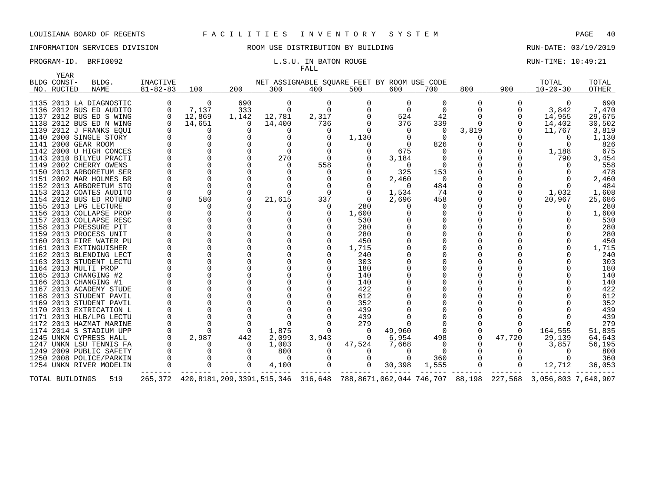## INFORMATION SERVICES DIVISION ROOM USE DISTRIBUTION BY BUILDING RUN-DATE: 03/19/2019

### PROGRAM-ID. BRFI0092 **EXAM-ID.** BRFI0092 **L.S.U. IN BATON ROUGE EXAM-TIME: 10:49:21** FALL

|      | YEAR                      |                         |                            |              |          |              |          |                                                    |          |                |             |          |                                                                                                                        |                |
|------|---------------------------|-------------------------|----------------------------|--------------|----------|--------------|----------|----------------------------------------------------|----------|----------------|-------------|----------|------------------------------------------------------------------------------------------------------------------------|----------------|
|      | BLDG CONST-<br>NO. RUCTED | BLDG.<br>NAME           | INACTIVE<br>$81 - 82 - 83$ | 100          | 200      | 300          | 400      | NET ASSIGNABLE SQUARE FEET BY ROOM USE CODE<br>500 | 600      | 700            | 800         | 900      | TOTAL<br>$10 - 20 - 30$                                                                                                | TOTAL<br>OTHER |
|      |                           |                         |                            |              |          |              |          |                                                    |          |                |             |          |                                                                                                                        |                |
|      |                           | 1135 2013 LA DIAGNOSTIC |                            | $\Omega$     | 690      | 0            | $\Omega$ |                                                    | 0        | $\Omega$       | $\Omega$    | O        | $\Omega$                                                                                                               | 690            |
|      |                           | 1136 2012 BUS ED AUDITO |                            | 7,137        | 333      | $\Omega$     | $\Omega$ |                                                    | $\Omega$ | 0              |             |          | 3,842                                                                                                                  | 7,470          |
|      |                           | 1137 2012 BUS ED S WING | $\Omega$                   | 12,869       | 1,142    | 12,781       | 2,317    |                                                    | 524      | 42             |             |          | 14,955                                                                                                                 | 29,675         |
|      |                           | 1138 2012 BUS ED N WING |                            | 14,651       | $\Omega$ | 14,400       | 736      |                                                    | 376      | 339            | $\Omega$    |          | 14,402                                                                                                                 | 30,502         |
|      |                           | 1139 2012 J FRANKS EOUI |                            | 0            | ∩        |              |          |                                                    | 0        | $\Omega$       | 3,819       |          | 11,767                                                                                                                 | 3,819          |
|      |                           | 1140 2000 SINGLE STORY  |                            | 0            |          | 0            |          | 1,130                                              |          | $\Omega$       | 0           |          |                                                                                                                        | 1,130          |
|      |                           | 1141 2000 GEAR ROOM     |                            | 0            |          | 0            |          | $\Omega$                                           | $\Omega$ | 826            |             |          | $\Omega$                                                                                                               | 826            |
|      |                           | 1142 2000 U HIGH CONCES |                            | $\Omega$     |          | $\Omega$     |          |                                                    | 675      | 0              |             |          | 1,188                                                                                                                  | 675            |
|      |                           | 1143 2010 BILYEU PRACTI |                            | $\mathbf 0$  |          | 270          |          |                                                    | 3,184    | 0              |             |          | 790                                                                                                                    | 3,454          |
|      |                           | 1149 2002 CHERRY OWENS  |                            | $\Omega$     |          | 0            | 558      |                                                    | $\Omega$ | 0              |             |          |                                                                                                                        | 558            |
|      |                           | 1150 2013 ARBORETUM SER |                            | $\Omega$     |          | <sup>0</sup> |          |                                                    | 325      | 153            |             |          |                                                                                                                        | 478            |
|      |                           | 1151 2002 MAR HOLMES BR |                            | 0            |          |              |          |                                                    | 2,460    | $\overline{0}$ |             |          |                                                                                                                        | 2,460          |
|      |                           | 1152 2013 ARBORETUM STO |                            |              |          | $\Omega$     |          |                                                    | $\Omega$ | 484            |             |          |                                                                                                                        | 484            |
|      |                           | 1153 2013 COATES AUDITO |                            | $\Omega$     |          | $\cap$       |          |                                                    | 1,534    | 74             |             |          | 1,032                                                                                                                  | 1,608          |
|      |                           | 1154 2012 BUS ED ROTUND |                            | 580          |          | 21,615       | 337      |                                                    | 2,696    | 458            |             |          | 20,967                                                                                                                 | 25,686         |
|      |                           | 1155 2013 LPG LECTURE   |                            | O            |          |              | $\Omega$ | 280                                                |          |                |             |          |                                                                                                                        | 280            |
|      |                           | 1156 2013 COLLAPSE PROP |                            | 0            |          |              |          | 1,600                                              |          | 0              |             |          |                                                                                                                        | 1,600          |
|      |                           | 1157 2013 COLLAPSE RESC |                            | $\Omega$     |          |              |          | 530                                                |          |                |             |          |                                                                                                                        | 530            |
|      |                           | 1158 2013 PRESSURE PIT  |                            |              |          |              |          | 280                                                |          |                |             |          |                                                                                                                        | 280            |
|      |                           | 1159 2013 PROCESS UNIT  |                            | $\Omega$     |          |              |          | 280                                                |          |                |             |          |                                                                                                                        | 280            |
|      |                           | 1160 2013 FIRE WATER PU |                            | $\Omega$     |          |              |          | 450                                                |          |                |             |          |                                                                                                                        | 450            |
|      |                           | 1161 2013 EXTINGUISHER  |                            |              |          |              |          | 1,715                                              |          |                |             |          |                                                                                                                        | 1,715          |
|      |                           | 1162 2013 BLENDING LECT |                            | $\Omega$     |          | $\Omega$     |          | 240                                                |          |                |             |          |                                                                                                                        | 240            |
|      |                           | 1163 2013 STUDENT LECTU |                            | $\Omega$     |          |              |          | 303                                                |          |                |             |          |                                                                                                                        | 303            |
|      |                           | 1164 2013 MULTI PROP    |                            | $\Omega$     |          |              |          | 180                                                |          |                |             |          |                                                                                                                        | 180            |
|      |                           | 1165 2013 CHANGING #2   |                            | $\Omega$     |          |              |          | 140                                                |          |                |             |          |                                                                                                                        | 140            |
|      |                           | 1166 2013 CHANGING #1   |                            |              |          |              |          | 140                                                |          |                |             |          |                                                                                                                        | 140            |
|      |                           | 1167 2013 ACADEMY STUDE |                            | 0            |          |              |          | 422                                                |          |                |             |          |                                                                                                                        | 422            |
|      |                           | 1168 2013 STUDENT PAVIL |                            |              |          |              |          | 612                                                |          |                |             |          |                                                                                                                        | 612            |
|      |                           | 1169 2013 STUDENT PAVIL |                            |              |          |              |          | 352                                                |          |                |             |          |                                                                                                                        | 352            |
|      |                           | 1170 2013 EXTRICATION L |                            | $\Omega$     |          |              |          | 439                                                |          |                |             |          |                                                                                                                        | 439            |
| 1171 |                           | 2013 HLB/LPG LECTU      |                            | $\Omega$     |          |              |          | 439                                                |          |                |             |          |                                                                                                                        | 439            |
|      |                           | 1172 2013 HAZMAT MARINE |                            |              |          | $\Omega$     |          | 279                                                |          |                |             |          |                                                                                                                        | 279            |
|      |                           | 1174 2014 S STADIUM UPP |                            | <sup>0</sup> |          | 1,875        | $\Omega$ | 0                                                  | 49,960   | $\Omega$       |             |          | 164,555                                                                                                                | 51,835         |
|      |                           | 1245 UNKN CYPRESS HALL  |                            | 2,987        | 442      | 2,099        | 3,943    | $\Omega$                                           | 6,954    | 498            |             | 47,720   | 29,139                                                                                                                 | 64,643         |
|      |                           | 1247 UNKN LSU TENNIS FA |                            | 0            |          | 1,003        |          | 47,524                                             | 7,668    | 0              |             |          | 3,857                                                                                                                  | 56,195         |
|      |                           | 1249 2009 PUBLIC SAFETY |                            | $\Omega$     | $\Omega$ | 800          |          |                                                    | 0        | $\Omega$       |             |          |                                                                                                                        | 800            |
|      |                           | 1250 2008 POLICE/PARKIN |                            | 0            | $\Omega$ | $\Omega$     |          |                                                    | $\Omega$ | 360            |             |          |                                                                                                                        | 360            |
|      |                           | 1254 UNKN RIVER MODELIN |                            | $\Omega$     | $\Omega$ | 4,100        |          | $\Omega$                                           | 30,398   | 1,555          | $\mathbf 0$ | $\Omega$ | 12,712                                                                                                                 | 36,053         |
|      | TOTAL BUILDINGS           | 519                     |                            |              |          |              |          |                                                    |          |                |             |          | 265, 372 420, 8181, 209, 3391, 515, 346 316, 648 788, 8671, 062, 044 746, 707 88, 198 227, 568 3, 056, 803 7, 640, 907 |                |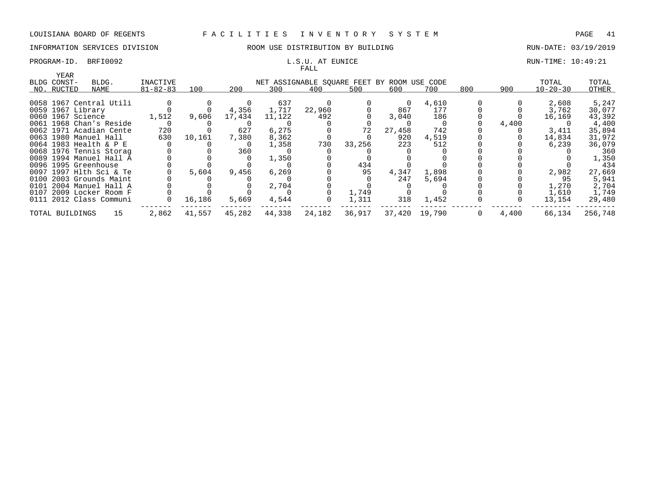### PROGRAM-ID. BRFI0092 **EXAM-ID.** BRFI0092 **RUN-TIME: 10:49:21** L.S.U. AT EUNICE

# INFORMATION SERVICES DIVISION **REDEFILMENTION BY SULLANG RUN-DATE: 03/19/2019** RUN-DATE: 03/19/2019

# FALL

|                      |                         |                |        |        |        | r umu                                       |        |          |               |     |       |                |         |
|----------------------|-------------------------|----------------|--------|--------|--------|---------------------------------------------|--------|----------|---------------|-----|-------|----------------|---------|
| YEAR<br>BLDG CONST-  | BLDG.                   | INACTIVE       |        |        |        | NET ASSIGNABLE SQUARE FEET BY ROOM USE CODE |        |          |               |     |       | TOTAL          | TOTAL   |
| NO. RUCTED           | NAME                    | $81 - 82 - 83$ | 100    | 200    | 300    | 400                                         | 500    | 600      | 700           | 800 | 900   | $10 - 20 - 30$ | OTHER   |
|                      |                         |                |        |        |        |                                             |        |          |               |     |       |                |         |
|                      | 0058 1967 Central Utili |                |        |        | 637    |                                             |        | $\Omega$ | 4,610         |     |       | 2,608          | 5,247   |
| 0059 1967 Library    |                         |                |        | 4,356  | 1,717  | 22,960                                      |        | 867      | 177           |     |       | 3,762          | 30,077  |
| 0060 1967 Science    |                         | 1,512          | 9,606  | 17,434 | 11,122 | 492                                         |        | 3,040    | 186           |     |       | 16,169         | 43,392  |
|                      | 0061 1968 Chan's Reside |                |        |        |        |                                             |        |          |               |     | 4,400 |                | 4,400   |
|                      | 0062 1971 Acadian Cente | 720            |        | 627    | 6,275  |                                             | 72     | 27,458   | 742           |     |       | 3,411          | 35,894  |
|                      | 0063 1980 Manuel Hall   | 630            | 10,161 | 7,380  | 8,362  |                                             |        | 920      | 4,519         |     |       | 14,834         | 31,972  |
|                      | 0064 1983 Health & P E  |                |        |        | 1,358  | 730                                         | 33,256 | 223      | 512           |     |       | 6,239          | 36,079  |
|                      | 0068 1976 Tennis Storag |                |        | 360    |        |                                             |        |          |               |     |       |                | 360     |
|                      | 0089 1994 Manuel Hall A |                |        |        | 1,350  |                                             |        |          |               |     |       |                | 1,350   |
| 0096 1995 Greenhouse |                         |                |        |        |        |                                             | 434    |          |               |     |       |                | 434     |
|                      | 0097 1997 Hlth Sci & Te |                | 5,604  | 9,456  | 6,269  |                                             | 95     | 4,347    | 1,898         |     |       | 2,982          | 27,669  |
|                      | 0100 2003 Grounds Maint |                |        |        |        |                                             |        | 247      | 5,694         |     |       | 95             | 5,941   |
|                      | 0101 2004 Manuel Hall A |                |        |        | 2,704  |                                             |        |          |               |     |       | 1,270          | 2,704   |
|                      | 0107 2009 Locker Room F |                |        |        |        |                                             | 1,749  |          |               |     |       | 1,610          | 1,749   |
|                      | 0111 2012 Class Communi |                | 16,186 | 5,669  | 4,544  |                                             | 1,311  | 318      | 1,452         |     |       | 13,154         | 29,480  |
| TOTAL BUILDINGS      | 15                      | 2,862          | 41,557 | 45,282 | 44,338 | 24,182                                      | 36,917 |          | 37,420 19,790 | 0   | 4,400 | 66,134         | 256,748 |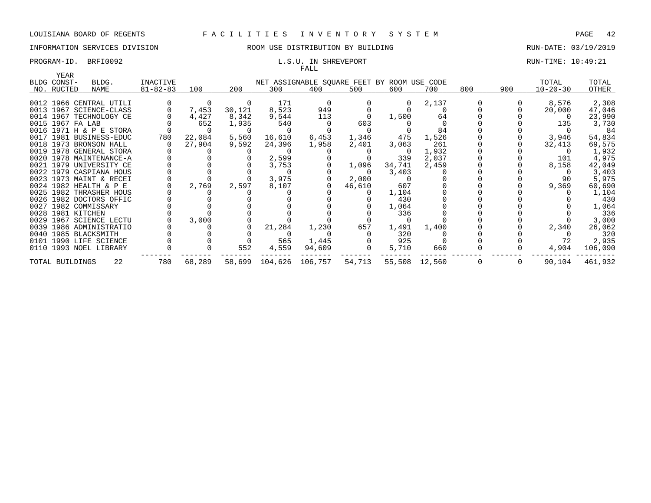# INFORMATION SERVICES DIVISION ROOM USE DISTRIBUTION BY BUILDING RUN-DATE: 03/19/2019

# FALL

## PROGRAM-ID. BRFI0092 **EXAM-ID.** BRFI0092 **RUN-TIME: 10:49:21**

| YEAR              |                         |                |        |        |        |                                             |        |          |               |     |     |                |         |
|-------------------|-------------------------|----------------|--------|--------|--------|---------------------------------------------|--------|----------|---------------|-----|-----|----------------|---------|
| BLDG CONST-       | BLDG.                   | INACTIVE       |        |        |        | NET ASSIGNABLE SQUARE FEET BY ROOM USE CODE |        |          |               |     |     | TOTAL          | TOTAL   |
| NO. RUCTED        | NAME                    | $81 - 82 - 83$ | 100    | 200    | 300    | 400                                         | 500    | 600      | 700           | 800 | 900 | $10 - 20 - 30$ | OTHER   |
|                   |                         |                |        |        |        |                                             |        |          |               |     |     |                |         |
|                   | 0012 1966 CENTRAL UTILI |                | 0      | 0      | 171    | $\Omega$                                    |        | $\Omega$ | 2,137         |     |     | 8,576          | 2,308   |
|                   | 0013 1967 SCIENCE-CLASS |                | 7,453  | 30,121 | 8,523  | 949                                         |        |          |               |     |     | 20,000         | 47,046  |
|                   | 0014 1967 TECHNOLOGY CE |                | 4,427  | 8,342  | 9,544  | 113                                         |        | 1,500    | 64            |     |     |                | 23,990  |
| 0015 1967 FA LAB  |                         |                | 652    | 1,935  | 540    |                                             | 603    |          |               |     |     | 135            | 3,730   |
|                   | 0016 1971 H & P E STORA |                |        |        |        |                                             |        |          | 84            |     |     |                | 84      |
|                   | 0017 1981 BUSINESS-EDUC | 780            | 22,084 | 5,560  | 16,610 | 6,453                                       | 1,346  | 475      | 1,526         |     |     | 3,946          | 54,834  |
|                   | 0018 1973 BRONSON HALL  |                | 27,904 | 9,592  | 24,396 | 1,958                                       | 2,401  | 3,063    | 261           |     |     | 32,413         | 69,575  |
|                   | 0019 1978 GENERAL STORA |                |        |        |        |                                             |        |          | 1,932         |     |     |                | 1,932   |
|                   | 0020 1978 MAINTENANCE-A |                |        |        | 2,599  |                                             |        | 339      | 2,037         |     |     | 101            | 4,975   |
|                   | 0021 1979 UNIVERSITY CE |                |        |        | 3,753  |                                             | 1,096  | 34,741   | 2,459         |     |     | 8,158          | 42,049  |
|                   | 0022 1979 CASPIANA HOUS |                |        |        |        |                                             |        | 3,403    |               |     |     |                | 3,403   |
|                   | 0023 1973 MAINT & RECEI |                |        |        | 3,975  |                                             | 2,000  |          |               |     |     | 90             | 5,975   |
|                   | 0024 1982 HEALTH & P E  |                | 2,769  | 2,597  | 8,107  |                                             | 46,610 | 607      |               |     |     | 9,369          | 60,690  |
|                   | 0025 1982 THRASHER HOUS |                |        |        |        |                                             |        | 1,104    |               |     |     |                | 1,104   |
|                   | 0026 1982 DOCTORS OFFIC |                |        |        |        |                                             |        | 430      |               |     |     |                | 430     |
|                   | 0027 1982 COMMISSARY    |                |        |        |        |                                             |        | 1,064    |               |     |     |                | 1,064   |
| 0028 1981 KITCHEN |                         |                |        |        |        |                                             |        | 336      |               |     |     |                | 336     |
|                   | 0029 1967 SCIENCE LECTU |                | 3,000  |        |        |                                             |        |          |               |     |     |                | 3,000   |
|                   | 0039 1986 ADMINISTRATIO |                |        |        | 21,284 | 1,230                                       | 657    | 1,491    | 1,400         |     |     | 2,340          | 26,062  |
|                   | 0040 1985 BLACKSMITH    |                |        |        |        |                                             |        | 320      |               |     |     |                | 320     |
|                   | 0101 1990 LIFE SCIENCE  |                |        |        | 565    | 1,445                                       |        | 925      |               |     |     | 72             | 2,935   |
|                   | 0110 1993 NOEL LIBRARY  |                |        | 552    | 4,559  | 94,609                                      |        | 5,710    | 660           |     |     | 4,904          | 106,090 |
| TOTAL BUILDINGS   | 22                      | 780            | 68,289 |        |        | 58,699 104,626 106,757                      | 54,713 |          | 55,508 12,560 | 0   | 0   | 90,104         | 461,932 |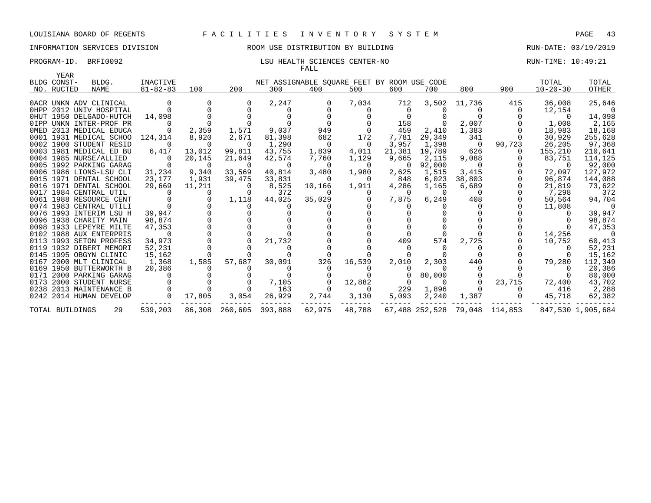# INFORMATION SERVICES DIVISION 88 ROOM USE DISTRIBUTION BY BUILDING 88 RUN-DATE: 03/19/2019

### PROGRAM-ID. BRFI0092 **EXAM-ID.** BRFI0092 **LSU HEALTH SCIENCES CENTER-NO** RUN-TIME: 10:49:21 FALL

| YEAR            |                         |                |          |                |                                             |                |                  |          |                |          |                               |                |                   |
|-----------------|-------------------------|----------------|----------|----------------|---------------------------------------------|----------------|------------------|----------|----------------|----------|-------------------------------|----------------|-------------------|
| BLDG CONST-     | BLDG.                   | INACTIVE       |          |                | NET ASSIGNABLE SQUARE FEET BY ROOM USE CODE |                |                  |          |                |          |                               | TOTAL          | TOTAL             |
| NO. RUCTED      | <b>NAME</b>             | $81 - 82 - 83$ | 100      | 200            | 300                                         | 400            | 500              | 600      | 700            | 800      | 900                           | $10 - 20 - 30$ | OTHER             |
|                 |                         |                |          |                |                                             |                |                  |          |                |          |                               |                |                   |
|                 | OACR UNKN ADV CLINICAL  |                |          |                | 2,247                                       |                | 7,034            | 712      | 3,502          | 11,736   | 415                           | 36,008         | 25,646            |
|                 | OHPP 2012 UNIV HOSPITAL |                |          |                | 0                                           |                | $\left( \right)$ |          |                |          | $\Omega$                      | 12,154         |                   |
|                 | OHUT 1950 DELGADO-HUTCH | 14,098         |          |                |                                             |                |                  |          |                |          |                               |                | 14,098            |
|                 | OIPP UNKN INTER-PROF PR |                |          |                |                                             |                |                  | 158      | $\overline{0}$ | 2,007    |                               | 1,008          | 2,165             |
|                 | OMED 2013 MEDICAL EDUCA |                | 2,359    | 1,571          | 9,037                                       | 949            |                  | 459      | 2,410          | 1,383    |                               | 18,983         | 18,168            |
|                 | 0001 1931 MEDICAL SCHOO | 124,314        | 8,920    | 2,671          | 81,398                                      | 682            | 172              | 7,781    | 29,349         | 341      |                               | 30,929         | 255,628           |
|                 | 0002 1900 STUDENT RESID | $\Omega$       | $\Omega$ | 0              | 1,290                                       | - 0            | 0                | 3,957    | 1,398          | - 0      | 90,723                        | 26,205         | 97,368            |
|                 | 0003 1981 MEDICAL ED BU | 6,417          | 13,012   | 99,811         | 43,755                                      | 1,839          | 4,011            | 21,381   | 19,789         | 626      |                               | 155,210        | 210,641           |
|                 | 0004 1985 NURSE/ALLIED  | 0              | 20,145   | 21,649         | 42,574                                      | 7,760          | 1,129            | 9,665    | 2,115          | 9,088    |                               | 83,751         | 114,125           |
|                 | 0005 1992 PARKING GARAG |                | $\Omega$ | 0              | $\overline{0}$                              | - 0            | 0                | 0        | 92,000         | 0        |                               | $\overline{0}$ | 92,000            |
|                 | 0006 1986 LIONS-LSU CLI | 31,234         | 9,340    | 33,569         | 40,814                                      | 3,480          | 1,980            | 2,625    | 1,515          | 3,415    |                               | 72,097         | 127,972           |
|                 | 0015 1971 DENTAL SCHOOL | 23,177         | 1,931    | 39,475         | 33,831                                      | $\overline{0}$ | $\Omega$         | 848      | 6,023          | 38,803   |                               | 96,874         | 144,088           |
|                 | 0016 1971 DENTAL SCHOOL | 29,669         | 11,211   | $\Omega$       | 8,525                                       | 10,166         | 1,911            | 4,286    | 1,165          | 6,689    |                               | 21,819         | 73,622            |
|                 | 0017 1984 CENTRAL UTIL  |                | $\Omega$ |                | 372                                         |                |                  | $\Omega$ | $\Omega$       | - 0      |                               | 7,298          | 372               |
|                 | 0061 1988 RESOURCE CENT |                |          | 1,118          | 44,025                                      | 35,029         |                  | 7,875    | 6,249          | 408      |                               | 50,564         | 94,704            |
|                 | 0074 1983 CENTRAL UTILI |                |          |                |                                             |                |                  |          |                |          |                               | 11,808         | - 0               |
|                 | 0076 1993 INTERIM LSU H | 39,947         |          |                |                                             |                |                  |          |                |          |                               |                | 39,947            |
|                 | 0096 1938 CHARITY MAIN  | 98,874         |          |                |                                             |                |                  |          |                |          |                               |                | 98,874            |
|                 | 0098 1933 LEPEYRE MILTE | 47,353         |          |                |                                             |                |                  |          |                |          |                               |                | 47,353            |
|                 | 0102 1988 AUX ENTERPRIS | $\cap$         |          |                |                                             |                |                  |          | $\cap$         |          |                               | 14,256         | - 0               |
|                 | 0113 1993 SETON PROFESS | 34,973         | $\Omega$ |                | 21,732                                      |                |                  | 409      | 574            | 2,725    |                               | 10,752         | 60,413            |
|                 | 0119 1932 DIBERT MEMORI | 52,231         |          |                |                                             |                |                  |          |                |          |                               |                | 52,231            |
|                 | 0145 1995 OBGYN CLINIC  | 15,162         |          |                |                                             |                |                  |          |                |          |                               |                | 15,162            |
|                 | 0167 2000 MLT CLINICAL  | 1,368          | 1,585    | 57,687         | 30,091                                      | 326            | 16,539           | 2,010    | 2,303          | 440      |                               | 79,280         | 112,349           |
|                 | 0169 1950 BUTTERWORTH B | 20,386         |          |                |                                             |                |                  |          | n              |          |                               |                | 20,386            |
|                 | 0171 2000 PARKING GARAG |                |          |                |                                             |                |                  |          | 80,000         |          |                               |                | 80,000            |
|                 | 0173 2000 STUDENT NURSE |                |          |                | 7,105                                       |                | 12,882           | $\Omega$ | $\Omega$       | $\Omega$ | 23,715                        | 72,400         | 43,702            |
|                 | 0238 2013 MAINTENANCE B |                | $\Omega$ | $\Omega$       | 163                                         |                | $\Omega$         | 229      | 1,896          | $\Omega$ | $\Omega$                      | 416            | 2,288             |
|                 | 0242 2014 HUMAN DEVELOP | $\overline{0}$ | 17,805   | 3,054          | 26,929                                      | 2,744          | 3,130            | 5,093    | 2,240          | 1,387    | $\overline{0}$                | 45,718         | 62,382            |
| TOTAL BUILDINGS | 29                      | 539,203        |          | 86,308 260,605 | 393,888                                     | 62,975         | 48,788           |          |                |          | 67,488 252,528 79,048 114,853 |                | 847,530 1,905,684 |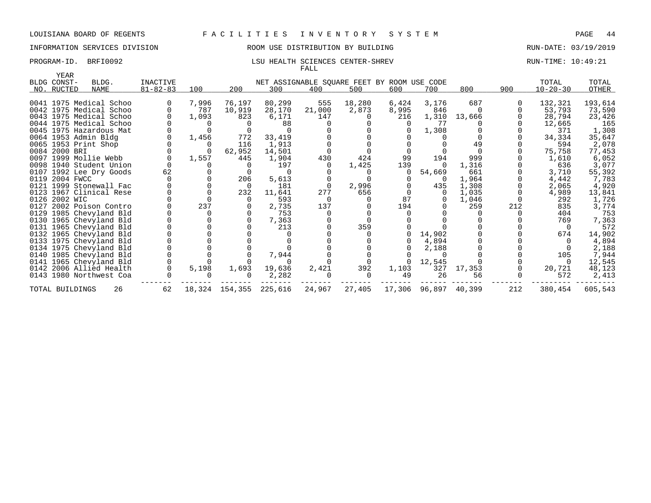# INFORMATION SERVICES DIVISION ROOM USE DISTRIBUTION BY BUILDING RUN-DATE: 03/19/2019

### PROGRAM-ID. BRFI0092 **LSU HEALTH SCIENCES CENTER-SHREV RUN-TIME: 10:49:21** FALL

| YEAR<br>BLDG CONST- | BLDG.                   | <b>INACTIVE</b> |       |                | NET ASSIGNABLE SQUARE FEET BY ROOM USE CODE |          |        |          |                      |        |     | TOTAL          | TOTAL   |
|---------------------|-------------------------|-----------------|-------|----------------|---------------------------------------------|----------|--------|----------|----------------------|--------|-----|----------------|---------|
|                     |                         |                 |       |                |                                             |          |        |          |                      |        |     |                |         |
| NO. RUCTED          | NAME                    | $81 - 82 - 83$  | 100   | 200            | 300                                         | 400      | 500    | 600      | 700                  | 800    | 900 | $10 - 20 - 30$ | OTHER   |
|                     | 0041 1975 Medical Schoo |                 | 7,996 | 76,197         | 80,299                                      | 555      | 18,280 | 6,424    | 3,176                | 687    |     | 132,321        | 193,614 |
|                     | 0042 1975 Medical Schoo |                 | 787   | 10,919         | 28,170                                      | 21,000   | 2,873  | 8,995    | 846                  |        |     | 53,793         | 73,590  |
|                     | 0043 1975 Medical Schoo |                 | 1,093 | 823            | 6,171                                       | 147      |        | 216      | 1,310                | 13,666 |     | 28,794         | 23,426  |
|                     | 0044 1975 Medical Schoo |                 |       |                | 88                                          |          |        |          | 77                   |        |     | 12,665         | 165     |
|                     | 0045 1975 Hazardous Mat |                 |       |                |                                             |          |        |          | 1,308                |        |     | 371            | 1,308   |
|                     | 0064 1953 Admin Bldg    |                 | 1,456 | 772            | 33,419                                      |          |        |          |                      |        |     | 34,334         | 35,647  |
|                     | 0065 1953 Print Shop    |                 |       | 116            | 1,913                                       |          |        |          |                      | 49     |     | 594            | 2,078   |
| 0084 2000 BRI       |                         |                 |       | 62,952         | 14,501                                      |          |        |          |                      |        |     | 75,758         | 77,453  |
|                     | 0097 1999 Mollie Webb   |                 | 1,557 | 445            | 1,904                                       | 430      | 424    | 99       | 194                  | 999    |     | 1,610          | 6,052   |
|                     | 0098 1940 Student Union |                 |       |                | 197                                         |          | 1,425  | 139      | $\Omega$             | 1,316  |     | 636            | 3,077   |
|                     | 0107 1992 Lee Dry Goods | 62              |       |                |                                             |          |        | $\Omega$ | 54,669               | 661    |     | 3,710          | 55,392  |
| 0119 2004 FWCC      |                         |                 |       | 206            | 5,613                                       |          |        |          | $\Omega$             | 1,964  |     | 4,442          | 7,783   |
|                     | 0121 1999 Stonewall Fac |                 |       | - 0            | 181                                         |          | 2,996  |          | 435                  | 1,308  |     | 2,065          | 4,920   |
|                     | 0123 1967 Clinical Rese |                 |       | 232            | 11,641                                      | 277      | 656    |          | $\Omega$             | 1,035  |     | 4,989          | 13,841  |
| 0126 2002 WIC       |                         |                 |       |                | 593                                         | $\Omega$ |        | 87       | $\Omega$             | 1,046  |     | 292            | 1,726   |
|                     | 0127 2002 Poison Contro |                 | 237   |                | 2,735                                       | 137      |        | 194      |                      | 259    | 212 | 835            | 3,774   |
|                     | 0129 1985 Chevyland Bld |                 |       |                | 753                                         |          |        |          |                      |        |     | 404            | 753     |
|                     | 0130 1965 Chevyland Bld |                 |       |                | 7,363                                       |          |        |          |                      |        |     | 769            | 7,363   |
|                     | 0131 1965 Chevyland Bld |                 |       |                | 213                                         |          | 359    |          |                      |        |     |                | 572     |
|                     | 0132 1965 Chevyland Bld |                 |       |                |                                             |          |        |          | 14,902               |        |     | 674            | 14,902  |
|                     | 0133 1975 Chevyland Bld |                 |       |                |                                             |          |        |          | 4,894                |        |     |                | 4,894   |
|                     | 0134 1975 Chevyland Bld |                 |       |                |                                             |          |        |          | 2,188                |        |     |                | 2,188   |
|                     | 0140 1985 Chevyland Bld |                 |       |                | 7,944                                       |          |        |          |                      |        |     | 105            | 7,944   |
|                     | 0141 1965 Chevyland Bld |                 |       |                |                                             |          |        | $\Omega$ | 12,545               |        |     |                | 12,545  |
|                     | 0142 2006 Allied Health |                 | 5,198 | 1,693          | 19,636                                      | 2,421    | 392    | 1,103    | 327                  | 17,353 |     | 20,721         | 48,123  |
|                     | 0143 1980 Northwest Coa |                 |       |                | 2,282                                       |          |        | 49       | 26                   | 56     |     | 572            | 2,413   |
| TOTAL BUILDINGS     | 26                      | 62              |       | 18,324 154,355 | 225,616                                     | 24,967   | 27,405 |          | 17,306 96,897 40,399 |        | 212 | 380,454        | 605,543 |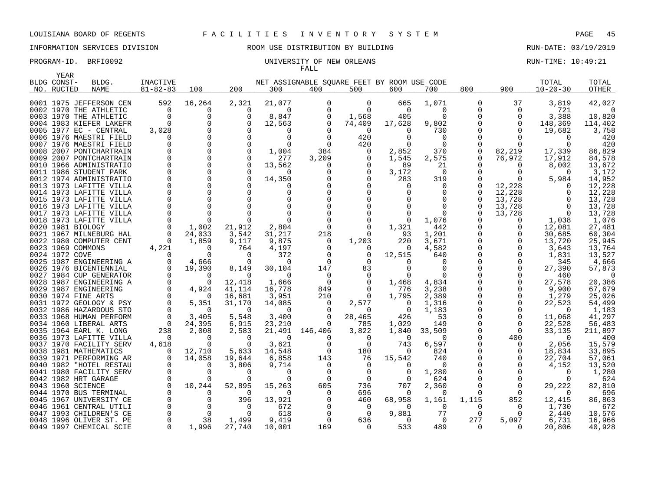YEAR

# INFORMATION SERVICES DIVISION ROOM USE DISTRIBUTION BY BUILDING RUN-DATE: 03/19/2019

### PROGRAM-ID. BRFI0092 **EXAM-ID.** BRFI0092 UNIVERSITY OF NEW ORLEANS RUN-TIME: 10:49:21 FALL

| BLDG CONST-    | BLDG.                                             | <b>INACTIVE</b>            |                      |                    |                    | NET ASSIGNABLE SQUARE FEET BY ROOM USE CODE |                      |                 |                   |                   |             | TOTAL              | TOTAL           |
|----------------|---------------------------------------------------|----------------------------|----------------------|--------------------|--------------------|---------------------------------------------|----------------------|-----------------|-------------------|-------------------|-------------|--------------------|-----------------|
| NO. RUCTED     | NAME                                              | $81 - 82 - 83$             | 100                  | 200                | 300                | 400                                         | 500                  | 600             | 700               | 800               | 900         | $10 - 20 - 30$     | OTHER           |
|                |                                                   |                            |                      |                    |                    |                                             |                      |                 |                   |                   |             |                    |                 |
|                | 0001 1975 JEFFERSON CEN                           | 592                        | 16,264               | 2,321              | 21,077             | $\mathbf 0$                                 | 0                    | 665             | 1,071             | 0                 | 37          | 3,819              | 42,027          |
|                | 0002 1970 THE ATHLETIC                            | $\overline{0}$             | 0                    | 0                  | 0                  | $\mathbf 0$                                 | $\mathbf 0$          | $\overline{0}$  | $\Omega$          | 0                 | $\mathbf 0$ | 721                | $\bigcirc$      |
|                | 0003 1970 THE ATHLETIC                            | $\overline{0}$             | 0                    | $\Omega$           | 8,847              | 0                                           | 1,568                | 405             | $\Omega$          | $\Omega$          |             | 3,388              | 10,820          |
|                | 0004 1983 KIEFER LAKEFR                           | $\Omega$                   | $\Omega$             | $\Omega$           | 12,563             | $\Omega$                                    | 74,409               | 17,628          | 9,802             | $\Omega$          | $\Omega$    | 148,369            | 114,402         |
|                | 0005 1977 EC - CENTRAL                            | 3,028                      | $\Omega$             |                    | $\Omega$           |                                             | $\Omega$             | $\Omega$        | 730               | $\Omega$          |             | 19,682             | 3,758           |
|                | 0006 1976 MAESTRI FIELD                           | $\Omega$                   |                      |                    | $\Omega$           | $\Omega$                                    | 420                  |                 | $\Omega$          |                   |             | $\Omega$           | 420             |
|                | 0007 1976 MAESTRI FIELD                           | $\Omega$                   | 0                    | $\Omega$           | $\Omega$           | $\Omega$                                    | 420                  | $\Omega$        | $\Omega$          | 0                 |             | $\Omega$           | 420             |
|                | 0008 2007 PONTCHARTRAIN                           |                            | $\Omega$             | $\Omega$           | 1,004              | 384                                         | 0                    | 2,852           | 370               | $\mathbf 0$       | 82,219      | 17,339             | 86,829          |
|                | 0009 2007 PONTCHARTRAIN                           | $\Omega$                   | $\Omega$<br>$\Omega$ | $\Omega$           | 277                | 3,209                                       | 0                    | 1,545           | 2,575             | 0<br>$\Omega$     | 76,972      | 17,912             | 84,578          |
|                | 0010 1966 ADMINISTRATIO                           | $\Omega$<br>$\Omega$       | $\Omega$             | $\cap$             | 13,562<br>n        |                                             | $\Omega$<br>$\Omega$ | 89              | 21<br>$\Omega$    |                   |             | 8,002<br>$\Omega$  | 13,672          |
|                | 0011 1986 STUDENT PARK<br>0012 1974 ADMINISTRATIO | $\Omega$                   | $\Omega$             |                    |                    |                                             | $\Omega$             | 3,172<br>283    | 319               | $\Omega$          |             | 5,984              | 3,172<br>14,952 |
|                | 0013 1973 LAFITTE VILLA                           | $\Omega$                   | $\Omega$             |                    | 14,350             |                                             |                      | $\Omega$        | $\Omega$          | $\Omega$          | 12,228      | $\Omega$           | 12,228          |
|                | 0014 1973 LAFITTE VILLA                           | $\Omega$                   | $\Omega$             |                    |                    |                                             | $\Omega$             |                 | $\Omega$          | $\Omega$          | 12,228      | $\Omega$           | 12,228          |
|                | 0015 1973 LAFITTE VILLA                           | $\Omega$                   | $\Omega$             |                    |                    |                                             |                      |                 |                   | $\Omega$          | 13,728      | $\Omega$           | 13,728          |
|                | 0016 1973 LAFITTE VILLA                           | $\Omega$                   | $\Omega$             |                    |                    |                                             | $\Omega$             |                 |                   | $\Omega$          | 13,728      | $\Omega$           | 13,728          |
|                | 0017 1973 LAFITTE VILLA                           | $\Omega$                   | $\Omega$             |                    |                    |                                             |                      |                 | $\Omega$          | $\Omega$          | 13,728      | $\Omega$           | 13,728          |
|                | 0018 1973 LAFITTE VILLA                           | $\Omega$                   | $\Omega$             | $\Omega$           |                    |                                             | $\Omega$             | $\Omega$        | 1,076             |                   | $\Omega$    | 1,038              | 1,076           |
|                | 0020 1981 BIOLOGY                                 | $\overline{0}$             | 1,002                | 21,912             | 2,804              | $\Omega$                                    | $\Omega$             | 1,321           | 442               |                   | 0           | 12,081             | 27,481          |
|                | 0021 1967 MILNEBURG HAL                           | $\overline{0}$             | 24,033               | 3,542              | 31,217             | 218                                         | 0                    | 93              | 1,201             | 0                 |             | 30,685             | 60,304          |
|                | 0022 1980 COMPUTER CENT                           | $\Omega$                   | 1,859                | 9,117              | 9,875              | 0                                           | 1,203                | 220             | 3,671             |                   |             | 13,720             | 25,945          |
|                | 0023 1969 COMMONS                                 | 4,221                      | $\Omega$             | 764                | 4,197              |                                             | 0                    | 0               | 4,582             |                   |             | 3,643              | 13,764          |
| 0024 1972 COVE |                                                   | $\Omega$                   | $\Omega$             | $\Omega$           | 372                | $\Omega$                                    | $\mathbf 0$          | 12,515          | 640               | $\Omega$          |             | 1,831              | 13,527          |
|                | 0025 1987 ENGINEERING A                           | $\Omega$                   | 4,666                | $\Omega$           | $\Omega$           | $\Omega$                                    | $\Omega$             |                 | $\Omega$          |                   |             | 345                | 4,666           |
|                | 0026 1976 BICENTENNIAL                            | $\Omega$                   | 19,390               | 8,149              | 30,104             | 147                                         | 83                   |                 | $\Omega$          |                   |             | 27,390             | 57,873          |
|                | 0027 1984 CUP GENERATOR                           | $\Omega$                   | 0                    | $\Omega$           | $\Omega$           | $\Omega$                                    | 0                    | $\Omega$        | $\Omega$          |                   |             | 460                | $\bigcirc$      |
|                | 0028 1987 ENGINEERING A                           | $\Omega$                   | $\Omega$             | 12,418             | 1,666              | $\Omega$                                    | 0                    | 1,468           | 4,834             |                   |             | 27,578             | 20,386          |
|                | 0029 1987 ENGINEERING                             | $\mathbf 0$                | 4,924                | 41,114             | 16,778             | 849                                         | 0                    | 776             | 3,238             |                   |             | 9,900              | 67,679          |
|                | 0030 1974 FINE ARTS                               | $\Omega$                   | $\Omega$             | 16,681             | 3,951              | 210                                         | $\Omega$             | 1,795           | 2,389             |                   |             | 1,279              | 25,026          |
|                | 0031 1972 GEOLOGY & PSY                           | $\Omega$                   | 5,351                | 31,170             | 14,085             | $\Omega$                                    | 2,577                | $\Omega$        | 1,316             |                   |             | 22,523             | 54,499          |
|                | 0032 1986 HAZARDOUS STO                           | $\Omega$                   | $\Omega$             | $\Omega$           | $\Omega$           | $\Omega$                                    | $\Omega$             | 0               | 1,183             |                   |             | $\Omega$           | 1,183           |
|                | 0033 1968 HUMAN PERFORM                           | $\Omega$                   | 3,405                | 5,548              | 3,400              | $\Omega$                                    | 28,465               | 426             | 53                |                   |             | 11,068             | 41,297          |
|                | 0034 1960 LIBERAL ARTS                            | $\overline{0}$             | 24,395               | 6,915              | 23,210             | 0                                           | 785                  | 1,029           | 149               | $\Omega$          | 0           | 22,528             | 56,483          |
|                | 0035 1964 EARL K. LONG                            | 238                        | 2,008                | 2,583              | 21,491             | 146,406                                     | 3,822                | 1,840           | 33,509            | $\Omega$          | $\cap$      | 33,135             | 211,897         |
|                | 0036 1973 LAFITTE VILLA                           | $\Omega$                   | $\Omega$             | $\Omega$           | $\Omega$           | $\Omega$                                    | $\Omega$             | $\Omega$        | $\Omega$          | $\Omega$          | 400         | $\Omega$           | 400             |
|                | 0037 1970 FACILITY SERV                           | 4,618                      | $\Omega$             | $\Omega$           | 3,621              | $\Omega$                                    | $\Omega$             | 743             | 6,597             | $\Omega$          |             | 2,056              | 15,579          |
|                | 0038 1981 MATHEMATICS                             | $\Omega$                   | 12,710               | 5,633              | 14,548             | $\Omega$                                    | 180                  | $\Omega$        | 824               |                   |             | 18,834             | 33,895          |
|                | 0039 1971 PERFORMING AR                           | $\Omega$                   | 14,058               | 19,644             | 6,858              | 143                                         | 76                   | 15,542          | 740               | $\Omega$          |             | 22,704             | 57,061          |
|                | 0040 1982 "HOTEL RESTAU                           | $\Omega$                   | $\Omega$             | 3,806              | 9,714              | $\Omega$                                    | $\Omega$             | $\Omega$        | $\Omega$          |                   |             | 4,152              | 13,520          |
|                | 0041 1980 FACILITY SERV                           | 0                          | 0                    | $\Omega$           | $\Omega$           | 0                                           | 0                    | 0               | 1,280             |                   |             | 0                  | 1,280           |
|                | 0042 1982 HRT GARAGE                              | $\mathbf 0$<br>$\mathbf 0$ | 0                    | $\Omega$           | $\Omega$           | $\Omega$<br>605                             | $\mathbf 0$          | $\Omega$        | 624               | $\Omega$          | $\Omega$    | $\Omega$           | 624             |
|                | 0043 1960 SCIENCE<br>0044 1970 BUS TERMINAL       | $\Omega$                   | 10,244<br>$\Omega$   | 52,895<br>$\Omega$ | 15,263<br>$\Omega$ | $\Omega$                                    | 736<br>696           | 707<br>$\Omega$ | 2,360<br>$\Omega$ | $\Omega$          | $\Omega$    | 29,222<br>$\Omega$ | 82,810<br>696   |
|                | 0045 1967 UNIVERSITY CE                           | $\overline{0}$             | 0                    | 396                | 13,921             |                                             |                      | 68,958          | 1,161             |                   | 852         | 12,415             | 86,863          |
|                | 0046 1961 CENTRAL UTILI                           | $\overline{0}$             | $\mathbf 0$          | $\Omega$           | 672                |                                             | 460<br>0             | $\Omega$        | 0                 | 1,115<br>$\Omega$ | 0           | 1,730              | 672             |
|                | 0047 1993 CHILDREN'S CE                           | $\Omega$                   | $\overline{0}$       | $\Omega$           | 618                |                                             | $\overline{0}$       | 9,881           | 77                | 0                 | $\Omega$    | 2,440              | 10,576          |
|                | 0048 1996 OLIVER ST. PE                           | $\Omega$                   | 38                   | 1,499              | 9,419              | $\Omega$                                    | 636                  | $\Omega$        | $\Omega$          | 277               | 5,097       | 6,731              | 16,966          |
|                | 0049 1997 CHEMICAL SCIE                           | $\Omega$                   | 1,996                | 27,740             | 10,001             | 169                                         | $\Omega$             | 533             | 489               | $\Omega$          | $\Omega$    | 20,806             | 40,928          |
|                |                                                   |                            |                      |                    |                    |                                             |                      |                 |                   |                   |             |                    |                 |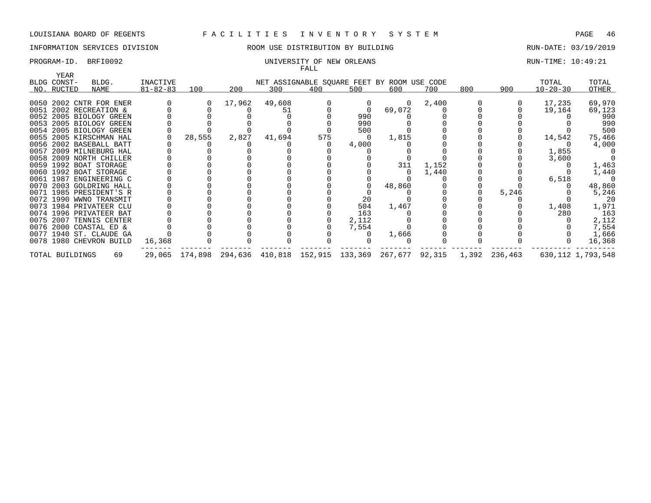## INFORMATION SERVICES DIVISION 88 ROOM USE DISTRIBUTION BY BUILDING 88 RUN-DATE: 03/19/2019

### PROGRAM-ID. BRFI0092 **EXAM-ID.** BRFI0092 UNIVERSITY OF NEW ORLEANS FALL

| YEAR            |                         |                |        |        |        | r uma |       |                                                                             |       |     |       |                |                      |
|-----------------|-------------------------|----------------|--------|--------|--------|-------|-------|-----------------------------------------------------------------------------|-------|-----|-------|----------------|----------------------|
| BLDG CONST-     | BLDG.                   | INACTIVE       |        |        |        |       |       | NET ASSIGNABLE SQUARE FEET BY ROOM USE CODE                                 |       |     |       | TOTAL          | TOTAL                |
| NO. RUCTED      | NAME                    | $81 - 82 - 83$ | 100    | 200    | 300    | 400   | 500   | 600                                                                         | 700   | 800 | 900   | $10 - 20 - 30$ | OTHER                |
|                 |                         |                |        |        |        |       |       |                                                                             |       |     |       |                |                      |
|                 | 0050 2002 CNTR FOR ENER |                |        | 17,962 | 49,608 |       |       | $\Omega$                                                                    | 2,400 |     |       | 17,235         | 69,970               |
|                 | 0051 2002 RECREATION &  |                |        |        | 51     |       |       | 69,072                                                                      |       |     |       | 19,164         | 69,123               |
|                 | 0052 2005 BIOLOGY GREEN |                |        |        |        |       | 990   |                                                                             |       |     |       |                | 990                  |
|                 | 0053 2005 BIOLOGY GREEN |                |        |        |        |       | 990   |                                                                             |       |     |       |                | 990                  |
|                 | 0054 2005 BIOLOGY GREEN |                |        |        |        |       | 500   |                                                                             |       |     |       |                | 500                  |
|                 | 0055 2005 KIRSCHMAN HAL |                | 28,555 | 2,827  | 41,694 | 575   |       | 1,815                                                                       |       |     |       | 14,542         | 75,466               |
|                 | 0056 2002 BASEBALL BATT |                |        |        |        |       | 4,000 |                                                                             |       |     |       |                | 4,000                |
|                 | 0057 2009 MILNEBURG HAL |                |        |        |        |       |       |                                                                             |       |     |       | 1,855          |                      |
|                 | 0058 2009 NORTH CHILLER |                |        |        |        |       |       |                                                                             |       |     |       | 3,600          |                      |
|                 | 0059 1992 BOAT STORAGE  |                |        |        |        |       |       | 311                                                                         | 1,152 |     |       |                | 1,463                |
|                 | 0060 1992 BOAT STORAGE  |                |        |        |        |       |       |                                                                             | 1,440 |     |       |                | 1,440                |
|                 | 0061 1987 ENGINEERING C |                |        |        |        |       |       |                                                                             |       |     |       | 6,518          |                      |
|                 | 0070 2003 GOLDRING HALL |                |        |        |        |       |       | 48,860                                                                      |       |     |       |                | 48,860               |
|                 | 0071 1985 PRESIDENT'S R |                |        |        |        |       |       |                                                                             |       |     | 5,246 |                | 5,246                |
|                 | 0072 1990 WWNO TRANSMIT |                |        |        |        |       | 20    |                                                                             |       |     |       |                | 20                   |
|                 | 0073 1984 PRIVATEER CLU |                |        |        |        |       | 504   | 1,467                                                                       |       |     |       | 1,408          | 1,971                |
|                 | 0074 1996 PRIVATEER BAT |                |        |        |        |       | 163   |                                                                             |       |     |       | 280            | 163                  |
|                 | 0075 2007 TENNIS CENTER |                |        |        |        |       | 2,112 |                                                                             |       |     |       |                | 2,112                |
|                 | 0076 2000 COASTAL ED &  |                |        |        |        |       | 7,554 |                                                                             |       |     |       |                | 7,554                |
|                 | 0077 1940 ST. CLAUDE GA |                |        |        |        |       |       | 1,666                                                                       |       |     |       |                | 1,666                |
|                 | 0078 1980 CHEVRON BUILD | 16,368         |        |        |        |       |       |                                                                             |       |     |       |                | 16,368               |
| TOTAL BUILDINGS | 69                      |                |        |        |        |       |       | 29,065 174,898 294,636 410,818 152,915 133,369 267,677 92,315 1,392 236,463 |       |     |       |                | 630, 112 1, 793, 548 |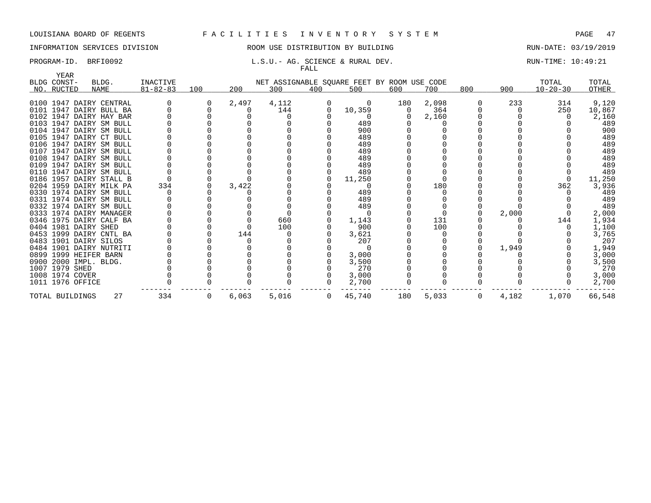# INFORMATION SERVICES DIVISION 88 ROOM USE DISTRIBUTION BY BUILDING 88 RUN-DATE: 03/19/2019

### PROGRAM-ID. BRFI0092 **L.S.U.- AG. SCIENCE & RURAL DEV.** RUN-TIME: 10:49:21 FALL

| YEAR<br>BLDG CONST-   | BLDG.                   | INACTIVE       |     |       |       |                | NET ASSIGNABLE SQUARE FEET BY ROOM USE CODE |     |       |     |       | TOTAL          | TOTAL  |
|-----------------------|-------------------------|----------------|-----|-------|-------|----------------|---------------------------------------------|-----|-------|-----|-------|----------------|--------|
| NO. RUCTED            | NAME                    | $81 - 82 - 83$ | 100 | 200   | 300   | 400            | 500                                         | 600 | 700   | 800 | 900   | $10 - 20 - 30$ | OTHER  |
|                       |                         |                |     |       |       |                |                                             |     |       |     |       |                |        |
|                       | 0100 1947 DAIRY CENTRAL |                |     | 2,497 | 4,112 |                | 0                                           | 180 | 2,098 |     | 233   | 314            | 9,120  |
|                       | 0101 1947 DAIRY BULL BA |                |     |       | 144   | 0              | 10,359                                      | 0   | 364   |     |       | 250            | 10,867 |
|                       | 0102 1947 DAIRY HAY BAR |                |     |       |       |                |                                             |     | 2,160 |     |       |                | 2,160  |
|                       | 0103 1947 DAIRY SM BULL |                |     |       |       |                | 489                                         |     |       |     |       |                | 489    |
|                       | 0104 1947 DAIRY SM BULL |                |     |       |       |                | 900                                         |     |       |     |       |                | 900    |
|                       | 0105 1947 DAIRY CT BULL |                |     |       |       |                | 489                                         |     |       |     |       |                | 489    |
|                       | 0106 1947 DAIRY SM BULL |                |     |       |       |                | 489                                         |     |       |     |       |                | 489    |
|                       | 0107 1947 DAIRY SM BULL |                |     |       |       |                | 489                                         |     |       |     |       |                | 489    |
|                       | 0108 1947 DAIRY SM BULL |                |     |       |       |                | 489                                         |     |       |     |       |                | 489    |
|                       | 0109 1947 DAIRY SM BULL |                |     |       |       |                | 489                                         |     |       |     |       |                | 489    |
|                       | 0110 1947 DAIRY SM BULL |                |     |       |       |                | 489                                         |     |       |     |       |                | 489    |
|                       | 0186 1957 DAIRY STALL B |                |     |       |       |                | 11,250                                      |     |       |     |       |                | 11,250 |
|                       | 0204 1959 DAIRY MILK PA | 334            |     | 3,422 |       |                |                                             |     | 180   |     |       | 362            | 3,936  |
|                       | 0330 1974 DAIRY SM BULL |                |     |       |       |                | 489                                         |     |       |     |       |                | 489    |
|                       | 0331 1974 DAIRY SM BULL |                |     |       |       |                | 489                                         |     |       |     |       |                | 489    |
|                       | 0332 1974 DAIRY SM BULL |                |     |       |       |                | 489                                         |     |       |     |       |                | 489    |
|                       | 0333 1974 DAIRY MANAGER |                |     |       |       |                |                                             |     |       |     | 2,000 |                | 2,000  |
|                       | 0346 1975 DAIRY CALF BA |                |     |       | 660   |                | 1,143                                       |     | 131   |     |       | 144            | 1,934  |
| 0404 1981 DAIRY SHED  |                         |                |     |       | 100   |                | 900                                         |     | 100   |     |       |                | 1,100  |
|                       | 0453 1999 DAIRY CNTL BA |                |     | 144   |       |                | 3,621                                       |     |       |     |       |                | 3,765  |
| 0483 1901 DAIRY SILOS |                         |                |     |       |       |                | 207                                         |     |       |     |       |                | 207    |
|                       | 0484 1901 DAIRY NUTRITI |                |     |       |       |                |                                             |     |       |     | 1,949 |                | 1,949  |
| 0899 1999 HEIFER BARN |                         |                |     |       |       |                | 3,000                                       |     |       |     |       |                | 3,000  |
| 0900 2000 IMPL. BLDG. |                         |                |     |       |       |                | 3,500                                       |     |       |     |       |                | 3,500  |
| 1007 1979 SHED        |                         |                |     |       |       |                | 270                                         |     |       |     |       |                | 270    |
| 1008 1974 COVER       |                         |                |     |       |       |                | 3,000                                       |     |       |     |       |                | 3,000  |
| 1011 1976 OFFICE      |                         |                |     |       |       |                | 2,700                                       |     |       |     |       |                | 2,700  |
| TOTAL BUILDINGS       | 27                      | 334            | 0   | 6,063 | 5,016 | $\overline{0}$ | 45,740                                      | 180 | 5,033 | 0   | 4,182 | 1,070          | 66,548 |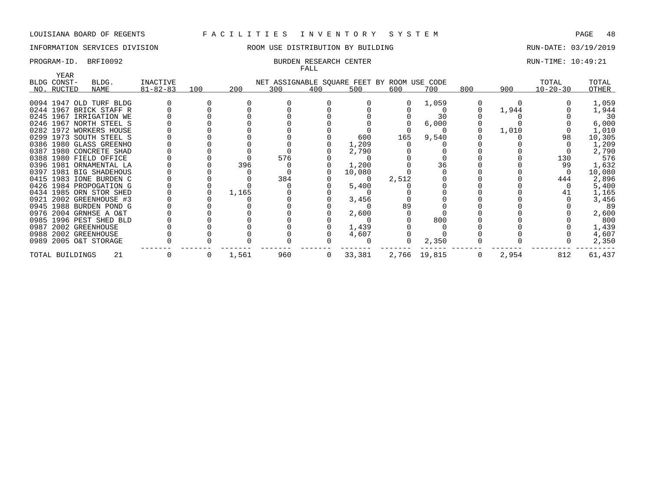# INFORMATION SERVICES DIVISION THE ROOM USE DISTRIBUTION BY BUILDING THE RUN-DATE: 03/19/2019

### PROGRAM-ID. BRFI0092 BURDEN RESEARCH CENTER BURDEN RESEARCH CENTER RUN-TIME: 10:49:21 FALL

| YEAR            |                         |                |     |       |                                             | 111111       |        |       |              |     |       |                |        |
|-----------------|-------------------------|----------------|-----|-------|---------------------------------------------|--------------|--------|-------|--------------|-----|-------|----------------|--------|
| BLDG CONST-     | BLDG.                   | INACTIVE       |     |       | NET ASSIGNABLE SQUARE FEET BY ROOM USE CODE |              |        |       |              |     |       | TOTAL          | TOTAL  |
| NO. RUCTED      | NAME                    | $81 - 82 - 83$ | 100 | 200   | 300                                         | 400          | 500    | 600   | 700          | 800 | 900   | $10 - 20 - 30$ | OTHER  |
|                 |                         |                |     |       |                                             |              |        |       |              |     |       |                |        |
|                 | 0094 1947 OLD TURF BLDG |                |     |       |                                             |              |        |       | 1,059        |     |       |                | 1,059  |
|                 | 0244 1967 BRICK STAFF R |                |     |       |                                             |              |        |       |              |     | 1,944 |                | 1,944  |
|                 | 0245 1967 IRRIGATION WE |                |     |       |                                             |              |        |       | 30           |     |       |                | 30     |
|                 | 0246 1967 NORTH STEEL S |                |     |       |                                             |              |        |       | 6,000        |     |       |                | 6,000  |
|                 | 0282 1972 WORKERS HOUSE |                |     |       |                                             |              |        |       |              |     | 1,010 |                | 1,010  |
|                 | 0299 1973 SOUTH STEEL S |                |     |       |                                             |              | 600    | 165   | 9,540        |     |       | 98             | 10,305 |
|                 | 0386 1980 GLASS GREENHO |                |     |       |                                             |              | 1,209  |       |              |     |       |                | 1,209  |
|                 | 0387 1980 CONCRETE SHAD |                |     |       |                                             |              | 2,790  |       |              |     |       |                | 2,790  |
|                 | 0388 1980 FIELD OFFICE  |                |     |       | 576                                         |              |        |       |              |     |       | 130            | 576    |
|                 | 0396 1981 ORNAMENTAL LA |                |     | 396   |                                             |              | 1,200  |       | 36           |     |       | 99             | 1,632  |
|                 | 0397 1981 BIG SHADEHOUS |                |     |       |                                             |              | 10,080 |       |              |     |       |                | 10,080 |
|                 | 0415 1983 IONE BURDEN C |                |     |       | 384                                         |              |        | 2,512 |              |     |       | 444            | 2,896  |
|                 | 0426 1984 PROPOGATION G |                |     |       |                                             |              | 5,400  |       |              |     |       |                | 5,400  |
|                 | 0434 1985 ORN STOR SHED |                |     | 1,165 |                                             |              |        |       |              |     |       |                | 1,165  |
|                 | 0921 2002 GREENHOUSE #3 |                |     |       |                                             |              | 3,456  |       |              |     |       |                | 3,456  |
|                 | 0945 1988 BURDEN POND G |                |     |       |                                             |              |        | 89    |              |     |       |                | 89     |
|                 | 0976 2004 GRNHSE A O&T  |                |     |       |                                             |              | 2,600  |       |              |     |       |                | 2,600  |
|                 | 0985 1996 PEST SHED BLD |                |     |       |                                             |              |        |       | 800          |     |       |                | 800    |
|                 | 0987 2002 GREENHOUSE    |                |     |       |                                             |              | 1,439  |       |              |     |       |                | 1,439  |
|                 | 0988 2002 GREENHOUSE    |                |     |       |                                             |              | 4,607  |       |              |     |       |                | 4,607  |
|                 | 0989 2005 O&T STORAGE   |                |     |       |                                             |              |        |       | 2,350        |     |       |                | 2,350  |
| TOTAL BUILDINGS | 21                      |                | 0   | 1,561 | 960                                         | $\mathbf{0}$ | 33,381 |       | 2,766 19,815 | 0   | 2,954 | 812            | 61,437 |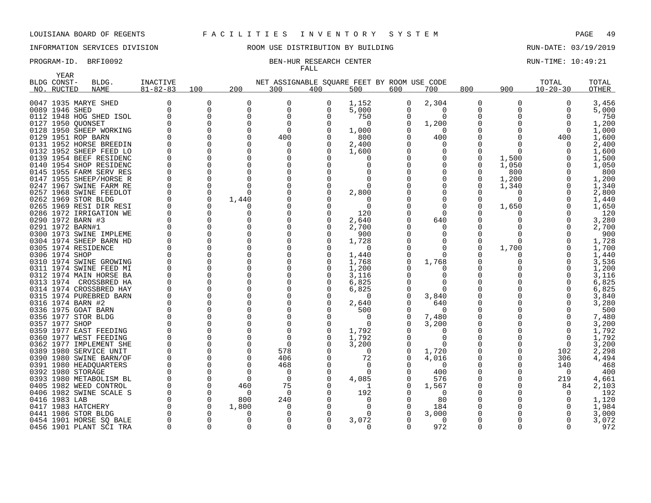YEAR

## INFORMATION SERVICES DIVISION ROOM USE DISTRIBUTION BY BUILDING RUN-DATE: 03/19/2019

# FALL

### PROGRAM-ID. BRFI0092 BEN-HUR RESEARCH CENTER RUN-TIME: 10:49:21

| حبجت +<br>BLDG CONST- | BLDG.                   | <b>INACTIVE</b> |             |          | NET ASSIGNABLE SOUARE FEET BY ROOM USE CODE |          |          |          |              |             |          | TOTAL          | TOTAL        |
|-----------------------|-------------------------|-----------------|-------------|----------|---------------------------------------------|----------|----------|----------|--------------|-------------|----------|----------------|--------------|
| NO. RUCTED            | NAME                    | $81 - 82 - 83$  | 100         | 200      | 300                                         | 400      | 500      | 600      | 700          | 800         | 900      | $10 - 20 - 30$ | <b>OTHER</b> |
|                       |                         |                 |             |          |                                             |          |          |          |              |             |          |                |              |
|                       | 0047 1935 MARYE SHED    | 0               | 0           | 0        | 0                                           | 0        | 1,152    | 0        | 2,304        | 0           | 0        | 0              | 3,456        |
| 0089 1946 SHED        |                         | 0               | $\mathbf 0$ | 0        | 0                                           | $\Omega$ | 5,000    | 0        | 0            | 0           |          | 0              | 5,000        |
|                       | 0112 1948 HOG SHED ISOL | 0               | $\mathbf 0$ | $\Omega$ | $\Omega$                                    |          | 750      | 0        | $\Omega$     | 0           | U        | $\Omega$       | 750          |
| 0127 1950 QUONSET     |                         | $\Omega$        | 0           | $\Omega$ | $\mathbf 0$                                 |          | 0        |          | 1,200        | 0           |          | $\mathbf 0$    | 1,200        |
|                       | 0128 1950 SHEEP WORKING | <sup>0</sup>    | $\Omega$    | $\Omega$ | $\Omega$                                    |          | 1,000    |          |              |             | N        | $\Omega$       | 1,000        |
| 0129 1951 ROP BARN    |                         | <sup>0</sup>    | $\Omega$    | $\Omega$ | 400                                         |          | 800      |          | 400          | $\Omega$    | O        | 400            | 1,600        |
|                       | 0131 1952 HORSE BREEDIN | <sup>0</sup>    | $\Omega$    | $\Omega$ | O                                           |          | 2,400    |          | O            | $\Omega$    |          | $\Omega$       | 2,400        |
|                       | 0132 1952 SHEEP FEED LO | $\Omega$        | $\Omega$    | $\Omega$ | <sup>0</sup>                                |          | 1,600    |          | $\Omega$     | 0           | O        | $\Omega$       | 1,600        |
|                       | 0139 1954 BEEF RESIDENC | <sup>0</sup>    | $\Omega$    | $\Omega$ | <sup>0</sup>                                |          | O        |          | <sup>0</sup> | 0           | 1,500    | $\Omega$       | 1,500        |
|                       | 0140 1954 SHOP RESIDENC | 0               | $\Omega$    | $\Omega$ | $\Omega$                                    |          | O        |          | $\Omega$     | 0           | 1,050    | $\Omega$       | 1,050        |
|                       | 0145 1955 FARM SERV RES | <sup>0</sup>    | $\Omega$    |          |                                             |          |          |          |              | 0           | 800      |                | 800          |
|                       | 0147 1955 SHEEP/HORSE R | 0               | $\Omega$    |          |                                             |          |          |          |              | 0           | 1,200    | $\Omega$       | 1,200        |
|                       | 0247 1967 SWINE FARM RE | $\Omega$        | $\Omega$    |          | $\Omega$                                    |          | $\Omega$ |          |              | 0           | 1,340    | $\Omega$       | 1,340        |
|                       | 0257 1968 SWINE FEEDLOT | $\Omega$        | $\Omega$    | $\Omega$ | $\Omega$                                    |          | 2,800    |          | $\Omega$     | O           | $\Omega$ | $\Omega$       | 2,800        |
| 0262 1969 STOR BLDG   |                         | 0               | 0           | 1,440    | 0                                           |          | 0        |          | $\Omega$     | 0           | 0        | 0              | 1,440        |
|                       | 0265 1969 RESI DIR RESI | 0               | $\Omega$    |          |                                             |          | 0        |          |              | $\Omega$    | 1,650    | $\Omega$       | 1,650        |
|                       | 0286 1972 IRRIGATION WE | 0               | $\Omega$    | $\Omega$ | 0                                           |          | 120      |          | $\Omega$     |             | 0        | $\Omega$       | 120          |
| 0290 1972 BARN #3     |                         | <sup>0</sup>    | $\Omega$    | $\Omega$ | $\Omega$                                    |          | 2,640    |          | 640          | $\Omega$    | O        | $\Omega$       | 3,280        |
| 0291 1972 BARN#1      |                         | $\Omega$        | $\Omega$    | $\Omega$ |                                             |          | 2,700    |          | <sup>0</sup> | $\Omega$    |          | $\Omega$       | 2,700        |
|                       | 0300 1973 SWINE IMPLEME | $\Omega$        | $\Omega$    | $\Omega$ | $\Omega$                                    |          | 900      |          | $\Omega$     | $\Omega$    | O        | $\Omega$       | 900          |
|                       |                         | 0               | 0           | $\Omega$ | $\Omega$                                    |          |          |          | $\Omega$     | 0           | O        |                | 1,728        |
|                       | 0304 1974 SHEEP BARN HD | <sup>0</sup>    | $\Omega$    | $\Omega$ |                                             |          | 1,728    |          |              |             |          |                |              |
| 0305 1974 RESIDENCE   |                         |                 |             |          | <sup>0</sup>                                |          | $\Omega$ |          | 0            | 0           | 1,700    | $\Omega$       | 1,700        |
| 0306 1974 SHOP        |                         | <sup>0</sup>    | $\Omega$    | $\Omega$ |                                             |          | 1,440    |          | n            |             | 0        | $\Omega$       | 1,440        |
|                       | 0310 1974 SWINE GROWING | <sup>0</sup>    | $\Omega$    | $\Omega$ |                                             |          | 1,768    |          | 1,768        | 0           | O        |                | 3,536        |
|                       | 0311 1974 SWINE FEED MI | $\Omega$        | $\Omega$    | $\Omega$ |                                             |          | 1,200    |          | $\left($     | O           |          | $\Omega$       | 1,200        |
|                       | 0312 1974 MAIN HORSE BA | <sup>0</sup>    | $\Omega$    | $\Omega$ |                                             |          | 3,116    |          | <sup>0</sup> | 0           |          | $\Omega$       | 3,116        |
|                       | 0313 1974 CROSSBRED HA  | <sup>0</sup>    | $\Omega$    |          | $\Omega$                                    |          | 6,825    |          | ∩            | $\Omega$    |          | $\Omega$       | 6,825        |
|                       | 0314 1974 CROSSBRED HAY | <sup>0</sup>    | $\Omega$    | $\Omega$ | $\Omega$                                    |          | 6,825    |          | $\Omega$     | 0           |          | $\Omega$       | 6,825        |
|                       | 0315 1974 PUREBRED BARN | <sup>0</sup>    | $\Omega$    | $\Omega$ |                                             |          | O        |          | 3,840        | 0           |          | $\Omega$       | 3,840        |
| 0316 1974 BARN #2     |                         | O               | $\Omega$    | $\Omega$ |                                             |          | 2,640    |          | 640          | 0           |          | $\Omega$       | 3,280        |
| 0336 1975 GOAT BARN   |                         | $\Omega$        | $\Omega$    | $\Omega$ | $\Omega$                                    |          | 500      |          | $\Omega$     | 0           |          | $\Omega$       | 500          |
| 0356 1977 STOR BLDG   |                         | $\Omega$        | $\Omega$    | $\Omega$ | $\Omega$                                    |          | 0        |          | 7,480        | 0           |          | 0              | 7,480        |
| 0357 1977 SHOP        |                         | $\Omega$        | $\Omega$    | $\Omega$ | $\Omega$                                    |          | 0        |          | 3,200        | 0           | N        | $\mathbf 0$    | 3,200        |
|                       | 0359 1977 EAST FEEDING  | $\Omega$        | 0           | $\Omega$ | $\Omega$                                    |          | 1,792    |          | 0            | $\mathbf 0$ |          | $\overline{0}$ | 1,792        |
|                       | 0360 1977 WEST FEEDING  | <sup>0</sup>    | 0           | $\Omega$ | 0                                           |          | 1,792    |          | $\Omega$     | 0           |          | $\Omega$       | 1,792        |
|                       | 0362 1977 IMPLEMENT SHE | 0               | $\Omega$    |          | $\Omega$                                    |          | 3,200    |          | $\Omega$     | 0           |          | $\mathbf 0$    | 3,200        |
|                       | 0389 1980 SERVICE UNIT  | <sup>0</sup>    | $\Omega$    |          | 578                                         |          | $\Omega$ |          | 1,720        |             | 0        | 102            | 2,298        |
|                       | 0390 1980 SWINE BARN/OF | <sup>0</sup>    | $\Omega$    |          | 406                                         |          | 72       |          | 4,016        | 0           | 0        | 306            | 4,494        |
|                       | 0391 1980 HEADQUARTERS  | $\Omega$        | $\Omega$    | $\Omega$ | 468                                         |          | 0        |          | $\Omega$     | 0           | 0        | 140            | 468          |
| 0392 1980 STORAGE     |                         |                 | $\Omega$    | ∩        | 0                                           |          | 0        |          | 400          | 0           | O        | $\Omega$       | 400          |
|                       | 0393 1980 METABOLISM BL | <sup>0</sup>    | $\Omega$    | $\Omega$ | 0                                           |          | 4,085    |          | 576          |             | O        | 219            | 4,661        |
|                       | 0405 1982 WEED CONTROL  | $\Omega$        | $\Omega$    | 460      | 75                                          |          |          |          | 1,567        | $\Omega$    | U        | 84             | 2,103        |
|                       | 0406 1982 SWINE SCALE S | $\Omega$        | $\Omega$    | $\Omega$ | $\Omega$                                    |          | 192      |          | $\Omega$     | $\Omega$    |          | $\Omega$       | 192          |
| 0416 1983 LAB         |                         | $\Omega$        | $\Omega$    | 800      | 240                                         |          | O        |          |              | $\Omega$    |          | $\Omega$       | 1,120        |
|                       |                         |                 |             |          |                                             |          |          |          | 80           |             |          |                |              |
| 0417 1983 HATCHERY    |                         | 0               | $\mathbf 0$ | 1,800    | 0                                           |          | 0        |          | 184          | 0           |          | 0              | 1,984        |
| 0441 1986 STOR BLDG   |                         | 0               | 0           | $\Omega$ | $\Omega$                                    |          | 0        |          | 3,000        | 0           |          |                | 3,000        |
|                       | 0454 1901 HORSE SQ BALE | 0               | 0           | $\Omega$ | $\Omega$                                    |          | 3,072    |          | $\Omega$     | O           |          | $\Omega$       | 3,072        |
|                       | 0456 1901 PLANT SCI TRA | $\Omega$        | $\Omega$    | $\Omega$ | $\Omega$                                    | 0        | $\Omega$ | $\Omega$ | 972          | $\Omega$    | 0        | $\Omega$       | 972          |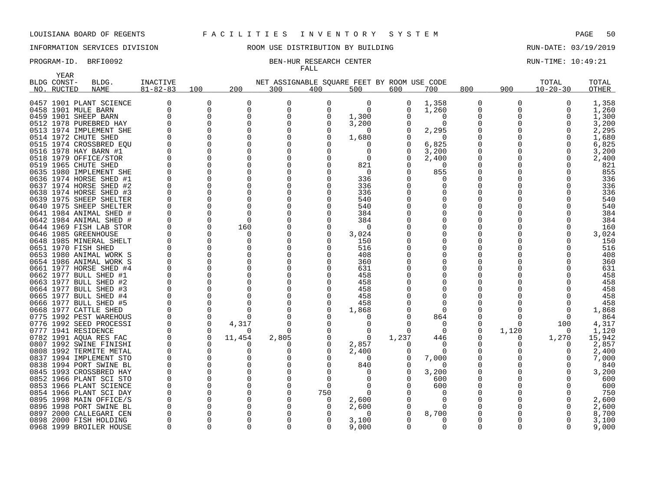# INFORMATION SERVICES DIVISION **ROOM USE DISTRIBUTION BY BUILDING RUN-DATE: 03/19/2019**

# FALL

### PROGRAM-ID. BRFI0092 BEN-HUR RESEARCH CENTER CONTER RUN-TIME: 10:49:21

|      | YEAR        |                                                |                   |                      |               |                  |              |                                             |               |                   |                          |          |                |                |
|------|-------------|------------------------------------------------|-------------------|----------------------|---------------|------------------|--------------|---------------------------------------------|---------------|-------------------|--------------------------|----------|----------------|----------------|
|      | BLDG CONST- | BLDG.                                          | <b>INACTIVE</b>   |                      |               |                  |              | NET ASSIGNABLE SQUARE FEET BY ROOM USE CODE |               |                   |                          |          | TOTAL          | TOTAL          |
|      | NO. RUCTED  | <b>NAME</b>                                    | $81 - 82 - 83$    | 100                  | 200           | 300              | 400          | 500                                         | 600           | 700               | 800                      | 900      | $10 - 20 - 30$ | OTHER          |
|      |             |                                                |                   |                      |               |                  |              |                                             |               |                   |                          |          |                |                |
|      |             | 0457 1901 PLANT SCIENCE                        | 0<br><sup>0</sup> | 0                    | 0<br>$\Omega$ | 0                | 0            | 0                                           | 0<br>$\Omega$ | 1,358             | 0                        | 0        | $\Omega$       | 1,358          |
|      |             | 0458 1901 MULE BARN                            | <sup>0</sup>      | 0                    | $\Omega$      | 0                | O            | $\Omega$                                    | 0             | 1,260             | $\Omega$<br>$\Omega$     | O        |                | 1,260          |
|      |             | 0459 1901 SHEEP BARN                           | <sup>0</sup>      | 0                    | ∩             | $\Omega$         |              | 1,300                                       |               | 0                 |                          |          |                | 1,300          |
|      |             | 0512 1978 PUREBRED HAY                         |                   | $\Omega$             |               | $\Omega$         |              | 3,200                                       |               | $\Omega$          | 0                        |          |                | 3,200          |
|      |             | 0513 1974 IMPLEMENT SHE                        | O<br>$\Omega$     | $\Omega$<br>$\Omega$ |               | <sup>0</sup>     |              | $\Omega$                                    | O             | 2,295<br>$\Omega$ | <sup>0</sup><br>$\Omega$ |          |                | 2,295          |
|      |             | 0514 1972 CHUTE SHED                           |                   |                      |               |                  |              | 1,680                                       |               |                   |                          |          |                | 1,680          |
|      |             | 0515 1974 CROSSBRED EQU                        | 0<br>$\Omega$     | 0<br>$\mathbf 0$     |               | 0<br>$\Omega$    |              | U<br>0                                      | 0<br>0        | 6,825             | 0<br>$\Omega$            |          |                | 6,825          |
|      |             | 0516 1978 HAY BARN #1<br>0518 1979 OFFICE/STOR | $\Omega$          | 0                    |               | $\Omega$         |              | $\Omega$                                    | 0             | 3,200             | 0                        |          |                | 3,200<br>2,400 |
|      |             | 0519 1965 CHUTE SHED                           | $\Omega$          | $\Omega$             |               | $\Omega$         |              | 821                                         | 0             | 2,400<br>$\Omega$ | $\Omega$                 |          |                | 821            |
|      |             | 0635 1980 IMPLEMENT SHE                        | $\Omega$          | $\Omega$             |               | 0                |              | 0                                           | 0             | 855               | 0                        |          |                | 855            |
|      |             | 0636 1974 HORSE SHED #1                        | ∩                 | $\Omega$             |               | <sup>0</sup>     |              | 336                                         |               |                   | <sup>0</sup>             |          |                | 336            |
|      |             | 0637 1974 HORSE SHED #2                        | $\Omega$          | $\Omega$             |               | O                |              | 336                                         |               | O                 | O                        |          |                | 336            |
|      |             | 0638 1974 HORSE SHED #3                        | $\Omega$          | $\Omega$             |               | <sup>0</sup>     |              | 336                                         |               | O                 | $\Omega$                 |          |                | 336            |
|      |             | 0639 1975 SHEEP SHELTER                        | 0                 | $\Omega$             |               | O                |              | 540                                         |               | O                 | <sup>0</sup>             |          |                | 540            |
|      |             | 0640 1975 SHEEP SHELTER                        | O                 | 0                    |               | $\Omega$         |              | 540                                         |               | 0                 | O                        |          |                | 540            |
|      |             | 0641 1984 ANIMAL SHED #                        | O                 | $\Omega$             |               |                  |              | 384                                         |               | U                 | O                        |          |                | 384            |
|      |             | 0642 1984 ANIMAL SHED #                        | 0                 | 0                    | ∩             | $\Omega$         |              | 384                                         |               | 0                 | 0                        |          |                | 384            |
|      |             | 0644 1969 FISH LAB STOR                        | 0                 | 0                    | 160           |                  |              | $\Omega$                                    |               |                   |                          |          |                | 160            |
|      |             | 0646 1985 GREENHOUSE                           | O                 | $\Omega$             | <sup>0</sup>  | 0                |              | 3,024                                       |               | O                 | <sup>0</sup>             |          |                | 3,024          |
|      |             | 0648 1985 MINERAL SHELT                        | $\Omega$          | $\Omega$             | n             | <sup>0</sup>     |              | 150                                         |               | 0                 | $\Omega$                 |          |                | 150            |
|      |             | 0651 1970 FISH SHED                            | 0                 | 0                    |               | $\Omega$         |              | 516                                         |               | 0                 | 0                        |          |                | 516            |
|      |             | 0653 1980 ANIMAL WORK S                        | $\Omega$          | $\Omega$             |               | $\Omega$         |              | 408                                         |               | O                 | <sup>0</sup>             |          |                | 408            |
|      |             | 0654 1986 ANIMAL WORK S                        | $\Omega$          | $\Omega$             |               | $\Omega$         |              | 360                                         |               | O                 | <sup>0</sup>             |          |                | 360            |
|      |             | 0661 1977 HORSE SHED #4                        | $\Omega$          | 0                    |               | $\Omega$         |              | 631                                         |               |                   | $\Omega$                 |          |                | 631            |
|      |             | 0662 1977 BULL SHED #1                         | 0                 | 0                    |               | O                |              | 458                                         |               |                   | <sup>0</sup>             |          |                | 458            |
|      |             | 0663 1977 BULL SHED #2                         | $\Omega$          | $\Omega$             |               | $\Omega$         |              | 458                                         |               | 0                 |                          |          |                | 458            |
|      |             | 0664 1977 BULL SHED #3                         | 0                 | $\Omega$             |               | O                |              | 458                                         |               | U                 | O                        |          |                | 458            |
|      |             | 0665 1977 BULL SHED #4                         | $\Omega$          | 0                    |               | 0                |              | 458                                         |               | $\Omega$          | $\Omega$                 |          |                | 458            |
|      |             | 0666 1977 BULL SHED #5                         | 0                 | $\Omega$             |               | O                |              | 458                                         |               | O                 | O                        |          |                | 458            |
|      |             | 0668 1977 CATTLE SHED                          | $\Omega$          | $\mathbf 0$          |               | $\Omega$         |              | 1,868                                       |               | $\Omega$          | O                        |          |                | 1,868          |
|      |             | 0775 1992 PEST WAREHOUS                        | 0                 | 0                    |               | <sup>0</sup>     |              | $\Omega$                                    |               | 864               | O                        |          |                | 864            |
|      |             | 0776 1992 SEED PROCESSI                        | $\Omega$          | 0                    | 4,317         | <sup>0</sup>     |              | 0                                           |               | $\Omega$          | 0                        |          | 100            | 4,317          |
|      |             | 0777 1941 RESIDENCE                            | ∩                 | 0                    | $\Omega$      | $\Omega$         |              | 0                                           | 0             | $\Omega$          | $\Omega$                 | 1,120    | $\Omega$       | 1,120          |
|      |             | 0782 1991 AQUA RES FAC                         | $\Omega$          | 0                    | 11,454        | 2,805            |              | $\Omega$                                    | 1,237         | 446               | O                        |          | 1,270          | 15,942         |
|      |             | 0807 1992 SWINE FINISHI                        | $\Omega$          | $\Omega$             |               | $\left( \right)$ |              | 2,857                                       | O             | $\Omega$          | $\Omega$                 |          |                | 2,857          |
|      |             | 0808 1992 TERMITE METAL                        | $\Omega$          | 0                    | O             | 0                |              | 2,400                                       |               | $\Omega$          | $\Omega$                 |          |                | 2,400          |
|      |             | 0837 1994 IMPLEMENT STO                        | 0                 | 0                    |               | 0                |              | 0                                           |               | 7,000             | $\Omega$                 |          |                | 7,000          |
|      |             | 0838 1994 PORT SWINE BL                        | 0                 | $\Omega$             |               | O                |              | 840                                         | O             | $\Omega$          | <sup>0</sup>             |          |                | 840            |
|      |             | 0845 1993 CROSSBRED HAY                        | $\Omega$          | $\Omega$             |               | O                |              | $\Omega$                                    | O             | 3,200             | $\Omega$                 |          |                | 3,200          |
|      |             | 0852 1966 PLANT SCI STO                        | 0                 | $\Omega$             |               | O                |              | $\Omega$                                    | Ω             | 600               | 0                        |          |                | 600            |
|      |             | 0853 1966 PLANT SCIENCE                        | O                 | $\Omega$             |               | O                | <sup>0</sup> | 0                                           |               | 600               | 0                        |          |                | 600            |
|      |             | 0854 1966 PLANT SCI DAY                        | $\Omega$          | $\Omega$             |               | $\Omega$         | 750          | $\Omega$                                    |               | $\Omega$          | O                        |          |                | 750            |
|      |             | 0895 1998 MAIN OFFICE/S                        | $\Omega$          | 0                    |               | O                |              | 2,600                                       |               | $\Omega$          | $\Omega$                 |          |                | 2,600          |
| 0896 |             | 1998 PORT SWINE BL                             | 0                 | 0                    |               | 0                |              | 2,600                                       | 0             | $\Omega$          | 0                        |          |                | 2,600          |
|      |             | 0897 2000 CALLEGARI CEN                        | O                 | $\Omega$             |               | O                |              | $\Omega$                                    |               | 8,700             | 0                        |          |                | 8,700          |
|      |             | 0898 2000 FISH HOLDING                         | O                 | $\Omega$             |               | <sup>0</sup>     |              | 3,100                                       |               | $\Omega$          | <sup>0</sup>             |          |                | 3,100          |
|      |             | 0968 1999 BROILER HOUSE                        | $\Omega$          | 0                    | $\Omega$      | $\Omega$         |              | 9,000                                       | 0             | 0                 | $\Omega$                 | $\Omega$ |                | 9,000          |

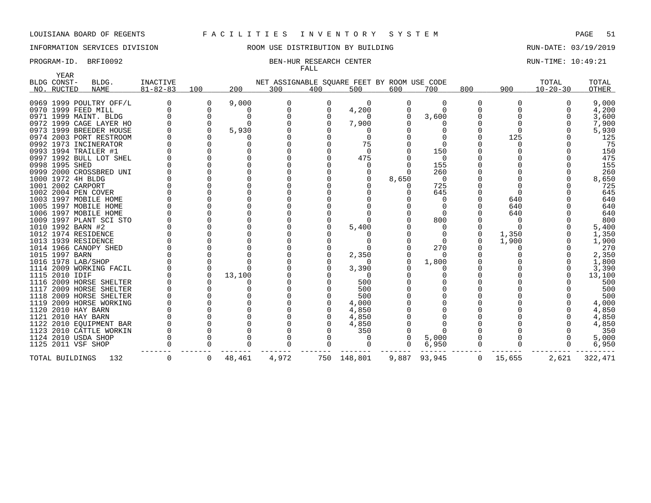### INFORMATION SERVICES DIVISION ROOM USE DISTRIBUTION BY BUILDING RUN-DATE: 03/19/2019

### PROGRAM-ID. BRFI0092 BEN-HUR RESEARCH CENTER RUN-TIME: 10:49:21 FALL

| <b>YEAR</b>    |                         |                |     |        |                                             |     |       |       |       |     |       |                |        |
|----------------|-------------------------|----------------|-----|--------|---------------------------------------------|-----|-------|-------|-------|-----|-------|----------------|--------|
| BLDG CONST-    | BLDG.                   | INACTIVE       |     |        | NET ASSIGNABLE SQUARE FEET BY ROOM USE CODE |     |       |       |       |     |       | TOTAL          | TOTAL  |
| NO. RUCTED     | NAME                    | $81 - 82 - 83$ | 100 | 200    | 300                                         | 400 | 500   | 600   | 700   | 800 | 900   | $10 - 20 - 30$ | OTHER  |
|                | 0969 1999 POULTRY OFF/L |                | 0   | 9,000  |                                             |     | 0     |       |       |     |       |                | 9,000  |
|                | 0970 1999 FEED MILL     |                |     |        |                                             |     | 4,200 |       |       |     |       |                | 4,200  |
|                | 0971 1999 MAINT. BLDG   |                |     |        |                                             |     |       |       | 3,600 |     |       |                | 3,600  |
|                | 0972 1999 CAGE LAYER HO |                |     |        |                                             |     | 7,900 |       |       |     |       |                | 7,900  |
|                | 0973 1999 BREEDER HOUSE |                |     | 5,930  |                                             |     |       |       |       |     |       |                | 5,930  |
|                | 0974 2003 PORT RESTROOM |                |     |        |                                             |     |       |       |       |     | 125   |                | 125    |
|                | 0992 1973 INCINERATOR   |                |     |        |                                             |     |       |       |       |     |       |                | 75     |
|                | 0993 1994 TRAILER #1    |                |     |        |                                             |     |       |       | 150   |     |       |                | 150    |
|                | 0997 1992 BULL LOT SHEL |                |     |        |                                             |     | 475   |       |       |     |       |                | 475    |
| 0998 1995 SHED |                         |                |     |        |                                             |     |       |       | 155   |     |       |                | 155    |
|                | 0999 2000 CROSSBRED UNI |                |     |        |                                             |     |       |       | 260   |     |       |                | 260    |
|                | 1000 1972 4H BLDG       |                |     |        |                                             |     |       | 8,650 |       |     |       |                | 8,650  |
|                | 1001 2002 CARPORT       |                |     |        |                                             |     |       |       | 725   |     |       |                | 725    |
|                | 1002 2004 PEN COVER     |                |     |        |                                             |     |       |       | 645   |     |       |                | 645    |
|                | 1003 1997 MOBILE HOME   |                |     |        |                                             |     |       |       |       |     | 640   |                | 640    |
|                | 1005 1997 MOBILE HOME   |                |     |        |                                             |     |       |       |       |     | 640   |                | 640    |
|                | 1006 1997 MOBILE HOME   |                |     |        |                                             |     |       |       |       |     | 640   |                | 640    |
|                | 1009 1997 PLANT SCI STO |                |     |        |                                             |     |       |       | 800   |     |       |                | 800    |
|                | 1010 1992 BARN #2       |                |     |        |                                             |     | 5,400 |       |       |     |       |                | 5,400  |
|                | 1012 1974 RESIDENCE     |                |     |        |                                             |     |       |       |       |     | 1,350 |                | 1,350  |
|                | 1013 1939 RESIDENCE     |                |     |        |                                             |     |       |       |       |     | 1,900 |                | 1,900  |
|                | 1014 1966 CANOPY SHED   |                |     |        |                                             |     |       |       | 270   |     |       |                | 270    |
| 1015 1997 BARN |                         |                |     |        |                                             |     | 2,350 |       |       |     |       |                | 2,350  |
|                | 1016 1978 LAB/SHOP      |                |     |        |                                             |     |       |       | 1,800 |     |       |                | 1,800  |
|                | 1114 2009 WORKING FACIL |                |     |        |                                             |     | 3,390 |       |       |     |       |                | 3,390  |
| 1115 2010 IDIF |                         |                |     | 13,100 |                                             |     |       |       |       |     |       |                | 13,100 |
|                | 1116 2009 HORSE SHELTER |                |     |        |                                             |     | 500   |       |       |     |       |                | 500    |
|                | 1117 2009 HORSE SHELTER |                |     |        |                                             |     | 500   |       |       |     |       |                | 500    |
|                | 1118 2009 HORSE SHELTER |                |     |        |                                             |     | 500   |       |       |     |       |                | 500    |

 2009 HORSE WORKING 0 0 0 0 0 4,000 0 0 0 0 0 4,000 2010 HAY BARN 0 0 0 0 0 4,850 0 0 0 0 0 4,850 2010 HAY BARN 0 0 0 0 0 4,850 0 0 0 0 0 4,850 2010 EQUIPMENT BAR 0 0 0 0 0 4,850 0 0 0 0 0 4,850 2010 CATTLE WORKIN 0 0 0 0 0 350 0 0 0 0 0 350 2010 USDA SHOP 0 0 0 0 0 0 0 5,000 0 0 0 5,000 2011 VSF SHOP 0 0 0 0 0 0 0 6,950 0 0 0 6,950

TOTAL BUILDINGS 132 0 0 48,461 4,972 750 148,801 9,887 93,945 0 15,655 2,621 322,471

------- ------- ------- ------- ------- ------- ------- ------ ------- ------- --------- ---------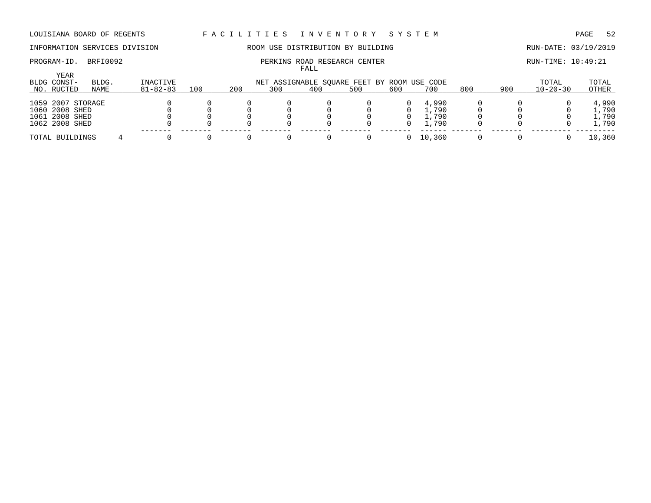# INFORMATION SERVICES DIVISION ROOM USE DISTRIBUTION BY BUILDING RUN-DATE: 03/19/2019

### PROGRAM-ID. BRFI0092 **PERKINS ROAD RESEARCH CENTER PERKINS ROAD RESEARCH CENTER** RUN-TIME: 10:49:21 FALL

|                                                                         |       |                |     |     |     | ----- |                                             |     |                                  |     |     |                |                                  |
|-------------------------------------------------------------------------|-------|----------------|-----|-----|-----|-------|---------------------------------------------|-----|----------------------------------|-----|-----|----------------|----------------------------------|
| YEAR<br>BLDG CONST-                                                     | BLDG. | INACTIVE       |     |     |     |       | NET ASSIGNABLE SQUARE FEET BY ROOM USE CODE |     |                                  |     |     | TOTAL          | TOTAL                            |
| NO. RUCTED                                                              | NAME  | $81 - 82 - 83$ | 100 | 200 | 300 | 400   | 500                                         | 600 | 700                              | 800 | 900 | $10 - 20 - 30$ | OTHER                            |
| 1059 2007 STORAGE<br>1060 2008 SHED<br>1061 2008 SHED<br>1062 2008 SHED |       |                |     |     |     |       |                                             | 0   | 4,990<br>l,790<br>L.790<br>1,790 |     |     |                | 4,990<br>1,790<br>l,790<br>1,790 |
| TOTAL BUILDINGS                                                         |       |                |     |     |     |       |                                             |     | 10,360                           |     |     |                | 10,360                           |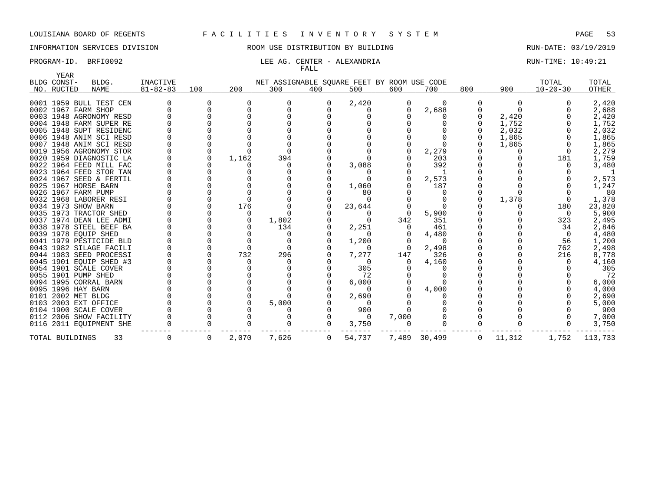# INFORMATION SERVICES DIVISION ROOM USE DISTRIBUTION BY BUILDING RUN-DATE: 03/19/2019

### PROGRAM-ID. BRFI0092 **RUN-TIME:** 10:49:21 FALL

| YEAR<br>BLDG CONST- | BLDG.                   | INACTIVE       |     |       |              |     | NET ASSIGNABLE SQUARE FEET BY ROOM USE CODE |          |              |          |          | TOTAL          | TOTAL   |
|---------------------|-------------------------|----------------|-----|-------|--------------|-----|---------------------------------------------|----------|--------------|----------|----------|----------------|---------|
| NO. RUCTED          | NAME                    | $81 - 82 - 83$ | 100 | 200   | 300          | 400 | 500                                         | 600      | 700          | 800      | 900      | $10 - 20 - 30$ | OTHER   |
|                     | 0001 1959 BULL TEST CEN |                | 0   |       |              | 0   | 2,420                                       | 0        | $\Omega$     | $\Omega$ | $\Omega$ |                | 2,420   |
|                     | 0002 1967 FARM SHOP     |                |     |       |              |     |                                             | 0        | 2,688        |          |          |                | 2,688   |
|                     | 0003 1948 AGRONOMY RESD |                |     |       |              |     |                                             |          |              |          | 2,420    |                | 2,420   |
|                     | 0004 1948 FARM SUPER RE |                |     |       |              |     |                                             |          |              |          | 1,752    |                | 1,752   |
|                     | 0005 1948 SUPT RESIDENC |                |     |       |              |     |                                             |          |              |          | 2,032    |                | 2,032   |
|                     | 0006 1948 ANIM SCI RESD |                |     |       |              |     |                                             |          |              |          | 1,865    |                | 1,865   |
|                     | 0007 1948 ANIM SCI RESD |                |     |       |              |     |                                             |          |              |          | 1,865    |                | 1,865   |
|                     | 0019 1956 AGRONOMY STOR |                |     |       |              |     |                                             |          | 2,279        |          |          |                | 2,279   |
|                     | 0020 1959 DIAGNOSTIC LA |                |     | 1,162 | 394          |     |                                             |          | 203          |          |          | 181            | 1,759   |
|                     | 0022 1964 FEED MILL FAC |                |     |       |              |     | 3,088                                       |          | 392          |          |          |                | 3,480   |
|                     | 0023 1964 FEED STOR TAN |                |     |       |              |     |                                             |          |              |          |          |                |         |
|                     | 0024 1967 SEED & FERTIL |                |     |       |              |     |                                             |          | 2,573        |          |          |                | 2,573   |
|                     | 0025 1967 HORSE BARN    |                |     |       |              |     | 1,060                                       |          | 187          |          |          |                | 1,247   |
|                     | 0026 1967 FARM PUMP     |                |     |       |              |     | 80                                          |          |              |          |          |                | 80      |
|                     | 0032 1968 LABORER RESI  |                |     |       |              |     | $\Omega$                                    |          |              |          | 1,378    |                | 1,378   |
|                     | 0034 1973 SHOW BARN     |                |     | 176   |              |     | 23,644                                      |          | $\Omega$     |          |          | 180            | 23,820  |
|                     | 0035 1973 TRACTOR SHED  |                |     | 0     |              |     | $\Omega$                                    | $\Omega$ | 5,900        |          |          | $\Omega$       | 5,900   |
|                     | 0037 1974 DEAN LEE ADMI |                |     |       | 1,802        |     |                                             | 342      | 351          |          |          | 323            | 2,495   |
|                     | 0038 1978 STEEL BEEF BA |                |     |       | 134          |     | 2,251                                       |          | 461          |          |          | 34             | 2,846   |
|                     | 0039 1978 EQUIP SHED    |                |     |       |              |     |                                             |          | 4,480        |          |          | $\Omega$       | 4,480   |
|                     | 0041 1979 PESTICIDE BLD |                |     |       |              |     | 1,200                                       |          | $\Omega$     |          |          | 56             | 1,200   |
|                     | 0043 1982 SILAGE FACILI |                |     |       | <sup>0</sup> |     |                                             | $\Omega$ | 2,498        |          |          | 762            | 2,498   |
|                     | 0044 1983 SEED PROCESSI |                |     | 732   | 296          |     | 7,277                                       | 147      | 326          |          |          | 216            | 8,778   |
|                     | 0045 1901 EQUIP SHED #3 |                |     |       |              |     | $\Omega$                                    | $\Omega$ | 4,160        |          |          |                | 4,160   |
|                     | 0054 1901 SCALE COVER   |                |     |       |              |     | 305                                         |          |              |          |          |                | 305     |
|                     | 0055 1901 PUMP SHED     |                |     |       |              |     | 72                                          |          |              |          |          |                | 72      |
|                     | 0094 1995 CORRAL BARN   |                |     |       |              |     | 6,000                                       |          |              |          |          |                | 6,000   |
| 0095 1996 HAY BARN  |                         |                |     |       |              |     | $\Omega$                                    |          | 4,000        |          |          |                | 4,000   |
| 0101 2002 MET BLDG  |                         |                |     |       |              |     | 2,690                                       |          |              |          |          |                | 2,690   |
|                     | 0103 2003 EXT OFFICE    |                |     |       | 5,000        |     |                                             |          |              |          |          |                | 5,000   |
|                     | 0104 1900 SCALE COVER   |                |     |       |              |     | 900                                         |          |              |          |          |                | 900     |
|                     | 0112 2006 SHOW FACILITY |                |     |       |              |     | $\Omega$                                    | 7,000    |              |          |          |                | 7,000   |
|                     | 0116 2011 EQUIPMENT SHE |                |     |       |              | 0   | 3,750                                       | 0        | <sup>n</sup> |          |          | 0              | 3,750   |
| TOTAL BUILDINGS     | 33                      |                | 0   | 2,070 | 7,626        | 0   | 54,737                                      |          | 7,489 30,499 | 0        | 11,312   | 1,752          | 113,733 |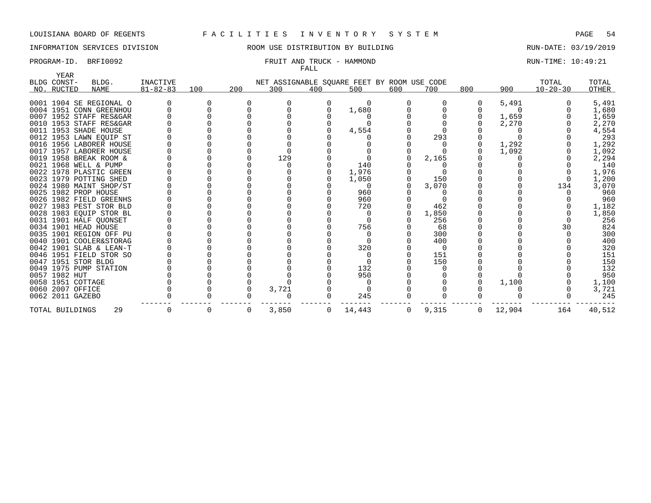# INFORMATION SERVICES DIVISION COOM OSE DISTRIBUTION BY BUILDING CONTROLLER RUN-DATE: 03/19/2019

### PROGRAM-ID. BRFI0092 **FRUIT AND TRUCK - HAMMOND** RUN-TIME: 10:49:21 FALL

| YEAR             |                         |                |     |     |       |              |                                             |     |       |     |        |                |        |
|------------------|-------------------------|----------------|-----|-----|-------|--------------|---------------------------------------------|-----|-------|-----|--------|----------------|--------|
| BLDG CONST-      | BLDG.                   | INACTIVE       |     |     |       |              | NET ASSIGNABLE SQUARE FEET BY ROOM USE CODE |     |       |     |        | TOTAL          | TOTAL  |
| NO. RUCTED       | <b>NAME</b>             | $81 - 82 - 83$ | 100 | 200 | 300   | 400          | 500                                         | 600 | 700   | 800 | 900    | $10 - 20 - 30$ | OTHER  |
|                  | 0001 1904 SE REGIONAL O |                |     |     |       |              |                                             |     |       |     | 5,491  |                | 5,491  |
|                  | 0004 1951 CONN GREENHOU |                |     |     |       |              | 1,680                                       |     |       |     |        |                | 1,680  |
|                  | 0007 1952 STAFF RES&GAR |                |     |     |       |              |                                             |     |       |     | 1,659  |                | 1,659  |
|                  | 0010 1953 STAFF RES&GAR |                |     |     |       |              |                                             |     |       |     | 2,270  |                | 2,270  |
|                  | 0011 1953 SHADE HOUSE   |                |     |     |       |              | 4,554                                       |     |       |     |        |                | 4,554  |
|                  | 0012 1953 LAWN EQUIP ST |                |     |     |       |              |                                             |     | 293   |     |        |                | 293    |
|                  | 0016 1956 LABORER HOUSE |                |     |     |       |              |                                             |     |       |     | 1,292  |                | 1,292  |
|                  | 0017 1957 LABORER HOUSE |                |     |     |       |              |                                             |     |       |     | 1,092  |                | 1,092  |
|                  | 0019 1958 BREAK ROOM &  |                |     |     | 129   |              |                                             |     | 2,165 |     |        |                | 2,294  |
|                  | 0021 1968 WELL & PUMP   |                |     |     |       |              | 140                                         |     |       |     |        |                | 140    |
|                  | 0022 1978 PLASTIC GREEN |                |     |     |       |              | 1,976                                       |     |       |     |        |                | 1,976  |
|                  | 0023 1979 POTTING SHED  |                |     |     |       |              | 1,050                                       |     | 150   |     |        |                | 1,200  |
|                  | 0024 1980 MAINT SHOP/ST |                |     |     |       |              |                                             |     | 3,070 |     |        | 134            | 3,070  |
|                  | 0025 1982 PROP HOUSE    |                |     |     |       |              | 960                                         |     |       |     |        |                | 960    |
|                  | 0026 1982 FIELD GREENHS |                |     |     |       |              | 960                                         |     |       |     |        |                | 960    |
|                  | 0027 1983 PEST STOR BLD |                |     |     |       |              | 720                                         |     | 462   |     |        |                | 1,182  |
|                  | 0028 1983 EQUIP STOR BL |                |     |     |       |              |                                             |     | 1,850 |     |        |                | 1,850  |
|                  | 0031 1901 HALF QUONSET  |                |     |     |       |              |                                             |     | 256   |     |        |                | 256    |
|                  | 0034 1901 HEAD HOUSE    |                |     |     |       |              | 756                                         |     | 68    |     |        | 30             | 824    |
|                  | 0035 1901 REGION OFF PU |                |     |     |       |              |                                             |     | 300   |     |        |                | 300    |
|                  | 0040 1901 COOLER&STORAG |                |     |     |       |              |                                             |     | 400   |     |        |                | 400    |
|                  | 0042 1901 SLAB & LEAN-T |                |     |     |       |              | 320                                         |     | - 0   |     |        |                | 320    |
|                  | 0046 1951 FIELD STOR SO |                |     |     |       |              |                                             |     | 151   |     |        |                | 151    |
|                  | 0047 1951 STOR BLDG     |                |     |     |       |              |                                             |     | 150   |     |        |                | 150    |
|                  | 0049 1975 PUMP STATION  |                |     |     |       |              | 132                                         |     |       |     |        |                | 132    |
| 0057 1982 HUT    |                         |                |     |     |       |              | 950                                         |     |       |     |        |                | 950    |
|                  | 0058 1951 COTTAGE       |                |     |     |       |              |                                             |     |       |     | 1,100  |                | 1,100  |
| 0060 2007 OFFICE |                         |                |     |     | 3,721 |              |                                             |     |       |     |        |                | 3,721  |
| 0062 2011 GAZEBO |                         |                |     |     |       |              | 245                                         |     |       |     |        |                | 245    |
| TOTAL BUILDINGS  | 29                      |                | 0   | 0   | 3,850 | $\mathbf{0}$ | 14,443                                      | 0   | 9,315 | 0   | 12,904 | 164            | 40,512 |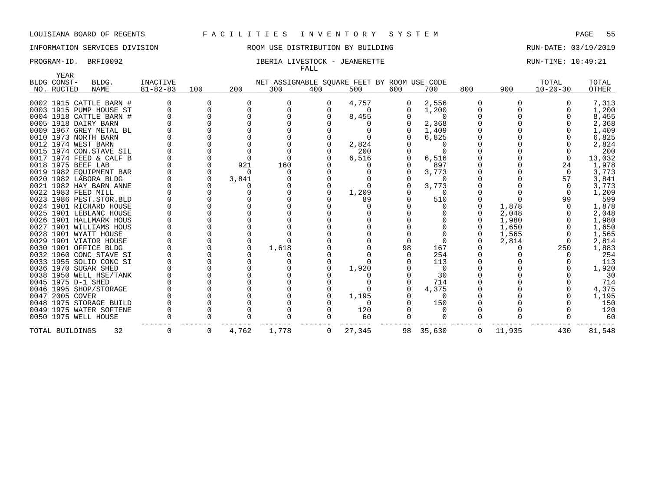INFORMATION SERVICES DIVISION ROOM USE DISTRIBUTION BY BUILDING RUN-DATE: 03/19/2019

### PROGRAM-ID. BRFI0092 **IBERIA LIVESTOCK - JEANERETTE** RUN-TIME: 10:49:21 FALL

| <b>YEAR</b>               |                                                |                                   |             |       |                                                    |     |          |          |                  |          |        |                         |                |
|---------------------------|------------------------------------------------|-----------------------------------|-------------|-------|----------------------------------------------------|-----|----------|----------|------------------|----------|--------|-------------------------|----------------|
| BLDG CONST-<br>NO. RUCTED | BLDG.<br><b>NAME</b>                           | <b>INACTIVE</b><br>$81 - 82 - 83$ | 100         | 200   | NET ASSIGNABLE SQUARE FEET BY ROOM USE CODE<br>300 | 400 | 500      | 600      | 700              | 800      | 900    | TOTAL<br>$10 - 20 - 30$ | TOTAL<br>OTHER |
|                           |                                                |                                   |             |       |                                                    |     |          |          |                  |          |        |                         |                |
|                           | 0002 1915 CATTLE BARN #                        |                                   |             |       | O                                                  |     | 4,757    |          | 2,556            |          |        |                         | 7,313          |
|                           | 0003 1915 PUMP HOUSE ST                        |                                   | $\Omega$    |       |                                                    |     | $\Omega$ | $\Omega$ | 1,200            |          |        |                         | 1,200          |
|                           | 0004 1918 CATTLE BARN #                        |                                   |             |       |                                                    |     | 8,455    |          | - 0              |          |        |                         | 8,455          |
|                           | 0005 1918 DAIRY BARN                           |                                   |             |       |                                                    |     |          |          | 2,368            |          |        |                         | 2,368          |
|                           | 0009 1967 GREY METAL BL                        |                                   |             |       |                                                    |     |          |          | 1,409            |          |        |                         | 1,409          |
|                           | 0010 1973 NORTH BARN                           |                                   |             |       |                                                    |     |          |          | 6,825            |          |        |                         | 6,825          |
|                           | 0012 1974 WEST BARN<br>0015 1974 CON.STAVE SIL |                                   |             |       |                                                    |     | 2,824    |          |                  |          |        |                         | 2,824          |
|                           | 0017 1974 FEED & CALF B                        |                                   |             |       |                                                    |     | 200      |          |                  |          |        |                         | 200            |
|                           | 0018 1975 BEEF LAB                             |                                   | $\mathbf 0$ | 921   | 160                                                |     | 6,516    | 0        | 6,516<br>897     |          |        | $\Omega$<br>24          | 13,032         |
|                           | 0019 1982 EOUIPMENT BAR                        |                                   | 0           |       |                                                    |     |          |          | 3,773            |          |        | $\Omega$                | 1,978<br>3,773 |
|                           | 0020 1982 LABORA BLDG                          |                                   | 0           | 3,841 |                                                    |     |          |          | $\Omega$         |          |        | 57                      | 3,841          |
|                           | 0021 1982 HAY BARN ANNE                        |                                   |             |       |                                                    |     |          |          | 3,773            |          |        |                         | 3,773          |
|                           | 0022 1983 FEED MILL                            |                                   |             |       |                                                    |     | 1,209    |          | $\Omega$         |          |        |                         | 1,209          |
|                           | 0023 1986 PEST. STOR. BLD                      |                                   |             |       |                                                    |     | 89       |          | 510              |          |        | 99                      | 599            |
|                           | 0024 1901 RICHARD HOUSE                        |                                   |             |       |                                                    |     |          |          |                  |          | 1,878  |                         | 1,878          |
|                           | 0025 1901 LEBLANC HOUSE                        |                                   |             |       |                                                    |     |          |          |                  |          | 2,048  |                         | 2,048          |
|                           | 0026 1901 HALLMARK HOUS                        |                                   |             |       |                                                    |     |          |          |                  | $\Omega$ | 1,980  |                         | 1,980          |
|                           | 0027 1901 WILLIAMS HOUS                        |                                   |             |       |                                                    |     |          |          |                  | $\Omega$ | 1,650  |                         | 1,650          |
|                           | 0028 1901 WYATT HOUSE                          |                                   |             |       |                                                    |     |          |          |                  | $\Omega$ | 1,565  |                         | 1,565          |
|                           | 0029 1901 VIATOR HOUSE                         |                                   |             |       |                                                    |     |          |          |                  |          | 2,814  | 0                       | 2,814          |
|                           | 0030 1901 OFFICE BLDG                          |                                   |             |       | 1,618                                              |     |          | 98       | 167              |          |        | 250                     | 1,883          |
|                           | 0032 1960 CONC STAVE SI                        |                                   |             |       |                                                    |     |          |          | 254              |          |        |                         | 254            |
|                           | 0033 1955 SOLID CONC SI                        |                                   |             |       |                                                    |     |          |          | 113              |          |        |                         | 113            |
|                           | 0036 1970 SUGAR SHED                           |                                   |             |       |                                                    |     | 1,920    |          | $\Omega$         |          |        |                         | 1,920          |
|                           | 0038 1950 WELL HSE/TANK                        |                                   |             |       |                                                    |     |          |          | 30               |          |        |                         | 30             |
|                           | 0045 1975 D-1 SHED                             |                                   |             |       |                                                    |     |          |          | 714              |          |        |                         | 714            |
|                           | 0046 1995 SHOP/STORAGE                         |                                   |             |       |                                                    |     |          |          | 4,375            |          |        |                         | 4,375          |
| 0047 2005 COVER           |                                                |                                   |             |       |                                                    |     | 1,195    |          | - 0              |          |        |                         | 1,195          |
|                           | 0048 1975 STORAGE BUILD                        |                                   |             |       |                                                    |     |          |          | 150              |          |        |                         | 150            |
|                           | 0049 1975 WATER SOFTENE                        |                                   |             |       |                                                    |     | 120      |          | $\left( \right)$ |          |        |                         | 120            |
|                           | 0050 1975 WELL HOUSE                           |                                   |             |       |                                                    |     | 60       |          |                  |          |        |                         | 60             |
| TOTAL BUILDINGS           | 32                                             | 0                                 | 0           | 4,762 | 1,778                                              | 0   | 27,345   |          | 98 35,630        | 0        | 11,935 | 430                     | 81,548         |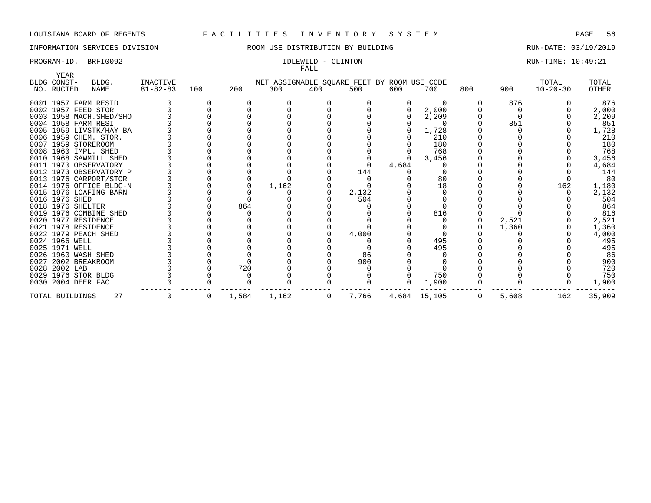## INFORMATION SERVICES DIVISION **RECOMEN** ROOM USE DISTRIBUTION BY BUILDING **RUN-DATE: 03/19/2019**

# FALL

PROGRAM-ID. BRFI0092 **IDLEWILD - CLINTON IDLEWILD - CLINTON** RUN-TIME: 10:49:21

| YEAR<br>BLDG CONST- | BLDG.                    | INACTIVE       |     |       |                                                    |              |       |       |              |     |       | TOTAL          | TOTAL  |
|---------------------|--------------------------|----------------|-----|-------|----------------------------------------------------|--------------|-------|-------|--------------|-----|-------|----------------|--------|
| NO. RUCTED          | <b>NAME</b>              | $81 - 82 - 83$ | 100 | 200   | NET ASSIGNABLE SQUARE FEET BY ROOM USE CODE<br>300 | 400          | 500   | 600   | 700          | 800 | 900   | $10 - 20 - 30$ | OTHER  |
|                     |                          |                |     |       |                                                    |              |       |       |              |     |       |                |        |
|                     | 0001 1957 FARM RESID     |                |     |       |                                                    |              |       |       | $\Omega$     |     | 876   |                | 876    |
|                     | 0002 1957 FEED STOR      |                |     |       |                                                    |              |       |       | 2,000        |     |       |                | 2,000  |
|                     | 0003 1958 MACH. SHED/SHO |                |     |       |                                                    |              |       |       | 2,209        |     |       |                | 2,209  |
|                     | 0004 1958 FARM RESI      |                |     |       |                                                    |              |       |       |              |     | 851   |                | 851    |
|                     | 0005 1959 LIVSTK/HAY BA  |                |     |       |                                                    |              |       |       | 1,728        |     |       |                | 1,728  |
|                     | 0006 1959 CHEM. STOR.    |                |     |       |                                                    |              |       |       | 210          |     |       |                | 210    |
|                     | 0007 1959 STOREROOM      |                |     |       |                                                    |              |       |       | 180          |     |       |                | 180    |
|                     | 0008 1960 IMPL. SHED     |                |     |       |                                                    |              |       |       | 768          |     |       |                | 768    |
|                     | 0010 1968 SAWMILL SHED   |                |     |       |                                                    |              |       |       | 3,456        |     |       |                | 3,456  |
|                     | 0011 1970 OBSERVATORY    |                |     |       |                                                    |              |       | 4,684 |              |     |       |                | 4,684  |
|                     | 0012 1973 OBSERVATORY P  |                |     |       |                                                    |              | 144   |       |              |     |       |                | 144    |
|                     | 0013 1976 CARPORT/STOR   |                |     |       |                                                    |              |       |       | 80           |     |       |                | 80     |
|                     | 0014 1976 OFFICE BLDG-N  |                |     |       | 1,162                                              |              |       |       | 18           |     |       | 162            | 1,180  |
|                     | 0015 1976 LOAFING BARN   |                |     |       |                                                    |              | 2,132 |       |              |     |       |                | 2,132  |
| 0016 1976 SHED      |                          |                |     |       |                                                    |              | 504   |       |              |     |       |                | 504    |
|                     | 0018 1976 SHELTER        |                |     | 864   |                                                    |              |       |       |              |     |       |                | 864    |
|                     | 0019 1976 COMBINE SHED   |                |     |       |                                                    |              |       |       | 816          |     |       |                | 816    |
|                     | 0020 1977 RESIDENCE      |                |     |       |                                                    |              |       |       |              |     | 2,521 |                | 2,521  |
|                     | 0021 1978 RESIDENCE      |                |     |       |                                                    |              |       |       |              |     | 1,360 |                | 1,360  |
|                     | 0022 1979 PEACH SHED     |                |     |       |                                                    |              | 4,000 |       |              |     |       |                | 4,000  |
| 0024 1966 WELL      |                          |                |     |       |                                                    |              |       |       | 495          |     |       |                | 495    |
| 0025 1971 WELL      |                          |                |     |       |                                                    |              |       |       | 495          |     |       |                | 495    |
|                     | 0026 1960 WASH SHED      |                |     |       |                                                    |              | 86    |       |              |     |       |                | 86     |
|                     | 0027 2002 BREAKROOM      |                |     |       |                                                    |              | 900   |       |              |     |       |                | 900    |
| 0028 2002 LAB       |                          |                |     | 720   |                                                    |              |       |       |              |     |       |                | 720    |
|                     | 0029 1976 STOR BLDG      |                |     |       |                                                    |              |       |       | 750          |     |       |                | 750    |
|                     | 0030 2004 DEER FAC       |                |     |       |                                                    |              |       |       | 1,900        |     |       |                | 1,900  |
| TOTAL BUILDINGS     | 27                       |                | 0   | 1,584 | 1,162                                              | $\mathbf{0}$ | 7,766 |       | 4,684 15,105 | 0   | 5,608 | 162            | 35,909 |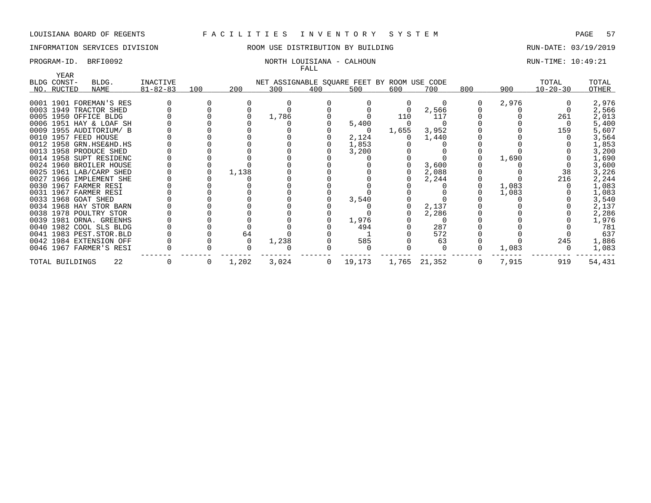# INFORMATION SERVICES DIVISION **RECOMEN** ROOM USE DISTRIBUTION BY BUILDING **RUN-DATE: 03/19/2019**

### PROGRAM-ID. BRFI0092 NORTH LOUISIANA - CALHOUN RUN-TIME: 10:49:21 FALL

| YEAR            |                         |                |     |       |       |     |                                             |       |              |     |       |                |        |
|-----------------|-------------------------|----------------|-----|-------|-------|-----|---------------------------------------------|-------|--------------|-----|-------|----------------|--------|
| BLDG CONST-     | BLDG.                   | INACTIVE       |     |       |       |     | NET ASSIGNABLE SQUARE FEET BY ROOM USE CODE |       |              |     |       | TOTAL          | TOTAL  |
| NO. RUCTED      | NAME                    | $81 - 82 - 83$ | 100 | 200   | 300   | 400 | 500                                         | 600   | 700          | 800 | 900   | $10 - 20 - 30$ | OTHER  |
|                 | 0001 1901 FOREMAN'S RES |                |     |       |       |     |                                             |       |              |     | 2,976 |                | 2,976  |
|                 | 0003 1949 TRACTOR SHED  |                |     |       |       |     |                                             |       | 2,566        |     |       |                | 2,566  |
|                 | 0005 1950 OFFICE BLDG   |                |     |       | 1,786 |     |                                             | 110   | 117          |     |       | 261            | 2,013  |
|                 | 0006 1951 HAY & LOAF SH |                |     |       |       |     | 5,400                                       |       |              |     |       |                | 5,400  |
|                 | 0009 1955 AUDITORIUM/ B |                |     |       |       |     |                                             | 1,655 | 3,952        |     |       | 159            | 5,607  |
|                 | 0010 1957 FEED HOUSE    |                |     |       |       |     | 2,124                                       |       | 1,440        |     |       |                | 3,564  |
|                 | 0012 1958 GRN.HSE&HD.HS |                |     |       |       |     | 1,853                                       |       |              |     |       |                | 1,853  |
|                 | 0013 1958 PRODUCE SHED  |                |     |       |       |     | 3,200                                       |       |              |     |       |                | 3,200  |
|                 | 0014 1958 SUPT RESIDENC |                |     |       |       |     |                                             |       |              |     | 1,690 |                | 1,690  |
|                 | 0024 1960 BROILER HOUSE |                |     |       |       |     |                                             |       | 3,600        |     |       |                | 3,600  |
|                 | 0025 1961 LAB/CARP SHED |                |     | 1,138 |       |     |                                             |       | 2,088        |     |       | 38             | 3,226  |
|                 | 0027 1966 IMPLEMENT SHE |                |     |       |       |     |                                             |       | 2,244        |     |       | 216            | 2,244  |
|                 | 0030 1967 FARMER RESI   |                |     |       |       |     |                                             |       |              |     | 1,083 |                | 1,083  |
|                 | 0031 1967 FARMER RESI   |                |     |       |       |     |                                             |       |              |     | 1,083 |                | 1,083  |
|                 | 0033 1968 GOAT SHED     |                |     |       |       |     | 3,540                                       |       |              |     |       |                | 3,540  |
|                 | 0034 1968 HAY STOR BARN |                |     |       |       |     |                                             |       | 2,137        |     |       |                | 2,137  |
|                 | 0038 1978 POULTRY STOR  |                |     |       |       |     |                                             |       | 2,286        |     |       |                | 2,286  |
|                 | 0039 1981 ORNA. GREENHS |                |     |       |       |     | 1,976                                       |       |              |     |       |                | 1,976  |
|                 | 0040 1982 COOL SLS BLDG |                |     |       |       |     | 494                                         |       | 287          |     |       |                | 781    |
|                 | 0041 1983 PEST.STOR.BLD |                |     | 64    |       |     |                                             |       | 572          |     |       |                | 637    |
|                 | 0042 1984 EXTENSION OFF |                |     |       | 1,238 |     | 585                                         |       | 63           |     |       | 245            | 1,886  |
|                 | 0046 1967 FARMER'S RESI |                |     |       |       |     |                                             |       |              |     | 1,083 |                | 1,083  |
| TOTAL BUILDINGS | 22                      |                | 0   | 1,202 | 3,024 | 0   | 19,173                                      |       | 1,765 21,352 | 0   | 7,915 | 919            | 54,431 |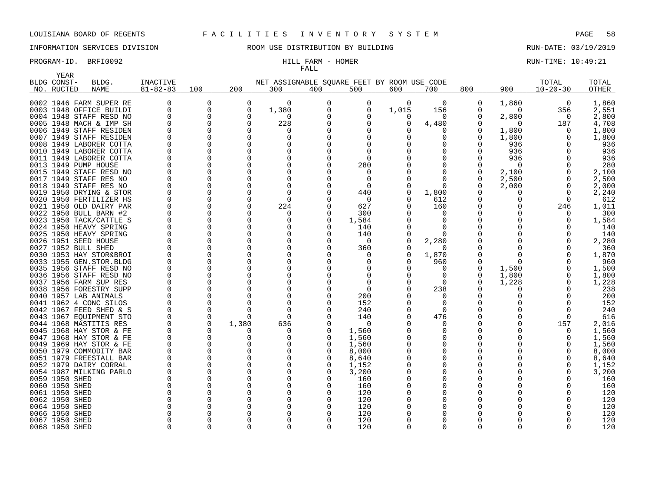# INFORMATION SERVICES DIVISION **ROOM USE DISTRIBUTION BY BUILDING** RUN-DATE: 03/19/2019

# FALL

### PROGRAM-ID. BRFI0092 HILL FARM - HOMER RUN-TIME: 10:49:21

|      | <b>YEAR</b>               |                                                    |                            |                      |              |                                                    |          |                 |          |            |          |                   |                         |                |
|------|---------------------------|----------------------------------------------------|----------------------------|----------------------|--------------|----------------------------------------------------|----------|-----------------|----------|------------|----------|-------------------|-------------------------|----------------|
|      | BLDG CONST-<br>NO. RUCTED | BLDG.<br><b>NAME</b>                               | INACTIVE<br>$81 - 82 - 83$ | 100                  | 200          | NET ASSIGNABLE SQUARE FEET BY ROOM USE CODE<br>300 | 400      | 500             | 600      | 700        | 800      | 900               | TOTAL<br>$10 - 20 - 30$ | TOTAL<br>OTHER |
|      |                           |                                                    |                            |                      |              |                                                    |          |                 |          |            |          |                   |                         |                |
|      |                           | 0002 1946 FARM SUPER RE                            |                            | 0                    | $\Omega$     | $\Omega$                                           | $\Omega$ | 0               | $\Omega$ | $\Omega$   | 0        | 1,860             | 0                       | 1,860          |
|      |                           | 0003 1948 OFFICE BUILDI                            | $\Omega$                   | $\Omega$             | $\Omega$     | 1,380                                              | $\Omega$ | 0               | 1,015    | 156        | O        | $\Omega$          | 356                     | 2,551          |
|      |                           | 0004 1948 STAFF RESD NO                            | $\Omega$                   | 0                    | $\Omega$     | $\Omega$                                           |          |                 | $\Omega$ | $\Omega$   |          | 2,800             | 0                       | 2,800          |
|      |                           | 0005 1948 MACH & IMP SH                            |                            | $\Omega$             | $\Omega$     | 228                                                |          | U               | ∩        | 4,480      |          | $\Omega$          | 187                     | 4,708          |
|      |                           | 0006 1949 STAFF RESIDEN                            | <sup>0</sup>               | $\Omega$             | $\Omega$     | -0                                                 |          | O               |          |            |          | 1,800             | $\Omega$                | 1,800          |
|      |                           | 0007 1949 STAFF RESIDEN                            |                            | $\Omega$             | $\Omega$     | O                                                  |          |                 |          |            | 0        | 1,800             | $\Omega$                | 1,800          |
|      |                           | 0008 1949 LABORER COTTA                            |                            | 0                    | $\mathbf 0$  | O                                                  |          |                 |          |            |          | 936               | $\Omega$                | 936            |
|      |                           | 0010 1949 LABORER COTTA                            |                            | 0                    | $\Omega$     | O                                                  |          | 0               |          |            |          | 936               |                         | 936            |
| 0011 |                           | 1949 LABORER COTTA                                 |                            | 0                    | $\Omega$     |                                                    | $\Omega$ | $\Omega$        |          |            |          | 936               |                         | 936            |
|      |                           | 0013 1949 PUMP HOUSE                               |                            | $\Omega$             | $\Omega$     |                                                    | $\Omega$ | 280             |          |            |          | 0                 |                         | 280            |
|      |                           | 0015 1949 STAFF RESD NO                            |                            | 0                    | $\Omega$     |                                                    | O        | 0               |          |            |          | 2,100             | $\Omega$                | 2,100          |
|      |                           | 0017 1949 STAFF RES NO                             |                            | $\Omega$             | $\Omega$     |                                                    | $\Omega$ | $\Omega$        |          |            |          | 2,500             | $\Omega$                | 2,500          |
|      |                           | 0018 1949 STAFF RES NO                             |                            | $\Omega$             | n            | O                                                  | U        | $\Omega$        |          |            |          | 2,000             | $\Omega$                | 2,000          |
|      |                           | 0019 1950 DRYING & STOR                            |                            | $\Omega$<br>$\Omega$ | U            | $\Omega$                                           |          | 440<br>$\Omega$ |          | 1,800      | 0        | 0<br><sup>0</sup> | $\Omega$<br>$\Omega$    | 2,240<br>612   |
|      |                           | 0020 1950 FERTILIZER HS<br>0021 1950 OLD DAIRY PAR |                            | $\Omega$             | $\Omega$     | 224                                                | O        | 627             |          | 612<br>160 | O        | <sup>0</sup>      | 246                     | 1,011          |
|      |                           | 0022 1950 BULL BARN #2                             |                            | $\Omega$             | $\Omega$     | n                                                  | O        | 300             |          |            |          | ∩                 | n                       | 300            |
|      |                           | 0023 1950 TACK/CATTLE S                            | $\Omega$                   | $\Omega$             | $\Omega$     | n                                                  | $\Omega$ | 1,584           |          | ∩          |          |                   | ∩                       | 1,584          |
|      |                           | 0024 1950 HEAVY SPRING                             |                            | $\Omega$             | <sup>n</sup> |                                                    | n        | 140             |          |            |          |                   |                         | 140            |
|      |                           | 0025 1950 HEAVY SPRING                             |                            | $\Omega$             | $\Omega$     | O                                                  | $\Omega$ | 140             |          | $\Omega$   |          |                   | ∩                       | 140            |
|      |                           | 0026 1951 SEED HOUSE                               |                            | $\Omega$             | $\Omega$     | O                                                  | O        | 0               |          | 2,280      | 0        | 0                 | n                       | 2,280          |
| 0027 |                           | 1952 BULL SHED                                     |                            | 0                    | $\Omega$     | O                                                  | O        | 360             |          | $\Omega$   |          |                   | O                       | 360            |
|      |                           | 0030 1953 HAY STOR&BROI                            |                            | 0                    | $\Omega$     |                                                    | O        | 0               |          | 1,870      | O        | 0                 |                         | 1,870          |
|      |                           | 0033 1955 GEN.STOR.BLDG                            |                            | 0                    | $\Omega$     |                                                    | $\Omega$ | 0               |          | 960        |          | $\Omega$          |                         | 960            |
|      |                           | 0035 1956 STAFF RESD NO                            |                            | 0                    | $\Omega$     |                                                    |          |                 |          |            |          | 1,500             | 0                       | 1,500          |
|      |                           | 0036 1956 STAFF RESD NO                            |                            | 0                    | $\Omega$     |                                                    |          |                 |          |            |          | 1,800             | 0                       | 1,800          |
|      |                           | 0037 1956 FARM SUP RES                             |                            | 0                    | $\Omega$     |                                                    | $\Omega$ | 0               |          | $\Omega$   | 0        | 1,228             | 0                       | 1,228          |
|      |                           | 0038 1956 FORESTRY SUPP                            |                            | 0                    | $\Omega$     |                                                    | O        | 0               |          | 238        |          | 0                 | $\Omega$                | 238            |
|      |                           | 0040 1957 LAB ANIMALS                              |                            | 0                    |              | 0                                                  | O        | 200             |          | $\Omega$   | 0        |                   | <sup>0</sup>            | 200            |
|      |                           | 0041 1962 4 CONC SILOS                             |                            | 0                    |              | O                                                  | O        | 152             |          |            | O        |                   | <sup>0</sup>            | 152            |
|      |                           | 0042 1967 FEED SHED & S                            |                            | $\Omega$             | $\Omega$     | $\Omega$                                           |          | 240             |          | $\Omega$   |          |                   | $\Omega$                | 240            |
|      |                           | 0043 1967 EQUIPMENT STO                            |                            | $\Omega$             | $\Omega$     | $\Omega$                                           |          | 140             |          | 476        |          | ∩                 | ∩                       | 616            |
|      |                           | 0044 1968 MASTITIS RES                             | $\Omega$                   | $\Omega$             | 1,380        | 636                                                |          | $\Omega$        |          | ∩          |          | U                 | 157                     | 2,016          |
|      |                           | 0045 1968 HAY STOR & FE                            | $\Omega$                   | $\Omega$             | ∩            |                                                    |          | 1,560           |          |            | O        | O                 | n                       | 1,560          |
|      |                           | 0047 1968 HAY STOR & FE                            | $\Omega$                   | $\Omega$             | $\Omega$     | $\Omega$                                           | $\Omega$ | 1,560           |          |            | $\Omega$ |                   | $\Omega$                | 1,560          |
|      |                           | 0049 1969 HAY STOR & FE                            | <sup>0</sup>               | $\Omega$             | <sup>0</sup> | O                                                  |          | 1,560           |          | O          | 0        |                   | $\Omega$                | 1,560          |
|      |                           | 0050 1979 COMMODITY BAR                            |                            | $\Omega$             | $\Omega$     | n                                                  |          | 8,000           |          |            | $\Omega$ |                   | $\Omega$                | 8,000          |
|      |                           | 0051 1979 FREESTALL BAR                            |                            | $\Omega$             | $\Omega$     |                                                    | O        | 8,640           |          |            | 0        |                   | $\Omega$                | 8,640          |
|      |                           | 0052 1979 DAIRY CORRAL                             |                            | 0                    | $\Omega$     |                                                    | O        | 1,152           |          |            |          |                   | $\Omega$                | 1,152          |
|      |                           | 0054 1987 MILKING PARLO                            |                            | $\Omega$             | $\Omega$     |                                                    |          | 3,200           |          |            | 0        |                   | ∩                       | 3,200          |
|      | 0059 1950 SHED            |                                                    |                            | 0                    | <sup>0</sup> |                                                    | O        | 160             |          |            |          |                   |                         | 160            |
|      | 0060 1950 SHED            |                                                    | $\Omega$                   | $\Omega$             | $\Omega$     |                                                    | O        | 160             |          |            |          |                   |                         | 160            |
|      | 0061 1950 SHED            |                                                    |                            | $\Omega$             | $\Omega$     |                                                    | ∩        | 120             |          |            | $\Omega$ |                   |                         | 120            |
|      | 0062 1950 SHED            |                                                    |                            | 0                    |              |                                                    |          | 120             |          |            |          |                   |                         | 120            |
|      | 0064 1950 SHED            |                                                    |                            | <sup>0</sup>         |              |                                                    |          | 120             |          |            |          |                   |                         | 120            |
|      | 0066 1950 SHED            |                                                    | $\Omega$                   | $\Omega$             |              | U                                                  |          | 120             |          |            | $\Omega$ |                   |                         | 120            |
|      | 0067 1950 SHED            |                                                    |                            | U                    | U            | $\Omega$                                           |          | 120             |          |            | $\Omega$ |                   |                         | 120            |

1950 SHED 0 0 0 0 0 120 0 0 0 0 0 120

1950 SHED 0 0 0 0 0 120 0 0 0 0 0 120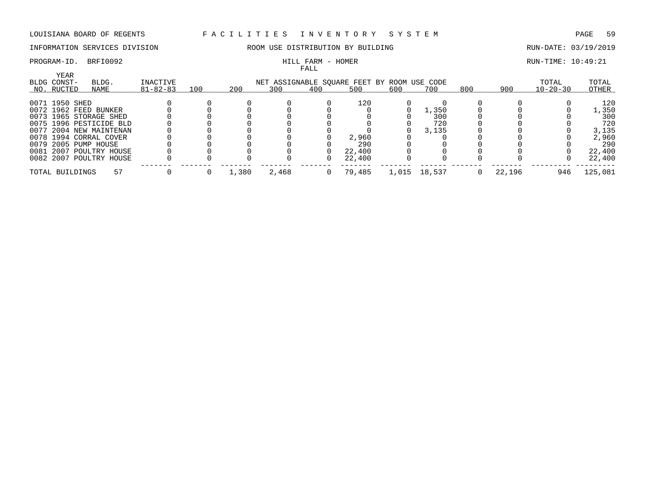## INFORMATION SERVICES DIVISION ROOM USE DISTRIBUTION BY BUILDING RUN-DATE: 03/19/2019

# FALL

### PROGRAM-ID. BRFI0092 HILL FARM - HOMER RUN-TIME: 10:49:21

| <b>YEAR</b>     |                         |    |                |     |       |       | ----- |                                             |       |        |     |        |                |         |
|-----------------|-------------------------|----|----------------|-----|-------|-------|-------|---------------------------------------------|-------|--------|-----|--------|----------------|---------|
| BLDG CONST-     | BLDG.                   |    | INACTIVE       |     |       |       |       | NET ASSIGNABLE SQUARE FEET BY ROOM USE CODE |       |        |     |        | TOTAL          | TOTAL   |
| NO. RUCTED      | NAME                    |    | $81 - 82 - 83$ | 100 | 200   | 300   | 400   | 500                                         | 600   | 700    | 800 | 900    | $10 - 20 - 30$ | OTHER   |
| 0071 1950 SHED  |                         |    |                |     |       |       |       | 120                                         |       |        |     |        |                | 120     |
|                 | 0072 1962 FEED BUNKER   |    |                |     |       |       |       |                                             |       | l,350  |     |        |                | 1,350   |
|                 | 0073 1965 STORAGE SHED  |    |                |     |       |       |       |                                             |       | 300    |     |        |                | 300     |
|                 | 0075 1996 PESTICIDE BLD |    |                |     |       |       |       |                                             |       | 720    |     |        |                | 720     |
|                 | 0077 2004 NEW MAINTENAN |    |                |     |       |       |       |                                             |       | 3,135  |     |        |                | 3,135   |
|                 | 0078 1994 CORRAL COVER  |    |                |     |       |       |       | 2,960                                       |       |        |     |        |                | 2,960   |
|                 | 0079 2005 PUMP HOUSE    |    |                |     |       |       |       | 290                                         |       |        |     |        |                | 290     |
|                 | 0081 2007 POULTRY HOUSE |    |                |     |       |       |       | 22,400                                      |       |        |     |        |                | 22,400  |
|                 | 0082 2007 POULTRY HOUSE |    |                |     |       |       |       | 22,400                                      |       |        |     |        |                | 22,400  |
| TOTAL BUILDINGS |                         | 57 |                |     | 1,380 | 2,468 | 0     | 79,485                                      | 1,015 | 18,537 |     | 22,196 | 946            | 125,081 |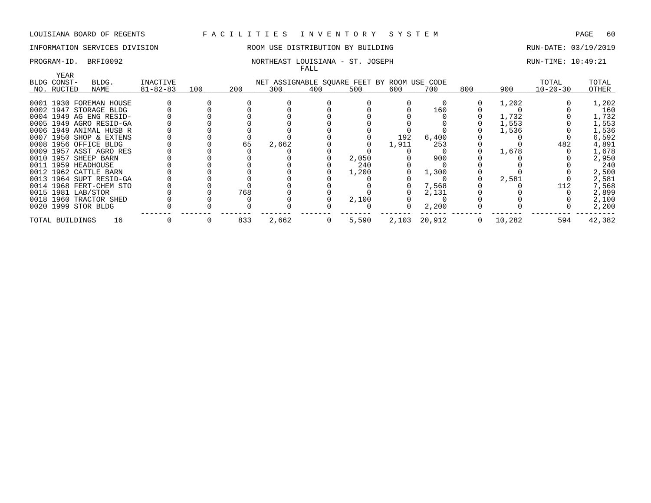# INFORMATION SERVICES DIVISION ROOM USE DISTRIBUTION BY BUILDING RUN-DATE: 03/19/2019

### PROGRAM-ID. BRFI0092 NORTHEAST LOUISIANA - ST. JOSEPH RUN-TIME: 10:49:21 FALL

| YEAR                |                         |                |     |     |       |                                             |       |       |              |          |        |                |        |
|---------------------|-------------------------|----------------|-----|-----|-------|---------------------------------------------|-------|-------|--------------|----------|--------|----------------|--------|
| BLDG CONST-         | BLDG.                   | INACTIVE       |     |     |       | NET ASSIGNABLE SQUARE FEET BY ROOM USE CODE |       |       |              |          |        | TOTAL          | TOTAL  |
| NO. RUCTED          | NAME                    | $81 - 82 - 83$ | 100 | 200 | 300   | 400                                         | 500   | 600   | 700          | 800      | 900    | $10 - 20 - 30$ | OTHER  |
|                     |                         |                |     |     |       |                                             |       |       |              |          |        |                |        |
|                     | 0001 1930 FOREMAN HOUSE |                |     |     |       |                                             |       |       |              |          | 1,202  |                | 1,202  |
|                     | 0002 1947 STORAGE BLDG  |                |     |     |       |                                             |       |       | 160          |          |        |                | 160    |
|                     | 0004 1949 AG ENG RESID- |                |     |     |       |                                             |       |       |              |          | 1,732  |                | 1,732  |
|                     | 0005 1949 AGRO RESID-GA |                |     |     |       |                                             |       |       |              |          | 1,553  |                | 1,553  |
|                     | 0006 1949 ANIMAL HUSB R |                |     |     |       |                                             |       |       |              |          | 1,536  |                | 1,536  |
|                     | 0007 1950 SHOP & EXTENS |                |     |     |       |                                             |       | 192   | 6,400        |          |        |                | 6,592  |
|                     | 0008 1956 OFFICE BLDG   |                |     | 65  | 2,662 |                                             |       | 1,911 | 253          |          |        | 482            | 4,891  |
|                     | 0009 1957 ASST AGRO RES |                |     |     |       |                                             |       |       |              |          | 1,678  |                | 1,678  |
|                     | 0010 1957 SHEEP BARN    |                |     |     |       |                                             | 2,050 |       | 900          |          |        |                | 2,950  |
| 0011 1959 HEADHOUSE |                         |                |     |     |       |                                             | 240   |       |              |          |        |                | 240    |
|                     | 0012 1962 CATTLE BARN   |                |     |     |       |                                             | 1,200 |       | 1,300        |          |        |                | 2,500  |
|                     | 0013 1964 SUPT RESID-GA |                |     |     |       |                                             |       |       |              |          | 2,581  |                | 2,581  |
|                     | 0014 1968 FERT-CHEM STO |                |     |     |       |                                             |       |       | 7,568        |          |        | 112            | 7,568  |
| 0015 1981 LAB/STOR  |                         |                |     | 768 |       |                                             |       |       | 2,131        |          |        |                | 2,899  |
|                     | 0018 1960 TRACTOR SHED  |                |     |     |       |                                             | 2,100 |       |              |          |        |                | 2,100  |
| 0020 1999 STOR BLDG |                         |                |     |     |       |                                             |       | 0     | 2,200        |          |        |                | 2,200  |
| TOTAL BUILDINGS     | 16                      |                |     | 833 | 2,662 | $\mathbf 0$                                 | 5,590 |       | 2,103 20,912 | $\Omega$ | 10,282 | 594            | 42,382 |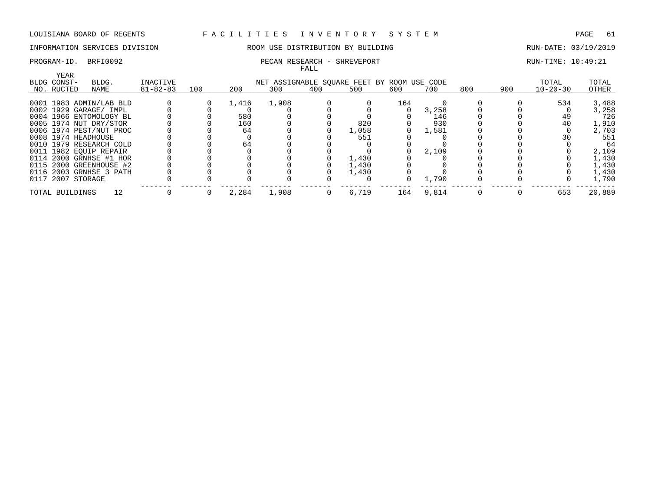# INFORMATION SERVICES DIVISION ROOM USE DISTRIBUTION BY BUILDING RUN-DATE: 03/19/2019

### PROGRAM-ID. BRFI0092 **PECAN RESEARCH - SHREVEPORT** PROGRAM-ID. BRFI0092 FALL

| YEAR                |                         |                |     |       |                                             |     |       |     |       |     |     |                |        |
|---------------------|-------------------------|----------------|-----|-------|---------------------------------------------|-----|-------|-----|-------|-----|-----|----------------|--------|
| BLDG CONST-         | BLDG.                   | INACTIVE       |     |       | NET ASSIGNABLE SOUARE FEET BY ROOM USE CODE |     |       |     |       |     |     | TOTAL          | TOTAL  |
| NO. RUCTED          | NAME                    | $81 - 82 - 83$ | 100 | 200   | 300                                         | 400 | 500   | 600 | 700   | 800 | 900 | $10 - 20 - 30$ | OTHER  |
|                     | 0001 1983 ADMIN/LAB BLD |                |     | 1,416 | 1,908                                       |     |       | 164 |       |     |     | 534            | 3,488  |
|                     | 0002 1929 GARAGE/ IMPL  |                |     |       |                                             |     |       |     | 3,258 |     |     |                | 3,258  |
|                     | 0004 1966 ENTOMOLOGY BL |                |     | 580   |                                             |     |       |     | 146   |     |     | 49             | 726    |
|                     | 0005 1974 NUT DRY/STOR  |                |     | 160   |                                             |     | 820   |     | 930   |     |     | 40             | 1,910  |
|                     | 0006 1974 PEST/NUT PROC |                |     | 64    |                                             |     | 1,058 |     | 1,581 |     |     |                | 2,703  |
| 0008 1974 HEADHOUSE |                         |                |     |       |                                             |     | 551   |     |       |     |     |                | 551    |
|                     | 0010 1979 RESEARCH COLD |                |     | 64    |                                             |     |       |     |       |     |     |                | 64     |
|                     | 0011 1982 EOUIP REPAIR  |                |     |       |                                             |     |       |     | 2,109 |     |     |                | 2,109  |
|                     | 0114 2000 GRNHSE #1 HOR |                |     |       |                                             |     | 1,430 |     |       |     |     |                | 1,430  |
|                     | 0115 2000 GREENHOUSE #2 |                |     |       |                                             |     | 1,430 |     |       |     |     |                | 1,430  |
|                     | 0116 2003 GRNHSE 3 PATH |                |     |       |                                             |     | 1,430 |     |       |     |     |                | 1,430  |
| 0117 2007 STORAGE   |                         |                |     |       |                                             |     |       |     | 1,790 |     |     |                | 1,790  |
| TOTAL BUILDINGS     | 12                      |                |     | 2,284 | 1,908                                       | 0   | 6,719 | 164 | 9,814 |     |     | 653            | 20,889 |
|                     |                         |                |     |       |                                             |     |       |     |       |     |     |                |        |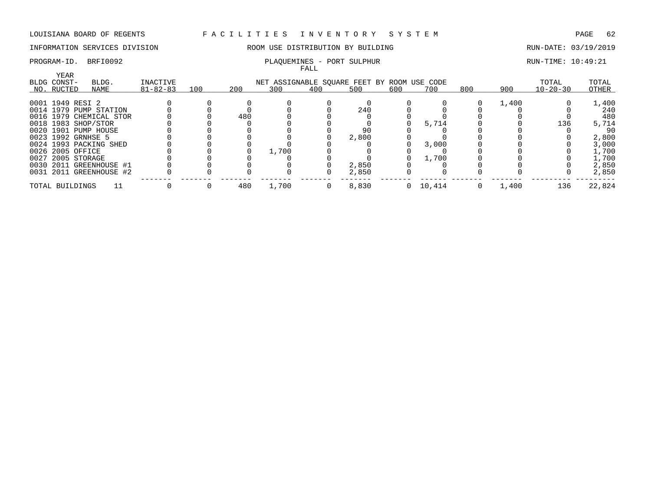# INFORMATION SERVICES DIVISION COOM USE DISTRIBUTION BY BUILDING COOM AND RUN-DATE: 03/19/2019

### PROGRAM-ID. BRFI0092 PLAQUEMINES - PORT SULPHUR RUN-TIME: 10:49:21

|                      |                         |                |     |     |                                    | FALL |       |     |          |     |       |                |        |
|----------------------|-------------------------|----------------|-----|-----|------------------------------------|------|-------|-----|----------|-----|-------|----------------|--------|
| YEAR<br>BLDG CONST-  | BLDG.                   | INACTIVE       |     |     | NET ASSIGNABLE SOUARE FEET BY ROOM |      |       |     | USE CODE |     |       | TOTAL          | TOTAL  |
| NO. RUCTED           | NAME                    | $81 - 82 - 83$ | 100 | 200 | 300                                | 400  | 500   | 600 | 700      | 800 | 900   | $10 - 20 - 30$ | OTHER  |
| 0001 1949 RESI 2     |                         |                |     |     |                                    |      |       |     |          |     | 1,400 |                | 1,400  |
|                      | 0014 1979 PUMP STATION  |                |     |     |                                    |      | 240   |     |          |     |       |                | 240    |
|                      | 0016 1979 CHEMICAL STOR |                |     | 480 |                                    |      |       |     |          |     |       |                | 480    |
| 0018 1983 SHOP/STOR  |                         |                |     |     |                                    |      |       |     | 5,714    |     |       | 136            | 5,714  |
| 0020 1901 PUMP HOUSE |                         |                |     |     |                                    |      | 90    |     |          |     |       |                | 90     |
| 0023 1992 GRNHSE 5   |                         |                |     |     |                                    |      | 2,800 |     |          |     |       |                | 2,800  |
|                      | 0024 1993 PACKING SHED  |                |     |     |                                    |      |       |     | 3,000    |     |       |                | 3,000  |
| 0026 2005 OFFICE     |                         |                |     |     | 1,700                              |      |       |     |          |     |       |                | 1,700  |
| 0027 2005 STORAGE    |                         |                |     |     |                                    |      |       |     | 1,700    |     |       |                | 1,700  |
|                      | 0030 2011 GREENHOUSE #1 |                |     |     |                                    |      | 2,850 |     |          |     |       |                | 2,850  |
|                      | 0031 2011 GREENHOUSE #2 |                |     |     |                                    |      | 2,850 |     |          |     |       |                | 2,850  |
| TOTAL BUILDINGS      |                         |                |     | 480 | 1,700                              | 0    | 8,830 |     | 0 10,414 |     | 1,400 | 136            | 22,824 |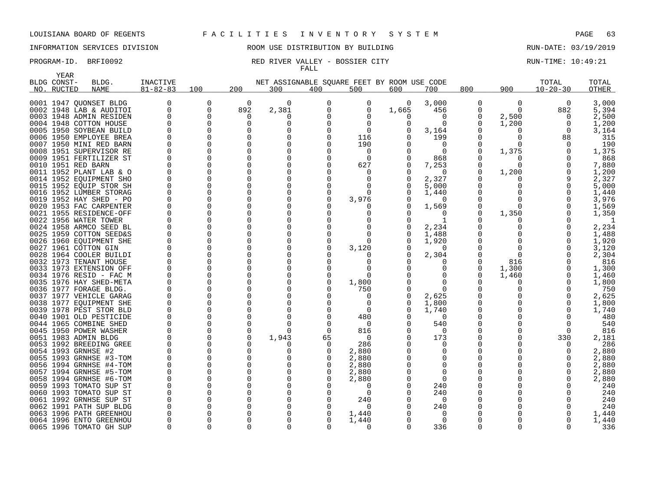# INFORMATION SERVICES DIVISION ROOM USE DISTRIBUTION BY BUILDING RUN-DATE: 03/19/2019

### PROGRAM-ID. BRFI0092 **RED RIVER VALLEY - BOSSIER CITY RUN-TIME: 10:49:21** FALL

| <b>YEAR</b> |                         |                |              |          |                                             |          |          |       |          |          |              |                |              |
|-------------|-------------------------|----------------|--------------|----------|---------------------------------------------|----------|----------|-------|----------|----------|--------------|----------------|--------------|
| BLDG CONST- | BLDG.                   | INACTIVE       |              |          | NET ASSIGNABLE SOUARE FEET BY ROOM USE CODE |          |          |       |          |          |              | TOTAL          | TOTAL        |
| NO. RUCTED  | <b>NAME</b>             | $81 - 82 - 83$ | 100          | 200      | 300                                         | 400      | 500      | 600   | 700      | 800      | 900          | $10 - 20 - 30$ | <b>OTHER</b> |
|             | 0001 1947 QUONSET BLDG  |                | 0            | 0        | 0                                           | $\Omega$ | 0        | 0     | 3,000    | 0        | 0            | 0              | 3,000        |
|             | 0002 1948 LAB & AUDITOI | $\Omega$       | 0            | 892      | 2,381                                       | $\Omega$ | 0        | 1,665 | 456      | 0        | $\Omega$     | 882            | 5,394        |
|             | 0003 1948 ADMIN RESIDEN | $\Omega$       | $\Omega$     | $\Omega$ | $\Omega$                                    |          |          | O     | $\Omega$ | 0        | 2,500        | $\Omega$       | 2,500        |
|             | 0004 1948 COTTON HOUSE  |                |              | $\Omega$ | $\Omega$                                    |          | $\Omega$ |       | $\Omega$ | 0        | 1,200        | $\Omega$       | 1,200        |
|             | 0005 1950 SOYBEAN BUILD |                |              | O        | <sup>0</sup>                                |          | $\Omega$ |       | 3,164    | O        | O            | $\Omega$       | 3,164        |
|             | 0006 1950 EMPLOYEE BREA |                |              | $\Omega$ | $\Omega$                                    |          | 116      |       | 199      | $\Omega$ | 0            | 88             | 315          |
|             | 0007 1950 MINI RED BARN |                |              | O        | $\Omega$                                    |          | 190      |       | $\Omega$ | $\Omega$ | U            |                | 190          |
|             | 0008 1951 SUPERVISOR RE |                |              | O        | $\Omega$                                    | $\Omega$ | 0        |       | $\Omega$ | $\Omega$ | 1,375        |                | 1,375        |
|             | 0009 1951 FERTILIZER ST |                | O            | 0        | $\Omega$                                    | $\Omega$ | $\Omega$ |       | 868      | $\Omega$ | O            |                | 868          |
|             | 0010 1951 RED BARN      |                |              | 0        | $\Omega$                                    |          | 627      |       | 7,253    | 0        | $\Omega$     |                | 7,880        |
|             | 0011 1952 PLANT LAB & O |                |              | O        | $\Omega$                                    |          | 0        |       | $\Omega$ | 0        | 1,200        |                | 1,200        |
|             | 0014 1952 EOUIPMENT SHO |                |              | O        | $\Omega$                                    |          | O        |       | 2,327    | O        |              |                | 2,327        |
|             | 0015 1952 EQUIP STOR SH |                |              | O        | O                                           |          | O        |       | 5,000    | 0        |              | 0              | 5,000        |
|             | 0016 1952 LUMBER STORAG |                |              | O        | O                                           |          | O        |       | 1,440    | 0        |              |                | 1,440        |
|             | 0019 1952 HAY SHED - PO |                | <sup>0</sup> | O        | $\Omega$                                    |          | 3,976    |       | $\Omega$ | $\Omega$ |              | U              | 3,976        |
|             | 0020 1953 FAC CARPENTER |                | O            | O        | O                                           |          |          |       | 1,569    | 0        | <sup>0</sup> | 0              | 1,569        |
|             | 0021 1955 RESIDENCE-OFF |                |              | O        | O                                           |          |          |       | $\Omega$ | $\Omega$ | 1,350        |                | 1,350        |
|             | 0022 1956 WATER TOWER   |                |              | 0        | O                                           |          | O        |       |          | O        |              |                | -1           |
|             | 0024 1958 ARMCO SEED BL |                |              | O        | $\Omega$                                    |          |          |       | 2,234    | O        |              |                | 2,234        |
|             | 0025 1959 COTTON SEED&S |                |              | 0        | $\Omega$                                    |          |          |       | 1,488    | 0        |              |                | 1,488        |
|             | 0026 1960 EQUIPMENT SHE |                |              | O        | O                                           |          | ∩        |       | 1,920    | $\Omega$ |              |                | 1,920        |
|             | 0027 1961 COTTON GIN    |                |              | O        | $\Omega$                                    |          | 3,120    |       | $\Omega$ | O        |              |                | 3,120        |
|             | 0028 1964 COOLER BUILDI |                | $\Omega$     | O        | $\Omega$                                    |          |          |       | 2,304    | $\Omega$ | $\Omega$     |                | 2,304        |
|             | 0032 1973 TENANT HOUSE  |                |              | O        | O                                           |          |          |       | n        | $\Omega$ | 816          |                | 816          |
|             | 0033 1973 EXTENSION OFF |                |              | 0        | O                                           |          | O        |       |          | 0        | 1,300        |                | 1,300        |
|             | 0034 1976 RESID - FAC M |                |              | O        | ∩                                           | ∩        | ∩        |       |          | O        | 1,460        |                | 1,460        |
|             | 0035 1976 HAY SHED-META |                |              | O        | $\Omega$                                    | $\Omega$ | 1,800    |       |          | O        | Ω            |                | 1,800        |
|             | 0036 1977 FORAGE BLDG.  |                |              | O        | O                                           |          | 750      |       |          | $\Omega$ |              |                | 750          |
|             | 0037 1977 VEHICLE GARAG |                |              | 0        | $\Omega$                                    |          | 0        |       | 2,625    | 0        |              |                | 2,625        |
|             | 0038 1977 EQUIPMENT SHE |                | <sup>0</sup> | U        | O                                           |          | O        |       | 1,800    | $\Omega$ |              | <sup>n</sup>   | 1,800        |
|             | 0039 1978 PEST STOR BLD |                | O            | 0        | $\Omega$                                    |          | 0        |       | 1,740    | 0        |              | U              | 1,740        |
|             | 0040 1901 OLD PESTICIDE |                | <sup>0</sup> | O        | O                                           | $\Omega$ | 480      |       | $\Omega$ | 0        |              |                | 480          |
|             | 0044 1965 COMBINE SHED  |                |              | 0        | O                                           |          | 0        |       | 540      | 0        |              |                | 540          |
|             | 0045 1950 POWER WASHER  |                |              | O        | $\Omega$                                    | $\Omega$ | 816      |       | $\Omega$ | 0        |              | U              | 816          |
|             | 0051 1983 ADMIN BLDG    |                |              | 0        | 1,943                                       | 65       | 0        |       | 173      | 0        |              | 330            | 2,181        |
|             | 0053 1992 BREEDING GREE |                |              | O        | $\Omega$                                    | $\Omega$ | 286      |       | $\Omega$ | 0        |              | U              | 286          |
|             | 0054 1993 GRNHSE #2     |                |              | O        | O                                           |          | 2,880    |       |          | 0        |              |                | 2,880        |
|             | 0055 1993 GRNHSE #3-TOM |                | $\Omega$     | O        | $\Omega$                                    |          | 2,880    |       | O        | 0        |              | U              | 2,880        |
|             | 0056 1994 GRNHSE #4-TOM |                | <sup>0</sup> | O        | O                                           |          | 2,880    |       | ∩        | $\Omega$ |              |                | 2,880        |
|             | 0057 1994 GRNHSE #5-TOM |                |              | 0        | $\Omega$                                    |          | 2,880    |       | $\Omega$ | 0        |              |                | 2,880        |
|             | 0058 1994 GRNHSE #6-TOM |                |              | O        | O                                           |          | 2,880    |       | $\Omega$ |          |              |                | 2,880        |
|             | 0059 1993 TOMATO SUP ST |                |              | O        | $\Omega$                                    |          | 0        |       | 240      | 0        |              |                | 240          |
|             | 0060 1993 TOMATO SUP ST |                |              | O        | O                                           |          | 0        |       | 240      | 0        |              |                | 240          |
|             | 0061 1992 GRNHSE SUP ST |                |              | O        | O                                           |          | 240      |       | $\Omega$ | O        |              |                | 240          |
|             | 0062 1991 PATH SUP BLDG |                |              | O        | O                                           |          | 0        |       | 240      |          |              |                | 240          |
|             | 0063 1996 PATH GREENHOU |                |              | O        | O                                           |          | 1,440    |       | $\Omega$ | 0        |              |                | 1,440        |
|             | 0064 1996 ENTO GREENHOU |                |              | O        | $\Omega$                                    |          | 1,440    |       | $\Omega$ | O        |              |                | 1,440        |
|             | 0065 1996 TOMATO GH SUP | $\Omega$       | ∩            | U        | $\Omega$                                    | $\Omega$ | $\Omega$ |       | 336      | $\Omega$ | U            | $\Omega$       | 336          |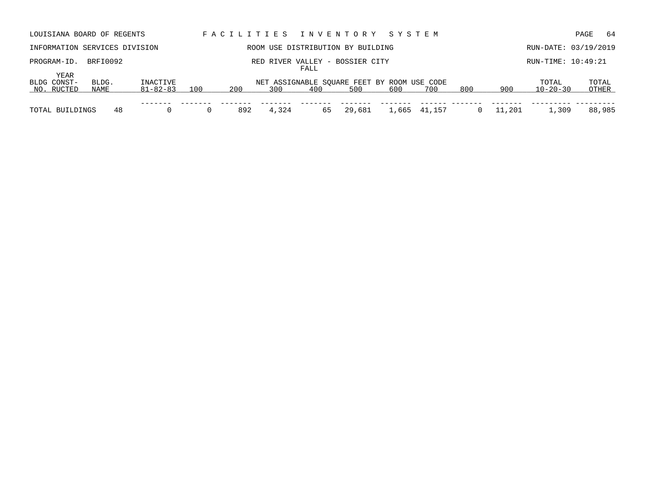| LOUISIANA BOARD OF REGENTS        |               |                      |     |     |       |             | FACILITIES INVENTORY SYSTEM                        |     |              |     |        |                         | 64<br>PAGE           |
|-----------------------------------|---------------|----------------------|-----|-----|-------|-------------|----------------------------------------------------|-----|--------------|-----|--------|-------------------------|----------------------|
| INFORMATION SERVICES DIVISION     |               |                      |     |     |       |             | ROOM USE DISTRIBUTION BY BUILDING                  |     |              |     |        |                         | RUN-DATE: 03/19/2019 |
| PROGRAM-ID.                       | BRFI0092      |                      |     |     |       | <b>FALL</b> | RED RIVER VALLEY - BOSSIER CITY                    |     |              |     |        | RUN-TIME: 10:49:21      |                      |
| YEAR<br>BLDG CONST-<br>NO. RUCTED | BLDG.<br>NAME | INACTIVE<br>81-82-83 | 100 | 200 | 300   | 400         | NET ASSIGNABLE SOUARE FEET BY ROOM USE CODE<br>500 | 600 | 700          | 800 | 900    | TOTAL<br>$10 - 20 - 30$ | TOTAL<br>OTHER       |
| TOTAL BUILDINGS                   | 48            |                      |     | 892 | 4,324 | 65          | 29,681                                             |     | 1,665 41,157 |     | 11,201 | 1,309                   | 88,985               |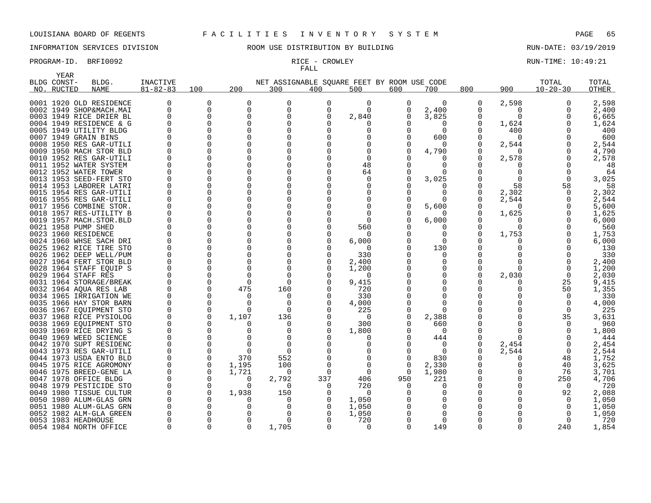### PROGRAM-ID. BRFI0092 **RICE - CROWLEY RUN-TIME: 10:49:21**

YEAR

## INFORMATION SERVICES DIVISION ROOM USE DISTRIBUTION BY BUILDING RUN-DATE: 03/19/2019

# FALL

| BLDG CONST- | BLDG.                                             | INACTIVE       |          |          | NET ASSIGNABLE SQUARE FEET BY ROOM USE CODE |          |          |              |          |     |          | TOTAL          | TOTAL        |
|-------------|---------------------------------------------------|----------------|----------|----------|---------------------------------------------|----------|----------|--------------|----------|-----|----------|----------------|--------------|
| NO. RUCTED  | <b>NAME</b>                                       | $81 - 82 - 83$ | 100      | 200      | 300                                         | 400      | 500      | 600          | 700      | 800 | 900      | $10 - 20 - 30$ | <b>OTHER</b> |
|             |                                                   |                |          |          |                                             |          |          |              |          |     |          |                |              |
|             | 0001 1920 OLD RESIDENCE                           |                | $\Omega$ |          | $\Omega$                                    | 0        | $\Omega$ | <sup>0</sup> | $\Omega$ | 0   | 2,598    | $\Omega$       | 2,598        |
|             | 0002 1949 SHOP&MACH.MAI                           | <sup>0</sup>   | $\Omega$ | $\Omega$ | $\Omega$                                    | $\Omega$ | $\Omega$ | $\Omega$     | 2,400    |     | $\Omega$ | $\Omega$       | 2,400        |
|             | 0003 1949 RICE DRIER BL                           |                | 0        | O        | $\Omega$                                    | $\Omega$ | 2,840    |              | 3,825    |     | $\Omega$ | 0              | 6,665        |
|             | 0004 1949 RESIDENCE & G                           |                | $\Omega$ |          |                                             |          |          |              |          |     | 1,624    | ∩              | 1,624        |
|             | 0005 1949 UTILITY BLDG                            |                | $\Omega$ |          |                                             |          | O        |              | $\Omega$ |     | 400      |                | 400          |
|             | 0007 1949 GRAIN BINS                              |                |          |          |                                             |          |          |              | 600      |     | $\Omega$ |                | 600          |
|             | 0008 1950 RES GAR-UTILI                           |                |          |          |                                             |          |          |              |          |     | 2,544    | <sup>0</sup>   | 2,544        |
|             | 0009 1950 MACH STOR BLD                           |                | $\Omega$ |          | O                                           |          |          |              | 4,790    |     | O        | <sup>0</sup>   | 4,790        |
|             | 0010 1952 RES GAR-UTILI                           |                | $\Omega$ |          | $\Omega$                                    |          |          |              |          |     | 2,578    | $\Omega$       | 2,578        |
|             | 0011 1952 WATER SYSTEM                            |                | $\Omega$ | U        | $\Omega$                                    |          | 48       |              |          |     | O        | ∩              | 48           |
|             | 0012 1952 WATER TOWER                             |                | $\Omega$ |          | $\Omega$                                    |          | 64       |              |          |     |          | $\Omega$       | 64           |
|             | 0013 1953 SEED-FERT STO                           |                |          |          | $\Omega$                                    |          | 0        |              | 3,025    |     |          | $\Omega$       | 3,025        |
|             | 0014 1953 LABORER LATRI                           |                | $\Omega$ | $\Omega$ |                                             |          |          |              |          |     | 58       | 58             | 58           |
|             | 0015 1954 RES GAR-UTILI                           |                | $\Omega$ |          |                                             |          |          |              |          |     | 2,302    |                | 2,302        |
|             | 0016 1955 RES GAR-UTILI                           |                | $\Omega$ |          |                                             |          |          |              |          |     | 2,544    | $\Omega$       | 2,544        |
|             | 0017 1956 COMBINE STOR.                           |                | $\Omega$ |          | $\Omega$                                    |          |          |              | 5,600    |     | $\Omega$ | $\Omega$       | 5,600        |
|             | 0018 1957 RES-UTILITY B                           |                | $\Omega$ |          |                                             |          |          |              |          |     | 1,625    | $\Omega$       | 1,625        |
|             | 0019 1957 MACH.STOR.BLD                           |                | $\Omega$ |          |                                             |          | O        |              | 6,000    |     | 0        | O              | 6,000        |
|             | 0021 1958 PUMP SHED                               |                |          |          |                                             |          | 560      |              |          |     | U        |                | 560          |
|             | 0023 1960 RESIDENCE                               |                | $\Omega$ |          |                                             |          | 0        |              |          |     | 1,753    |                | 1,753        |
|             | 0024 1960 WHSE SACH DRI                           |                | $\Omega$ |          |                                             |          | 6,000    |              |          |     |          |                | 6,000        |
|             | 0025 1962 RICE TIRE STO                           |                | $\Omega$ |          |                                             |          | $\Omega$ |              | 130      |     |          |                | 130          |
|             | 0026 1962 DEEP WELL/PUM                           |                | $\Omega$ |          | $\Omega$                                    |          | 330      |              |          |     |          |                | 330          |
|             | 0027 1964 FERT STOR BLD                           |                | $\Omega$ |          | $\Omega$                                    |          | 2,400    |              |          |     |          | $\Omega$       | 2,400        |
|             | 0028 1964 STAFF EOUIP S                           |                | $\Omega$ | O        | $\Omega$                                    |          | 1,200    |              |          |     | 0        | $\Omega$       | 1,200        |
|             | 0029 1964 STAFF RES                               |                | 0        |          | $\Omega$                                    |          | 0        |              |          |     | 2,030    | $\mathbf 0$    | 2,030        |
|             | 0031 1964 STORAGE/BREAK                           |                | $\Omega$ | ∩        | $\Omega$                                    |          | 9,415    |              |          |     |          | 25             | 9,415        |
|             |                                                   |                | $\Omega$ | 475      | 160                                         |          | 720      |              |          |     |          | 50             | 1,355        |
|             | 0032 1964 AQUA RES LAB<br>0034 1965 IRRIGATION WE |                | $\Omega$ |          | O                                           |          | 330      |              |          |     |          | $\Omega$       | 330          |
|             |                                                   |                | $\Omega$ |          | $\Omega$                                    |          |          |              |          |     |          | $\Omega$       | 4,000        |
|             | 0035 1966 HAY STOR BARN                           |                | $\Omega$ | ∩        | $\Omega$                                    |          | 4,000    |              |          |     |          | $\Omega$       |              |
|             | 0036 1967 EQUIPMENT STO                           |                |          |          |                                             |          | 225      |              |          |     |          |                | 225          |
|             | 0037 1968 RICE PYSIOLOG                           |                | $\Omega$ | 1,107    | 136                                         |          | $\Omega$ |              | 2,388    |     |          | 35             | 3,631        |
|             | 0038 1969 EQUIPMENT STO                           |                | $\Omega$ |          | 0                                           | 0        | 300      |              | 660      |     |          | $\Omega$       | 960          |
|             | 0039 1969 RICE DRYING S                           |                | $\Omega$ |          | O                                           |          | 1,800    |              |          |     |          | ∩              | 1,800        |
|             | 0040 1969 WEED SCIENCE                            |                | $\Omega$ |          | $\Omega$                                    |          | O        |              | 444      |     | U        |                | 444          |
|             | 0042 1970 SUPT RESIDENC                           |                | $\Omega$ |          |                                             |          |          |              |          | O   | 2,454    | $\Omega$       | 2,454        |
|             | 0043 1973 RES GAR-UTILI                           |                | $\Omega$ | ∩        | $\Omega$                                    |          |          |              | $\Omega$ |     | 2,544    | $\mathbf 0$    | 2,544        |
|             | 0044 1973 USDA ENTO BLD                           |                | $\Omega$ | 370      | 552                                         |          | O        |              | 830      |     | Ω        | 48             | 1,752        |
|             | 0045 1975 RICE AGROMONY                           |                | $\Omega$ | 1,195    | 100                                         |          |          |              | 2,330    |     | O        | 40             | 3,625        |
|             | 0046 1975 BREED-GENE LA                           |                | $\Omega$ | 1,721    | $\Omega$                                    | $\Omega$ | $\Omega$ | $\Omega$     | 1,980    |     | Ω        | 76             | 3,701        |
|             | 0047 1978 OFFICE BLDG                             |                | $\Omega$ | 0        | 2,792                                       | 337      | 406      | 950          | 221      |     |          | 250            | 4,706        |
|             | 0048 1979 PESTICIDE STO                           |                | $\Omega$ | ∩        | $\Omega$                                    | 0        | 720      |              |          |     |          | $\Omega$       | 720          |
|             | 0049 1980 TISSUE CULTUR                           |                | $\Omega$ | 1,938    | 150                                         |          | $\Omega$ |              |          |     |          | 92             | 2,088        |
|             | 0050 1980 ALUM-GLAS GRN                           |                |          |          | $\Omega$                                    |          | 1,050    |              |          |     |          | $\Omega$       | 1,050        |
|             | 0051 1980 ALUM-GLAS GRN                           |                | $\Omega$ |          | <sup>0</sup>                                |          | 1,050    |              |          |     |          | $\Omega$       | 1,050        |
|             | 0052 1982 ALM-GLA GREEN                           |                |          |          | <sup>0</sup>                                |          | 1,050    |              |          |     |          | $\Omega$       | 1,050        |
|             | 0053 1983 HEADHOUSE                               |                |          |          | <sup>0</sup>                                |          | 720      |              |          |     |          | 0              | 720          |
|             | 0054 1984 NORTH OFFICE                            | $\Omega$       | $\Omega$ | 0        | 1,705                                       | $\Omega$ | 0        |              | 149      | O   | O        | 240            | 1,854        |

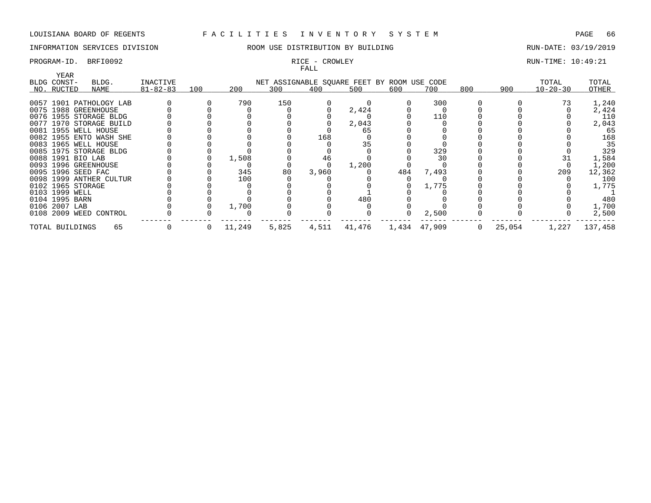# INFORMATION SERVICES DIVISION **REDEFILMENTION BY SULLANG RUN-DATE: 03/19/2019** RUN-DATE: 03/19/2019

# FALL

## PROGRAM-ID. BRFI0092 **RICE - CROWLEY RUN-TIME:** 10:49:21

| YEAR               |                         |                |     |        |                                             |       |        |     |              |     |        |                |         |
|--------------------|-------------------------|----------------|-----|--------|---------------------------------------------|-------|--------|-----|--------------|-----|--------|----------------|---------|
| BLDG CONST-        | BLDG.                   | INACTIVE       |     |        | NET ASSIGNABLE SQUARE FEET BY ROOM USE CODE |       |        |     |              |     |        | TOTAL          | TOTAL   |
| NO. RUCTED         | NAME                    | $81 - 82 - 83$ | 100 | 200    | 300                                         | 400   | 500    | 600 | 700          | 800 | 900    | $10 - 20 - 30$ | OTHER   |
|                    |                         |                |     |        |                                             |       |        |     |              |     |        |                |         |
|                    | 0057 1901 PATHOLOGY LAB |                |     | 790    | 150                                         |       |        |     | 300          |     |        |                | 1,240   |
|                    | 0075 1988 GREENHOUSE    |                |     |        |                                             |       | 2,424  |     |              |     |        |                | 2,424   |
|                    | 0076 1955 STORAGE BLDG  |                |     |        |                                             |       |        |     | 110          |     |        |                | 110     |
|                    | 0077 1970 STORAGE BUILD |                |     |        |                                             |       | 2,043  |     |              |     |        |                | 2,043   |
|                    | 0081 1955 WELL HOUSE    |                |     |        |                                             |       | 65     |     |              |     |        |                | 65      |
|                    | 0082 1955 ENTO WASH SHE |                |     |        |                                             | 168   |        |     |              |     |        |                | 168     |
|                    | 0083 1965 WELL HOUSE    |                |     |        |                                             |       | 35     |     |              |     |        |                | 35      |
|                    | 0085 1975 STORAGE BLDG  |                |     |        |                                             |       |        |     | 329          |     |        |                | 329     |
| 0088 1991 BIO LAB  |                         |                |     | 1,508  |                                             | 46    |        |     | 30           |     |        |                | 1,584   |
|                    | 0093 1996 GREENHOUSE    |                |     |        |                                             |       | 1,200  |     |              |     |        |                | 1,200   |
| 0095 1996 SEED FAC |                         |                |     | 345    | 80                                          | 3,960 |        | 484 | 7,493        |     |        | 209            | 12,362  |
|                    | 0098 1999 ANTHER CULTUR |                |     | 100    |                                             |       |        |     |              |     |        |                | 100     |
| 0102 1965 STORAGE  |                         |                |     |        |                                             |       |        |     | 1,775        |     |        |                | 1,775   |
| 0103 1999 WELL     |                         |                |     |        |                                             |       |        |     |              |     |        |                |         |
| 0104 1995 BARN     |                         |                |     |        |                                             |       | 480    |     |              |     |        |                | 480     |
| 0106 2007 LAB      |                         |                |     | 1,700  |                                             |       |        |     |              |     |        |                | 1,700   |
|                    | 0108 2009 WEED CONTROL  |                |     |        |                                             |       |        |     | 2,500        |     |        |                | 2,500   |
| TOTAL BUILDINGS    | 65                      |                |     | 11,249 | 5,825                                       | 4,511 | 41,476 |     | 1,434 47,909 |     | 25,054 | 1,227          | 137,458 |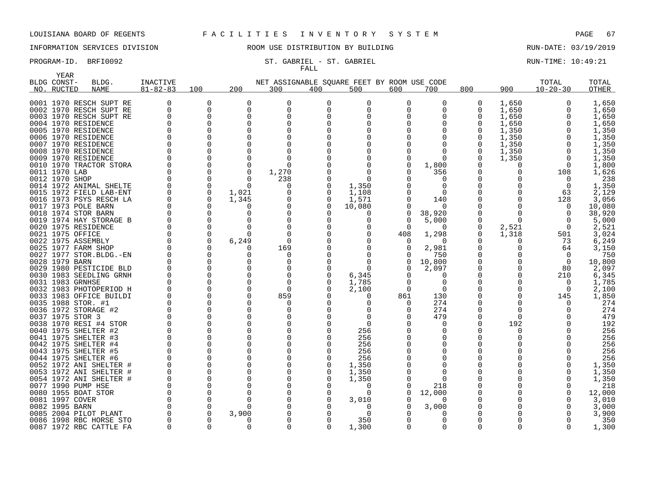YEAR

# INFORMATION SERVICES DIVISION **RECOMEN** ROOM USE DISTRIBUTION BY BUILDING **RUN-DATE: 03/19/2019**

### PROGRAM-ID. BRFI0092 ST. GABRIEL - ST. GABRIEL COMPUTIME: 10:49:21 FALL

| BLDG CONST-          | BLDG.                      | <b>INACTIVE</b> |          |              | NET ASSIGNABLE SQUARE FEET BY ROOM USE CODE |          |          |              |          |              |          | TOTAL          | TOTAL  |
|----------------------|----------------------------|-----------------|----------|--------------|---------------------------------------------|----------|----------|--------------|----------|--------------|----------|----------------|--------|
| NO. RUCTED           | <b>NAME</b>                | $81 - 82 - 83$  | 100      | 200          | 300                                         | 400      | 500      | 600          | 700      | 800          | 900      | $10 - 20 - 30$ | OTHER  |
|                      | 0001 1970 RESCH SUPT RE    | 0               | $\Omega$ | <sup>0</sup> | <sup>0</sup>                                | $\Omega$ | 0        | 0            | 0        | 0            | 1,650    |                | 1,650  |
|                      | 0002 1970 RESCH SUPT RE    | $\Omega$        | $\Omega$ | $\Omega$     | $\Omega$                                    | $\Omega$ |          | $\Omega$     | $\Omega$ | 0            | 1,650    | 0              | 1,650  |
|                      | 0003 1970 RESCH SUPT RE    | $\Omega$        | $\Omega$ | $\cap$       | $\cap$                                      |          |          | O            | O        | 0            | 1,650    |                | 1,650  |
| 0004 1970 RESIDENCE  |                            | $\Omega$        | $\Omega$ |              |                                             |          |          |              | O        | <sup>0</sup> | 1,650    |                | 1,650  |
| 0005 1970 RESIDENCE  |                            | U               | 0        |              |                                             |          |          |              |          | 0            | 1,350    |                | 1,350  |
| 0006 1970 RESIDENCE  |                            | U               |          |              |                                             |          |          |              |          | U            | 1,350    |                | 1,350  |
| 0007 1970 RESIDENCE  |                            |                 | 0        |              |                                             |          |          |              |          | 0            | 1,350    |                | 1,350  |
| 0008 1970 RESIDENCE  |                            |                 |          |              |                                             |          |          |              |          | <sup>0</sup> | 1,350    |                | 1,350  |
| 0009 1970 RESIDENCE  |                            | U               | ∩        |              | ∩                                           |          |          | 0            | ∩        | <sup>0</sup> | 1,350    | $\Omega$       | 1,350  |
|                      | 0010 1970 TRACTOR STORA    |                 | ∩        |              | $\Omega$                                    |          |          | 0            | 1,800    | U            | O        | $\Omega$       | 1,800  |
| 0011 1970 LAB        |                            |                 | 0        |              |                                             |          |          |              |          | O            |          |                |        |
|                      |                            |                 |          |              | 1,270                                       |          |          |              | 356      |              |          | 108            | 1,626  |
| 0012 1970 SHOP       |                            |                 | 0        | ∩            | 238                                         |          | $\Omega$ |              |          | ∩            |          |                | 238    |
|                      | 0014 1972 ANIMAL SHELTE    | $\Omega$        | $\Omega$ |              | O                                           |          | 1,350    |              | $\Omega$ | O            |          | $\Omega$       | 1,350  |
|                      | 0015 1972 FIELD LAB-ENT    | O               | $\Omega$ | 1,021        |                                             |          | 1,108    |              | $\Omega$ | ∩            |          | 63             | 2,129  |
|                      | 0016 1973 PSYS RESCH LA    | $\Omega$        | $\Omega$ | 1,345        | 0                                           |          | 1,571    |              | 140      |              |          | 128            | 3,056  |
| 0017 1973 POLE BARN  |                            | O               | 0        |              | O                                           |          | 10,080   | 0            | $\Omega$ | O            |          |                | 10,080 |
| 0018 1974 STOR BARN  |                            | $\Omega$        | 0        |              |                                             |          | O        | 0            | 38,920   | $\Omega$     | O        | $\Omega$       | 38,920 |
|                      | 0019 1974 HAY STORAGE B    |                 | $\Omega$ |              |                                             |          |          | 0            | 5,000    | 0            | $\Omega$ |                | 5,000  |
| 0020 1975 RESIDENCE  |                            | $\Omega$        | 0        |              |                                             |          |          | $\Omega$     | $\Omega$ | 0            | 2,521    | $\Omega$       | 2,521  |
| 0021 1975 OFFICE     |                            | $\Omega$        | $\Omega$ |              | $\Omega$                                    |          |          | 408          | 1,298    | 0            | 1,318    | 501            | 3,024  |
| 0022 1975 ASSEMBLY   |                            | $\Omega$        | $\Omega$ | 6,249        | $\Omega$                                    |          |          | 0            | $\Omega$ |              | O        | 73             | 6,249  |
| 0025 1977 FARM SHOP  |                            | $\Omega$        | $\Omega$ |              | 169                                         |          |          | 0            | 2,981    |              |          | 64             | 3,150  |
|                      | 0027 1977 STOR. BLDG. - EN |                 | $\Omega$ |              | $\Omega$                                    |          |          |              | 750      | O            |          | $\Omega$       | 750    |
| 0028 1979 BARN       |                            |                 | $\Omega$ |              | 0                                           |          |          | 0            | 10,800   |              |          | 0              | 10,800 |
|                      | 0029 1980 PESTICIDE BLD    |                 | $\Omega$ |              | O                                           |          | $\Omega$ | <sup>0</sup> | 2,097    | O            |          | 80             | 2,097  |
|                      | 0030 1983 SEEDLING GRNH    | $\Omega$        | $\Omega$ |              | $\Omega$                                    |          | 6,345    |              | O        |              |          | 210            | 6,345  |
| 0031 1983 GRNHSE     |                            |                 | $\Omega$ |              | $\Omega$                                    |          | 1,785    | 0            | O        | O            |          |                | 1,785  |
|                      | 0032 1983 PHOTOPERIOD H    | $\Omega$        | 0        |              | $\Omega$                                    |          | 2,100    | $\Omega$     | $\Omega$ |              | O        | $\Omega$       | 2,100  |
|                      | 0033 1983 OFFICE BUILDI    | ∩               | $\Omega$ |              | 859                                         |          | n        | 861          | 130      |              | ∩        | 145            | 1,850  |
| 0035 1988 STOR. #1   |                            | $\Omega$        | $\Omega$ |              | -0                                          |          | ∩        | 0            | 274      |              | ∩        |                | 274    |
|                      | 0036 1972 STORAGE #2       |                 | $\Omega$ |              | O                                           |          |          | 0            | 274      | O            | O        |                | 274    |
| 0037 1975 STOR 3     |                            |                 | $\Omega$ |              |                                             |          |          |              | 479      | O            | O        |                | 479    |
|                      | 0038 1970 RESI #4 STOR     |                 | 0        |              |                                             |          | $\Omega$ |              | O        | O            | 192      |                | 192    |
| 0040 1975 SHELTER #2 |                            | ∩               | $\Omega$ |              |                                             |          | 256      |              | O        |              |          |                | 256    |
| 0041 1975 SHELTER #3 |                            | ∩               | 0        |              |                                             |          | 256      |              | O        |              |          |                | 256    |
| 0042 1975 SHELTER #4 |                            |                 |          |              |                                             |          | 256      |              |          |              |          |                | 256    |
| 0043 1975 SHELTER #5 |                            | ∩               | $\Omega$ |              |                                             |          | 256      |              |          |              |          |                | 256    |
| 0044 1975 SHELTER #6 |                            |                 | $\Omega$ |              |                                             |          | 256      |              |          |              |          |                | 256    |
|                      | 0052 1972 ANI SHELTER #    |                 | $\Omega$ |              |                                             |          | 1,350    |              |          |              |          |                | 1,350  |
|                      | 0053 1972 ANI SHELTER #    |                 | 0        |              |                                             |          | 1,350    |              | O        |              |          |                | 1,350  |
|                      | 0054 1972 ANI SHELTER #    | $\Omega$        | $\Omega$ |              |                                             |          | 1,350    |              | $\Omega$ |              |          |                | 1,350  |
| 0077 1990 PUMP HSE   |                            |                 | 0        |              |                                             |          | $\Omega$ |              | 218      |              |          |                | 218    |
| 0080 1955 BOAT STOR  |                            | $\Omega$        | $\Omega$ |              |                                             |          | $\Omega$ | <sup>0</sup> | 12,000   |              |          |                | 12,000 |
| 0081 1997 COVER      |                            |                 | $\Omega$ |              |                                             |          | 3,010    |              | O        |              |          |                | 3,010  |
| 0082 1995 BARN       |                            | $\Omega$        | 0        |              |                                             |          | 0        |              | 3,000    |              |          |                | 3,000  |
|                      | 0085 2004 PILOT PLANT      |                 | $\Omega$ | 3,900        |                                             |          | $\Omega$ |              | O        |              |          |                | 3,900  |
|                      | 0086 1998 RBC HORSE STO    | $\Omega$        | $\Omega$ |              |                                             |          | 350      |              | 0        |              |          |                | 350    |
|                      | 0087 1972 RBC CATTLE FA    | $\Omega$        | $\Omega$ | $\Omega$     | $\Omega$                                    |          | 1,300    | $\Omega$     | 0        | $\Omega$     | $\Omega$ | $\Omega$       | 1,300  |

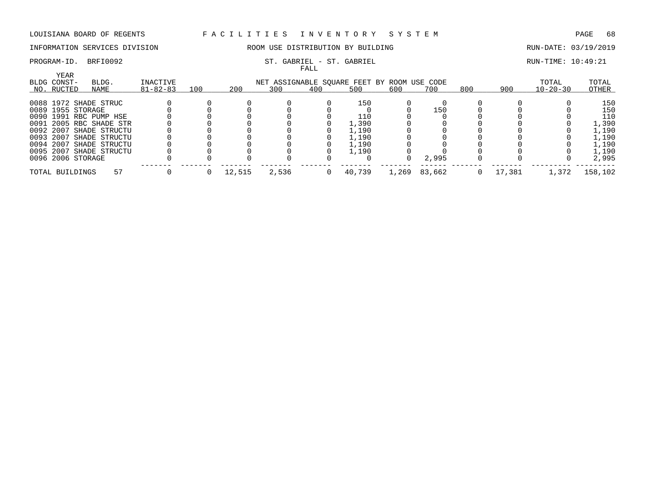# INFORMATION SERVICES DIVISION **ROOM USE DISTRIBUTION BY BUILDING RUN-DATE: 03/19/2019**

### PROGRAM-ID. BRFI0092 ST. GABRIEL - ST. GABRIEL - ST. GABRIEL SERET SALL RUN-TIME: 10:49:21 FALL

| YEAR              |                         |                |     |        |       | ----- |                                             |       |        |     |        |                |         |
|-------------------|-------------------------|----------------|-----|--------|-------|-------|---------------------------------------------|-------|--------|-----|--------|----------------|---------|
| BLDG CONST-       | BLDG.                   | INACTIVE       |     |        |       |       | NET ASSIGNABLE SQUARE FEET BY ROOM USE CODE |       |        |     |        | TOTAL          | TOTAL   |
| NO. RUCTED        | NAME                    | $81 - 82 - 83$ | 100 | 200    | 300   | 400   | 500                                         | 600   | 700    | 800 | 900    | $10 - 20 - 30$ | OTHER   |
|                   | 0088 1972 SHADE STRUC   |                |     |        |       |       | 150                                         |       |        |     |        |                | 150     |
| 0089 1955 STORAGE |                         |                |     |        |       |       |                                             |       | 150    |     |        |                | 150     |
|                   | 0090 1991 RBC PUMP HSE  |                |     |        |       |       | 110                                         |       |        |     |        |                | 110     |
|                   | 0091 2005 RBC SHADE STR |                |     |        |       |       | 1,390                                       |       |        |     |        |                | 1,390   |
|                   | 0092 2007 SHADE STRUCTU |                |     |        |       |       | 1,190                                       |       |        |     |        |                | 1,190   |
|                   | 0093 2007 SHADE STRUCTU |                |     |        |       |       | 1,190                                       |       |        |     |        |                | 1,190   |
|                   | 0094 2007 SHADE STRUCTU |                |     |        |       |       | 1,190                                       |       |        |     |        |                | 1,190   |
|                   | 0095 2007 SHADE STRUCTU |                |     |        |       |       | 1,190                                       |       |        |     |        |                | 1,190   |
| 0096 2006 STORAGE |                         |                |     |        |       |       |                                             |       | 2,995  |     |        |                | 2,995   |
| TOTAL BUILDINGS   | 57                      |                |     | 12,515 | 2,536 |       | 40,739                                      | 1,269 | 83,662 |     | 17,381 | 1,372          | 158,102 |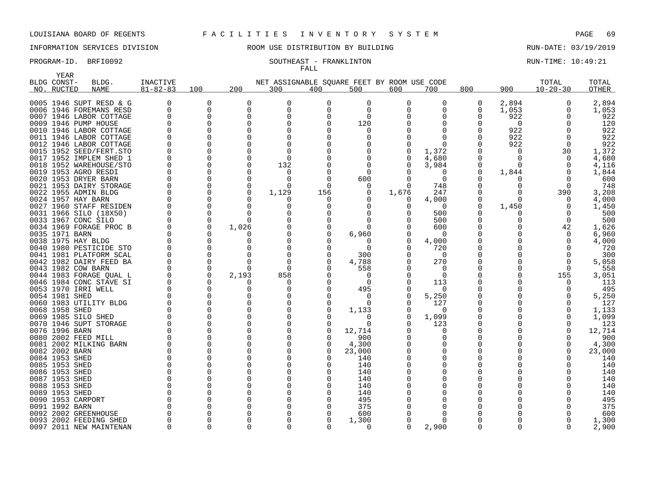YEAR

# INFORMATION SERVICES DIVISION THE ROOM USE DISTRIBUTION BY BUILDING THE RUN-DATE: 03/19/2019

# FALL

### PROGRAM-ID. BRFI0092 SOUTHEAST - FRANKLINTON RUN-TIME: 10:49:21

|      | BLDG CONST-         | BLDG.                   | <b>INACTIVE</b> |              |              | NET ASSIGNABLE SQUARE FEET BY ROOM USE CODE |          |          |          |          |          |              | TOTAL          | TOTAL  |
|------|---------------------|-------------------------|-----------------|--------------|--------------|---------------------------------------------|----------|----------|----------|----------|----------|--------------|----------------|--------|
|      | NO. RUCTED          | <b>NAME</b>             | $81 - 82 - 83$  | 100          | 200          | 300                                         | 400      | 500      | 600      | 700      | 800      | 900          | $10 - 20 - 30$ | OTHER  |
|      |                     | 0005 1946 SUPT RESD & G | $\Omega$        | 0            | $\Omega$     | $\Omega$                                    | O        | 0        | $\Omega$ | O        | 0        | 2,894        | 0              | 2,894  |
|      |                     | 0006 1946 FOREMANS RESD | $\Omega$        | $\Omega$     | $\Omega$     | $\Omega$                                    | $\Omega$ | $\Omega$ |          |          | $\Omega$ | 1,053        | 0              | 1,053  |
|      |                     | 0007 1946 LABOR COTTAGE | $\Omega$        | $\Omega$     | $\Omega$     | O                                           | U        | $\Omega$ |          |          | 0        | 922          | <sup>0</sup>   | 922    |
|      |                     | 0009 1946 PUMP HOUSE    |                 | $\Omega$     | $\Omega$     |                                             |          | 120      |          |          |          | 0            |                | 120    |
|      |                     | 0010 1946 LABOR COTTAGE |                 | $\Omega$     | <sup>n</sup> |                                             |          | O        |          |          |          | 922          |                | 922    |
|      |                     | 0011 1946 LABOR COTTAGE |                 | $\Omega$     |              |                                             |          |          |          |          |          | 922          | ∩              | 922    |
|      |                     | 0012 1946 LABOR COTTAGE |                 | $\Omega$     |              |                                             |          |          |          |          |          | 922          | $\Omega$       | 922    |
|      |                     | 0015 1952 SEED/FERT.STO |                 | $\Omega$     |              |                                             |          |          |          | 1,372    |          | 0            | 30             | 1,372  |
|      |                     | 0017 1952 IMPLEM SHED 1 |                 | $\Omega$     | $\Omega$     | $\Omega$                                    |          |          |          | 4,680    |          | 0            | $\Omega$       | 4,680  |
|      |                     | 0018 1952 WAREHOUSE/STO |                 | $\Omega$     | $\Omega$     | 132                                         |          | $\Omega$ |          | 3,984    |          | $\Omega$     | $\Omega$       | 4,116  |
|      |                     | 0019 1953 AGRO RESDI    |                 | $\Omega$     | $\Omega$     | O                                           |          | $\Omega$ |          |          |          | 1,844        | <sup>0</sup>   | 1,844  |
|      |                     | 0020 1953 DRYER BARN    |                 | $\Omega$     | $\Omega$     |                                             |          | 600      |          | $\Omega$ |          | 0            | $\Omega$       | 600    |
| 0021 |                     | 1953 DAIRY STORAGE      |                 | $\Omega$     | $\Omega$     | $\cap$                                      | -0       | 0        |          | 748      |          | <sup>0</sup> | $\Omega$       | 748    |
|      |                     | 0022 1955 ADMIN BLDG    |                 | $\Omega$     | $\Omega$     | 1,129                                       | 156      | 0        | 1,676    | 247      |          | O            | 390            | 3,208  |
|      | 0024 1957 HAY BARN  |                         |                 | $\Omega$     | ∩            |                                             | O        |          |          | 4,000    | 0        | 0            | $\Omega$       | 4,000  |
|      |                     | 0027 1960 STAFF RESIDEN |                 | $\Omega$     | <sup>0</sup> | O                                           |          | $\Omega$ |          | $\Omega$ | 0        | 1,450        | $\Omega$       | 1,450  |
|      |                     | 0031 1966 SILO (18X50)  |                 | $\mathbf 0$  | $\Omega$     |                                             |          |          |          | 500      |          | O            | $\Omega$       | 500    |
|      | 0033 1967 CONC SILO |                         |                 | $\mathbf 0$  | $\Omega$     |                                             |          |          |          | 500      |          | 0            | $\Omega$       | 500    |
|      |                     | 0034 1969 FORAGE PROC B |                 | $\mathbf 0$  | 1,026        |                                             |          |          |          | 600      |          |              | 42             | 1,626  |
|      | 0035 1971 BARN      |                         |                 | $\Omega$     | <sup>n</sup> |                                             |          | 6,960    |          | $\Omega$ |          |              | $\Omega$       | 6,960  |
|      | 0038 1975 HAY BLDG  |                         |                 | $\Omega$     |              |                                             |          |          |          | 4,000    |          |              | $\Omega$       | 4,000  |
|      |                     | 0040 1980 PESTICIDE STO |                 | $\mathbf 0$  |              |                                             |          | $\Omega$ |          | 720      |          |              | <sup>0</sup>   | 720    |
|      |                     | 0041 1981 PLATFORM SCAL |                 | 0            |              |                                             |          | 300      |          | $\cap$   |          |              | $\Omega$       | 300    |
|      |                     | 0042 1982 DAIRY FEED BA |                 | $\mathbf 0$  |              | $\Omega$                                    |          | 4,788    |          | 270      |          |              | $\mathbf 0$    | 5,058  |
|      | 0043 1982 COW BARN  |                         |                 | $\Omega$     |              |                                             |          | 558      |          |          |          | O            | $\Omega$       | 558    |
|      |                     | 0044 1983 FORAGE QUAL L |                 | $\Omega$     | 2,193        | 858                                         |          | 0        |          | - 0      |          |              | 155            | 3,051  |
|      |                     | 0046 1984 CONC STAVE SI |                 | $\Omega$     |              |                                             |          | $\Omega$ |          | 113      |          |              |                | 113    |
|      | 0053 1970 IRRI WELL |                         |                 | $\Omega$     | $\Omega$     | O                                           | $\Omega$ | 495      |          | $\Omega$ |          |              | <sup>0</sup>   | 495    |
|      | 0054 1981 SHED      |                         |                 | $\Omega$     | ∩            |                                             |          | $\Omega$ |          | 5,250    |          |              |                | 5,250  |
|      |                     | 0060 1983 UTILITY BLDG  |                 | $\Omega$     | $\cap$       |                                             | ∩        | $\Omega$ |          | 127      |          |              | ∩              | 127    |
|      | 0068 1958 SHED      |                         |                 | $\Omega$     | $\Omega$     |                                             | O        | 1,133    |          | n        |          |              | ∩              | 1,133  |
|      | 0069 1985 SILO SHED |                         |                 | $\Omega$     | $\Omega$     |                                             |          | $\Omega$ |          | 1,099    |          |              | $\cap$         | 1,099  |
|      |                     | 0070 1946 SUPT STORAGE  |                 | $\Omega$     | <sup>n</sup> |                                             | O        | $\Omega$ |          | 123      |          |              | $\Omega$       | 123    |
|      | 0076 1996 BARN      |                         |                 | $\Omega$     | $\Omega$     |                                             | $\Omega$ | 12,714   |          |          |          |              | $\Omega$       | 12,714 |
|      | 0080 2002 FEED MILL |                         |                 | $\Omega$     | $\Omega$     |                                             | $\Omega$ | 900      |          |          |          |              | ∩              | 900    |
|      |                     | 0081 2002 MILKING BARN  |                 | $\Omega$     | $\Omega$     |                                             | $\Omega$ | 4,300    |          |          |          |              | $\Omega$       | 4,300  |
|      | 0082 2002 BARN      |                         |                 | $\Omega$     | $\Omega$     |                                             | 0        | 23,000   |          |          |          |              | $\Omega$       | 23,000 |
|      | 0084 1953 SHED      |                         |                 | 0            | <sup>0</sup> |                                             |          | 140      |          |          |          |              |                | 140    |
|      | 0085 1953 SHED      |                         |                 | <sup>0</sup> | $\Omega$     |                                             | O        | 140      |          |          |          |              |                | 140    |
|      | 0086 1953 SHED      |                         |                 | 0            | <sup>n</sup> |                                             | O        | 140      |          |          |          |              |                | 140    |
|      | 0087 1953 SHED      |                         | $\Omega$        | <sup>0</sup> | $\cap$       |                                             |          | 140      |          |          |          |              |                | 140    |
|      | 0088 1953 SHED      |                         | $\Omega$        | 0            | <sup>n</sup> |                                             |          | 140      |          |          |          |              |                | 140    |
|      | 0089 1953 SHED      |                         |                 | 0            | $\Omega$     |                                             |          | 140      |          |          |          |              |                | 140    |
|      | 0090 1953 CARPORT   |                         |                 | $\Omega$     | $\cap$       |                                             |          | 495      |          |          |          |              |                | 495    |
| 0091 | 1992 BARN           |                         |                 | $\Omega$     | $\Omega$     |                                             |          | 375      |          |          |          |              |                | 375    |
|      |                     | 0092 2002 GREENHOUSE    |                 | $\Omega$     |              |                                             |          | 600      |          |          |          |              |                | 600    |
|      |                     | 0093 2002 FEEDING SHED  |                 | $\Omega$     | <sup>n</sup> |                                             |          | 1,300    |          |          |          |              |                | 1,300  |
|      |                     | 0097 2011 NEW MAINTENAN | $\Omega$        | $\Omega$     | $\Omega$     | $\Omega$                                    | ∩        | $\Omega$ | $\Omega$ | 2,900    | $\Omega$ | <sup>0</sup> | $\Omega$       | 2,900  |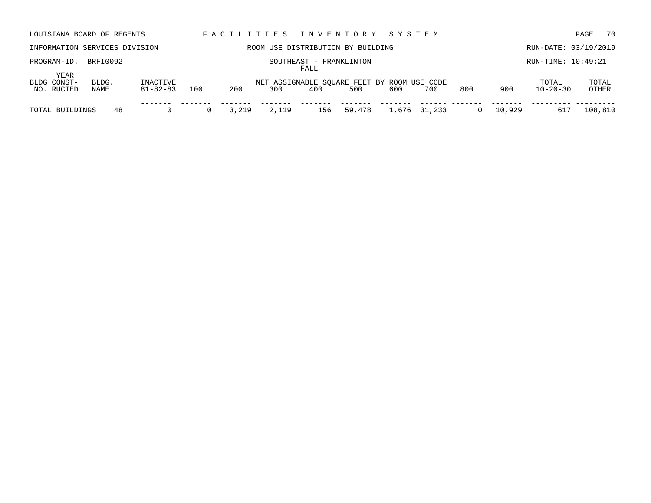| LOUISIANA BOARD OF REGENTS        |               |                      |     |       |       |                                 | FACILITIES INVENTORY                               | SYSTEM |              |     |        |                         | 70<br>PAGE     |
|-----------------------------------|---------------|----------------------|-----|-------|-------|---------------------------------|----------------------------------------------------|--------|--------------|-----|--------|-------------------------|----------------|
| INFORMATION SERVICES DIVISION     |               |                      |     |       |       |                                 | ROOM USE DISTRIBUTION BY BUILDING                  |        |              |     |        | RUN-DATE: 03/19/2019    |                |
| PROGRAM-ID.                       | BRFI0092      |                      |     |       |       | SOUTHEAST - FRANKLINTON<br>FALL |                                                    |        |              |     |        | RUN-TIME: 10:49:21      |                |
| YEAR<br>BLDG CONST-<br>NO. RUCTED | BLDG.<br>NAME | INACTIVE<br>81-82-83 | 100 | 200   | 300   | 400                             | NET ASSIGNABLE SQUARE FEET BY ROOM USE CODE<br>500 | 600    | 700          | 800 | 900    | TOTAL<br>$10 - 20 - 30$ | TOTAL<br>OTHER |
| TOTAL BUILDINGS                   | 48            |                      |     | 3,219 | 2,119 | 156                             | 59,478                                             |        | 1,676 31,233 |     | 10,929 | 617                     | 108,810        |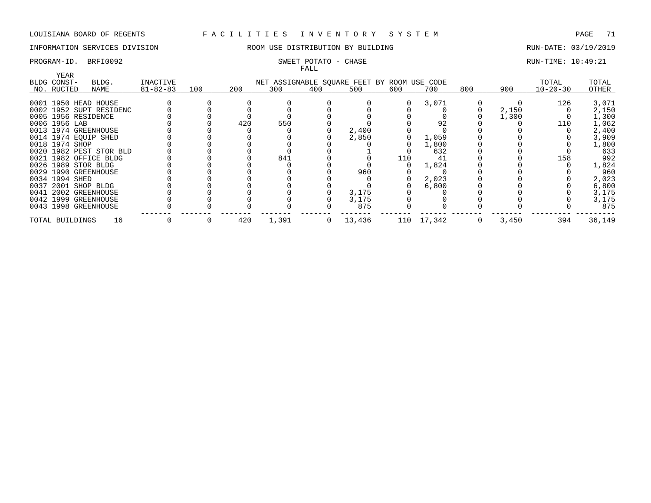# INFORMATION SERVICES DIVISION **ROOM USE DISTRIBUTION BY BUILDING RUN-DATE: 03/19/2019**

### PROGRAM-ID. BRFI0092 SWEET POTATO - CHASE SERVICES SOMET POTATO - CHASE RUN-TIME: 10:49:21 FALL

| <b>YEAR</b>          |                         |                |     |     |       | r uma        |                                             |     |            |     |       |                |        |
|----------------------|-------------------------|----------------|-----|-----|-------|--------------|---------------------------------------------|-----|------------|-----|-------|----------------|--------|
| BLDG CONST-          | BLDG.                   | INACTIVE       |     |     |       |              | NET ASSIGNABLE SQUARE FEET BY ROOM USE CODE |     |            |     |       | TOTAL          | TOTAL  |
| NO. RUCTED           | NAME                    | $81 - 82 - 83$ | 100 | 200 | 300   | 400          | 500                                         | 600 | 700        | 800 | 900   | $10 - 20 - 30$ | OTHER  |
|                      |                         |                |     |     |       |              |                                             |     |            |     |       |                |        |
| 0001 1950 HEAD HOUSE |                         |                |     |     |       |              |                                             |     | 3,071      |     |       | 126            | 3,071  |
|                      | 0002 1952 SUPT RESIDENC |                |     |     |       |              |                                             |     |            |     | 2,150 |                | 2,150  |
| 0005 1956 RESIDENCE  |                         |                |     |     |       |              |                                             |     |            |     | 1,300 |                | 1,300  |
| 0006 1956 LAB        |                         |                |     | 420 | 550   |              |                                             |     | 92         |     |       | 110            | 1,062  |
| 0013 1974 GREENHOUSE |                         |                |     |     |       |              | 2,400                                       |     |            |     |       |                | 2,400  |
| 0014 1974 EQUIP SHED |                         |                |     |     |       |              | 2,850                                       |     | 1,059      |     |       |                | 3,909  |
| 0018 1974 SHOP       |                         |                |     |     |       |              |                                             |     | 1,800      |     |       |                | 1,800  |
|                      | 0020 1982 PEST STOR BLD |                |     |     |       |              |                                             |     | 632        |     |       |                | 633    |
|                      | 0021 1982 OFFICE BLDG   |                |     |     | 841   |              |                                             | 110 | 41         |     |       | 158            | 992    |
| 0026 1989 STOR BLDG  |                         |                |     |     |       |              |                                             |     | 1,824      |     |       |                | 1,824  |
| 0029 1990 GREENHOUSE |                         |                |     |     |       |              | 960                                         |     |            |     |       |                | 960    |
| 0034 1994 SHED       |                         |                |     |     |       |              |                                             |     | 2,023      |     |       |                | 2,023  |
| 0037 2001 SHOP BLDG  |                         |                |     |     |       |              |                                             |     | 6,800      |     |       |                | 6,800  |
| 0041 2002 GREENHOUSE |                         |                |     |     |       |              | 3,175                                       |     |            |     |       |                | 3,175  |
| 0042 1999 GREENHOUSE |                         |                |     |     |       |              | 3,175                                       |     |            |     |       |                | 3,175  |
| 0043 1998 GREENHOUSE |                         |                |     |     |       |              | 875                                         |     |            |     |       |                | 875    |
| TOTAL BUILDINGS      | 16                      |                |     | 420 | 1,391 | $\mathbf{0}$ | 13,436                                      |     | 110 17,342 | 0   | 3,450 | 394            | 36,149 |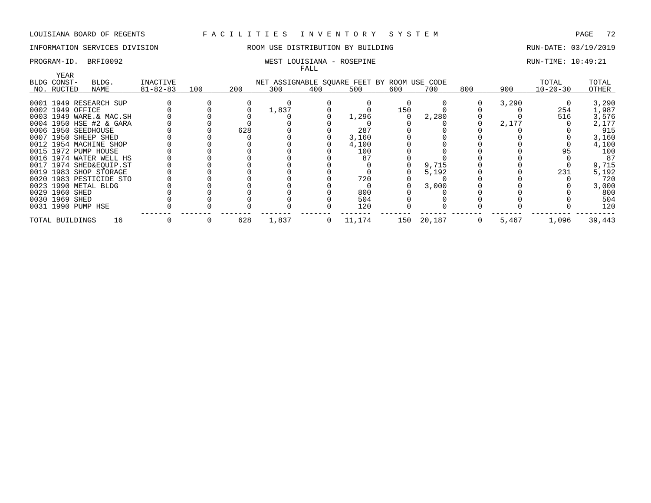# INFORMATION SERVICES DIVISION ROOM USE DISTRIBUTION BY BUILDING RUN-DATE: 03/19/2019

### PROGRAM-ID. BRFI0092 WEST LOUISIANA - ROSEPINE RUN-TIME: 10:49:21 FALL

| YEAR                |                         |                |     |     |       |     |                                             |     |        |     |       |                |        |
|---------------------|-------------------------|----------------|-----|-----|-------|-----|---------------------------------------------|-----|--------|-----|-------|----------------|--------|
| BLDG CONST-         | BLDG.                   | INACTIVE       |     |     |       |     | NET ASSIGNABLE SQUARE FEET BY ROOM USE CODE |     |        |     |       | TOTAL          | TOTAL  |
| NO. RUCTED          | NAME                    | $81 - 82 - 83$ | 100 | 200 | 300   | 400 | 500                                         | 600 | 700    | 800 | 900   | $10 - 20 - 30$ | OTHER  |
|                     |                         |                |     |     |       |     |                                             |     |        |     |       |                |        |
|                     | 0001 1949 RESEARCH SUP  |                |     |     |       |     |                                             |     |        |     | 3,290 |                | 3,290  |
| 0002 1949 OFFICE    |                         |                |     |     | 1,837 |     |                                             | 150 |        |     |       | 254            | 1,987  |
|                     | 0003 1949 WARE.& MAC.SH |                |     |     |       |     | 1,296                                       |     | 2,280  |     |       | 516            | 3,576  |
|                     | 0004 1950 HSE #2 & GARA |                |     |     |       |     |                                             |     |        |     | 2,177 |                | 2,177  |
| 0006 1950 SEEDHOUSE |                         |                |     | 628 |       |     | 287                                         |     |        |     |       |                | 915    |
|                     | 0007 1950 SHEEP SHED    |                |     |     |       |     | 3,160                                       |     |        |     |       |                | 3,160  |
|                     | 0012 1954 MACHINE SHOP  |                |     |     |       |     | 4,100                                       |     |        |     |       |                | 4,100  |
|                     | 0015 1972 PUMP HOUSE    |                |     |     |       |     | 100                                         |     |        |     |       | 95             | 100    |
|                     | 0016 1974 WATER WELL HS |                |     |     |       |     |                                             |     |        |     |       |                | 87     |
|                     | 0017 1974 SHED&EQUIP.ST |                |     |     |       |     |                                             |     | 9,715  |     |       |                | 9,715  |
|                     | 0019 1983 SHOP STORAGE  |                |     |     |       |     |                                             |     | 5,192  |     |       | 231            | 5,192  |
|                     | 0020 1983 PESTICIDE STO |                |     |     |       |     | 720                                         |     |        |     |       |                | 720    |
|                     | 0023 1990 METAL BLDG    |                |     |     |       |     |                                             |     | 3,000  |     |       |                | 3,000  |
| 0029 1960 SHED      |                         |                |     |     |       |     | 800                                         |     |        |     |       |                | 800    |
| 0030 1969 SHED      |                         |                |     |     |       |     | 504                                         |     |        |     |       |                | 504    |
| 0031 1990 PUMP HSE  |                         |                |     |     |       |     | 120                                         |     |        |     |       |                | 120    |
| TOTAL BUILDINGS     | 16                      |                |     | 628 | 1,837 | 0   | 11,174                                      | 150 | 20,187 |     | 5,467 | 1,096          | 39,443 |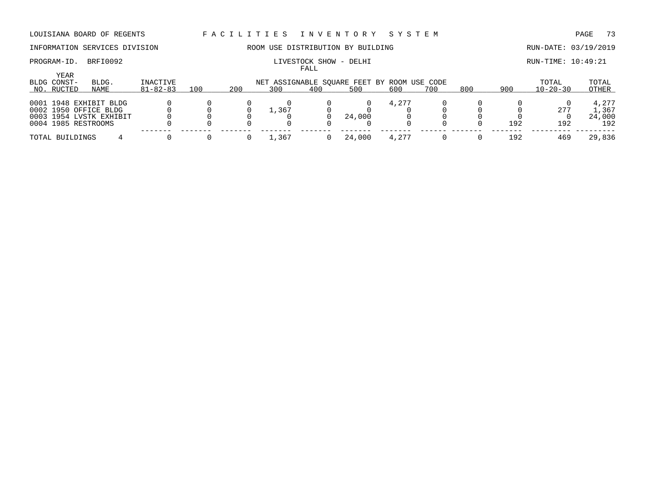# INFORMATION SERVICES DIVISION ROOM USE DISTRIBUTION BY BUILDING RUN-DATE: 03/19/2019

FALL

# PROGRAM-ID. BRFI0092 **EXAM-ID.** BRFI0092 **RUN-TIME: 10:49:21**

| YEAR<br>BLDG CONST- | BLDG.                   | INACTIVE       |     |     |       |     | NET ASSIGNABLE SQUARE FEET BY ROOM USE CODE |       |     |     |     | TOTAL          | TOTAL  |
|---------------------|-------------------------|----------------|-----|-----|-------|-----|---------------------------------------------|-------|-----|-----|-----|----------------|--------|
| NO. RUCTED          | NAME                    | $81 - 82 - 83$ | 100 | 200 | 300   | 400 | 500                                         | 600   | 700 | 800 | 900 | $10 - 20 - 30$ | OTHER  |
|                     | 0001 1948 EXHIBIT BLDG  |                |     |     |       |     |                                             | 4,277 |     |     |     |                | 4,277  |
|                     | 0002 1950 OFFICE BLDG   |                |     |     | ⊥,367 |     |                                             |       |     |     |     | 277            | L,367  |
|                     | 0003 1954 LVSTK EXHIBIT |                |     |     |       |     | 24,000                                      |       |     |     |     |                | 24,000 |
| 0004 1985 RESTROOMS |                         |                |     |     |       |     |                                             |       |     |     | 192 | 192            | 192    |
| TOTAL BUILDINGS     |                         |                |     |     | 367,  |     | 24,000                                      |       |     |     | 192 | 469            | 29,836 |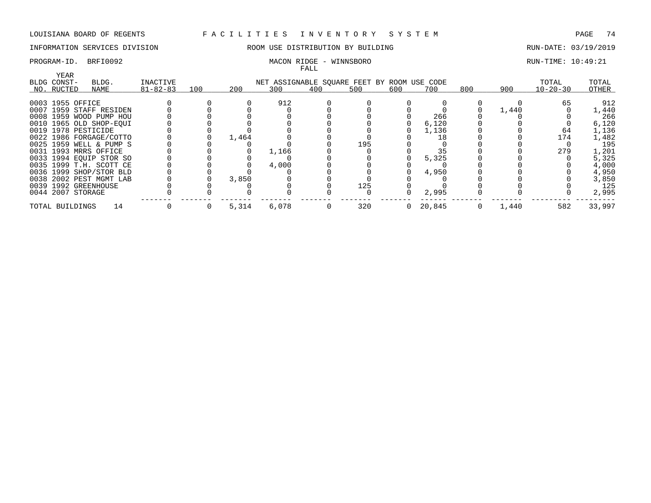# INFORMATION SERVICES DIVISION ROOM USE DISTRIBUTION BY BUILDING RUN-DATE: 03/19/2019

### PROGRAM-ID. BRFI0092 CONSERVATION: MACON RIDGE - WINNSBORO CONSERVATION: RUN-TIME: 10:49:21 FALL

| YEAR                  |                         |                |     |       |                                             | r unu |     |                |        |     |       |                |        |
|-----------------------|-------------------------|----------------|-----|-------|---------------------------------------------|-------|-----|----------------|--------|-----|-------|----------------|--------|
| BLDG CONST-           | BLDG.                   | INACTIVE       |     |       | NET ASSIGNABLE SQUARE FEET BY ROOM USE CODE |       |     |                |        |     |       | TOTAL          | TOTAL  |
| NO. RUCTED            | NAME                    | $81 - 82 - 83$ | 100 | 200   | 300                                         | 400   | 500 | 600            | 700    | 800 | 900   | $10 - 20 - 30$ | OTHER  |
| 0003 1955 OFFICE      |                         |                |     |       | 912                                         |       |     |                |        |     |       | 65             | 912    |
|                       | 0007 1959 STAFF RESIDEN |                |     |       |                                             |       |     |                |        |     | 1,440 |                | 1,440  |
|                       | 0008 1959 WOOD PUMP HOU |                |     |       |                                             |       |     |                | 266    |     |       |                | 266    |
|                       | 0010 1965 OLD SHOP-EOUI |                |     |       |                                             |       |     |                | 6,120  |     |       |                | 6,120  |
| 0019 1978 PESTICIDE   |                         |                |     |       |                                             |       |     |                | 1,136  |     |       | 64             | 1,136  |
|                       | 0022 1986 FORGAGE/COTTO |                |     | 1,464 |                                             |       |     |                | 18     |     |       | 174            | 1,482  |
|                       | 0025 1959 WELL & PUMP S |                |     |       |                                             |       | 195 |                |        |     |       |                | 195    |
| 0031 1993 MRRS OFFICE |                         |                |     |       | 1,166                                       |       |     |                |        |     |       | 279            | 1,201  |
|                       | 0033 1994 EQUIP STOR SO |                |     |       |                                             |       |     |                | 5,325  |     |       |                | 5,325  |
|                       | 0035 1999 T.H. SCOTT CE |                |     |       | 4,000                                       |       |     |                |        |     |       |                | 4,000  |
|                       | 0036 1999 SHOP/STOR BLD |                |     |       |                                             |       |     |                | 4,950  |     |       |                | 4,950  |
|                       | 0038 2002 PEST MGMT LAB |                |     | 3,850 |                                             |       |     |                |        |     |       |                | 3,850  |
| 0039 1992 GREENHOUSE  |                         |                |     |       |                                             |       | 125 |                |        |     |       |                | 125    |
| 0044 2007 STORAGE     |                         |                |     |       |                                             |       |     |                | 2,995  |     |       |                | 2,995  |
| TOTAL BUILDINGS       | 14                      |                | 0   | 5,314 | 6,078                                       | U     | 320 | $\overline{0}$ | 20,845 | 0   | 1,440 | 582            | 33,997 |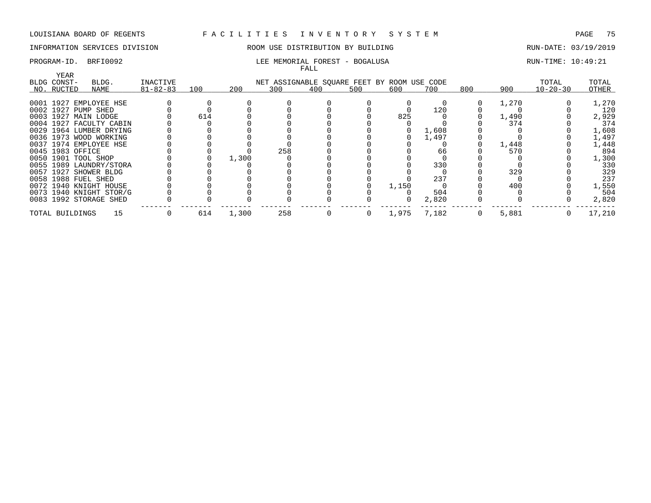# INFORMATION SERVICES DIVISION ROOM USE DISTRIBUTION BY BUILDING RUN-DATE: 03/19/2019

### PROGRAM-ID. BRFI0092 **RUN-TIME:** 10:49:21 FALL

| YEAR                  |                         |                |     |       |                                             |     |     |       |       |     |       |                |        |
|-----------------------|-------------------------|----------------|-----|-------|---------------------------------------------|-----|-----|-------|-------|-----|-------|----------------|--------|
| BLDG CONST-           | BLDG.                   | INACTIVE       |     |       | NET ASSIGNABLE SQUARE FEET BY ROOM USE CODE |     |     |       |       |     |       | TOTAL          | TOTAL  |
| NO. RUCTED            | NAME                    | $81 - 82 - 83$ | 100 | 200   | 300                                         | 400 | 500 | 600   | 700   | 800 | 900   | $10 - 20 - 30$ | OTHER  |
|                       | 0001 1927 EMPLOYEE HSE  |                |     |       |                                             |     |     |       |       |     | 1,270 |                | 1,270  |
| 0002 1927 PUMP SHED   |                         |                |     |       |                                             |     |     |       | 120   |     |       |                | 120    |
| 0003 1927 MAIN LODGE  |                         |                | 614 |       |                                             |     |     | 825   |       |     | 1,490 |                | 2,929  |
|                       | 0004 1927 FACULTY CABIN |                |     |       |                                             |     |     |       |       |     | 374   |                | 374    |
|                       | 0029 1964 LUMBER DRYING |                |     |       |                                             |     |     |       | 1,608 |     |       |                | 1,608  |
|                       | 0036 1973 WOOD WORKING  |                |     |       |                                             |     |     |       | 1,497 |     |       |                | 1,497  |
|                       | 0037 1974 EMPLOYEE HSE  |                |     |       |                                             |     |     |       |       |     | 1,448 |                | 1,448  |
| 0045 1983 OFFICE      |                         |                |     |       | 258                                         |     |     |       | 66    |     | 570   |                | 894    |
| 0050 1901 TOOL SHOP   |                         |                |     | 1,300 |                                             |     |     |       |       |     |       |                | 1,300  |
|                       | 0055 1989 LAUNDRY/STORA |                |     |       |                                             |     |     |       | 330   |     |       |                | 330    |
| 0057 1927 SHOWER BLDG |                         |                |     |       |                                             |     |     |       |       |     | 329   |                | 329    |
| 0058 1988 FUEL SHED   |                         |                |     |       |                                             |     |     |       | 237   |     |       |                | 237    |
|                       | 0072 1940 KNIGHT HOUSE  |                |     |       |                                             |     |     | 1,150 |       |     | 400   |                | 1,550  |
|                       | 0073 1940 KNIGHT STOR/G |                |     |       |                                             |     |     |       | 504   |     |       |                | 504    |
|                       | 0083 1992 STORAGE SHED  |                |     |       |                                             |     |     |       | 2,820 |     |       |                | 2,820  |
| TOTAL BUILDINGS       | 15                      |                | 614 | 1,300 | 258                                         |     |     | 1,975 | 7,182 |     | 5,881 |                | 17,210 |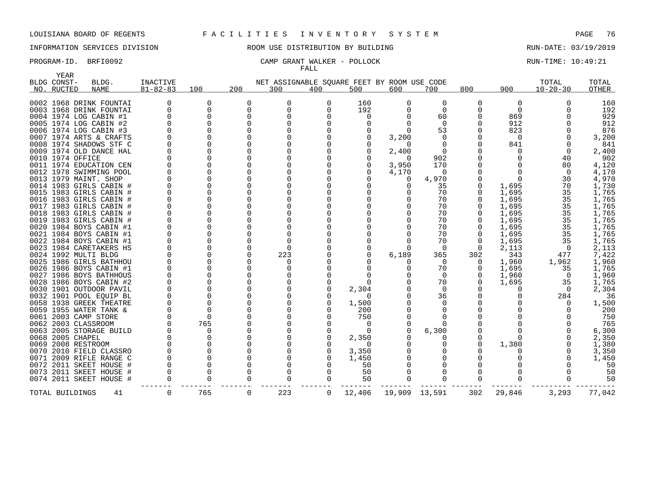YEAR

## LOUISIANA BOARD OF REGENTS F A C I L I T I E S I N V E N T O R Y S Y S T E M PAGE 76

# INFORMATION SERVICES DIVISION ROOM USE DISTRIBUTION BY BUILDING RUN-DATE: 03/19/2019

### PROGRAM-ID. BRFI0092 CAMP GRANT WALKER - POLLOCK RUN-TIME: 10:49:21 FALL

| ۱۳۳٬۲۰<br>BLDG CONST- | BLDG.                   | <b>INACTIVE</b> |              |          | NET ASSIGNABLE SQUARE FEET BY ROOM USE CODE |              |          |               |          |     |              | TOTAL          | TOTAL  |
|-----------------------|-------------------------|-----------------|--------------|----------|---------------------------------------------|--------------|----------|---------------|----------|-----|--------------|----------------|--------|
| NO. RUCTED            | <b>NAME</b>             | $81 - 82 - 83$  | 100          | 200      | 300                                         | 400          | 500      | 600           | 700      | 800 | 900          | $10 - 20 - 30$ | OTHER  |
|                       |                         |                 |              |          |                                             |              |          |               |          |     |              |                |        |
|                       | 0002 1968 DRINK FOUNTAI |                 | 0            | 0        | 0                                           | 0            | 160      | 0             | 0        | 0   | 0            | O              | 160    |
|                       | 0003 1968 DRINK FOUNTAI |                 | 0            | $\Omega$ | $\Omega$                                    | O            | 192      |               | $\Omega$ |     | 0            |                | 192    |
|                       | 0004 1974 LOG CABIN #1  |                 | $\Omega$     | $\Omega$ |                                             |              | O        |               | 60       |     | 869          |                | 929    |
|                       | 0005 1974 LOG CABIN #2  |                 | 0            |          |                                             |              | $\Omega$ |               | $\Omega$ |     | 912          |                | 912    |
|                       | 0006 1974 LOG CABIN #3  |                 |              |          |                                             |              |          |               | 53       |     | 823          |                | 876    |
|                       | 0007 1974 ARTS & CRAFTS |                 | $\Omega$     |          |                                             |              |          | 3,200         |          |     | $\Omega$     |                | 3,200  |
|                       | 0008 1974 SHADOWS STF C |                 |              |          |                                             |              |          |               |          |     | 841          |                | 841    |
|                       | 0009 1974 OLD DANCE HAL |                 |              |          |                                             |              |          | 2,400         |          |     | 0            | $\Omega$       | 2,400  |
| 0010 1974 OFFICE      |                         |                 | 0            |          |                                             |              |          | $\Omega$      | 902      |     | <sup>0</sup> | 40             | 902    |
|                       | 0011 1974 EDUCATION CEN |                 | $\Omega$     |          |                                             |              | $\Omega$ | 3,950         | 170      |     |              | 80             | 4,120  |
|                       | 0012 1978 SWIMMING POOL |                 | $\Omega$     |          |                                             |              |          | 4,170         |          |     |              | $\Omega$       | 4,170  |
|                       |                         |                 | $\Omega$     |          |                                             |              |          |               |          |     |              |                |        |
|                       | 0013 1979 MAINT. SHOP   |                 |              |          |                                             |              |          |               | 4,970    |     | 0            | 30             | 4,970  |
|                       | 0014 1983 GIRLS CABIN # |                 |              |          |                                             |              |          |               | 35       |     | 1,695        | 70             | 1,730  |
|                       | 0015 1983 GIRLS CABIN # |                 | $\Omega$     |          |                                             |              |          |               | 70       |     | 1,695        | 35             | 1,765  |
|                       | 0016 1983 GIRLS CABIN   |                 | $\Omega$     |          |                                             |              |          |               | 70       |     | 1,695        | 35             | 1,765  |
|                       | 0017 1983 GIRLS CABIN # |                 |              |          |                                             |              |          |               | 70       |     | 1,695        | 35             | 1,765  |
|                       | 0018 1983 GIRLS CABIN   |                 | $\Omega$     |          |                                             |              |          |               | 70       |     | 1,695        | 35             | 1,765  |
|                       | 0019 1983 GIRLS CABIN # |                 |              |          |                                             |              |          |               | 70       |     | 1,695        | 35             | 1,765  |
|                       | 0020 1984 BOYS CABIN #1 |                 | U            |          |                                             |              |          |               | 70       |     | 1,695        | 35             | 1,765  |
|                       | 0021 1984 BOYS CABIN #1 |                 | $\Omega$     |          |                                             |              |          |               | 70       |     | 1,695        | 35             | 1,765  |
|                       | 0022 1984 BOYS CABIN #1 |                 |              |          |                                             |              |          |               | 70       |     | 1,695        | 35             | 1,765  |
|                       | 0023 1984 CARETAKERS HS |                 | $\Omega$     |          |                                             |              |          |               | $\Omega$ | 0   | 2,113        | 0              | 2,113  |
|                       | 0024 1992 MULTI BLDG    |                 | $\Omega$     | $\Omega$ | 223                                         |              |          | 6,189         | 365      | 302 | 343          | 477            | 7,422  |
|                       | 0025 1986 GIRLS BATHHOU |                 | U            |          |                                             |              |          |               | $\Omega$ |     | 1,960        | 1,962          | 1,960  |
|                       | 0026 1986 BOYS CABIN #1 |                 | $\Omega$     |          |                                             |              |          |               | 70       | 0   | 1,695        | 35             | 1,765  |
|                       | 0027 1986 BOYS BATHHOUS |                 | <sup>0</sup> |          |                                             |              |          |               | $\Omega$ |     | 1,960        | $\overline{0}$ | 1,960  |
|                       | 0028 1986 BOYS CABIN #2 |                 | $\Omega$     |          |                                             |              |          |               | 70       |     | 1,695        | 35             | 1,765  |
|                       | 0030 1901 OUTDOOR PAVIL |                 | $\Omega$     |          |                                             |              | 2,304    |               | $\Omega$ |     | O            | $\Omega$       | 2,304  |
|                       | 0032 1901 POOL EOUIP BL |                 |              |          |                                             |              | $\Omega$ |               | 36       |     |              | 284            | 36     |
|                       | 0058 1938 GREEK THEATRE |                 | $\Omega$     |          |                                             |              | 1,500    |               |          |     |              | $\Omega$       | 1,500  |
|                       | 0059 1955 WATER TANK &  |                 | $\Omega$     |          |                                             |              | 200      |               |          |     |              |                | 200    |
|                       |                         |                 | $\Omega$     |          |                                             |              |          |               |          |     |              |                |        |
|                       | 0061 2003 CAMP STORE    |                 |              |          |                                             |              | 750      |               |          |     |              |                | 750    |
|                       | 0062 2003 CLASSROOM     |                 | 765          |          |                                             |              | 0        |               |          |     |              |                | 765    |
|                       | 0063 2005 STORAGE BUILD |                 | 0            |          |                                             |              |          |               | 6,300    |     |              |                | 6,300  |
| 0068 2005 CHAPEL      |                         |                 | $\Omega$     |          |                                             |              | 2,350    |               |          |     | U            |                | 2,350  |
|                       | 0069 2008 RESTROOM      |                 | $\Omega$     |          |                                             |              | $\Omega$ |               |          |     | 1,380        |                | 1,380  |
|                       | 0070 2010 FIELD CLASSRO |                 | $\Omega$     |          |                                             |              | 3,350    |               |          |     |              | $\Omega$       | 3,350  |
|                       | 0071 2009 RIFLE RANGE C |                 | 0            |          |                                             |              | 1,450    |               |          |     |              |                | 1,450  |
|                       | 0072 2011 SKEET HOUSE   |                 | $\Omega$     |          |                                             |              | 50       |               |          |     |              |                | 50     |
|                       | 0073 2011 SKEET HOUSE # |                 | $\Omega$     |          |                                             |              | 50       |               |          |     |              |                | 50     |
|                       | 0074 2011 SKEET HOUSE # |                 | $\Omega$     |          |                                             |              | 50       |               |          |     |              |                | 50     |
| TOTAL BUILDINGS       | 41                      | $\Omega$        | 765          | $\Omega$ | 223                                         | $\mathbf{0}$ | 12,406   | 19,909 13,591 |          | 302 | 29,846       | 3,293          | 77,042 |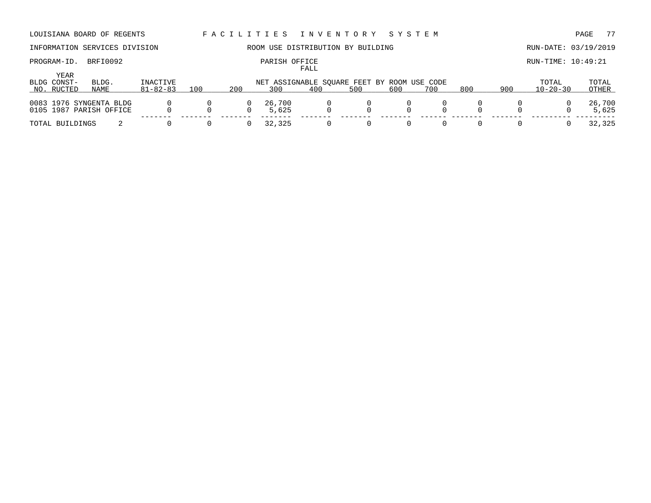# PROGRAM-ID. BRFI0092 **PARISH OFFICE** PARISH OFFICE RUN-TIME: 10:49:21

# INFORMATION SERVICES DIVISION ROOM USE DISTRIBUTION BY BUILDING RUN-DATE: 03/19/2019

FALL

| YEAR<br>BLDG CONST- | BLDG.                                              | INACTIVE       |     |          | NET ASSIGNABLE SOUARE FEET BY ROOM USE CODE |     |     |     |     |     |     | TOTAL          | TOTAL           |
|---------------------|----------------------------------------------------|----------------|-----|----------|---------------------------------------------|-----|-----|-----|-----|-----|-----|----------------|-----------------|
| NO. RUCTED          | NAME                                               | $81 - 82 - 83$ | 100 | 200      | 300                                         | 400 | 500 | 600 | 700 | 800 | 900 | $10 - 20 - 30$ | OTHER           |
|                     | 0083 1976 SYNGENTA BLDG<br>0105 1987 PARISH OFFICE |                |     | $\Omega$ | 26,700<br>5,625                             |     |     |     |     |     |     |                | 26,700<br>5,625 |
|                     |                                                    |                |     |          |                                             |     |     |     |     |     |     |                |                 |
| TOTAL BUILDINGS     |                                                    |                |     |          | 32,325                                      |     |     |     |     |     |     |                | 32,325          |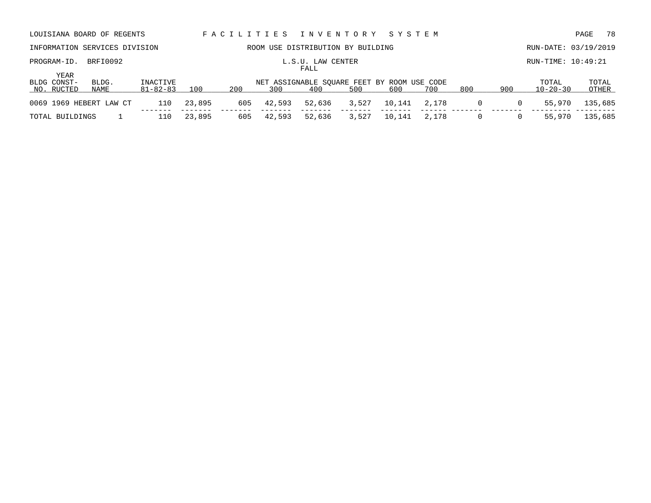| LOUISIANA BOARD OF REGENTS        |               |                            |        | FACILITIES |        | I N V E N T O R Y                                  |       | SYSTEM |       |     |     |                         | - 78<br>PAGE   |
|-----------------------------------|---------------|----------------------------|--------|------------|--------|----------------------------------------------------|-------|--------|-------|-----|-----|-------------------------|----------------|
| INFORMATION SERVICES DIVISION     |               |                            |        |            |        | ROOM USE DISTRIBUTION BY BUILDING                  |       |        |       |     |     | RUN-DATE: 03/19/2019    |                |
| PROGRAM-ID.                       | BRFI0092      |                            |        |            |        | L.S.U. LAW CENTER<br>FALL                          |       |        |       |     |     | RUN-TIME: 10:49:21      |                |
| YEAR<br>BLDG CONST-<br>NO. RUCTED | BLDG.<br>NAME | INACTIVE<br>$81 - 82 - 83$ | 100    | 200        | 300    | NET ASSIGNABLE SQUARE FEET BY ROOM USE CODE<br>400 | 500   | 600    | 700   | 800 | 900 | TOTAL<br>$10 - 20 - 30$ | TOTAL<br>OTHER |
| 0069 1969 HEBERT LAW CT           |               | 110                        | 23,895 | 605        | 42,593 | 52,636                                             | 3,527 | 10,141 | 2,178 | 0   | 0   | 55,970                  | 135,685        |
|                                   |               |                            |        |            |        |                                                    |       |        |       |     |     |                         |                |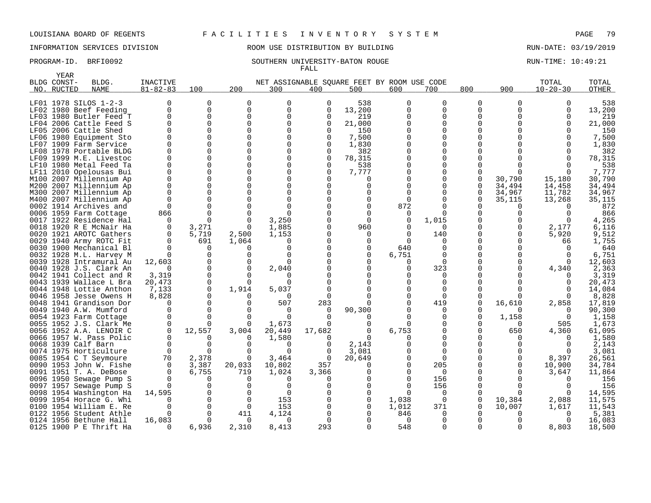# INFORMATION SERVICES DIVISION ROOM USE DISTRIBUTION BY BUILDING RUN-DATE: 03/19/2019

### PROGRAM-ID. BRFI0092 SOUTHERN UNIVERSITY-BATON ROUGE RUN-TIME: 10:49:21 FALL

| <b>YEAR</b> |                                                    |                 |          |               |                      |          |                                             |                |                 |               |                  |                   |                  |
|-------------|----------------------------------------------------|-----------------|----------|---------------|----------------------|----------|---------------------------------------------|----------------|-----------------|---------------|------------------|-------------------|------------------|
| BLDG CONST- | BLDG.                                              | INACTIVE        |          |               |                      |          | NET ASSIGNABLE SOUARE FEET BY ROOM USE CODE |                |                 |               |                  | TOTAL             | TOTAL            |
| NO. RUCTED  | <b>NAME</b>                                        | $81 - 82 - 83$  | 100      | 200           | 300                  | 400      | 500                                         | 600            | 700             | 800           | 900              | $10 - 20 - 30$    | <b>OTHER</b>     |
|             | LF01 1978 SILOS 1-2-3                              |                 | $\Omega$ | $\Omega$      | 0                    | O        | 538                                         | $\Omega$       | $\Omega$        | 0             | 0                |                   | 538              |
|             | LF02 1980 Beef Feeding                             | 0               | $\Omega$ | 0             | 0                    | O        | 13,200                                      |                | ∩               | 0             |                  |                   | 13,200           |
|             | LF03 1980 Butler Feed T                            |                 | $\Omega$ | 0             | $\mathbf 0$          | ∩        | 219                                         |                |                 | 0             |                  |                   | 219              |
|             | LF04 2006 Cattle Feed S                            |                 | $\Omega$ | $\Omega$      | 0                    |          | 21,000                                      |                |                 | 0             |                  |                   | 21,000           |
|             | LF05 2006 Cattle Shed                              |                 |          | $\Omega$      | $\Omega$             |          | 150                                         |                |                 | $\Omega$      |                  |                   | 150              |
|             | LF06 1980 Equipment Sto                            |                 |          | $\Omega$      | $\Omega$             |          | 7,500                                       |                |                 |               |                  |                   | 7,500            |
|             | LF07 1909 Farm Service                             |                 |          |               | $\Omega$             |          | 1,830                                       |                |                 |               |                  |                   | 1,830            |
|             | LF08 1978 Portable BLDG                            |                 |          | $\Omega$      | $\mathbf 0$          |          | 382                                         |                |                 |               |                  |                   | 382              |
|             | LF09 1999 M.E. Livestoc                            |                 |          |               | $\Omega$             |          | 78,315                                      |                |                 |               |                  |                   | 78,315           |
|             | LF10 1980 Metal Feed Ta                            |                 |          | <sup>n</sup>  | $\Omega$             |          | 538                                         |                |                 |               |                  |                   | 538              |
|             | LF11 2010 Opelousas Bui                            |                 |          |               | O                    |          | 7,777                                       |                |                 | $\Omega$      |                  |                   | 7,777            |
|             | M100 2007 Millennium Ap                            |                 |          | $\cap$        | 0                    |          |                                             |                |                 |               | 30,790           | 15,180            | 30,790           |
|             | M200 2007 Millennium Ap                            |                 |          |               | $\Omega$             |          |                                             |                |                 | 0             | 34,494           | 14,458            | 34,494           |
|             | M300 2007 Millennium Ap                            |                 |          |               | U                    |          |                                             |                |                 | 0             | 34,967           | 11,782            | 34,967           |
|             | M400 2007 Millennium Ap                            |                 |          |               | $\Omega$<br>$\Omega$ |          | $\Omega$                                    |                |                 | 0             | 35,115           | 13,268            | 35,115           |
|             | 0002 1914 Archives and                             | $\Omega$        |          |               | 0                    |          | $\Omega$<br>$\Omega$                        | 872<br>O       |                 | $\Omega$      |                  |                   | 872<br>866       |
|             | 0006 1959 Farm Cottage<br>0017 1922 Residence Hal  | 866<br>$\Omega$ |          |               | 3,250                |          | $\Omega$                                    |                | 1,015           |               |                  |                   | 4,265            |
|             | 0018 1920 R E McNair Ha                            |                 | 3,271    | $\Omega$      | 1,885                |          | 960                                         |                |                 |               |                  | 2,177             | 6,116            |
|             | 0020 1921 AROTC Gathers                            | 0               | 5,719    | 2,500         | 1,153                |          | 0                                           |                | 140             |               |                  | 5,920             | 9,512            |
|             | 0029 1940 Army ROTC Fit                            |                 | 691      | 1,064         | U                    |          |                                             |                |                 |               |                  | 66                | 1,755            |
|             | 0030 1900 Mechanical Bl                            |                 |          |               | $\Omega$             |          |                                             | 640            |                 |               |                  |                   | 640              |
|             | 0032 1928 M.L. Harvey M                            |                 |          |               | $\Omega$             |          | <sup>0</sup>                                | 6,751          |                 |               |                  |                   | 6,751            |
|             | 0039 1928 Intramural Au                            | 12,603          |          | <sup>0</sup>  | <sup>0</sup>         |          |                                             | O              | $\cap$          |               |                  | $\Omega$          | 12,603           |
|             | 0040 1928 J.S. Clark An                            |                 |          |               | 2,040                |          |                                             |                | 323             |               |                  | 4,340             | 2,363            |
|             | 0042 1941 Collect and R                            | 3,319           |          |               | O                    |          |                                             |                |                 |               |                  |                   | 3,319            |
|             | 0043 1939 Wallace L Bra                            | 20,473          |          | $\Omega$      | $\Omega$             |          |                                             |                |                 |               |                  |                   | 20,473           |
|             | 0044 1948 Lottie Anthon                            | 7,133           |          | 1,914         | 5,037                |          |                                             |                |                 |               |                  |                   | 14,084           |
|             | 0046 1958 Jesse Owens H                            | 8,828           |          | ∩             | 0                    |          |                                             |                |                 |               |                  | $\Omega$          | 8,828            |
|             | 0048 1941 Grandison Dor<br>0049 1940 A.W. Mumford  |                 |          |               | 507<br>0             | 283      | 90,300                                      |                | 419<br>$\Omega$ | $\Omega$<br>0 | 16,610<br>O      | 2,858<br>$\Omega$ | 17,819<br>90,300 |
|             | 0054 1923 Farm Cottage                             |                 |          |               | <sup>0</sup>         |          |                                             |                |                 | 0             | 1,158            | <sup>n</sup>      | 1,158            |
|             | 0055 1952 J.S. Clark Me                            |                 |          |               | 1,673                |          |                                             |                |                 |               | O                | 505               | 1,673            |
|             | 0056 1952 A.A. LENOIR C                            | $\mathbf 0$     | 12,557   | 3,004         | 20,449               | 17,682   |                                             | 6,753          |                 | 0             | 650              | 4,360             | 61,095           |
|             | 0066 1957 W. Pass Polic                            |                 |          | O             | 1,580                |          | <sup>0</sup>                                |                |                 | 0             | O                |                   | 1,580            |
|             | 0068 1939 Calf Barn                                |                 |          |               | 0                    |          | 2,143                                       |                |                 |               |                  | $\Omega$          | 2,143            |
|             | 0074 1975 Horticulture                             | $\Omega$        |          |               |                      |          | 3,081                                       |                |                 |               |                  |                   | 3,081            |
|             | 0085 1954 C T Seymoure                             | 70              | 2,378    | 0             | 3,464                | $\Omega$ | 20,649                                      |                | $\Omega$        |               |                  | 8,397             | 26,561           |
|             | 0090 1953 John W. Fishe                            | $\Omega$        | 3,387    | 20,033        | 10,802               | 357      |                                             |                | 205             |               |                  | 10,900            | 34,784           |
|             | 0091 1951 T. A. DeBose                             | $\Omega$        | 6,755    | 719           | 1,024                | 3,366    |                                             |                | $\Omega$        |               |                  | 3,647             | 11,864           |
|             | 0096 1950 Sewage Pump S                            |                 |          | U             | O                    |          |                                             |                | 156             |               |                  |                   | 156              |
|             | 0097 1957 Sewage Pump S                            |                 |          |               | O                    |          |                                             |                | 156             |               |                  |                   | 156              |
|             | 0098 1954 Washington Ha                            | 14,595          |          | ∩             | $\Omega$             |          | 0                                           |                | $\Omega$        | 0             |                  | $\Omega$          | 14,595           |
|             | 0099 1954 Horace G. Whi<br>0100 1954 William E. Re |                 |          | ∩<br>$\Omega$ | 153<br>153           |          | 0<br>$\Omega$                               | 1,038<br>1,012 | $\Omega$<br>371 | $\Omega$      | 10,384<br>10,007 | 2,088<br>1,617    | 11,575<br>11,543 |
|             | 0122 1956 Student Athle                            |                 |          | 411           | 4,124                |          | <sup>0</sup>                                | 846            |                 |               |                  |                   | 5,381            |
|             | 0124 1956 Bethune Hall                             | 16,083          |          | $\Omega$      | 0                    |          |                                             | ∩              |                 |               |                  | $\Omega$          | 16,083           |
|             | 0125 1900 P E Thrift Ha                            |                 | 6,936    | 2,310         | 8,413                | 293      | $\Omega$                                    | 548            |                 | $\Omega$      | 0                | 8,803             | 18,500           |
|             |                                                    |                 |          |               |                      |          |                                             |                |                 |               |                  |                   |                  |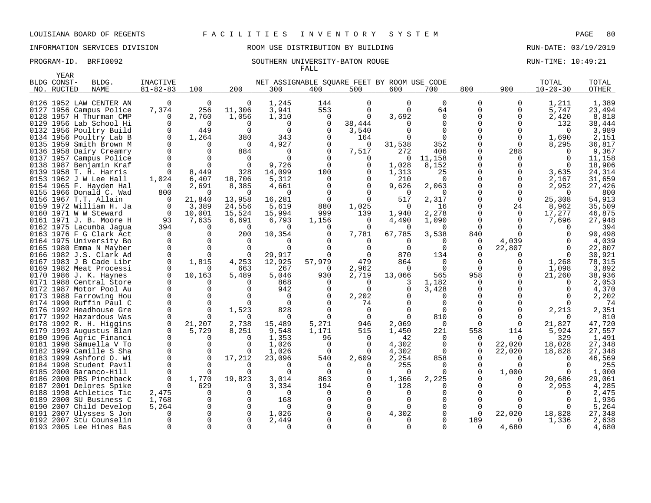INFORMATION SERVICES DIVISION ROOM USE DISTRIBUTION BY BUILDING RUN-DATE: 03/19/2019

### PROGRAM-ID. BRFI0092 SOUTHERN UNIVERSITY-BATON ROUGE RUN-TIME: 10:49:21 FALL

|      | <b>YEAR</b> |                                               |                      |                   |                      |                    |                                             |               |                |                      |               |                    |                    |                  |
|------|-------------|-----------------------------------------------|----------------------|-------------------|----------------------|--------------------|---------------------------------------------|---------------|----------------|----------------------|---------------|--------------------|--------------------|------------------|
|      | BLDG CONST- | BLDG.                                         | <b>INACTIVE</b>      |                   |                      |                    | NET ASSIGNABLE SOUARE FEET BY ROOM USE CODE |               |                |                      |               |                    | TOTAL              | TOTAL            |
|      | NO. RUCTED  | <b>NAME</b>                                   | $81 - 82 - 83$       | 100               | 200                  | 300                | 400                                         | 500           | 600            | 700                  | 800           | 900                | $10 - 20 - 30$     | <b>OTHER</b>     |
|      |             |                                               |                      |                   |                      |                    |                                             |               |                |                      |               |                    |                    |                  |
|      |             | 0126 1952 LAW CENTER AN                       | 0                    | $\mathbf 0$       | $\Omega$             | 1,245              | 144                                         | $\Omega$      | $\Omega$       | $\Omega$             | $\mathbf 0$   | 0                  | 1,211              | 1,389            |
|      |             | 0127 1956 Campus Police                       | 7,374                | 256               | 11,306               | 3,941              | 553                                         | $\Omega$      | $\Omega$       | 64                   | $\Omega$      | 0                  | 5,747              | 23,494           |
|      |             | 0128 1957 H Thurman CMP                       | $\Omega$             | 2,760             | 1,056                | 1,310              | 0                                           | $\Omega$      | 3,692          | $\Omega$             | $\Omega$      | 0                  | 2,420              | 8,818            |
|      |             | 0129 1956 Lab School Hi                       | $\Omega$             | $\Omega$          | $\Omega$             | $\Omega$           | $\Omega$                                    | 38,444        |                | $\Omega$             | $\Omega$      | 0                  | 132                | 38,444           |
|      |             | 0132 1956 Poultry Build                       | $\Omega$             | 449               | $\Omega$             | $\Omega$           | $\Omega$                                    | 3,540         |                | $\Omega$             | $\Omega$      | U                  | $\Omega$           | 3,989            |
|      |             | 0134 1956 Poultry Lab B                       | $\Omega$             | 1,264             | 380                  | 343                | $\Omega$                                    | 164           |                | $\Omega$             | $\Omega$      | $\Omega$           | 1,690              | 2,151            |
|      |             | 0135 1959 Smith Brown M                       | $\Omega$             | <sup>0</sup>      | $\Omega$             | 4,927              |                                             | O             | 31,538         | 352                  | $\Omega$      | $\Omega$           | 8,295              | 36,817           |
|      |             | 0136 1958 Dairy Creamry                       | $\Omega$             | $\Omega$          | 884                  | $\Omega$           | $\Omega$                                    | 7,517         | 272            | 406                  | $\Omega$      | 288                | $\Omega$           | 9,367            |
|      |             | 0137 1957 Campus Police                       | $\Omega$             | $\Omega$          |                      | ∩                  |                                             | $\Omega$      | $\Omega$       | 11,158               | 0             | 0                  | $\Omega$           | 11,158           |
| 0138 |             | 1987 Benjamin Kraf<br>0139 1958 T. H. Harris  | $\Omega$<br>$\Omega$ | $\Omega$<br>8,449 | $\Omega$<br>328      | 9,726<br>14,099    | $\Omega$<br>100                             | 0<br>0        | 1,028<br>1,313 | 8,152<br>25          | 0<br>0        | 0<br>0             | $\Omega$<br>3,635  | 18,906<br>24,314 |
|      |             | 0153 1962 J W Lee Hall                        | 1,024                | 6,407             | 18,706               | 5,312              | 0                                           | 0             | 210            | $\Omega$             | $\Omega$      | 0                  | 2,167              | 31,659           |
|      |             | 0154 1965 F. Hayden Hal                       | $\Omega$             | 2,691             | 8,385                | 4,661              | $\Omega$                                    | $\Omega$      | 9,626          | 2,063                | $\Omega$      | 0                  | 2,952              | 27,426           |
|      |             | 0155 1966 Donald C. Wad                       | 800                  | 0                 | $\Omega$             | $\Omega$           |                                             | $\Omega$      | ∩              |                      | $\Omega$      | 0                  | $\Omega$           | 800              |
|      |             | 0156 1967 T.T. Allain                         | $\Omega$             | 21,840            | 13,958               | 16,281             | $\Omega$                                    | $\Omega$      | 517            | 2,317                | $\Omega$      | $\mathbf 0$        | 25,308             | 54,913           |
|      |             | 0159 1972 William H. Ja                       | 0                    | 3,389             | 24,556               | 5,619              | 880                                         | 1,025         | $\Omega$       | 16                   | 0             | 24                 | 8,962              | 35,509           |
| 0160 |             | 1971 W W Steward                              | $\Omega$             | 10,001            | 15,524               | 15,994             | 999                                         | 139           | 1,940          | 2,278                | $\Omega$      | $\mathbf 0$        | 17,277             | 46,875           |
|      |             | 0161 1971 J. B. Moore H                       | 93                   | 7,635             | 6,691                | 6,793              | 1,156                                       | 0             | 4,490          | 1,090                | 0             | 0                  | 7,696              | 27,948           |
|      |             | 0162 1975 Lacumba Jaqua                       | 394                  | $\Omega$          | $\Omega$             | $\Omega$           | $\Omega$                                    | $\Omega$      | $\Omega$       | $\Omega$             | $\Omega$      |                    | $\Omega$           | 394              |
|      |             | 0163 1976 F G Clark Act                       | $\Omega$             | 0                 | 200                  | 10,354             | $\Omega$                                    | 7,781         | 67,785         | 3,538                | 840           | $\Omega$           | $\Omega$           | 90,498           |
|      |             | 0164 1975 University Bo                       | $\Omega$             | $\Omega$          |                      |                    |                                             |               |                |                      | 0             | 4,039              | $\Omega$           | 4,039            |
|      |             | 0165 1980 Emma N Mayber                       | $\mathbf 0$          | $\mathbf 0$       | $\Omega$             | $\Omega$           |                                             | $\Omega$      | $\Omega$       | $\Omega$             | $\mathbf 0$   | 22,807             | $\Omega$           | 22,807           |
|      |             | 0166 1982 J.S. Clark Ad                       | $\Omega$             | $\Omega$          | $\Omega$             | 29,917             |                                             | $\Omega$      | 870            | 134                  | $\Omega$      | 0                  | $\Omega$           | 30,921           |
|      |             | 0167 1983 J B Cade Libr                       | $\Omega$             | 1,815             | 4,253                | 12,925             | 57,979                                      | 479           | 864            | $\Omega$             | $\Omega$      | 0                  | 1,268              | 78,315           |
|      |             | 0169 1982 Meat Processi                       |                      | 0                 | 663                  | 267                | $\Omega$                                    | 2,962         | $\Omega$       | $\Omega$             | $\Omega$      | 0                  | 1,098              | 3,892            |
|      |             | 0170 1986 J. K. Haynes                        |                      | 10,163            | 5,489                | 5,046              | 930                                         | 2,719         | 13,066         | 565                  | 958           | 0                  | 21,260             | 38,936           |
| 0171 |             | 1988 Central Store                            | $\Omega$             | $\Omega$          |                      | 868                | $\Omega$                                    | $\Omega$      | 3              | 1,182                | 0             | U                  | $\Omega$           | 2,053            |
|      |             | 0172 1987 Motor Pool Au                       | $\Omega$             | $\Omega$          |                      | 942                |                                             | $\Omega$      | $\Omega$       | 3,428                | $\Omega$      |                    | $\Omega$           | 4,370            |
|      |             | 0173 1988 Farrowing Hou                       | $\Omega$             | $\Omega$          |                      | $\Omega$           |                                             | 2,202         |                | $\Omega$             |               |                    | $\Omega$           | 2,202            |
|      |             | 0174 1990 Ruffin Paul C                       | $\Omega$             | $\mathbf 0$       |                      | $\Omega$           |                                             | 74            |                | ∩                    |               |                    |                    | 74               |
|      |             | 0176 1992 Headhouse Gre                       | $\Omega$             | $\Omega$          | 1,523                | 828                |                                             | $\Omega$      |                | $\Omega$             |               |                    | 2,213              | 2,351            |
|      |             | 0177 1992 Hazardous Was                       | $\Omega$             | $\Omega$          | $\Omega$             | $\Omega$           |                                             | $\Omega$      |                | 810                  | $\Omega$      | 0                  |                    | 810              |
|      |             | 0178 1992 R. H. Higgins                       | $\Omega$             | 21,207            | 2,738                | 15,489             | 5,271                                       | 946           | 2,069          | $\Omega$             | $\Omega$      | $\Omega$           | 21,827             | 47,720           |
|      |             | 0179 1993 Augustus Blan                       | $\Omega$             | 5,729             | 8,251                | 9,548              | 1,171                                       | 515           | 1,450          | 221                  | 558           | 114                | 5,924              | 27,557           |
|      |             | 0180 1996 Agric Financi                       | $\Omega$             | $\Omega$          |                      | 1,353              | 96                                          | $\Omega$      | 42             | $\Omega$             | $\Omega$      | $\Omega$           | 329                | 1,491            |
| 0181 |             | 1998 Samuella V To                            | $\Omega$<br>$\Omega$ | 0                 | $\Omega$<br>$\Omega$ | 1,026              | 0<br>$\Omega$                               | 0<br>$\Omega$ | 4,302          | $\Omega$<br>$\Omega$ | 0             | 22,020             | 18,028             | 27,348           |
| 0183 |             | 0182 1999 Camille S Sha                       | $\mathbf 0$          | 0<br>0            | 17,212               | 1,026              | 540                                         | 2,609         | 4,302          | 858                  | $\Omega$<br>0 | 22,020<br>$\Omega$ | 18,828<br>$\Omega$ | 27,348<br>46,569 |
|      |             | 1999 Ashford O. Wi<br>0184 1998 Student Pavil | $\Omega$             | $\Omega$          | $\Omega$             | 23,096<br>$\Omega$ | $\Omega$                                    | $\Omega$      | 2,254<br>255   | $\cap$               |               | $\Omega$           |                    | 255              |
| 0185 |             | 2000 Baranco-Hill                             | $\Omega$             | $\Omega$          | $\Omega$             | $\Omega$           | $\Omega$                                    | 0             | $\Omega$       |                      | $\Omega$      | 1,000              | n                  | 1,000            |
| 0186 |             | 2000 PBS Pinchback                            | $\Omega$             | 1,770             | 19,823               | 3,014              | 863                                         | 0             | 1,366          | 2,225                |               | 0                  | 20,686             | 29,061           |
| 0187 |             | 2001 Delores Spike                            | $\Omega$             | 629               |                      | 3,334              | 194                                         | $\Omega$      | 128            |                      |               | U                  | 2,953              | 4,285            |
| 0188 |             | 1998 Athletics Tic                            | 2,475                | $\Omega$          | $\Omega$             | $\Omega$           | $\Omega$                                    | $\Omega$      | $\Omega$       |                      | ∩             |                    | $\Omega$           | 2,475            |
| 0189 |             | 2000 SU Business C                            | 1,768                | 0                 | $\Omega$             | 168                |                                             | $\Omega$      |                |                      |               |                    | ∩                  | 1,936            |
| 0190 |             | 2007 Child Develop                            | 5,264                | $\mathbf 0$       | $\Omega$             | $\Omega$           |                                             | $\mathbf 0$   |                |                      | $\Omega$      | U                  | ∩                  | 5,264            |
| 0191 |             | 2007 Ulysses S Jon                            | $\Omega$             | 0                 | $\Omega$             | 1,026              |                                             | 0             | 4,302          |                      | $\Omega$      | 22,020             | 18,828             | 27,348           |
|      |             | 0192 2007 Stu Counselin                       |                      | $\Omega$          | $\Omega$             | 2,449              |                                             |               |                |                      | 189           | 0                  | 1,336              | 2,638            |
|      |             | 0193 2005 Lee Hines Bas                       | $\Omega$             | $\Omega$          | $\Omega$             | $\Omega$           |                                             |               |                |                      | $\Omega$      | 4,680              | $\Omega$           | 4,680            |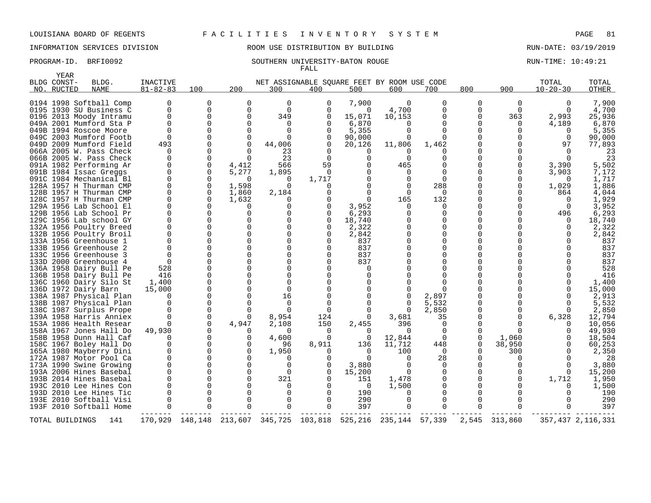INFORMATION SERVICES DIVISION ROOM USE DISTRIBUTION BY BUILDING RUN-DATE: 03/19/2019

### PROGRAM-ID. BRFI0092 SOUTHERN UNIVERSITY-BATON ROUGE RUN-TIME: 10:49:21 FALL

|     | YEAR<br>BLDG CONST- | BLDG.                                                                         | INACTIVE                         |                                  |                                  |                              | NET ASSIGNABLE SOUARE FEET BY ROOM USE CODE |                                              |                             |                                  |                           |                      | TOTAL                         | TOTAL                      |
|-----|---------------------|-------------------------------------------------------------------------------|----------------------------------|----------------------------------|----------------------------------|------------------------------|---------------------------------------------|----------------------------------------------|-----------------------------|----------------------------------|---------------------------|----------------------|-------------------------------|----------------------------|
| NO. | RUCTED              | <b>NAME</b>                                                                   | $81 - 82 - 83$                   | 100                              | 200                              | 300                          | 400                                         | 500                                          | 600                         | 700                              | 800                       | 900                  | $10 - 20 - 30$                | <b>OTHER</b>               |
|     |                     | 0194 1998 Softball Comp<br>0195 1930 SU Business C<br>0196 2013 Moody Intramu | $\Omega$<br>$\mathbf 0$          | $\Omega$<br>$\Omega$<br>$\Omega$ | $\Omega$<br>$\Omega$<br>$\Omega$ | $\Omega$<br>$\Omega$<br>349  | $\Omega$<br>$\Omega$                        | 7,900<br>$\Omega$<br>15,071                  | $\Omega$<br>4,700<br>10,153 | $\Omega$<br>$\Omega$<br>$\Omega$ | 0<br>$\Omega$<br>$\Omega$ | 0<br>$\Omega$<br>363 | $\Omega$<br>2,993             | 7,900<br>4,700<br>25,936   |
|     |                     | 049A 2001 Mumford Sta P<br>049B 1994 Roscoe Moore                             | $\Omega$                         |                                  |                                  | O<br>0                       | O<br>O                                      | 6,870<br>5,355                               | 0                           | <sup>0</sup><br>0                | 0<br>O                    | $\Omega$             | 4,189<br>0                    | 6,870<br>5,355             |
|     |                     | 049C 2003 Mumford Footb<br>049D 2009 Mumford Field                            | $\Omega$<br>493                  |                                  |                                  | 0<br>44,006                  | O<br>$\Omega$                               | 90,000<br>20,126                             | 0<br>11,806                 | <sup>n</sup><br>1,462            |                           |                      | $\Omega$<br>97                | 90,000<br>77,893           |
|     |                     | 066A 2005 W. Pass Check<br>066B 2005 W. Pass Check<br>091A 1982 Performing Ar | $\Omega$<br>$\cap$<br>0          | 0                                | 4,412                            | 23<br>23<br>566              | $\Omega$<br>$\Omega$<br>59                  | $\left( \right)$<br><sup>0</sup><br>$\Omega$ | 0<br>465                    |                                  |                           | 0                    | $\Omega$<br>$\Omega$<br>3,390 | 23<br>23<br>5,502          |
|     |                     | 091B 1984 Issac Greggs<br>091C 1984 Mechanical Bl                             | $\Omega$<br>$\Omega$             | $\Omega$<br>0                    | 5,277<br>$\Omega$                | 1,895<br>$\Omega$            | $\Omega$<br>1,717                           | $\Omega$                                     | 0                           | $\Omega$                         |                           | 0                    | 3,903<br>$\Omega$             | 7,172<br>1,717             |
|     |                     | 128A 1957 H Thurman CMP<br>128B 1957 H Thurman CMP                            | $\Omega$<br>$\Omega$<br>$\Omega$ | 0<br>$\mathbf 0$                 | 1,598<br>1,860                   | $\Omega$<br>2,184            |                                             | $\Omega$<br>$\Omega$                         | $\Omega$                    | 288<br>$\Omega$                  |                           | 0                    | 1,029<br>864                  | 1,886<br>4,044             |
|     |                     | 128C 1957 H Thurman CMP<br>129A 1956 Lab School El<br>129B 1956 Lab School Pr |                                  | $\Omega$                         | 1,632                            | 0<br>$\Omega$                | $\Omega$<br>$\Omega$                        | 3,952<br>6,293                               | 165<br>$\Omega$             | 132<br>$\Omega$                  |                           |                      | $\Omega$<br>0<br>496          | 1,929<br>3,952<br>6,293    |
|     |                     | 129C 1956 Lab school GY<br>132A 1956 Poultry Breed                            |                                  |                                  |                                  | $\Omega$<br>0                | $\Omega$<br>O                               | 18,740<br>2,322                              |                             |                                  | O                         |                      | $\Omega$                      | 18,740<br>2,322            |
|     |                     | 132B 1956 Poultry Broil<br>133A 1956 Greenhouse 1<br>133B 1956 Greenhouse 2   |                                  |                                  |                                  | O<br>0<br>O                  | $\Omega$<br>∩<br>∩                          | 2,842<br>837<br>837                          |                             |                                  |                           |                      |                               | 2,842<br>837<br>837        |
|     |                     | 133C 1956 Greenhouse 3<br>133D 2000 Greenhouse 4                              | $\Omega$                         |                                  |                                  | $\Omega$<br>U                | ∩                                           | 837<br>837                                   |                             |                                  | O                         |                      |                               | 837<br>837                 |
|     |                     | 136A 1958 Dairy Bull Pe<br>136B 1958 Dairy Bull Pe                            | 528<br>416                       |                                  |                                  | <sup>n</sup><br><sup>0</sup> |                                             | O<br><sup>0</sup>                            |                             |                                  |                           |                      |                               | 528<br>416                 |
|     |                     | 136C 1960 Dairy Silo St<br>136D 1972 Dairy Barn<br>138A 1987 Physical Plan    | 1,400<br>15,000<br>$\Omega$      |                                  |                                  | $\Omega$<br>$\Omega$<br>16   |                                             | $\Omega$<br>$\Omega$<br>$\Omega$             |                             | 2,897                            |                           |                      | 0<br>$\Omega$                 | 1,400<br>15,000<br>2,913   |
|     |                     | 138B 1987 Physical Plan<br>138C 1987 Surplus Prope                            |                                  |                                  |                                  | $\Omega$<br>0                | $\Omega$                                    | $\Omega$<br>$\Omega$                         | 0<br>$\Omega$               | 5,532<br>2,850                   |                           |                      | $\Omega$<br>$\Omega$          | 5,532<br>2,850             |
|     |                     | 139A 1958 Harris Anniex<br>153A 1986 Health Resear<br>158A 1967 Jones Hall Do | 49,930                           | $\mathbf 0$<br>$\Omega$          | 4,947                            | 8,954<br>2,108<br>0          | 124<br>150<br>$\Omega$                      | $\Omega$<br>2,455<br>$\Omega$                | 3,681<br>396<br>0           | 35<br>$\Omega$<br>$\Omega$       | 0                         |                      | 6,328<br>$\Omega$<br>0        | 12,794<br>10,056<br>49,930 |
|     |                     | 158B 1958 Dunn Hall Caf<br>158C 1967 Boley Hall Do                            |                                  | 0                                |                                  | 4,600<br>96                  | $\Omega$<br>8,911                           | 0<br>136                                     | 12,844<br>11,712            | $\Omega$<br>448                  | 0                         | 1,060<br>38,950      | $\Omega$                      | 18,504<br>60,253           |
|     |                     | 165A 1980 Mayberry Dini<br>172A 1987 Motor Pool Ca                            |                                  |                                  |                                  | 1,950<br>$\Omega$            | ∩<br>∩                                      | 0<br>$\Omega$                                | 100<br>0                    | $\Omega$<br>28                   |                           | 300<br>$\Omega$      | <sup>0</sup>                  | 2,350<br>28                |
|     |                     | 173A 1990 Swine Growing<br>193A 2006 Hines Basebal<br>193B 2014 Hines Basebal |                                  |                                  |                                  | $\Omega$<br>$\Omega$<br>321  | $\Omega$<br>O                               | 3,880<br>15,200<br>151                       | $\Omega$<br>1,478           | 0<br>0                           | 0                         | 0<br>0               | $\Omega$<br>1,712             | 3,880<br>15,200<br>1,950   |
|     |                     | 193C 2010 Lee Hines Con<br>193D 2010 Lee Hines Tic                            |                                  |                                  |                                  | 0<br>0                       |                                             | $\Omega$<br>190                              | 1,500                       | $\Omega$                         |                           |                      | $\Omega$                      | 1,500<br>190               |
|     |                     | 193E 2010 Softball Visi<br>193F 2010 Softball Home                            |                                  | $\Omega$                         |                                  | 0<br>$\Omega$                | $\Omega$<br>$\Omega$                        | 290<br>397                                   | 0                           | $\Omega$<br>$\Omega$             |                           |                      |                               | 290<br>397                 |
|     | TOTAL BUILDINGS     | 141                                                                           |                                  | 170,929 148,148                  |                                  |                              | 213,607 345,725 103,818 525,216             |                                              | 235, 144 57, 339            |                                  | 2,545                     | 313,860              |                               | 357,437 2,116,331          |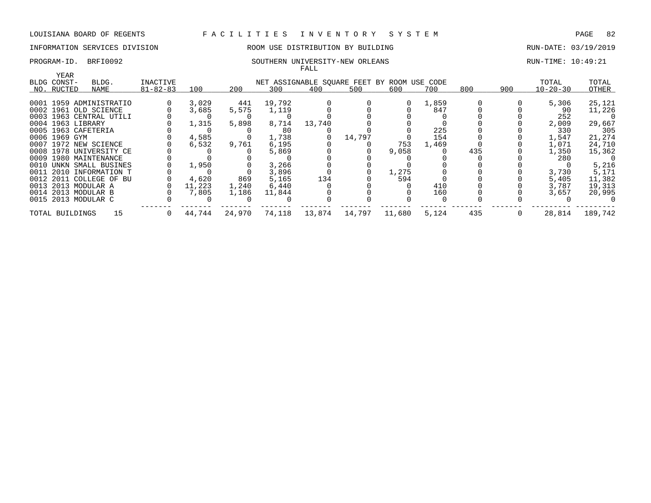# INFORMATION SERVICES DIVISION 88 ROOM USE DISTRIBUTION BY BUILDING 88 RUN-DATE: 03/19/2019

### PROGRAM-ID. BRFI0092 SOUTHERN UNIVERSITY-NEW ORLEANS RUN-TIME: 10:49:21 FALL

| YEAR                |                         |                |        |        |                                             |        |        |        |       |     |     |                |         |
|---------------------|-------------------------|----------------|--------|--------|---------------------------------------------|--------|--------|--------|-------|-----|-----|----------------|---------|
| BLDG CONST-         | BLDG.                   | INACTIVE       |        |        | NET ASSIGNABLE SQUARE FEET BY ROOM USE CODE |        |        |        |       |     |     | TOTAL          | TOTAL   |
| NO. RUCTED          | NAME                    | $81 - 82 - 83$ | 100    | 200    | 300                                         | 400    | 500    | 600    | 700   | 800 | 900 | $10 - 20 - 30$ | OTHER   |
|                     |                         |                |        |        |                                             |        |        |        |       |     |     |                |         |
|                     | 0001 1959 ADMINISTRATIO |                | 3,029  | 441    | 19,792                                      |        |        |        | 1,859 |     |     | 5,306          | 25,121  |
|                     | 0002 1961 OLD SCIENCE   |                | 3,685  | 5,575  | 1,119                                       |        |        |        | 847   |     |     | 90             | 11,226  |
|                     | 0003 1963 CENTRAL UTILI |                |        |        |                                             |        |        |        |       |     |     | 252            |         |
| 0004 1963 LIBRARY   |                         |                | 1,315  | 5,898  | 8,714                                       | 13,740 |        |        |       |     |     | 2,009          | 29,667  |
| 0005 1963 CAFETERIA |                         |                |        |        | 80                                          |        |        |        | 225   |     |     | 330            | 305     |
| 0006 1969 GYM       |                         |                | 4,585  |        | 1,738                                       |        | 14,797 |        | 154   |     |     | 1,547          | 21,274  |
|                     | 0007 1972 NEW SCIENCE   |                | 6,532  | 9,761  | 6,195                                       |        |        | 753    | 1,469 |     |     | 1,071          | 24,710  |
|                     | 0008 1978 UNIVERSITY CE |                |        |        | 5,869                                       |        |        | 9,058  |       | 435 |     | 1,350          | 15,362  |
|                     | 0009 1980 MAINTENANCE   |                |        |        |                                             |        |        |        |       |     |     | 280            |         |
|                     | 0010 UNKN SMALL BUSINES |                | 1,950  |        | 3,266                                       |        |        |        |       |     |     |                | 5,216   |
|                     | 0011 2010 INFORMATION T |                |        |        | 3,896                                       |        |        | 1,275  |       |     |     | 3,730          | 5,171   |
|                     | 0012 2011 COLLEGE OF BU |                | 4,620  | 869    | 5,165                                       | 134    |        | 594    |       |     |     | 5,405          | 11,382  |
| 0013 2013 MODULAR A |                         |                | 11,223 | 1,240  | 6,440                                       |        |        |        | 410   |     |     | 3,787          | 19,313  |
| 0014 2013 MODULAR B |                         |                | 7,805  | 1,186  | 11,844                                      |        |        |        | 160   |     |     | 3,657          | 20,995  |
| 0015 2013 MODULAR C |                         |                |        |        |                                             |        |        |        |       |     |     |                |         |
| TOTAL BUILDINGS     | 15                      |                | 44,744 | 24,970 | 74,118                                      | 13,874 | 14,797 | 11,680 | 5,124 | 435 |     | 28,814         | 189,742 |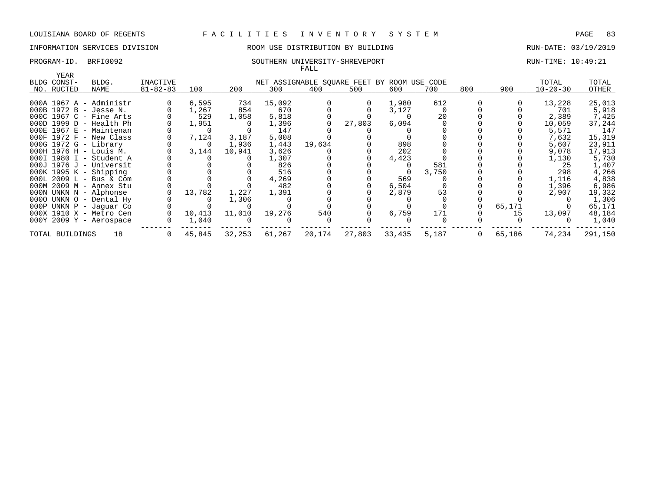### INFORMATION SERVICES DIVISION ROOM USE DISTRIBUTION BY BUILDING RUN-DATE: 03/19/2019

### PROGRAM-ID. BRFI0092 SOUTHERN UNIVERSITY-SHREVEPORT RUN-TIME: 10:49:21 FALL

| YEAR                                               |                |                |        |        |        |        |                                             |       |     |        |                |                 |
|----------------------------------------------------|----------------|----------------|--------|--------|--------|--------|---------------------------------------------|-------|-----|--------|----------------|-----------------|
| BLDG CONST-<br>BLDG.                               | INACTIVE       |                |        |        |        |        | NET ASSIGNABLE SQUARE FEET BY ROOM USE CODE |       |     |        | TOTAL          | TOTAL           |
| NO. RUCTED<br>NAME                                 | $81 - 82 - 83$ | 100            | 200    | 300    | 400    | 500    | 600                                         | 700   | 800 | 900    | $10 - 20 - 30$ | OTHER           |
| $000A$ 1967 A - Administr                          |                | 6,595          | 734    | 15,092 |        | 0      | 1,980                                       | 612   |     |        | 13,228         | 25,013          |
| 000B 1972 B - Jesse N.                             |                | 1,267          | 854    | 670    |        |        | 3,127                                       |       |     |        | 701            | 5,918           |
| 000C 1967 C - Fine Arts                            |                | 529            | 1,058  | 5,818  |        |        |                                             | 20    |     |        | 2,389          | 7,425           |
| 000D 1999 D - Health Ph                            |                | 1,951          |        | 1,396  |        | 27,803 | 6,094                                       |       |     |        | 10,059         | 37,244          |
| $000E$ 1967 $E$ - Maintenan                        |                | $\overline{0}$ |        | 147    |        |        |                                             |       |     |        | 5,571          | 147             |
| $000F$ 1972 $F$ - New Class                        |                | 7,124          | 3,187  | 5,008  |        |        |                                             |       |     |        | 7,632          | 15,319          |
| 000G 1972 G - Library                              |                | $\overline{0}$ | 1,936  | 1,443  | 19,634 |        | 898                                         |       |     |        | 5,607          | 23,911          |
| 000H 1976 H - Louis M.                             |                | 3,144          | 10,941 | 3,626  |        |        | 202                                         |       |     |        | 9,078          | 17,913          |
| 000I 1980 I - Student A                            |                |                |        | 1,307  |        |        | 4,423                                       |       |     |        | 1,130          | 5,730           |
| $000J$ 1976 J - Universit                          |                |                |        | 826    |        |        |                                             | 581   |     |        | 25             | 1,407           |
| $000K$ 1995 K - Shipping                           |                |                |        | 516    |        |        |                                             | 3,750 |     |        | 298            | 4,266           |
| 000L 2009 L - Bus & Com                            |                |                |        | 4,269  |        |        | 569                                         |       |     |        | 1,116          | 4,838           |
| 000M 2009 M - Annex Stu                            |                |                |        | 482    |        |        | 6,504                                       |       |     |        | 1,396          | 6,986           |
| 000N UNKN N - Alphonse                             |                | 13,782         | 1,227  | 1,391  |        |        | 2,879                                       | 53    |     |        | 2,907          | 19,332          |
| 0000 UNKN 0 - Dental Hy<br>000P UNKN P - Jaguar Co |                |                | 1,306  |        |        |        |                                             |       |     | 65,171 |                | 1,306<br>65,171 |
| 000X 1910 X - Metro Cen                            |                | 10,413         | 11,010 | 19,276 | 540    |        | 6,759                                       | 171   |     | 15     | 13,097         | 48,184          |
| $000Y$ 2009 Y - Aerospace                          |                | 1,040          |        |        |        |        |                                             |       |     |        |                | 1,040           |
| 18<br>TOTAL BUILDINGS                              | $\mathbf{0}$   | 45,845         | 32,253 | 61,267 | 20,174 | 27,803 | 33,435                                      | 5,187 | 0   | 65,186 | 74,234         | 291,150         |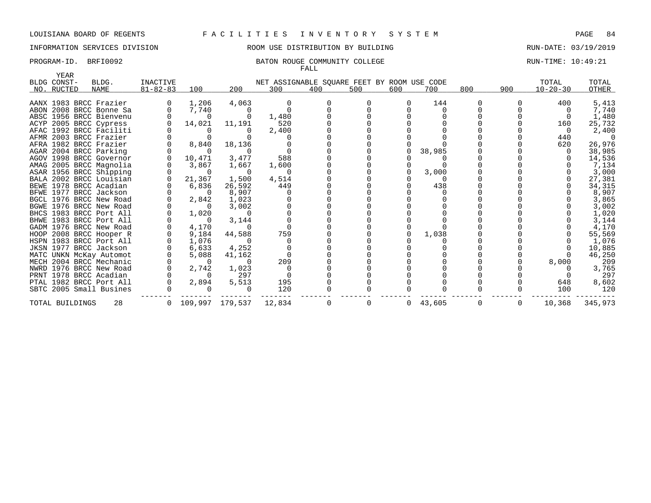# INFORMATION SERVICES DIVISION ROOM USE DISTRIBUTION BY BUILDING RUN-DATE: 03/19/2019

### PROGRAM-ID. BRFI0092 BATON ROUGE COMMUNITY COLLEGE RUN-TIME: 10:49:21 FALL

| YEAR            |                         |                 |                |                   |                                             |     |     |          |            |     |     |                |         |
|-----------------|-------------------------|-----------------|----------------|-------------------|---------------------------------------------|-----|-----|----------|------------|-----|-----|----------------|---------|
| BLDG CONST-     | BLDG.                   | <b>INACTIVE</b> |                |                   | NET ASSIGNABLE SQUARE FEET BY ROOM USE CODE |     |     |          |            |     |     | TOTAL          | TOTAL   |
| NO. RUCTED      | NAME                    | $81 - 82 - 83$  | 100            | 200               | 300                                         | 400 | 500 | 600      | 700        | 800 | 900 | $10 - 20 - 30$ | OTHER   |
|                 |                         |                 |                |                   |                                             |     |     |          |            |     |     |                |         |
|                 | AANX 1983 BRCC Frazier  |                 | 1,206          | 4,063             |                                             |     |     | $\Omega$ | 144        |     |     | 400            | 5,413   |
|                 | ABON 2008 BRCC Bonne Sa |                 | 7,740          |                   |                                             |     |     |          |            |     |     |                | 7,740   |
|                 | ABSC 1956 BRCC Bienvenu |                 | $\Omega$       |                   | 1,480                                       |     |     |          |            |     |     |                | 1,480   |
|                 | ACYP 2005 BRCC Cypress  |                 | 14,021         | 11,191            | 520                                         |     |     |          |            |     |     | 160            | 25,732  |
|                 | AFAC 1992 BRCC Faciliti |                 | $\Omega$       |                   | 2,400                                       |     |     |          |            |     |     | - 0            | 2,400   |
|                 | AFMR 2003 BRCC Frazier  |                 |                |                   |                                             |     |     |          |            |     |     | 440            |         |
|                 | AFRA 1982 BRCC Frazier  |                 | 8,840          | 18,136            |                                             |     |     |          |            |     |     | 620            | 26,976  |
|                 | AGAR 2004 BRCC Parking  |                 | - 0            |                   |                                             |     |     |          | 38,985     |     |     |                | 38,985  |
|                 | AGOV 1998 BRCC Governor |                 | 10,471         | 3,477             | 588                                         |     |     |          |            |     |     |                | 14,536  |
|                 | AMAG 2005 BRCC Magnolia |                 | 3,867          | 1,667             | 1,600                                       |     |     |          |            |     |     |                | 7,134   |
|                 | ASAR 1956 BRCC Shipping |                 | $\Omega$       | $\Omega$          | $\Omega$                                    |     |     |          | 3,000      |     |     |                | 3,000   |
|                 | BALA 2002 BRCC Louisian |                 | 21,367         | 1,500             | 4,514                                       |     |     |          |            |     |     |                | 27,381  |
|                 | BEWE 1978 BRCC Acadian  |                 | 6,836          | 26,592            | 449                                         |     |     |          | 438        |     |     |                | 34,315  |
|                 | BFWE 1977 BRCC Jackson  |                 | $\Omega$       | 8,907             |                                             |     |     |          |            |     |     |                | 8,907   |
|                 | BGCL 1976 BRCC New Road |                 | 2,842          | 1,023             |                                             |     |     |          |            |     |     |                | 3,865   |
|                 | BGWE 1976 BRCC New Road |                 | $\overline{0}$ | 3,002             |                                             |     |     |          |            |     |     |                | 3,002   |
|                 | BHCS 1983 BRCC Port All |                 | 1,020          |                   |                                             |     |     |          |            |     |     |                | 1,020   |
|                 | BHWE 1983 BRCC Port All |                 | $\overline{0}$ | 3,144             |                                             |     |     |          |            |     |     |                | 3,144   |
|                 | GADM 1976 BRCC New Road |                 | 4,170          | $\Omega$          |                                             |     |     |          |            |     |     |                | 4,170   |
|                 | HOOP 2008 BRCC Hooper R |                 | 9,184          | 44,588            | 759                                         |     |     |          | 1,038      |     |     |                | 55,569  |
|                 | HSPN 1983 BRCC Port All |                 | 1,076          |                   |                                             |     |     |          |            |     |     |                | 1,076   |
|                 | JKSN 1977 BRCC Jackson  |                 | 6,633          | 4,252             | $\Omega$                                    |     |     |          |            |     |     |                | 10,885  |
|                 | MATC UNKN McKay Automot |                 | 5,088          | 41,162            |                                             |     |     |          |            |     |     |                | 46,250  |
|                 | MECH 2004 BRCC Mechanic |                 | $\Omega$       | ∩                 | 209                                         |     |     |          |            |     |     | 8,000          | 209     |
|                 | NWRD 1976 BRCC New Road |                 | 2,742          | 1,023             | 0                                           |     |     |          |            |     |     |                | 3,765   |
|                 | PRNT 1978 BRCC Acadian  |                 | $\Omega$       | 297               | 0                                           |     |     |          |            |     |     |                | 297     |
|                 | PTAL 1982 BRCC Port All |                 | 2,894          | 5,513             | 195                                         |     |     |          |            |     |     | 648            | 8,602   |
|                 | SBTC 2005 Small Busines |                 | $\Omega$       |                   | 120                                         |     |     |          |            |     |     | 100            | 120     |
| TOTAL BUILDINGS | 28                      |                 |                | 0 109,997 179,537 | 12,834                                      | 0   | 0   |          | 0, 43, 605 | 0   | 0   | 10,368         | 345,973 |
|                 |                         |                 |                |                   |                                             |     |     |          |            |     |     |                |         |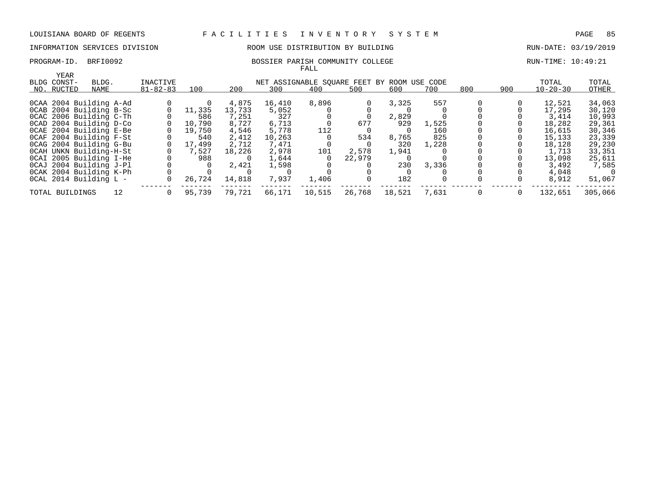# INFORMATION SERVICES DIVISION ROOM USE DISTRIBUTION BY BUILDING RUN-DATE: 03/19/2019

### PROGRAM-ID. BRFI0092 BOSSIER PARISH COMMUNITY COLLEGE RUN-TIME: 10:49:21 FALL

| YEAR                    |    |                |        |        |        |                                             |        |        |       |     |     |                |         |
|-------------------------|----|----------------|--------|--------|--------|---------------------------------------------|--------|--------|-------|-----|-----|----------------|---------|
| BLDG CONST-<br>BLDG.    |    | INACTIVE       |        |        |        | NET ASSIGNABLE SOUARE FEET BY ROOM USE CODE |        |        |       |     |     | TOTAL          | TOTAL   |
| NO. RUCTED<br>NAME      |    | $81 - 82 - 83$ | 100    | 200    | 300    | 400                                         | 500    | 600    | 700   | 800 | 900 | $10 - 20 - 30$ | OTHER   |
|                         |    |                |        |        |        |                                             |        |        |       |     |     |                |         |
| OCAA 2004 Building A-Ad |    |                |        | 4,875  | 16,410 | 8,896                                       |        | 3,325  | 557   |     |     | 12,521         | 34,063  |
| OCAB 2004 Building B-Sc |    |                | 11,335 | 13,733 | 5,052  |                                             |        |        |       |     |     | 17,295         | 30,120  |
| OCAC 2006 Building C-Th |    |                | 586    | 7,251  | 327    |                                             |        | 2,829  |       |     |     | 3,414          | 10,993  |
| OCAD 2004 Building D-Co |    |                | 10,790 | 8,727  | 6,713  |                                             | 677    | 929    | 1,525 |     |     | 18,282         | 29,361  |
| OCAE 2004 Building E-Be |    |                | 19,750 | 4,546  | 5,778  | 112                                         |        |        | 160   |     |     | 16,615         | 30,346  |
| OCAF 2004 Building F-St |    |                | 540    | 2,412  | 10,263 |                                             | 534    | 8,765  | 825   |     |     | 15,133         | 23,339  |
| OCAG 2004 Building G-Bu |    |                | 17,499 | 2,712  | 7,471  |                                             |        | 320    | 1,228 |     |     | 18,128         | 29,230  |
| OCAH UNKN Building-H-St |    |                | 7,527  | 18,226 | 2,978  | 101                                         | 2,578  | 1,941  |       |     |     | 1,713          | 33,351  |
| OCAI 2005 Building I-He |    |                | 988    |        | 1,644  |                                             | 22,979 |        |       |     |     | 13,098         | 25,611  |
| OCAJ 2004 Building J-Pl |    |                |        | 2,421  | 1,598  |                                             |        | 230    | 3,336 |     |     | 3,492          | 7,585   |
| OCAK 2004 Building K-Ph |    |                |        |        |        |                                             |        |        |       |     |     | 4,048          |         |
| OCAL 2014 Building L -  |    |                | 26,724 | 14,818 | 7,937  | 1,406                                       |        | 182    |       |     |     | 8,912          | 51,067  |
| TOTAL BUILDINGS         | 12 |                | 95,739 | 79.721 | 66,171 | 10,515                                      | 26,768 | 18,521 | 7,631 |     |     | 132,651        | 305,066 |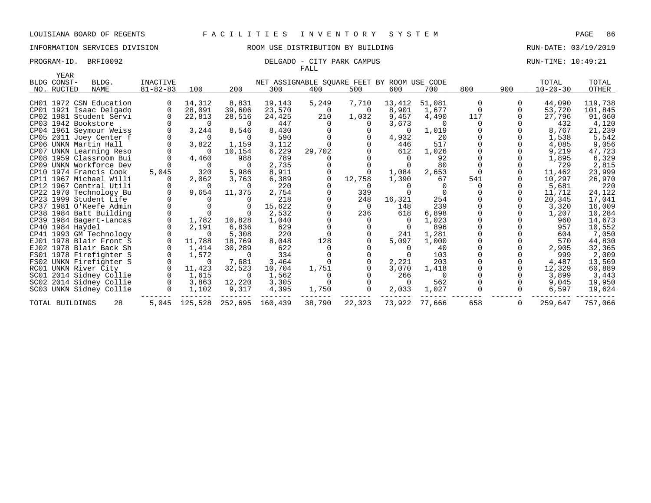# INFORMATION SERVICES DIVISION ROOM USE DISTRIBUTION BY BUILDING RUN-DATE: 03/19/2019

### PROGRAM-ID. BRFI0092 **DELGADO** - CITY PARK CAMPUS **RUN-TIME: 10:49:21** FALL

| YEAR                |                         |                 |                |                               |                                             |          |                |          |          |          |     |                |         |
|---------------------|-------------------------|-----------------|----------------|-------------------------------|---------------------------------------------|----------|----------------|----------|----------|----------|-----|----------------|---------|
| BLDG CONST-         | BLDG.                   | <b>INACTIVE</b> |                |                               | NET ASSIGNABLE SQUARE FEET BY ROOM USE CODE |          |                |          |          |          |     | TOTAL          | TOTAL   |
| NO. RUCTED          | NAME                    | $81 - 82 - 83$  | 100            | 200                           | 300                                         | 400      | 500            | 600      | 700      | 800      | 900 | $10 - 20 - 30$ | OTHER   |
|                     | CH01 1972 CSN Education | $\Omega$        | 14,312         | 8,831                         | 19,143                                      | 5,249    | 7,710          | 13,412   | 51,081   | 0        |     | 44,090         | 119,738 |
|                     | CP01 1921 Isaac Delgado | $\Omega$        | 28,091         | 39,606                        | 23,570                                      | 0        | $\Omega$       | 8,901    | 1,677    | $\Omega$ |     | 53,720         | 101,845 |
|                     | CP02 1981 Student Servi |                 | 22,813         | 28,516                        | 24,425                                      | 210      | 1,032          | 9,457    | 4,490    | 117      |     | 27,796         | 91,060  |
| CP03 1942 Bookstore |                         |                 | $\overline{0}$ | $\Omega$                      | 447                                         | $\Omega$ | $\overline{0}$ | 3,673    | $\Omega$ | $\Omega$ |     | 432            | 4,120   |
|                     | CP04 1961 Seymour Weiss | $\mathbf 0$     | 3,244          | 8,546                         | 8,430                                       |          |                | - 0      | 1,019    |          |     | 8,767          | 21,239  |
|                     | CP05 2011 Joey Center f |                 | $\overline{0}$ | $\Omega$                      | 590                                         |          |                | 4,932    | 20       |          |     | 1,538          | 5,542   |
|                     | CP06 UNKN Martin Hall   | $\Omega$        | 3,822          | 1,159                         | 3,112                                       |          | $\Omega$       | 446      | 517      |          |     | 4,085          | 9,056   |
|                     | CP07 UNKN Learning Reso |                 | - 0            | 10,154                        | 6,229                                       | 29,702   |                | 612      | 1,026    |          |     | 9,219          | 47,723  |
|                     | CP08 1959 Classroom Bui |                 | 4,460          | 988                           | 789                                         |          |                |          | 92       |          |     | 1,895          | 6,329   |
|                     | CP09 UNKN Workforce Dev |                 |                | $\Omega$                      | 2,735                                       |          |                |          | 80       |          |     | 729            | 2,815   |
|                     | CP10 1974 Francis Cook  | 5,045           | 320            | 5,986                         | 8,911                                       |          |                | 1,084    | 2,653    |          |     | 11,462         | 23,999  |
|                     | CP11 1967 Michael Willi |                 | 2,062          | 3,763                         | 6,389                                       | $\Omega$ | 12,758         | 1,390    | 67       | 541      |     | 10,297         | 26,970  |
|                     | CP12 1967 Central Utili |                 | - 0            | $\Omega$                      | 220                                         |          | $\Omega$       |          | $\Omega$ |          |     | 5,681          | 220     |
|                     | CP22 1970 Technology Bu | $\Omega$        | 9,654          | 11,375                        | 2,754                                       |          | 339            |          |          |          |     | 11,712         | 24,122  |
|                     | CP23 1999 Student Life  |                 |                |                               | 218                                         |          | 248            | 16,321   | 254      |          |     | 20,345         | 17,041  |
|                     | CP37 1981 O'Keefe Admin |                 |                |                               | 15,622                                      |          | $\overline{0}$ | 148      | 239      |          |     | 3,320          | 16,009  |
|                     | CP38 1984 Batt Building |                 |                |                               | 2,532                                       |          | 236            | 618      | 6,898    |          |     | 1,207          | 10,284  |
|                     | CP39 1984 Bagert-Lancas | $\mathbf 0$     | 1,782          | 10,828                        | 1,040                                       |          | $\overline{0}$ | 0        | 1,023    |          |     | 960            | 14,673  |
| CP40 1984 Haydel    |                         |                 | 2,191          | 6,836                         | 629                                         |          | $\mathbf 0$    | $\Omega$ | 896      |          |     | 957            | 10,552  |
|                     | CP41 1993 GM Technology |                 | - 0            | 5,308                         | 220                                         | $\Omega$ |                | 241      | 1,281    |          |     | 604            | 7,050   |
|                     | EJ01 1978 Blair Front S |                 | 11,788         | 18,769                        | 8,048                                       | 128      |                | 5,097    | 1,000    |          |     | 570            | 44,830  |
|                     | EJ02 1978 Blair Back Sh | $\mathbf 0$     | 1,414          | 30,289                        | 622                                         |          |                | $\Omega$ | 40       |          |     | 2,905          | 32,365  |
|                     | FS01 1978 Firefighter S | $\mathbf 0$     | 1,572          | 0                             | 334                                         |          |                |          | 103      |          |     | 999            | 2,009   |
|                     | FS02 UNKN Firefighter S |                 | $\Omega$       | 7,681                         | 3,464                                       | $\Omega$ | $\mathbf 0$    | 2,221    | 203      |          |     | 4,487          | 13,569  |
|                     | RC01 UNKN River City    | $\Omega$        | 11,423         | 32,523                        | 10,704                                      | 1,751    | $\Omega$       | 3,070    | 1,418    |          |     | 12,329         | 60,889  |
|                     | SC01 2014 Sidney Collie | $\Omega$        | 1,615          | $\Omega$                      | 1,562                                       |          |                | 266      | $\Omega$ |          |     | 3,899          | 3,443   |
|                     | SC02 2014 Sidney Collie | $\mathsf{O}$    | 3,863          | 12,220                        | 3,305                                       |          |                | $\Omega$ | 562      |          |     | 9,045          | 19,950  |
|                     | SC03 UNKN Sidney Collie | $\mathbf 0$     | 1,102          | 9,317                         | 4,395                                       | 1,750    | $\Omega$       | 2,033    | 1,027    |          | 0   | 6,597          | 19,624  |
| TOTAL BUILDINGS     | 28                      |                 |                | 5,045 125,528 252,695 160,439 |                                             | 38,790   | 22,323         | 73,922   | 77,666   | 658      | 0   | 259,647        | 757,066 |
|                     |                         |                 |                |                               |                                             |          |                |          |          |          |     |                |         |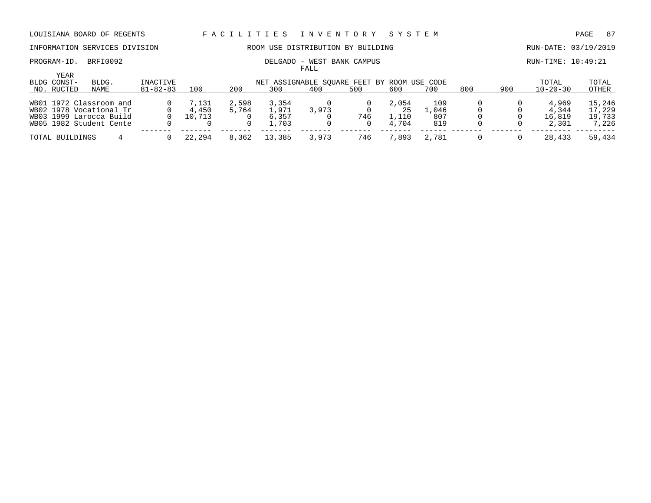INFORMATION SERVICES DIVISION ROOM USE DISTRIBUTION BY BUILDING RUN-DATE: 03/19/2019

FALL

# PROGRAM-ID. BRFI0092 **DELGADO - WEST BANK CAMPUS** RUN-TIME: 10:49:21

| YEAR<br>BLDG CONST-     | BLDG. | INACTIVE       |        |       |        | NET ASSIGNABLE SOUARE FEET BY ROOM USE CODE |     |       |       |     |     | TOTAL          | TOTAL  |
|-------------------------|-------|----------------|--------|-------|--------|---------------------------------------------|-----|-------|-------|-----|-----|----------------|--------|
| NO. RUCTED              | NAME  | $81 - 82 - 83$ | 100    | 200   | 300    | 400                                         | 500 | 600   | 700   | 800 | 90C | $10 - 20 - 30$ | OTHER  |
| WB01 1972 Classroom and |       |                | 7,131  | 2,598 | 3,354  |                                             |     | 2,054 | 109   |     |     | 4,969          | 15,246 |
| WB02 1978 Vocational Tr |       |                | 4,450  | 5,764 | 1,971  | 3,973                                       |     | 25    | .046  |     |     | 4.344          | 17,229 |
| WB03 1999 Larocca Build |       |                | 10,713 |       | 6,357  |                                             | 746 | 1,110 | 807   |     |     | 16,819         | 19,733 |
| WB05 1982 Student Cente |       |                |        |       | 1.703  |                                             |     | 4,704 | 819   |     |     | 2,301          | 7,226  |
| TOTAL BUILDINGS         |       |                | 22,294 | 8,362 | 13,385 | 3,973                                       | 746 | 7,893 | 2,781 |     |     | 28,433         | 59,434 |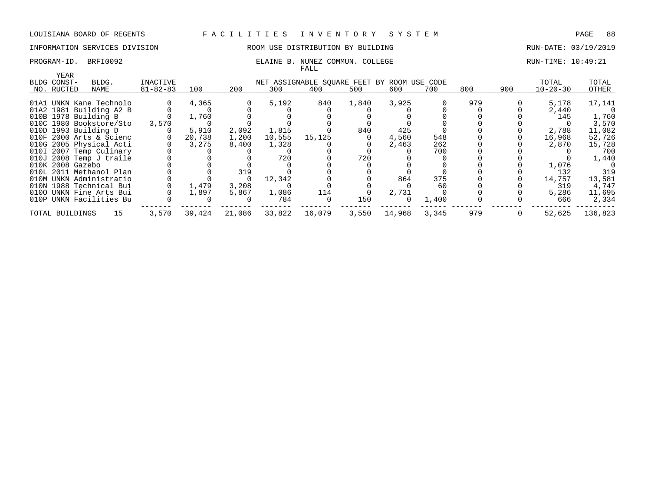# INFORMATION SERVICES DIVISION THE ROOM USE DISTRIBUTION BY BUILDING THE RUN-DATE: 03/19/2019

### PROGRAM-ID. BRFI0092 **ELAINE B. NUNEZ COMMUN. COLLEGE** RUN-TIME: 10:49:21 FALL

| YEAR<br>BLDG CONST-  | BLDG.                   | INACTIVE       |        |        |        | NET ASSIGNABLE SQUARE FEET BY ROOM USE CODE |       |          |       |     |     | TOTAL          | TOTAL   |
|----------------------|-------------------------|----------------|--------|--------|--------|---------------------------------------------|-------|----------|-------|-----|-----|----------------|---------|
| NO. RUCTED           | NAME                    | $81 - 82 - 83$ | 100    | 200    | 300    | 400                                         | 500   | 600      | 700   | 800 | 900 | $10 - 20 - 30$ | OTHER   |
|                      |                         |                |        |        |        |                                             |       |          |       |     |     |                |         |
|                      | 01A1 UNKN Kane Technolo |                | 4,365  |        | 5,192  | 840                                         | 1,840 | 3,925    |       | 979 |     | 5,178          | 17,141  |
|                      | 01A2 1981 Building A2 B |                |        |        |        |                                             |       |          |       |     |     | 2,440          |         |
| 010B 1978 Building B |                         |                | 1,760  |        |        |                                             |       |          |       |     |     | 145            | 1,760   |
|                      | 010C 1980 Bookstore/Sto | 3,570          |        |        |        |                                             |       |          |       |     |     |                | 3,570   |
| 010D 1993 Building D |                         |                | 5,910  | 2,092  | 1,815  |                                             | 840   | 425      |       |     |     | 2,788          | 11,082  |
|                      | 010F 2000 Arts & Scienc |                | 20,738 | 1,200  | 10,555 | 15,125                                      |       | 4,560    | 548   |     |     | 16,968         | 52,726  |
|                      | 010G 2005 Physical Acti |                | 3,275  | 8,400  | 1,328  |                                             |       | 2,463    | 262   |     |     | 2,870          | 15,728  |
|                      | 010I 2007 Temp Culinary |                |        |        |        |                                             |       |          | 700   |     |     |                | 700     |
|                      | 010J 2008 Temp J traile |                |        |        | 720    |                                             | 720   |          |       |     |     |                | 1,440   |
| 010K 2008 Gazebo     |                         |                |        |        |        |                                             |       |          |       |     |     | 1,076          |         |
|                      | 010L 2011 Methanol Plan |                |        | 319    |        |                                             |       |          |       |     |     | 132            | 319     |
|                      | 010M UNKN Administratio |                |        |        | 12,342 |                                             |       | 864      | 375   |     |     | 14,757         | 13,581  |
|                      | 010N 1988 Technical Bui |                | 1,479  | 3,208  |        |                                             |       |          | 60    |     |     | 319            | 4,747   |
|                      | 0100 UNKN Fine Arts Bui |                | 1,897  | 5,867  | 1,086  | 114                                         |       | 2,731    |       |     |     | 5,286          | 11,695  |
|                      | 010P UNKN Facilities Bu |                |        |        | 784    | $\Omega$                                    | 150   | $\Omega$ | 1,400 |     |     | 666            | 2,334   |
| TOTAL BUILDINGS      | 15                      | 3,570          | 39,424 | 21,086 | 33,822 | 16,079                                      | 3,550 | 14,968   | 3,345 | 979 |     | 52,625         | 136,823 |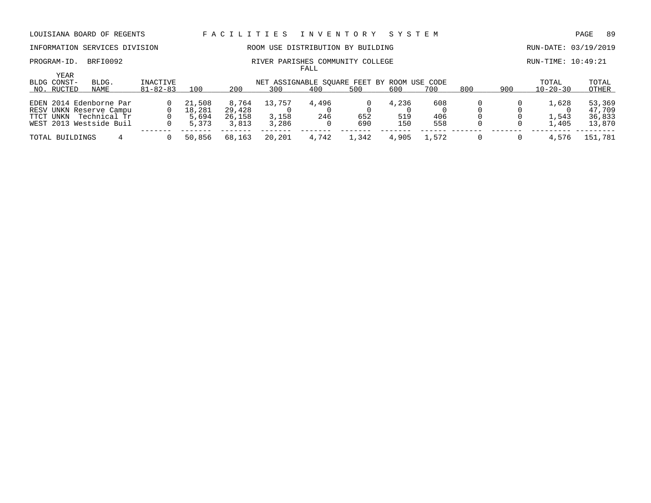# INFORMATION SERVICES DIVISION ROOM USE DISTRIBUTION BY BUILDING RUN-DATE: 03/19/2019

### PROGRAM-ID. BRFI0092 **RIVER PARISHES COMMUNITY COLLEGE** RUN-TIME: 10:49:21 FALL

|                            |                         |                |        |        |                                             | ------ |       |       |       |     |     |                |         |
|----------------------------|-------------------------|----------------|--------|--------|---------------------------------------------|--------|-------|-------|-------|-----|-----|----------------|---------|
| <b>YEAR</b><br>BLDG CONST- | BLDG.                   | INACTIVE       |        |        | NET ASSIGNABLE SOUARE FEET BY ROOM USE CODE |        |       |       |       |     |     | TOTAL          | TOTAL   |
| NO. RUCTED                 | NAME                    | $81 - 82 - 83$ | 100    | 200    | 300                                         | 400    | 500   | 600   | 700   | 800 | 900 | $10 - 20 - 30$ | OTHER   |
|                            | EDEN 2014 Edenborne Par |                | 21,508 | 8,764  | 13,757                                      | 4,496  |       | 4,236 | 608   |     |     | 1,628          | 53,369  |
|                            | RESV UNKN Reserve Campu |                | 18,281 | 29,428 |                                             |        |       |       |       |     |     |                | 47,709  |
| TTCT UNKN                  | Technical Tr            |                | 5,694  | 26,158 | 3,158                                       | 246    | 652   | 519   | 406   |     |     | 1,543          | 36,833  |
|                            | WEST 2013 Westside Buil |                | 5,373  | 3,813  | 3,286                                       |        | 690   | 150   | 558   |     |     | 1,405          | 13,870  |
| TOTAL BUILDINGS            |                         |                | 50,856 | 68,163 | 20,201                                      | 4,742  | 1,342 | 4,905 | 1,572 |     |     | 4,576          | 151,781 |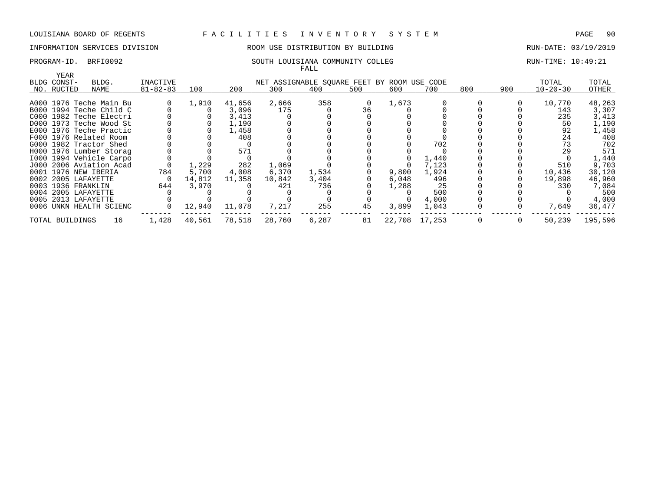### INFORMATION SERVICES DIVISION ROOM USE DISTRIBUTION BY BUILDING RUN-DATE: 03/19/2019

### PROGRAM-ID. BRFI0092 SOUTH LOUISIANA COMMUNITY COLLEG RUN-TIME: 10:49:21 FALL

| YEAR                |                         |                |        |        |                                             |       |     |        |        |     |     |                |         |
|---------------------|-------------------------|----------------|--------|--------|---------------------------------------------|-------|-----|--------|--------|-----|-----|----------------|---------|
| BLDG CONST-         | BLDG.                   | INACTIVE       |        |        | NET ASSIGNABLE SQUARE FEET BY ROOM USE CODE |       |     |        |        |     |     | TOTAL          | TOTAL   |
| NO. RUCTED          | NAME                    | $81 - 82 - 83$ | 100    | 200    | 300                                         | 400   | 500 | 600    | 700    | 800 | 900 | $10 - 20 - 30$ | OTHER   |
|                     |                         |                | 1,910  | 41,656 | 2,666                                       | 358   |     | 1,673  |        |     |     | 10,770         |         |
|                     | A000 1976 Teche Main Bu |                |        |        |                                             |       | 0   |        |        |     |     |                | 48,263  |
|                     | B000 1994 Teche Child C |                |        | 3,096  | 175                                         |       | 36  |        |        |     |     | 143            | 3,307   |
|                     | C000 1982 Teche Electri |                |        | 3,413  |                                             |       |     |        |        |     |     | 235            | 3,413   |
|                     | D000 1973 Teche Wood St |                |        | 1,190  |                                             |       |     |        |        |     |     | 50             | 1,190   |
|                     | E000 1976 Teche Practic |                |        | 1,458  |                                             |       |     |        |        |     |     | 92             | 1,458   |
|                     | F000 1976 Related Room  |                |        | 408    |                                             |       |     |        |        |     |     | 24             | 408     |
|                     | G000 1982 Tractor Shed  |                |        |        |                                             |       |     |        | 702    |     |     | 73             | 702     |
|                     | H000 1976 Lumber Storag |                |        | 571    |                                             |       |     |        |        |     |     | 29             | 571     |
|                     | 1000 1994 Vehicle Carpo |                |        |        |                                             |       |     |        | 1,440  |     |     |                | 1,440   |
|                     | J000 2006 Aviation Acad |                | 1,229  | 282    | 1,069                                       |       |     |        | 7,123  |     |     | 510            | 9,703   |
|                     | 0001 1976 NEW IBERIA    | 784            | 5,700  | 4,008  | 6,370                                       | 1,534 |     | 9,800  | 1,924  |     |     | 10,436         | 30,120  |
| 0002 2005 LAFAYETTE |                         |                | 14,812 | 11,358 | 10,842                                      | 3,404 |     | 6,048  | 496    |     |     | 19,898         | 46,960  |
| 0003 1936 FRANKLIN  |                         | 644            | 3,970  |        | 421                                         | 736   |     | 1,288  | 25     |     |     | 330            | 7,084   |
| 0004 2005 LAFAYETTE |                         |                |        |        |                                             |       |     |        | 500    |     |     |                | 500     |
| 0005 2013 LAFAYETTE |                         |                |        |        |                                             |       |     |        | 4,000  |     |     |                | 4,000   |
|                     | 0006 UNKN HEALTH SCIENC |                | 12,940 | 11,078 | 7,217                                       | 255   | 45  | 3,899  | 1,043  |     |     | 7,649          | 36,477  |
| TOTAL BUILDINGS     | 16                      | 1,428          | 40,561 | 78,518 | 28,760                                      | 6,287 | 81  | 22,708 | 17,253 | 0   | 0   | 50,239         | 195,596 |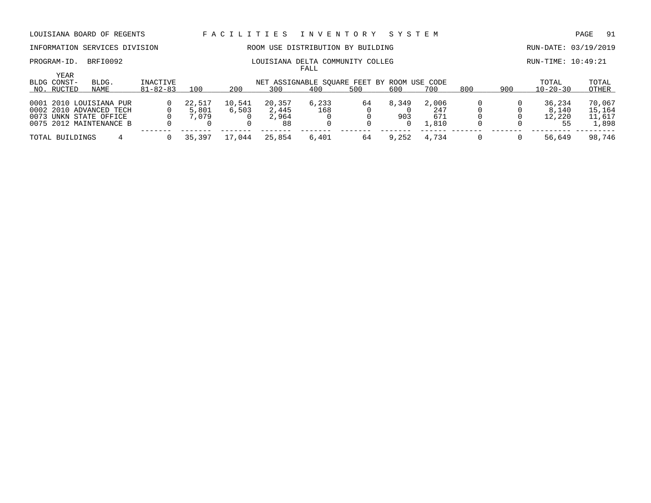# INFORMATION SERVICES DIVISION ROOM USE DISTRIBUTION BY BUILDING RUN-DATE: 03/19/2019

### PROGRAM-ID. BRFI0092 COMMUNITY COLLEG RUN-TIME: 10:49:21 FALL

| YEAR | BLDG. | INACTIVE                                                                                                                                                        |                |        |        |       |              |       |       |                                                    |     | TOTAL  | TOTAL<br>OTHER |
|------|-------|-----------------------------------------------------------------------------------------------------------------------------------------------------------------|----------------|--------|--------|-------|--------------|-------|-------|----------------------------------------------------|-----|--------|----------------|
|      |       |                                                                                                                                                                 |                |        |        |       |              |       |       |                                                    |     |        |                |
|      |       |                                                                                                                                                                 | 22,517         | 10,541 | 20,357 | 6,233 | 64           | 8,349 | 2,006 |                                                    |     | 36,234 | 70,067         |
|      |       |                                                                                                                                                                 | 5,801          | 6,503  | 2,445  | 168   |              |       | 247   |                                                    |     | 8,140  | 15,164         |
|      |       |                                                                                                                                                                 | 7,079          |        | 2,964  |       |              | 903   | 671   |                                                    |     | 12,220 | 11,617         |
|      |       |                                                                                                                                                                 |                |        | 88     |       |              |       | 1,810 |                                                    |     | 55     | 1,898          |
|      |       |                                                                                                                                                                 | 35,397         | 17,044 | 25,854 | 6,401 | 64           | 9,252 | 4.734 |                                                    |     | 56,649 | 98,746         |
|      |       | BLDG CONST-<br>NAME<br>NO. RUCTED<br>0001 2010 LOUISIANA PUR<br>0002 2010 ADVANCED TECH<br>0073 UNKN STATE OFFICE<br>0075 2012 MAINTENANCE B<br>TOTAL BUILDINGS | $81 - 82 - 83$ | 100    | 200    | 300   | -----<br>400 | 500   | 600   | NET ASSIGNABLE SQUARE FEET BY ROOM USE CODE<br>700 | 800 | 900    | $10 - 20 - 30$ |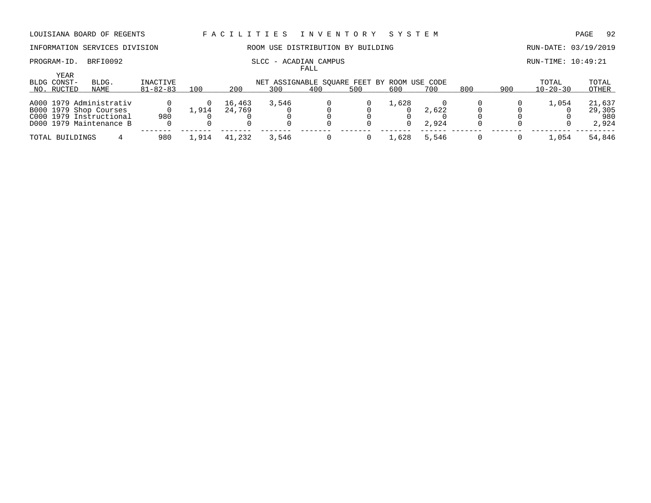### INFORMATION SERVICES DIVISION ROOM USE DISTRIBUTION BY BUILDING RUN-DATE: 03/19/2019

# PROGRAM-ID. BRFI0092 SLCC - ACADIAN CAMPUS SLCC - ACADIAN CAMPUS RUN-TIME: 10:49:21

|                                   |                                                                                                         |                            |       |                  |                                                    | FALL |     |       |                |     |     |                         |                                  |
|-----------------------------------|---------------------------------------------------------------------------------------------------------|----------------------------|-------|------------------|----------------------------------------------------|------|-----|-------|----------------|-----|-----|-------------------------|----------------------------------|
| YEAR<br>BLDG CONST-<br>NO. RUCTED | BLDG.<br>NAME                                                                                           | INACTIVE<br>$81 - 82 - 83$ | 100   | 200              | NET ASSIGNABLE SOUARE FEET BY ROOM USE CODE<br>300 | 400  | 500 | 600   | 700            | 800 | 900 | TOTAL<br>$10 - 20 - 30$ | TOTAL<br>OTHER                   |
|                                   | A000 1979 Administrativ<br>B000 1979 Shop Courses<br>C000 1979 Instructional<br>D000 1979 Maintenance B | 980                        | 1,914 | 16,463<br>24,769 | 3,546                                              |      |     | 1,628 | 2,622<br>2,924 |     |     | 1,054                   | 21,637<br>29,305<br>980<br>2,924 |
| TOTAL BUILDINGS                   |                                                                                                         | 980                        | .,914 | 41,232           | 3,546                                              |      |     | 1,628 | 5,546          |     |     | ,054                    | 54,846                           |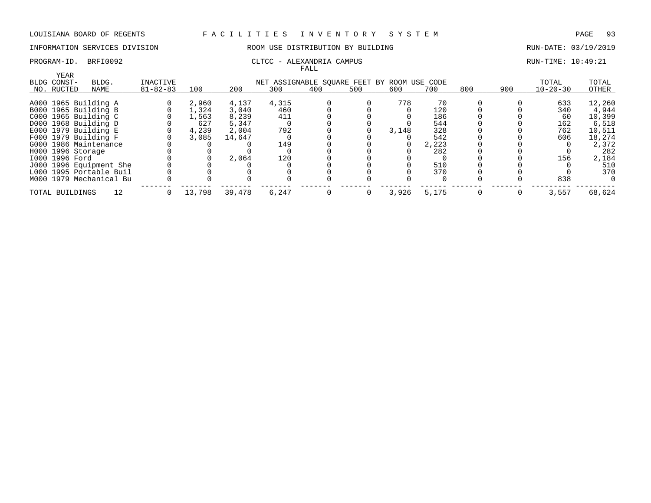# INFORMATION SERVICES DIVISION 88 ROOM USE DISTRIBUTION BY BUILDING 88 RUN-DATE: 03/19/2019

### PROGRAM-ID. BRFI0092 CLTCC - ALEXANDRIA CAMPUS CAMPUS RUN-TIME: 10:49:21 FALL

| YEAR                  |                         |                |        |        |                                             |          |     |       |       |     |     |                |        |
|-----------------------|-------------------------|----------------|--------|--------|---------------------------------------------|----------|-----|-------|-------|-----|-----|----------------|--------|
| BLDG CONST-           | BLDG.                   | INACTIVE       |        |        | NET ASSIGNABLE SOUARE FEET BY ROOM USE CODE |          |     |       |       |     |     | TOTAL          | TOTAL  |
| NO. RUCTED            | NAME                    | $81 - 82 - 83$ | 100    | 200    | 300                                         | 400      | 500 | 600   | 700   | 800 | 900 | $10 - 20 - 30$ | OTHER  |
|                       |                         |                |        |        |                                             |          |     |       | 70    |     |     |                |        |
| A000 1965 Building A  |                         |                | 2,960  | 4,137  | 4,315                                       |          |     | 778   |       |     |     | 633            | 12,260 |
| B000 1965 Building B  |                         |                | 1,324  | 3,040  | 460                                         |          |     |       | 120   |     |     | 340            | 4,944  |
| C000 1965 Building C  |                         |                | 1,563  | 8,239  | 411                                         |          |     |       | 186   |     |     | 60             | 10,399 |
| D000 1968 Building D  |                         |                | 627    | 5,347  |                                             |          |     |       | 544   |     |     | 162            | 6,518  |
| E000 1979 Building E  |                         |                | 4,239  | 2,004  | 792                                         |          |     | 3,148 | 328   |     |     | 762            | 10,511 |
| F000 1979 Building F  |                         |                | 3,085  | 14,647 |                                             |          |     |       | 542   |     |     | 606            | 18,274 |
| G000 1986 Maintenance |                         |                |        |        | 149                                         |          |     |       | 2,223 |     |     |                | 2,372  |
| H000 1996 Storage     |                         |                |        |        |                                             |          |     |       | 282   |     |     |                | 282    |
| I000 1996 Ford        |                         |                |        | 2,064  | 120                                         |          |     |       |       |     |     | 156            | 2,184  |
|                       | J000 1996 Equipment She |                |        |        |                                             |          |     |       | 510   |     |     |                | 510    |
|                       | L000 1995 Portable Buil |                |        |        |                                             |          |     |       | 370   |     |     |                | 370    |
|                       | M000 1979 Mechanical Bu |                |        |        |                                             |          |     |       |       |     |     | 838            |        |
| TOTAL BUILDINGS       | 12                      |                | 13,798 | 39,478 | 6,247                                       | $\Omega$ |     | 3,926 | 5,175 |     |     | 3,557          | 68,624 |
|                       |                         |                |        |        |                                             |          |     |       |       |     |     |                |        |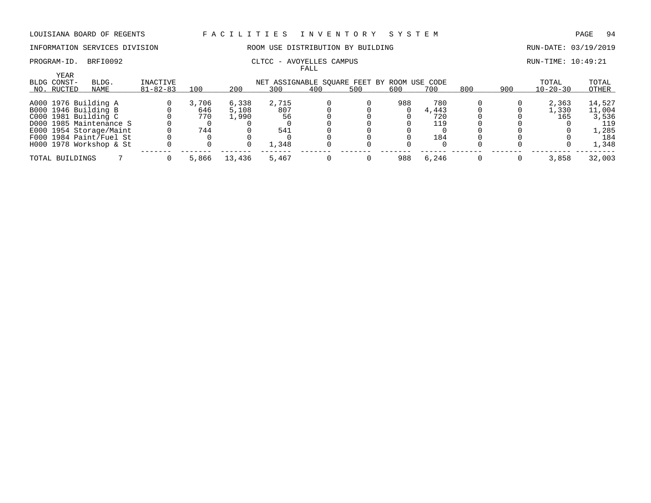INFORMATION SERVICES DIVISION ROOM USE DISTRIBUTION BY BUILDING RUN-DATE: 03/19/2019

PROGRAM-ID. BRFI0092 CLTCC - AVOYELLES CAMPUS CAMPUS RUN-TIME: 10:49:21

|                 |                         |                |       |        |                                             | FALL |     |     |       |     |     |                |        |
|-----------------|-------------------------|----------------|-------|--------|---------------------------------------------|------|-----|-----|-------|-----|-----|----------------|--------|
| YEAR            |                         |                |       |        |                                             |      |     |     |       |     |     |                |        |
| BLDG CONST-     | BLDG.                   | INACTIVE       |       |        | NET ASSIGNABLE SQUARE FEET BY ROOM USE CODE |      |     |     |       |     |     | TOTAL          | TOTAL  |
| NO. RUCTED      | NAME                    | $81 - 82 - 83$ | 100   | 200    | 300                                         | 400  | 500 | 600 | 700   | 800 | 900 | $10 - 20 - 30$ | OTHER  |
|                 |                         |                |       |        |                                             |      |     |     |       |     |     |                |        |
|                 | A000 1976 Building A    |                | 3,706 | 6,338  | 2,715                                       |      |     | 988 | 780   |     |     | 2,363          | 14,527 |
|                 | B000 1946 Building B    |                | 646   | 5,108  | 807                                         |      |     |     | 4,443 |     |     | 1,330          | 11,004 |
|                 | C000 1981 Building C    |                | 770   | 1,990  | 56                                          |      |     |     | 720   |     |     | 165            | 3,536  |
|                 | D000 1985 Maintenance S |                |       |        |                                             |      |     |     | 119   |     |     |                | 119    |
|                 | E000 1954 Storage/Maint |                | 744   |        | 541                                         |      |     |     |       |     |     |                | 1,285  |
|                 | F000 1984 Paint/Fuel St |                |       |        |                                             |      |     |     | 184   |     |     |                | 184    |
|                 | H000 1978 Workshop & St |                |       |        | 1,348                                       |      |     |     |       |     |     |                | 1,348  |
| TOTAL BUILDINGS |                         |                | 5,866 | 13,436 | 5,467                                       |      |     | 988 | 6.246 |     |     | 3,858          | 32,003 |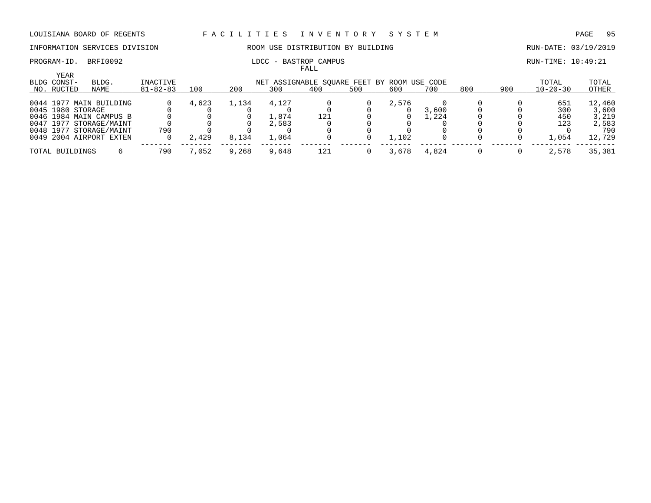### PROGRAM-ID. BRFI0092 **RUN-TIME: 10:49:21** LDCC - BASTROP CAMPUS

# INFORMATION SERVICES DIVISION ROOM USE DISTRIBUTION BY BUILDING RUN-DATE: 03/19/2019

|                                   |                                                    |                            |       |       |       | FALL                                               |     |       |                |     |     |                         |                |
|-----------------------------------|----------------------------------------------------|----------------------------|-------|-------|-------|----------------------------------------------------|-----|-------|----------------|-----|-----|-------------------------|----------------|
| YEAR<br>BLDG CONST-<br>NO. RUCTED | BLDG.<br>NAME                                      | INACTIVE<br>$81 - 82 - 83$ | 100   | 200   | 300   | NET ASSIGNABLE SQUARE FEET BY ROOM USE CODE<br>400 | 500 | 600   | 700            | 800 | 900 | TOTAL<br>$10 - 20 - 30$ | TOTAL<br>OTHER |
|                                   | 0044 1977 MAIN BUILDING                            |                            | 4,623 | 1,134 | 4,127 |                                                    |     | 2,576 |                |     |     | 651                     | 12,460         |
| 0045 1980 STORAGE                 | 0046 1984 MAIN CAMPUS B                            |                            |       |       | 1,874 | 121                                                |     |       | 3,600<br>L.224 |     |     | 300<br>450              | 3,600<br>3,219 |
|                                   | 0047 1977 STORAGE/MAINT<br>0048 1977 STORAGE/MAINT | 790                        |       |       | 2,583 |                                                    |     |       |                |     |     | 123                     | 2,583<br>790   |
|                                   | 0049 2004 AIRPORT EXTEN                            |                            | 2,429 | 8,134 | 1,064 |                                                    |     | 1,102 |                |     |     | 1,054                   | 12,729         |
| TOTAL BUILDINGS                   |                                                    | 790                        | 7,052 | 9,268 | 9,648 | 121                                                |     | 3,678 | 4,824          |     |     | 2,578                   | 35,381         |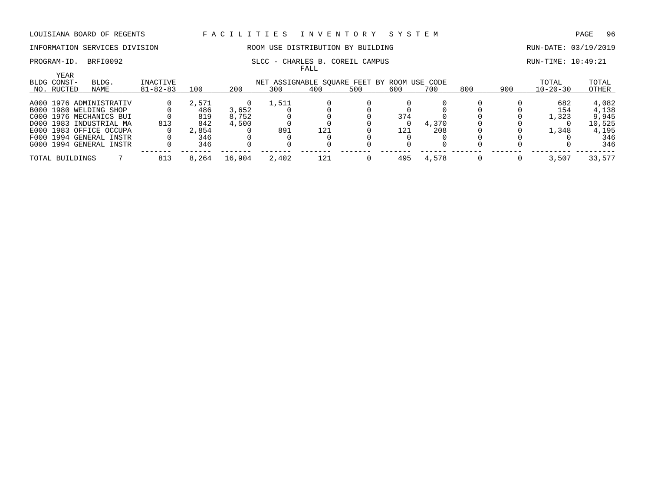### PROGRAM-ID. BRFI0092 SLCC - CHARLES B. COREIL CAMPUS SECC - CHARLES B. COREIL CAMPUS

# INFORMATION SERVICES DIVISION ROOM USE DISTRIBUTION BY BUILDING RUN-DATE: 03/19/2019

FALL

| YEAR<br>BLDG CONST- | BLDG.                   | INACTIVE       |       |        | NET ASSIGNABLE SQUARE FEET BY ROOM USE CODE |     |     |     |       |     |     | TOTAL          | TOTAL  |
|---------------------|-------------------------|----------------|-------|--------|---------------------------------------------|-----|-----|-----|-------|-----|-----|----------------|--------|
| NO. RUCTED          | NAME                    | $81 - 82 - 83$ | 100   | 200    | 300                                         | 400 | 500 | 600 | 700   | 800 | 900 | $10 - 20 - 30$ | OTHER  |
|                     | A000 1976 ADMINISTRATIV |                | 2,571 |        | 1,511                                       |     |     |     |       |     |     | 682            | 4,082  |
|                     | B000 1980 WELDING SHOP  |                | 486   | 3,652  |                                             |     |     |     |       |     |     | 154            | 4,138  |
|                     | C000 1976 MECHANICS BUI |                | 819   | 8,752  |                                             |     |     | 374 |       |     |     | 1,323          | 9,945  |
|                     | D000 1983 INDUSTRIAL MA | 813            | 842   | 4,500  |                                             |     |     |     | 4,370 |     |     |                | 10,525 |
|                     | E000 1983 OFFICE OCCUPA |                | 2,854 |        | 891                                         | 121 |     | 121 | 208   |     |     | 1,348          | 4,195  |
|                     | F000 1994 GENERAL INSTR |                | 346   |        |                                             |     |     |     |       |     |     |                | 346    |
|                     | G000 1994 GENERAL INSTR |                | 346   |        |                                             |     |     |     |       |     |     |                | 346    |
| TOTAL BUILDINGS     |                         |                | 8,264 | 16,904 | 2,402                                       | 121 |     | 495 | 4,578 |     |     | 3,507          | 33,577 |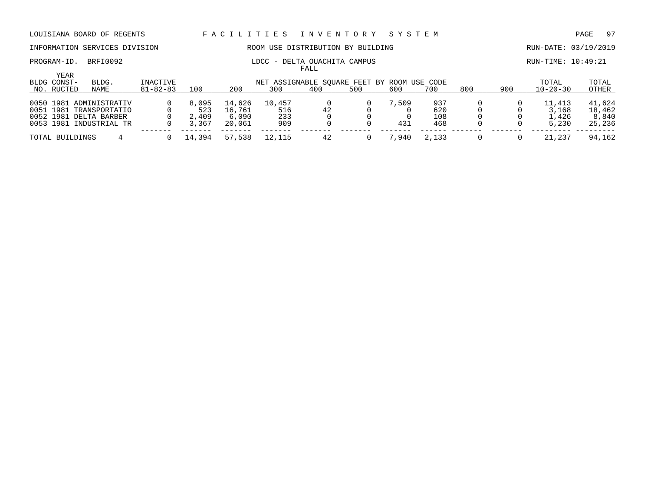### PROGRAM-ID. BRFI0092 LDCC - DELTA OUACHITA CAMPUS RUN-TIME: 10:49:21

# INFORMATION SERVICES DIVISION THE ROOM USE DISTRIBUTION BY BUILDING THE RUN-DATE: 03/19/2019

|                              |                |        |        |                                             | FALL |     |       |       |     |     |                |        |
|------------------------------|----------------|--------|--------|---------------------------------------------|------|-----|-------|-------|-----|-----|----------------|--------|
| YEAR<br>BLDG CONST-<br>BLDG. | INACTIVE       |        |        | NET ASSIGNABLE SOUARE FEET BY ROOM USE CODE |      |     |       |       |     |     | TOTAL          | TOTAL  |
| NO. RUCTED<br>NAME           | $81 - 82 - 83$ | 100    | 200    | 300                                         | 400  | 500 | 600   | 700   | 800 | 900 | $10 - 20 - 30$ | OTHER  |
| 0050 1981 ADMINISTRATIV      |                | 8,095  | 14,626 | 10,457                                      |      |     | 7,509 | 937   |     |     | 11,413         | 41,624 |
| 0051 1981 TRANSPORTATIO      |                | 523    | 16,761 | 516                                         | 42   |     |       | 620   |     |     | 3,168          | 18,462 |
| 0052 1981 DELTA BARBER       |                | 2,409  | 6,090  | 233                                         |      |     |       | 108   |     |     | 1,426          | 8,840  |
| 0053 1981 INDUSTRIAL TR      |                | 3,367  | 20,061 | 909                                         |      |     | 431   | 468   |     |     | 5,230          | 25,236 |
| TOTAL BUILDINGS              |                | 14,394 | 57,538 | 12,115                                      |      |     | 7,940 | 2,133 |     |     | 21,237         | 94,162 |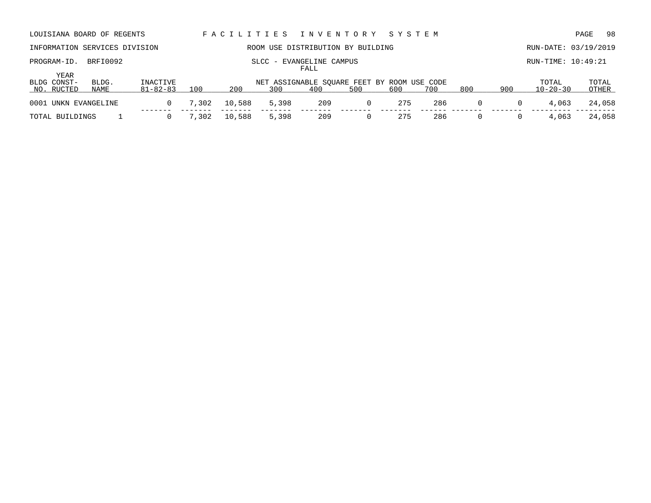| LOUISIANA BOARD OF REGENTS        |                                                 |                            |       | FACILITIES |       |     | I N V E N T O R Y                                  | SYSTEM |     |          |          |                         | 98<br>PAGE     |
|-----------------------------------|-------------------------------------------------|----------------------------|-------|------------|-------|-----|----------------------------------------------------|--------|-----|----------|----------|-------------------------|----------------|
| INFORMATION SERVICES DIVISION     |                                                 |                            |       |            |       |     | ROOM USE DISTRIBUTION BY BUILDING                  |        |     |          |          | RUN-DATE: 03/19/2019    |                |
| PROGRAM-ID.                       | BRFI0092<br>- EVANGELINE CAMPUS<br>SLCC<br>FALL |                            |       |            |       |     |                                                    |        |     |          |          | RUN-TIME: 10:49:21      |                |
| YEAR<br>BLDG CONST-<br>NO. RUCTED | BLDG.<br>NAME                                   | INACTIVE<br>$81 - 82 - 83$ | 100   | 200        | 300   | 400 | NET ASSIGNABLE SOUARE FEET BY ROOM USE CODE<br>500 | 600    | 700 | 800      | 900      | TOTAL<br>$10 - 20 - 30$ | TOTAL<br>OTHER |
| 0001 UNKN EVANGELINE              |                                                 | $\Omega$                   | 7,302 | 10,588     | 5,398 | 209 | $\mathbf{0}$                                       | 275    | 286 | $\Omega$ | 0        | 4,063                   | 24,058         |
| TOTAL BUILDINGS                   |                                                 | $\Omega$                   | 7,302 | 10,588     | 5,398 | 209 | $\Omega$                                           | 275    | 286 | $\Omega$ | $\Omega$ | 4,063                   | 24,058         |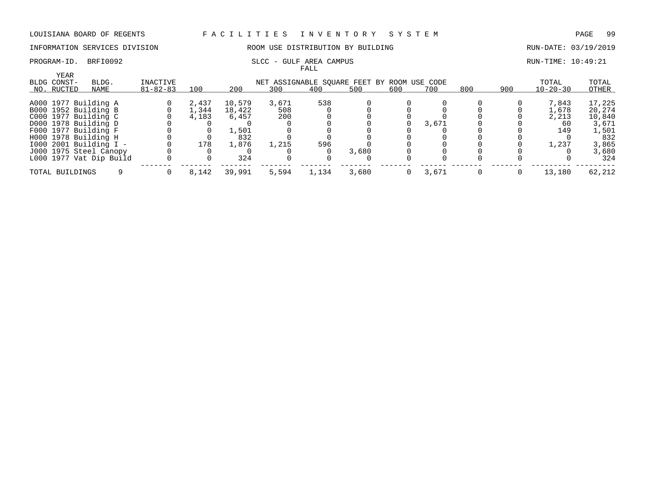# INFORMATION SERVICES DIVISION ROOM USE DISTRIBUTION BY BUILDING RUN-DATE: 03/19/2019

### PROGRAM-ID. BRFI0092 SLCC - GULF AREA CAMPUS SCOUL AREA CAMPUS RUN-TIME: 10:49:21

|                     |                         |                |       |        |                                             | FALL  |       |     |       |     |     |                |        |
|---------------------|-------------------------|----------------|-------|--------|---------------------------------------------|-------|-------|-----|-------|-----|-----|----------------|--------|
| YEAR<br>BLDG CONST- | BLDG.                   | INACTIVE       |       |        | NET ASSIGNABLE SOUARE FEET BY ROOM USE CODE |       |       |     |       |     |     | TOTAL          | TOTAL  |
| NO. RUCTED          | NAME                    | $81 - 82 - 83$ | 100   | 200    | 300                                         | 400   | 500   | 600 | 700   | 800 | 900 | $10 - 20 - 30$ | OTHER  |
|                     | A000 1977 Building A    |                | 2,437 | 10,579 | 3,671                                       | 538   |       |     |       |     |     | 7,843          | 17,225 |
|                     | B000 1952 Building B    |                | 1,344 | 18,422 | 508                                         |       |       |     |       |     |     | 1,678          | 20,274 |
|                     | C000 1977 Building C    |                | 4,183 | 6,457  | 200                                         |       |       |     |       |     |     | 2,213          | 10,840 |
|                     | D000 1978 Building D    |                |       |        |                                             |       |       |     | 3,671 |     |     | 60             | 3,671  |
|                     | F000 1977 Building F    |                |       | 1,501  |                                             |       |       |     |       |     |     | 149            | 1,501  |
|                     | H000 1978 Building H    |                |       | 832    |                                             |       |       |     |       |     |     |                | 832    |
|                     | 1000 2001 Building I -  |                | 178   | 1,876  | 1,215                                       | 596   |       |     |       |     |     | 1,237          | 3,865  |
|                     | J000 1975 Steel Canopy  |                |       |        |                                             |       | 3,680 |     |       |     |     |                | 3,680  |
|                     | L000 1977 Vat Dip Build |                |       | 324    |                                             |       |       |     |       |     |     |                | 324    |
|                     | TOTAL BUILDINGS         |                | 8,142 | 39,991 | 5,594                                       | 1,134 | 3,680 | 0   | 3,671 |     |     | 13,180         | 62,212 |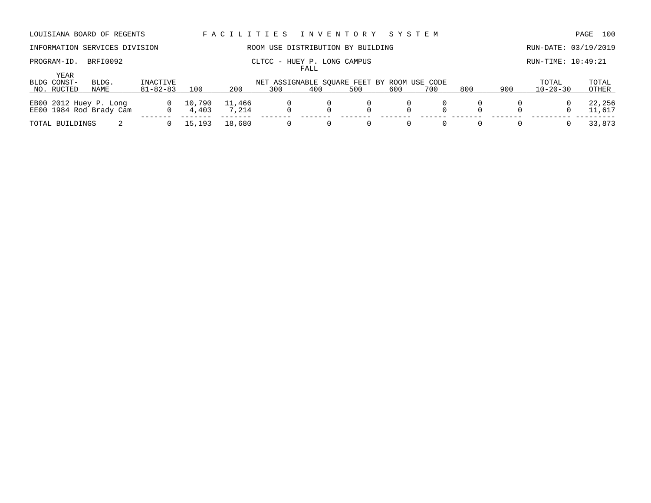## PROGRAM-ID. BRFI0092 CLTCC - HUEY P. LONG CAMPUS CLTCC - HOWE CAMPUS RUN-TIME: 10:49:21

# INFORMATION SERVICES DIVISION ROOM USE DISTRIBUTION BY BUILDING RUN-DATE: 03/19/2019

FALL

| YEAR<br>BLDG CONST-<br>NO. RUCTED | BLDG.<br>NAME                                     | INACTIVE<br>$81 - 82 - 83$ | 100             | 200             | 300 | 400 | NET ASSIGNABLE SOUARE FEET BY ROOM USE CODE<br>500 | 700 | 800 | 900 | TOTAL<br>$10 - 20 - 30$ | TOTAL<br>OTHER   |
|-----------------------------------|---------------------------------------------------|----------------------------|-----------------|-----------------|-----|-----|----------------------------------------------------|-----|-----|-----|-------------------------|------------------|
|                                   | EB00 2012 Huey P. Long<br>EE00 1984 Rod Brady Cam | $\overline{0}$<br>$\Omega$ | 10,790<br>4,403 | 11,466<br>7,214 |     |     |                                                    |     |     |     |                         | 22,256<br>11,617 |
| TOTAL BUILDINGS                   |                                                   |                            | 15,193          | 18,680          |     |     |                                                    |     |     |     |                         | 33,873           |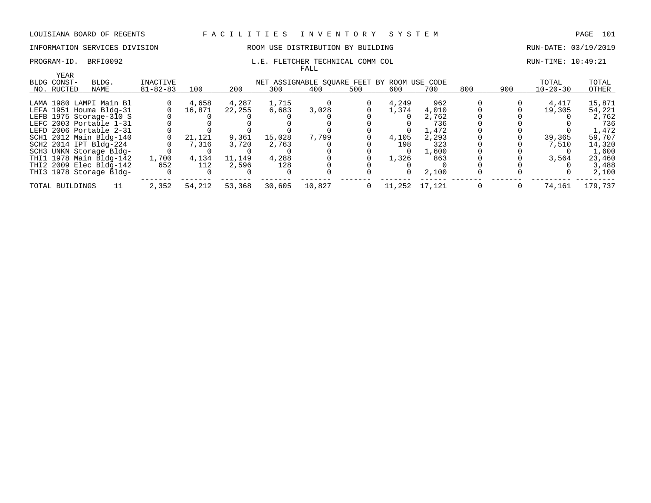### INFORMATION SERVICES DIVISION COOM OSE DISTRIBUTION BY BUILDING CONTROLLER RUN-DATE: 03/19/2019

### PROGRAM-ID. BRFI0092 **L.E. FLETCHER TECHNICAL COMM COL** RUN-TIME: 10:49:21 FALL

| YEAR            |                         |                |        |        |        |                                             |          |        |        |     |     |                |         |
|-----------------|-------------------------|----------------|--------|--------|--------|---------------------------------------------|----------|--------|--------|-----|-----|----------------|---------|
| BLDG CONST-     | BLDG.                   | INACTIVE       |        |        |        | NET ASSIGNABLE SOUARE FEET BY ROOM USE CODE |          |        |        |     |     | TOTAL          | TOTAL   |
| NO. RUCTED      | NAME                    | $81 - 82 - 83$ | 100    | 200    | 300    | 400                                         | 500      | 600    | 700    | 800 | 900 | $10 - 20 - 30$ | OTHER   |
|                 |                         |                |        |        |        |                                             |          |        |        |     |     |                |         |
|                 | LAMA 1980 LAMPI Main Bl |                | 4,658  | 4,287  | 1,715  |                                             |          | 4,249  | 962    |     |     | 4,417          | 15,871  |
|                 | LEFA 1951 Houma Bldg-31 |                | 16,871 | 22,255 | 6,683  | 3,028                                       |          | 1,374  | 4,010  |     |     | 19,305         | 54,221  |
|                 | LEFB 1975 Storage-310 S |                |        |        |        |                                             |          |        | 2,762  |     |     |                | 2,762   |
|                 | LEFC 2003 Portable 1-31 |                |        |        |        |                                             |          |        | 736    |     |     |                | 736     |
|                 | LEFD 2006 Portable 2-31 |                |        |        |        |                                             |          |        | 1,472  |     |     |                | 1,472   |
|                 | SCH1 2012 Main Bldg-140 |                | 21,121 | 9,361  | 15,028 | 7,799                                       |          | 4,105  | 2,293  |     |     | 39,365         | 59,707  |
|                 | SCH2 2014 IPT Bldg-224  |                | 7,316  | 3,720  | 2,763  |                                             |          | 198    | 323    |     |     | 7,510          | 14,320  |
|                 | SCH3 UNKN Storage Bldg- |                |        |        |        |                                             |          |        | 1,600  |     |     |                | 1,600   |
|                 | THI1 1978 Main Bldg-142 | 1,700          | 4,134  | 11,149 | 4,288  |                                             |          | 1,326  | 863    |     |     | 3,564          | 23,460  |
|                 | THI2 2009 Elec Bldg-142 | 652            | 112    | 2,596  | 128    |                                             |          |        |        |     |     |                | 3,488   |
|                 | THI3 1978 Storage Bldg- |                |        |        |        |                                             |          |        | 2,100  |     |     |                | 2,100   |
| TOTAL BUILDINGS |                         | 2,352          | 54,212 | 53,368 | 30,605 | 10,827                                      | $\Omega$ | 11,252 | 17,121 |     |     | 74,161         | 179,737 |
|                 |                         |                |        |        |        |                                             |          |        |        |     |     |                |         |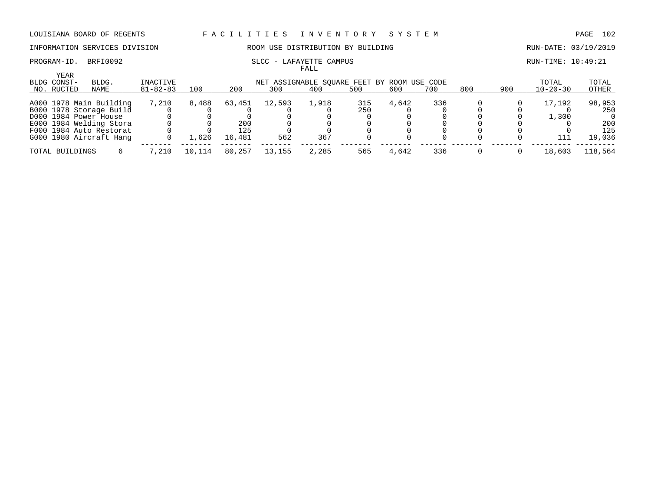# INFORMATION SERVICES DIVISION ROOM USE DISTRIBUTION BY BUILDING RUN-DATE: 03/19/2019

### PROGRAM-ID. BRFI0092 SLCC - LAFAYETTE CAMPUS SECC - LAFAYETTE CAMPUS FALL

|                            |                         |                |        |        |                                             | r umu |     |       |     |     |     |                |         |
|----------------------------|-------------------------|----------------|--------|--------|---------------------------------------------|-------|-----|-------|-----|-----|-----|----------------|---------|
| <b>YEAR</b><br>BLDG CONST- | BLDG.                   | INACTIVE       |        |        | NET ASSIGNABLE SOUARE FEET BY ROOM USE CODE |       |     |       |     |     |     | TOTAL          | TOTAL   |
| NO. RUCTED                 | NAME                    | $81 - 82 - 83$ | 100    | 200    | 300                                         | 400   | 500 | 600   | 700 | 800 | 900 | $10 - 20 - 30$ | OTHER   |
|                            | A000 1978 Main Building | 7,210          | 8,488  | 63,451 | 12,593                                      | 1,918 | 315 | 4,642 | 336 |     |     | 17,192         | 98,953  |
|                            | B000 1978 Storage Build |                |        |        |                                             |       | 250 |       |     |     |     |                | 250     |
|                            | D000 1984 Power House   |                |        |        |                                             |       |     |       |     |     |     | 1,300          |         |
|                            | E000 1984 Welding Stora |                |        | 200    |                                             |       |     |       |     |     |     |                | 200     |
|                            | F000 1984 Auto Restorat |                |        | 125    |                                             |       |     |       |     |     |     |                | 125     |
|                            | G000 1980 Aircraft Hang |                | 1,626  | 16,481 | 562                                         | 367   |     |       |     |     |     |                | 19,036  |
| TOTAL BUILDINGS            |                         | 7,210          | 10,114 | 80,257 | 13,155                                      | 2,285 | 565 | 4,642 | 336 |     |     | 18,603         | 118,564 |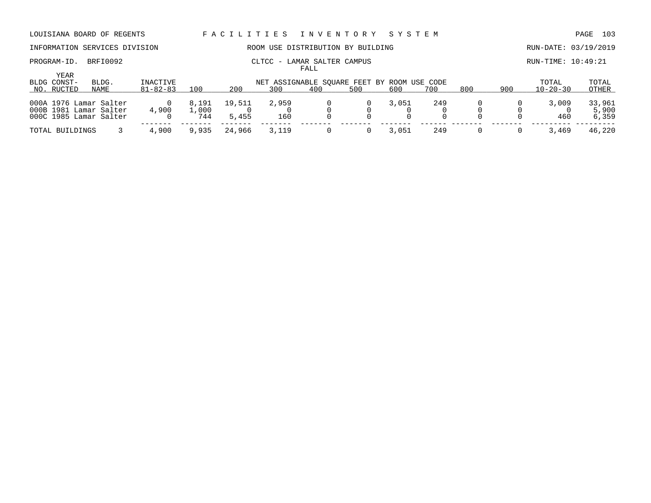PROGRAM-ID. BRFI0092 CLTCC - LAMAR SALTER CAMPUS CLTCC - LAMAR SALTER CAMPUS

# INFORMATION SERVICES DIVISION ROOM USE DISTRIBUTION BY BUILDING RUN-DATE: 03/19/2019

FALL

| YEAR<br>BLDG CONST-                              | BLDG. | INACTIVE       |               |        | NET ASSIGNABLE SOUARE FEET BY ROOM USE CODE |     |     |       |     |     |     | TOTAL          | TOTAL           |
|--------------------------------------------------|-------|----------------|---------------|--------|---------------------------------------------|-----|-----|-------|-----|-----|-----|----------------|-----------------|
| NO. RUCTED                                       | NAME  | $81 - 82 - 83$ | 100           | 200    | 300                                         | 400 | 500 | 600   | 700 | 800 | 900 | $10 - 20 - 30$ | OTHER           |
| 000A 1976 Lamar Salter<br>000B 1981 Lamar Salter |       | 4,900          | 8,191<br>,000 | 19,511 | 2,959                                       |     |     | 3,051 | 249 |     |     | 3,009          | 33,961<br>5,900 |
| 000C 1985 Lamar Salter                           |       |                | 744           | 5,455  | 160                                         |     |     |       |     |     |     | 460            | 6,359           |
| TOTAL BUILDINGS                                  |       | 4,900          | 9,935         | 24,966 | 3,119                                       |     |     | 3,051 | 249 |     |     | 3,469          | 46,220          |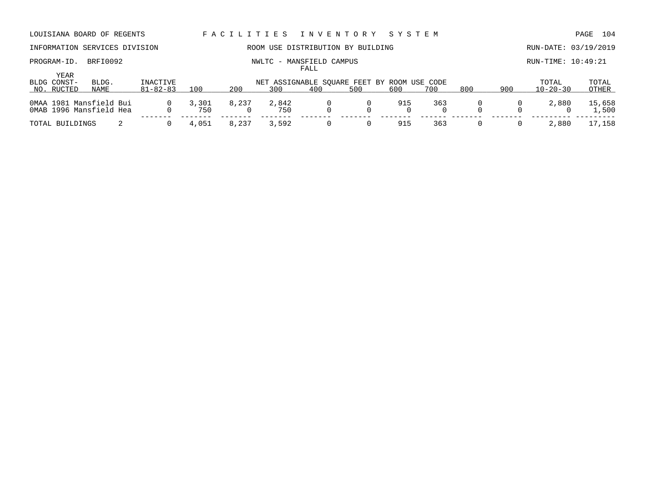## PROGRAM-ID. BRFI0092 NWLTC - MANSFIELD CAMPUS RUN-TIME: 10:49:21

# INFORMATION SERVICES DIVISION ROOM USE DISTRIBUTION BY BUILDING RUN-DATE: 03/19/2019

FALL

| YEAR<br>BLDG CONST- | BLDG.                                              | INACTIVE       |              |       | NET ASSIGNABLE SOUARE FEET BY ROOM USE CODE |     |     |     |     |     |     | TOTAL          | TOTAL           |
|---------------------|----------------------------------------------------|----------------|--------------|-------|---------------------------------------------|-----|-----|-----|-----|-----|-----|----------------|-----------------|
| NO. RUCTED          | NAME                                               | $81 - 82 - 83$ | 100          | 200   | 300                                         | 400 | 500 | 600 | 700 | 800 | 900 | $10 - 20 - 30$ | OTHER           |
|                     | OMAA 1981 Mansfield Bui<br>OMAB 1996 Mansfield Hea | $\Omega$       | 3,301<br>750 | 8,237 | 2,842<br>750                                |     |     | 915 | 363 |     |     | 2,880          | 15,658<br>1,500 |
| TOTAL BUILDINGS     |                                                    |                | 4,051        | 8,237 | 3,592                                       |     |     | 915 | 363 |     |     | 2,880          | 17,158          |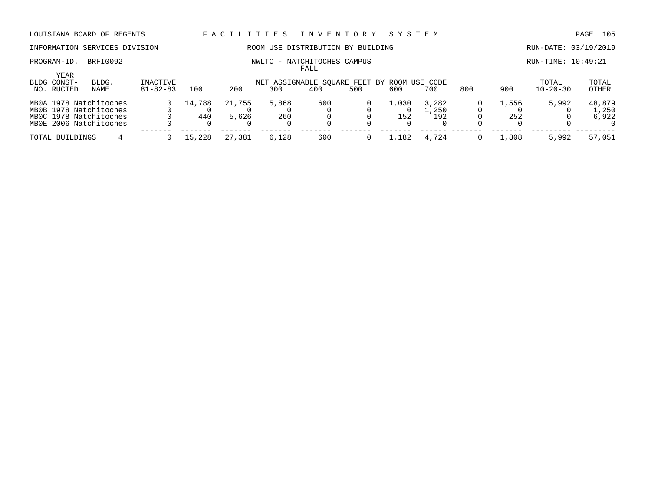# INFORMATION SERVICES DIVISION ROOM USE DISTRIBUTION BY BUILDING RUN-DATE: 03/19/2019

FALL

# PROGRAM-ID. BRFI0092 NWLTC - NATCHITOCHES CAMPUS RUN-TIME: 10:49:21

| YEAR<br>BLDG CONST- | BLDG.                  | INACTIVE       |                                    |            | NET ASSIGNABLE SOUARE FEET BY ROOM USE CODE |     |     |         |       |     |       | TOTAL          | TOTAL    |
|---------------------|------------------------|----------------|------------------------------------|------------|---------------------------------------------|-----|-----|---------|-------|-----|-------|----------------|----------|
| NO. RUCTED          | NAME                   | $81 - 82 - 83$ | 100                                | 200        | 300                                         | 400 | 500 | 600     | 700   | 800 | 900   | $10 - 20 - 30$ | OTHER    |
|                     | MB0A 1978 Natchitoches |                | 14,788                             | 21,755     | 5,868                                       | 600 |     | . . 030 | 3,282 |     | 1,556 | 5,992          | 48,879   |
|                     | MB0B 1978 Natchitoches |                |                                    |            |                                             |     |     |         | ,250  |     |       |                | L,250    |
|                     | MBOC 1978 Natchitoches |                | 440                                | 5,626      | 260                                         |     |     | 152     | 192   |     | 252   |                | 6,922    |
|                     | MB0E 2006 Natchitoches |                |                                    |            |                                             |     |     |         |       |     |       |                | $\Omega$ |
| TOTAL BUILDINGS     |                        |                | $-228$<br>$\overline{\phantom{a}}$ | .381<br>27 | 6,128                                       | 600 |     | .182    | 4,724 |     | l.808 | 5,992          | 57,051   |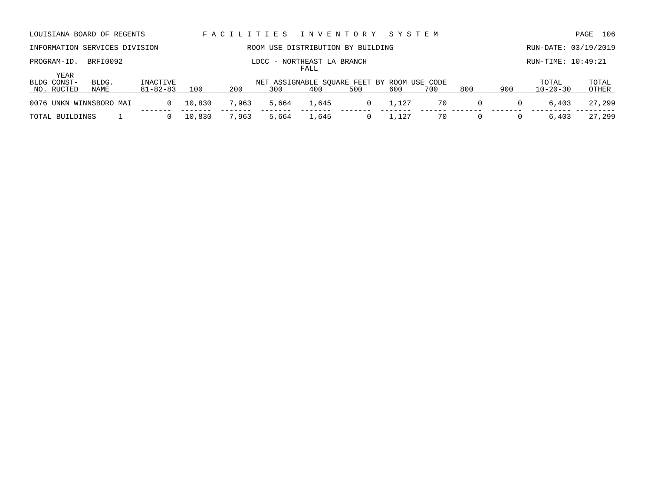| LOUISIANA BOARD OF REGENTS        |                                                |                            |        | FACILITIES |                                                    | I N V E N T O R Y |          | SYSTEM |                      |          |          |                         | 106<br>PAGE    |
|-----------------------------------|------------------------------------------------|----------------------------|--------|------------|----------------------------------------------------|-------------------|----------|--------|----------------------|----------|----------|-------------------------|----------------|
| INFORMATION SERVICES DIVISION     |                                                |                            |        |            | ROOM USE DISTRIBUTION BY BUILDING                  |                   |          |        |                      |          |          | RUN-DATE: 03/19/2019    |                |
| PROGRAM-ID.                       | BRFI0092<br>LDCC - NORTHEAST LA BRANCH<br>FALL |                            |        |            |                                                    |                   |          |        | $RUN-TIME: 10:49:21$ |          |          |                         |                |
| YEAR<br>BLDG CONST-<br>NO. RUCTED | BLDG.<br>NAME                                  | INACTIVE<br>$81 - 82 - 83$ | 100    | 200        | NET ASSIGNABLE SOUARE FEET BY ROOM USE CODE<br>300 | 400               | 500      | 600    | 700                  | 800      | 900      | TOTAL<br>$10 - 20 - 30$ | TOTAL<br>OTHER |
| 0076 UNKN WINNSBORO MAI           |                                                | $\Omega$                   | 10,830 | 7,963      | 5,664                                              | 1,645             | $\Omega$ | 1,127  | 70                   |          | $\Omega$ | 6,403                   | 27,299         |
| TOTAL BUILDINGS                   |                                                |                            | 10,830 | 7,963      | 5,664                                              | 1,645             |          | 1,127  | 70                   | $\Omega$ |          | 6,403                   | 27,299         |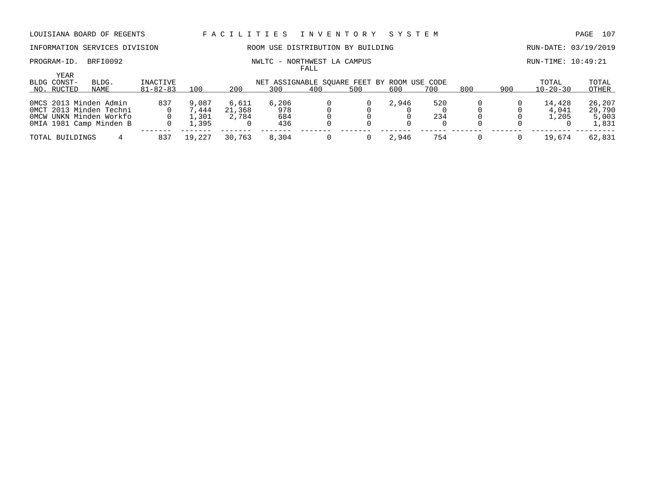PROGRAM-ID. BRFI0092 NWLTC - NORTHWEST LA CAMPUS RUN-TIME: 10:49:21

# INFORMATION SERVICES DIVISION ROOM USE DISTRIBUTION BY BUILDING RUN-DATE: 03/19/2019

FALL

| YEAR<br>BLDG CONST- | BLDG.                   | INACTIVE       |            |        |       | NET ASSIGNABLE SOUARE FEET BY ROOM USE CODE |     |       |     |     |     | TOTAL          | TOTAL  |
|---------------------|-------------------------|----------------|------------|--------|-------|---------------------------------------------|-----|-------|-----|-----|-----|----------------|--------|
| NO. RUCTED          | NAME                    | $81 - 82 - 83$ | 100        | 200    | 300   | 400                                         | 500 | 600   | 700 | 800 | 900 | $10 - 20 - 30$ | OTHER  |
|                     | OMCS 2013 Minden Admin  | 837            | 9,087      | 6.611  | 6,206 |                                             |     | 2,946 | 520 |     |     | 14,428         | 26,207 |
|                     | OMCT 2013 Minden Techni |                | .444       | 21,368 | 978   |                                             |     |       |     |     |     | 4,041          | 29,790 |
|                     | OMCW UNKN Minden Workfo |                | .301       | 2,784  | 684   |                                             |     |       | 234 |     |     | .205           | 5,003  |
|                     | OMIA 1981 Camp Minden B |                | .395       |        | 436   |                                             |     |       |     |     |     |                | 1,831  |
| TOTAL BUILDINGS     |                         | 837            | .227<br>19 | 30,763 | 8,304 |                                             |     | 2.946 | 754 |     |     | 19,674         | 62,831 |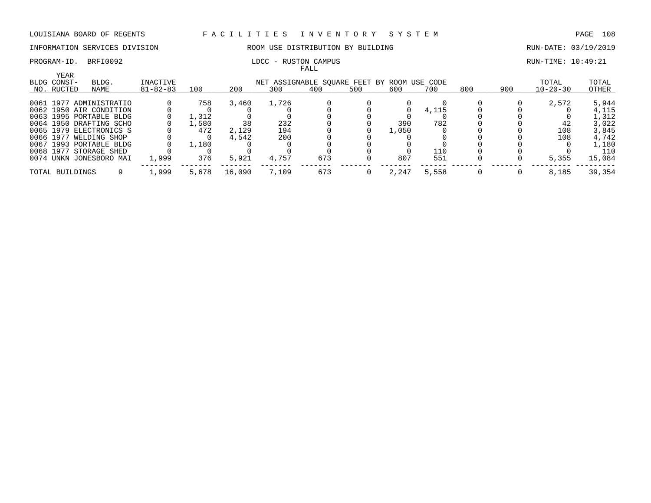### INFORMATION SERVICES DIVISION ROOM USE DISTRIBUTION BY BUILDING RUN-DATE: 03/19/2019

|           | YEAR            |                         |                |       |        |       |                                    |     |       |          |     |     |                |        |
|-----------|-----------------|-------------------------|----------------|-------|--------|-------|------------------------------------|-----|-------|----------|-----|-----|----------------|--------|
|           | BLDG CONST-     | BLDG.                   | INACTIVE       |       |        |       | NET ASSIGNABLE SQUARE FEET BY ROOM |     |       | USE CODE |     |     | TOTAL          | TOTAL  |
|           | NO. RUCTED      | NAME                    | $81 - 82 - 83$ | 100   | 200    | 300   | 400                                | 500 | 600   | 700      | 800 | 900 | $10 - 20 - 30$ | OTHER  |
|           |                 | 0061 1977 ADMINISTRATIO |                | 758   | 3,460  | 1,726 |                                    |     |       |          |     |     | 2,572          | 5,944  |
|           |                 | 0062 1950 AIR CONDITION |                |       |        |       |                                    |     |       | 4,115    |     |     |                | 4,115  |
|           |                 | 0063 1995 PORTABLE BLDG |                | L.312 |        |       |                                    |     |       |          |     |     |                | 1,312  |
|           |                 | 0064 1950 DRAFTING SCHO |                | .,580 | 38     | 232   |                                    |     | 390   | 782      |     |     | 42             | 3,022  |
|           |                 | 0065 1979 ELECTRONICS S |                | 472   | 2,129  | 194   |                                    |     | 1,050 |          |     |     | 108            | 3,845  |
| 0066 1977 |                 | WELDING SHOP            |                |       | 4,542  | 200   |                                    |     |       |          |     |     | 108            | 4,742  |
|           |                 | 0067 1993 PORTABLE BLDG |                | 1,180 |        |       |                                    |     |       |          |     |     |                | 1,180  |
|           | 0068 1977       | STORAGE SHED            |                |       |        |       |                                    |     |       | 110      |     |     |                | 110    |
|           |                 | 0074 UNKN JONESBORO MAI | 1,999          | 376   | 5,921  | 4,757 | 673                                |     | 807   | 551      |     |     | 5,355          | 15,084 |
|           | TOTAL BUILDINGS |                         | 1,999          | 5,678 | 16,090 | 7,109 | 673                                |     | 2,247 | 5,558    |     |     | 8,185          | 39,354 |

### PROGRAM-ID. BRFI0092 **RUN-TIME:** 10:49:21 FALL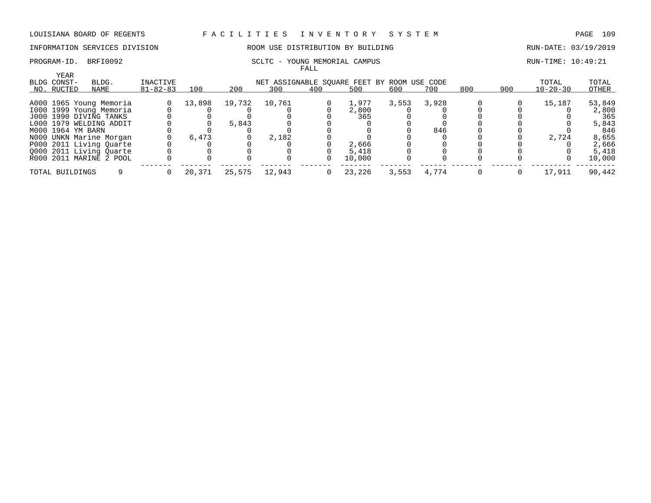# INFORMATION SERVICES DIVISION ROOM USE DISTRIBUTION BY BUILDING RUN-DATE: 03/19/2019

### PROGRAM-ID. BRFI0092 SCLTC - YOUNG MEMORIAL CAMPUS SALLER SERVIT BUN-TIME: 10:49:21 FALL

| YEAR              |                         |                |        |        |                                             |     |        |       |       |     |     |                |        |
|-------------------|-------------------------|----------------|--------|--------|---------------------------------------------|-----|--------|-------|-------|-----|-----|----------------|--------|
| BLDG CONST-       | BLDG.                   | INACTIVE       |        |        | NET ASSIGNABLE SOUARE FEET BY ROOM USE CODE |     |        |       |       |     |     | TOTAL          | TOTAL  |
| NO. RUCTED        | NAME                    | $81 - 82 - 83$ | 100    | 200    | 300                                         | 400 | 500    | 600   | 700   | 800 | 900 | $10 - 20 - 30$ | OTHER  |
|                   |                         |                |        |        |                                             |     |        |       |       |     |     |                |        |
|                   | A000 1965 Young Memoria |                | 13,898 | 19,732 | 10,761                                      |     | 1,977  | 3,553 | 3,928 |     |     | 15,187         | 53,849 |
|                   | 1000 1999 Young Memoria |                |        |        |                                             |     | 2,800  |       |       |     |     |                | 2,800  |
|                   | J000 1990 DIVING TANKS  |                |        |        |                                             |     | 365    |       |       |     |     |                | 365    |
|                   | L000 1979 WELDING ADDIT |                |        | 5,843  |                                             |     |        |       |       |     |     |                | 5,843  |
| M000 1964 YM BARN |                         |                |        |        |                                             |     |        |       | 846   |     |     |                | 846    |
|                   | N000 UNKN Marine Morgan |                | 6,473  |        | 2,182                                       |     |        |       |       |     |     | 2,724          | 8,655  |
|                   | P000 2011 Living Quarte |                |        |        |                                             |     | 2,666  |       |       |     |     |                | 2,666  |
|                   | Q000 2011 Living Quarte |                |        |        |                                             |     | 5,418  |       |       |     |     |                | 5,418  |
|                   | R000 2011 MARINE 2 POOL |                |        |        |                                             |     | 10,000 |       |       |     |     |                | 10,000 |
| TOTAL BUILDINGS   |                         |                | 20,371 | 25,575 | 12,943                                      |     | 23,226 | 3,553 | 4,774 |     |     | 17,911         | 90,442 |
|                   |                         |                |        |        |                                             |     |        |       |       |     |     |                |        |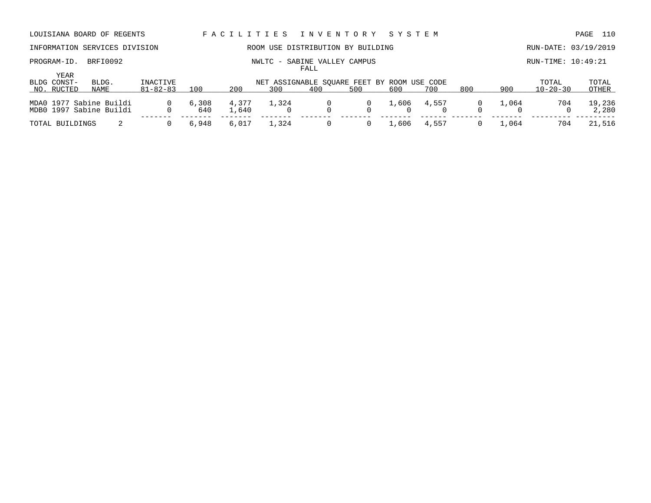PROGRAM-ID. BRFI0092 NWLTC - SABINE VALLEY CAMPUS RUN-TIME: 10:49:21

# INFORMATION SERVICES DIVISION ROOM USE DISTRIBUTION BY BUILDING RUN-DATE: 03/19/2019

FALL

| YEAR<br>BLDG CONST- | BLDG.                                              | INACTIVE       | NET ASSIGNABLE SOUARE FEET BY ROOM USE CODE |                |       |     |        |     |             |     |       |                |                 |  |
|---------------------|----------------------------------------------------|----------------|---------------------------------------------|----------------|-------|-----|--------|-----|-------------|-----|-------|----------------|-----------------|--|
| NO. RUCTED          | NAME                                               | $81 - 82 - 83$ | 100                                         | 200            | 300   | 400 | 500    | 600 | 700         | 800 | 900   | $10 - 20 - 30$ | OTHER           |  |
|                     | MDA0 1977 Sabine Buildi<br>MDB0 1997 Sabine Buildi | $\Omega$       | 6,308<br>640                                | 4,377<br>.,640 | 1,324 |     | $\Box$ |     | 1,606 4,557 |     | 1,064 | 704            | 19,236<br>2,280 |  |
| TOTAL BUILDINGS     |                                                    | $\Omega$       | 6,948                                       | 6.017          | 1,324 |     |        |     | 1,606 4,557 |     | 1.064 | 704            | 21,516          |  |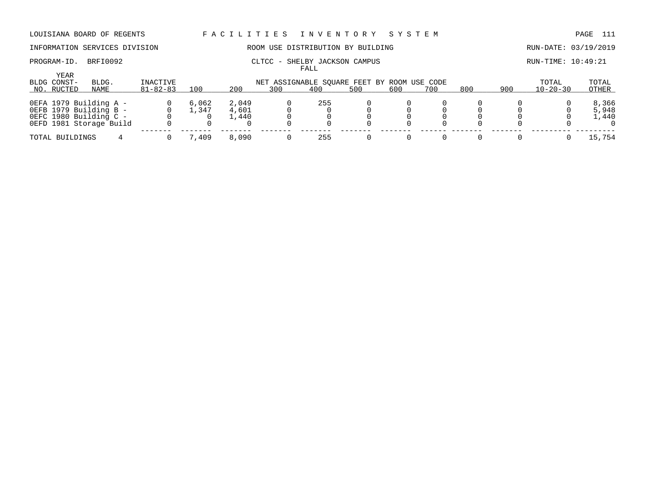### INFORMATION SERVICES DIVISION 88 ROOM USE DISTRIBUTION BY BUILDING 88 RUN-DATE: 03/19/2019

### PROGRAM-ID. BRFI0092 CLTCC - SHELBY JACKSON CAMPUS COMPUS RUN-TIME: 10:49:21 FALL

|                            |                                                                                                       |                |                |                         |     | -----                                       |     |     |     |     |     |                |                         |
|----------------------------|-------------------------------------------------------------------------------------------------------|----------------|----------------|-------------------------|-----|---------------------------------------------|-----|-----|-----|-----|-----|----------------|-------------------------|
| <b>YEAR</b><br>BLDG CONST- | BLDG.                                                                                                 | INACTIVE       |                |                         |     | NET ASSIGNABLE SOUARE FEET BY ROOM USE CODE |     |     |     |     |     | TOTAL          | TOTAL                   |
| NO. RUCTED                 | NAME                                                                                                  | $81 - 82 - 83$ | 100            | 200                     | 300 | 400                                         | 500 | 600 | 700 | 800 | 900 | $10 - 20 - 30$ | OTHER                   |
|                            | OEFA 1979 Building A -<br>OEFB 1979 Building B -<br>0EFC 1980 Building C -<br>OEFD 1981 Storage Build |                | 6,062<br>⊥,347 | 2,049<br>4,601<br>1,440 |     | 255                                         |     |     |     |     |     |                | 8,366<br>5,948<br>1,440 |
| TOTAL BUILDINGS            |                                                                                                       |                | 409.'          | 8,090                   |     | 255                                         |     |     |     |     |     |                | 15,754                  |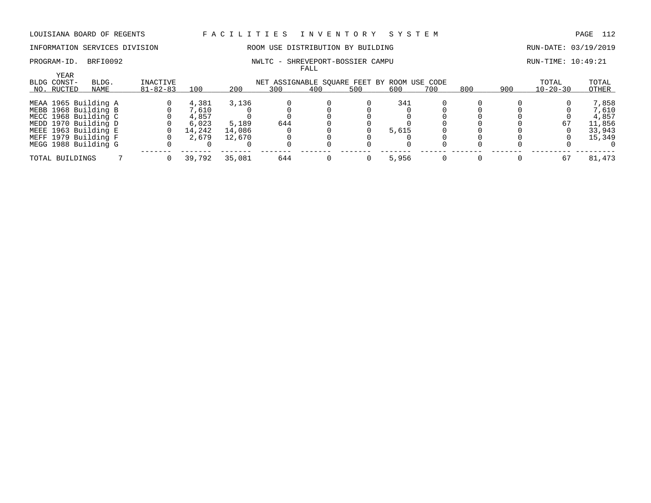### INFORMATION SERVICES DIVISION ROOM USE DISTRIBUTION BY BUILDING RUN-DATE: 03/19/2019

### PROGRAM-ID. BRFI0092 NWLTC - SHREVEPORT-BOSSIER CAMPU RUN-TIME: 10:49:21 FALL

|                     |                      |                |        |        |                                             | r und |     |       |     |     |     |                |        |
|---------------------|----------------------|----------------|--------|--------|---------------------------------------------|-------|-----|-------|-----|-----|-----|----------------|--------|
| YEAR<br>BLDG CONST- | BLDG.                | INACTIVE       |        |        | NET ASSIGNABLE SOUARE FEET BY ROOM USE CODE |       |     |       |     |     |     | TOTAL          | TOTAL  |
| NO. RUCTED          | NAME                 | $81 - 82 - 83$ | 100    | 200    | 300                                         | 400   | 500 | 600   | 700 | 800 | 900 | $10 - 20 - 30$ | OTHER  |
|                     | MEAA 1965 Building A |                | 4,381  | 3,136  |                                             |       |     | 341   |     |     |     |                | 7,858  |
|                     | MEBB 1968 Building B |                | 7,610  |        |                                             |       |     |       |     |     |     |                | 7,610  |
|                     | MECC 1968 Building C |                | 4,857  |        |                                             |       |     |       |     |     |     |                | 4,857  |
|                     | MEDD 1970 Building D |                | 6.023  | 5,189  | 644                                         |       |     |       |     |     |     | 67             | 11,856 |
|                     | MEEE 1963 Building E |                | 14,242 | 14,086 |                                             |       |     | 5,615 |     |     |     |                | 33,943 |
|                     | MEFF 1979 Building F |                | 2,679  | 12,670 |                                             |       |     |       |     |     |     |                | 15,349 |
|                     | MEGG 1988 Building G |                |        |        |                                             |       |     |       |     |     |     |                |        |
| TOTAL BUILDINGS     |                      |                | 39,792 | 35,081 | 644                                         |       |     | 5,956 |     |     |     | 67             | 81,473 |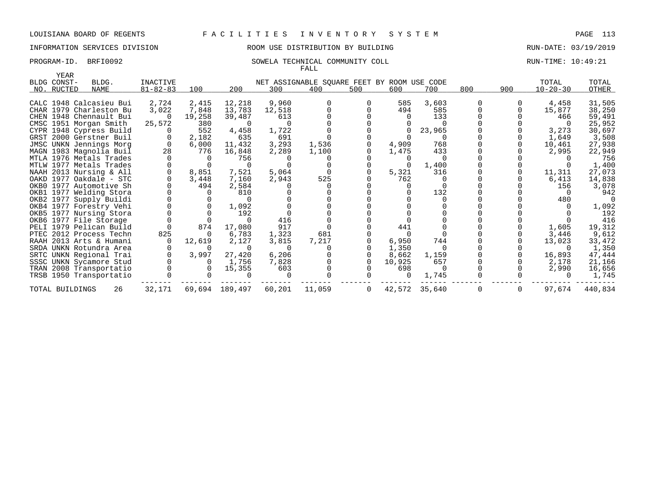# INFORMATION SERVICES DIVISION 88 ROOM USE DISTRIBUTION BY BUILDING 88 RUN-DATE: 03/19/2019

### PROGRAM-ID. BRFI0092 SOWELA TECHNICAL COMMUNITY COLL SOUR RUN-TIME: 10:49:21 FALL

| YEAR            |                         |                |        |                |        |                                             |                |          |               |     |     |                |         |
|-----------------|-------------------------|----------------|--------|----------------|--------|---------------------------------------------|----------------|----------|---------------|-----|-----|----------------|---------|
| BLDG CONST-     | BLDG.                   | INACTIVE       |        |                |        | NET ASSIGNABLE SQUARE FEET BY ROOM USE CODE |                |          |               |     |     | TOTAL          | TOTAL   |
| NO. RUCTED      | NAME                    | $81 - 82 - 83$ | 100    | 200            | 300    | 400                                         | 500            | 600      | 700           | 800 | 900 | $10 - 20 - 30$ | OTHER   |
|                 | CALC 1948 Calcasieu Bui | 2,724          | 2,415  | 12,218         | 9,960  | $\Omega$                                    |                | 585      | 3,603         |     |     | 4,458          | 31,505  |
|                 | CHAR 1979 Charleston Bu | 3,022          | 7,848  | 13,783         | 12,518 |                                             |                | 494      | 585           |     |     | 15,877         | 38,250  |
|                 | CHEN 1948 Chennault Bui |                | 19,258 | 39,487         | 613    |                                             |                |          | 133           |     |     | 466            | 59,491  |
|                 | CMSC 1951 Morgan Smith  | 25,572         | 380    | $\Omega$       |        |                                             |                |          |               |     |     |                | 25,952  |
|                 | CYPR 1948 Cypress Build |                | 552    | 4,458          | 1,722  |                                             |                |          | 23,965        |     |     | 3,273          | 30,697  |
|                 | GRST 2000 Gerstner Buil |                | 2,182  | 635            | 691    |                                             |                |          |               |     |     | 1,649          | 3,508   |
|                 | JMSC UNKN Jennings Morg |                | 6,000  | 11,432         | 3,293  | 1,536                                       |                | 4,909    | 768           |     |     | 10,461         | 27,938  |
|                 | MAGN 1983 Magnolia Buil | 28             | 776    | 16,848         | 2,289  | 1,100                                       |                | 1,475    | 433           |     |     | 2,995          | 22,949  |
|                 | MTLA 1976 Metals Trades |                |        | 756            |        |                                             |                |          |               |     |     |                | 756     |
|                 | MTLW 1977 Metals Trades |                |        |                |        |                                             |                |          | 1,400         |     |     |                | 1,400   |
|                 | NAAH 2013 Nursing & All |                | 8,851  | 7,521          | 5,064  |                                             |                | 5,321    | 316           |     |     | 11,311         | 27,073  |
|                 | OAKD 1977 Oakdale - STC |                | 3,448  | 7,160          | 2,943  | 525                                         |                | 762      |               |     |     | 6,413          | 14,838  |
|                 | OKB0 1977 Automotive Sh |                | 494    | 2,584          |        |                                             |                |          |               |     |     | 156            | 3,078   |
|                 | OKB1 1977 Welding Stora |                |        | 810            |        |                                             |                |          | 132           |     |     |                | 942     |
|                 | OKB2 1977 Supply Buildi |                |        |                |        |                                             |                |          |               |     |     | 480            |         |
|                 | OKB4 1977 Forestry Vehi |                |        | 1,092          |        |                                             |                |          |               |     |     |                | 1,092   |
|                 | OKB5 1977 Nursing Stora |                |        | 192            |        |                                             |                |          |               |     |     |                | 192     |
|                 | OKB6 1977 File Storage  |                |        |                | 416    |                                             |                |          |               |     |     |                | 416     |
|                 | PELI 1979 Pelican Build |                | 874    | 17,080         | 917    |                                             |                | 441      |               |     |     | 1,605          | 19,312  |
|                 | PTEC 2012 Process Techn | 825            | - 0    | 6,783          | 1,323  | 681                                         |                |          |               |     |     | 3,446          | 9,612   |
|                 | RAAH 2013 Arts & Humani |                | 12,619 | 2,127          | 3,815  | 7,217                                       |                | 6,950    | 744           |     |     | 13,023         | 33,472  |
|                 | SRDA UNKN Rotundra Area |                |        |                |        |                                             |                | 1,350    |               |     |     |                | 1,350   |
|                 | SRTC UNKN Regional Trai |                | 3,997  | 27,420         | 6,206  |                                             |                | 8,662    | 1,159         |     |     | 16,893         | 47,444  |
|                 | SSSC UNKN Sycamore Stud |                |        | 1,756          | 7,828  |                                             |                | 10,925   | 657           |     |     | 2,178          | 21,166  |
|                 | TRAN 2008 Transportatio |                |        | 15,355         | 603    |                                             |                | 698      | $\Omega$      |     |     | 2,990          | 16,656  |
|                 | TRSB 1950 Transportatio |                |        |                |        |                                             |                | $\Omega$ | 1,745         |     |     |                | 1,745   |
| TOTAL BUILDINGS | 26                      | 32,171         |        | 69,694 189,497 | 60,201 | 11,059                                      | $\overline{0}$ |          | 42,572 35,640 | 0   | 0   | 97,674         | 440,834 |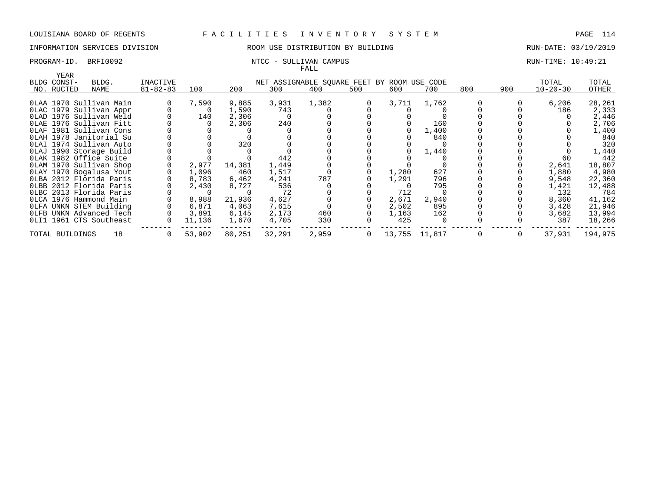### INFORMATION SERVICES DIVISION ROOM USE DISTRIBUTION BY BUILDING RUN-DATE: 03/19/2019

# FALL

### PROGRAM-ID. BRFI0092 NTCC - SULLIVAN CAMPUS RUN-TIME: 10:49:21

| YEAR            |                         |                |        |        |        |                                             |              |               |       |     |                |                |         |
|-----------------|-------------------------|----------------|--------|--------|--------|---------------------------------------------|--------------|---------------|-------|-----|----------------|----------------|---------|
| BLDG CONST-     | BLDG.                   | INACTIVE       |        |        |        | NET ASSIGNABLE SQUARE FEET BY ROOM USE CODE |              |               |       |     |                | TOTAL          | TOTAL   |
| NO. RUCTED      | NAME                    | $81 - 82 - 83$ | 100    | 200    | 300    | 400                                         | 500          | 600           | 700   | 800 | 900            | $10 - 20 - 30$ | OTHER   |
|                 |                         |                |        |        |        |                                             |              |               |       |     |                |                |         |
|                 | OLAA 1970 Sullivan Main |                | 7,590  | 9,885  | 3,931  | 1,382                                       | 0            | 3,711         | 1,762 |     | 0              | 6,206          | 28,261  |
|                 | OLAC 1979 Sullivan Appr |                | 0      | 1,590  | 743    |                                             |              |               |       |     |                | 186            | 2,333   |
|                 | OLAD 1976 Sullivan Weld |                | 140    | 2,306  |        |                                             |              |               |       |     |                |                | 2,446   |
|                 | OLAE 1976 Sullivan Fitt |                |        | 2,306  | 240    |                                             |              |               | 160   |     |                |                | 2,706   |
|                 | OLAF 1981 Sullivan Cons |                |        |        |        |                                             |              |               | 1,400 |     |                |                | 1,400   |
|                 | OLAH 1978 Janitorial Su |                |        |        |        |                                             |              |               | 840   |     |                |                | 840     |
|                 | OLAI 1974 Sullivan Auto |                |        | 320    |        |                                             |              |               |       |     |                |                | 320     |
|                 | OLAJ 1990 Storage Build |                |        |        |        |                                             |              |               | 1,440 |     |                |                | 1,440   |
|                 | OLAK 1982 Office Suite  |                |        |        | 442    |                                             |              |               |       |     |                | 60             | 442     |
|                 | OLAM 1970 Sullivan Shop |                | 2,977  | 14,381 | 1,449  |                                             |              |               |       |     |                | 2,641          | 18,807  |
|                 | OLAY 1970 Bogalusa Yout |                | 1,096  | 460    | 1,517  |                                             |              | 1,280         | 627   |     |                | 1,880          | 4,980   |
|                 | OLBA 2012 Florida Paris |                | 8,783  | 6,462  | 4,241  | 787                                         |              | 1,291         | 796   |     |                | 9,548          | 22,360  |
|                 | OLBB 2012 Florida Paris |                | 2,430  | 8,727  | 536    |                                             |              |               | 795   |     |                | 1,421          | 12,488  |
|                 | OLBC 2013 Florida Paris |                |        |        | 72     |                                             |              | 712           |       |     |                | 132            | 784     |
|                 | OLCA 1976 Hammond Main  |                | 8,988  | 21,936 | 4,627  |                                             |              | 2,671         | 2,940 |     |                | 8,360          | 41,162  |
|                 | OLFA UNKN STEM Building |                | 6,871  | 4,063  | 7,615  |                                             |              | 2,502         | 895   |     |                | 3,428          | 21,946  |
|                 | OLFB UNKN Advanced Tech |                | 3,891  | 6,145  | 2,173  | 460                                         |              | 1,163         | 162   |     |                | 3,682          | 13,994  |
|                 | OLI1 1961 CTS Southeast |                | 11,136 | 1,670  | 4,705  | 330                                         |              | 425           |       |     |                | 387            | 18,266  |
| TOTAL BUILDINGS | 18                      | $\Omega$       | 53,902 | 80,251 | 32,291 | 2,959                                       | $\mathbf{0}$ | 13,755 11,817 |       | 0   | $\overline{0}$ | 37,931         | 194,975 |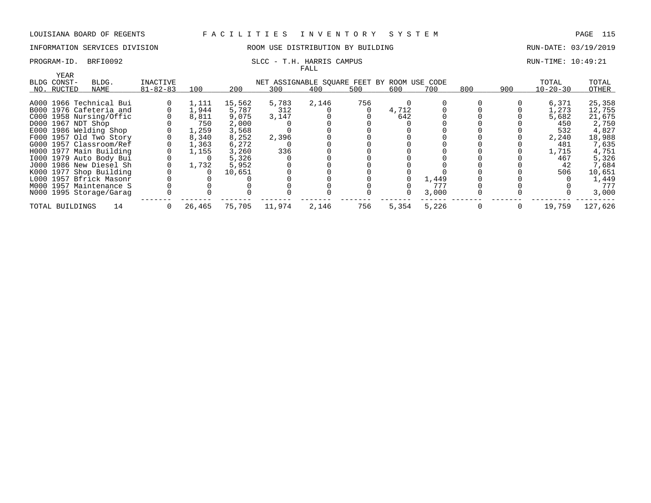### INFORMATION SERVICES DIVISION ROOM USE DISTRIBUTION BY BUILDING RUN-DATE: 03/19/2019

### PROGRAM-ID. BRFI0092 SLCC - T.H. HARRIS CAMPUS SLCC - T.H. HARRIS CAMPUS FALL

| YEAR               |                         |                |        |        |                                             |       |     |       |       |     |     |                |         |
|--------------------|-------------------------|----------------|--------|--------|---------------------------------------------|-------|-----|-------|-------|-----|-----|----------------|---------|
| BLDG CONST-        | BLDG.                   | INACTIVE       |        |        | NET ASSIGNABLE SOUARE FEET BY ROOM USE CODE |       |     |       |       |     |     | TOTAL          | TOTAL   |
| NO. RUCTED         | NAME                    | $81 - 82 - 83$ | 100    | 200    | 300                                         | 400   | 500 | 600   | 700   | 800 | 900 | $10 - 20 - 30$ | OTHER   |
|                    | A000 1966 Technical Bui |                | 1,111  | 15,562 | 5,783                                       | 2,146 | 756 |       |       |     |     | 6,371          | 25,358  |
|                    |                         |                |        |        |                                             |       |     |       |       |     |     |                |         |
|                    | B000 1976 Cafeteria and |                | 1,944  | 5,787  | 312                                         |       |     | 4,712 |       |     |     | 1,273          | 12,755  |
|                    | C000 1958 Nursing/Offic |                | 8,811  | 9,075  | 3,147                                       |       |     | 642   |       |     |     | 5,682          | 21,675  |
| D000 1967 NDT Shop |                         |                | 750    | 2,000  |                                             |       |     |       |       |     |     | 450            | 2,750   |
|                    | E000 1986 Welding Shop  |                | 1,259  | 3,568  |                                             |       |     |       |       |     |     | 532            | 4,827   |
|                    | F000 1957 Old Two Story |                | 8,340  | 8,252  | 2,396                                       |       |     |       |       |     |     | 2,240          | 18,988  |
|                    | G000 1957 Classroom/Ref |                | 1,363  | 6,272  |                                             |       |     |       |       |     |     | 481            | 7,635   |
|                    | H000 1977 Main Building |                | 1,155  | 3,260  | 336                                         |       |     |       |       |     |     | 1,715          | 4,751   |
|                    | 1000 1979 Auto Body Bui |                |        | 5,326  |                                             |       |     |       |       |     |     | 467            | 5,326   |
|                    | J000 1986 New Diesel Sh |                | 1,732  | 5,952  |                                             |       |     |       |       |     |     | 42             | 7,684   |
|                    | K000 1977 Shop Building |                |        | 10,651 |                                             |       |     |       |       |     |     | 506            | 10,651  |
|                    | L000 1957 Bfrick Masonr |                |        |        |                                             |       |     |       | 1,449 |     |     |                | 1,449   |
|                    | M000 1957 Maintenance S |                |        |        |                                             |       |     |       | 777   |     |     |                | 777     |
|                    | N000 1995 Storage/Garag |                |        |        |                                             |       |     |       | 3.000 |     |     |                | 3,000   |
| TOTAL BUILDINGS    | 14                      |                | 26,465 | 75,705 | 11,974                                      | 2,146 | 756 | 5,354 | 5,226 |     |     | 19,759         | 127,626 |
|                    |                         |                |        |        |                                             |       |     |       |       |     |     |                |         |